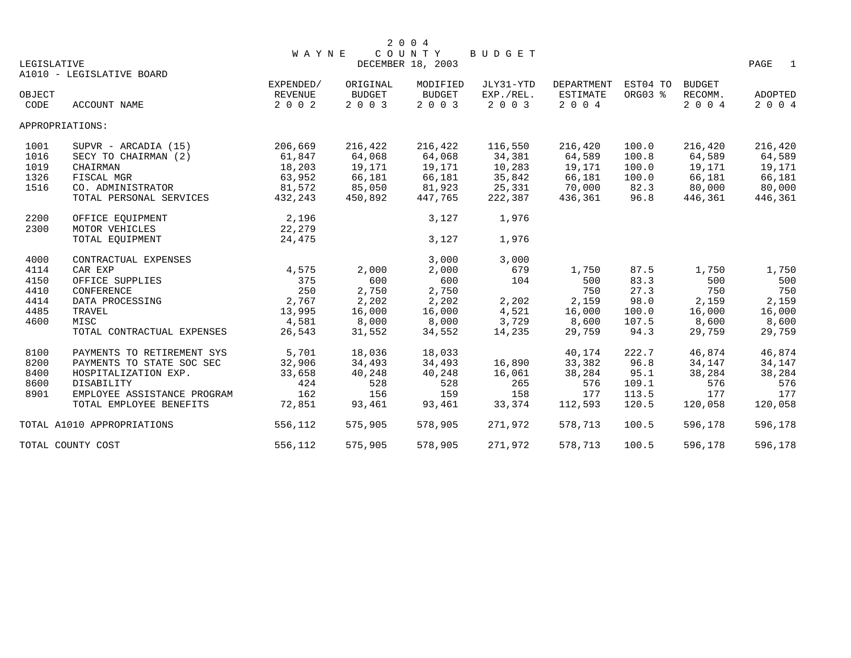|             |                             |              |               | 2 0 0 4           |           |            |          |               |                        |
|-------------|-----------------------------|--------------|---------------|-------------------|-----------|------------|----------|---------------|------------------------|
|             |                             | <b>WAYNE</b> |               | COUNTY            | BUDGET    |            |          |               |                        |
| LEGISLATIVE |                             |              |               | DECEMBER 18, 2003 |           |            |          |               | PAGE<br>$\overline{1}$ |
|             | A1010 - LEGISLATIVE BOARD   |              |               |                   |           |            |          |               |                        |
|             |                             | EXPENDED/    | ORIGINAL      | MODIFIED          | JLY31-YTD | DEPARTMENT | EST04 TO | <b>BUDGET</b> |                        |
| OBJECT      |                             | REVENUE      | <b>BUDGET</b> | <b>BUDGET</b>     | EXP./REL. | ESTIMATE   | ORG03 %  | RECOMM.       | ADOPTED                |
| CODE        | <b>ACCOUNT NAME</b>         | 2 0 0 2      | 2 0 0 3       | 2 0 0 3           | 2 0 0 3   | 2 0 0 4    |          | 2 0 0 4       | 2 0 0 4                |
|             | APPROPRIATIONS:             |              |               |                   |           |            |          |               |                        |
| 1001        | $SUPVR - ARCHIA (15)$       | 206,669      | 216,422       | 216,422           | 116,550   | 216,420    | 100.0    | 216,420       | 216,420                |
| 1016        | SECY TO CHAIRMAN (2)        | 61,847       | 64,068        | 64,068            | 34,381    | 64,589     | 100.8    | 64,589        | 64,589                 |
| 1019        | CHAIRMAN                    | 18,203       | 19,171        | 19,171            | 10,283    | 19,171     | 100.0    | 19,171        | 19,171                 |
| 1326        | FISCAL MGR                  | 63,952       | 66,181        | 66,181            | 35,842    | 66,181     | 100.0    | 66,181        | 66,181                 |
| 1516        | CO. ADMINISTRATOR           | 81,572       | 85,050        | 81,923            | 25,331    | 70,000     | 82.3     | 80,000        | 80,000                 |
|             | TOTAL PERSONAL SERVICES     | 432,243      | 450,892       | 447,765           | 222,387   | 436,361    | 96.8     | 446,361       | 446,361                |
| 2200        | OFFICE EOUIPMENT            | 2,196        |               | 3,127             | 1,976     |            |          |               |                        |
| 2300        | MOTOR VEHICLES              | 22,279       |               |                   |           |            |          |               |                        |
|             | TOTAL EQUIPMENT             | 24,475       |               | 3,127             | 1,976     |            |          |               |                        |
| 4000        | CONTRACTUAL EXPENSES        |              |               | 3,000             | 3,000     |            |          |               |                        |
| 4114        | CAR EXP                     | 4,575        | 2,000         | 2,000             | 679       | 1,750      | 87.5     | 1,750         | 1,750                  |
| 4150        | OFFICE SUPPLIES             | 375          | 600           | 600               | 104       | 500        | 83.3     | 500           | 500                    |
| 4410        | CONFERENCE                  | 250          | 2,750         | 2,750             |           | 750        | 27.3     | 750           | 750                    |
| 4414        | DATA PROCESSING             | 2,767        | 2,202         | 2,202             | 2,202     | 2,159      | 98.0     | 2,159         | 2,159                  |
| 4485        | TRAVEL                      | 13,995       | 16,000        | 16,000            | 4,521     | 16,000     | 100.0    | 16,000        | 16,000                 |
| 4600        | MISC                        | 4,581        | 8,000         | 8,000             | 3,729     | 8,600      | 107.5    | 8,600         | 8,600                  |
|             | TOTAL CONTRACTUAL EXPENSES  | 26,543       | 31,552        | 34,552            | 14,235    | 29,759     | 94.3     | 29,759        | 29,759                 |
| 8100        | PAYMENTS TO RETIREMENT SYS  | 5,701        | 18,036        | 18,033            |           | 40,174     | 222.7    | 46,874        | 46,874                 |
| 8200        | PAYMENTS TO STATE SOC SEC   | 32,906       | 34,493        | 34,493            | 16,890    | 33,382     | 96.8     | 34,147        | 34,147                 |
| 8400        | HOSPITALIZATION EXP.        | 33,658       | 40,248        | 40,248            | 16,061    | 38,284     | 95.1     | 38,284        | 38,284                 |
| 8600        | DISABILITY                  | 424          | 528           | 528               | 265       | 576        | 109.1    | 576           | 576                    |
| 8901        | EMPLOYEE ASSISTANCE PROGRAM | 162          | 156           | 159               | 158       | 177        | 113.5    | 177           | 177                    |
|             | TOTAL EMPLOYEE BENEFITS     | 72,851       | 93,461        | 93,461            | 33,374    | 112,593    | 120.5    | 120,058       | 120,058                |
|             | TOTAL A1010 APPROPRIATIONS  | 556,112      | 575,905       | 578,905           | 271,972   | 578,713    | 100.5    | 596,178       | 596,178                |
|             | TOTAL COUNTY COST           | 556,112      | 575,905       | 578,905           | 271,972   | 578,713    | 100.5    | 596,178       | 596,178                |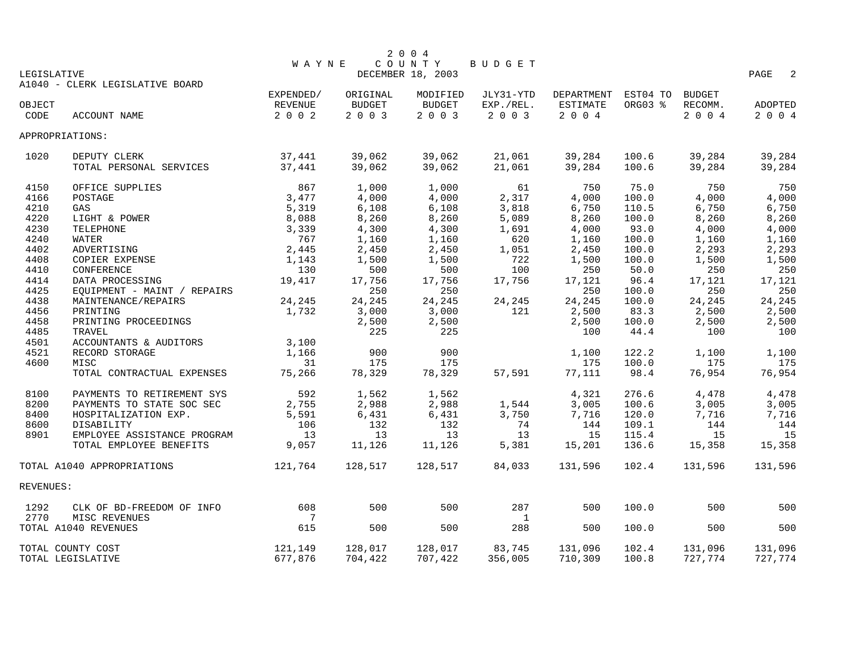|             |                                 |                |          | 2 0 0 4           |              |                            |         |         |                                    |
|-------------|---------------------------------|----------------|----------|-------------------|--------------|----------------------------|---------|---------|------------------------------------|
|             |                                 | <b>WAYNE</b>   |          | COUNTY            | BUDGET       |                            |         |         |                                    |
| LEGISLATIVE |                                 |                |          | DECEMBER 18, 2003 |              |                            |         |         | PAGE<br>$\overline{\phantom{0}}^2$ |
|             | A1040 - CLERK LEGISLATIVE BOARD |                |          |                   |              |                            |         |         |                                    |
|             |                                 | EXPENDED/      | ORIGINAL | MODIFIED          | JLY31-YTD    | DEPARTMENT EST04 TO BUDGET |         |         |                                    |
| OBJECT      |                                 | REVENUE        | BUDGET   | BUDGET            | EXP./REL.    | ESTIMATE                   | ORG03 % | RECOMM. | ADOPTED                            |
| CODE        | ACCOUNT NAME                    | 2 0 0 2        | 2003     | 2 0 0 3           | 2 0 0 3      | $2 0 0 4$                  |         | 2004    | 2004                               |
|             | APPROPRIATIONS:                 |                |          |                   |              |                            |         |         |                                    |
| 1020        | DEPUTY CLERK                    | 37,441         | 39,062   | 39,062            | 21,061       | 39,284                     | 100.6   | 39,284  | 39,284                             |
|             | TOTAL PERSONAL SERVICES         | 37,441         | 39,062   | 39,062            | 21,061       | 39,284                     | 100.6   | 39,284  | 39,284                             |
| 4150        | OFFICE SUPPLIES                 | 867            | 1,000    | 1,000             | 61           | 750                        | 75.0    | 750     | 750                                |
| 4166        | POSTAGE                         | 3,477          | 4,000    | 4,000             | 2,317        | 4,000                      | 100.0   | 4,000   | 4,000                              |
| 4210        | GAS                             | 5,319          | 6,108    | 6,108             | 3,818        | 6,750                      | 110.5   | 6,750   | 6,750                              |
| 4220        | LIGHT & POWER                   | 8,088          | 8,260    | 8,260             | 5,089        | 8,260                      | 100.0   | 8,260   | 8,260                              |
| 4230        | TELEPHONE                       | 3,339          | 4,300    | 4,300             | 1,691        | 4,000                      | 93.0    | 4,000   | 4,000                              |
| 4240        | WATER                           | 767            | 1,160    | 1,160             | 620          | 1,160                      | 100.0   | 1,160   | 1,160                              |
| 4402        | ADVERTISING                     | 2,445          | 2,450    | 2,450             | 1,051        | 2,450                      | 100.0   | 2,293   | 2,293                              |
| 4408        | COPIER EXPENSE                  | 1,143          | 1,500    | 1,500             | 722          | 1,500                      | 100.0   | 1,500   | 1,500                              |
| 4410        | CONFERENCE                      | 130            | 500      | 500               | 100          | 250                        | 50.0    | 250     | 250                                |
| 4414        | DATA PROCESSING                 | 19,417         | 17,756   | 17,756            | 17,756       | 17,121                     | 96.4    | 17,121  | 17,121                             |
| 4425        | EQUIPMENT - MAINT / REPAIRS     |                | 250      | 250               |              | 250                        | 100.0   | 250     | 250                                |
| 4438        | MAINTENANCE/REPAIRS             | 24,245         | 24,245   | 24,245            | 24,245       | 24,245                     | 100.0   | 24,245  | 24,245                             |
| 4456        | PRINTING                        | 1,732          | 3,000    | 3,000             | 121          | 2,500                      | 83.3    | 2,500   | 2,500                              |
| 4458        | PRINTING PROCEEDINGS            |                | 2,500    | 2,500             |              | 2,500                      | 100.0   | 2,500   | 2,500                              |
| 4485        | TRAVEL                          |                | 225      | 225               |              | 100                        | 44.4    | 100     | 100                                |
| 4501        | ACCOUNTANTS & AUDITORS          | 3,100          |          |                   |              |                            |         |         |                                    |
| 4521        | RECORD STORAGE                  | 1,166          | 900      | 900               |              | 1,100                      | 122.2   | 1,100   | 1,100                              |
| 4600        | MISC                            | 31             | 175      | 175               |              | 175                        | 100.0   | 175     | 175                                |
|             | TOTAL CONTRACTUAL EXPENSES      | 75,266         | 78,329   | 78,329            | 57,591       | 77,111                     | 98.4    | 76,954  | 76,954                             |
| 8100        | PAYMENTS TO RETIREMENT SYS      | 592            | 1,562    | 1,562             |              | 4,321                      | 276.6   | 4,478   | 4,478                              |
| 8200        | PAYMENTS TO STATE SOC SEC       | 2,755          | 2,988    | 2,988             | 1,544        | 3,005                      | 100.6   | 3,005   | 3,005                              |
| 8400        | HOSPITALIZATION EXP.            | 5,591          | 6,431    | 6,431             | 3,750        | 7,716                      | 120.0   | 7,716   | 7,716                              |
| 8600        | DISABILITY                      | 106            | 132      | 132               | 74           | 144                        | 109.1   | 144     | 144                                |
| 8901        | EMPLOYEE ASSISTANCE PROGRAM     | 13             | 13       | 13                | 13           | 15                         | 115.4   | 15      | 15                                 |
|             | TOTAL EMPLOYEE BENEFITS         | 9,057          | 11,126   | 11,126            | 5,381        | 15,201                     | 136.6   | 15,358  | 15,358                             |
|             | TOTAL A1040 APPROPRIATIONS      | 121,764        | 128,517  | 128,517           | 84,033       | 131,596                    | 102.4   | 131,596 | 131,596                            |
| REVENUES:   |                                 |                |          |                   |              |                            |         |         |                                    |
| 1292        | CLK OF BD-FREEDOM OF INFO       | 608            | 500      | 500               | 287          | 500                        | 100.0   | 500     | 500                                |
| 2770        | MISC REVENUES                   | $\overline{7}$ |          |                   | $\mathbf{1}$ |                            |         |         |                                    |
|             | TOTAL A1040 REVENUES            | 615            | 500      | 500               | 288          | 500                        | 100.0   | 500     | 500                                |
|             | TOTAL COUNTY COST               | 121,149        | 128,017  | 128,017           | 83,745       | 131,096                    | 102.4   | 131,096 | 131,096                            |
|             | TOTAL LEGISLATIVE               | 677,876        | 704,422  | 707,422           | 356,005      | 710,309                    | 100.8   | 727,774 | 727,774                            |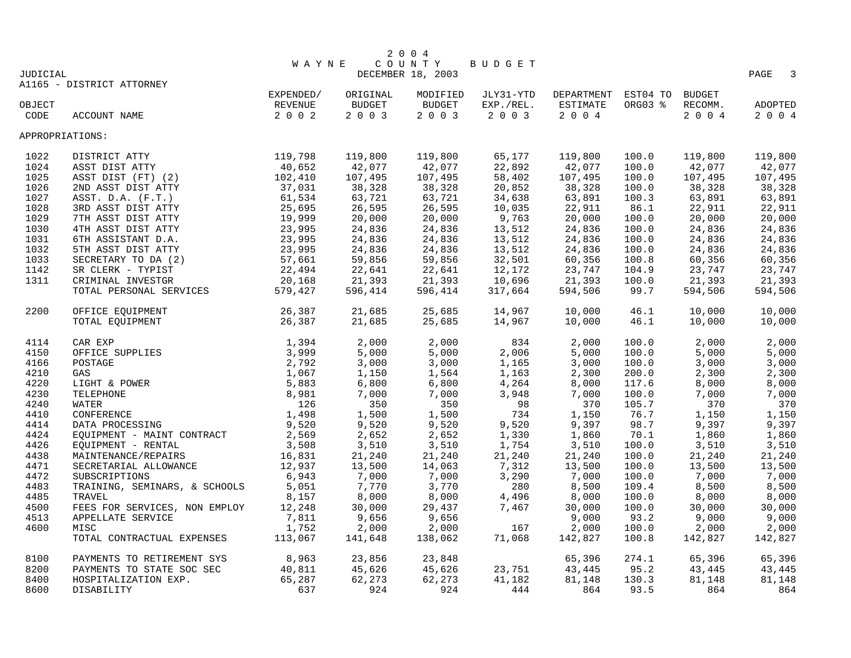|                                  |                               |           |               | 2 0 0 4           |           |                            |         |         |                        |  |
|----------------------------------|-------------------------------|-----------|---------------|-------------------|-----------|----------------------------|---------|---------|------------------------|--|
| COUNTY<br><b>WAYNE</b><br>BUDGET |                               |           |               |                   |           |                            |         |         |                        |  |
| <b>JUDICIAL</b>                  |                               |           |               | DECEMBER 18, 2003 |           |                            |         |         | PAGE<br>$\overline{3}$ |  |
|                                  | A1165 - DISTRICT ATTORNEY     |           |               |                   |           |                            |         |         |                        |  |
|                                  |                               | EXPENDED/ | ORIGINAL      | MODIFIED          | JLY31-YTD | DEPARTMENT EST04 TO BUDGET |         |         |                        |  |
| OBJECT                           |                               | REVENUE   | <b>BUDGET</b> | <b>BUDGET</b>     | EXP./REL. | ESTIMATE                   | ORG03 % | RECOMM. | ADOPTED                |  |
| CODE                             | ACCOUNT NAME                  | 2 0 0 2   | 2 0 0 3       | 2 0 0 3           | 2 0 0 3   | 2004                       |         | 2 0 0 4 | 2004                   |  |
| APPROPRIATIONS:                  |                               |           |               |                   |           |                            |         |         |                        |  |
| 1022                             | DISTRICT ATTY                 | 119,798   | 119,800       | 119,800           | 65,177    | 119,800                    | 100.0   | 119,800 | 119,800                |  |
| 1024                             | ASST DIST ATTY                | 40,652    | 42,077        | 42,077            | 22,892    | 42,077                     | 100.0   | 42,077  | 42,077                 |  |
| 1025                             | ASST DIST (FT) (2)            | 102,410   | 107,495       | 107,495           | 58,402    | 107,495                    | 100.0   | 107,495 | 107,495                |  |
| 1026                             | 2ND ASST DIST ATTY            | 37,031    | 38,328        | 38,328            | 20,852    | 38,328                     | 100.0   | 38,328  | 38,328                 |  |
| 1027                             | ASST. $D.A.$ $(F.T.)$         | 61,534    | 63,721        | 63,721            | 34,638    | 63,891                     | 100.3   | 63,891  | 63,891                 |  |
| 1028                             | 3RD ASST DIST ATTY            | 25,695    | 26,595        | 26,595            | 10,035    | 22,911                     | 86.1    | 22,911  | 22,911                 |  |
| 1029                             | 7TH ASST DIST ATTY            | 19,999    | 20,000        | 20,000            | 9,763     | 20,000                     | 100.0   | 20,000  | 20,000                 |  |
| 1030                             | 4TH ASST DIST ATTY            | 23,995    | 24,836        | 24,836            | 13,512    | 24,836                     | 100.0   | 24,836  | 24,836                 |  |
| 1031                             | 6TH ASSISTANT D.A.            | 23,995    | 24,836        | 24,836            | 13,512    | 24,836                     | 100.0   | 24,836  | 24,836                 |  |
| 1032                             | 5TH ASST DIST ATTY            | 23,995    | 24,836        | 24,836            | 13,512    | 24,836                     | 100.0   | 24,836  | 24,836                 |  |
| 1033                             | SECRETARY TO DA (2)           | 57,661    | 59,856        | 59,856            | 32,501    | 60,356                     | 100.8   | 60,356  | 60,356                 |  |
| 1142                             | SR CLERK - TYPIST             | 22,494    | 22,641        | 22,641            | 12,172    | 23,747                     | 104.9   | 23,747  | 23,747                 |  |
| 1311                             | CRIMINAL INVESTGR             | 20,168    | 21,393        | 21,393            | 10,696    | 21,393                     | 100.0   | 21,393  | 21,393                 |  |
|                                  | TOTAL PERSONAL SERVICES       | 579,427   | 596,414       | 596,414           | 317,664   | 594,506                    | 99.7    | 594,506 | 594,506                |  |
| 2200                             | OFFICE EQUIPMENT              | 26,387    | 21,685        | 25,685            | 14,967    | 10,000                     | 46.1    | 10,000  | 10,000                 |  |
|                                  | TOTAL EQUIPMENT               | 26,387    | 21,685        | 25,685            | 14,967    | 10,000                     | 46.1    | 10,000  | 10,000                 |  |
| 4114                             | CAR EXP                       | 1,394     | 2,000         | 2,000             | 834       | 2,000                      | 100.0   | 2,000   | 2,000                  |  |
| 4150                             | OFFICE SUPPLIES               | 3,999     | 5,000         | 5,000             | 2,006     | 5,000                      | 100.0   | 5,000   | 5,000                  |  |
| 4166                             | POSTAGE                       | 2,792     | 3,000         | 3,000             | 1,165     | 3,000                      | 100.0   | 3,000   | 3,000                  |  |
| 4210                             | GAS                           | 1,067     | 1,150         | 1,564             | 1,163     | 2,300                      | 200.0   | 2,300   | 2,300                  |  |
| 4220                             | LIGHT & POWER                 | 5,883     | 6,800         | 6,800             | 4,264     | 8,000                      | 117.6   | 8,000   | 8,000                  |  |
| 4230                             | TELEPHONE                     | 8,981     | 7,000         | 7,000             | 3,948     | 7,000                      | 100.0   | 7,000   | 7,000                  |  |
| 4240                             | WATER                         | 126       | 350           | 350               | 98        | 370                        | 105.7   | 370     | 370                    |  |
| 4410                             | CONFERENCE                    | 1,498     | 1,500         | 1,500             | 734       | 1,150                      | 76.7    | 1,150   | 1,150                  |  |
| 4414                             | DATA PROCESSING               | 9,520     | 9,520         | 9,520             | 9,520     | 9,397                      | 98.7    | 9,397   | 9,397                  |  |
| 4424                             | EQUIPMENT - MAINT CONTRACT    | 2,569     | 2,652         | 2,652             | 1,330     | 1,860                      | 70.1    | 1,860   | 1,860                  |  |
| 4426                             | EQUIPMENT - RENTAL            | 3,508     | 3,510         | 3,510             | 1,754     | 3,510                      | 100.0   | 3,510   | 3,510                  |  |
| 4438                             | MAINTENANCE/REPAIRS           | 16,831    | 21,240        | 21,240            | 21,240    | 21,240                     | 100.0   | 21,240  | 21,240                 |  |
| 4471                             | SECRETARIAL ALLOWANCE         | 12,937    | 13,500        | 14,063            | 7,312     | 13,500                     | 100.0   | 13,500  | 13,500                 |  |
| 4472                             | SUBSCRIPTIONS                 | 6,943     | 7,000         | 7,000             | 3,290     | 7,000                      | 100.0   | 7,000   | 7,000                  |  |
| 4483                             | TRAINING, SEMINARS, & SCHOOLS | 5,051     | 7,770         | 3,770             | 280       | 8,500                      | 109.4   | 8,500   | 8,500                  |  |
| 4485                             | TRAVEL                        | 8,157     | 8,000         | 8,000             | 4,496     | 8,000                      | 100.0   | 8,000   | 8,000                  |  |
| 4500                             | FEES FOR SERVICES, NON EMPLOY | 12,248    | 30,000        | 29,437            | 7,467     | 30,000                     | 100.0   | 30,000  | 30,000                 |  |
| 4513                             | APPELLATE SERVICE             | 7,811     | 9,656         | 9,656             |           | 9,000                      | 93.2    | 9,000   | 9,000                  |  |
| 4600                             | MISC                          | 1,752     | 2,000         | 2,000             | 167       | 2,000                      | 100.0   | 2,000   | 2,000                  |  |
|                                  | TOTAL CONTRACTUAL EXPENSES    | 113,067   | 141,648       | 138,062           | 71,068    | 142,827                    | 100.8   | 142,827 | 142,827                |  |
| 8100                             | PAYMENTS TO RETIREMENT SYS    | 8,963     | 23,856        | 23,848            |           | 65,396                     | 274.1   | 65,396  | 65,396                 |  |
| 8200                             | PAYMENTS TO STATE SOC SEC     | 40,811    | 45,626        | 45,626            | 23,751    | 43,445                     | 95.2    | 43,445  | 43,445                 |  |
| 8400                             | HOSPITALIZATION EXP.          | 65,287    | 62,273        | 62,273            | 41,182    | 81,148                     | 130.3   | 81,148  | 81,148                 |  |
| 8600                             | DISABILITY                    | 637       | 924           | 924               | 444       | 864                        | 93.5    | 864     | 864                    |  |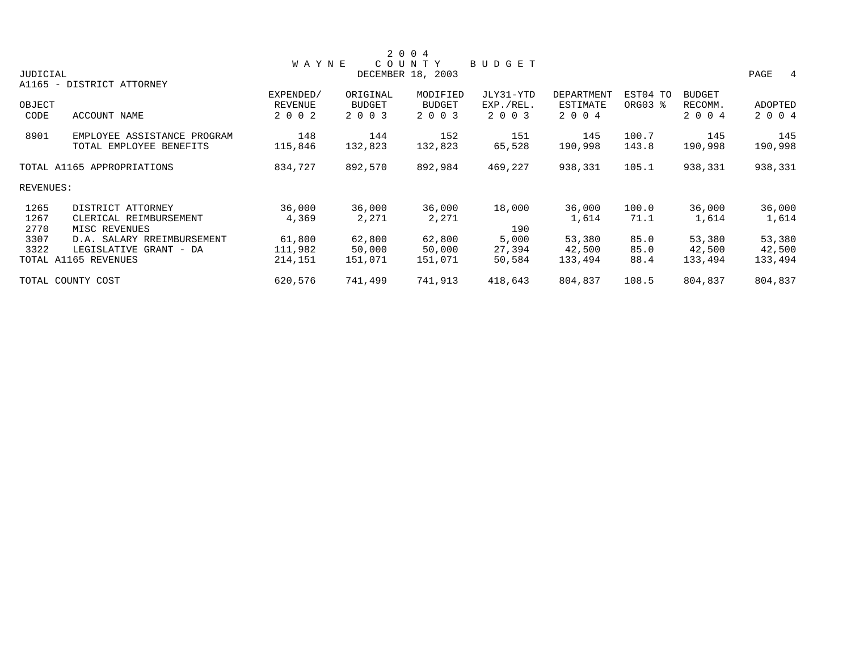|                 |                             |              |               | 2 0 0 4           |               |            |          |               |                        |
|-----------------|-----------------------------|--------------|---------------|-------------------|---------------|------------|----------|---------------|------------------------|
|                 |                             | <b>WAYNE</b> |               | COUNTY            | <b>BUDGET</b> |            |          |               |                        |
| <b>JUDICIAL</b> |                             |              |               | DECEMBER 18, 2003 |               |            |          |               | PAGE<br>$\overline{4}$ |
|                 | A1165 - DISTRICT ATTORNEY   |              |               |                   |               |            |          |               |                        |
|                 |                             | EXPENDED/    | ORIGINAL      | MODIFIED          | JLY31-YTD     | DEPARTMENT | EST04 TO | <b>BUDGET</b> |                        |
| OBJECT          |                             | REVENUE      | <b>BUDGET</b> | <b>BUDGET</b>     | EXP./REL.     | ESTIMATE   | ORG03 %  | RECOMM.       | ADOPTED                |
| CODE            | ACCOUNT NAME                | 2 0 0 2      | 2 0 0 3       | 2 0 0 3           | 2 0 0 3       | 2 0 0 4    |          | 2 0 0 4       | 2 0 0 4                |
| 8901            | EMPLOYEE ASSISTANCE PROGRAM | 148          | 144           | 152               | 151           | 145        | 100.7    | 145           | 145                    |
|                 | TOTAL EMPLOYEE BENEFITS     | 115,846      | 132,823       | 132,823           | 65,528        | 190,998    | 143.8    | 190,998       | 190,998                |
|                 | TOTAL A1165 APPROPRIATIONS  | 834,727      | 892,570       | 892,984           | 469,227       | 938,331    | 105.1    | 938,331       | 938,331                |
| REVENUES:       |                             |              |               |                   |               |            |          |               |                        |
| 1265            | DISTRICT ATTORNEY           | 36,000       | 36,000        | 36,000            | 18,000        | 36,000     | 100.0    | 36,000        | 36,000                 |
| 1267            | CLERICAL REIMBURSEMENT      | 4,369        | 2,271         | 2,271             |               | 1,614      | 71.1     | 1,614         | 1,614                  |
| 2770            | MISC REVENUES               |              |               |                   | 190           |            |          |               |                        |
| 3307            | D.A. SALARY RREIMBURSEMENT  | 61,800       | 62,800        | 62,800            | 5,000         | 53,380     | 85.0     | 53,380        | 53,380                 |
| 3322            | LEGISLATIVE GRANT - DA      | 111,982      | 50,000        | 50,000            | 27,394        | 42,500     | 85.0     | 42,500        | 42,500                 |
|                 | TOTAL A1165 REVENUES        | 214,151      | 151,071       | 151,071           | 50,584        | 133,494    | 88.4     | 133,494       | 133,494                |
|                 | TOTAL COUNTY COST           | 620,576      | 741,499       | 741,913           | 418,643       | 804,837    | 108.5    | 804,837       | 804,837                |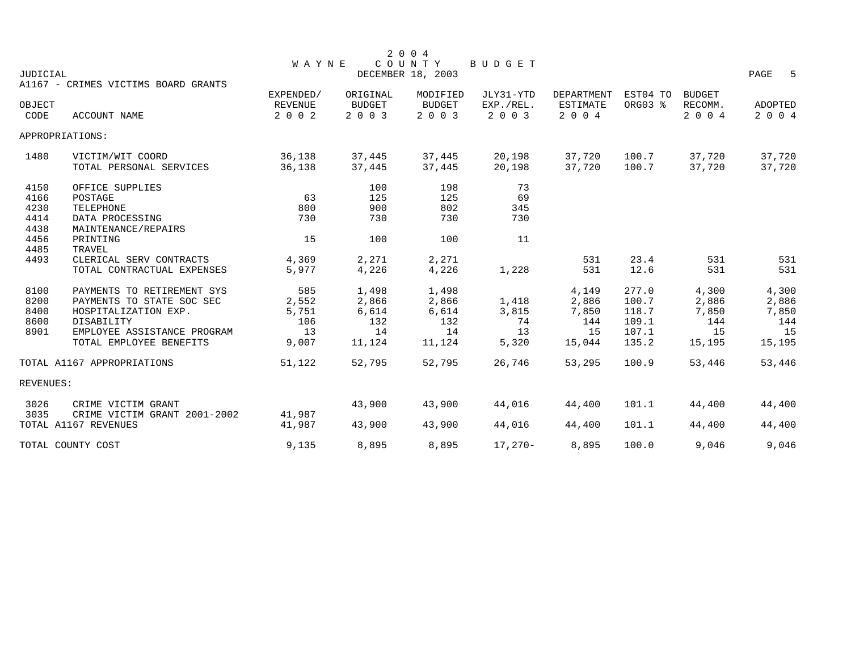|                 |                                     |                |               | 2 0 0 4           |           |                 |          |               |              |
|-----------------|-------------------------------------|----------------|---------------|-------------------|-----------|-----------------|----------|---------------|--------------|
|                 |                                     | <b>WAYNE</b>   |               | COUNTY            | BUDGET    |                 |          |               |              |
| <b>JUDICIAL</b> |                                     |                |               | DECEMBER 18, 2003 |           |                 |          |               | PAGE<br>$-5$ |
|                 | A1167 - CRIMES VICTIMS BOARD GRANTS |                |               |                   |           |                 |          |               |              |
|                 |                                     | EXPENDED/      | ORIGINAL      | MODIFIED          | JLY31-YTD | DEPARTMENT      | EST04 TO | <b>BUDGET</b> |              |
| OBJECT          |                                     | <b>REVENUE</b> | <b>BUDGET</b> | <b>BUDGET</b>     | EXP./REL. | <b>ESTIMATE</b> | ORG03 %  | RECOMM.       | ADOPTED      |
| CODE            | <b>ACCOUNT NAME</b>                 | 2 0 0 2        | 2 0 0 3       | 2003              | 2 0 0 3   | 2 0 0 4         |          | 2 0 0 4       | 2 0 0 4      |
|                 | APPROPRIATIONS:                     |                |               |                   |           |                 |          |               |              |
| 1480            | VICTIM/WIT COORD                    | 36,138         | 37,445        | 37,445            | 20,198    | 37,720          | 100.7    | 37,720        | 37,720       |
|                 | TOTAL PERSONAL SERVICES             | 36,138         | 37,445        | 37,445            | 20,198    | 37,720          | 100.7    | 37,720        | 37,720       |
| 4150            | OFFICE SUPPLIES                     |                | 100           | 198               | 73        |                 |          |               |              |
| 4166            | POSTAGE                             | 63             | 125           | 125               | 69        |                 |          |               |              |
| 4230            | TELEPHONE                           | 800            | 900           | 802               | 345       |                 |          |               |              |
| 4414            | DATA PROCESSING                     | 730            | 730           | 730               | 730       |                 |          |               |              |
| 4438            | MAINTENANCE/REPAIRS                 |                |               |                   |           |                 |          |               |              |
| 4456            | PRINTING                            | 15             | 100           | 100               | 11        |                 |          |               |              |
| 4485            | TRAVEL                              |                |               |                   |           |                 |          |               |              |
| 4493            | CLERICAL SERV CONTRACTS             | 4,369          | 2,271         | 2,271             |           | 531             | 23.4     | 531           | 531          |
|                 | TOTAL CONTRACTUAL EXPENSES          | 5,977          | 4,226         | 4,226             | 1,228     | 531             | 12.6     | 531           | 531          |
| 8100            | PAYMENTS TO RETIREMENT SYS          | 585            | 1,498         | 1,498             |           | 4,149           | 277.0    | 4,300         | 4,300        |
| 8200            | PAYMENTS TO STATE SOC SEC           | 2,552          | 2,866         | 2,866             | 1,418     | 2,886           | 100.7    | 2,886         | 2,886        |
| 8400            | HOSPITALIZATION EXP.                | 5,751          | 6,614         | 6,614             | 3,815     | 7,850           | 118.7    | 7,850         | 7,850        |
| 8600            | DISABILITY                          | 106            | 132           | 132               | 74        | 144             | 109.1    | 144           | 144          |
| 8901            | EMPLOYEE ASSISTANCE PROGRAM         | 13             | 14            | 14                | 13        | 15              | 107.1    | 15            | 15           |
|                 | TOTAL EMPLOYEE BENEFITS             | 9,007          | 11,124        | 11,124            | 5,320     | 15,044          | 135.2    | 15,195        | 15,195       |
|                 | TOTAL A1167 APPROPRIATIONS          | 51,122         | 52,795        | 52,795            | 26,746    | 53,295          | 100.9    | 53,446        | 53,446       |
| REVENUES:       |                                     |                |               |                   |           |                 |          |               |              |
| 3026            | CRIME VICTIM GRANT                  |                | 43,900        | 43,900            | 44,016    | 44,400          | 101.1    | 44,400        | 44,400       |
| 3035            | CRIME VICTIM GRANT 2001-2002        | 41,987         |               |                   |           |                 |          |               |              |
|                 | TOTAL A1167 REVENUES                | 41,987         | 43,900        | 43,900            | 44,016    | 44,400          | 101.1    | 44,400        | 44,400       |
|                 | TOTAL COUNTY COST                   | 9,135          | 8,895         | 8,895             | $17,270-$ | 8,895           | 100.0    | 9,046         | 9,046        |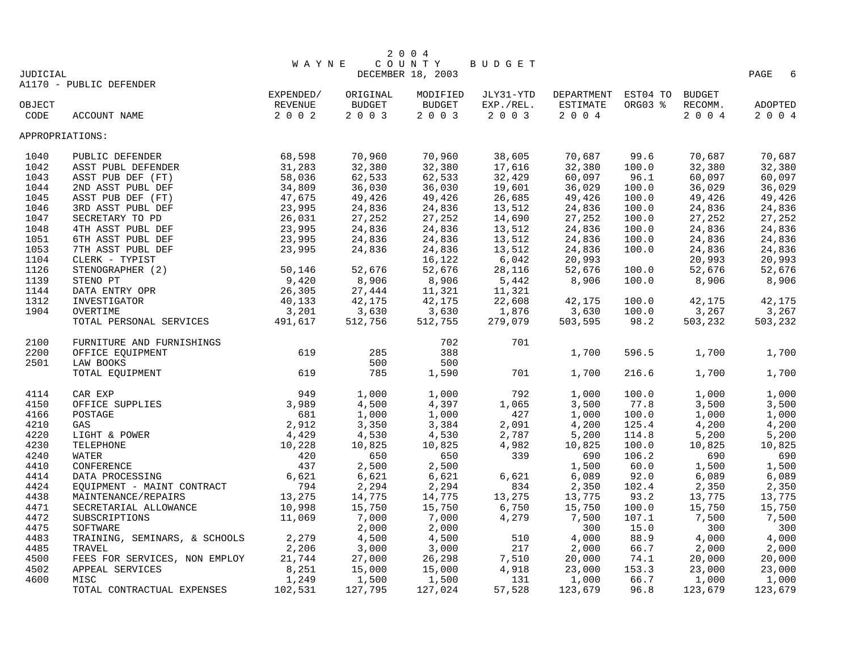|                                  |                               |           |               | 2 0 0 4           |           |            |          |               |           |  |
|----------------------------------|-------------------------------|-----------|---------------|-------------------|-----------|------------|----------|---------------|-----------|--|
| COUNTY<br>BUDGET<br><b>WAYNE</b> |                               |           |               |                   |           |            |          |               |           |  |
| <b>JUDICIAL</b>                  |                               |           |               | DECEMBER 18, 2003 |           |            |          |               | PAGE<br>6 |  |
|                                  | A1170 - PUBLIC DEFENDER       |           |               |                   |           |            |          |               |           |  |
|                                  |                               | EXPENDED/ | ORIGINAL      | MODIFIED          | JLY31-YTD | DEPARTMENT | EST04 TO | <b>BUDGET</b> |           |  |
| OBJECT                           |                               | REVENUE   | <b>BUDGET</b> | <b>BUDGET</b>     | EXP./REL. | ESTIMATE   | ORG03 %  | RECOMM.       | ADOPTED   |  |
| CODE                             | ACCOUNT NAME                  | 2002      | 2 0 0 3       | 2 0 0 3           | 2 0 0 3   | 2 0 0 4    |          | 2004          | 2004      |  |
| APPROPRIATIONS:                  |                               |           |               |                   |           |            |          |               |           |  |
|                                  |                               |           |               |                   |           |            |          |               |           |  |
| 1040                             | PUBLIC DEFENDER               | 68,598    | 70,960        | 70,960            | 38,605    | 70,687     | 99.6     | 70,687        | 70,687    |  |
| 1042                             | ASST PUBL DEFENDER            | 31,283    | 32,380        | 32,380            | 17,616    | 32,380     | 100.0    | 32,380        | 32,380    |  |
| 1043                             | ASST PUB DEF (FT)             | 58,036    | 62,533        | 62,533            | 32,429    | 60,097     | 96.1     | 60,097        | 60,097    |  |
| 1044                             | 2ND ASST PUBL DEF             | 34,809    | 36,030        | 36,030            | 19,601    | 36,029     | 100.0    | 36,029        | 36,029    |  |
| 1045                             | ASST PUB DEF (FT)             | 47,675    | 49,426        | 49,426            | 26,685    | 49,426     | 100.0    | 49,426        | 49,426    |  |
| 1046                             | 3RD ASST PUBL DEF             | 23,995    | 24,836        | 24,836            | 13,512    | 24,836     | 100.0    | 24,836        | 24,836    |  |
| 1047                             | SECRETARY TO PD               | 26,031    | 27,252        | 27,252            | 14,690    | 27,252     | 100.0    | 27,252        | 27,252    |  |
| 1048                             | 4TH ASST PUBL DEF             | 23,995    | 24,836        | 24,836            | 13,512    | 24,836     | 100.0    | 24,836        | 24,836    |  |
| 1051                             | 6TH ASST PUBL DEF             | 23,995    | 24,836        | 24,836            | 13,512    | 24,836     | 100.0    | 24,836        | 24,836    |  |
| 1053                             | 7TH ASST PUBL DEF             | 23,995    | 24,836        | 24,836            | 13,512    | 24,836     | 100.0    | 24,836        | 24,836    |  |
| 1104                             | CLERK - TYPIST                |           |               | 16,122            | 6,042     | 20,993     |          | 20,993        | 20,993    |  |
| 1126                             | STENOGRAPHER (2)              | 50,146    | 52,676        | 52,676            | 28,116    | 52,676     | 100.0    | 52,676        | 52,676    |  |
| 1139                             | STENO PT                      | 9,420     | 8,906         | 8,906             | 5,442     | 8,906      | 100.0    | 8,906         | 8,906     |  |
| 1144                             | DATA ENTRY OPR                | 26,305    | 27,444        | 11,321            | 11,321    |            |          |               |           |  |
| 1312                             | INVESTIGATOR                  | 40,133    | 42,175        | 42,175            | 22,608    | 42,175     | 100.0    | 42,175        | 42,175    |  |
| 1904                             | OVERTIME                      | 3,201     | 3,630         | 3,630             | 1,876     | 3,630      | 100.0    | 3,267         | 3,267     |  |
|                                  | TOTAL PERSONAL SERVICES       | 491,617   | 512,756       | 512,755           | 279,079   | 503,595    | 98.2     | 503,232       | 503,232   |  |
| 2100                             | FURNITURE AND FURNISHINGS     |           |               | 702               | 701       |            |          |               |           |  |
| 2200                             | OFFICE EQUIPMENT              | 619       | 285           | 388               |           | 1,700      | 596.5    | 1,700         | 1,700     |  |
| 2501                             | LAW BOOKS                     |           | 500           | 500               |           |            |          |               |           |  |
|                                  |                               | 619       | 785           | 1,590             | 701       | 1,700      | 216.6    | 1,700         | 1,700     |  |
|                                  | TOTAL EQUIPMENT               |           |               |                   |           |            |          |               |           |  |
| 4114                             | CAR EXP                       | 949       | 1,000         | 1,000             | 792       | 1,000      | 100.0    | 1,000         | 1,000     |  |
| 4150                             | OFFICE SUPPLIES               | 3,989     | 4,500         | 4,397             | 1,065     | 3,500      | 77.8     | 3,500         | 3,500     |  |
| 4166                             | POSTAGE                       | 681       | 1,000         | 1,000             | 427       | 1,000      | 100.0    | 1,000         | 1,000     |  |
| 4210                             | GAS                           | 2,912     | 3,350         | 3,384             | 2,091     | 4,200      | 125.4    | 4,200         | 4,200     |  |
| 4220                             | LIGHT & POWER                 | 4,429     | 4,530         | 4,530             | 2,787     | 5,200      | 114.8    | 5,200         | 5,200     |  |
| 4230                             | TELEPHONE                     | 10,228    | 10,825        | 10,825            | 4,982     | 10,825     | 100.0    | 10,825        | 10,825    |  |
| 4240                             | WATER                         | 420       | 650           | 650               | 339       | 690        | 106.2    | 690           | 690       |  |
| 4410                             | CONFERENCE                    | 437       | 2,500         | 2,500             |           | 1,500      | 60.0     | 1,500         | 1,500     |  |
| 4414                             | DATA PROCESSING               | 6,621     | 6,621         | 6,621             | 6,621     | 6,089      | 92.0     | 6,089         | 6,089     |  |
| 4424                             | EQUIPMENT - MAINT CONTRACT    | 794       | 2,294         | 2,294             | 834       | 2,350      | 102.4    | 2,350         | 2,350     |  |
| 4438                             | MAINTENANCE/REPAIRS           | 13,275    | 14,775        | 14,775            | 13,275    | 13,775     | 93.2     | 13,775        | 13,775    |  |
| 4471                             | SECRETARIAL ALLOWANCE         | 10,998    | 15,750        | 15,750            | 6,750     | 15,750     | 100.0    | 15,750        | 15,750    |  |
| 4472                             | SUBSCRIPTIONS                 | 11,069    | 7,000         | 7,000             | 4,279     | 7,500      | 107.1    | 7,500         | 7,500     |  |
| 4475                             | SOFTWARE                      |           | 2,000         | 2,000             |           | 300        | 15.0     | 300           | 300       |  |
| 4483                             | TRAINING, SEMINARS, & SCHOOLS | 2,279     | 4,500         | 4,500             | 510       | 4,000      | 88.9     | 4,000         | 4,000     |  |
| 4485                             | TRAVEL                        | 2,206     | 3,000         | 3,000             | 217       | 2,000      | 66.7     | 2,000         | 2,000     |  |
| 4500                             | FEES FOR SERVICES, NON EMPLOY | 21,744    | 27,000        | 26,298            | 7,510     | 20,000     | 74.1     | 20,000        | 20,000    |  |
| 4502                             | APPEAL SERVICES               | 8,251     | 15,000        | 15,000            | 4,918     | 23,000     | 153.3    | 23,000        | 23,000    |  |
| 4600                             | MISC                          | 1,249     | 1,500         | 1,500             | 131       | 1,000      | 66.7     | 1,000         | 1,000     |  |
|                                  | TOTAL CONTRACTUAL EXPENSES    | 102,531   | 127,795       | 127,024           | 57,528    | 123,679    | 96.8     | 123,679       | 123,679   |  |
|                                  |                               |           |               |                   |           |            |          |               |           |  |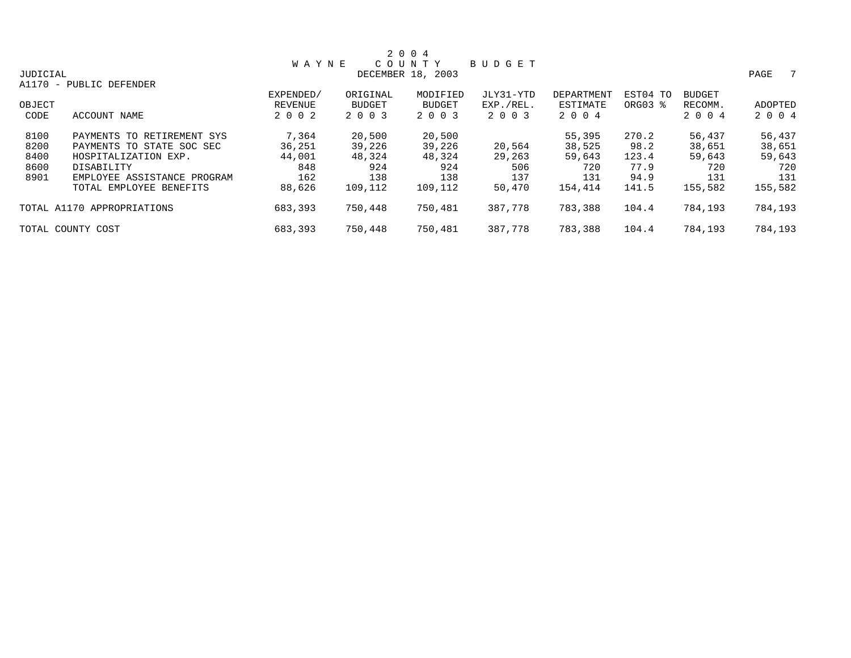|          |                             |              |               | 2 0 0 4           |           |            |          |               |           |
|----------|-----------------------------|--------------|---------------|-------------------|-----------|------------|----------|---------------|-----------|
|          |                             | <b>WAYNE</b> |               | COUNTY            | BUDGET    |            |          |               |           |
| JUDICIAL |                             |              |               | DECEMBER 18, 2003 |           |            |          |               | PAGE<br>7 |
|          | A1170 - PUBLIC DEFENDER     |              |               |                   |           |            |          |               |           |
|          |                             | EXPENDED/    | ORIGINAL      | MODIFIED          | JLY31-YTD | DEPARTMENT | EST04 TO | <b>BUDGET</b> |           |
| OBJECT   |                             | REVENUE      | <b>BUDGET</b> | <b>BUDGET</b>     | EXP./REL. | ESTIMATE   | ORG03 %  | RECOMM.       | ADOPTED   |
| CODE     | ACCOUNT NAME                | 2 0 0 2      | 2 0 0 3       | 2 0 0 3           | 2 0 0 3   | 2 0 0 4    |          | 2 0 0 4       | 2 0 0 4   |
| 8100     | PAYMENTS TO RETIREMENT SYS  | 7,364        | 20,500        | 20,500            |           | 55,395     | 270.2    | 56,437        | 56,437    |
| 8200     | PAYMENTS TO STATE SOC SEC   | 36,251       | 39,226        | 39,226            | 20,564    | 38,525     | 98.2     | 38,651        | 38,651    |
| 8400     | HOSPITALIZATION EXP.        | 44,001       | 48,324        | 48,324            | 29,263    | 59,643     | 123.4    | 59,643        | 59,643    |
| 8600     | DISABILITY                  | 848          | 924           | 924               | 506       | 720        | 77.9     | 720           | 720       |
| 8901     | EMPLOYEE ASSISTANCE PROGRAM | 162          | 138           | 138               | 137       | 131        | 94.9     | 131           | 131       |
|          | TOTAL EMPLOYEE BENEFITS     | 88,626       | 109,112       | 109,112           | 50,470    | 154,414    | 141.5    | 155,582       | 155,582   |
|          | TOTAL A1170 APPROPRIATIONS  | 683,393      | 750,448       | 750,481           | 387,778   | 783,388    | 104.4    | 784,193       | 784,193   |
|          | TOTAL COUNTY COST           | 683,393      | 750,448       | 750,481           | 387,778   | 783,388    | 104.4    | 784,193       | 784,193   |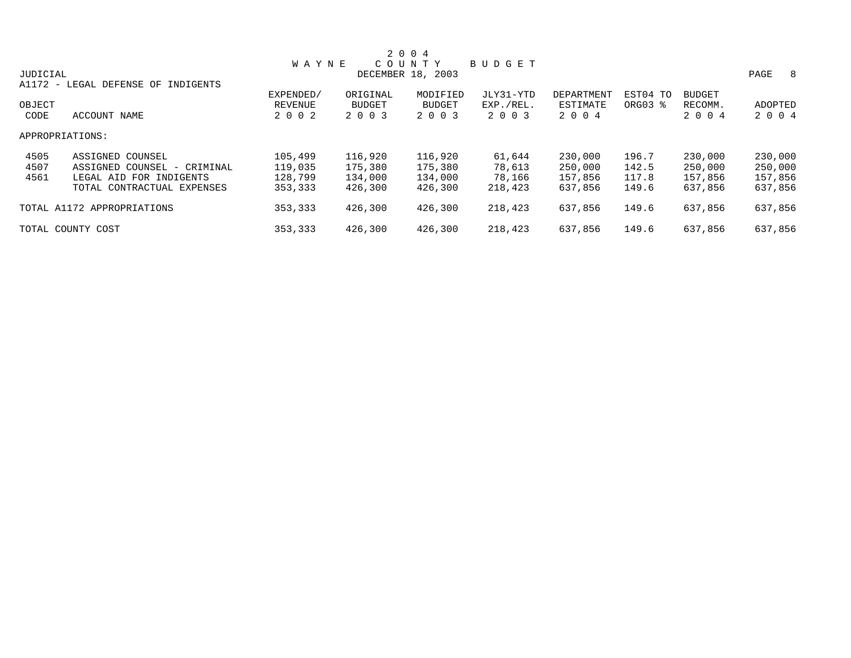| 2 0 0 4  |                               |                |               |                   |               |                   |          |               |           |  |
|----------|-------------------------------|----------------|---------------|-------------------|---------------|-------------------|----------|---------------|-----------|--|
|          |                               | <b>WAYNE</b>   |               | COUNTY            | <b>BUDGET</b> |                   |          |               |           |  |
| JUDICIAL |                               |                |               | DECEMBER 18, 2003 |               |                   |          |               | PAGE<br>8 |  |
| A1172 -  | LEGAL DEFENSE OF<br>INDIGENTS |                |               |                   |               |                   |          |               |           |  |
|          |                               | EXPENDED/      | ORIGINAL      | MODIFIED          | JLY31-YTD     | <b>DEPARTMENT</b> | EST04 TO | <b>BUDGET</b> |           |  |
| OBJECT   |                               | <b>REVENUE</b> | <b>BUDGET</b> | <b>BUDGET</b>     | EXP./REL.     | ESTIMATE          | ORG03 %  | RECOMM.       | ADOPTED   |  |
| CODE     | <b>ACCOUNT NAME</b>           | 2 0 0 2        | 2 0 0 3       | 2 0 0 3           | 2 0 0 3       | 2 0 0 4           |          | 2 0 0 4       | 2 0 0 4   |  |
|          | APPROPRIATIONS:               |                |               |                   |               |                   |          |               |           |  |
| 4505     | ASSIGNED COUNSEL              | 105,499        | 116,920       | 116,920           | 61,644        | 230,000           | 196.7    | 230,000       | 230,000   |  |
| 4507     | ASSIGNED COUNSEL - CRIMINAL   | 119,035        | 175,380       | 175,380           | 78,613        | 250,000           | 142.5    | 250,000       | 250,000   |  |
| 4561     | LEGAL AID FOR INDIGENTS       | 128,799        | 134,000       | 134,000           | 78,166        | 157,856           | 117.8    | 157,856       | 157,856   |  |
|          | TOTAL CONTRACTUAL EXPENSES    | 353,333        | 426,300       | 426,300           | 218,423       | 637,856           | 149.6    | 637,856       | 637,856   |  |
|          | TOTAL A1172 APPROPRIATIONS    | 353,333        | 426,300       | 426,300           | 218,423       | 637,856           | 149.6    | 637,856       | 637,856   |  |
|          | TOTAL COUNTY COST             | 353,333        | 426,300       | 426,300           | 218,423       | 637,856           | 149.6    | 637,856       | 637,856   |  |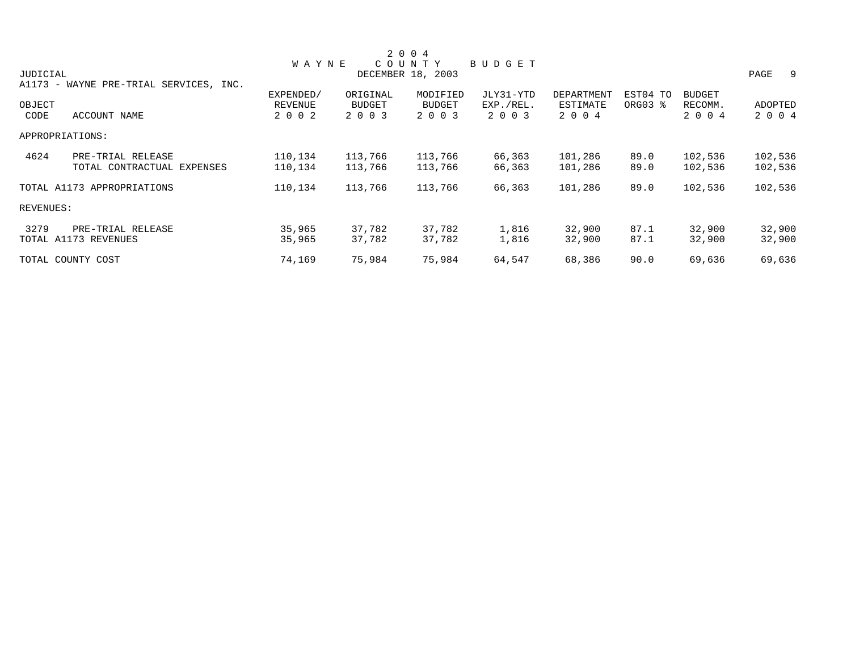|           |                                |              |          | 2 0 0 4           |           |            |          |               |            |
|-----------|--------------------------------|--------------|----------|-------------------|-----------|------------|----------|---------------|------------|
|           |                                | <b>WAYNE</b> |          | COUNTY            | BUDGET    |            |          |               |            |
| JUDICIAL  |                                |              |          | DECEMBER 18, 2003 |           |            |          |               | PAGE<br>-9 |
| A1173 -   | WAYNE PRE-TRIAL SERVICES, INC. |              |          |                   |           |            |          |               |            |
|           |                                | EXPENDED/    | ORIGINAL | MODIFIED          | JLY31-YTD | DEPARTMENT | EST04 TO | <b>BUDGET</b> |            |
| OBJECT    |                                | REVENUE      | BUDGET   | <b>BUDGET</b>     | EXP./REL. | ESTIMATE   | ORG03 %  | RECOMM.       | ADOPTED    |
| CODE      | ACCOUNT NAME                   | 2 0 0 2      | 2 0 0 3  | 2 0 0 3           | 2 0 0 3   | 2 0 0 4    |          | 2 0 0 4       | 2 0 0 4    |
|           | APPROPRIATIONS:                |              |          |                   |           |            |          |               |            |
| 4624      | PRE-TRIAL RELEASE              | 110,134      | 113,766  | 113,766           | 66,363    | 101,286    | 89.0     | 102,536       | 102,536    |
|           | TOTAL CONTRACTUAL EXPENSES     | 110,134      | 113,766  | 113,766           | 66,363    | 101,286    | 89.0     | 102,536       | 102,536    |
|           | TOTAL A1173 APPROPRIATIONS     | 110,134      | 113,766  | 113,766           | 66,363    | 101,286    | 89.0     | 102,536       | 102,536    |
| REVENUES: |                                |              |          |                   |           |            |          |               |            |
| 3279      | PRE-TRIAL RELEASE              | 35,965       | 37,782   | 37,782            | 1,816     | 32,900     | 87.1     | 32,900        | 32,900     |
|           | TOTAL A1173 REVENUES           | 35,965       | 37,782   | 37,782            | 1,816     | 32,900     | 87.1     | 32,900        | 32,900     |
|           | TOTAL COUNTY COST              | 74,169       | 75,984   | 75,984            | 64,547    | 68,386     | 90.0     | 69,636        | 69,636     |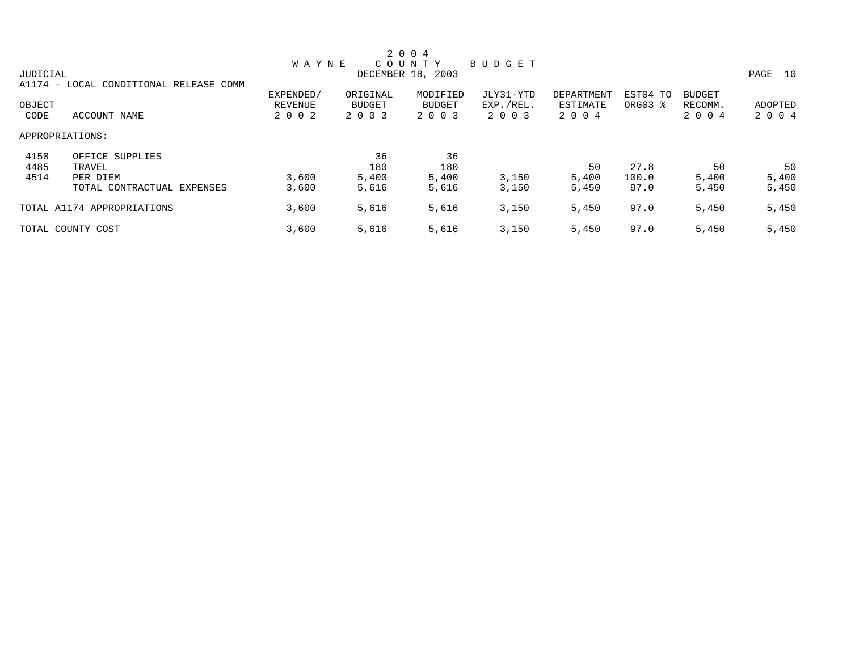|          |                                |                |               | 2 0 0 4           |           |            |          |               |            |
|----------|--------------------------------|----------------|---------------|-------------------|-----------|------------|----------|---------------|------------|
|          |                                | <b>WAYNE</b>   |               | COUNTY            | BUDGET    |            |          |               |            |
| JUDICIAL |                                |                |               | DECEMBER 18, 2003 |           |            |          |               | PAGE<br>10 |
| A1174 -  | LOCAL CONDITIONAL RELEASE COMM |                |               |                   |           |            |          |               |            |
|          |                                | EXPENDED/      | ORIGINAL      | MODIFIED          | JLY31-YTD | DEPARTMENT | EST04 TO | <b>BUDGET</b> |            |
| OBJECT   |                                | <b>REVENUE</b> | <b>BUDGET</b> | BUDGET            | EXP./REL. | ESTIMATE   | ORG03 %  | RECOMM.       | ADOPTED    |
| CODE     | ACCOUNT NAME                   | 2 0 0 2        | 2 0 0 3       | 2 0 0 3           | 2 0 0 3   | 2 0 0 4    |          | 2 0 0 4       | 2 0 0 4    |
|          | APPROPRIATIONS:                |                |               |                   |           |            |          |               |            |
| 4150     | OFFICE SUPPLIES                |                | 36            | 36                |           |            |          |               |            |
| 4485     | TRAVEL                         |                | 180           | 180               |           | 50         | 27.8     | 50            | 50         |
| 4514     | PER DIEM                       | 3,600          | 5,400         | 5,400             | 3,150     | 5,400      | 100.0    | 5,400         | 5,400      |
|          | TOTAL CONTRACTUAL EXPENSES     | 3,600          | 5,616         | 5,616             | 3,150     | 5,450      | 97.0     | 5,450         | 5,450      |
|          | TOTAL A1174 APPROPRIATIONS     | 3,600          | 5,616         | 5,616             | 3,150     | 5,450      | 97.0     | 5,450         | 5,450      |
|          | TOTAL COUNTY COST              | 3,600          | 5,616         | 5,616             | 3,150     | 5,450      | 97.0     | 5,450         | 5,450      |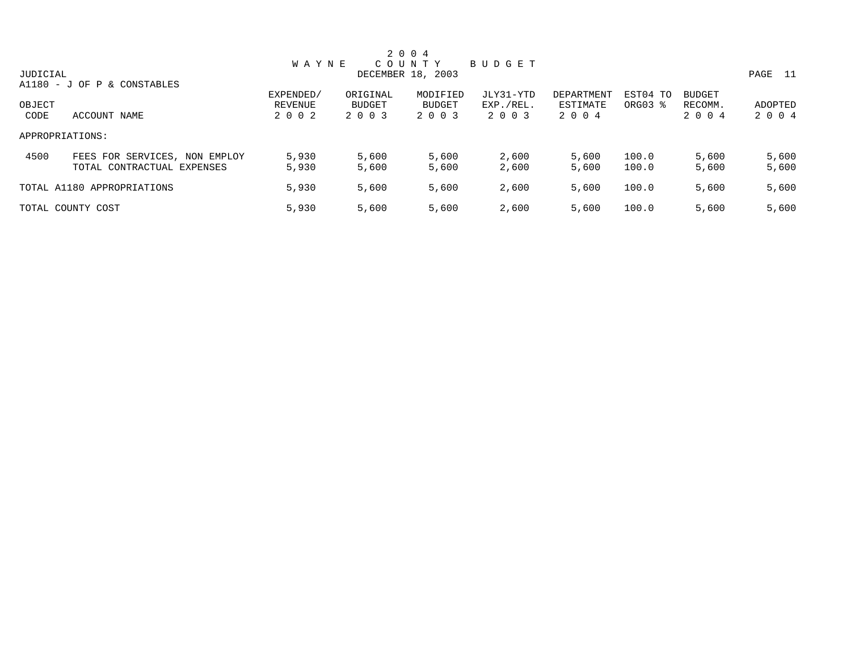|          |                               |              |          | 2 0 0 4           |           |            |          |               |         |
|----------|-------------------------------|--------------|----------|-------------------|-----------|------------|----------|---------------|---------|
|          |                               | <b>WAYNE</b> |          | C O U N T Y       | BUDGET    |            |          |               |         |
| JUDICIAL |                               |              |          | DECEMBER 18, 2003 |           |            |          |               | PAGE 11 |
|          | A1180 - J OF P & CONSTABLES   |              |          |                   |           |            |          |               |         |
|          |                               | EXPENDED/    | ORIGINAL | MODIFIED          | JLY31-YTD | DEPARTMENT | EST04 TO | <b>BUDGET</b> |         |
| OBJECT   |                               | REVENUE      | BUDGET   | BUDGET            | EXP./REL. | ESTIMATE   | ORG03 %  | RECOMM.       | ADOPTED |
| CODE     | ACCOUNT NAME                  | 2 0 0 2      | 2 0 0 3  | 2 0 0 3           | 2 0 0 3   | 2 0 0 4    |          | 2 0 0 4       | 2 0 0 4 |
|          | APPROPRIATIONS:               |              |          |                   |           |            |          |               |         |
| 4500     | FEES FOR SERVICES, NON EMPLOY | 5,930        | 5,600    | 5,600             | 2,600     | 5,600      | 100.0    | 5,600         | 5,600   |
|          | TOTAL CONTRACTUAL EXPENSES    | 5,930        | 5,600    | 5,600             | 2,600     | 5,600      | 100.0    | 5,600         | 5,600   |
|          | TOTAL A1180 APPROPRIATIONS    | 5,930        | 5,600    | 5,600             | 2,600     | 5,600      | 100.0    | 5,600         | 5,600   |
|          | TOTAL COUNTY COST             | 5,930        | 5,600    | 5,600             | 2,600     | 5,600      | 100.0    | 5,600         | 5,600   |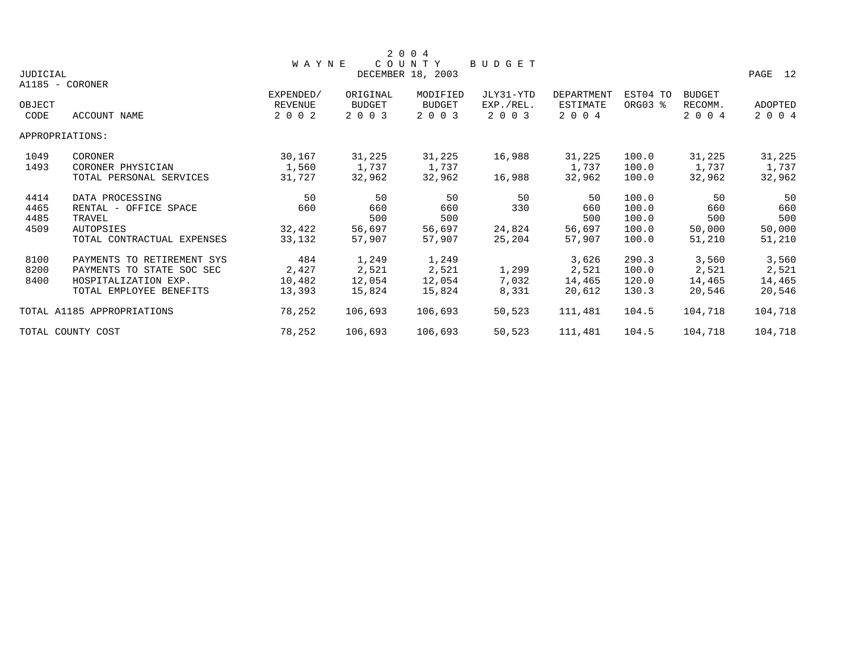|          |                            |              |               | 2 0 0 4           |           |                   |          |               |         |
|----------|----------------------------|--------------|---------------|-------------------|-----------|-------------------|----------|---------------|---------|
|          |                            | <b>WAYNE</b> |               | COUNTY            | BUDGET    |                   |          |               |         |
| JUDICIAL |                            |              |               | DECEMBER 18, 2003 |           |                   |          |               | PAGE 12 |
|          | A1185 - CORONER            |              |               |                   |           |                   |          |               |         |
|          |                            | EXPENDED/    | ORIGINAL      | MODIFIED          | JLY31-YTD | <b>DEPARTMENT</b> | EST04 TO | <b>BUDGET</b> |         |
| OBJECT   |                            | REVENUE      | <b>BUDGET</b> | BUDGET            | EXP./REL. | ESTIMATE          | ORG03 %  | RECOMM.       | ADOPTED |
| CODE     | ACCOUNT NAME               | 2 0 0 2      | 2 0 0 3       | 2 0 0 3           | 2 0 0 3   | 2 0 0 4           |          | 2 0 0 4       | 2 0 0 4 |
|          | APPROPRIATIONS:            |              |               |                   |           |                   |          |               |         |
| 1049     | CORONER                    | 30,167       | 31,225        | 31,225            | 16,988    | 31,225            | 100.0    | 31,225        | 31,225  |
| 1493     | CORONER PHYSICIAN          | 1,560        | 1,737         | 1,737             |           | 1,737             | 100.0    | 1,737         | 1,737   |
|          | TOTAL PERSONAL SERVICES    | 31,727       | 32,962        | 32,962            | 16,988    | 32,962            | 100.0    | 32,962        | 32,962  |
| 4414     | DATA PROCESSING            | 50           | 50            | 50                | 50        | 50                | 100.0    | 50            | 50      |
| 4465     | RENTAL - OFFICE SPACE      | 660          | 660           | 660               | 330       | 660               | 100.0    | 660           | 660     |
| 4485     | TRAVEL                     |              | 500           | 500               |           | 500               | 100.0    | 500           | 500     |
| 4509     | <b>AUTOPSIES</b>           | 32,422       | 56,697        | 56,697            | 24,824    | 56,697            | 100.0    | 50,000        | 50,000  |
|          | TOTAL CONTRACTUAL EXPENSES | 33,132       | 57,907        | 57,907            | 25,204    | 57,907            | 100.0    | 51,210        | 51,210  |
| 8100     | PAYMENTS TO RETIREMENT SYS | 484          | 1,249         | 1,249             |           | 3,626             | 290.3    | 3,560         | 3,560   |
| 8200     | PAYMENTS TO STATE SOC SEC  | 2,427        | 2,521         | 2,521             | 1,299     | 2,521             | 100.0    | 2,521         | 2,521   |
| 8400     | HOSPITALIZATION EXP.       | 10,482       | 12,054        | 12,054            | 7,032     | 14,465            | 120.0    | 14,465        | 14,465  |
|          | TOTAL EMPLOYEE BENEFITS    | 13,393       | 15,824        | 15,824            | 8,331     | 20,612            | 130.3    | 20,546        | 20,546  |
|          | TOTAL A1185 APPROPRIATIONS | 78,252       | 106,693       | 106,693           | 50,523    | 111,481           | 104.5    | 104,718       | 104,718 |
|          | TOTAL COUNTY COST          | 78,252       | 106,693       | 106,693           | 50,523    | 111,481           | 104.5    | 104,718       | 104,718 |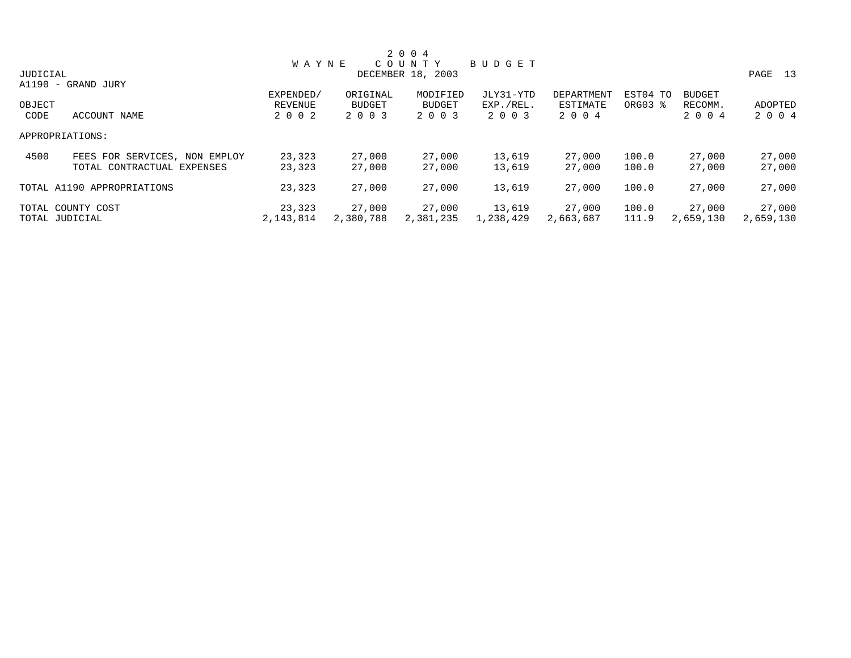|          |                               |              |           | 2 0 0 4           |           |            |          |               |            |
|----------|-------------------------------|--------------|-----------|-------------------|-----------|------------|----------|---------------|------------|
|          |                               | <b>WAYNE</b> |           | COUNTY            | BUDGET    |            |          |               |            |
| JUDICIAL |                               |              |           | DECEMBER 18, 2003 |           |            |          |               | 13<br>PAGE |
|          | A1190 - GRAND JURY            |              |           |                   |           |            |          |               |            |
|          |                               | EXPENDED/    | ORIGINAL  | MODIFIED          | JLY31-YTD | DEPARTMENT | EST04 TO | <b>BUDGET</b> |            |
| OBJECT   |                               | REVENUE      | BUDGET    | BUDGET            | EXP./REL. | ESTIMATE   | ORG03 %  | RECOMM.       | ADOPTED    |
| CODE     | ACCOUNT NAME                  | 2 0 0 2      | 2 0 0 3   | 2 0 0 3           | 2 0 0 3   | 2 0 0 4    |          | 2 0 0 4       | 2 0 0 4    |
|          | APPROPRIATIONS:               |              |           |                   |           |            |          |               |            |
| 4500     | FEES FOR SERVICES, NON EMPLOY | 23,323       | 27,000    | 27,000            | 13,619    | 27,000     | 100.0    | 27,000        | 27,000     |
|          | TOTAL CONTRACTUAL EXPENSES    | 23,323       | 27,000    | 27,000            | 13,619    | 27,000     | 100.0    | 27,000        | 27,000     |
|          | TOTAL A1190 APPROPRIATIONS    | 23,323       | 27,000    | 27,000            | 13,619    | 27,000     | 100.0    | 27,000        | 27,000     |
|          | TOTAL COUNTY COST             | 23,323       | 27,000    | 27,000            | 13,619    | 27,000     | 100.0    | 27,000        | 27,000     |
|          | TOTAL JUDICIAL                | 2,143,814    | 2,380,788 | 2,381,235         | 1,238,429 | 2,663,687  | 111.9    | 2,659,130     | 2,659,130  |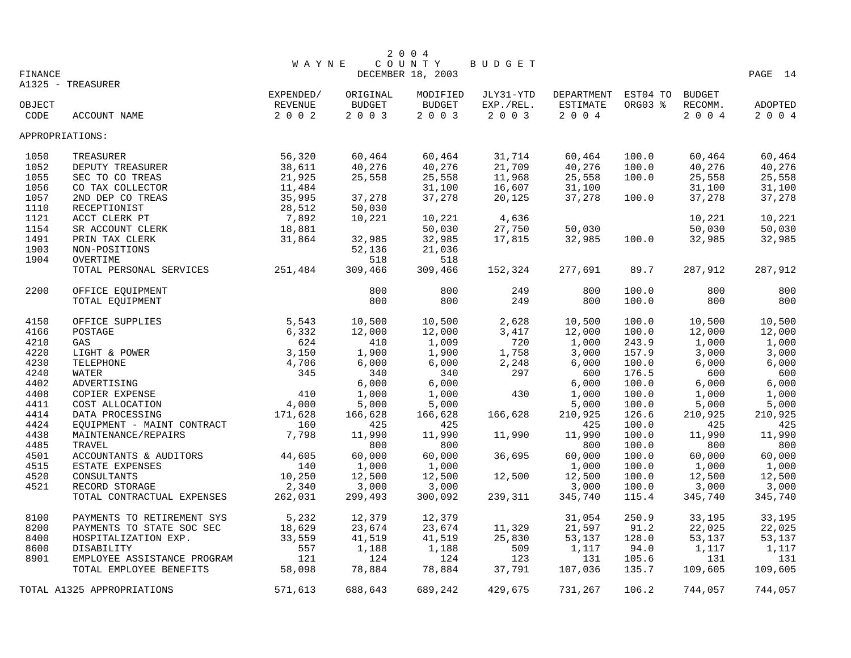|         |                             |              |          | 2 0 0 4           |           |            |          |               |         |
|---------|-----------------------------|--------------|----------|-------------------|-----------|------------|----------|---------------|---------|
|         |                             | <b>WAYNE</b> |          | COUNTY            | BUDGET    |            |          |               |         |
| FINANCE |                             |              |          | DECEMBER 18, 2003 |           |            |          |               | PAGE 14 |
|         | A1325 - TREASURER           |              |          |                   |           |            |          |               |         |
|         |                             | EXPENDED/    | ORIGINAL | MODIFIED          | JLY31-YTD | DEPARTMENT | EST04 TO | <b>BUDGET</b> |         |
| OBJECT  |                             | REVENUE      | BUDGET   | <b>BUDGET</b>     | EXP./REL. | ESTIMATE   | ORG03 %  | RECOMM.       | ADOPTED |
| CODE    | ACCOUNT NAME                | 2 0 0 2      | 2 0 0 3  | 2 0 0 3           | 2 0 0 3   | 2 0 0 4    |          | 2004          | 2004    |
|         | APPROPRIATIONS:             |              |          |                   |           |            |          |               |         |
| 1050    | TREASURER                   | 56,320       | 60,464   | 60,464            | 31,714    | 60,464     | 100.0    | 60,464        | 60,464  |
| 1052    | DEPUTY TREASURER            | 38,611       | 40,276   | 40,276            | 21,709    | 40,276     | 100.0    | 40,276        | 40,276  |
| 1055    | SEC TO CO TREAS             | 21,925       | 25,558   | 25,558            | 11,968    | 25,558     | 100.0    | 25,558        | 25,558  |
| 1056    | CO TAX COLLECTOR            | 11,484       |          | 31,100            | 16,607    | 31,100     |          | 31,100        | 31,100  |
| 1057    | 2ND DEP CO TREAS            | 35,995       | 37,278   | 37,278            | 20,125    | 37,278     | 100.0    | 37,278        | 37,278  |
| 1110    | RECEPTIONIST                | 28,512       | 50,030   |                   |           |            |          |               |         |
| 1121    | ACCT CLERK PT               | 7,892        | 10,221   | 10,221            | 4,636     |            |          | 10,221        | 10,221  |
| 1154    | SR ACCOUNT CLERK            | 18,881       |          | 50,030            | 27,750    | 50,030     |          | 50,030        | 50,030  |
| 1491    | PRIN TAX CLERK              | 31,864       | 32,985   | 32,985            | 17,815    | 32,985     | 100.0    | 32,985        | 32,985  |
| 1903    | NON-POSITIONS               |              | 52,136   | 21,036            |           |            |          |               |         |
| 1904    | OVERTIME                    |              | 518      | 518               |           |            |          |               |         |
|         | TOTAL PERSONAL SERVICES     | 251,484      | 309,466  | 309,466           | 152,324   | 277,691    | 89.7     | 287,912       | 287,912 |
| 2200    | OFFICE EQUIPMENT            |              | 800      | 800               | 249       | 800        | 100.0    | 800           | 800     |
|         | TOTAL EQUIPMENT             |              | 800      | 800               | 249       | 800        | 100.0    | 800           | 800     |
|         |                             |              |          |                   |           |            |          |               |         |
| 4150    | OFFICE SUPPLIES             | 5,543        | 10,500   | 10,500            | 2,628     | 10,500     | 100.0    | 10,500        | 10,500  |
| 4166    | POSTAGE                     | 6,332        | 12,000   | 12,000            | 3,417     | 12,000     | 100.0    | 12,000        | 12,000  |
| 4210    | GAS                         | 624          | 410      | 1,009             | 720       | 1,000      | 243.9    | 1,000         | 1,000   |
| 4220    | LIGHT & POWER               | 3,150        | 1,900    | 1,900             | 1,758     | 3,000      | 157.9    | 3,000         | 3,000   |
| 4230    | TELEPHONE                   | 4,706        | 6,000    | 6,000             | 2,248     | 6,000      | 100.0    | 6,000         | 6,000   |
| 4240    | WATER                       | 345          | 340      | 340               | 297       | 600        | 176.5    | 600           | 600     |
| 4402    | ADVERTISING                 |              | 6,000    | 6,000             |           | 6,000      | 100.0    | 6,000         | 6,000   |
| 4408    | COPIER EXPENSE              | 410          | 1,000    | 1,000             | 430       | 1,000      | 100.0    | 1,000         | 1,000   |
| 4411    | COST ALLOCATION             | 4,000        | 5,000    | 5,000             |           | 5,000      | 100.0    | 5,000         | 5,000   |
| 4414    | DATA PROCESSING             | 171,628      | 166,628  | 166,628           | 166,628   | 210,925    | 126.6    | 210,925       | 210,925 |
| 4424    | EQUIPMENT - MAINT CONTRACT  | 160          | 425      | 425               |           | 425        | 100.0    | 425           | 425     |
| 4438    | MAINTENANCE/REPAIRS         | 7,798        | 11,990   | 11,990            | 11,990    | 11,990     | 100.0    | 11,990        | 11,990  |
| 4485    | TRAVEL                      |              | 800      | 800               |           | 800        | 100.0    | 800           | 800     |
| 4501    | ACCOUNTANTS & AUDITORS      | 44,605       | 60,000   | 60,000            | 36,695    | 60,000     | 100.0    | 60,000        | 60,000  |
| 4515    | ESTATE EXPENSES             | 140          | 1,000    | 1,000             |           | 1,000      | 100.0    | 1,000         | 1,000   |
| 4520    | CONSULTANTS                 | 10,250       | 12,500   | 12,500            | 12,500    | 12,500     | 100.0    | 12,500        | 12,500  |
| 4521    | RECORD STORAGE              | 2,340        | 3,000    | 3,000             |           | 3,000      | 100.0    | 3,000         | 3,000   |
|         | TOTAL CONTRACTUAL EXPENSES  | 262,031      | 299,493  | 300,092           | 239,311   | 345,740    | 115.4    | 345,740       | 345,740 |
| 8100    | PAYMENTS TO RETIREMENT SYS  | 5,232        | 12,379   | 12,379            |           | 31,054     | 250.9    | 33,195        | 33,195  |
| 8200    | PAYMENTS TO STATE SOC SEC   | 18,629       | 23,674   | 23,674            | 11,329    | 21,597     | 91.2     | 22,025        | 22,025  |
| 8400    | HOSPITALIZATION EXP.        | 33,559       | 41,519   | 41,519            | 25,830    | 53,137     | 128.0    | 53,137        | 53,137  |
| 8600    | DISABILITY                  | 557          | 1,188    | 1,188             | 509       | 1,117      | 94.0     | 1,117         | 1,117   |
| 8901    | EMPLOYEE ASSISTANCE PROGRAM | 121          | 124      | 124               | 123       | 131        | 105.6    | 131           | 131     |
|         | TOTAL EMPLOYEE BENEFITS     | 58,098       | 78,884   | 78,884            | 37,791    | 107,036    | 135.7    | 109,605       | 109,605 |
|         |                             |              |          |                   |           |            |          |               |         |
|         | TOTAL A1325 APPROPRIATIONS  | 571,613      | 688,643  | 689,242           | 429,675   | 731,267    | 106.2    | 744,057       | 744,057 |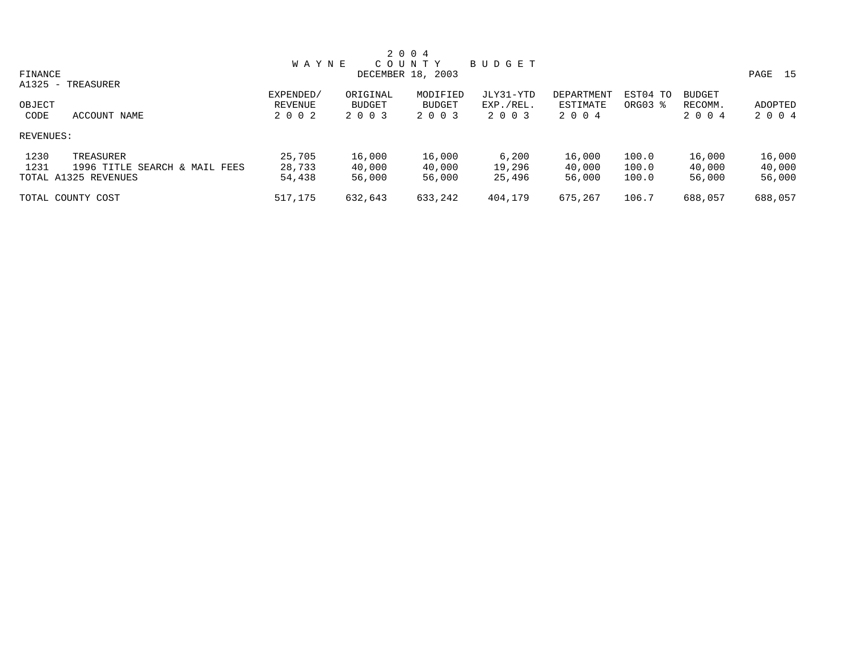|                                       |              |          | 2 0 0 4           |           |            |          |               |         |
|---------------------------------------|--------------|----------|-------------------|-----------|------------|----------|---------------|---------|
|                                       | <b>WAYNE</b> |          | COUNTY            | BUDGET    |            |          |               |         |
| FINANCE                               |              |          | DECEMBER 18, 2003 |           |            |          |               | PAGE 15 |
| A1325 - TREASURER                     |              |          |                   |           |            |          |               |         |
|                                       | EXPENDED/    | ORIGINAL | MODIFIED          | JLY31-YTD | DEPARTMENT | EST04 TO | <b>BUDGET</b> |         |
| OBJECT                                | REVENUE      | BUDGET   | BUDGET            | EXP./REL. | ESTIMATE   | ORG03 %  | RECOMM.       | ADOPTED |
| CODE<br>ACCOUNT NAME                  | 2 0 0 2      | 2 0 0 3  | 2 0 0 3           | 2 0 0 3   | 2004       |          | 2 0 0 4       | 2 0 0 4 |
| REVENUES:                             |              |          |                   |           |            |          |               |         |
| 1230<br>TREASURER                     | 25,705       | 16,000   | 16,000            | 6,200     | 16,000     | 100.0    | 16,000        | 16,000  |
| 1231<br>1996 TITLE SEARCH & MAIL FEES | 28,733       | 40,000   | 40,000            | 19,296    | 40,000     | 100.0    | 40,000        | 40,000  |
| TOTAL A1325 REVENUES                  | 54,438       | 56,000   | 56,000            | 25,496    | 56,000     | 100.0    | 56,000        | 56,000  |
| TOTAL COUNTY COST                     | 517,175      | 632,643  | 633,242           | 404,179   | 675,267    | 106.7    | 688,057       | 688,057 |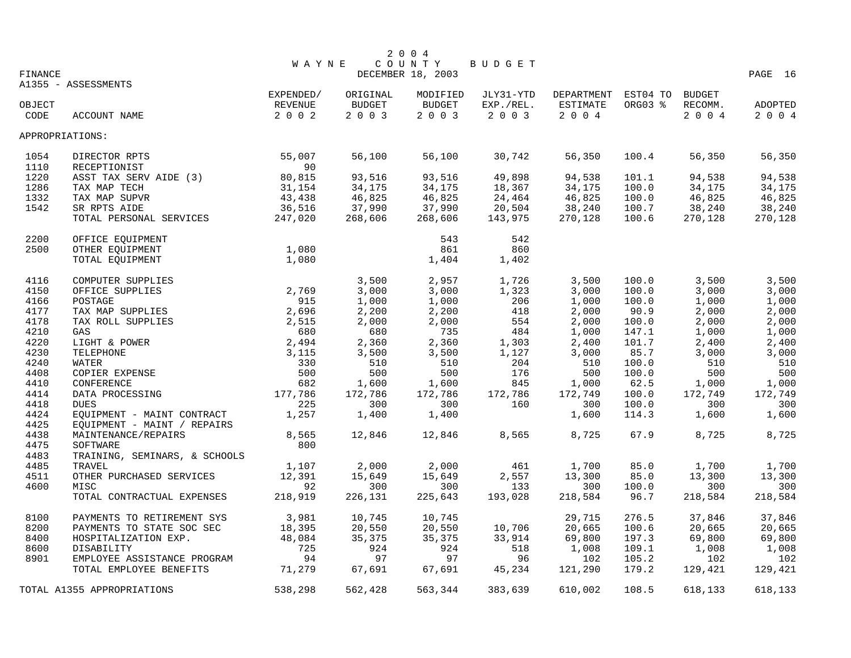|                 |                               |              |          | 2 0 0 4           |               |                     |         |               |         |
|-----------------|-------------------------------|--------------|----------|-------------------|---------------|---------------------|---------|---------------|---------|
|                 |                               | <b>WAYNE</b> |          | COUNTY            | <b>BUDGET</b> |                     |         |               |         |
| <b>FINANCE</b>  |                               |              |          | DECEMBER 18, 2003 |               |                     |         |               | PAGE 16 |
|                 | A1355 - ASSESSMENTS           |              |          |                   |               |                     |         |               |         |
|                 |                               | EXPENDED/    | ORIGINAL | MODIFIED          | JLY31-YTD     | DEPARTMENT EST04 TO |         | <b>BUDGET</b> |         |
| OBJECT          |                               | REVENUE      | BUDGET   | BUDGET            | EXP./REL.     | ESTIMATE            | ORG03 % | RECOMM.       | ADOPTED |
| CODE            | ACCOUNT NAME                  | $2 0 0 2$    | 2 0 0 3  | 2 0 0 3           | 2 0 0 3       | 2 0 0 4             |         | 2 0 0 4       | 2 0 0 4 |
| APPROPRIATIONS: |                               |              |          |                   |               |                     |         |               |         |
| 1054            | DIRECTOR RPTS                 | 55,007       | 56,100   | 56,100            | 30,742        | 56,350              | 100.4   | 56,350        | 56,350  |
| 1110            | RECEPTIONIST                  | 90           |          |                   |               |                     |         |               |         |
| 1220            | ASST TAX SERV AIDE (3)        | 80,815       | 93,516   | 93,516            | 49,898        | 94,538              | 101.1   | 94,538        | 94,538  |
| 1286            | TAX MAP TECH                  | 31,154       | 34,175   | 34,175            | 18,367        | 34,175              | 100.0   | 34,175        | 34,175  |
| 1332            | TAX MAP SUPVR                 | 43,438       | 46,825   | 46,825            | 24,464        | 46,825              | 100.0   | 46,825        | 46,825  |
| 1542            | SR RPTS AIDE                  | 36,516       | 37,990   | 37,990            | 20,504        | 38,240              | 100.7   | 38,240        | 38,240  |
|                 | TOTAL PERSONAL SERVICES       | 247,020      | 268,606  | 268,606           | 143,975       | 270,128             | 100.6   | 270,128       | 270,128 |
| 2200            | OFFICE EQUIPMENT              |              |          | 543               | 542           |                     |         |               |         |
| 2500            | OTHER EQUIPMENT               | 1,080        |          | 861               | 860           |                     |         |               |         |
|                 | TOTAL EQUIPMENT               | 1,080        |          | 1,404             | 1,402         |                     |         |               |         |
|                 |                               |              |          |                   |               |                     |         |               |         |
| 4116            | COMPUTER SUPPLIES             |              | 3,500    | 2,957             | 1,726         | 3,500               | 100.0   | 3,500         | 3,500   |
| 4150            | OFFICE SUPPLIES               | 2,769        | 3,000    | 3,000             | 1,323         | 3,000               | 100.0   | 3,000         | 3,000   |
| 4166            | POSTAGE                       | 915          | 1,000    | 1,000             | 206           | 1,000               | 100.0   | 1,000         | 1,000   |
| 4177            | TAX MAP SUPPLIES              | 2,696        | 2,200    | 2,200             | 418           | 2,000               | 90.9    | 2,000         | 2,000   |
| 4178            | TAX ROLL SUPPLIES             | 2,515        | 2,000    | 2,000             | 554           | 2,000               | 100.0   | 2,000         | 2,000   |
| 4210            | GAS                           | 680          | 680      | 735               | 484           | 1,000               | 147.1   | 1,000         | 1,000   |
| 4220            | LIGHT & POWER                 | 2,494        | 2,360    | 2,360             | 1,303         | 2,400               | 101.7   | 2,400         | 2,400   |
| 4230            | TELEPHONE                     | 3,115        | 3,500    | 3,500             | 1,127         | 3,000               | 85.7    | 3,000         | 3,000   |
| 4240            | WATER                         | 330          | 510      | 510               | 204           | 510                 | 100.0   | 510           | 510     |
| 4408            | COPIER EXPENSE                | 500          | 500      | 500               | 176           | 500                 | 100.0   | 500           | 500     |
| 4410            | CONFERENCE                    | 682          | 1,600    | 1,600             | 845           | 1,000               | 62.5    | 1,000         | 1,000   |
| 4414            | DATA PROCESSING               | 177,786      | 172,786  | 172,786           | 172,786       | 172,749             | 100.0   | 172,749       | 172,749 |
| 4418            | <b>DUES</b>                   | 225          | 300      | 300               | 160           | 300                 | 100.0   | 300           | 300     |
| 4424            | EQUIPMENT - MAINT CONTRACT    | 1,257        | 1,400    | 1,400             |               | 1,600               | 114.3   | 1,600         | 1,600   |
| 4425            | EQUIPMENT - MAINT / REPAIRS   |              |          |                   |               |                     |         |               |         |
| 4438            | MAINTENANCE/REPAIRS           | 8,565        | 12,846   | 12,846            | 8,565         | 8,725               | 67.9    | 8,725         | 8,725   |
| 4475            | SOFTWARE                      | 800          |          |                   |               |                     |         |               |         |
| 4483            | TRAINING, SEMINARS, & SCHOOLS |              |          |                   |               |                     |         |               |         |
| 4485            | TRAVEL                        | 1,107        | 2,000    | 2,000             | 461           | 1,700               | 85.0    | 1,700         | 1,700   |
| 4511            | OTHER PURCHASED SERVICES      | 12,391       | 15,649   | 15,649            | 2,557         | 13,300              | 85.0    | 13,300        | 13,300  |
| 4600            | MISC                          | 92           | 300      | 300               | 133           | 300                 | 100.0   | 300           | 300     |
|                 | TOTAL CONTRACTUAL EXPENSES    | 218,919      | 226,131  | 225,643           | 193,028       | 218,584             | 96.7    | 218,584       | 218,584 |
| 8100            | PAYMENTS TO RETIREMENT SYS    | 3,981        | 10,745   | 10,745            |               | 29,715              | 276.5   | 37,846        | 37,846  |
| 8200            | PAYMENTS TO STATE SOC SEC     | 18,395       | 20,550   | 20,550            | 10,706        | 20,665              | 100.6   | 20,665        | 20,665  |
| 8400            | HOSPITALIZATION EXP.          | 48,084       | 35,375   | 35,375            | 33,914        | 69,800              | 197.3   | 69,800        | 69,800  |
| 8600            | DISABILITY                    | 725          | 924      | 924               | 518           | 1,008               | 109.1   | 1,008         | 1,008   |
| 8901            | EMPLOYEE ASSISTANCE PROGRAM   | 94           | 97       | 97                | 96            | 102                 | 105.2   | 102           | 102     |
|                 | TOTAL EMPLOYEE BENEFITS       | 71,279       | 67,691   | 67,691            | 45,234        | 121,290             | 179.2   | 129,421       | 129,421 |
|                 | TOTAL A1355 APPROPRIATIONS    | 538,298      | 562,428  | 563,344           | 383,639       | 610,002             | 108.5   | 618,133       | 618,133 |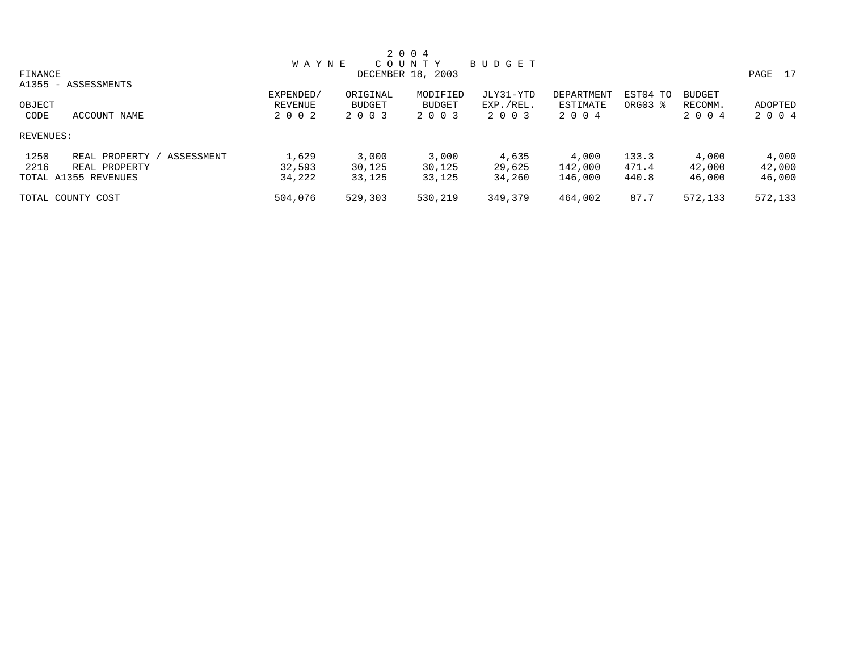|                                     |              |          | 2 0 0 4           |               |            |          |               |            |
|-------------------------------------|--------------|----------|-------------------|---------------|------------|----------|---------------|------------|
|                                     | <b>WAYNE</b> |          | COUNTY            | <b>BUDGET</b> |            |          |               |            |
| FINANCE                             |              |          | DECEMBER 18, 2003 |               |            |          |               | 17<br>PAGE |
| A1355 - ASSESSMENTS                 |              |          |                   |               |            |          |               |            |
|                                     | EXPENDED/    | ORIGINAL | MODIFIED          | JLY31-YTD     | DEPARTMENT | EST04 TO | <b>BUDGET</b> |            |
| OBJECT                              | REVENUE      | BUDGET   | <b>BUDGET</b>     | EXP./REL.     | ESTIMATE   | ORG03 %  | RECOMM.       | ADOPTED    |
| CODE<br>ACCOUNT NAME                | 2002         | 2 0 0 3  | 2 0 0 3           | 2 0 0 3       | 2004       |          | 2004          | 2004       |
| REVENUES:                           |              |          |                   |               |            |          |               |            |
| 1250<br>ASSESSMENT<br>REAL PROPERTY | 1,629        | 3,000    | 3,000             | 4,635         | 4,000      | 133.3    | 4,000         | 4,000      |
| 2216<br>REAL PROPERTY               | 32,593       | 30,125   | 30,125            | 29,625        | 142,000    | 471.4    | 42,000        | 42,000     |
| TOTAL A1355 REVENUES                | 34,222       | 33,125   | 33,125            | 34,260        | 146,000    | 440.8    | 46,000        | 46,000     |
| TOTAL COUNTY COST                   | 504,076      | 529,303  | 530,219           | 349,379       | 464,002    | 87.7     | 572,133       | 572,133    |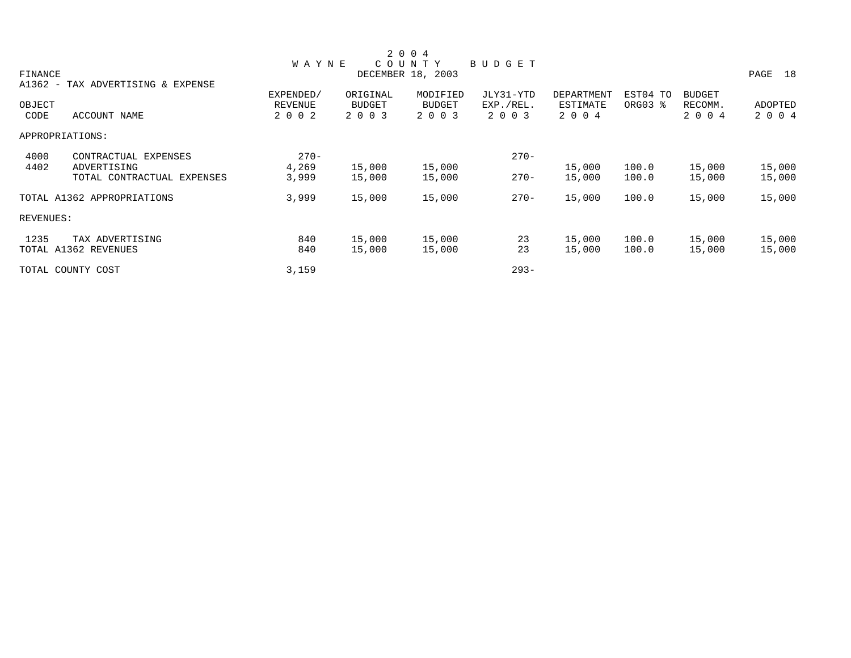|           |                                   |                |          | 2 0 0 4           |           |            |          |               |            |
|-----------|-----------------------------------|----------------|----------|-------------------|-----------|------------|----------|---------------|------------|
|           |                                   | <b>WAYNE</b>   |          | COUNTY            | BUDGET    |            |          |               |            |
| FINANCE   |                                   |                |          | DECEMBER 18, 2003 |           |            |          |               | PAGE<br>18 |
|           | A1362 - TAX ADVERTISING & EXPENSE |                |          |                   |           |            |          |               |            |
|           |                                   | EXPENDED/      | ORIGINAL | MODIFIED          | JLY31-YTD | DEPARTMENT | EST04 TO | <b>BUDGET</b> |            |
| OBJECT    |                                   | <b>REVENUE</b> | BUDGET   | <b>BUDGET</b>     | EXP./REL. | ESTIMATE   | ORG03 %  | RECOMM.       | ADOPTED    |
| CODE      | ACCOUNT NAME                      | 2 0 0 2        | 2 0 0 3  | 2 0 0 3           | 2 0 0 3   | 2 0 0 4    |          | 2 0 0 4       | 2 0 0 4    |
|           | APPROPRIATIONS:                   |                |          |                   |           |            |          |               |            |
| 4000      | CONTRACTUAL EXPENSES              | $270 -$        |          |                   | $270 -$   |            |          |               |            |
| 4402      | ADVERTISING                       | 4,269          | 15,000   | 15,000            |           | 15,000     | 100.0    | 15,000        | 15,000     |
|           | TOTAL CONTRACTUAL EXPENSES        | 3,999          | 15,000   | 15,000            | $270 -$   | 15,000     | 100.0    | 15,000        | 15,000     |
|           | TOTAL A1362 APPROPRIATIONS        | 3,999          | 15,000   | 15,000            | $270 -$   | 15,000     | 100.0    | 15,000        | 15,000     |
| REVENUES: |                                   |                |          |                   |           |            |          |               |            |
| 1235      | TAX ADVERTISING                   | 840            | 15,000   | 15,000            | 23        | 15,000     | 100.0    | 15,000        | 15,000     |
|           | TOTAL A1362 REVENUES              | 840            | 15,000   | 15,000            | 23        | 15,000     | 100.0    | 15,000        | 15,000     |
|           | TOTAL COUNTY COST                 | 3,159          |          |                   | $293 -$   |            |          |               |            |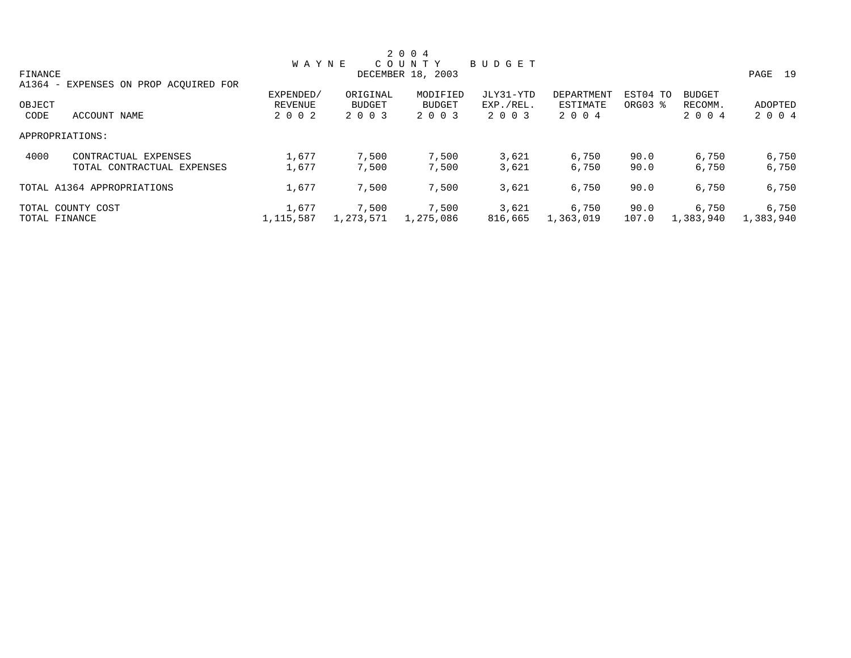|         |                                       |              |           | 2 0 0 4           |               |            |          |               |           |
|---------|---------------------------------------|--------------|-----------|-------------------|---------------|------------|----------|---------------|-----------|
|         |                                       | <b>WAYNE</b> |           | COUNTY            | <b>BUDGET</b> |            |          |               |           |
| FINANCE |                                       |              |           | DECEMBER 18, 2003 |               |            |          |               | PAGE 19   |
|         | A1364 - EXPENSES ON PROP ACQUIRED FOR |              |           |                   |               |            |          |               |           |
|         |                                       | EXPENDED/    | ORIGINAL  | MODIFIED          | JLY31-YTD     | DEPARTMENT | EST04 TO | <b>BUDGET</b> |           |
| OBJECT  |                                       | REVENUE      | BUDGET    | <b>BUDGET</b>     | EXP./REL.     | ESTIMATE   | ORG03 %  | RECOMM.       | ADOPTED   |
| CODE    | ACCOUNT NAME                          | 2 0 0 2      | 2 0 0 3   | 2 0 0 3           | 2 0 0 3       | 2 0 0 4    |          | 2 0 0 4       | 2 0 0 4   |
|         | APPROPRIATIONS:                       |              |           |                   |               |            |          |               |           |
| 4000    | CONTRACTUAL EXPENSES                  | 1,677        | 7,500     | 7,500             | 3,621         | 6,750      | 90.0     | 6,750         | 6,750     |
|         | TOTAL CONTRACTUAL EXPENSES            | 1,677        | 7,500     | 7,500             | 3,621         | 6,750      | 90.0     | 6,750         | 6,750     |
|         | TOTAL A1364 APPROPRIATIONS            | 1,677        | 7,500     | 7,500             | 3,621         | 6,750      | 90.0     | 6,750         | 6,750     |
|         | TOTAL COUNTY COST                     | 1,677        | 7,500     | 7,500             | 3,621         | 6,750      | 90.0     | 6,750         | 6,750     |
|         | TOTAL FINANCE                         | 1,115,587    | 1,273,571 | 1,275,086         | 816,665       | 1,363,019  | 107.0    | 1,383,940     | 1,383,940 |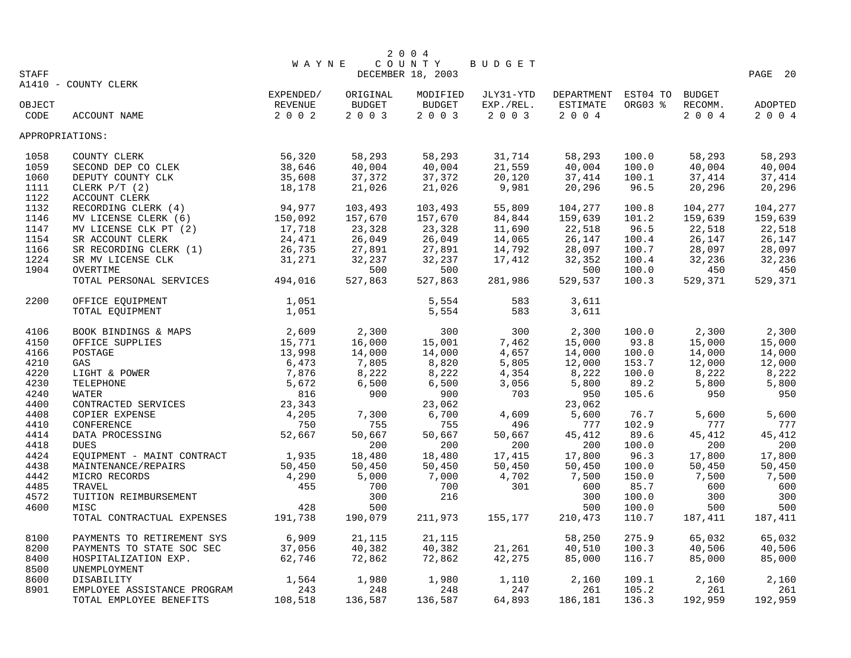|                 |                               |              |               | 2 0 0 4           |                      |            |                |               |            |
|-----------------|-------------------------------|--------------|---------------|-------------------|----------------------|------------|----------------|---------------|------------|
|                 |                               | <b>WAYNE</b> |               | COUNTY            | <b>BUDGET</b>        |            |                |               |            |
| <b>STAFF</b>    |                               |              |               | DECEMBER 18, 2003 |                      |            |                |               | PAGE 20    |
|                 | A1410 - COUNTY CLERK          |              |               |                   |                      |            |                |               |            |
|                 |                               | EXPENDED/    | ORIGINAL      | MODIFIED          | JLY31-YTD            | DEPARTMENT | EST04 TO       | <b>BUDGET</b> |            |
| OBJECT          |                               | REVENUE      | <b>BUDGET</b> | BUDGET            | EXP./REL.<br>2 0 0 3 | ESTIMATE   | ORG03 %        | RECOMM.       | ADOPTED    |
| CODE            | ACCOUNT NAME                  | $2 0 0 2$    | 2 0 0 3       | 2 0 0 3           |                      | 2 0 0 4    |                | 2 0 0 4       | 2 0 0 4    |
| APPROPRIATIONS: |                               |              |               |                   |                      |            |                |               |            |
| 1058            | COUNTY CLERK                  | 56,320       | 58,293        | 58,293            | 31,714               | 58,293     | 100.0          | 58,293        | 58,293     |
| 1059            | SECOND DEP CO CLEK            | 38,646       | 40,004        | 40,004            | 21,559               | 40,004     | 100.0          | 40,004        | 40,004     |
| 1060            | DEPUTY COUNTY CLK             | 35,608       | 37,372        | 37,372            | 20,120               | 37,414     | 100.1          | 37,414        | 37,414     |
| 1111            | CLERK $P/T$ (2)               | 18,178       | 21,026        | 21,026            | 9,981                | 20,296     | 96.5           | 20,296        | 20,296     |
| 1122            | ACCOUNT CLERK                 |              |               |                   |                      |            |                |               |            |
| 1132            | RECORDING CLERK (4)           | 94,977       | 103,493       | 103,493           | 55,809               | 104,277    | 100.8          | 104,277       | 104,277    |
| 1146            | MV LICENSE CLERK (6)          | 150,092      | 157,670       | 157,670           | 84,844               | 159,639    | 101.2          | 159,639       | 159,639    |
| 1147            | MV LICENSE CLK PT (2)         | 17,718       | 23,328        | 23,328            | 11,690               | 22,518     | 96.5           | 22,518        | 22,518     |
| 1154            | SR ACCOUNT CLERK              | 24,471       | 26,049        | 26,049            | 14,065               | 26,147     | 100.4          | 26,147        | 26,147     |
| 1166            | SR RECORDING CLERK (1)        | 26,735       | 27,891        | 27,891            | 14,792               | 28,097     | 100.7          | 28,097        | 28,097     |
| 1224            | SR MV LICENSE CLK             | 31,271       | 32,237        | 32,237            | 17,412               | 32,352     | 100.4          | 32,236        | 32,236     |
| 1904            | OVERTIME                      |              | 500           | 500               |                      | 500        | 100.0          | 450           | 450        |
|                 | TOTAL PERSONAL SERVICES       | 494,016      | 527,863       | 527,863           | 281,986              | 529,537    | 100.3          | 529,371       | 529,371    |
| 2200            | OFFICE EQUIPMENT              | 1,051        |               | 5,554             | 583                  | 3,611      |                |               |            |
|                 | TOTAL EQUIPMENT               | 1,051        |               | 5,554             | 583                  | 3,611      |                |               |            |
|                 |                               |              |               |                   |                      |            |                |               |            |
| 4106            | BOOK BINDINGS & MAPS          | 2,609        | 2,300         | 300               | 300                  | 2,300      | 100.0          | 2,300         | 2,300      |
| 4150            | OFFICE SUPPLIES               | 15,771       | 16,000        | 15,001            | 7,462                | 15,000     | 93.8           | 15,000        | 15,000     |
| 4166            | POSTAGE                       | 13,998       | 14,000        | 14,000            | 4,657                | 14,000     | 100.0          | 14,000        | 14,000     |
| 4210            | GAS                           | 6,473        | 7,805         | 8,820             | 5,805                | 12,000     | 153.7          | 12,000        | 12,000     |
| 4220            | LIGHT & POWER                 | 7,876        | 8,222         | 8,222             | 4,354                | 8,222      | 100.0          | 8,222         | 8,222      |
| 4230            | TELEPHONE                     | 5,672        | 6,500         | 6,500             | 3,056                | 5,800      | 89.2           | 5,800         | 5,800      |
| 4240            | <b>WATER</b>                  | 816          | 900           | 900               | 703                  | 950        | 105.6          | 950           | 950        |
| 4400            | CONTRACTED SERVICES           | 23,343       |               | 23,062            |                      | 23,062     |                |               |            |
| 4408            | COPIER EXPENSE                | 4,205        | 7,300         | 6,700             | 4,609                | 5,600      | 76.7           | 5,600         | 5,600      |
| 4410            | CONFERENCE                    | 750          | 755           | 755               | 496                  | 777        | 102.9          | 777           | 777        |
| 4414            | DATA PROCESSING               | 52,667       | 50,667        | 50,667            | 50,667               | 45, 412    | 89.6           | 45,412        | 45,412     |
| 4418            | <b>DUES</b>                   |              | 200           | 200               | 200                  | 200        | 100.0          | 200           | 200        |
| 4424            | EQUIPMENT - MAINT CONTRACT    | 1,935        | 18,480        | 18,480            | 17,415               | 17,800     | 96.3           | 17,800        | 17,800     |
| 4438            | MAINTENANCE/REPAIRS           | 50,450       | 50,450        | 50,450            | 50,450               | 50,450     | 100.0          | 50,450        | 50,450     |
| 4442            | MICRO RECORDS                 | 4,290        | 5,000         | 7,000             | 4,702                | 7,500      | 150.0          | 7,500         | 7,500      |
| 4485            | TRAVEL                        | 455          | 700           | 700               | 301                  | 600        | 85.7           | 600           | 600        |
| 4572<br>4600    | TUITION REIMBURSEMENT<br>MISC | 428          | 300<br>500    | 216               |                      | 300<br>500 | 100.0<br>100.0 | 300<br>500    | 300<br>500 |
|                 | TOTAL CONTRACTUAL EXPENSES    | 191,738      | 190,079       | 211,973           | 155,177              | 210,473    | 110.7          | 187,411       | 187,411    |
|                 |                               |              |               |                   |                      |            |                |               |            |
| 8100            | PAYMENTS TO RETIREMENT SYS    | 6,909        | 21,115        | 21,115            |                      | 58,250     | 275.9          | 65,032        | 65,032     |
| 8200            | PAYMENTS TO STATE SOC SEC     | 37,056       | 40,382        | 40,382            | 21,261               | 40,510     | 100.3          | 40,506        | 40,506     |
| 8400            | HOSPITALIZATION EXP.          | 62,746       | 72,862        | 72,862            | 42,275               | 85,000     | 116.7          | 85,000        | 85,000     |
| 8500            | UNEMPLOYMENT                  |              |               |                   |                      |            |                |               |            |
| 8600            | DISABILITY                    | 1,564        | 1,980         | 1,980             | 1,110                | 2,160      | 109.1          | 2,160         | 2,160      |
| 8901            | EMPLOYEE ASSISTANCE PROGRAM   | 243          | 248           | 248               | 247                  | 261        | 105.2          | 261           | 261        |
|                 | TOTAL EMPLOYEE BENEFITS       | 108,518      | 136,587       | 136,587           | 64,893               | 186,181    | 136.3          | 192,959       | 192,959    |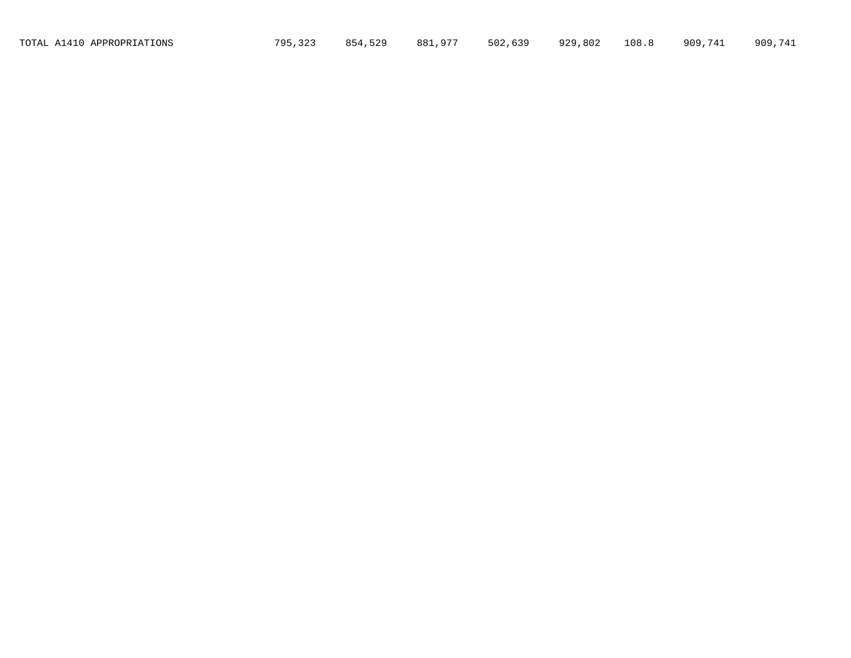TOTAL A1410 APPROPRIATIONS 795,323 854,529 881,977 502,639 929,802 108.8 909,741 909,741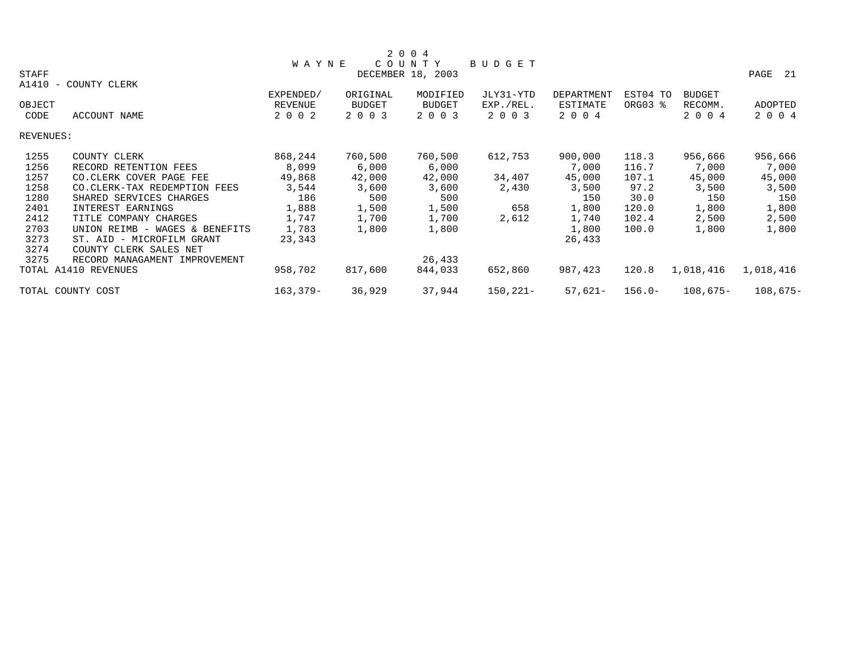|           |                                |              |               | 2 0 0 4           |               |            |           |               |            |
|-----------|--------------------------------|--------------|---------------|-------------------|---------------|------------|-----------|---------------|------------|
|           |                                | <b>WAYNE</b> |               | COUNTY            | <b>BUDGET</b> |            |           |               |            |
| STAFF     |                                |              |               | DECEMBER 18, 2003 |               |            |           |               | PAGE<br>21 |
| $A1410 -$ | COUNTY CLERK                   |              |               |                   |               |            |           |               |            |
|           |                                | EXPENDED/    | ORIGINAL      | MODIFIED          | JLY31-YTD     | DEPARTMENT | EST04 TO  | <b>BUDGET</b> |            |
| OBJECT    |                                | REVENUE      | <b>BUDGET</b> | <b>BUDGET</b>     | EXP./REL.     | ESTIMATE   | ORG03 %   | RECOMM.       | ADOPTED    |
| CODE      | ACCOUNT NAME                   | 2 0 0 2      | 2 0 0 3       | 2 0 0 3           | 2 0 0 3       | 2 0 0 4    |           | 2 0 0 4       | 2 0 0 4    |
| REVENUES: |                                |              |               |                   |               |            |           |               |            |
| 1255      | COUNTY CLERK                   | 868,244      | 760,500       | 760,500           | 612,753       | 900,000    | 118.3     | 956,666       | 956,666    |
| 1256      | RECORD RETENTION FEES          | 8,099        | 6,000         | 6,000             |               | 7,000      | 116.7     | 7,000         | 7,000      |
| 1257      | CO.CLERK COVER PAGE FEE        | 49,868       | 42,000        | 42,000            | 34,407        | 45,000     | 107.1     | 45,000        | 45,000     |
| 1258      | CO. CLERK-TAX REDEMPTION FEES  | 3,544        | 3,600         | 3,600             | 2,430         | 3,500      | 97.2      | 3,500         | 3,500      |
| 1280      | SHARED SERVICES CHARGES        | 186          | 500           | 500               |               | 150        | 30.0      | 150           | 150        |
| 2401      | INTEREST EARNINGS              | 1,888        | 1,500         | 1,500             | 658           | 1,800      | 120.0     | 1,800         | 1,800      |
| 2412      | TITLE COMPANY CHARGES          | 1,747        | 1,700         | 1,700             | 2,612         | 1,740      | 102.4     | 2,500         | 2,500      |
| 2703      | UNION REIMB - WAGES & BENEFITS | 1,783        | 1,800         | 1,800             |               | 1,800      | 100.0     | 1,800         | 1,800      |
| 3273      | ST. AID - MICROFILM GRANT      | 23,343       |               |                   |               | 26,433     |           |               |            |
| 3274      | COUNTY CLERK SALES NET         |              |               |                   |               |            |           |               |            |
| 3275      | RECORD MANAGAMENT IMPROVEMENT  |              |               | 26,433            |               |            |           |               |            |
|           | TOTAL A1410 REVENUES           | 958,702      | 817,600       | 844,033           | 652,860       | 987,423    | 120.8     | 1,018,416     | 1,018,416  |
|           | TOTAL COUNTY COST              | $163, 379 -$ | 36,929        | 37,944            | $150, 221 -$  | $57,621-$  | $156.0 -$ | $108,675-$    | $108,675-$ |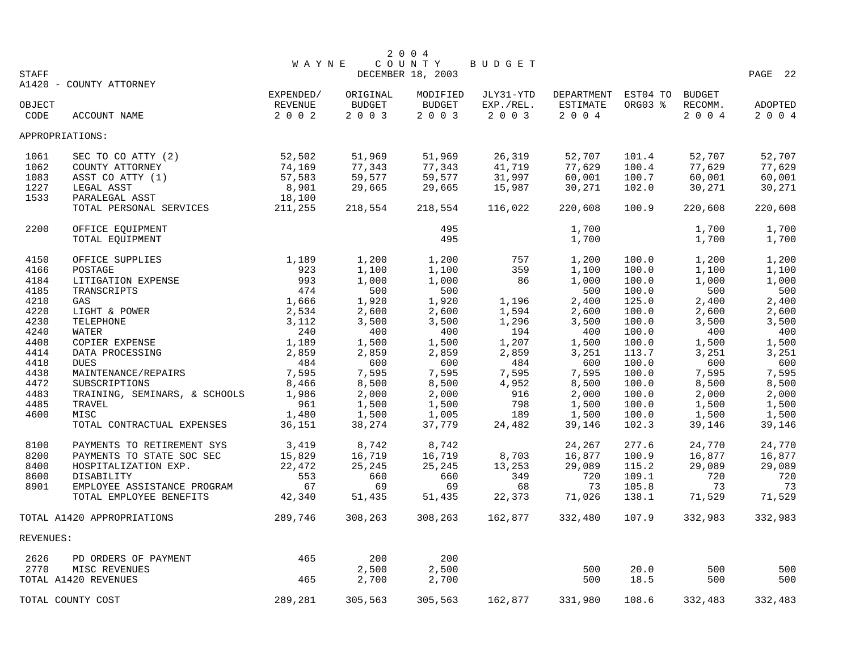|                |                                       |                    |                          | 2 0 0 4                     |                      |                     |                |                    |                    |
|----------------|---------------------------------------|--------------------|--------------------------|-----------------------------|----------------------|---------------------|----------------|--------------------|--------------------|
| <b>STAFF</b>   |                                       | <b>WAYNE</b>       |                          | COUNTY<br>DECEMBER 18, 2003 | BUDGET               |                     |                |                    | PAGE 22            |
|                | A1420 - COUNTY ATTORNEY               |                    |                          |                             |                      |                     |                |                    |                    |
|                |                                       | EXPENDED/          | ORIGINAL                 | MODIFIED                    | JLY31-YTD            | DEPARTMENT          | EST04 TO       | <b>BUDGET</b>      |                    |
| OBJECT<br>CODE | ACCOUNT NAME                          | REVENUE<br>2 0 0 2 | <b>BUDGET</b><br>2 0 0 3 | <b>BUDGET</b><br>2 0 0 3    | EXP./REL.<br>2 0 0 3 | ESTIMATE<br>2 0 0 4 | ORG03 %        | RECOMM.<br>2 0 0 4 | ADOPTED<br>2 0 0 4 |
|                | APPROPRIATIONS:                       |                    |                          |                             |                      |                     |                |                    |                    |
|                |                                       |                    |                          |                             |                      |                     |                |                    |                    |
| 1061<br>1062   | SEC TO CO ATTY (2)<br>COUNTY ATTORNEY | 52,502<br>74,169   | 51,969<br>77,343         | 51,969<br>77,343            | 26,319<br>41,719     | 52,707<br>77,629    | 101.4<br>100.4 | 52,707<br>77,629   | 52,707<br>77,629   |
| 1083           | ASST CO ATTY (1)                      | 57,583             | 59,577                   | 59,577                      | 31,997               | 60,001              | 100.7          | 60,001             | 60,001             |
| 1227           | LEGAL ASST                            | 8,901              | 29,665                   | 29,665                      | 15,987               | 30,271              | 102.0          | 30,271             | 30,271             |
| 1533           | PARALEGAL ASST                        | 18,100             |                          |                             |                      |                     |                |                    |                    |
|                | TOTAL PERSONAL SERVICES               | 211,255            | 218,554                  | 218,554                     | 116,022              | 220,608             | 100.9          | 220,608            | 220,608            |
| 2200           | OFFICE EQUIPMENT                      |                    |                          | 495                         |                      | 1,700               |                | 1,700              | 1,700              |
|                | TOTAL EQUIPMENT                       |                    |                          | 495                         |                      | 1,700               |                | 1,700              | 1,700              |
| 4150           | OFFICE SUPPLIES                       | 1,189              | 1,200                    | 1,200                       | 757                  | 1,200               | 100.0          | 1,200              | 1,200              |
| 4166           | POSTAGE                               | 923                | 1,100                    | 1,100                       | 359                  | 1,100               | 100.0          | 1,100              | 1,100              |
| 4184           | LITIGATION EXPENSE                    | 993                | 1,000                    | 1,000                       | 86                   | 1,000               | 100.0          | 1,000              | 1,000              |
| 4185           | TRANSCRIPTS                           | 474                | 500                      | 500                         |                      | 500                 | 100.0          | 500                | 500                |
| 4210           | GAS                                   | 1,666              | 1,920                    | 1,920                       | 1,196                | 2,400               | 125.0          | 2,400              | 2,400              |
| 4220           | LIGHT & POWER                         | 2,534              | 2,600                    | 2,600                       | 1,594                | 2,600               | 100.0          | 2,600              | 2,600              |
| 4230           | TELEPHONE                             | 3,112              | 3,500                    | 3,500                       | 1,296                | 3,500               | 100.0          | 3,500              | 3,500              |
| 4240           | WATER                                 | 240                | 400                      | 400                         | 194                  | 400                 | 100.0          | 400                | 400                |
| 4408           | COPIER EXPENSE                        | 1,189              | 1,500                    | 1,500                       | 1,207                | 1,500               | 100.0          | 1,500              | 1,500              |
| 4414           | DATA PROCESSING                       | 2,859              | 2,859                    | 2,859                       | 2,859                | 3,251               | 113.7          | 3,251              | 3,251              |
| 4418           | <b>DUES</b>                           | 484                | 600                      | 600                         | 484                  | 600                 | 100.0          | 600                | 600                |
| 4438           | MAINTENANCE/REPAIRS                   | 7,595              | 7,595                    | 7,595                       | 7,595                | 7,595               | 100.0          | 7,595              | 7,595              |
| 4472           | SUBSCRIPTIONS                         | 8,466              | 8,500                    | 8,500                       | 4,952                | 8,500               | 100.0          | 8,500              | 8,500              |
| 4483           | TRAINING, SEMINARS, & SCHOOLS         | 1,986              | 2,000                    | 2,000                       | 916                  | 2,000               | 100.0          | 2,000              | 2,000              |
| 4485           | TRAVEL                                | 961                | 1,500                    | 1,500                       | 798                  | 1,500               | 100.0          | 1,500              | 1,500              |
| 4600           | MISC                                  | 1,480              | 1,500                    | 1,005                       | 189                  | 1,500               | 100.0          | 1,500              | 1,500              |
|                | TOTAL CONTRACTUAL EXPENSES            | 36,151             | 38,274                   | 37,779                      | 24,482               | 39,146              | 102.3          | 39,146             | 39,146             |
| 8100           | PAYMENTS TO RETIREMENT SYS            | 3,419              | 8,742                    | 8,742                       |                      | 24,267              | 277.6          | 24,770             | 24,770             |
| 8200           | PAYMENTS TO STATE SOC SEC             | 15,829             | 16,719                   | 16,719                      | 8,703                | 16,877              | 100.9          | 16,877             | 16,877             |
| 8400           | HOSPITALIZATION EXP.                  | 22,472             | 25,245                   | 25,245                      | 13,253               | 29,089              | 115.2          | 29,089             | 29,089             |
| 8600           | DISABILITY                            | 553                | 660                      | 660                         | 349                  | 720                 | 109.1          | 720                | 720                |
| 8901           | EMPLOYEE ASSISTANCE PROGRAM           | 67                 | 69                       | 69                          | 68                   | 73                  | 105.8          | 73                 | 73                 |
|                | TOTAL EMPLOYEE BENEFITS               | 42,340             | 51,435                   | 51,435                      | 22,373               | 71,026              | 138.1          | 71,529             | 71,529             |
|                | TOTAL A1420 APPROPRIATIONS            | 289,746            | 308,263                  | 308,263                     | 162,877              | 332,480             | 107.9          | 332,983            | 332,983            |
| REVENUES:      |                                       |                    |                          |                             |                      |                     |                |                    |                    |
| 2626           | PD ORDERS OF PAYMENT                  | 465                | 200                      | 200                         |                      |                     |                |                    |                    |
| 2770           | MISC REVENUES                         |                    | 2,500                    | 2,500                       |                      | 500                 | 20.0           | 500                | 500                |
|                | TOTAL A1420 REVENUES                  | 465                | 2,700                    | 2,700                       |                      | 500                 | 18.5           | 500                | 500                |
|                | TOTAL COUNTY COST                     | 289,281            | 305,563                  | 305,563                     | 162,877              | 331,980             | 108.6          | 332,483            | 332,483            |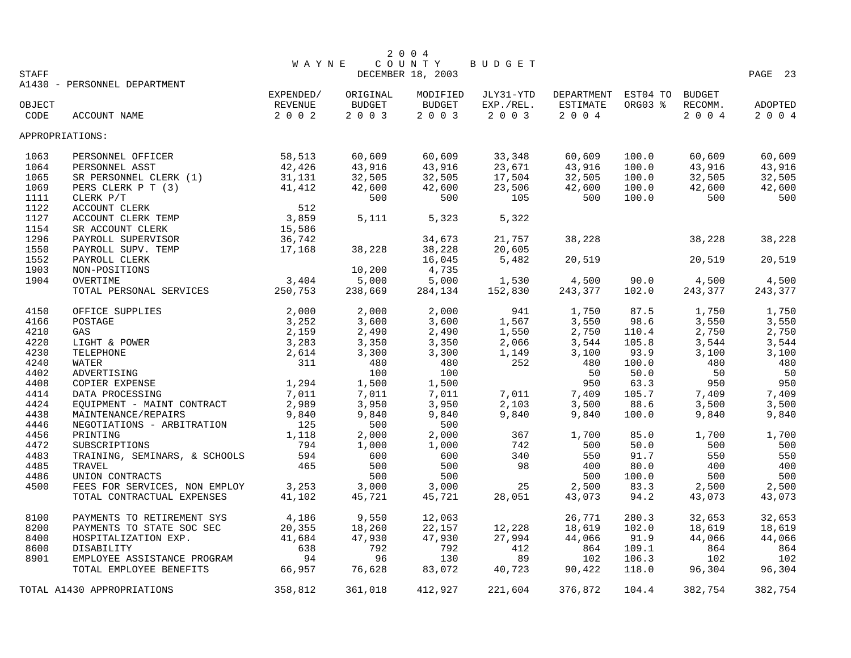|                 |                               |              |          | 2 0 0 4           |           |                     |         |               |         |
|-----------------|-------------------------------|--------------|----------|-------------------|-----------|---------------------|---------|---------------|---------|
|                 |                               | <b>WAYNE</b> |          | COUNTY            | BUDGET    |                     |         |               |         |
| <b>STAFF</b>    |                               |              |          | DECEMBER 18, 2003 |           |                     |         |               | PAGE 23 |
|                 | A1430 - PERSONNEL DEPARTMENT  | EXPENDED/    | ORIGINAL | MODIFIED          | JLY31-YTD | DEPARTMENT EST04 TO |         | <b>BUDGET</b> |         |
| OBJECT          |                               | REVENUE      | BUDGET   | BUDGET            | EXP./REL. | ESTIMATE            | ORG03 % | RECOMM.       | ADOPTED |
| CODE            | ACCOUNT NAME                  | 2 0 0 2      | 2 0 0 3  | 2 0 0 3           | 2 0 0 3   | 2 0 0 4             |         | 2 0 0 4       | 2 0 0 4 |
|                 |                               |              |          |                   |           |                     |         |               |         |
| APPROPRIATIONS: |                               |              |          |                   |           |                     |         |               |         |
| 1063            | PERSONNEL OFFICER             | 58,513       | 60,609   | 60,609            | 33,348    | 60,609              | 100.0   | 60,609        | 60,609  |
| 1064            | PERSONNEL ASST                | 42,426       | 43,916   | 43,916            | 23,671    | 43,916              | 100.0   | 43,916        | 43,916  |
| 1065            | SR PERSONNEL CLERK (1)        | 31,131       | 32,505   | 32,505            | 17,504    | 32,505              | 100.0   | 32,505        | 32,505  |
| 1069            | PERS CLERK P T (3)            | 41,412       | 42,600   | 42,600            | 23,506    | 42,600              | 100.0   | 42,600        | 42,600  |
| 1111            | CLERK P/T                     |              | 500      | 500               | 105       | 500                 | 100.0   | 500           | 500     |
| 1122            | ACCOUNT CLERK                 | 512          |          |                   |           |                     |         |               |         |
| 1127            | ACCOUNT CLERK TEMP            | 3,859        | 5,111    | 5,323             | 5,322     |                     |         |               |         |
| 1154            | SR ACCOUNT CLERK              | 15,586       |          |                   |           |                     |         |               |         |
| 1296            | PAYROLL SUPERVISOR            | 36,742       |          | 34,673            | 21,757    | 38,228              |         | 38,228        | 38,228  |
| 1550            | PAYROLL SUPV. TEMP            | 17,168       | 38,228   | 38,228            | 20,605    |                     |         |               |         |
| 1552            | PAYROLL CLERK                 |              |          | 16,045            | 5,482     | 20,519              |         | 20,519        | 20,519  |
| 1903            | NON-POSITIONS                 |              | 10,200   | 4,735             |           |                     |         |               |         |
| 1904            | OVERTIME                      | 3,404        | 5,000    | 5,000             | 1,530     | 4,500               | 90.0    | 4,500         | 4,500   |
|                 | TOTAL PERSONAL SERVICES       | 250,753      | 238,669  | 284,134           | 152,830   | 243,377             | 102.0   | 243,377       | 243,377 |
| 4150            | OFFICE SUPPLIES               | 2,000        | 2,000    | 2,000             | 941       | 1,750               | 87.5    | 1,750         | 1,750   |
| 4166            | POSTAGE                       | 3,252        | 3,600    | 3,600             | 1,567     | 3,550               | 98.6    | 3,550         | 3,550   |
| 4210            | GAS                           | 2,159        | 2,490    | 2,490             | 1,550     | 2,750               | 110.4   | 2,750         | 2,750   |
| 4220            | LIGHT & POWER                 | 3,283        | 3,350    | 3,350             | 2,066     | 3,544               | 105.8   | 3,544         | 3,544   |
| 4230            | TELEPHONE                     | 2,614        | 3,300    | 3,300             | 1,149     | 3,100               | 93.9    | 3,100         | 3,100   |
| 4240            | <b>WATER</b>                  | 311          | 480      | 480               | 252       | 480                 | 100.0   | 480           | 480     |
| 4402            | ADVERTISING                   |              | 100      | 100               |           | 50                  | 50.0    | 50            | 50      |
| 4408            | COPIER EXPENSE                | 1,294        | 1,500    | 1,500             |           | 950                 | 63.3    | 950           | 950     |
| 4414            | DATA PROCESSING               | 7,011        | 7,011    | 7,011             | 7,011     | 7,409               | 105.7   | 7,409         | 7,409   |
| 4424            | EQUIPMENT - MAINT CONTRACT    | 2,989        | 3,950    | 3,950             | 2,103     | 3,500               | 88.6    | 3,500         | 3,500   |
| 4438            | MAINTENANCE/REPAIRS           | 9,840        | 9,840    | 9,840             | 9,840     | 9,840               | 100.0   | 9,840         | 9,840   |
| 4446            | NEGOTIATIONS - ARBITRATION    | 125          | 500      | 500               |           |                     |         |               |         |
| 4456            | PRINTING                      | 1,118        | 2,000    | 2,000             | 367       | 1,700               | 85.0    | 1,700         | 1,700   |
| 4472            | SUBSCRIPTIONS                 | 794          | 1,000    | 1,000             | 742       | 500                 | 50.0    | 500           | 500     |
| 4483            | TRAINING, SEMINARS, & SCHOOLS | 594          | 600      | 600               | 340       | 550                 | 91.7    | 550           | 550     |
| 4485            | TRAVEL                        | 465          | 500      | 500               | 98        | 400                 | 80.0    | 400           | 400     |
| 4486            | UNION CONTRACTS               |              | 500      | 500               |           | 500                 | 100.0   | 500           | 500     |
| 4500            | FEES FOR SERVICES, NON EMPLOY | 3,253        | 3,000    | 3,000             | 25        | 2,500               | 83.3    | 2,500         | 2,500   |
|                 | TOTAL CONTRACTUAL EXPENSES    | 41,102       | 45,721   | 45,721            | 28,051    | 43,073              | 94.2    | 43,073        | 43,073  |
| 8100            | PAYMENTS TO RETIREMENT SYS    | 4,186        | 9,550    | 12,063            |           | 26,771              | 280.3   | 32,653        | 32,653  |
| 8200            | PAYMENTS TO STATE SOC SEC     | 20,355       | 18,260   | 22,157            | 12,228    | 18,619              | 102.0   | 18,619        | 18,619  |
| 8400            | HOSPITALIZATION EXP.          | 41,684       | 47,930   | 47,930            | 27,994    | 44,066              | 91.9    | 44,066        | 44,066  |
| 8600            | DISABILITY                    | 638          | 792      | 792               | 412       | 864                 | 109.1   | 864           | 864     |
| 8901            | EMPLOYEE ASSISTANCE PROGRAM   | 94           | 96       | 130               | 89        | 102                 | 106.3   | 102           | 102     |
|                 | TOTAL EMPLOYEE BENEFITS       | 66,957       | 76,628   | 83,072            | 40,723    | 90,422              | 118.0   | 96,304        | 96,304  |
|                 | TOTAL A1430 APPROPRIATIONS    | 358,812      | 361,018  | 412,927           | 221,604   | 376,872             | 104.4   | 382,754       | 382,754 |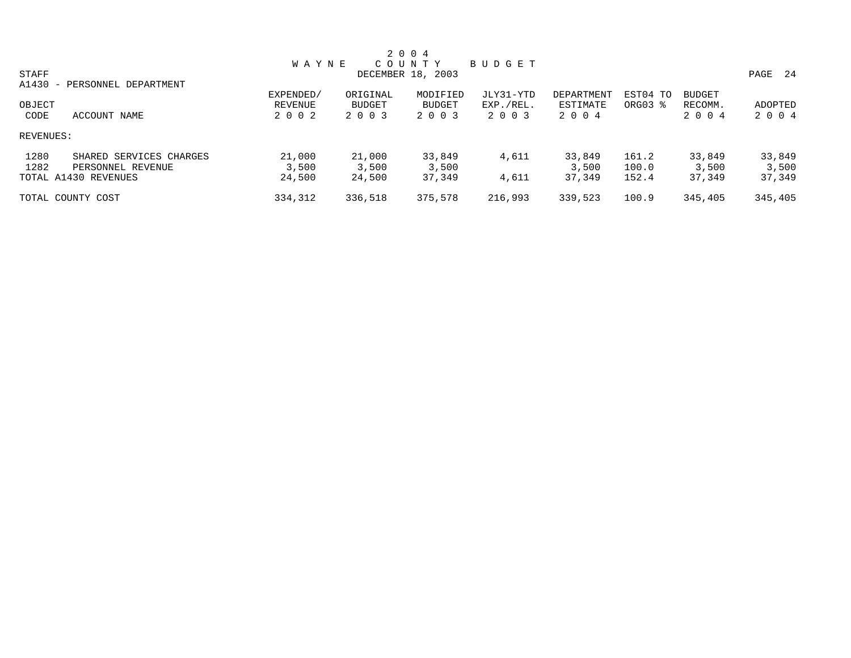|                                 |              |               | 2 0 0 4           |           |            |          |               |              |
|---------------------------------|--------------|---------------|-------------------|-----------|------------|----------|---------------|--------------|
|                                 | <b>WAYNE</b> |               | COUNTY            | BUDGET    |            |          |               |              |
| STAFF                           |              |               | DECEMBER 18, 2003 |           |            |          |               | - 24<br>PAGE |
| A1430<br>- PERSONNEL DEPARTMENT |              |               |                   |           |            |          |               |              |
|                                 | EXPENDED/    | ORIGINAL      | MODIFIED          | JLY31-YTD | DEPARTMENT | EST04 TO | <b>BUDGET</b> |              |
| OBJECT                          | REVENUE      | <b>BUDGET</b> | <b>BUDGET</b>     | EXP./REL. | ESTIMATE   | ORG03 %  | RECOMM.       | ADOPTED      |
| CODE<br>ACCOUNT NAME            | 2002         | 2 0 0 3       | 2 0 0 3           | 2 0 0 3   | 2004       |          | 2 0 0 4       | 2004         |
| REVENUES:                       |              |               |                   |           |            |          |               |              |
| 1280<br>SHARED SERVICES CHARGES | 21,000       | 21,000        | 33,849            | 4,611     | 33,849     | 161.2    | 33,849        | 33,849       |
| 1282<br>PERSONNEL REVENUE       | 3,500        | 3,500         | 3,500             |           | 3,500      | 100.0    | 3,500         | 3,500        |
| TOTAL A1430 REVENUES            | 24,500       | 24,500        | 37,349            | 4,611     | 37,349     | 152.4    | 37,349        | 37,349       |
| TOTAL COUNTY COST               | 334,312      | 336,518       | 375,578           | 216,993   | 339,523    | 100.9    | 345,405       | 345,405      |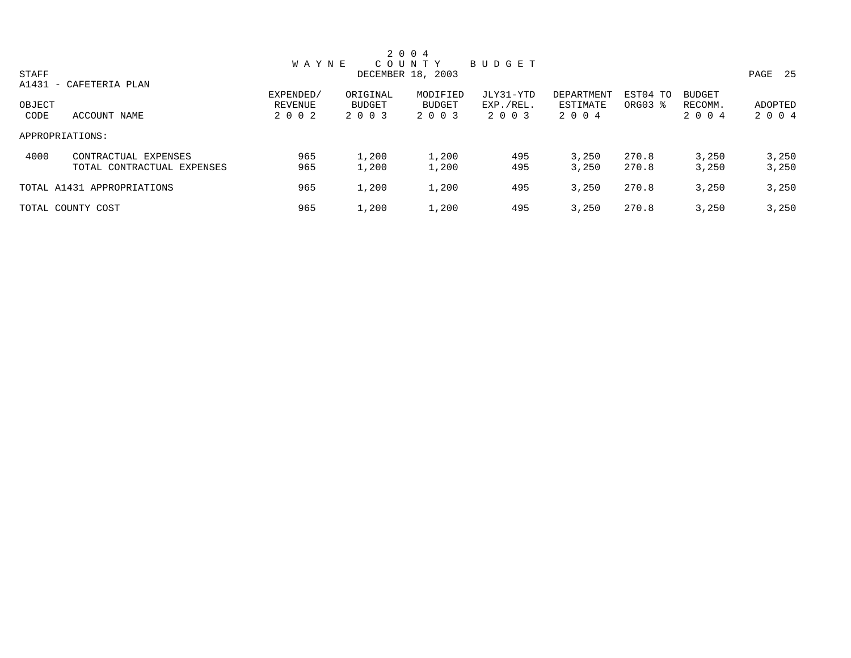|                 |                            |              |          | 2 0 0 4           |           |            |          |               |              |
|-----------------|----------------------------|--------------|----------|-------------------|-----------|------------|----------|---------------|--------------|
|                 |                            | <b>WAYNE</b> |          | COUNTY            | BUDGET    |            |          |               |              |
| STAFF           |                            |              |          | DECEMBER 18, 2003 |           |            |          |               | - 25<br>PAGE |
|                 | A1431 - CAFETERIA PLAN     |              |          |                   |           |            |          |               |              |
|                 |                            | EXPENDED/    | ORIGINAL | MODIFIED          | JLY31-YTD | DEPARTMENT | EST04 TO | <b>BUDGET</b> |              |
| OBJECT          |                            | REVENUE      | BUDGET   | BUDGET            | EXP./REL. | ESTIMATE   | ORG03 %  | RECOMM.       | ADOPTED      |
| CODE            | ACCOUNT NAME               | 2 0 0 2      | 2 0 0 3  | 2 0 0 3           | 2 0 0 3   | 2 0 0 4    |          | 2 0 0 4       | 2 0 0 4      |
| APPROPRIATIONS: |                            |              |          |                   |           |            |          |               |              |
| 4000            | CONTRACTUAL EXPENSES       | 965          | 1,200    | 1,200             | 495       | 3.250      | 270.8    | 3,250         | 3,250        |
|                 | TOTAL CONTRACTUAL EXPENSES | 965          | 1,200    | 1,200             | 495       | 3,250      | 270.8    | 3,250         | 3,250        |
|                 | TOTAL A1431 APPROPRIATIONS | 965          | 1,200    | 1,200             | 495       | 3.250      | 270.8    | 3,250         | 3,250        |
|                 | TOTAL COUNTY COST          | 965          | 1,200    | 1,200             | 495       | 3,250      | 270.8    | 3,250         | 3,250        |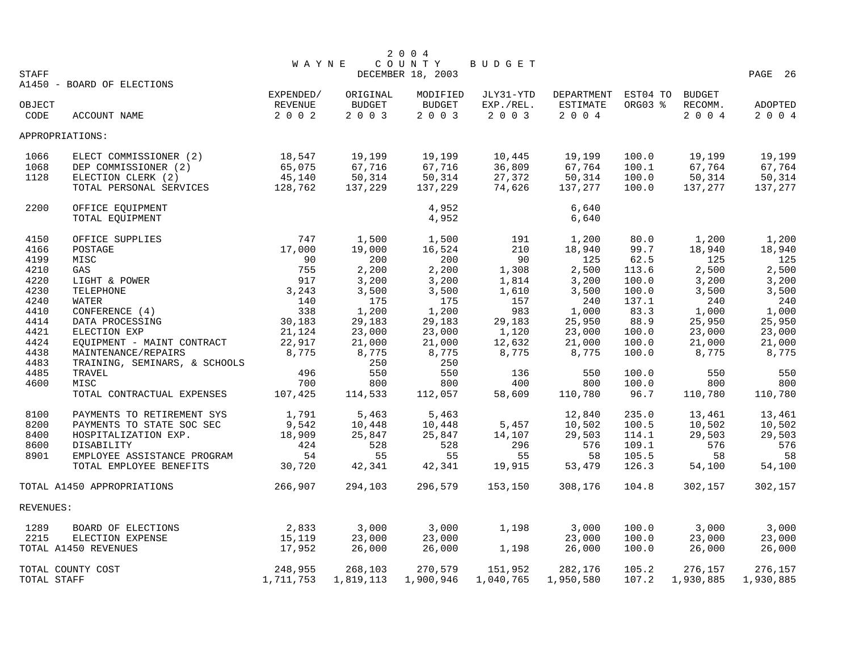|              |                               |              |           | 2 0 0 4           |           |            |          |               |           |
|--------------|-------------------------------|--------------|-----------|-------------------|-----------|------------|----------|---------------|-----------|
|              |                               | <b>WAYNE</b> |           | COUNTY            | BUDGET    |            |          |               |           |
| <b>STAFF</b> |                               |              |           | DECEMBER 18, 2003 |           |            |          |               | PAGE 26   |
|              | A1450 - BOARD OF ELECTIONS    |              |           |                   |           |            |          |               |           |
|              |                               | EXPENDED/    | ORIGINAL  | MODIFIED          | JLY31-YTD | DEPARTMENT | EST04 TO | <b>BUDGET</b> |           |
| OBJECT       |                               | REVENUE      | BUDGET    | BUDGET            | EXP./REL. | ESTIMATE   | ORG03 %  | RECOMM.       | ADOPTED   |
| CODE         | ACCOUNT NAME                  | 2002         | 2003      | 2003              | 2 0 0 3   | $2004$     |          | 2 0 0 4       | 2004      |
|              | APPROPRIATIONS:               |              |           |                   |           |            |          |               |           |
| 1066         | ELECT COMMISSIONER (2)        | 18,547       | 19,199    | 19,199            | 10,445    | 19,199     | 100.0    | 19,199        | 19,199    |
| 1068         | DEP COMMISSIONER (2)          | 65,075       | 67,716    | 67,716            | 36,809    | 67,764     | 100.1    | 67,764        | 67,764    |
| 1128         | ELECTION CLERK (2)            | 45,140       | 50,314    | 50,314            | 27,372    | 50,314     | 100.0    | 50,314        | 50,314    |
|              | TOTAL PERSONAL SERVICES       | 128,762      | 137,229   | 137,229           | 74,626    | 137,277    | 100.0    | 137,277       | 137,277   |
| 2200         | OFFICE EQUIPMENT              |              |           | 4,952             |           | 6,640      |          |               |           |
|              | TOTAL EQUIPMENT               |              |           | 4,952             |           | 6,640      |          |               |           |
|              |                               |              |           |                   |           |            |          |               |           |
| 4150         | OFFICE SUPPLIES               | 747          | 1,500     | 1,500             | 191       | 1,200      | 80.0     | 1,200         | 1,200     |
| 4166         | POSTAGE                       | 17,000       | 19,000    | 16,524            | 210       | 18,940     | 99.7     | 18,940        | 18,940    |
| 4199         | MISC                          | 90           | 200       | 200               | 90        | 125        | 62.5     | 125           | 125       |
| 4210         | GAS                           | 755          | 2,200     | 2,200             | 1,308     | 2,500      | 113.6    | 2,500         | 2,500     |
| 4220         | LIGHT & POWER                 | 917          | 3,200     | 3,200             | 1,814     | 3,200      | 100.0    | 3,200         | 3,200     |
| 4230         | TELEPHONE                     | 3,243        | 3,500     | 3,500             | 1,610     | 3,500      | 100.0    | 3,500         | 3,500     |
| 4240         | WATER                         | 140          | 175       | 175               | 157       | 240        | 137.1    | 240           | 240       |
| 4410         | CONFERENCE (4)                | 338          | 1,200     | 1,200             | 983       | 1,000      | 83.3     | 1,000         | 1,000     |
| 4414         | DATA PROCESSING               | 30,183       | 29,183    | 29,183            | 29,183    | 25,950     | 88.9     | 25,950        | 25,950    |
| 4421         | ELECTION EXP                  | 21,124       | 23,000    | 23,000            | 1,120     | 23,000     | 100.0    | 23,000        | 23,000    |
| 4424         | EQUIPMENT - MAINT CONTRACT    | 22,917       | 21,000    | 21,000            | 12,632    | 21,000     | 100.0    | 21,000        | 21,000    |
| 4438         | MAINTENANCE/REPAIRS           | 8,775        | 8,775     | 8,775             | 8,775     | 8,775      | 100.0    | 8,775         | 8,775     |
| 4483         | TRAINING, SEMINARS, & SCHOOLS |              | 250       | 250               |           |            |          |               |           |
| 4485         | TRAVEL                        | 496          | 550       | 550               | 136       | 550        | 100.0    | 550           | 550       |
| 4600         | MISC                          | 700          | 800       | 800               | 400       | 800        | 100.0    | 800           | 800       |
|              | TOTAL CONTRACTUAL EXPENSES    | 107,425      | 114,533   | 112,057           | 58,609    | 110,780    | 96.7     | 110,780       | 110,780   |
|              |                               |              |           |                   |           |            |          |               |           |
| 8100         | PAYMENTS TO RETIREMENT SYS    | 1,791        | 5,463     | 5,463             |           | 12,840     | 235.0    | 13,461        | 13,461    |
| 8200         | PAYMENTS TO STATE SOC SEC     | 9,542        | 10,448    | 10,448            | 5,457     | 10,502     | 100.5    | 10,502        | 10,502    |
| 8400         | HOSPITALIZATION EXP.          | 18,909       | 25,847    | 25,847            | 14,107    | 29,503     | 114.1    | 29,503        | 29,503    |
| 8600         | DISABILITY                    | 424          | 528       | 528               | 296       | 576        | 109.1    | 576           | 576       |
| 8901         | EMPLOYEE ASSISTANCE PROGRAM   | 54           | 55        | 55                | 55        | 58         | 105.5    | 58            | 58        |
|              | TOTAL EMPLOYEE BENEFITS       | 30,720       | 42,341    | 42,341            | 19,915    | 53,479     | 126.3    | 54,100        | 54,100    |
|              | TOTAL A1450 APPROPRIATIONS    | 266,907      | 294,103   | 296,579           | 153,150   | 308,176    | 104.8    | 302,157       | 302,157   |
| REVENUES:    |                               |              |           |                   |           |            |          |               |           |
| 1289         | BOARD OF ELECTIONS            | 2,833        | 3,000     | 3,000             | 1,198     | 3,000      | 100.0    | 3,000         | 3,000     |
| 2215         | ELECTION EXPENSE              | 15,119       | 23,000    | 23,000            |           | 23,000     | 100.0    | 23,000        | 23,000    |
|              | TOTAL A1450 REVENUES          | 17,952       | 26,000    | 26,000            | 1,198     | 26,000     | 100.0    | 26,000        | 26,000    |
|              | TOTAL COUNTY COST             | 248,955      | 268,103   | 270,579           | 151,952   | 282,176    | 105.2    | 276,157       | 276,157   |
| TOTAL STAFF  |                               | 1,711,753    | 1,819,113 | 1,900,946         | 1,040,765 | 1,950,580  | 107.2    | 1,930,885     | 1,930,885 |
|              |                               |              |           |                   |           |            |          |               |           |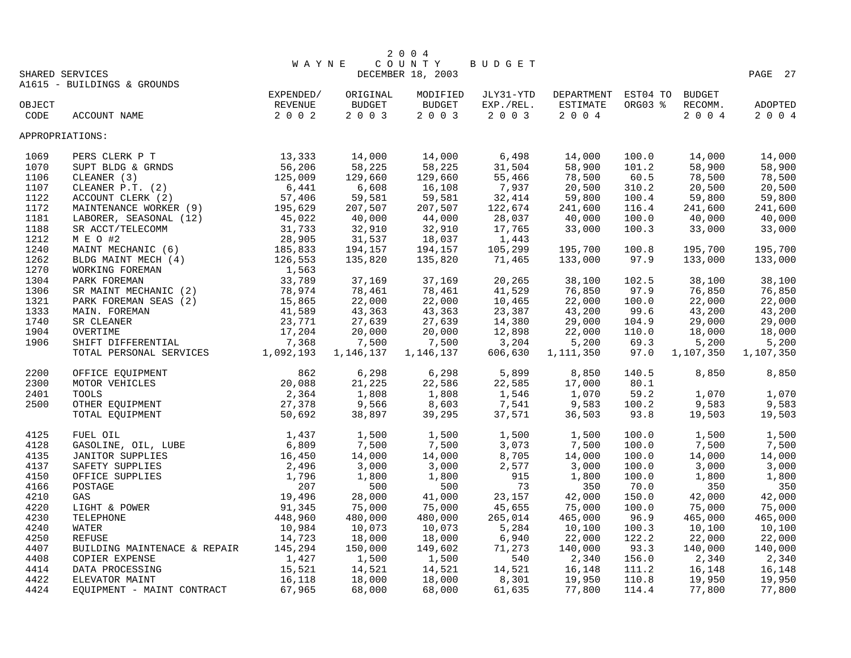| WAYNE<br>COUNTY<br>BUDGET<br>DECEMBER 18, 2003<br>PAGE 27<br>SHARED SERVICES<br>A1615 - BUILDINGS & GROUNDS<br>EXPENDED/<br>JLY31-YTD<br>DEPARTMENT<br>EST04 TO BUDGET<br>ORIGINAL<br>MODIFIED<br>REVENUE<br>BUDGET<br>BUDGET<br>EXP./REL.<br>ESTIMATE<br>ORG03 %<br>RECOMM.<br>OBJECT<br>ADOPTED<br>2003<br>2002<br>2003<br>$2 0 0 4$<br>2004<br>2 0 0 3<br>CODE<br>ACCOUNT NAME<br>2 0 0 4<br>APPROPRIATIONS:<br>$\begin{array}{r} 13\,,333 \\ 56\,,206 \\ 125\,,009 \\ 6\,,441 \\ 57\,,406 \end{array}$<br>14,000<br>6,498<br>14,000<br>14,000<br>PERS CLERK P T<br>14,000<br>14,000<br>100.0<br>1069<br>58,225<br>58,225<br>58,900<br>58,900<br>SUPT BLDG & GRNDS<br>31,504<br>101.2<br>58,900<br>1070<br>129,660<br>129,660<br>55,466<br>78,500<br>60.5<br>78,500<br>78,500<br>1106<br>CLEANER (3)<br>6,608<br>16,108<br>7,937<br>20,500<br>20,500<br>20,500<br>1107<br>CLEANER $P.T.$ (2)<br>310.2<br>59,581<br>32,414<br>59,800<br>1122<br>ACCOUNT CLERK (2)<br>59,581<br>59,800<br>100.4<br>59,800<br>1172<br>MAINTENANCE WORKER (9)<br>195,629<br>207,507<br>207,507<br>122,674<br>241,600<br>241,600<br>116.4<br>241,600<br>45,022<br>1181<br>LABORER, SEASONAL (12)<br>40,000<br>44,000<br>28,037<br>40,000<br>100.0<br>40,000<br>40,000<br>31,733<br>32,910<br>1188<br>32,910<br>17,765<br>33,000<br>100.3<br>33,000<br>33,000<br>SR ACCT/TELECOMM<br>M E O #2<br>MAINT MECHANIC (6)<br>BLDG MAINT MECH (4)<br>WORKING FOREMAN<br>28,905<br>31,537<br>18,037<br>1212<br>1,443<br>185,833<br>1240<br>194,157<br>194,157<br>105,299<br>195,700<br>100.8<br>195,700<br>195,700<br>126,553<br>1262<br>135,820<br>135,820<br>71,465<br>133,000<br>97.9<br>133,000<br>133,000<br>1,563<br>1270<br>33,789<br>37,169<br>38,100<br>1304<br>PARK FOREMAN<br>37,169<br>20,265<br>38,100<br>102.5<br>38,100<br>78,974<br>78,461<br>78,461<br>41,529<br>76,850<br>97.9<br>76,850<br>76,850<br>1306<br>SR MAINT MECHANIC (2)<br>78,974<br>15,865<br>22,000<br>22,000<br>22,000<br>1321<br>PARK FOREMAN SEAS (2)<br>22,000<br>10,465<br>100.0<br>22,000<br>41,589<br>43,363<br>43,200<br>43,200<br>43,200<br>1333<br>MAIN. FOREMAN<br>43,363<br>23,387<br>99.6<br>23,771<br>27,639<br>29,000<br>29,000<br>1740<br>SR CLEANER<br>27,639<br>14,380<br>29,000<br>104.9<br>17,204<br>20,000<br>18,000<br>1904<br>OVERTIME<br>20,000<br>12,898<br>22,000<br>110.0<br>18,000 |
|---------------------------------------------------------------------------------------------------------------------------------------------------------------------------------------------------------------------------------------------------------------------------------------------------------------------------------------------------------------------------------------------------------------------------------------------------------------------------------------------------------------------------------------------------------------------------------------------------------------------------------------------------------------------------------------------------------------------------------------------------------------------------------------------------------------------------------------------------------------------------------------------------------------------------------------------------------------------------------------------------------------------------------------------------------------------------------------------------------------------------------------------------------------------------------------------------------------------------------------------------------------------------------------------------------------------------------------------------------------------------------------------------------------------------------------------------------------------------------------------------------------------------------------------------------------------------------------------------------------------------------------------------------------------------------------------------------------------------------------------------------------------------------------------------------------------------------------------------------------------------------------------------------------------------------------------------------------------------------------------------------------------------------------------------------------------------------------------------------------------------------------------------------------------------------------------------------------------------------------------------------------------------------------------------------------------------------------------------------------------|
|                                                                                                                                                                                                                                                                                                                                                                                                                                                                                                                                                                                                                                                                                                                                                                                                                                                                                                                                                                                                                                                                                                                                                                                                                                                                                                                                                                                                                                                                                                                                                                                                                                                                                                                                                                                                                                                                                                                                                                                                                                                                                                                                                                                                                                                                                                                                                                     |
|                                                                                                                                                                                                                                                                                                                                                                                                                                                                                                                                                                                                                                                                                                                                                                                                                                                                                                                                                                                                                                                                                                                                                                                                                                                                                                                                                                                                                                                                                                                                                                                                                                                                                                                                                                                                                                                                                                                                                                                                                                                                                                                                                                                                                                                                                                                                                                     |
|                                                                                                                                                                                                                                                                                                                                                                                                                                                                                                                                                                                                                                                                                                                                                                                                                                                                                                                                                                                                                                                                                                                                                                                                                                                                                                                                                                                                                                                                                                                                                                                                                                                                                                                                                                                                                                                                                                                                                                                                                                                                                                                                                                                                                                                                                                                                                                     |
|                                                                                                                                                                                                                                                                                                                                                                                                                                                                                                                                                                                                                                                                                                                                                                                                                                                                                                                                                                                                                                                                                                                                                                                                                                                                                                                                                                                                                                                                                                                                                                                                                                                                                                                                                                                                                                                                                                                                                                                                                                                                                                                                                                                                                                                                                                                                                                     |
|                                                                                                                                                                                                                                                                                                                                                                                                                                                                                                                                                                                                                                                                                                                                                                                                                                                                                                                                                                                                                                                                                                                                                                                                                                                                                                                                                                                                                                                                                                                                                                                                                                                                                                                                                                                                                                                                                                                                                                                                                                                                                                                                                                                                                                                                                                                                                                     |
|                                                                                                                                                                                                                                                                                                                                                                                                                                                                                                                                                                                                                                                                                                                                                                                                                                                                                                                                                                                                                                                                                                                                                                                                                                                                                                                                                                                                                                                                                                                                                                                                                                                                                                                                                                                                                                                                                                                                                                                                                                                                                                                                                                                                                                                                                                                                                                     |
|                                                                                                                                                                                                                                                                                                                                                                                                                                                                                                                                                                                                                                                                                                                                                                                                                                                                                                                                                                                                                                                                                                                                                                                                                                                                                                                                                                                                                                                                                                                                                                                                                                                                                                                                                                                                                                                                                                                                                                                                                                                                                                                                                                                                                                                                                                                                                                     |
|                                                                                                                                                                                                                                                                                                                                                                                                                                                                                                                                                                                                                                                                                                                                                                                                                                                                                                                                                                                                                                                                                                                                                                                                                                                                                                                                                                                                                                                                                                                                                                                                                                                                                                                                                                                                                                                                                                                                                                                                                                                                                                                                                                                                                                                                                                                                                                     |
|                                                                                                                                                                                                                                                                                                                                                                                                                                                                                                                                                                                                                                                                                                                                                                                                                                                                                                                                                                                                                                                                                                                                                                                                                                                                                                                                                                                                                                                                                                                                                                                                                                                                                                                                                                                                                                                                                                                                                                                                                                                                                                                                                                                                                                                                                                                                                                     |
|                                                                                                                                                                                                                                                                                                                                                                                                                                                                                                                                                                                                                                                                                                                                                                                                                                                                                                                                                                                                                                                                                                                                                                                                                                                                                                                                                                                                                                                                                                                                                                                                                                                                                                                                                                                                                                                                                                                                                                                                                                                                                                                                                                                                                                                                                                                                                                     |
|                                                                                                                                                                                                                                                                                                                                                                                                                                                                                                                                                                                                                                                                                                                                                                                                                                                                                                                                                                                                                                                                                                                                                                                                                                                                                                                                                                                                                                                                                                                                                                                                                                                                                                                                                                                                                                                                                                                                                                                                                                                                                                                                                                                                                                                                                                                                                                     |
|                                                                                                                                                                                                                                                                                                                                                                                                                                                                                                                                                                                                                                                                                                                                                                                                                                                                                                                                                                                                                                                                                                                                                                                                                                                                                                                                                                                                                                                                                                                                                                                                                                                                                                                                                                                                                                                                                                                                                                                                                                                                                                                                                                                                                                                                                                                                                                     |
|                                                                                                                                                                                                                                                                                                                                                                                                                                                                                                                                                                                                                                                                                                                                                                                                                                                                                                                                                                                                                                                                                                                                                                                                                                                                                                                                                                                                                                                                                                                                                                                                                                                                                                                                                                                                                                                                                                                                                                                                                                                                                                                                                                                                                                                                                                                                                                     |
|                                                                                                                                                                                                                                                                                                                                                                                                                                                                                                                                                                                                                                                                                                                                                                                                                                                                                                                                                                                                                                                                                                                                                                                                                                                                                                                                                                                                                                                                                                                                                                                                                                                                                                                                                                                                                                                                                                                                                                                                                                                                                                                                                                                                                                                                                                                                                                     |
|                                                                                                                                                                                                                                                                                                                                                                                                                                                                                                                                                                                                                                                                                                                                                                                                                                                                                                                                                                                                                                                                                                                                                                                                                                                                                                                                                                                                                                                                                                                                                                                                                                                                                                                                                                                                                                                                                                                                                                                                                                                                                                                                                                                                                                                                                                                                                                     |
|                                                                                                                                                                                                                                                                                                                                                                                                                                                                                                                                                                                                                                                                                                                                                                                                                                                                                                                                                                                                                                                                                                                                                                                                                                                                                                                                                                                                                                                                                                                                                                                                                                                                                                                                                                                                                                                                                                                                                                                                                                                                                                                                                                                                                                                                                                                                                                     |
|                                                                                                                                                                                                                                                                                                                                                                                                                                                                                                                                                                                                                                                                                                                                                                                                                                                                                                                                                                                                                                                                                                                                                                                                                                                                                                                                                                                                                                                                                                                                                                                                                                                                                                                                                                                                                                                                                                                                                                                                                                                                                                                                                                                                                                                                                                                                                                     |
|                                                                                                                                                                                                                                                                                                                                                                                                                                                                                                                                                                                                                                                                                                                                                                                                                                                                                                                                                                                                                                                                                                                                                                                                                                                                                                                                                                                                                                                                                                                                                                                                                                                                                                                                                                                                                                                                                                                                                                                                                                                                                                                                                                                                                                                                                                                                                                     |
|                                                                                                                                                                                                                                                                                                                                                                                                                                                                                                                                                                                                                                                                                                                                                                                                                                                                                                                                                                                                                                                                                                                                                                                                                                                                                                                                                                                                                                                                                                                                                                                                                                                                                                                                                                                                                                                                                                                                                                                                                                                                                                                                                                                                                                                                                                                                                                     |
|                                                                                                                                                                                                                                                                                                                                                                                                                                                                                                                                                                                                                                                                                                                                                                                                                                                                                                                                                                                                                                                                                                                                                                                                                                                                                                                                                                                                                                                                                                                                                                                                                                                                                                                                                                                                                                                                                                                                                                                                                                                                                                                                                                                                                                                                                                                                                                     |
|                                                                                                                                                                                                                                                                                                                                                                                                                                                                                                                                                                                                                                                                                                                                                                                                                                                                                                                                                                                                                                                                                                                                                                                                                                                                                                                                                                                                                                                                                                                                                                                                                                                                                                                                                                                                                                                                                                                                                                                                                                                                                                                                                                                                                                                                                                                                                                     |
|                                                                                                                                                                                                                                                                                                                                                                                                                                                                                                                                                                                                                                                                                                                                                                                                                                                                                                                                                                                                                                                                                                                                                                                                                                                                                                                                                                                                                                                                                                                                                                                                                                                                                                                                                                                                                                                                                                                                                                                                                                                                                                                                                                                                                                                                                                                                                                     |
|                                                                                                                                                                                                                                                                                                                                                                                                                                                                                                                                                                                                                                                                                                                                                                                                                                                                                                                                                                                                                                                                                                                                                                                                                                                                                                                                                                                                                                                                                                                                                                                                                                                                                                                                                                                                                                                                                                                                                                                                                                                                                                                                                                                                                                                                                                                                                                     |
|                                                                                                                                                                                                                                                                                                                                                                                                                                                                                                                                                                                                                                                                                                                                                                                                                                                                                                                                                                                                                                                                                                                                                                                                                                                                                                                                                                                                                                                                                                                                                                                                                                                                                                                                                                                                                                                                                                                                                                                                                                                                                                                                                                                                                                                                                                                                                                     |
|                                                                                                                                                                                                                                                                                                                                                                                                                                                                                                                                                                                                                                                                                                                                                                                                                                                                                                                                                                                                                                                                                                                                                                                                                                                                                                                                                                                                                                                                                                                                                                                                                                                                                                                                                                                                                                                                                                                                                                                                                                                                                                                                                                                                                                                                                                                                                                     |
| 7,500<br>1906<br>7,500<br>3,204<br>5,200<br>69.3<br>5,200<br>5,200                                                                                                                                                                                                                                                                                                                                                                                                                                                                                                                                                                                                                                                                                                                                                                                                                                                                                                                                                                                                                                                                                                                                                                                                                                                                                                                                                                                                                                                                                                                                                                                                                                                                                                                                                                                                                                                                                                                                                                                                                                                                                                                                                                                                                                                                                                  |
| SUBATION SHIFT DIFFERENTIAL TANKS 7,368<br>TOTAL PERSONAL SERVICES 1,092,193<br>1,146,137<br>1,146,137<br>606,630<br>1,111,350<br>1,107,350<br>97.0<br>1,107,350                                                                                                                                                                                                                                                                                                                                                                                                                                                                                                                                                                                                                                                                                                                                                                                                                                                                                                                                                                                                                                                                                                                                                                                                                                                                                                                                                                                                                                                                                                                                                                                                                                                                                                                                                                                                                                                                                                                                                                                                                                                                                                                                                                                                    |
|                                                                                                                                                                                                                                                                                                                                                                                                                                                                                                                                                                                                                                                                                                                                                                                                                                                                                                                                                                                                                                                                                                                                                                                                                                                                                                                                                                                                                                                                                                                                                                                                                                                                                                                                                                                                                                                                                                                                                                                                                                                                                                                                                                                                                                                                                                                                                                     |
| 862<br>6,298<br>6,298<br>5,899<br>8,850<br>8,850<br>8,850<br>2200<br>OFFICE EQUIPMENT<br>140.5                                                                                                                                                                                                                                                                                                                                                                                                                                                                                                                                                                                                                                                                                                                                                                                                                                                                                                                                                                                                                                                                                                                                                                                                                                                                                                                                                                                                                                                                                                                                                                                                                                                                                                                                                                                                                                                                                                                                                                                                                                                                                                                                                                                                                                                                      |
| 20,088<br>21,225<br>22,586<br>22,585<br>17,000<br>80.1<br>2300<br>MOTOR VEHICLES                                                                                                                                                                                                                                                                                                                                                                                                                                                                                                                                                                                                                                                                                                                                                                                                                                                                                                                                                                                                                                                                                                                                                                                                                                                                                                                                                                                                                                                                                                                                                                                                                                                                                                                                                                                                                                                                                                                                                                                                                                                                                                                                                                                                                                                                                    |
| 2,364<br>1,808<br>1,808<br>1,546<br>59.2<br>1,070<br>1,070<br>2401<br><b>TOOLS</b><br>1,070                                                                                                                                                                                                                                                                                                                                                                                                                                                                                                                                                                                                                                                                                                                                                                                                                                                                                                                                                                                                                                                                                                                                                                                                                                                                                                                                                                                                                                                                                                                                                                                                                                                                                                                                                                                                                                                                                                                                                                                                                                                                                                                                                                                                                                                                         |
| OTHER EQUIPMENT<br>27,378<br>9,566<br>8,603<br>7,541<br>9,583<br>9,583<br>9,583<br>2500<br>100.2                                                                                                                                                                                                                                                                                                                                                                                                                                                                                                                                                                                                                                                                                                                                                                                                                                                                                                                                                                                                                                                                                                                                                                                                                                                                                                                                                                                                                                                                                                                                                                                                                                                                                                                                                                                                                                                                                                                                                                                                                                                                                                                                                                                                                                                                    |
| 39,295<br>TOTAL EQUIPMENT<br>50,692<br>38,897<br>37,571<br>36,503<br>93.8<br>19,503<br>19,503                                                                                                                                                                                                                                                                                                                                                                                                                                                                                                                                                                                                                                                                                                                                                                                                                                                                                                                                                                                                                                                                                                                                                                                                                                                                                                                                                                                                                                                                                                                                                                                                                                                                                                                                                                                                                                                                                                                                                                                                                                                                                                                                                                                                                                                                       |
| FUEL OIL<br>1,437<br>1,500<br>1,500<br>1,500<br>1,500<br>1,500<br>1,500<br>4125<br>100.0                                                                                                                                                                                                                                                                                                                                                                                                                                                                                                                                                                                                                                                                                                                                                                                                                                                                                                                                                                                                                                                                                                                                                                                                                                                                                                                                                                                                                                                                                                                                                                                                                                                                                                                                                                                                                                                                                                                                                                                                                                                                                                                                                                                                                                                                            |
| 6,809<br>7,500<br>3,073<br>7,500<br>7,500<br>7,500<br>4128<br>7,500<br>100.0                                                                                                                                                                                                                                                                                                                                                                                                                                                                                                                                                                                                                                                                                                                                                                                                                                                                                                                                                                                                                                                                                                                                                                                                                                                                                                                                                                                                                                                                                                                                                                                                                                                                                                                                                                                                                                                                                                                                                                                                                                                                                                                                                                                                                                                                                        |
| 4135<br>16,450<br>14,000<br>14,000<br>8,705<br>14,000<br>100.0<br>14,000<br>14,000                                                                                                                                                                                                                                                                                                                                                                                                                                                                                                                                                                                                                                                                                                                                                                                                                                                                                                                                                                                                                                                                                                                                                                                                                                                                                                                                                                                                                                                                                                                                                                                                                                                                                                                                                                                                                                                                                                                                                                                                                                                                                                                                                                                                                                                                                  |
| FOAD OIL, LUBE<br>CASOLINE, OIL, LUBE<br>JANITOR SUPPLIES<br>SAFETY SUPPLIES<br>OFFICE SUPPLIES<br>POSTAGE<br>GAS<br>LIGHT & POWER<br>TELEPHONE<br>2,496<br>3,000<br>3,000<br>3,000<br>2,577<br>3,000<br>3,000<br>4137<br>100.0                                                                                                                                                                                                                                                                                                                                                                                                                                                                                                                                                                                                                                                                                                                                                                                                                                                                                                                                                                                                                                                                                                                                                                                                                                                                                                                                                                                                                                                                                                                                                                                                                                                                                                                                                                                                                                                                                                                                                                                                                                                                                                                                     |
| 915<br>4150<br>1,796<br>1,800<br>1,800<br>100.0<br>1,800<br>1,800<br>1,800                                                                                                                                                                                                                                                                                                                                                                                                                                                                                                                                                                                                                                                                                                                                                                                                                                                                                                                                                                                                                                                                                                                                                                                                                                                                                                                                                                                                                                                                                                                                                                                                                                                                                                                                                                                                                                                                                                                                                                                                                                                                                                                                                                                                                                                                                          |
| 207<br>500<br>350<br>4166<br>500<br>73<br>350<br>70.0<br>350                                                                                                                                                                                                                                                                                                                                                                                                                                                                                                                                                                                                                                                                                                                                                                                                                                                                                                                                                                                                                                                                                                                                                                                                                                                                                                                                                                                                                                                                                                                                                                                                                                                                                                                                                                                                                                                                                                                                                                                                                                                                                                                                                                                                                                                                                                        |
| 19,496<br>41,000<br>42,000<br>4210<br>28,000<br>23,157<br>42,000<br>150.0<br>42,000                                                                                                                                                                                                                                                                                                                                                                                                                                                                                                                                                                                                                                                                                                                                                                                                                                                                                                                                                                                                                                                                                                                                                                                                                                                                                                                                                                                                                                                                                                                                                                                                                                                                                                                                                                                                                                                                                                                                                                                                                                                                                                                                                                                                                                                                                 |
| 91,345<br>75,000<br>75,000<br>75,000<br>75,000<br>4220<br>45,655<br>75,000<br>100.0                                                                                                                                                                                                                                                                                                                                                                                                                                                                                                                                                                                                                                                                                                                                                                                                                                                                                                                                                                                                                                                                                                                                                                                                                                                                                                                                                                                                                                                                                                                                                                                                                                                                                                                                                                                                                                                                                                                                                                                                                                                                                                                                                                                                                                                                                 |
| 448,960<br>480,000<br>480,000<br>265,014<br>465,000<br>465,000<br>4230<br>465,000<br>96.9<br>TELEPHONE                                                                                                                                                                                                                                                                                                                                                                                                                                                                                                                                                                                                                                                                                                                                                                                                                                                                                                                                                                                                                                                                                                                                                                                                                                                                                                                                                                                                                                                                                                                                                                                                                                                                                                                                                                                                                                                                                                                                                                                                                                                                                                                                                                                                                                                              |
| 10,984<br>4240<br>10,073<br>5,284<br>10,100<br>10,100<br>10,100<br>WATER<br>10,073<br>100.3                                                                                                                                                                                                                                                                                                                                                                                                                                                                                                                                                                                                                                                                                                                                                                                                                                                                                                                                                                                                                                                                                                                                                                                                                                                                                                                                                                                                                                                                                                                                                                                                                                                                                                                                                                                                                                                                                                                                                                                                                                                                                                                                                                                                                                                                         |
| 14,723<br>4250<br>18,000<br>18,000<br>6,940<br>22,000<br>122.2<br>22,000<br>22,000<br><b>REFUSE</b>                                                                                                                                                                                                                                                                                                                                                                                                                                                                                                                                                                                                                                                                                                                                                                                                                                                                                                                                                                                                                                                                                                                                                                                                                                                                                                                                                                                                                                                                                                                                                                                                                                                                                                                                                                                                                                                                                                                                                                                                                                                                                                                                                                                                                                                                 |
| 145,294<br>150,000<br>149,602<br>71,273<br>4407<br>140,000<br>93.3<br>140,000<br>140,000<br>BUILDING MAINTENACE & REPAIR                                                                                                                                                                                                                                                                                                                                                                                                                                                                                                                                                                                                                                                                                                                                                                                                                                                                                                                                                                                                                                                                                                                                                                                                                                                                                                                                                                                                                                                                                                                                                                                                                                                                                                                                                                                                                                                                                                                                                                                                                                                                                                                                                                                                                                            |
| 1,427<br>1,500<br>$2\,,\,340$<br>4408<br>1,500<br>540<br>2,340<br>156.0<br>2,340<br>COPIER EXPENSE                                                                                                                                                                                                                                                                                                                                                                                                                                                                                                                                                                                                                                                                                                                                                                                                                                                                                                                                                                                                                                                                                                                                                                                                                                                                                                                                                                                                                                                                                                                                                                                                                                                                                                                                                                                                                                                                                                                                                                                                                                                                                                                                                                                                                                                                  |
| 15,521<br>16,148<br>16,148<br>4414<br>DATA PROCESSING<br>14,521<br>14,521<br>14,521<br>111.2<br>16,148                                                                                                                                                                                                                                                                                                                                                                                                                                                                                                                                                                                                                                                                                                                                                                                                                                                                                                                                                                                                                                                                                                                                                                                                                                                                                                                                                                                                                                                                                                                                                                                                                                                                                                                                                                                                                                                                                                                                                                                                                                                                                                                                                                                                                                                              |
| 16,118<br>8,301<br>19,950<br>110.8<br>19,950<br>19,950<br>4422<br>ELEVATOR MAINT<br>18,000<br>18,000                                                                                                                                                                                                                                                                                                                                                                                                                                                                                                                                                                                                                                                                                                                                                                                                                                                                                                                                                                                                                                                                                                                                                                                                                                                                                                                                                                                                                                                                                                                                                                                                                                                                                                                                                                                                                                                                                                                                                                                                                                                                                                                                                                                                                                                                |
| 4424<br>EQUIPMENT - MAINT CONTRACT<br>67,965<br>68,000<br>68,000<br>61,635<br>77,800<br>114.4<br>77,800<br>77,800                                                                                                                                                                                                                                                                                                                                                                                                                                                                                                                                                                                                                                                                                                                                                                                                                                                                                                                                                                                                                                                                                                                                                                                                                                                                                                                                                                                                                                                                                                                                                                                                                                                                                                                                                                                                                                                                                                                                                                                                                                                                                                                                                                                                                                                   |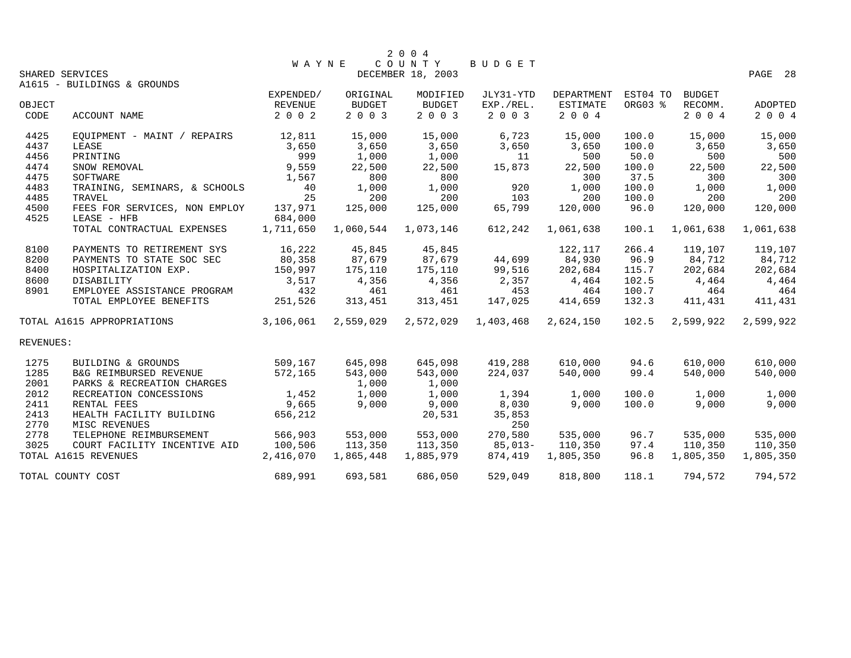|           |                               |           |               | 2 0 0 4           |           |                 |          |               |           |
|-----------|-------------------------------|-----------|---------------|-------------------|-----------|-----------------|----------|---------------|-----------|
|           |                               | WAYNE     |               | COUNTY            | BUDGET    |                 |          |               |           |
|           | SHARED SERVICES               |           |               | DECEMBER 18, 2003 |           |                 |          |               | PAGE 28   |
|           | A1615 - BUILDINGS & GROUNDS   |           |               |                   |           |                 |          |               |           |
|           |                               | EXPENDED/ | ORIGINAL      | MODIFIED          | JLY31-YTD | DEPARTMENT      | EST04 TO | <b>BUDGET</b> |           |
| OBJECT    |                               | REVENUE   | <b>BUDGET</b> | <b>BUDGET</b>     | EXP./REL. | <b>ESTIMATE</b> | ORG03 %  | RECOMM.       | ADOPTED   |
| CODE      | ACCOUNT NAME                  | 2 0 0 2   | 2003          | 2 0 0 3           | 2 0 0 3   | 2 0 0 4         |          | 2004          | 2 0 0 4   |
| 4425      | EOUIPMENT - MAINT / REPAIRS   | 12,811    | 15,000        | 15,000            | 6,723     | 15,000          | 100.0    | 15,000        | 15,000    |
| 4437      | LEASE                         | 3,650     | 3,650         | 3,650             | 3,650     | 3,650           | 100.0    | 3,650         | 3,650     |
| 4456      | PRINTING                      | 999       | 1,000         | 1,000             | 11        | 500             | 50.0     | 500           | 500       |
| 4474      | SNOW REMOVAL                  | 9,559     | 22,500        | 22,500            | 15,873    | 22,500          | 100.0    | 22,500        | 22,500    |
| 4475      | SOFTWARE                      | 1,567     | 800           | 800               |           | 300             | 37.5     | 300           | 300       |
| 4483      | TRAINING, SEMINARS, & SCHOOLS | 40        | 1,000         | 1,000             | 920       | 1,000           | 100.0    | 1,000         | 1,000     |
| 4485      | TRAVEL                        | 25        | 200           | 200               | 103       | 200             | 100.0    | 200           | 200       |
| 4500      | FEES FOR SERVICES, NON EMPLOY | 137,971   | 125,000       | 125,000           | 65,799    | 120,000         | 96.0     | 120,000       | 120,000   |
| 4525      | LEASE - HFB                   | 684,000   |               |                   |           |                 |          |               |           |
|           | TOTAL CONTRACTUAL EXPENSES    | 1,711,650 | 1,060,544     | 1,073,146         | 612,242   | 1,061,638       | 100.1    | 1,061,638     | 1,061,638 |
| 8100      | PAYMENTS TO RETIREMENT SYS    | 16,222    | 45,845        | 45,845            |           | 122,117         | 266.4    | 119,107       | 119,107   |
| 8200      | PAYMENTS TO STATE SOC SEC     | 80,358    | 87,679        | 87,679            | 44,699    | 84,930          | 96.9     | 84,712        | 84,712    |
| 8400      | HOSPITALIZATION EXP.          | 150,997   | 175,110       | 175,110           | 99,516    | 202,684         | 115.7    | 202,684       | 202,684   |
| 8600      | DISABILITY                    | 3,517     | 4,356         | 4,356             | 2,357     | 4,464           | 102.5    | 4,464         | 4,464     |
| 8901      | EMPLOYEE ASSISTANCE PROGRAM   | 432       | 461           | 461               | 453       | 464             | 100.7    | 464           | 464       |
|           | TOTAL EMPLOYEE BENEFITS       | 251,526   | 313,451       | 313,451           | 147,025   | 414,659         | 132.3    | 411,431       | 411,431   |
|           | TOTAL A1615 APPROPRIATIONS    | 3,106,061 | 2,559,029     | 2,572,029         | 1,403,468 | 2,624,150       | 102.5    | 2,599,922     | 2,599,922 |
| REVENUES: |                               |           |               |                   |           |                 |          |               |           |
| 1275      | BUILDING & GROUNDS            | 509,167   | 645,098       | 645,098           | 419,288   | 610,000         | 94.6     | 610,000       | 610,000   |
| 1285      | B&G REIMBURSED REVENUE        | 572,165   | 543,000       | 543,000           | 224,037   | 540,000         | 99.4     | 540,000       | 540,000   |
| 2001      | PARKS & RECREATION CHARGES    |           | 1,000         | 1,000             |           |                 |          |               |           |
| 2012      | RECREATION CONCESSIONS        | 1,452     | 1,000         | 1,000             | 1,394     | 1,000           | 100.0    | 1,000         | 1,000     |
| 2411      | RENTAL FEES                   | 9,665     | 9,000         | 9,000             | 8,030     | 9,000           | 100.0    | 9,000         | 9,000     |
| 2413      | HEALTH FACILITY BUILDING      | 656,212   |               | 20,531            | 35,853    |                 |          |               |           |
| 2770      | MISC REVENUES                 |           |               |                   | 250       |                 |          |               |           |
| 2778      | TELEPHONE REIMBURSEMENT       | 566,903   | 553,000       | 553,000           | 270,580   | 535,000         | 96.7     | 535,000       | 535,000   |
| 3025      | COURT FACILITY INCENTIVE AID  | 100,506   | 113,350       | 113,350           | $85,013-$ | 110,350         | 97.4     | 110,350       | 110,350   |
|           | TOTAL A1615 REVENUES          | 2,416,070 | 1,865,448     | 1,885,979         | 874,419   | 1,805,350       | 96.8     | 1,805,350     | 1,805,350 |
|           | TOTAL COUNTY COST             | 689,991   | 693,581       | 686,050           | 529,049   | 818,800         | 118.1    | 794,572       | 794,572   |
|           |                               |           |               |                   |           |                 |          |               |           |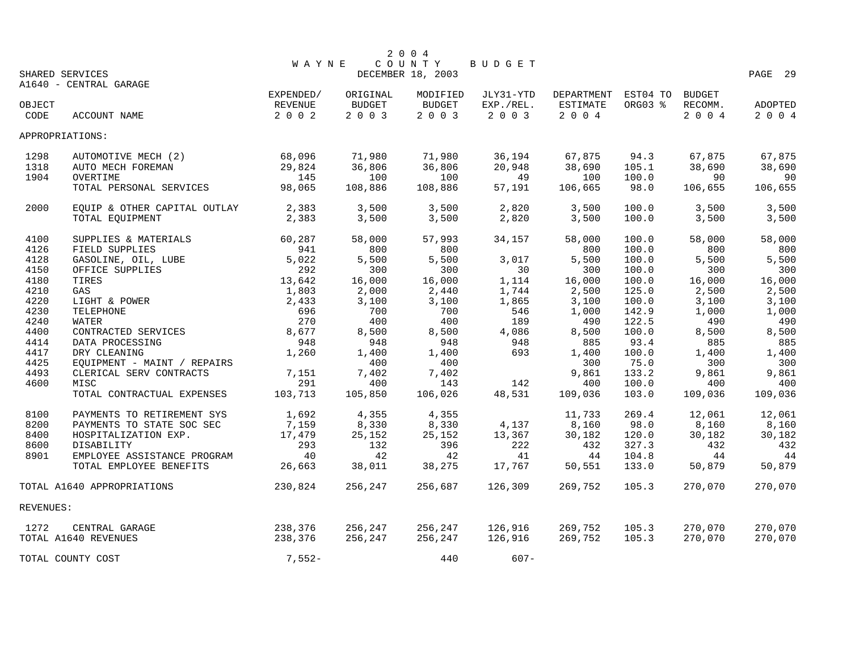|           |                              |              |          | 2 0 0 4           |               |                     |         |               |         |
|-----------|------------------------------|--------------|----------|-------------------|---------------|---------------------|---------|---------------|---------|
|           |                              | <b>WAYNE</b> |          | COUNTY            | <b>BUDGET</b> |                     |         |               |         |
|           | SHARED SERVICES              |              |          | DECEMBER 18, 2003 |               |                     |         |               | PAGE 29 |
|           | A1640 - CENTRAL GARAGE       |              |          |                   |               |                     |         |               |         |
|           |                              | EXPENDED/    | ORIGINAL | MODIFIED          | JLY31-YTD     | DEPARTMENT EST04 TO |         | <b>BUDGET</b> |         |
| OBJECT    |                              | REVENUE      | BUDGET   | BUDGET            | EXP./REL.     | ESTIMATE            | ORG03 % | RECOMM.       | ADOPTED |
| CODE      | ACCOUNT NAME                 | $2 0 0 2$    | 2 0 0 3  | 2 0 0 3           | 2 0 0 3       | 2 0 0 4             |         | 2 0 0 4       | 2004    |
|           | APPROPRIATIONS:              |              |          |                   |               |                     |         |               |         |
| 1298      | AUTOMOTIVE MECH (2)          | 68,096       | 71,980   | 71,980            | 36,194        | 67,875              | 94.3    | 67,875        | 67,875  |
| 1318      | AUTO MECH FOREMAN            | 29,824       | 36,806   | 36,806            | 20,948        | 38,690              | 105.1   | 38,690        | 38,690  |
| 1904      | OVERTIME                     | 145          | 100      | 100               | 49            | 100                 | 100.0   | 90            | 90      |
|           | TOTAL PERSONAL SERVICES      | 98,065       | 108,886  | 108,886           | 57,191        | 106,665             | 98.0    | 106,655       | 106,655 |
| 2000      | EQUIP & OTHER CAPITAL OUTLAY | 2,383        | 3,500    | 3,500             | 2,820         | 3,500               | 100.0   | 3.500         | 3,500   |
|           | TOTAL EQUIPMENT              | 2,383        | 3,500    | 3,500             | 2,820         | 3,500               | 100.0   | 3,500         | 3,500   |
| 4100      | SUPPLIES & MATERIALS         | 60,287       | 58,000   | 57,993            | 34,157        | 58,000              | 100.0   | 58,000        | 58,000  |
| 4126      | FIELD SUPPLIES               | 941          | 800      | 800               |               | 800                 | 100.0   | 800           | 800     |
| 4128      | GASOLINE, OIL, LUBE          | 5,022        | 5,500    | 5,500             | 3,017         | 5,500               | 100.0   | 5,500         | 5,500   |
| 4150      | OFFICE SUPPLIES              | 292          | 300      | 300               | 30            | 300                 | 100.0   | 300           | 300     |
| 4180      | TIRES                        | 13,642       | 16,000   | 16,000            | 1,114         | 16,000              | 100.0   | 16,000        | 16,000  |
| 4210      | GAS                          | 1,803        | 2,000    | 2,440             | 1,744         | 2,500               | 125.0   | 2,500         | 2,500   |
| 4220      | LIGHT & POWER                | 2,433        | 3,100    | 3,100             | 1,865         | 3,100               | 100.0   | 3,100         | 3,100   |
| 4230      | TELEPHONE                    | 696          | 700      | 700               | 546           | 1,000               | 142.9   | 1,000         | 1,000   |
| 4240      | WATER                        | 270          | 400      | 400               | 189           | 490                 | 122.5   | 490           | 490     |
| 4400      | CONTRACTED SERVICES          | 8,677        | 8,500    | 8,500             | 4,086         | 8,500               | 100.0   | 8,500         | 8,500   |
| 4414      | DATA PROCESSING              | 948          | 948      | 948               | 948           | 885                 | 93.4    | 885           | 885     |
| 4417      | DRY CLEANING                 | 1,260        | 1,400    | 1,400             | 693           | 1,400               | 100.0   | 1,400         | 1,400   |
| 4425      | EQUIPMENT - MAINT / REPAIRS  |              | 400      | 400               |               | 300                 | 75.0    | 300           | 300     |
| 4493      | CLERICAL SERV CONTRACTS      | 7,151        | 7,402    | 7,402             |               | 9,861               | 133.2   | 9,861         | 9,861   |
| 4600      | MISC                         | 291          | 400      | 143               | 142           | 400                 | 100.0   | 400           | 400     |
|           | TOTAL CONTRACTUAL EXPENSES   | 103,713      | 105,850  | 106,026           | 48,531        | 109,036             | 103.0   | 109,036       | 109,036 |
|           |                              |              |          |                   |               |                     |         |               |         |
| 8100      | PAYMENTS TO RETIREMENT SYS   | 1,692        | 4,355    | 4,355             |               | 11,733              | 269.4   | 12,061        | 12,061  |
| 8200      | PAYMENTS TO STATE SOC SEC    | 7,159        | 8,330    | 8,330             | 4,137         | 8,160               | 98.0    | 8,160         | 8,160   |
| 8400      | HOSPITALIZATION EXP.         | 17,479       | 25,152   | 25,152            | 13,367        | 30,182              | 120.0   | 30,182        | 30,182  |
| 8600      | DISABILITY                   | 293          | 132      | 396               | 222           | 432                 | 327.3   | 432           | 432     |
| 8901      | EMPLOYEE ASSISTANCE PROGRAM  | 40           | 42       | 42                | 41            | 44                  | 104.8   | 44            | 44      |
|           | TOTAL EMPLOYEE BENEFITS      | 26,663       | 38,011   | 38,275            | 17,767        | 50,551              | 133.0   | 50,879        | 50,879  |
|           | TOTAL A1640 APPROPRIATIONS   | 230,824      | 256,247  | 256,687           | 126,309       | 269,752             | 105.3   | 270,070       | 270,070 |
| REVENUES: |                              |              |          |                   |               |                     |         |               |         |
| 1272      | CENTRAL GARAGE               | 238,376      | 256,247  | 256,247           | 126,916       | 269,752             | 105.3   | 270,070       | 270,070 |
|           | TOTAL A1640 REVENUES         | 238,376      | 256,247  | 256,247           | 126,916       | 269,752             | 105.3   | 270,070       | 270,070 |
|           | TOTAL COUNTY COST            | $7,552-$     |          | 440               | $607 -$       |                     |         |               |         |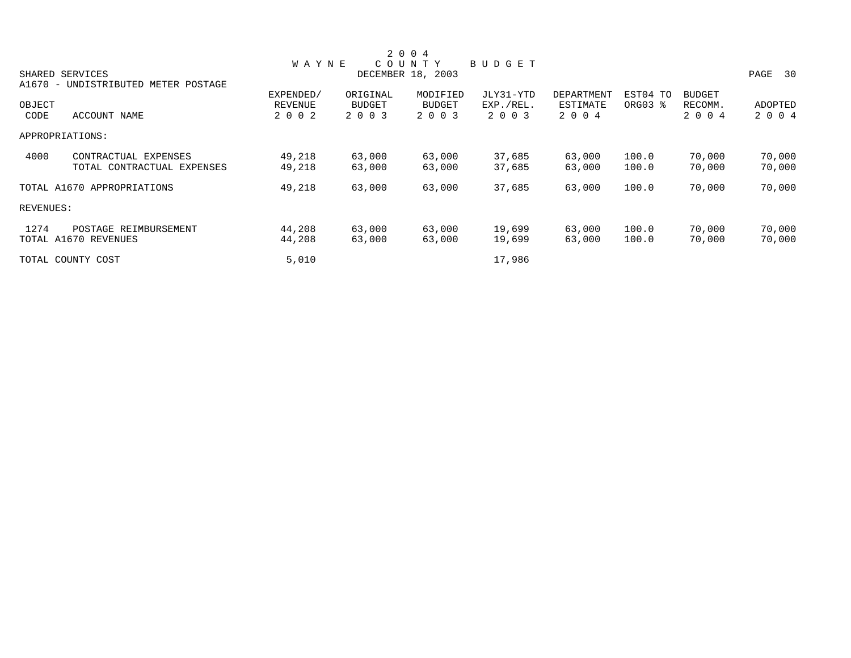|           |                                     |                |               | 2 0 0 4           |               |                   |          |               |            |
|-----------|-------------------------------------|----------------|---------------|-------------------|---------------|-------------------|----------|---------------|------------|
|           |                                     | <b>WAYNE</b>   |               | COUNTY            | <b>BUDGET</b> |                   |          |               |            |
|           | SHARED SERVICES                     |                |               | DECEMBER 18, 2003 |               |                   |          |               | PAGE<br>30 |
|           | A1670 - UNDISTRIBUTED METER POSTAGE |                |               |                   |               |                   |          |               |            |
|           |                                     | EXPENDED/      | ORIGINAL      | MODIFIED          | JLY31-YTD     | <b>DEPARTMENT</b> | EST04 TO | <b>BUDGET</b> |            |
| OBJECT    |                                     | <b>REVENUE</b> | <b>BUDGET</b> | <b>BUDGET</b>     | EXP./REL.     | ESTIMATE          | ORG03 %  | RECOMM.       | ADOPTED    |
| CODE      | ACCOUNT NAME                        | 2 0 0 2        | 2 0 0 3       | 2 0 0 3           | 2 0 0 3       | 2 0 0 4           |          | 2 0 0 4       | 2 0 0 4    |
|           | APPROPRIATIONS:                     |                |               |                   |               |                   |          |               |            |
| 4000      | CONTRACTUAL EXPENSES                | 49,218         | 63,000        | 63,000            | 37,685        | 63,000            | 100.0    | 70,000        | 70,000     |
|           | TOTAL CONTRACTUAL EXPENSES          | 49,218         | 63,000        | 63,000            | 37,685        | 63,000            | 100.0    | 70,000        | 70,000     |
|           | TOTAL A1670 APPROPRIATIONS          | 49,218         | 63,000        | 63,000            | 37,685        | 63,000            | 100.0    | 70,000        | 70,000     |
| REVENUES: |                                     |                |               |                   |               |                   |          |               |            |
| 1274      | POSTAGE REIMBURSEMENT               | 44,208         | 63,000        | 63,000            | 19,699        | 63,000            | 100.0    | 70,000        | 70,000     |
|           | TOTAL A1670 REVENUES                | 44,208         | 63,000        | 63,000            | 19,699        | 63,000            | 100.0    | 70,000        | 70,000     |
|           | TOTAL COUNTY COST                   | 5,010          |               |                   | 17,986        |                   |          |               |            |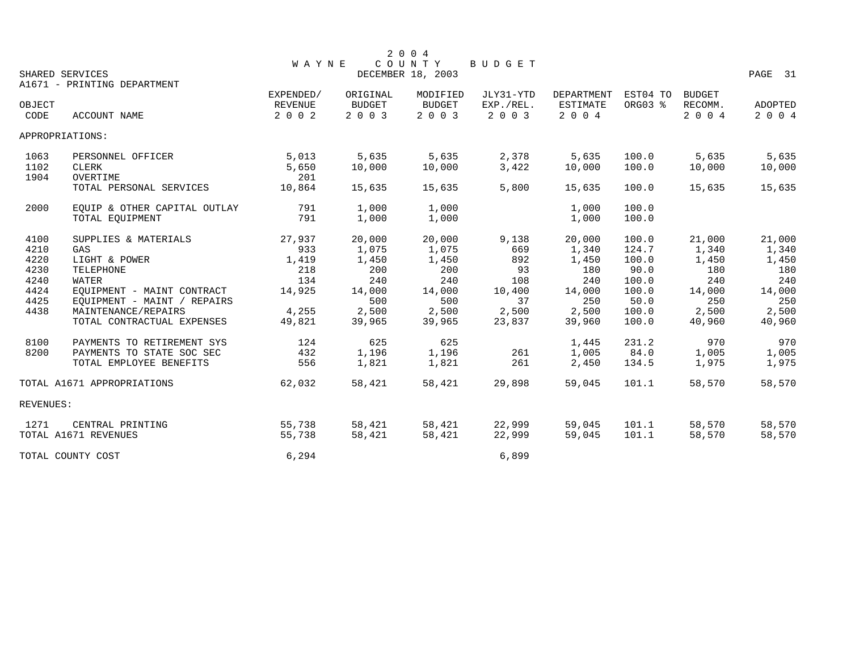|           |                              |              |               | 2 0 0 4           |           |                   |          |               |         |
|-----------|------------------------------|--------------|---------------|-------------------|-----------|-------------------|----------|---------------|---------|
|           |                              | <b>WAYNE</b> |               | COUNTY            | BUDGET    |                   |          |               |         |
|           | SHARED SERVICES              |              |               | DECEMBER 18, 2003 |           |                   |          |               | PAGE 31 |
|           | A1671 - PRINTING DEPARTMENT  |              |               |                   |           |                   |          |               |         |
|           |                              | EXPENDED/    | ORIGINAL      | MODIFIED          | JLY31-YTD | <b>DEPARTMENT</b> | EST04 TO | <b>BUDGET</b> |         |
| OBJECT    |                              | REVENUE      | <b>BUDGET</b> | <b>BUDGET</b>     | EXP./REL. | ESTIMATE          | ORG03 %  | RECOMM.       | ADOPTED |
| CODE      | ACCOUNT NAME                 | 2 0 0 2      | 2 0 0 3       | 2 0 0 3           | 2 0 0 3   | 2004              |          | 2 0 0 4       | 2 0 0 4 |
|           | APPROPRIATIONS:              |              |               |                   |           |                   |          |               |         |
| 1063      | PERSONNEL OFFICER            | 5,013        | 5,635         | 5,635             | 2,378     | 5,635             | 100.0    | 5,635         | 5,635   |
| 1102      | <b>CLERK</b>                 | 5,650        | 10,000        | 10,000            | 3,422     | 10,000            | 100.0    | 10,000        | 10,000  |
| 1904      | OVERTIME                     | 201          |               |                   |           |                   |          |               |         |
|           | TOTAL PERSONAL SERVICES      | 10,864       | 15,635        | 15,635            | 5,800     | 15,635            | 100.0    | 15,635        | 15,635  |
| 2000      | EQUIP & OTHER CAPITAL OUTLAY | 791          | 1,000         | 1,000             |           | 1,000             | 100.0    |               |         |
|           | TOTAL EQUIPMENT              | 791          | 1,000         | 1,000             |           | 1,000             | 100.0    |               |         |
| 4100      | SUPPLIES & MATERIALS         | 27,937       | 20,000        | 20,000            | 9,138     | 20,000            | 100.0    | 21,000        | 21,000  |
| 4210      | GAS                          | 933          | 1,075         | 1,075             | 669       | 1,340             | 124.7    | 1,340         | 1,340   |
| 4220      | LIGHT & POWER                | 1,419        | 1,450         | 1,450             | 892       | 1,450             | 100.0    | 1,450         | 1,450   |
| 4230      | TELEPHONE                    | 218          | 200           | 200               | 93        | 180               | 90.0     | 180           | 180     |
| 4240      | WATER                        | 134          | 240           | 240               | 108       | 240               | 100.0    | 240           | 240     |
| 4424      | EQUIPMENT - MAINT CONTRACT   | 14,925       | 14,000        | 14,000            | 10,400    | 14,000            | 100.0    | 14,000        | 14,000  |
| 4425      | EQUIPMENT - MAINT / REPAIRS  |              | 500           | 500               | 37        | 250               | 50.0     | 250           | 250     |
| 4438      | MAINTENANCE/REPAIRS          | 4,255        | 2,500         | 2,500             | 2,500     | 2,500             | 100.0    | 2,500         | 2,500   |
|           | TOTAL CONTRACTUAL EXPENSES   | 49,821       | 39,965        | 39,965            | 23,837    | 39,960            | 100.0    | 40,960        | 40,960  |
| 8100      | PAYMENTS TO RETIREMENT SYS   | 124          | 625           | 625               |           | 1,445             | 231.2    | 970           | 970     |
| 8200      | PAYMENTS TO STATE SOC SEC    | 432          | 1,196         | 1,196             | 261       | 1,005             | 84.0     | 1,005         | 1,005   |
|           | TOTAL EMPLOYEE BENEFITS      | 556          | 1,821         | 1,821             | 261       | 2,450             | 134.5    | 1,975         | 1,975   |
|           | TOTAL A1671 APPROPRIATIONS   | 62,032       | 58,421        | 58,421            | 29,898    | 59,045            | 101.1    | 58,570        | 58,570  |
| REVENUES: |                              |              |               |                   |           |                   |          |               |         |
| 1271      | CENTRAL PRINTING             | 55,738       | 58,421        | 58,421            | 22,999    | 59,045            | 101.1    | 58,570        | 58,570  |
|           | TOTAL A1671 REVENUES         | 55,738       | 58,421        | 58,421            | 22,999    | 59,045            | 101.1    | 58,570        | 58,570  |
|           | TOTAL COUNTY COST            | 6,294        |               |                   | 6,899     |                   |          |               |         |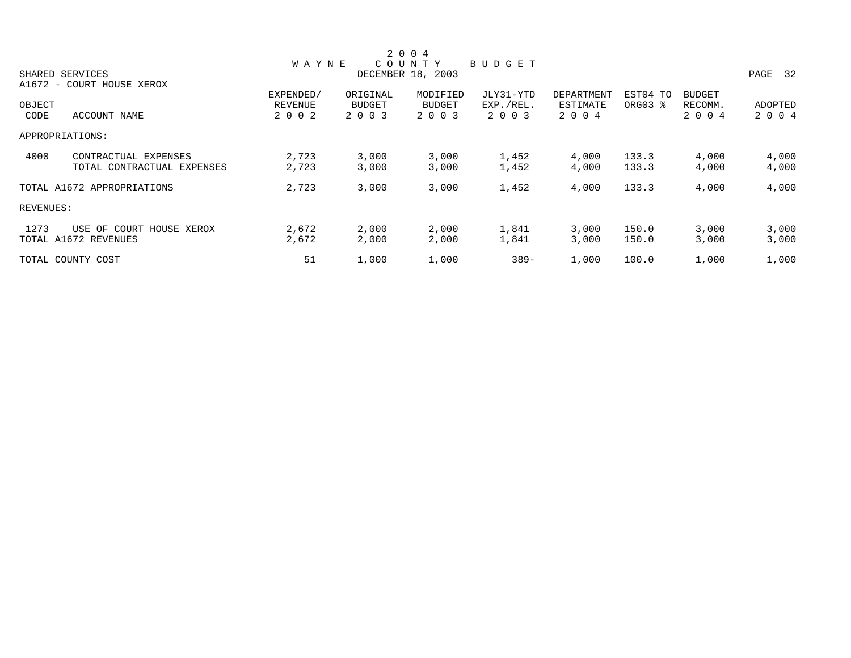|           |                            |              |               | 2 0 0 4           |           |            |          |               |            |
|-----------|----------------------------|--------------|---------------|-------------------|-----------|------------|----------|---------------|------------|
|           |                            | <b>WAYNE</b> |               | COUNTY            | BUDGET    |            |          |               |            |
|           | SHARED SERVICES            |              |               | DECEMBER 18, 2003 |           |            |          |               | 32<br>PAGE |
|           | A1672 - COURT HOUSE XEROX  |              |               |                   |           |            |          |               |            |
|           |                            | EXPENDED/    | ORIGINAL      | MODIFIED          | JLY31-YTD | DEPARTMENT | EST04 TO | <b>BUDGET</b> |            |
| OBJECT    |                            | REVENUE      | <b>BUDGET</b> | <b>BUDGET</b>     | EXP./REL. | ESTIMATE   | ORG03 %  | RECOMM.       | ADOPTED    |
| CODE      | ACCOUNT NAME               | 2 0 0 2      | 2 0 0 3       | 2 0 0 3           | 2 0 0 3   | 2 0 0 4    |          | 2 0 0 4       | 2 0 0 4    |
|           | APPROPRIATIONS:            |              |               |                   |           |            |          |               |            |
| 4000      | CONTRACTUAL EXPENSES       | 2,723        | 3,000         | 3,000             | 1,452     | 4,000      | 133.3    | 4,000         | 4,000      |
|           | TOTAL CONTRACTUAL EXPENSES | 2,723        | 3,000         | 3,000             | 1,452     | 4,000      | 133.3    | 4,000         | 4,000      |
|           | TOTAL A1672 APPROPRIATIONS | 2,723        | 3,000         | 3,000             | 1,452     | 4,000      | 133.3    | 4,000         | 4,000      |
| REVENUES: |                            |              |               |                   |           |            |          |               |            |
| 1273      | USE OF COURT HOUSE XEROX   | 2,672        | 2,000         | 2,000             | 1,841     | 3,000      | 150.0    | 3,000         | 3,000      |
|           | TOTAL A1672 REVENUES       | 2,672        | 2,000         | 2,000             | 1,841     | 3,000      | 150.0    | 3,000         | 3,000      |
|           | TOTAL COUNTY COST          | 51           | 1,000         | 1,000             | $389 -$   | 1,000      | 100.0    | 1,000         | 1,000      |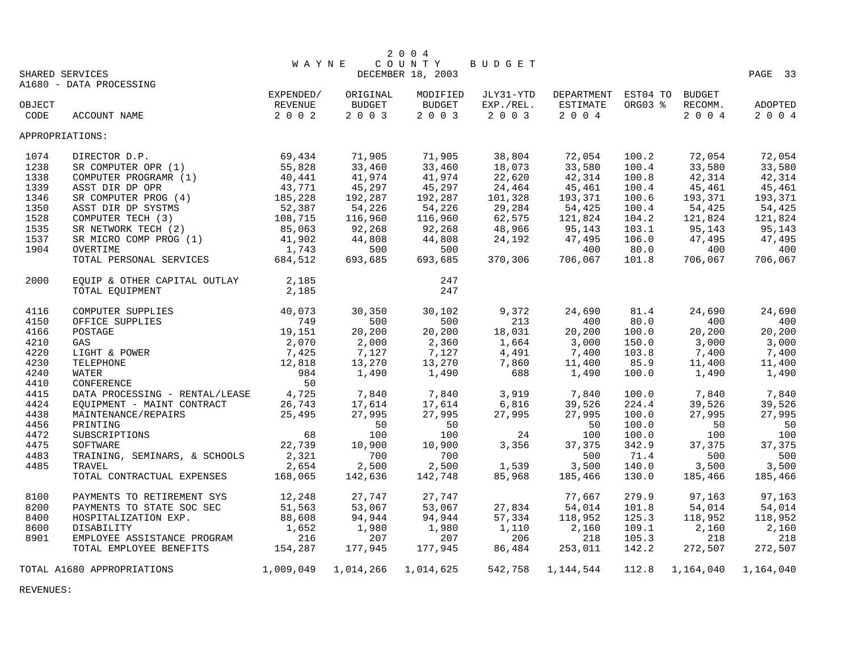|        |                                |                  |           | 2 0 0 4           |               |                            |         |           |           |
|--------|--------------------------------|------------------|-----------|-------------------|---------------|----------------------------|---------|-----------|-----------|
|        |                                | <b>WAYNE</b>     |           | C O U N T Y       | <b>BUDGET</b> |                            |         |           |           |
|        | SHARED SERVICES                |                  |           | DECEMBER 18, 2003 |               |                            |         |           | PAGE 33   |
|        | A1680 - DATA PROCESSING        |                  |           |                   |               |                            |         |           |           |
|        |                                | EXPENDED/        | ORIGINAL  | MODIFIED          | JLY31-YTD     | DEPARTMENT EST04 TO BUDGET |         |           |           |
| OBJECT |                                | REVENUE          | BUDGET    | BUDGET            | EXP./REL.     | ESTIMATE                   | ORG03 % | RECOMM.   | ADOPTED   |
| CODE   | <b>ACCOUNT NAME</b>            | 2 0 0 2          | 2 0 0 3   | 2003              | 2 0 0 3       | 2 0 0 4                    |         | 2004      | 2 0 0 4   |
|        | APPROPRIATIONS:                |                  |           |                   |               |                            |         |           |           |
| 1074   | DIRECTOR D.P.                  | 69,434<br>55,828 | 71,905    | 71,905            | 38,804        | 72,054                     | 100.2   | 72,054    | 72,054    |
| 1238   | SR COMPUTER OPR (1)            |                  | 33,460    | 33,460            | 18,073        | 33,580                     | 100.4   | 33,580    | 33,580    |
| 1338   | COMPUTER PROGRAMR (1)          | 40,441           | 41,974    | 41,974            | 22,620        | 42,314                     | 100.8   | 42,314    | 42,314    |
| 1339   | ASST DIR DP OPR                | 43,771           | 45,297    | 45,297            | 24,464        | 45,461                     | 100.4   | 45,461    | 45,461    |
| 1346   | SR COMPUTER PROG (4)           | 185,228          | 192,287   | 192,287           | 101,328       | 193,371                    | 100.6   | 193,371   | 193,371   |
| 1350   | ASST DIR DP SYSTMS             | 52,387           | 54,226    | 54,226            | 29,284        | 54,425                     | 100.4   | 54,425    | 54,425    |
| 1528   | COMPUTER TECH (3)              | 108,715          | 116,960   | 116,960           | 62,575        | 121,824                    | 104.2   | 121,824   | 121,824   |
| 1535   | SR NETWORK TECH (2)            | 85,063           | 92,268    | 92,268            | 48,966        | 95,143                     | 103.1   | 95,143    | 95,143    |
| 1537   | SR MICRO COMP PROG (1)         | 41,902           | 44,808    | 44,808            | 24,192        | 47,495                     | 106.0   | 47,495    | 47,495    |
| 1904   | OVERTIME                       | 1,743            | 500       | 500               |               | 400                        | 80.0    | 400       | 400       |
|        | TOTAL PERSONAL SERVICES        | 684,512          | 693,685   | 693,685           | 370,306       | 706,067                    | 101.8   | 706,067   | 706,067   |
| 2000   | EQUIP & OTHER CAPITAL OUTLAY   | 2,185            |           | 247               |               |                            |         |           |           |
|        | TOTAL EQUIPMENT                | 2,185            |           | 247               |               |                            |         |           |           |
|        |                                |                  |           |                   |               |                            |         |           |           |
| 4116   | COMPUTER SUPPLIES              | 40,073           | 30,350    | 30,102            | 9,372         | 24,690                     | 81.4    | 24,690    | 24,690    |
| 4150   | OFFICE SUPPLIES                | 749              | 500       | 500               | 213           | 400                        | 80.0    | 400       | 400       |
| 4166   | POSTAGE                        | 19,151           | 20,200    | 20,200            | 18,031        | 20,200                     | 100.0   | 20,200    | 20,200    |
| 4210   | GAS                            | 2,070            | 2,000     | 2,360             | 1,664         | 3,000                      | 150.0   | 3,000     | 3,000     |
| 4220   | LIGHT & POWER                  | 7,425            | 7,127     | 7,127             | 4,491         | 7,400                      | 103.8   | 7,400     | 7,400     |
| 4230   | TELEPHONE                      | 12,818           | 13,270    | 13,270            | 7,860         | 11,400                     | 85.9    | 11,400    | 11,400    |
| 4240   | WATER                          | 984              | 1,490     | 1,490             | 688           | 1,490                      | 100.0   | 1,490     | 1,490     |
| 4410   | CONFERENCE                     | 50               |           |                   |               |                            |         |           |           |
| 4415   | DATA PROCESSING - RENTAL/LEASE | 4,725            | 7,840     | 7,840             | 3,919         | 7,840                      | 100.0   | 7,840     | 7,840     |
| 4424   | EQUIPMENT - MAINT CONTRACT     | 26,743           | 17,614    | 17,614            | 6,816         | 39,526                     | 224.4   | 39,526    | 39,526    |
| 4438   | MAINTENANCE/REPAIRS            | 25,495           | 27,995    | 27,995            | 27,995        | 27,995                     | 100.0   | 27,995    | 27,995    |
| 4456   | PRINTING                       |                  | 50        | 50                |               | 50                         | 100.0   | 50        | 50        |
| 4472   | SUBSCRIPTIONS                  | 68               | 100       | 100               | 24            | 100                        | 100.0   | 100       | 100       |
| 4475   | SOFTWARE                       | 22,739           | 10,900    | 10,900            | 3,356         | 37,375                     | 342.9   | 37,375    | 37,375    |
| 4483   | TRAINING, SEMINARS, & SCHOOLS  | 2,321            | 700       | 700               |               | 500                        | 71.4    | 500       | 500       |
| 4485   | TRAVEL                         | 2,654            | 2,500     | 2,500             | 1,539         | 3,500                      | 140.0   | 3,500     | 3,500     |
|        | TOTAL CONTRACTUAL EXPENSES     | 168,065          | 142,636   | 142,748           | 85,968        | 185,466                    | 130.0   | 185,466   | 185,466   |
| 8100   | PAYMENTS TO RETIREMENT SYS     | 12,248           | 27,747    | 27,747            |               | 77,667                     | 279.9   | 97,163    | 97,163    |
| 8200   | PAYMENTS TO STATE SOC SEC      | 51,563           | 53,067    | 53,067            | 27,834        | 54,014                     | 101.8   | 54,014    | 54,014    |
| 8400   | HOSPITALIZATION EXP.           | 88,608           | 94,944    | 94,944            | 57,334        | 118,952                    | 125.3   | 118,952   | 118,952   |
| 8600   | DISABILITY                     | 1,652            | 1,980     | 1,980             | 1,110         | 2,160                      | 109.1   | 2,160     | 2,160     |
| 8901   | EMPLOYEE ASSISTANCE PROGRAM    | 216              | 207       | 207               | 206           | 218                        | 105.3   | 218       | 218       |
|        | TOTAL EMPLOYEE BENEFITS        | 154,287          | 177,945   | 177,945           | 86,484        | 253,011                    | 142.2   | 272,507   | 272,507   |
|        | TOTAL A1680 APPROPRIATIONS     | 1,009,049        | 1,014,266 | 1,014,625         | 542,758       | 1,144,544                  | 112.8   | 1,164,040 | 1,164,040 |

REVENUES: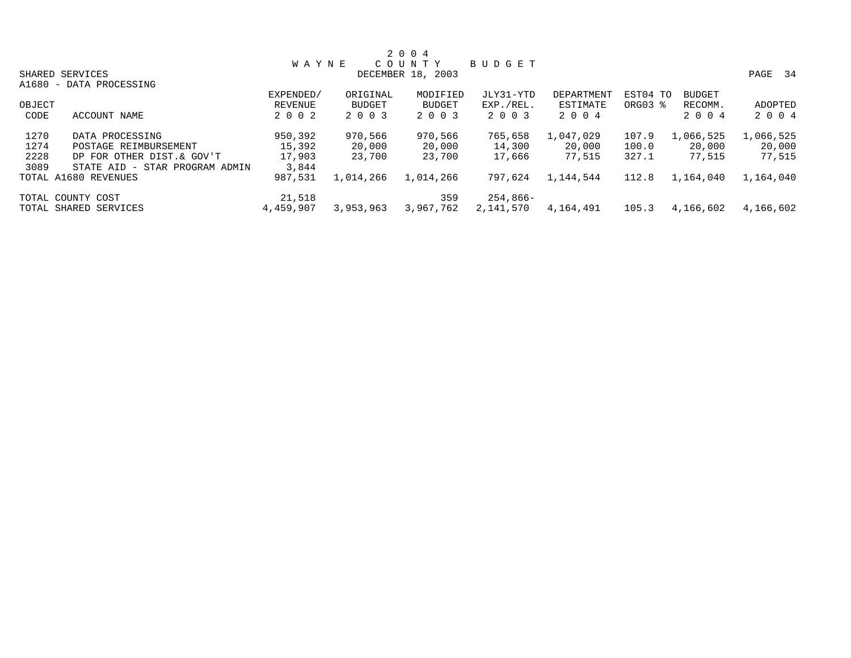|        |                                |              |               | 2 0 0 4           |           |            |          |               |           |
|--------|--------------------------------|--------------|---------------|-------------------|-----------|------------|----------|---------------|-----------|
|        |                                | <b>WAYNE</b> |               | COUNTY            | BUDGET    |            |          |               |           |
|        | SHARED SERVICES                |              |               | DECEMBER 18, 2003 |           |            |          |               | PAGE 34   |
|        | A1680 - DATA PROCESSING        |              |               |                   |           |            |          |               |           |
|        |                                | EXPENDED/    | ORIGINAL      | MODIFIED          | JLY31-YTD | DEPARTMENT | EST04 TO | <b>BUDGET</b> |           |
| OBJECT |                                | REVENUE      | <b>BUDGET</b> | <b>BUDGET</b>     | EXP./REL. | ESTIMATE   | ORG03 %  | RECOMM.       | ADOPTED   |
| CODE   | ACCOUNT NAME                   | 2 0 0 2      | 2 0 0 3       | 2 0 0 3           | 2 0 0 3   | 2 0 0 4    |          | 2 0 0 4       | 2 0 0 4   |
| 1270   | DATA PROCESSING                | 950,392      | 970,566       | 970,566           | 765,658   | 1,047,029  | 107.9    | 1,066,525     | 1,066,525 |
| 1274   | POSTAGE REIMBURSEMENT          | 15,392       | 20,000        | 20,000            | 14,300    | 20,000     | 100.0    | 20,000        | 20,000    |
| 2228   | DP FOR OTHER DIST.& GOV'T      | 17,903       | 23,700        | 23,700            | 17,666    | 77,515     | 327.1    | 77,515        | 77,515    |
| 3089   | STATE AID - STAR PROGRAM ADMIN | 3,844        |               |                   |           |            |          |               |           |
|        | TOTAL A1680 REVENUES           | 987,531      | 1,014,266     | 1,014,266         | 797,624   | 1,144,544  | 112.8    | 1,164,040     | 1,164,040 |
|        | TOTAL COUNTY COST              | 21,518       |               | 359               | 254,866-  |            |          |               |           |
|        | TOTAL SHARED SERVICES          | 4,459,907    | 3,953,963     | 3,967,762         | 2,141,570 | 4,164,491  | 105.3    | 4,166,602     | 4,166,602 |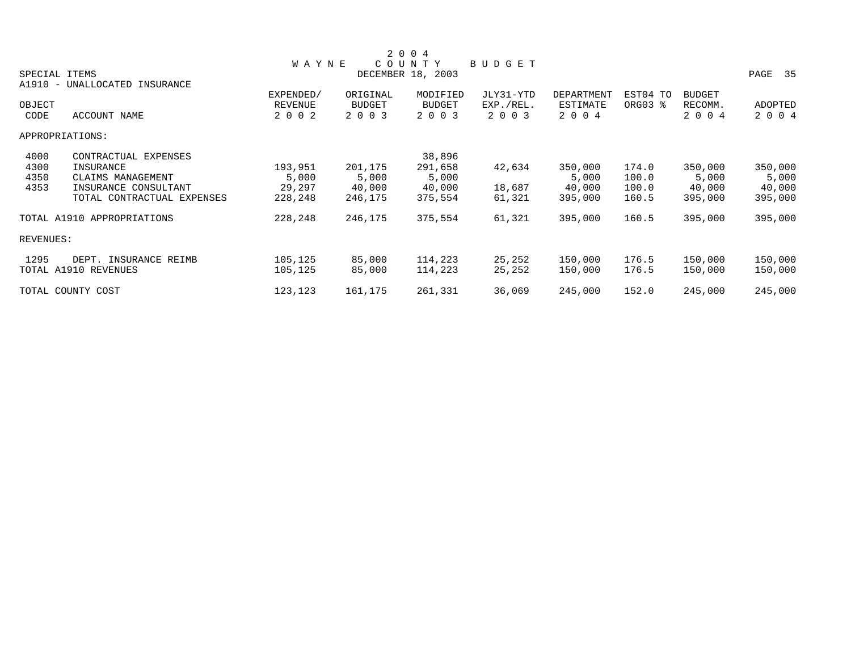|               |                            |              |               | 2 0 0 4           |               |            |          |               |         |
|---------------|----------------------------|--------------|---------------|-------------------|---------------|------------|----------|---------------|---------|
|               |                            | <b>WAYNE</b> |               | COUNTY            | <b>BUDGET</b> |            |          |               |         |
| SPECIAL ITEMS |                            |              |               | DECEMBER 18, 2003 |               |            |          |               | PAGE 35 |
| A1910 -       | UNALLOCATED<br>INSURANCE   |              |               |                   |               |            |          |               |         |
|               |                            | EXPENDED/    | ORIGINAL      | MODIFIED          | JLY31-YTD     | DEPARTMENT | EST04 TO | <b>BUDGET</b> |         |
| OBJECT        |                            | REVENUE      | <b>BUDGET</b> | <b>BUDGET</b>     | EXP./REL.     | ESTIMATE   | ORG03 %  | RECOMM.       | ADOPTED |
| CODE          | ACCOUNT NAME               | 2 0 0 2      | 2 0 0 3       | 2 0 0 3           | 2 0 0 3       | 2 0 0 4    |          | 2 0 0 4       | 2 0 0 4 |
|               | APPROPRIATIONS:            |              |               |                   |               |            |          |               |         |
| 4000          | CONTRACTUAL EXPENSES       |              |               | 38,896            |               |            |          |               |         |
| 4300          | INSURANCE                  | 193,951      | 201,175       | 291,658           | 42,634        | 350,000    | 174.0    | 350,000       | 350,000 |
| 4350          | CLAIMS MANAGEMENT          | 5,000        | 5,000         | 5,000             |               | 5,000      | 100.0    | 5,000         | 5,000   |
| 4353          | INSURANCE CONSULTANT       | 29,297       | 40,000        | 40,000            | 18,687        | 40,000     | 100.0    | 40,000        | 40,000  |
|               | TOTAL CONTRACTUAL EXPENSES | 228,248      | 246,175       | 375,554           | 61,321        | 395,000    | 160.5    | 395,000       | 395,000 |
|               | TOTAL A1910 APPROPRIATIONS | 228,248      | 246,175       | 375,554           | 61,321        | 395,000    | 160.5    | 395,000       | 395,000 |
| REVENUES:     |                            |              |               |                   |               |            |          |               |         |
| 1295          | DEPT. INSURANCE REIMB      | 105,125      | 85,000        | 114,223           | 25,252        | 150,000    | 176.5    | 150,000       | 150,000 |
|               | TOTAL A1910 REVENUES       | 105,125      | 85,000        | 114,223           | 25,252        | 150,000    | 176.5    | 150,000       | 150,000 |
|               | TOTAL COUNTY COST          | 123,123      | 161,175       | 261,331           | 36,069        | 245,000    | 152.0    | 245,000       | 245,000 |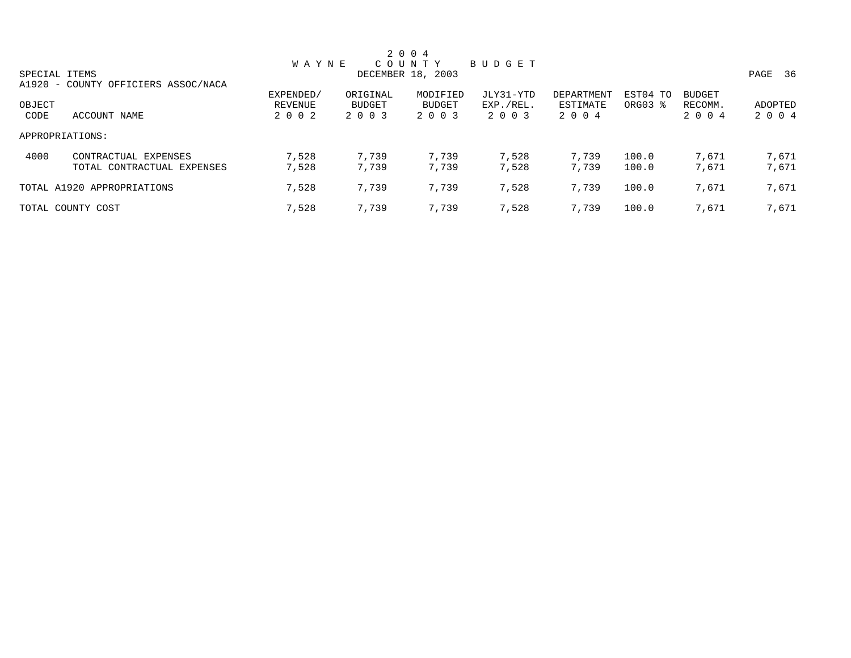| 2 0 0 4       |                                     |              |          |                   |               |            |                     |               |              |  |
|---------------|-------------------------------------|--------------|----------|-------------------|---------------|------------|---------------------|---------------|--------------|--|
|               |                                     | <b>WAYNE</b> |          | COUNTY            | <b>BUDGET</b> |            |                     |               |              |  |
| SPECIAL ITEMS |                                     |              |          | DECEMBER 18, 2003 |               |            |                     |               | - 36<br>PAGE |  |
|               | A1920 - COUNTY OFFICIERS ASSOC/NACA |              |          |                   |               |            |                     |               |              |  |
|               |                                     | EXPENDED/    | ORIGINAL | MODIFIED          | JLY31-YTD     | DEPARTMENT | EST04 TO            | <b>BUDGET</b> |              |  |
| OBJECT        |                                     | REVENUE      | BUDGET   | <b>BUDGET</b>     | EXP./REL.     | ESTIMATE   | ORG03 $\frac{1}{6}$ | RECOMM.       | ADOPTED      |  |
| CODE          | ACCOUNT NAME                        | 2 0 0 2      | 2 0 0 3  | 2 0 0 3           | 2 0 0 3       | 2 0 0 4    |                     | 2 0 0 4       | 2 0 0 4      |  |
|               | APPROPRIATIONS:                     |              |          |                   |               |            |                     |               |              |  |
| 4000          | CONTRACTUAL EXPENSES                | 7,528        | 7,739    | 7,739             | 7,528         | 7,739      | 100.0               | 7,671         | 7,671        |  |
|               | TOTAL CONTRACTUAL EXPENSES          | 7,528        | 7,739    | 7,739             | 7,528         | 7,739      | 100.0               | 7,671         | 7,671        |  |
|               | TOTAL A1920 APPROPRIATIONS          | 7,528        | 7,739    | 7,739             | 7,528         | 7,739      | 100.0               | 7,671         | 7,671        |  |
|               | TOTAL COUNTY COST                   | 7,528        | 7,739    | 7,739             | 7,528         | 7,739      | 100.0               | 7,671         | 7,671        |  |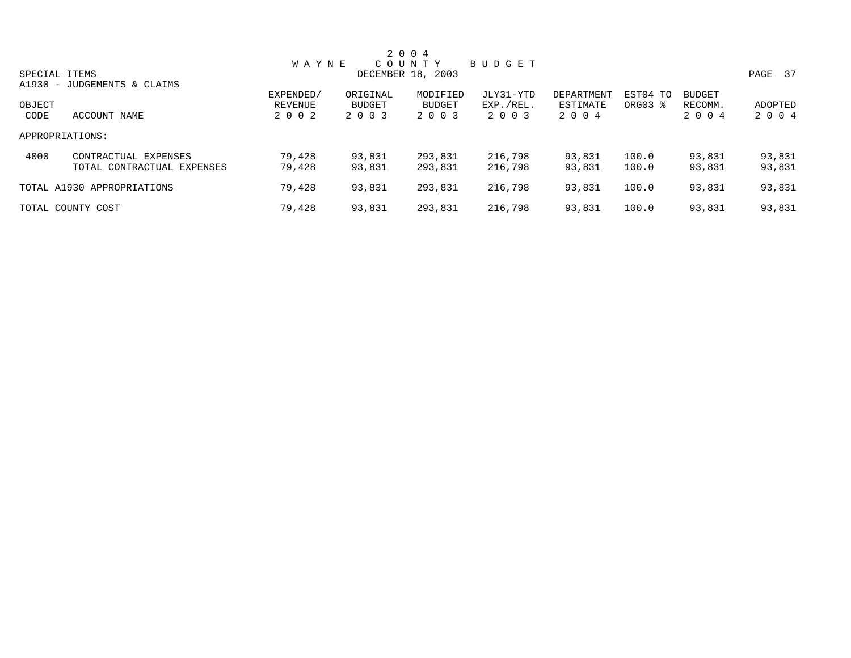| 2 0 0 4         |                             |              |          |                   |           |            |          |               |         |  |
|-----------------|-----------------------------|--------------|----------|-------------------|-----------|------------|----------|---------------|---------|--|
|                 |                             | <b>WAYNE</b> |          | COUNTY            | BUDGET    |            |          |               |         |  |
| SPECIAL ITEMS   |                             |              |          | DECEMBER 18, 2003 |           |            |          |               | PAGE 37 |  |
|                 | A1930 - JUDGEMENTS & CLAIMS |              |          |                   |           |            |          |               |         |  |
|                 |                             | EXPENDED/    | ORIGINAL | MODIFIED          | JLY31-YTD | DEPARTMENT | EST04 TO | <b>BUDGET</b> |         |  |
| OBJECT          |                             | REVENUE      | BUDGET   | <b>BUDGET</b>     | EXP./REL. | ESTIMATE   | ORG03 %  | RECOMM.       | ADOPTED |  |
| CODE            | ACCOUNT NAME                | 2 0 0 2      | 2 0 0 3  | 2 0 0 3           | 2 0 0 3   | 2 0 0 4    |          | 2 0 0 4       | 2 0 0 4 |  |
| APPROPRIATIONS: |                             |              |          |                   |           |            |          |               |         |  |
| 4000            | CONTRACTUAL EXPENSES        | 79,428       | 93,831   | 293,831           | 216,798   | 93,831     | 100.0    | 93,831        | 93,831  |  |
|                 | TOTAL CONTRACTUAL EXPENSES  | 79,428       | 93,831   | 293,831           | 216,798   | 93,831     | 100.0    | 93,831        | 93,831  |  |
|                 | TOTAL A1930 APPROPRIATIONS  | 79,428       | 93,831   | 293,831           | 216,798   | 93,831     | 100.0    | 93,831        | 93,831  |  |
|                 | TOTAL COUNTY COST           | 79,428       | 93,831   | 293,831           | 216,798   | 93,831     | 100.0    | 93,831        | 93,831  |  |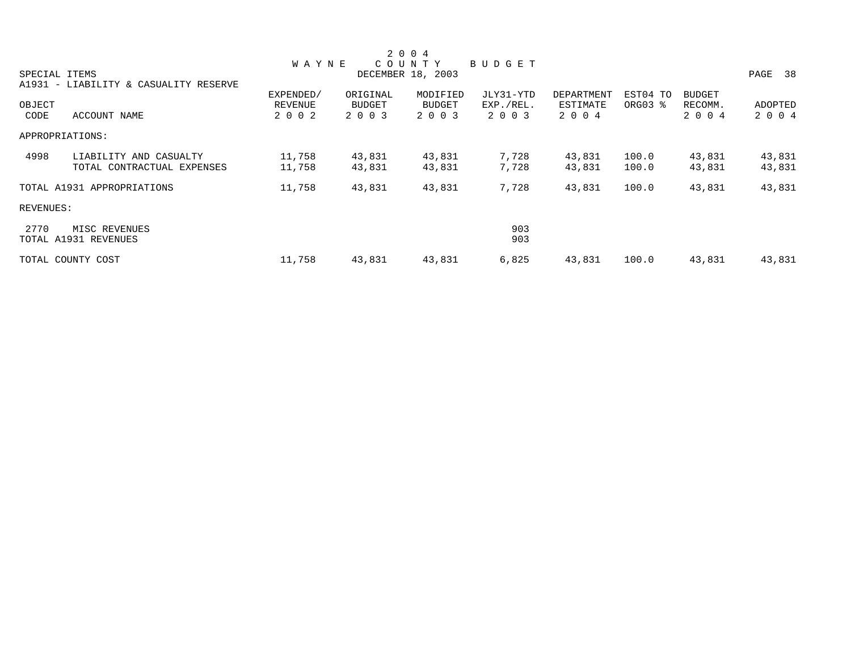|               |                                       |                |          | 2 0 0 4           |               |                   |          |               |         |
|---------------|---------------------------------------|----------------|----------|-------------------|---------------|-------------------|----------|---------------|---------|
|               |                                       | <b>WAYNE</b>   |          | COUNTY            | <b>BUDGET</b> |                   |          |               |         |
| SPECIAL ITEMS |                                       |                |          | DECEMBER 18, 2003 |               |                   |          |               | PAGE 38 |
|               | A1931 - LIABILITY & CASUALITY RESERVE |                |          |                   |               |                   |          |               |         |
|               |                                       | EXPENDED/      | ORIGINAL | MODIFIED          | JLY31-YTD     | <b>DEPARTMENT</b> | EST04 TO | <b>BUDGET</b> |         |
| OBJECT        |                                       | <b>REVENUE</b> | BUDGET   | <b>BUDGET</b>     | EXP./REL.     | ESTIMATE          | ORG03 %  | RECOMM.       | ADOPTED |
| CODE          | ACCOUNT NAME                          | 2 0 0 2        | 2 0 0 3  | 2 0 0 3           | 2 0 0 3       | 2 0 0 4           |          | 2 0 0 4       | 2 0 0 4 |
|               | APPROPRIATIONS:                       |                |          |                   |               |                   |          |               |         |
| 4998          | LIABILITY AND CASUALTY                | 11,758         | 43,831   | 43,831            | 7,728         | 43,831            | 100.0    | 43,831        | 43,831  |
|               | TOTAL CONTRACTUAL EXPENSES            | 11,758         | 43,831   | 43,831            | 7,728         | 43,831            | 100.0    | 43,831        | 43,831  |
|               | TOTAL A1931 APPROPRIATIONS            | 11,758         | 43,831   | 43,831            | 7,728         | 43,831            | 100.0    | 43,831        | 43,831  |
| REVENUES:     |                                       |                |          |                   |               |                   |          |               |         |
| 2770          | MISC REVENUES                         |                |          |                   | 903           |                   |          |               |         |
|               | TOTAL A1931 REVENUES                  |                |          |                   | 903           |                   |          |               |         |
|               | TOTAL COUNTY COST                     | 11,758         | 43,831   | 43,831            | 6,825         | 43,831            | 100.0    | 43,831        | 43,831  |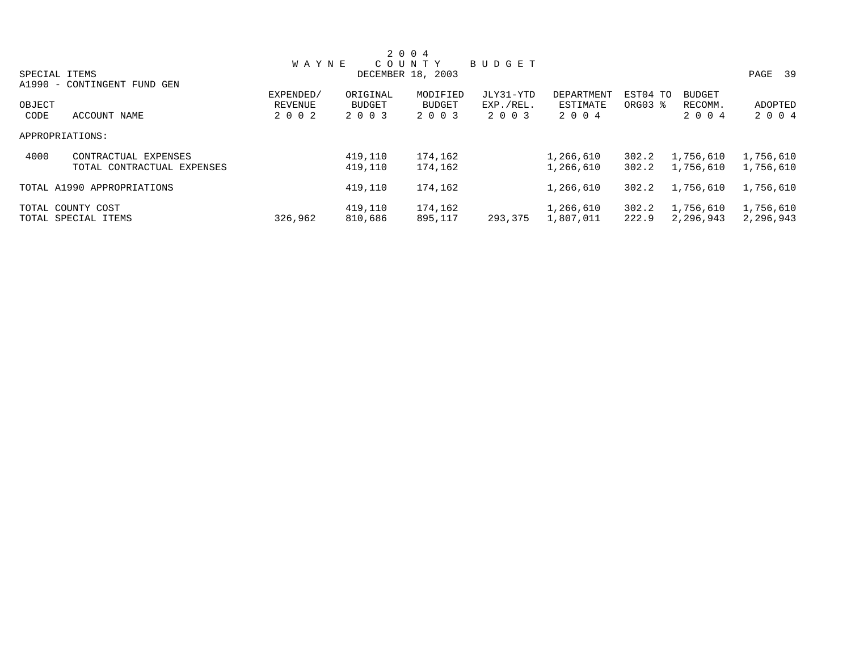| 2 0 0 4       |                             |              |          |                   |               |            |          |               |           |  |  |
|---------------|-----------------------------|--------------|----------|-------------------|---------------|------------|----------|---------------|-----------|--|--|
|               |                             | <b>WAYNE</b> |          | COUNTY            | <b>BUDGET</b> |            |          |               |           |  |  |
| SPECIAL ITEMS |                             |              |          | DECEMBER 18, 2003 |               |            |          |               | PAGE 39   |  |  |
|               | A1990 - CONTINGENT FUND GEN |              |          |                   |               |            |          |               |           |  |  |
|               |                             | EXPENDED/    | ORIGINAL | MODIFIED          | JLY31-YTD     | DEPARTMENT | EST04 TO | <b>BUDGET</b> |           |  |  |
| OBJECT        |                             | REVENUE      | BUDGET   | <b>BUDGET</b>     | EXP./REL.     | ESTIMATE   | ORG03 %  | RECOMM.       | ADOPTED   |  |  |
| CODE          | ACCOUNT NAME                | 2 0 0 2      | 2 0 0 3  | 2 0 0 3           | 2 0 0 3       | 2 0 0 4    |          | 2 0 0 4       | 2 0 0 4   |  |  |
|               | APPROPRIATIONS:             |              |          |                   |               |            |          |               |           |  |  |
| 4000          | CONTRACTUAL EXPENSES        |              | 419,110  | 174,162           |               | 1,266,610  | 302.2    | 1,756,610     | 1,756,610 |  |  |
|               | TOTAL CONTRACTUAL EXPENSES  |              | 419,110  | 174,162           |               | 1,266,610  | 302.2    | 1,756,610     | 1,756,610 |  |  |
|               | TOTAL A1990 APPROPRIATIONS  |              | 419,110  | 174,162           |               | 1,266,610  | 302.2    | 1,756,610     | 1,756,610 |  |  |
|               | TOTAL COUNTY COST           |              | 419,110  | 174,162           |               | 1,266,610  | 302.2    | 1,756,610     | 1,756,610 |  |  |
|               | TOTAL SPECIAL ITEMS         | 326,962      | 810,686  | 895,117           | 293,375       | 1,807,011  | 222.9    | 2,296,943     | 2,296,943 |  |  |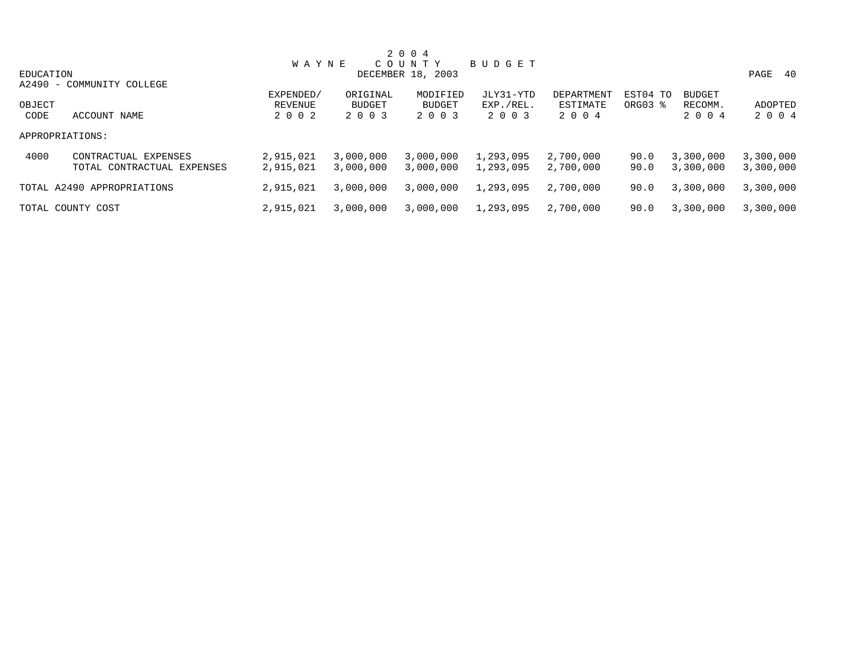| 2 0 0 4   |                            |              |           |                   |               |            |          |               |            |  |
|-----------|----------------------------|--------------|-----------|-------------------|---------------|------------|----------|---------------|------------|--|
|           |                            | <b>WAYNE</b> |           | COUNTY            | <b>BUDGET</b> |            |          |               |            |  |
| EDUCATION |                            |              |           | DECEMBER 18, 2003 |               |            |          |               | 40<br>PAGE |  |
|           | A2490 - COMMUNITY COLLEGE  |              |           |                   |               |            |          |               |            |  |
|           |                            | EXPENDED/    | ORIGINAL  | MODIFIED          | JLY31-YTD     | DEPARTMENT | EST04 TO | <b>BUDGET</b> |            |  |
| OBJECT    |                            | REVENUE      | BUDGET    | <b>BUDGET</b>     | EXP./REL.     | ESTIMATE   | ORG03 %  | RECOMM.       | ADOPTED    |  |
| CODE      | ACCOUNT NAME               | 2 0 0 2      | 2 0 0 3   | 2 0 0 3           | 2 0 0 3       | 2 0 0 4    |          | 2 0 0 4       | 2 0 0 4    |  |
|           | APPROPRIATIONS:            |              |           |                   |               |            |          |               |            |  |
| 4000      | CONTRACTUAL EXPENSES       | 2,915,021    | 3,000,000 | 3,000,000         | 1,293,095     | 2,700,000  | 90.0     | 3,300,000     | 3,300,000  |  |
|           | TOTAL CONTRACTUAL EXPENSES | 2,915,021    | 3,000,000 | 3,000,000         | 1,293,095     | 2,700,000  | 90.0     | 3,300,000     | 3,300,000  |  |
|           | TOTAL A2490 APPROPRIATIONS | 2,915,021    | 3,000,000 | 3,000,000         | 1,293,095     | 2,700,000  | 90.0     | 3,300,000     | 3,300,000  |  |
|           | TOTAL COUNTY COST          | 2,915,021    | 3,000,000 | 3,000,000         | 1,293,095     | 2,700,000  | 90.0     | 3,300,000     | 3,300,000  |  |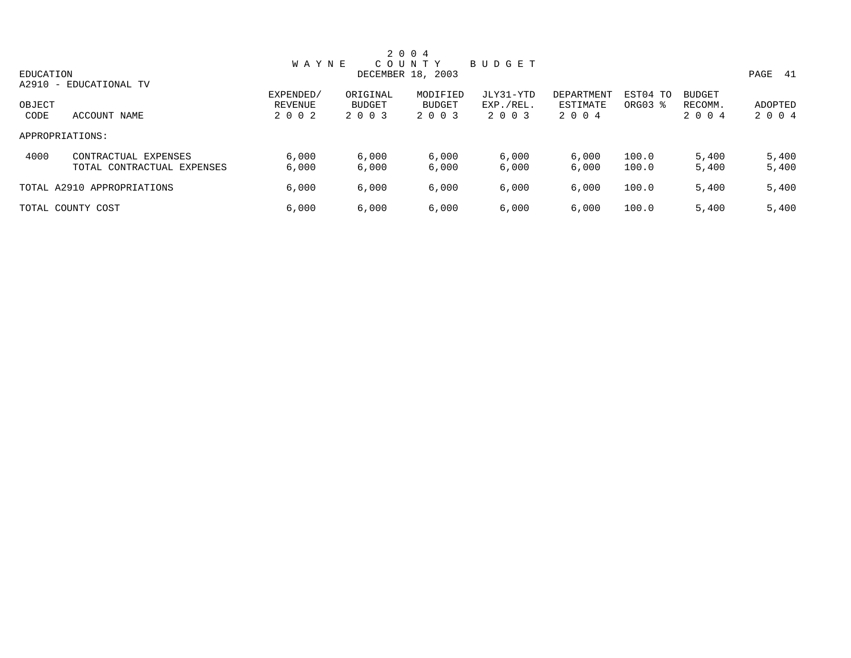| 2 0 0 4         |                            |              |          |                   |           |            |          |               |             |  |
|-----------------|----------------------------|--------------|----------|-------------------|-----------|------------|----------|---------------|-------------|--|
|                 |                            | <b>WAYNE</b> |          | C O U N T Y       | BUDGET    |            |          |               |             |  |
| EDUCATION       |                            |              |          | DECEMBER 18, 2003 |           |            |          |               | PAGE<br>-41 |  |
|                 | A2910 - EDUCATIONAL TV     |              |          |                   |           |            |          |               |             |  |
|                 |                            | EXPENDED/    | ORIGINAL | MODIFIED          | JLY31-YTD | DEPARTMENT | EST04 TO | <b>BUDGET</b> |             |  |
| OBJECT          |                            | REVENUE      | BUDGET   | <b>BUDGET</b>     | EXP./REL. | ESTIMATE   | ORG03 %  | RECOMM.       | ADOPTED     |  |
| CODE            | ACCOUNT NAME               | 2 0 0 2      | 2 0 0 3  | 2 0 0 3           | 2 0 0 3   | 2 0 0 4    |          | 2 0 0 4       | 2 0 0 4     |  |
| APPROPRIATIONS: |                            |              |          |                   |           |            |          |               |             |  |
| 4000            | CONTRACTUAL EXPENSES       | 6,000        | 6,000    | 6,000             | 6,000     | 6,000      | 100.0    | 5,400         | 5,400       |  |
|                 | TOTAL CONTRACTUAL EXPENSES | 6,000        | 6,000    | 6,000             | 6,000     | 6,000      | 100.0    | 5,400         | 5,400       |  |
|                 | TOTAL A2910 APPROPRIATIONS | 6,000        | 6,000    | 6,000             | 6,000     | 6.000      | 100.0    | 5,400         | 5,400       |  |
|                 | TOTAL COUNTY COST          | 6,000        | 6,000    | 6,000             | 6,000     | 6,000      | 100.0    | 5,400         | 5,400       |  |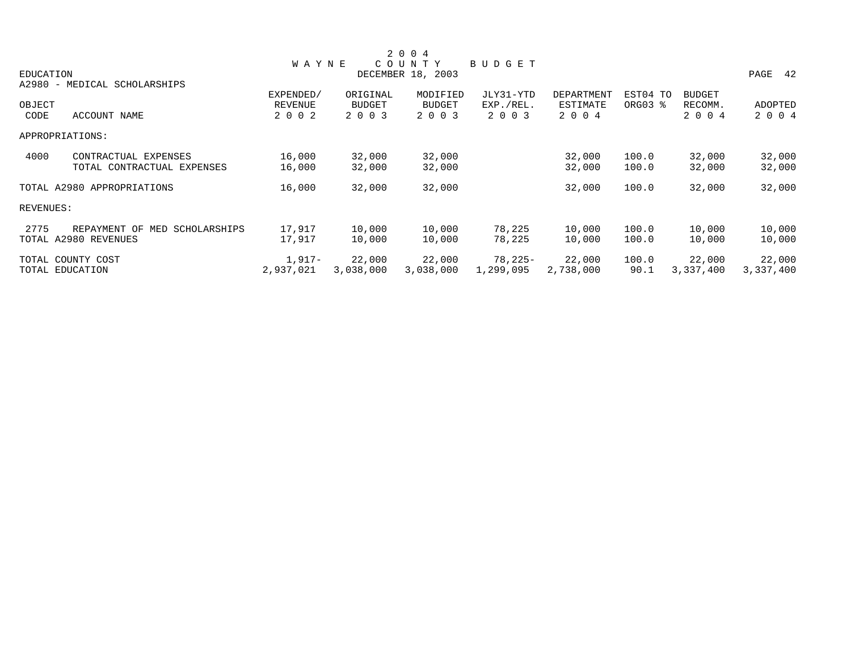|           |                                  |                |               | 2 0 0 4           |           |            |          |               |            |
|-----------|----------------------------------|----------------|---------------|-------------------|-----------|------------|----------|---------------|------------|
|           |                                  | <b>WAYNE</b>   |               | COUNTY            | BUDGET    |            |          |               |            |
| EDUCATION |                                  |                |               | DECEMBER 18, 2003 |           |            |          |               | PAGE<br>42 |
|           | A2980 - MEDICAL SCHOLARSHIPS     |                |               |                   |           |            |          |               |            |
|           |                                  | EXPENDED/      | ORIGINAL      | MODIFIED          | JLY31-YTD | DEPARTMENT | EST04 TO | <b>BUDGET</b> |            |
| OBJECT    |                                  | <b>REVENUE</b> | <b>BUDGET</b> | <b>BUDGET</b>     | EXP./REL. | ESTIMATE   | ORG03 %  | RECOMM.       | ADOPTED    |
| CODE      | ACCOUNT NAME                     | 2 0 0 2        | 2 0 0 3       | 2 0 0 3           | 2 0 0 3   | 2 0 0 4    |          | 2 0 0 4       | 2 0 0 4    |
|           | APPROPRIATIONS:                  |                |               |                   |           |            |          |               |            |
| 4000      | CONTRACTUAL EXPENSES             | 16,000         | 32,000        | 32,000            |           | 32,000     | 100.0    | 32,000        | 32,000     |
|           | TOTAL CONTRACTUAL EXPENSES       | 16,000         | 32,000        | 32,000            |           | 32,000     | 100.0    | 32,000        | 32,000     |
|           | TOTAL A2980 APPROPRIATIONS       | 16,000         | 32,000        | 32,000            |           | 32,000     | 100.0    | 32,000        | 32,000     |
| REVENUES: |                                  |                |               |                   |           |            |          |               |            |
| 2775      | REPAYMENT OF<br>MED SCHOLARSHIPS | 17,917         | 10,000        | 10,000            | 78,225    | 10,000     | 100.0    | 10,000        | 10,000     |
|           | TOTAL A2980 REVENUES             | 17,917         | 10,000        | 10,000            | 78,225    | 10,000     | 100.0    | 10,000        | 10,000     |
|           | TOTAL COUNTY COST                | 1,917-         | 22,000        | 22,000            | 78,225-   | 22,000     | 100.0    | 22,000        | 22,000     |
|           | TOTAL EDUCATION                  | 2,937,021      | 3,038,000     | 3,038,000         | 1,299,095 | 2,738,000  | 90.1     | 3,337,400     | 3,337,400  |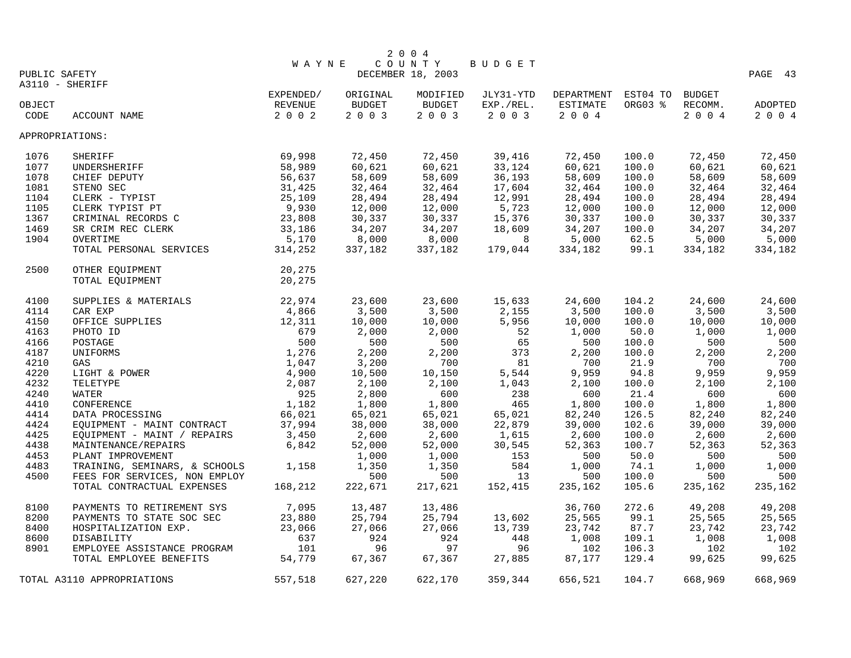|               |                               |              |               | 2 0 0 4           |                            |                            |         |         |         |
|---------------|-------------------------------|--------------|---------------|-------------------|----------------------------|----------------------------|---------|---------|---------|
|               |                               | <b>WAYNE</b> |               | COUNTY            | BUDGET                     |                            |         |         |         |
| PUBLIC SAFETY |                               |              |               | DECEMBER 18, 2003 |                            |                            |         |         | PAGE 43 |
|               | A3110 - SHERIFF               |              |               |                   |                            |                            |         |         |         |
|               |                               | EXPENDED/    | ORIGINAL      | MODIFIED          | JLY31-YTD                  | DEPARTMENT EST04 TO BUDGET |         |         |         |
| OBJECT        |                               | REVENUE      | <b>BUDGET</b> | <b>BUDGET</b>     | EXP./REL.                  | ESTIMATE                   | ORG03 % | RECOMM. | ADOPTED |
| CODE          | ACCOUNT NAME                  | 2 0 0 2      | 2 0 0 3       | 2 0 0 3           | 2 0 0 3                    | 2 0 0 4                    |         | 2 0 0 4 | 2 0 0 4 |
|               | APPROPRIATIONS:               |              |               |                   |                            |                            |         |         |         |
| 1076          | <b>SHERIFF</b>                | 69,998       | 72,450        | 72,450            | 39,416                     | 72,450                     | 100.0   | 72,450  | 72,450  |
| 1077          | UNDERSHERIFF                  | 58,989       | 60,621        | 60,621            | 33,124                     | 60,621                     | 100.0   | 60,621  | 60,621  |
| 1078          | CHIEF DEPUTY                  | 56,637       | 58,609        | 58,609            | 36,193                     | 58,609                     | 100.0   | 58,609  | 58,609  |
| 1081          | STENO SEC                     | 31,425       | 32,464        | 32,464            | 17,604                     | 32,464                     | 100.0   | 32,464  | 32,464  |
| 1104          | CLERK - TYPIST                | 25,109       | 28,494        | 28,494            | 12,991                     | 28,494                     | 100.0   | 28,494  | 28,494  |
| 1105          | CLERK TYPIST PT               | 9,930        | 12,000        | 12,000            | 5,723                      | 12,000                     | 100.0   | 12,000  | 12,000  |
| 1367          | CRIMINAL RECORDS C            | 23,808       | 30,337        | 30,337            | 15,376                     | 30,337                     | 100.0   | 30,337  | 30,337  |
| 1469          | SR CRIM REC CLERK             | 33,186       | 34,207        | 34,207            | 18,609                     | 34,207                     | 100.0   | 34,207  | 34,207  |
| 1904          | OVERTIME                      | 5,170        | 8,000         | 8,000             | $\overline{\phantom{0}}$ 8 | 5,000                      | 62.5    | 5,000   | 5,000   |
|               | TOTAL PERSONAL SERVICES       | 314,252      | 337,182       | 337,182           | 179,044                    | 334,182                    | 99.1    | 334,182 | 334,182 |
| 2500          | OTHER EQUIPMENT               | 20,275       |               |                   |                            |                            |         |         |         |
|               | TOTAL EQUIPMENT               | 20,275       |               |                   |                            |                            |         |         |         |
| 4100          | SUPPLIES & MATERIALS          | 22,974       | 23,600        | 23,600            | 15,633                     | 24,600                     | 104.2   | 24,600  | 24,600  |
| 4114          | CAR EXP                       | 4,866        | 3,500         | 3,500             | 2,155                      | 3,500                      | 100.0   | 3,500   | 3,500   |
| 4150          | OFFICE SUPPLIES               | 12,311       | 10,000        | 10,000            | 5,956                      | 10,000                     | 100.0   | 10,000  | 10,000  |
| 4163          | PHOTO ID                      | 679          | 2,000         | 2,000             | 52                         | 1,000                      | 50.0    | 1,000   | 1,000   |
| 4166          | POSTAGE                       | 500          | 500           | 500               | 65                         | 500                        | 100.0   | 500     | 500     |
| 4187          | UNIFORMS                      | 1,276        | 2,200         | 2,200             | 373                        | 2,200                      | 100.0   | 2,200   | 2,200   |
| 4210          | GAS                           | 1,047        | 3,200         | 700               | 81                         | 700                        | 21.9    | 700     | 700     |
| 4220          | LIGHT & POWER                 | 4,900        | 10,500        | 10,150            | 5,544                      | 9,959                      | 94.8    | 9,959   | 9,959   |
| 4232          | TELETYPE                      | 2,087        | 2,100         | 2,100             | 1,043                      | 2,100                      | 100.0   | 2,100   | 2,100   |
| 4240          | WATER                         | 925          | 2,800         | 600               | 238                        | 600                        | 21.4    | 600     | 600     |
| 4410          | CONFERENCE                    | 1,182        | 1,800         | 1,800             | 465                        | 1,800                      | 100.0   | 1,800   | 1,800   |
| 4414          | DATA PROCESSING               | 66,021       | 65,021        | 65,021            | 65,021                     | 82,240                     | 126.5   | 82,240  | 82,240  |
| 4424          | EQUIPMENT - MAINT CONTRACT    | 37,994       | 38,000        | 38,000            | 22,879                     | 39,000                     | 102.6   | 39,000  | 39,000  |
| 4425          | EQUIPMENT - MAINT / REPAIRS   | 3,450        | 2,600         | 2,600             | 1,615                      | 2,600                      | 100.0   | 2,600   | 2,600   |
| 4438          | MAINTENANCE/REPAIRS           | 6,842        | 52,000        | 52,000            | 30,545                     | 52,363                     | 100.7   | 52,363  | 52,363  |
| 4453          | PLANT IMPROVEMENT             |              | 1,000         | 1,000             | 153                        | 500                        | 50.0    | 500     | 500     |
| 4483          | TRAINING, SEMINARS, & SCHOOLS | 1,158        | 1,350         | 1,350             | 584                        | 1,000                      | 74.1    | 1,000   | 1,000   |
| 4500          | FEES FOR SERVICES, NON EMPLOY |              | 500           | 500               | 13                         | 500                        | 100.0   | 500     | 500     |
|               | TOTAL CONTRACTUAL EXPENSES    | 168,212      | 222,671       | 217,621           | 152,415                    | 235,162                    | 105.6   | 235,162 | 235,162 |
| 8100          | PAYMENTS TO RETIREMENT SYS    | 7,095        | 13,487        | 13,486            |                            | 36,760                     | 272.6   | 49,208  | 49,208  |
| 8200          | PAYMENTS TO STATE SOC SEC     | 23,880       | 25,794        | 25,794            | 13,602                     | 25,565                     | 99.1    | 25,565  | 25,565  |
| 8400          | HOSPITALIZATION EXP.          | 23,066       | 27,066        | 27,066            | 13,739                     | 23,742                     | 87.7    | 23,742  | 23,742  |
| 8600          | DISABILITY                    | 637          | 924           | 924               | 448                        | 1,008                      | 109.1   | 1,008   | 1,008   |
| 8901          | EMPLOYEE ASSISTANCE PROGRAM   | 101          | 96            | 97                | 96                         | 102                        | 106.3   | 102     | 102     |
|               | TOTAL EMPLOYEE BENEFITS       | 54,779       | 67,367        | 67,367            | 27,885                     | 87,177                     | 129.4   | 99,625  | 99,625  |
|               | TOTAL A3110 APPROPRIATIONS    | 557,518      | 627,220       | 622,170           | 359,344                    | 656,521                    | 104.7   | 668,969 | 668,969 |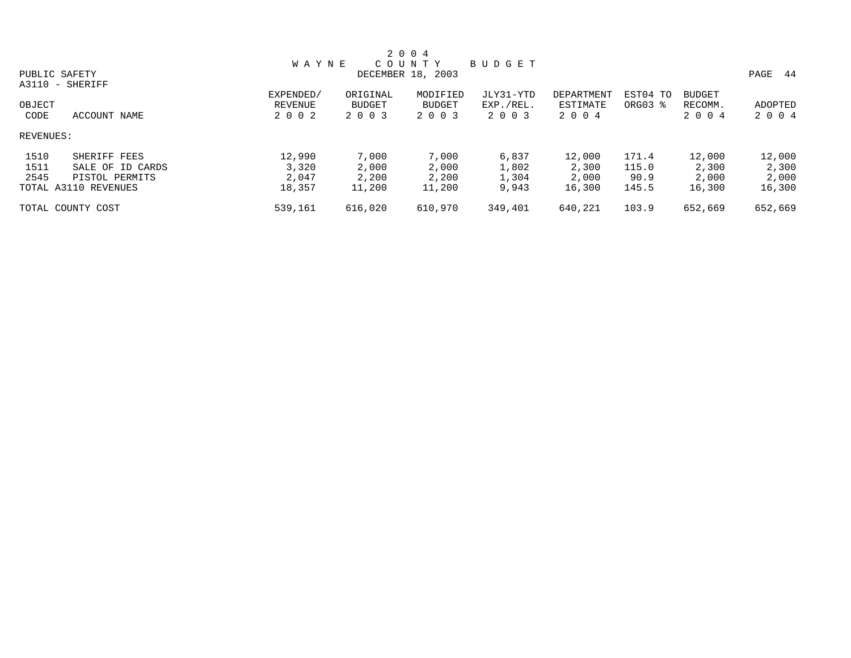| 2 0 0 4                  |  |              |               |                   |           |            |          |               |            |  |
|--------------------------|--|--------------|---------------|-------------------|-----------|------------|----------|---------------|------------|--|
|                          |  | <b>WAYNE</b> |               | COUNTY            | BUDGET    |            |          |               |            |  |
| PUBLIC SAFETY            |  |              |               | DECEMBER 18, 2003 |           |            |          |               | PAGE<br>44 |  |
| A3110 - SHERIFF          |  |              |               |                   |           |            |          |               |            |  |
|                          |  | EXPENDED/    | ORIGINAL      | MODIFIED          | JLY31-YTD | DEPARTMENT | EST04 TO | <b>BUDGET</b> |            |  |
| OBJECT                   |  | REVENUE      | <b>BUDGET</b> | <b>BUDGET</b>     | EXP./REL. | ESTIMATE   | ORG03 %  | RECOMM.       | ADOPTED    |  |
| CODE<br>ACCOUNT NAME     |  | 2 0 0 2      | 2 0 0 3       | 2 0 0 3           | 2 0 0 3   | 2004       |          | 2004          | 2 0 0 4    |  |
| REVENUES:                |  |              |               |                   |           |            |          |               |            |  |
| 1510<br>SHERIFF FEES     |  | 12,990       | 7,000         | 7,000             | 6,837     | 12,000     | 171.4    | 12,000        | 12,000     |  |
| 1511<br>SALE OF ID CARDS |  | 3,320        | 2,000         | 2,000             | 1,802     | 2,300      | 115.0    | 2,300         | 2,300      |  |
| 2545<br>PISTOL PERMITS   |  | 2,047        | 2,200         | 2,200             | 1,304     | 2,000      | 90.9     | 2,000         | 2,000      |  |
| TOTAL A3110 REVENUES     |  | 18,357       | 11,200        | 11,200            | 9,943     | 16,300     | 145.5    | 16,300        | 16,300     |  |
| TOTAL COUNTY COST        |  | 539,161      | 616,020       | 610,970           | 349,401   | 640,221    | 103.9    | 652,669       | 652,669    |  |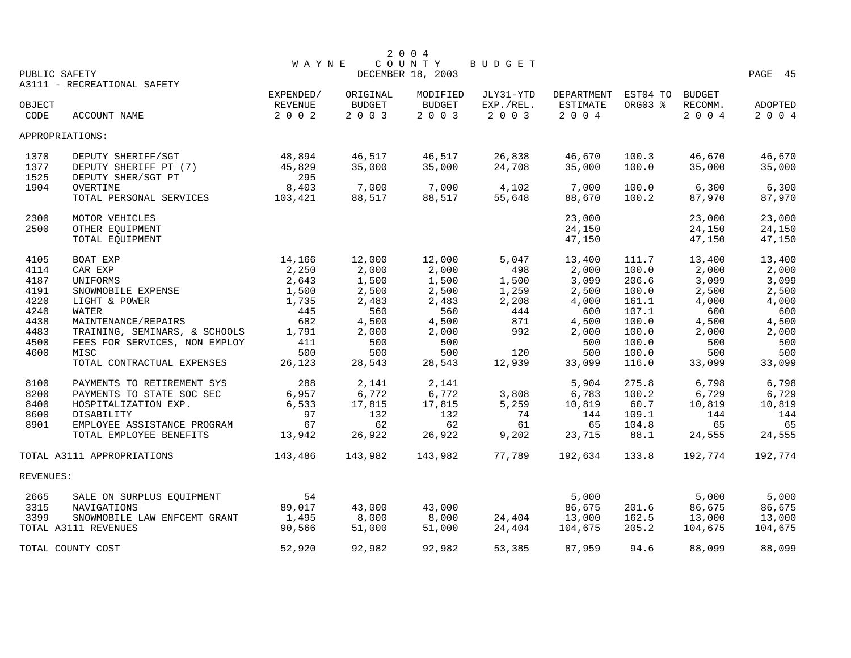|           |                               |              |          | 2 0 0 4                     |           |            |          |               |         |
|-----------|-------------------------------|--------------|----------|-----------------------------|-----------|------------|----------|---------------|---------|
|           | PUBLIC SAFETY                 | <b>WAYNE</b> |          | COUNTY<br>DECEMBER 18, 2003 | BUDGET    |            |          |               | PAGE 45 |
|           | A3111 - RECREATIONAL SAFETY   |              |          |                             |           |            |          |               |         |
|           |                               | EXPENDED/    | ORIGINAL | MODIFIED                    | JLY31-YTD | DEPARTMENT | EST04 TO | <b>BUDGET</b> |         |
| OBJECT    |                               | REVENUE      | BUDGET   | <b>BUDGET</b>               | EXP./REL. | ESTIMATE   | ORG03 %  | RECOMM.       | ADOPTED |
| CODE      | ACCOUNT NAME                  | 2 0 0 2      | 2 0 0 3  | 2003                        | 2 0 0 3   | 2 0 0 4    |          | 2 0 0 4       | 2 0 0 4 |
|           | APPROPRIATIONS:               |              |          |                             |           |            |          |               |         |
| 1370      | DEPUTY SHERIFF/SGT            | 48,894       | 46,517   | 46,517                      | 26,838    | 46,670     | 100.3    | 46,670        | 46,670  |
| 1377      | DEPUTY SHERIFF PT (7)         | 45,829       | 35,000   | 35,000                      | 24,708    | 35,000     | 100.0    | 35,000        | 35,000  |
| 1525      | DEPUTY SHER/SGT PT            | 295          |          |                             |           |            |          |               |         |
| 1904      | OVERTIME                      | 8,403        | 7,000    | 7,000                       | 4,102     | 7,000      | 100.0    | 6,300         | 6,300   |
|           | TOTAL PERSONAL SERVICES       | 103,421      | 88,517   | 88,517                      | 55,648    | 88,670     | 100.2    | 87,970        | 87,970  |
| 2300      | MOTOR VEHICLES                |              |          |                             |           | 23,000     |          | 23,000        | 23,000  |
| 2500      | OTHER EQUIPMENT               |              |          |                             |           | 24,150     |          | 24,150        | 24,150  |
|           | TOTAL EQUIPMENT               |              |          |                             |           | 47,150     |          | 47,150        | 47,150  |
| 4105      | BOAT EXP                      | 14,166       | 12,000   | 12,000                      | 5,047     | 13,400     | 111.7    | 13,400        | 13,400  |
| 4114      | CAR EXP                       | 2,250        | 2,000    | 2,000                       | 498       | 2,000      | 100.0    | 2,000         | 2,000   |
| 4187      | UNIFORMS                      | 2,643        | 1,500    | 1,500                       | 1,500     | 3,099      | 206.6    | 3,099         | 3,099   |
| 4191      | SNOWMOBILE EXPENSE            | 1,500        | 2,500    | 2,500                       | 1,259     | 2,500      | 100.0    | 2,500         | 2,500   |
| 4220      | LIGHT & POWER                 | 1,735        | 2,483    | 2,483                       | 2,208     | 4,000      | 161.1    | 4,000         | 4,000   |
| 4240      | WATER                         | 445          | 560      | 560                         | 444       | 600        | 107.1    | 600           | 600     |
| 4438      | MAINTENANCE/REPAIRS           | 682          | 4,500    | 4,500                       | 871       | 4,500      | 100.0    | 4,500         | 4,500   |
| 4483      | TRAINING, SEMINARS, & SCHOOLS | 1,791        | 2,000    | 2,000                       | 992       | 2,000      | 100.0    | 2,000         | 2,000   |
| 4500      | FEES FOR SERVICES, NON EMPLOY | 411          | 500      | 500                         |           | 500        | 100.0    | 500           | 500     |
| 4600      | MISC                          | 500          | 500      | 500                         | 120       | 500        | 100.0    | 500           | 500     |
|           | TOTAL CONTRACTUAL EXPENSES    | 26,123       | 28,543   | 28,543                      | 12,939    | 33,099     | 116.0    | 33,099        | 33,099  |
| 8100      | PAYMENTS TO RETIREMENT SYS    | 288          | 2,141    | 2,141                       |           | 5,904      | 275.8    | 6,798         | 6,798   |
| 8200      | PAYMENTS TO STATE SOC SEC     | 6,957        | 6,772    | 6,772                       | 3,808     | 6,783      | 100.2    | 6,729         | 6,729   |
| 8400      | HOSPITALIZATION EXP.          | 6,533        | 17,815   | 17,815                      | 5,259     | 10,819     | 60.7     | 10,819        | 10,819  |
| 8600      | DISABILITY                    | 97           | 132      | 132                         | 74        | 144        | 109.1    | 144           | 144     |
| 8901      | EMPLOYEE ASSISTANCE PROGRAM   | 67           | 62       | 62                          | 61        | 65         | 104.8    | 65            | 65      |
|           | TOTAL EMPLOYEE BENEFITS       | 13,942       | 26,922   | 26,922                      | 9,202     | 23,715     | 88.1     | 24,555        | 24,555  |
|           | TOTAL A3111 APPROPRIATIONS    | 143,486      | 143,982  | 143,982                     | 77,789    | 192,634    | 133.8    | 192,774       | 192,774 |
| REVENUES: |                               |              |          |                             |           |            |          |               |         |
| 2665      | SALE ON SURPLUS EOUIPMENT     | 54           |          |                             |           | 5,000      |          | 5,000         | 5,000   |
| 3315      | NAVIGATIONS                   | 89,017       | 43,000   | 43,000                      |           | 86,675     | 201.6    | 86,675        | 86,675  |
| 3399      | SNOWMOBILE LAW ENFCEMT GRANT  | 1,495        | 8,000    | 8,000                       | 24,404    | 13,000     | 162.5    | 13,000        | 13,000  |
|           | TOTAL A3111 REVENUES          | 90,566       | 51,000   | 51,000                      | 24,404    | 104,675    | 205.2    | 104,675       | 104,675 |
|           | TOTAL COUNTY COST             | 52,920       | 92,982   | 92,982                      | 53,385    | 87,959     | 94.6     | 88,099        | 88,099  |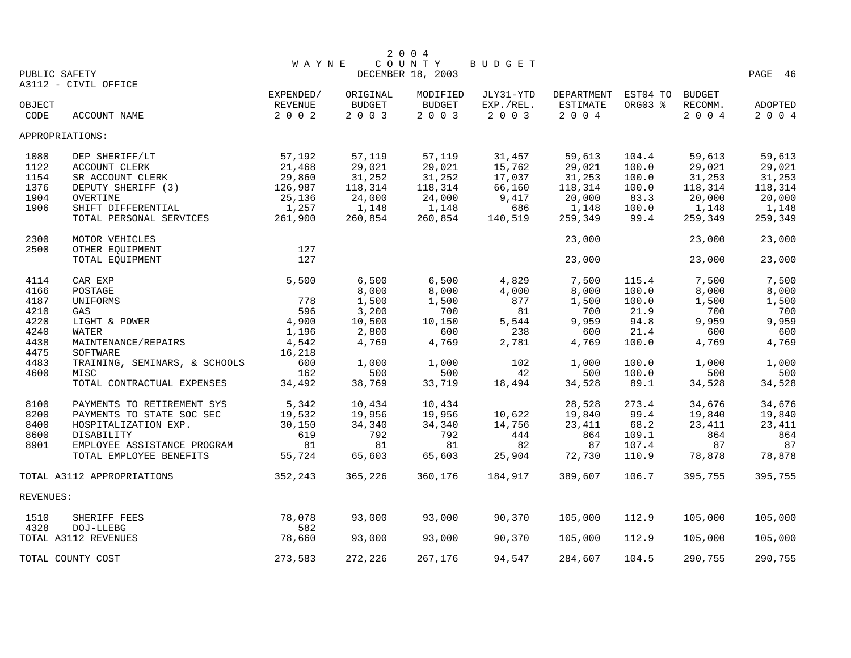|           |                               |              |          | 2 0 0 4                     |           |            |          |               |         |
|-----------|-------------------------------|--------------|----------|-----------------------------|-----------|------------|----------|---------------|---------|
|           | PUBLIC SAFETY                 | <b>WAYNE</b> |          | COUNTY<br>DECEMBER 18, 2003 | BUDGET    |            |          |               | PAGE 46 |
|           | A3112 - CIVIL OFFICE          |              |          |                             |           |            |          |               |         |
|           |                               | EXPENDED/    | ORIGINAL | MODIFIED                    | JLY31-YTD | DEPARTMENT | EST04 TO | <b>BUDGET</b> |         |
| OBJECT    |                               | REVENUE      | BUDGET   | <b>BUDGET</b>               | EXP./REL. | ESTIMATE   | ORG03 %  | RECOMM.       | ADOPTED |
| CODE      | ACCOUNT NAME                  | 2 0 0 2      | 2003     | 2003                        | 2003      | 2004       |          | 2004          | 2004    |
|           | APPROPRIATIONS:               |              |          |                             |           |            |          |               |         |
| 1080      | DEP SHERIFF/LT                | 57,192       | 57,119   | 57,119                      | 31,457    | 59,613     | 104.4    | 59,613        | 59,613  |
| 1122      | ACCOUNT CLERK                 | 21,468       | 29,021   | 29,021                      | 15,762    | 29,021     | 100.0    | 29,021        | 29,021  |
| 1154      | SR ACCOUNT CLERK              | 29,860       | 31,252   | 31,252                      | 17,037    | 31,253     | 100.0    | 31,253        | 31,253  |
| 1376      | DEPUTY SHERIFF (3)            | 126,987      | 118,314  | 118,314                     | 66,160    | 118,314    | 100.0    | 118,314       | 118,314 |
| 1904      | OVERTIME                      | 25,136       | 24,000   | 24,000                      | 9,417     | 20,000     | 83.3     | 20,000        | 20,000  |
| 1906      | SHIFT DIFFERENTIAL            | 1,257        | 1,148    | 1,148                       | 686       | 1,148      | 100.0    | 1,148         | 1,148   |
|           | TOTAL PERSONAL SERVICES       | 261,900      | 260,854  | 260,854                     | 140,519   | 259,349    | 99.4     | 259,349       | 259,349 |
| 2300      | MOTOR VEHICLES                |              |          |                             |           | 23,000     |          | 23,000        | 23,000  |
| 2500      | OTHER EQUIPMENT               | 127          |          |                             |           |            |          |               |         |
|           | TOTAL EQUIPMENT               | 127          |          |                             |           | 23,000     |          | 23,000        | 23,000  |
| 4114      | CAR EXP                       | 5,500        | 6,500    | 6,500                       | 4,829     | 7,500      | 115.4    | 7,500         | 7,500   |
| 4166      | POSTAGE                       |              | 8,000    | 8,000                       | 4,000     | 8,000      | 100.0    | 8,000         | 8,000   |
| 4187      | UNIFORMS                      | 778          | 1,500    | 1,500                       | 877       | 1,500      | 100.0    | 1,500         | 1,500   |
| 4210      | GAS                           | 596          | 3,200    | 700                         | 81        | 700        | 21.9     | 700           | 700     |
| 4220      | LIGHT & POWER                 | 4,900        | 10,500   | 10,150                      | 5,544     | 9,959      | 94.8     | 9,959         | 9,959   |
| 4240      | WATER                         | 1,196        | 2,800    | 600                         | 238       | 600        | 21.4     | 600           | 600     |
| 4438      | MAINTENANCE/REPAIRS           | 4,542        | 4,769    | 4,769                       | 2,781     | 4,769      | 100.0    | 4,769         | 4,769   |
| 4475      | SOFTWARE                      | 16,218       |          |                             |           |            |          |               |         |
| 4483      | TRAINING, SEMINARS, & SCHOOLS | 600          | 1,000    | 1,000                       | 102       | 1,000      | 100.0    | 1,000         | 1,000   |
| 4600      | MISC                          | 162          | 500      | 500                         | 42        | 500        | 100.0    | 500           | 500     |
|           | TOTAL CONTRACTUAL EXPENSES    | 34,492       | 38,769   | 33,719                      | 18,494    | 34,528     | 89.1     | 34,528        | 34,528  |
| 8100      | PAYMENTS TO RETIREMENT SYS    | 5,342        | 10,434   | 10,434                      |           | 28,528     | 273.4    | 34,676        | 34,676  |
| 8200      | PAYMENTS TO STATE SOC SEC     | 19,532       | 19,956   | 19,956                      | 10,622    | 19,840     | 99.4     | 19,840        | 19,840  |
| 8400      | HOSPITALIZATION EXP.          | 30,150       | 34,340   | 34,340                      | 14,756    | 23,411     | 68.2     | 23,411        | 23,411  |
| 8600      | DISABILITY                    | 619          | 792      | 792                         | 444       | 864        | 109.1    | 864           | 864     |
| 8901      | EMPLOYEE ASSISTANCE PROGRAM   | 81           | 81       | 81                          | 82        | 87         | 107.4    | 87            | 87      |
|           | TOTAL EMPLOYEE BENEFITS       | 55,724       | 65,603   | 65,603                      | 25,904    | 72,730     | 110.9    | 78,878        | 78,878  |
|           | TOTAL A3112 APPROPRIATIONS    | 352,243      | 365,226  | 360,176                     | 184,917   | 389,607    | 106.7    | 395,755       | 395,755 |
| REVENUES: |                               |              |          |                             |           |            |          |               |         |
| 1510      | SHERIFF FEES                  | 78,078       | 93,000   | 93,000                      | 90,370    | 105,000    | 112.9    | 105,000       | 105,000 |
| 4328      | DOJ-LLEBG                     | 582          |          |                             |           |            |          |               |         |
|           | TOTAL A3112 REVENUES          | 78,660       | 93,000   | 93,000                      | 90,370    | 105,000    | 112.9    | 105,000       | 105,000 |
|           | TOTAL COUNTY COST             | 273,583      | 272,226  | 267,176                     | 94,547    | 284,607    | 104.5    | 290,755       | 290,755 |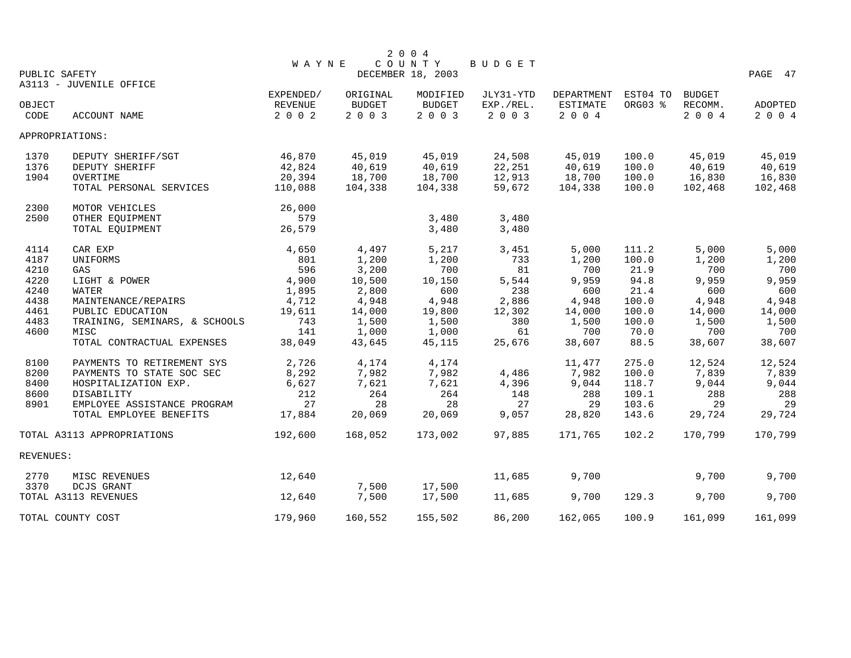|           |                               |              |               | 2 0 0 4           |           |            |          |               |         |
|-----------|-------------------------------|--------------|---------------|-------------------|-----------|------------|----------|---------------|---------|
|           |                               | <b>WAYNE</b> |               | COUNTY            | BUDGET    |            |          |               |         |
|           | PUBLIC SAFETY                 |              |               | DECEMBER 18, 2003 |           |            |          |               | PAGE 47 |
|           | A3113 - JUVENILE OFFICE       | EXPENDED/    | ORIGINAL      | MODIFIED          | JLY31-YTD | DEPARTMENT | EST04 TO | <b>BUDGET</b> |         |
| OBJECT    |                               | REVENUE      | <b>BUDGET</b> | BUDGET            | EXP./REL. | ESTIMATE   | ORG03 %  | RECOMM.       | ADOPTED |
| CODE      | ACCOUNT NAME                  | 2 0 0 2      | 2 0 0 3       | 2003              | 2 0 0 3   | 2 0 0 4    |          | 2004          | 2 0 0 4 |
|           |                               |              |               |                   |           |            |          |               |         |
|           | APPROPRIATIONS:               |              |               |                   |           |            |          |               |         |
| 1370      | DEPUTY SHERIFF/SGT            | 46,870       | 45,019        | 45,019            | 24,508    | 45,019     | 100.0    | 45,019        | 45,019  |
| 1376      | DEPUTY SHERIFF                | 42,824       | 40,619        | 40,619            | 22,251    | 40,619     | 100.0    | 40,619        | 40,619  |
| 1904      | OVERTIME                      | 20,394       | 18,700        | 18,700            | 12,913    | 18,700     | 100.0    | 16,830        | 16,830  |
|           | TOTAL PERSONAL SERVICES       | 110,088      | 104,338       | 104,338           | 59,672    | 104,338    | 100.0    | 102,468       | 102,468 |
| 2300      | MOTOR VEHICLES                | 26,000       |               |                   |           |            |          |               |         |
| 2500      | OTHER EQUIPMENT               | 579          |               | 3,480             | 3,480     |            |          |               |         |
|           | TOTAL EQUIPMENT               | 26,579       |               | 3,480             | 3,480     |            |          |               |         |
| 4114      | CAR EXP                       | 4,650        | 4,497         | 5,217             | 3,451     | 5,000      | 111.2    | 5,000         | 5,000   |
| 4187      | UNIFORMS                      | 801          | 1,200         | 1,200             | 733       | 1,200      | 100.0    | 1,200         | 1,200   |
| 4210      | GAS                           | 596          | 3,200         | 700               | 81        | 700        | 21.9     | 700           | 700     |
| 4220      | LIGHT & POWER                 | 4,900        | 10,500        | 10,150            | 5,544     | 9,959      | 94.8     | 9,959         | 9,959   |
| 4240      | WATER                         | 1,895        | 2,800         | 600               | 238       | 600        | 21.4     | 600           | 600     |
| 4438      | MAINTENANCE/REPAIRS           | 4,712        | 4,948         | 4,948             | 2,886     | 4,948      | 100.0    | 4,948         | 4,948   |
| 4461      | PUBLIC EDUCATION              | 19,611       | 14,000        | 19,800            | 12,302    | 14,000     | 100.0    | 14,000        | 14,000  |
| 4483      | TRAINING, SEMINARS, & SCHOOLS | 743          | 1,500         | 1,500             | 380       | 1,500      | 100.0    | 1,500         | 1,500   |
| 4600      | MISC                          | 141          | 1,000         | 1,000             | 61        | 700        | 70.0     | 700           | 700     |
|           | TOTAL CONTRACTUAL EXPENSES    | 38,049       | 43,645        | 45,115            | 25,676    | 38,607     | 88.5     | 38,607        | 38,607  |
| 8100      | PAYMENTS TO RETIREMENT SYS    | 2,726        | 4,174         | 4,174             |           | 11,477     | 275.0    | 12,524        | 12,524  |
| 8200      | PAYMENTS TO STATE SOC SEC     | 8,292        | 7,982         | 7,982             | 4,486     | 7,982      | 100.0    | 7,839         | 7,839   |
| 8400      | HOSPITALIZATION EXP.          | 6,627        | 7,621         | 7,621             | 4,396     | 9,044      | 118.7    | 9,044         | 9,044   |
| 8600      | DISABILITY                    | 212          | 264           | 264               | 148       | 288        | 109.1    | 288           | 288     |
| 8901      | EMPLOYEE ASSISTANCE PROGRAM   | 27           | 28            | 28                | 27        | 29         | 103.6    | 29            | 29      |
|           | TOTAL EMPLOYEE BENEFITS       | 17,884       | 20,069        | 20,069            | 9,057     | 28,820     | 143.6    | 29,724        | 29,724  |
|           | TOTAL A3113 APPROPRIATIONS    | 192,600      | 168,052       | 173,002           | 97,885    | 171,765    | 102.2    | 170,799       | 170,799 |
| REVENUES: |                               |              |               |                   |           |            |          |               |         |
| 2770      | MISC REVENUES                 | 12,640       |               |                   | 11,685    | 9,700      |          | 9,700         | 9,700   |
| 3370      | DCJS GRANT                    |              | 7,500         | 17,500            |           |            |          |               |         |
|           | TOTAL A3113 REVENUES          | 12,640       | 7,500         | 17,500            | 11,685    | 9,700      | 129.3    | 9,700         | 9,700   |
|           | TOTAL COUNTY COST             | 179,960      | 160,552       | 155,502           | 86,200    | 162,065    | 100.9    | 161,099       | 161,099 |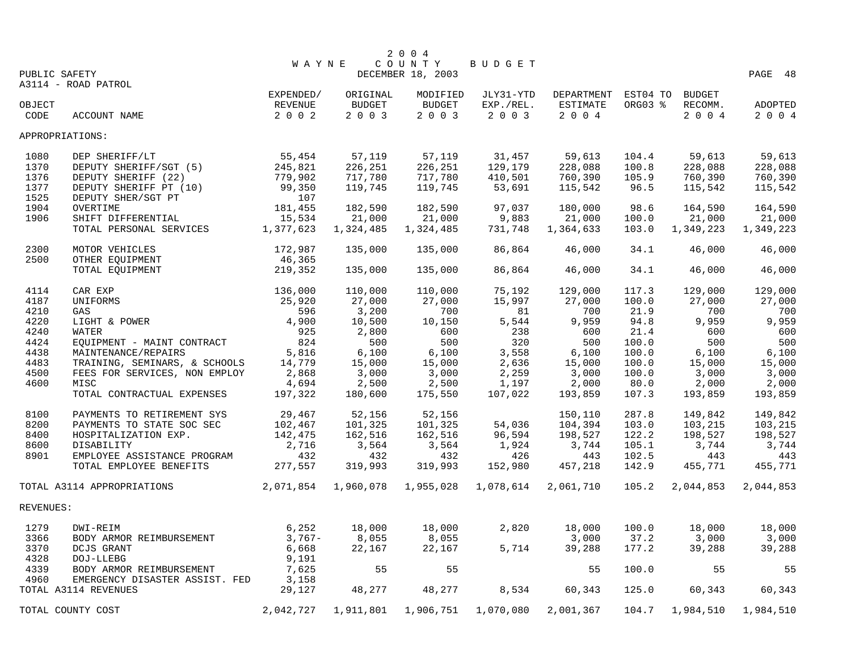|           |                                                        |                |                | 2 0 0 4           |                |                |                |                |                |
|-----------|--------------------------------------------------------|----------------|----------------|-------------------|----------------|----------------|----------------|----------------|----------------|
|           |                                                        | <b>WAYNE</b>   |                | COUNTY            | BUDGET         |                |                |                |                |
|           | PUBLIC SAFETY                                          |                |                | DECEMBER 18, 2003 |                |                |                |                | PAGE 48        |
|           | A3114 - ROAD PATROL                                    |                |                |                   |                |                |                |                |                |
|           |                                                        | EXPENDED/      | ORIGINAL       | MODIFIED          | JLY31-YTD      | DEPARTMENT     | EST04 TO       | <b>BUDGET</b>  |                |
| OBJECT    |                                                        | REVENUE        | <b>BUDGET</b>  | <b>BUDGET</b>     | EXP./REL.      | ESTIMATE       | ORG03 %        | RECOMM.        | ADOPTED        |
| CODE      | ACCOUNT NAME                                           | 2 0 0 2        | 2 0 0 3        | 2003              | 2 0 0 3        | 2 0 0 4        |                | 2 0 0 4        | 2 0 0 4        |
|           | APPROPRIATIONS:                                        |                |                |                   |                |                |                |                |                |
| 1080      | DEP SHERIFF/LT                                         | 55,454         | 57,119         | 57,119            | 31,457         | 59,613         | 104.4          | 59,613         | 59,613         |
| 1370      | DEPUTY SHERIFF/SGT (5)                                 | 245,821        | 226,251        | 226,251           | 129,179        | 228,088        | 100.8          | 228,088        | 228,088        |
| 1376      | DEPUTY SHERIFF (22)                                    | 779,902        | 717,780        | 717,780           | 410,501        | 760,390        | 105.9          | 760,390        | 760,390        |
| 1377      | DEPUTY SHERIFF PT (10)                                 | 99,350         | 119,745        | 119,745           | 53,691         | 115,542        | 96.5           | 115,542        | 115,542        |
| 1525      | DEPUTY SHER/SGT PT                                     | 107            |                |                   |                |                |                |                |                |
| 1904      | OVERTIME                                               | 181,455        | 182,590        | 182,590           | 97,037         | 180,000        | 98.6           | 164,590        | 164,590        |
| 1906      | SHIFT DIFFERENTIAL                                     | 15,534         | 21,000         | 21,000            | 9,883          | 21,000         | 100.0          | 21,000         | 21,000         |
|           | TOTAL PERSONAL SERVICES                                | 1,377,623      | 1,324,485      | 1,324,485         | 731,748        | 1,364,633      | 103.0          | 1,349,223      | 1,349,223      |
| 2300      | MOTOR VEHICLES                                         | 172,987        | 135,000        | 135,000           | 86,864         | 46,000         | 34.1           | 46,000         | 46,000         |
| 2500      | OTHER EQUIPMENT                                        | 46,365         |                |                   |                |                |                |                |                |
|           | TOTAL EQUIPMENT                                        | 219,352        | 135,000        | 135,000           | 86,864         | 46,000         | 34.1           | 46,000         | 46,000         |
| 4114      | CAR EXP                                                | 136,000        | 110,000        | 110,000           | 75,192         | 129,000        | 117.3          | 129,000        | 129,000        |
| 4187      | UNIFORMS                                               | 25,920         | 27,000         | 27,000            | 15,997         | 27,000         | 100.0          | 27,000         | 27,000         |
| 4210      | GAS                                                    | 596            | 3,200          | 700               | 81             | 700            | 21.9           | 700            | 700            |
| 4220      | LIGHT & POWER                                          | 4,900          | 10,500         | 10,150            | 5,544          | 9,959          | 94.8           | 9,959          | 9,959          |
| 4240      | WATER                                                  | 925            | 2,800          | 600               | 238            | 600            | 21.4           | 600            | 600            |
| 4424      | EQUIPMENT - MAINT CONTRACT                             | 824            | 500            | 500               | 320            | 500            | 100.0          | 500            | 500            |
| 4438      | MAINTENANCE/REPAIRS                                    | 5,816          | 6,100          | 6,100             | 3,558          | 6,100          | 100.0          | 6,100          | 6,100          |
| 4483      | TRAINING, SEMINARS, & SCHOOLS                          | 14,779         | 15,000         | 15,000            | 2,636          | 15,000         | 100.0          | 15,000         | 15,000         |
| 4500      | FEES FOR SERVICES, NON EMPLOY                          | 2,868          | 3,000          | 3,000             | 2,259          | 3,000          | 100.0          | 3,000          | 3,000          |
| 4600      | MISC                                                   | 4,694          | 2,500          | 2,500             | 1,197          | 2,000          | 80.0           | 2,000          | 2,000          |
|           | TOTAL CONTRACTUAL EXPENSES                             | 197,322        | 180,600        | 175,550           | 107,022        | 193,859        | 107.3          | 193,859        | 193,859        |
|           |                                                        |                |                |                   |                |                |                |                |                |
| 8100      | PAYMENTS TO RETIREMENT SYS                             | 29,467         | 52,156         | 52,156            |                | 150,110        | 287.8          | 149,842        | 149,842        |
| 8200      | PAYMENTS TO STATE SOC SEC                              | 102,467        | 101,325        | 101,325           | 54,036         | 104,394        | 103.0          | 103,215        | 103,215        |
| 8400      | HOSPITALIZATION EXP.                                   | 142,475        | 162,516        | 162,516           | 96,594         | 198,527        | 122.2          | 198,527        | 198,527        |
| 8600      | DISABILITY                                             | 2,716          | 3,564          | 3,564             | 1,924          | 3,744          | 105.1          | 3,744          | 3,744          |
| 8901      | EMPLOYEE ASSISTANCE PROGRAM<br>TOTAL EMPLOYEE BENEFITS | 432<br>277,557 | 432<br>319,993 | 432<br>319,993    | 426<br>152,980 | 443<br>457,218 | 102.5<br>142.9 | 443<br>455,771 | 443<br>455,771 |
|           |                                                        |                |                |                   |                |                |                |                |                |
|           | TOTAL A3114 APPROPRIATIONS                             | 2,071,854      | 1,960,078      | 1,955,028         | 1,078,614      | 2,061,710      | 105.2          | 2,044,853      | 2,044,853      |
| REVENUES: |                                                        |                |                |                   |                |                |                |                |                |
| 1279      | DWI-REIM                                               | 6,252          | 18,000         | 18,000            | 2,820          | 18,000         | 100.0          | 18,000         | 18,000         |
| 3366      | BODY ARMOR REIMBURSEMENT                               | $3,767-$       | 8,055          | 8,055             |                | 3,000          | 37.2           | 3,000          | 3,000          |
| 3370      | DCJS GRANT                                             | 6,668          | 22,167         | 22,167            | 5,714          | 39,288         | 177.2          | 39,288         | 39,288         |
| 4328      | DOJ-LLEBG                                              | 9,191          |                |                   |                |                |                |                |                |
| 4339      | BODY ARMOR REIMBURSEMENT                               | 7,625          | 55             | 55                |                | 55             | 100.0          | 55             | 55             |
| 4960      | EMERGENCY DISASTER ASSIST. FED                         | 3,158          |                |                   |                |                |                |                |                |
|           | TOTAL A3114 REVENUES                                   | 29,127         | 48,277         | 48,277            | 8,534          | 60,343         | 125.0          | 60,343         | 60,343         |
|           | TOTAL COUNTY COST                                      | 2,042,727      | 1,911,801      | 1,906,751         | 1,070,080      | 2,001,367      | 104.7          | 1,984,510      | 1,984,510      |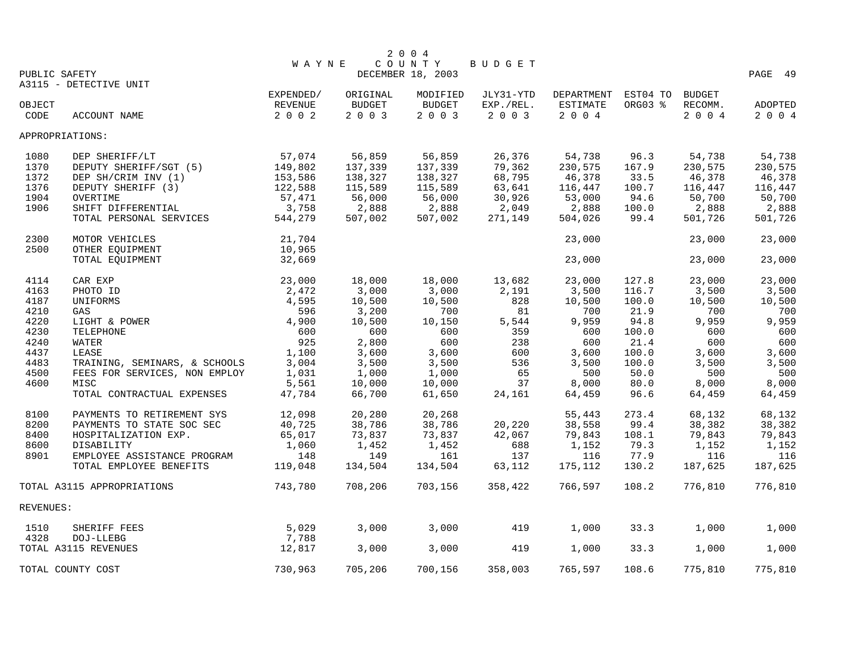|           |                               |              |               | 2 0 0 4           |               |                 |          |               |         |
|-----------|-------------------------------|--------------|---------------|-------------------|---------------|-----------------|----------|---------------|---------|
|           |                               | <b>WAYNE</b> |               | COUNTY            | <b>BUDGET</b> |                 |          |               |         |
|           | PUBLIC SAFETY                 |              |               | DECEMBER 18, 2003 |               |                 |          |               | PAGE 49 |
|           | A3115 - DETECTIVE UNIT        |              |               |                   |               |                 |          |               |         |
|           |                               | EXPENDED/    | ORIGINAL      | MODIFIED          | JLY31-YTD     | DEPARTMENT      | EST04 TO | <b>BUDGET</b> |         |
| OBJECT    |                               | REVENUE      | <b>BUDGET</b> | <b>BUDGET</b>     | EXP./REL.     | <b>ESTIMATE</b> | ORG03 %  | RECOMM.       | ADOPTED |
| CODE      | ACCOUNT NAME                  | 2 0 0 2      | 2 0 0 3       | 2 0 0 3           | 2 0 0 3       | 2 0 0 4         |          | 2 0 0 4       | 2 0 0 4 |
|           | APPROPRIATIONS:               |              |               |                   |               |                 |          |               |         |
| 1080      | DEP SHERIFF/LT                | 57,074       | 56,859        | 56,859            | 26,376        | 54,738          | 96.3     | 54,738        | 54,738  |
| 1370      | DEPUTY SHERIFF/SGT (5)        | 149,802      | 137,339       | 137,339           | 79,362        | 230,575         | 167.9    | 230,575       | 230,575 |
| 1372      | DEP SH/CRIM INV (1)           | 153,586      | 138,327       | 138,327           | 68,795        | 46,378          | 33.5     | 46,378        | 46,378  |
| 1376      | DEPUTY SHERIFF (3)            | 122,588      | 115,589       | 115,589           | 63,641        | 116,447         | 100.7    | 116,447       | 116,447 |
| 1904      | OVERTIME                      | 57,471       | 56,000        | 56,000            | 30,926        | 53,000          | 94.6     | 50,700        | 50,700  |
| 1906      | SHIFT DIFFERENTIAL            | 3,758        | 2,888         | 2,888             | 2,049         | 2,888           | 100.0    | 2,888         | 2,888   |
|           | TOTAL PERSONAL SERVICES       | 544,279      | 507,002       | 507,002           | 271,149       | 504,026         | 99.4     | 501,726       | 501,726 |
| 2300      | MOTOR VEHICLES                | 21,704       |               |                   |               | 23,000          |          | 23,000        | 23,000  |
| 2500      | OTHER EQUIPMENT               | 10,965       |               |                   |               |                 |          |               |         |
|           | TOTAL EQUIPMENT               | 32,669       |               |                   |               | 23,000          |          | 23,000        | 23,000  |
| 4114      | CAR EXP                       | 23,000       | 18,000        | 18,000            | 13,682        | 23,000          | 127.8    | 23,000        | 23,000  |
| 4163      | PHOTO ID                      | 2,472        | 3,000         | 3,000             | 2,191         | 3,500           | 116.7    | 3,500         | 3,500   |
| 4187      | UNIFORMS                      | 4,595        | 10,500        | 10,500            | 828           | 10,500          | 100.0    | 10,500        | 10,500  |
| 4210      | GAS                           | 596          | 3,200         | 700               | 81            | 700             | 21.9     | 700           | 700     |
| 4220      | LIGHT & POWER                 | 4,900        | 10,500        | 10,150            | 5,544         | 9,959           | 94.8     | 9,959         | 9,959   |
| 4230      | TELEPHONE                     | 600          | 600           | 600               | 359           | 600             | 100.0    | 600           | 600     |
| 4240      | WATER                         | 925          | 2,800         | 600               | 238           | 600             | 21.4     | 600           | 600     |
| 4437      | LEASE                         | 1,100        | 3,600         | 3,600             | 600           | 3,600           | 100.0    | 3,600         | 3,600   |
| 4483      | TRAINING, SEMINARS, & SCHOOLS | 3,004        | 3,500         | 3,500             | 536           | 3,500           | 100.0    | 3,500         | 3,500   |
| 4500      | FEES FOR SERVICES, NON EMPLOY | 1,031        | 1,000         | 1,000             | 65            | 500             | 50.0     | 500           | 500     |
| 4600      | MISC                          | 5,561        | 10,000        | 10,000            | 37            | 8,000           | 80.0     | 8,000         | 8,000   |
|           | TOTAL CONTRACTUAL EXPENSES    | 47,784       | 66,700        | 61,650            | 24,161        | 64,459          | 96.6     | 64,459        | 64,459  |
|           |                               |              |               |                   |               |                 |          |               |         |
| 8100      | PAYMENTS TO RETIREMENT SYS    | 12,098       | 20,280        | 20,268            |               | 55,443          | 273.4    | 68,132        | 68,132  |
| 8200      | PAYMENTS TO STATE SOC SEC     | 40,725       | 38,786        | 38,786            | 20,220        | 38,558          | 99.4     | 38,382        | 38,382  |
| 8400      | HOSPITALIZATION EXP.          | 65,017       | 73,837        | 73,837            | 42,067        | 79,843          | 108.1    | 79,843        | 79,843  |
| 8600      | DISABILITY                    | 1,060        | 1,452         | 1,452             | 688           | 1,152           | 79.3     | 1,152         | 1,152   |
| 8901      | EMPLOYEE ASSISTANCE PROGRAM   | 148          | 149           | 161               | 137           | 116             | 77.9     | 116           | 116     |
|           | TOTAL EMPLOYEE BENEFITS       | 119,048      | 134,504       | 134,504           | 63,112        | 175,112         | 130.2    | 187,625       | 187,625 |
|           | TOTAL A3115 APPROPRIATIONS    | 743,780      | 708,206       | 703,156           | 358,422       | 766,597         | 108.2    | 776,810       | 776,810 |
| REVENUES: |                               |              |               |                   |               |                 |          |               |         |
| 1510      | SHERIFF FEES                  | 5,029        | 3,000         | 3,000             | 419           | 1,000           | 33.3     | 1,000         | 1,000   |
| 4328      | DOJ-LLEBG                     | 7,788        |               |                   |               |                 |          |               |         |
|           | TOTAL A3115 REVENUES          | 12,817       | 3,000         | 3,000             | 419           | 1,000           | 33.3     | 1,000         | 1,000   |
|           | TOTAL COUNTY COST             | 730,963      | 705,206       | 700,156           | 358,003       | 765,597         | 108.6    | 775,810       | 775,810 |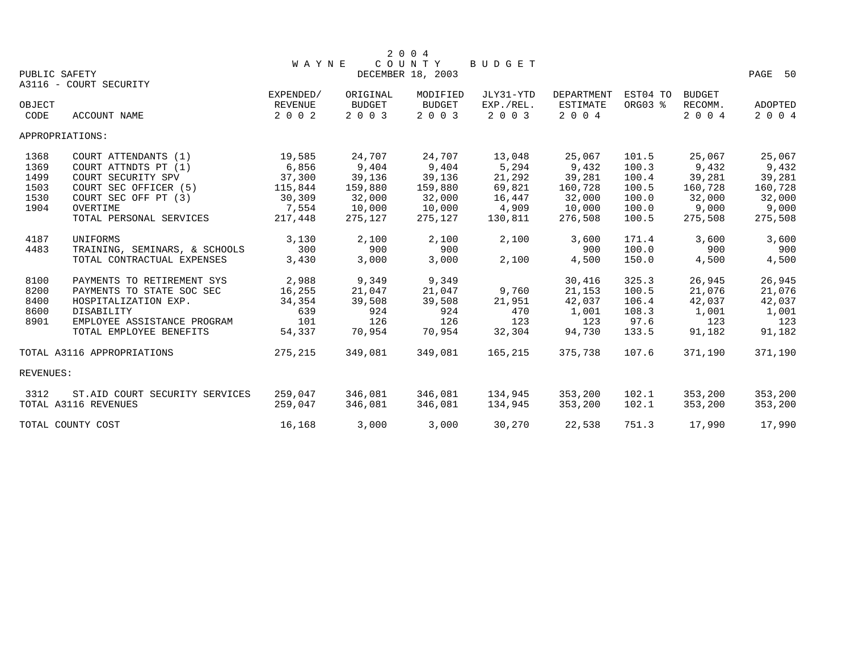|           |                                         |                |               | 2 0 0 4           |           |                 |          |               |         |
|-----------|-----------------------------------------|----------------|---------------|-------------------|-----------|-----------------|----------|---------------|---------|
|           |                                         | <b>WAYNE</b>   |               | COUNTY            | BUDGET    |                 |          |               |         |
|           | PUBLIC SAFETY<br>A3116 - COURT SECURITY |                |               | DECEMBER 18, 2003 |           |                 |          |               | PAGE 50 |
|           |                                         | EXPENDED/      | ORIGINAL      | MODIFIED          | JLY31-YTD | DEPARTMENT      | EST04 TO | <b>BUDGET</b> |         |
| OBJECT    |                                         | <b>REVENUE</b> | <b>BUDGET</b> | <b>BUDGET</b>     | EXP./REL. | <b>ESTIMATE</b> | ORG03 %  | RECOMM.       | ADOPTED |
| CODE      | ACCOUNT NAME                            | 2 0 0 2        | 2 0 0 3       | 2 0 0 3           | 2 0 0 3   | 2 0 0 4         |          | 2 0 0 4       | 2 0 0 4 |
|           | APPROPRIATIONS:                         |                |               |                   |           |                 |          |               |         |
| 1368      | COURT ATTENDANTS (1)                    | 19,585         | 24,707        | 24,707            | 13,048    | 25,067          | 101.5    | 25,067        | 25,067  |
| 1369      | COURT ATTNDTS PT (1)                    | 6,856          | 9,404         | 9,404             | 5,294     | 9,432           | 100.3    | 9,432         | 9,432   |
| 1499      | COURT SECURITY SPV                      | 37,300         | 39,136        | 39,136            | 21,292    | 39,281          | 100.4    | 39,281        | 39,281  |
| 1503      | COURT SEC OFFICER (5)                   | 115,844        | 159,880       | 159,880           | 69,821    | 160,728         | 100.5    | 160,728       | 160,728 |
| 1530      | COURT SEC OFF PT (3)                    | 30,309         | 32,000        | 32,000            | 16,447    | 32,000          | 100.0    | 32,000        | 32,000  |
| 1904      | OVERTIME                                | 7,554          | 10,000        | 10,000            | 4,909     | 10,000          | 100.0    | 9,000         | 9,000   |
|           | TOTAL PERSONAL SERVICES                 | 217,448        | 275,127       | 275,127           | 130,811   | 276,508         | 100.5    | 275,508       | 275,508 |
| 4187      | UNIFORMS                                | 3,130          | 2,100         | 2,100             | 2,100     | 3,600           | 171.4    | 3,600         | 3,600   |
| 4483      | TRAINING, SEMINARS, & SCHOOLS           | 300            | 900           | 900               |           | 900             | 100.0    | 900           | 900     |
|           | TOTAL CONTRACTUAL EXPENSES              | 3,430          | 3,000         | 3,000             | 2,100     | 4,500           | 150.0    | 4,500         | 4,500   |
| 8100      | PAYMENTS TO RETIREMENT SYS              | 2,988          | 9,349         | 9,349             |           | 30,416          | 325.3    | 26,945        | 26,945  |
| 8200      | PAYMENTS TO STATE SOC SEC               | 16,255         | 21,047        | 21,047            | 9,760     | 21,153          | 100.5    | 21,076        | 21,076  |
| 8400      | HOSPITALIZATION EXP.                    | 34,354         | 39,508        | 39,508            | 21,951    | 42,037          | 106.4    | 42,037        | 42,037  |
| 8600      | DISABILITY                              | 639            | 924           | 924               | 470       | 1,001           | 108.3    | 1,001         | 1,001   |
| 8901      | EMPLOYEE ASSISTANCE PROGRAM             | 101            | 126           | 126               | 123       | 123             | 97.6     | 123           | 123     |
|           | TOTAL EMPLOYEE BENEFITS                 | 54,337         | 70,954        | 70,954            | 32,304    | 94,730          | 133.5    | 91,182        | 91,182  |
|           | TOTAL A3116 APPROPRIATIONS              | 275,215        | 349,081       | 349,081           | 165,215   | 375,738         | 107.6    | 371,190       | 371,190 |
| REVENUES: |                                         |                |               |                   |           |                 |          |               |         |
| 3312      | ST.AID COURT SECURITY SERVICES          | 259,047        | 346,081       | 346,081           | 134,945   | 353,200         | 102.1    | 353,200       | 353,200 |
|           | TOTAL A3116 REVENUES                    | 259,047        | 346,081       | 346,081           | 134,945   | 353,200         | 102.1    | 353,200       | 353,200 |
|           | TOTAL COUNTY COST                       | 16,168         | 3,000         | 3,000             | 30,270    | 22,538          | 751.3    | 17,990        | 17,990  |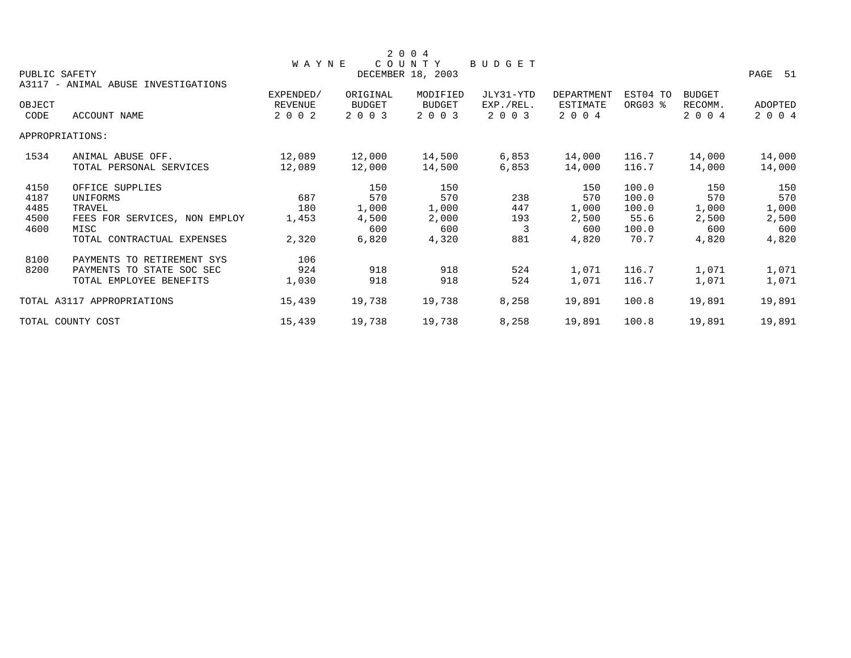|               |                                     |              |          | 2 0 0 4           |           |            |          |               |                |
|---------------|-------------------------------------|--------------|----------|-------------------|-----------|------------|----------|---------------|----------------|
|               |                                     | <b>WAYNE</b> |          | COUNTY            | BUDGET    |            |          |               |                |
| PUBLIC SAFETY |                                     |              |          | DECEMBER 18, 2003 |           |            |          |               | PAGE 51        |
|               | A3117 - ANIMAL ABUSE INVESTIGATIONS |              |          |                   |           |            |          |               |                |
|               |                                     | EXPENDED/    | ORIGINAL | MODIFIED          | JLY31-YTD | DEPARTMENT | EST04 TO | <b>BUDGET</b> |                |
| OBJECT        |                                     | REVENUE      | BUDGET   | <b>BUDGET</b>     | EXP./REL. | ESTIMATE   | ORG03 %  | RECOMM.       | <b>ADOPTED</b> |
| CODE          | ACCOUNT NAME                        | 2 0 0 2      | 2 0 0 3  | 2 0 0 3           | 2 0 0 3   | 2 0 0 4    |          | 2 0 0 4       | 2 0 0 4        |
|               | APPROPRIATIONS:                     |              |          |                   |           |            |          |               |                |
| 1534          | ANIMAL ABUSE OFF.                   | 12,089       | 12,000   | 14,500            | 6,853     | 14,000     | 116.7    | 14,000        | 14,000         |
|               | TOTAL PERSONAL SERVICES             | 12,089       | 12,000   | 14,500            | 6,853     | 14,000     | 116.7    | 14,000        | 14,000         |
| 4150          | OFFICE SUPPLIES                     |              | 150      | 150               |           | 150        | 100.0    | 150           | 150            |
| 4187          | UNIFORMS                            | 687          | 570      | 570               | 238       | 570        | 100.0    | 570           | 570            |
| 4485          | TRAVEL                              | 180          | 1,000    | 1,000             | 447       | 1,000      | 100.0    | 1,000         | 1,000          |
| 4500          | FEES FOR SERVICES, NON EMPLOY       | 1,453        | 4,500    | 2,000             | 193       | 2,500      | 55.6     | 2,500         | 2,500          |
| 4600          | MISC                                |              | 600      | 600               | 3         | 600        | 100.0    | 600           | 600            |
|               | TOTAL CONTRACTUAL EXPENSES          | 2,320        | 6,820    | 4,320             | 881       | 4,820      | 70.7     | 4,820         | 4,820          |
| 8100          | PAYMENTS TO RETIREMENT SYS          | 106          |          |                   |           |            |          |               |                |
| 8200          | PAYMENTS TO STATE SOC SEC           | 924          | 918      | 918               | 524       | 1,071      | 116.7    | 1,071         | 1,071          |
|               | TOTAL EMPLOYEE BENEFITS             | 1,030        | 918      | 918               | 524       | 1,071      | 116.7    | 1,071         | 1,071          |
|               | TOTAL A3117 APPROPRIATIONS          | 15,439       | 19,738   | 19,738            | 8,258     | 19,891     | 100.8    | 19,891        | 19,891         |
|               | TOTAL COUNTY COST                   | 15,439       | 19,738   | 19,738            | 8,258     | 19,891     | 100.8    | 19,891        | 19,891         |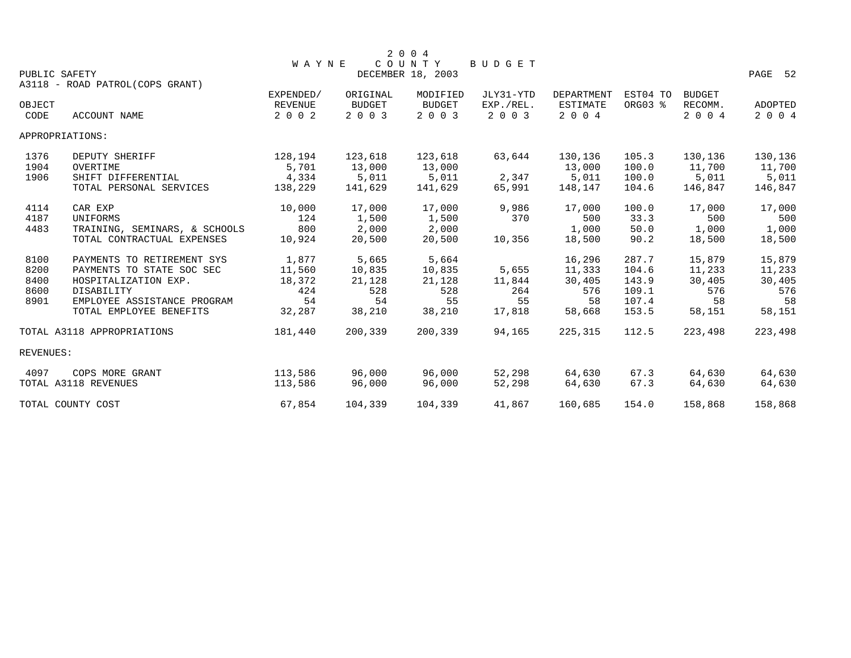| 2004<br>COUNTY<br><b>WAYNE</b><br>BUDGET<br>DECEMBER 18, 2003<br>PAGE<br>52<br>PUBLIC SAFETY |                                                                                                                                                         |                                                  |                                                  |                                                  |                                        |                                                   |                                                    |                                                   |                                                   |  |  |
|----------------------------------------------------------------------------------------------|---------------------------------------------------------------------------------------------------------------------------------------------------------|--------------------------------------------------|--------------------------------------------------|--------------------------------------------------|----------------------------------------|---------------------------------------------------|----------------------------------------------------|---------------------------------------------------|---------------------------------------------------|--|--|
| OBJECT                                                                                       | A3118 - ROAD PATROL(COPS GRANT)                                                                                                                         | EXPENDED/<br>REVENUE                             | ORIGINAL<br><b>BUDGET</b>                        | MODIFIED<br><b>BUDGET</b>                        | JLY31-YTD<br>EXP./REL.                 | <b>DEPARTMENT</b><br><b>ESTIMATE</b>              | EST04 TO<br>ORG03 %                                | <b>BUDGET</b><br>RECOMM.                          | <b>ADOPTED</b>                                    |  |  |
| CODE                                                                                         | ACCOUNT NAME                                                                                                                                            | 2 0 0 2                                          | 2003                                             | 2 0 0 3                                          | 2 0 0 3                                | 2 0 0 4                                           |                                                    | 2 0 0 4                                           | 2004                                              |  |  |
|                                                                                              | APPROPRIATIONS:                                                                                                                                         |                                                  |                                                  |                                                  |                                        |                                                   |                                                    |                                                   |                                                   |  |  |
| 1376<br>1904<br>1906                                                                         | DEPUTY SHERIFF<br>OVERTIME<br>SHIFT DIFFERENTIAL                                                                                                        | 128,194<br>5,701<br>4,334                        | 123,618<br>13,000<br>5,011                       | 123,618<br>13,000<br>5,011                       | 63,644<br>2,347                        | 130,136<br>13,000<br>5,011                        | 105.3<br>100.0<br>100.0                            | 130,136<br>11,700<br>5,011                        | 130,136<br>11,700<br>5,011                        |  |  |
|                                                                                              | TOTAL PERSONAL SERVICES                                                                                                                                 | 138,229                                          | 141,629                                          | 141,629                                          | 65,991                                 | 148,147                                           | 104.6                                              | 146,847                                           | 146,847                                           |  |  |
| 4114<br>4187<br>4483                                                                         | CAR EXP<br>UNIFORMS<br>TRAINING, SEMINARS, & SCHOOLS<br>TOTAL CONTRACTUAL EXPENSES                                                                      | 10,000<br>124<br>800<br>10,924                   | 17,000<br>1,500<br>2,000<br>20,500               | 17,000<br>1,500<br>2,000<br>20,500               | 9,986<br>370<br>10,356                 | 17,000<br>500<br>1,000<br>18,500                  | 100.0<br>33.3<br>50.0<br>90.2                      | 17,000<br>500<br>1,000<br>18,500                  | 17,000<br>500<br>1,000<br>18,500                  |  |  |
| 8100<br>8200<br>8400<br>8600<br>8901                                                         | PAYMENTS TO RETIREMENT SYS<br>PAYMENTS TO STATE SOC SEC<br>HOSPITALIZATION EXP.<br>DISABILITY<br>EMPLOYEE ASSISTANCE PROGRAM<br>TOTAL EMPLOYEE BENEFITS | 1,877<br>11,560<br>18,372<br>424<br>54<br>32,287 | 5,665<br>10,835<br>21,128<br>528<br>54<br>38,210 | 5,664<br>10,835<br>21,128<br>528<br>55<br>38,210 | 5,655<br>11,844<br>264<br>55<br>17,818 | 16,296<br>11,333<br>30,405<br>576<br>58<br>58,668 | 287.7<br>104.6<br>143.9<br>109.1<br>107.4<br>153.5 | 15,879<br>11,233<br>30,405<br>576<br>58<br>58,151 | 15,879<br>11,233<br>30,405<br>576<br>58<br>58,151 |  |  |
|                                                                                              | TOTAL A3118 APPROPRIATIONS                                                                                                                              | 181,440                                          | 200,339                                          | 200,339                                          | 94,165                                 | 225, 315                                          | 112.5                                              | 223,498                                           | 223,498                                           |  |  |
| REVENUES:                                                                                    |                                                                                                                                                         |                                                  |                                                  |                                                  |                                        |                                                   |                                                    |                                                   |                                                   |  |  |
| 4097                                                                                         | COPS MORE GRANT<br>TOTAL A3118 REVENUES                                                                                                                 | 113,586<br>113,586                               | 96,000<br>96,000                                 | 96,000<br>96,000                                 | 52,298<br>52,298                       | 64,630<br>64,630                                  | 67.3<br>67.3                                       | 64,630<br>64,630                                  | 64,630<br>64,630                                  |  |  |
|                                                                                              | TOTAL COUNTY COST                                                                                                                                       | 67,854                                           | 104,339                                          | 104,339                                          | 41,867                                 | 160,685                                           | 154.0                                              | 158,868                                           | 158,868                                           |  |  |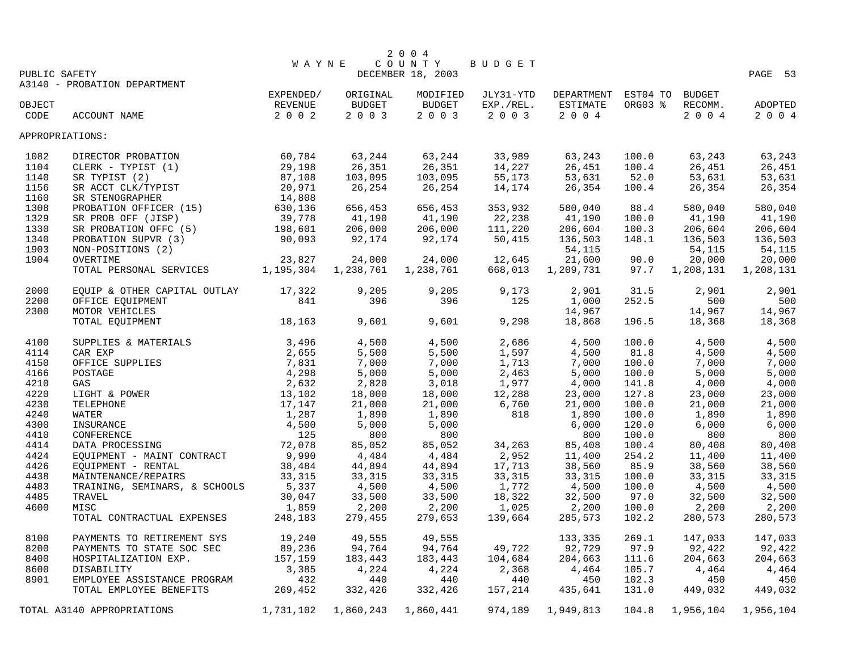|                 |                                   |              |               | 2 0 0 4           |           |            |          |           |           |
|-----------------|-----------------------------------|--------------|---------------|-------------------|-----------|------------|----------|-----------|-----------|
|                 |                                   | <b>WAYNE</b> |               | COUNTY            | BUDGET    |            |          |           |           |
| PUBLIC SAFETY   |                                   |              |               | DECEMBER 18, 2003 |           |            |          |           | PAGE 53   |
|                 | A3140 - PROBATION DEPARTMENT      | EXPENDED/    | ORIGINAL      | MODIFIED          | JLY31-YTD | DEPARTMENT | EST04 TO | BUDGET    |           |
| OBJECT          |                                   | REVENUE      | <b>BUDGET</b> | <b>BUDGET</b>     | EXP./REL. | ESTIMATE   | ORG03 %  | RECOMM.   | ADOPTED   |
| CODE            | ACCOUNT NAME                      | 2 0 0 2      | 2 0 0 3       | 2003              | 2 0 0 3   | 2 0 0 4    |          | 2004      | 2 0 0 4   |
|                 |                                   |              |               |                   |           |            |          |           |           |
| APPROPRIATIONS: |                                   |              |               |                   |           |            |          |           |           |
| 1082            | DIRECTOR PROBATION                | 60,784       | 63,244        | 63,244            | 33,989    | 63,243     | 100.0    | 63,243    | 63,243    |
| 1104            | CLERK - TYPIST (1)                | 29,198       | 26,351        | 26,351            | 14,227    | 26,451     | 100.4    | 26,451    | 26,451    |
| 1140            | SR TYPIST (2)                     | 87,108       | 103,095       | 103,095           | 55,173    | 53,631     | 52.0     | 53,631    | 53,631    |
| 1156            | SR ACCT CLK/TYPIST                | 20,971       | 26,254        | 26,254            | 14,174    | 26,354     | 100.4    | 26,354    | 26,354    |
| 1160            | SR STENOGRAPHER                   | 14,808       |               |                   |           |            |          |           |           |
| 1308            | PROBATION OFFICER (15)            | 630,136      | 656,453       | 656,453           | 353,932   | 580,040    | 88.4     | 580,040   | 580,040   |
| 1329            | SR PROB OFF (JISP)                | 39,778       | 41,190        | 41,190            | 22,238    | 41,190     | 100.0    | 41,190    | 41,190    |
| 1330            | SR PROBATION OFFC (5)             | 198,601      | 206,000       | 206,000           | 111,220   | 206,604    | 100.3    | 206,604   | 206,604   |
| 1340            | PROBATION SUPVR (3)               | 90,093       | 92,174        | 92,174            | 50,415    | 136,503    | 148.1    | 136,503   | 136,503   |
| 1903            | NON-POSITIONS (2)                 |              |               |                   |           | 54,115     |          | 54,115    | 54,115    |
| 1904            | OVERTIME                          | 23,827       | 24,000        | 24,000            | 12,645    | 21,600     | 90.0     | 20,000    | 20,000    |
|                 | TOTAL PERSONAL SERVICES 1,195,304 |              | 1,238,761     | 1,238,761         | 668,013   | 1,209,731  | 97.7     | 1,208,131 | 1,208,131 |
| 2000            | EQUIP & OTHER CAPITAL OUTLAY      | 17,322       | 9,205         | 9,205             | 9,173     | 2,901      | 31.5     | 2,901     | 2,901     |
| 2200            | OFFICE EQUIPMENT                  | 841          | 396           | 396               | 125       | 1,000      | 252.5    | 500       | 500       |
| 2300            | MOTOR VEHICLES                    |              |               |                   |           | 14,967     |          | 14,967    | 14,967    |
|                 | TOTAL EQUIPMENT                   | 18,163       | 9,601         | 9,601             | 9,298     | 18,868     | 196.5    | 18,368    | 18,368    |
| 4100            | SUPPLIES & MATERIALS              | 3,496        | 4,500         | 4,500             | 2,686     | 4,500      | 100.0    | 4,500     | 4,500     |
| 4114            | CAR EXP                           | 2,655        | 5,500         | 5,500             | 1,597     | 4,500      | 81.8     | 4,500     | 4,500     |
| 4150            | OFFICE SUPPLIES                   | 7,831        | 7,000         | 7,000             | 1,713     | 7,000      | 100.0    | 7,000     | 7,000     |
| 4166            | POSTAGE                           | 4,298        | 5,000         | 5,000             | 2,463     | 5,000      | 100.0    | 5,000     | 5,000     |
| 4210            | GAS                               | 2,632        | 2,820         | 3,018             | 1,977     | 4,000      | 141.8    | 4,000     | 4,000     |
| 4220            | LIGHT & POWER                     | 13,102       | 18,000        | 18,000            | 12,288    | 23,000     | 127.8    | 23,000    | 23,000    |
| 4230            | TELEPHONE                         | 17,147       | 21,000        | 21,000            | 6,760     | 21,000     | 100.0    | 21,000    | 21,000    |
| 4240            | WATER                             | 1,287        | 1,890         | 1,890             | 818       | 1,890      | 100.0    | 1,890     | 1,890     |
| 4300            | INSURANCE                         | 4,500        | 5,000         | 5,000             |           | 6,000      | 120.0    | 6,000     | 6,000     |
| 4410            | CONFERENCE                        | 125          | 800           | 800               |           | 800        | 100.0    | 800       | 800       |
| 4414            | DATA PROCESSING                   | 72,078       | 85,052        | 85,052            | 34,263    | 85,408     | 100.4    | 80,408    | 80,408    |
| 4424            | EQUIPMENT - MAINT CONTRACT        | 9,990        | 4,484         | 4,484             | 2,952     | 11,400     | 254.2    | 11,400    | 11,400    |
| 4426            | EQUIPMENT - RENTAL                | 38,484       | 44,894        | 44,894            | 17,713    | 38,560     | 85.9     | 38,560    | 38,560    |
| 4438            | MAINTENANCE/REPAIRS               | 33,315       | 33,315        | 33,315            | 33,315    | 33,315     | 100.0    | 33,315    | 33,315    |
| 4483            | TRAINING, SEMINARS, & SCHOOLS     | 5,337        | 4,500         | 4,500             | 1,772     | 4,500      | 100.0    | 4,500     | 4,500     |
| 4485            | TRAVEL                            | 30,047       | 33,500        | 33,500            | 18,322    | 32,500     | 97.0     | 32,500    | 32,500    |
| 4600            | MISC                              | 1,859        | 2,200         | 2,200             | 1,025     | 2,200      | 100.0    | 2,200     | 2,200     |
|                 | TOTAL CONTRACTUAL EXPENSES        | 248,183      | 279,455       | 279,653           | 139,664   | 285,573    | 102.2    | 280,573   | 280,573   |
| 8100            | PAYMENTS TO RETIREMENT SYS        | 19,240       | 49,555        | 49,555            |           | 133,335    | 269.1    | 147,033   | 147,033   |
| 8200            | PAYMENTS TO STATE SOC SEC         | 89,236       | 94,764        | 94,764            | 49,722    | 92,729     | 97.9     | 92,422    | 92,422    |
| 8400            | HOSPITALIZATION EXP.              | 157,159      | 183,443       | 183,443           | 104,684   | 204,663    | 111.6    | 204,663   | 204,663   |
| 8600            | DISABILITY                        | 3,385        | 4,224         | 4,224             | 2,368     | 4,464      | 105.7    | 4,464     | 4,464     |
| 8901            | EMPLOYEE ASSISTANCE PROGRAM       | 432          | 440           | 440               | 440       | 450        | 102.3    | 450       | 450       |
|                 | TOTAL EMPLOYEE BENEFITS           | 269,452      | 332,426       | 332,426           | 157,214   | 435,641    | 131.0    | 449,032   | 449,032   |
|                 | TOTAL A3140 APPROPRIATIONS        | 1,731,102    | 1,860,243     | 1,860,441         | 974,189   | 1,949,813  | 104.8    | 1,956,104 | 1,956,104 |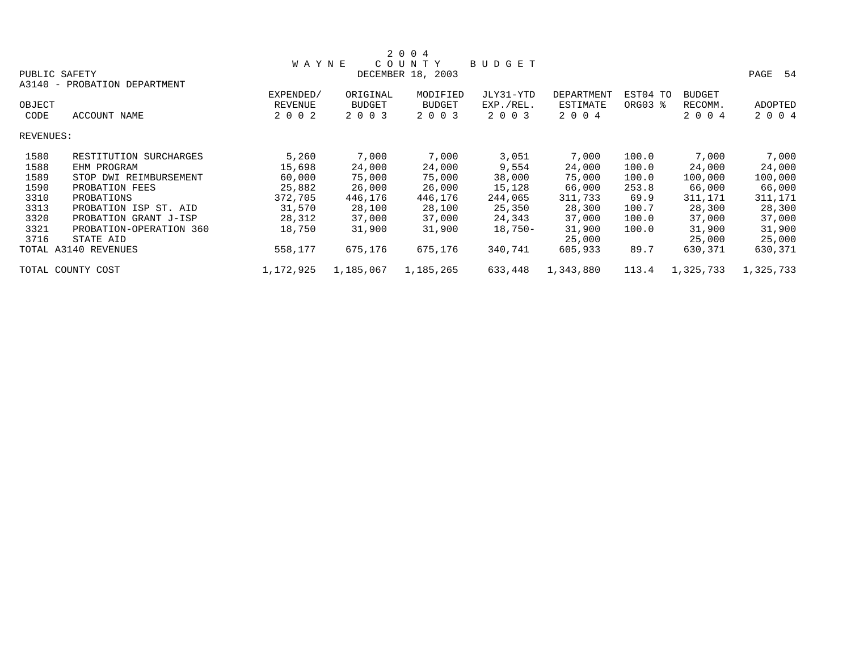|           |                              |              |           | 2 0 0 4           |               |                   |          |               |            |
|-----------|------------------------------|--------------|-----------|-------------------|---------------|-------------------|----------|---------------|------------|
|           |                              | <b>WAYNE</b> | C O U     | T Y<br>N          | <b>BUDGET</b> |                   |          |               |            |
|           | PUBLIC SAFETY                |              |           | DECEMBER 18, 2003 |               |                   |          |               | PAGE<br>54 |
|           | A3140 - PROBATION DEPARTMENT |              |           |                   |               |                   |          |               |            |
|           |                              | EXPENDED/    | ORIGINAL  | MODIFIED          | JLY31-YTD     | <b>DEPARTMENT</b> | EST04 TO | <b>BUDGET</b> |            |
| OBJECT    |                              | REVENUE      | BUDGET    | <b>BUDGET</b>     | EXP./REL.     | ESTIMATE          | ORG03 %  | RECOMM.       | ADOPTED    |
| CODE      | ACCOUNT NAME                 | 2 0 0 2      | 2 0 0 3   | 2 0 0 3           | 2 0 0 3       | 2 0 0 4           |          | 2 0 0 4       | 2 0 0 4    |
| REVENUES: |                              |              |           |                   |               |                   |          |               |            |
| 1580      | RESTITUTION SURCHARGES       | 5,260        | 7,000     | 7,000             | 3,051         | 7,000             | 100.0    | 7,000         | 7,000      |
| 1588      | EHM PROGRAM                  | 15,698       | 24,000    | 24,000            | 9,554         | 24,000            | 100.0    | 24,000        | 24,000     |
| 1589      | STOP DWI REIMBURSEMENT       | 60,000       | 75,000    | 75,000            | 38,000        | 75,000            | 100.0    | 100,000       | 100,000    |
| 1590      | PROBATION FEES               | 25,882       | 26,000    | 26,000            | 15,128        | 66,000            | 253.8    | 66,000        | 66,000     |
| 3310      | PROBATIONS                   | 372,705      | 446,176   | 446,176           | 244,065       | 311,733           | 69.9     | 311,171       | 311,171    |
| 3313      | PROBATION ISP ST. AID        | 31,570       | 28,100    | 28,100            | 25,350        | 28,300            | 100.7    | 28,300        | 28,300     |
| 3320      | PROBATION GRANT J-ISP        | 28,312       | 37,000    | 37,000            | 24,343        | 37,000            | 100.0    | 37,000        | 37,000     |
| 3321      | PROBATION-OPERATION 360      | 18,750       | 31,900    | 31,900            | $18,750-$     | 31,900            | 100.0    | 31,900        | 31,900     |
| 3716      | STATE AID                    |              |           |                   |               | 25,000            |          | 25,000        | 25,000     |
|           | TOTAL A3140 REVENUES         | 558,177      | 675,176   | 675,176           | 340,741       | 605,933           | 89.7     | 630,371       | 630,371    |
|           | TOTAL COUNTY COST            | 1,172,925    | 1,185,067 | 1,185,265         | 633,448       | 1,343,880         | 113.4    | 1,325,733     | 1,325,733  |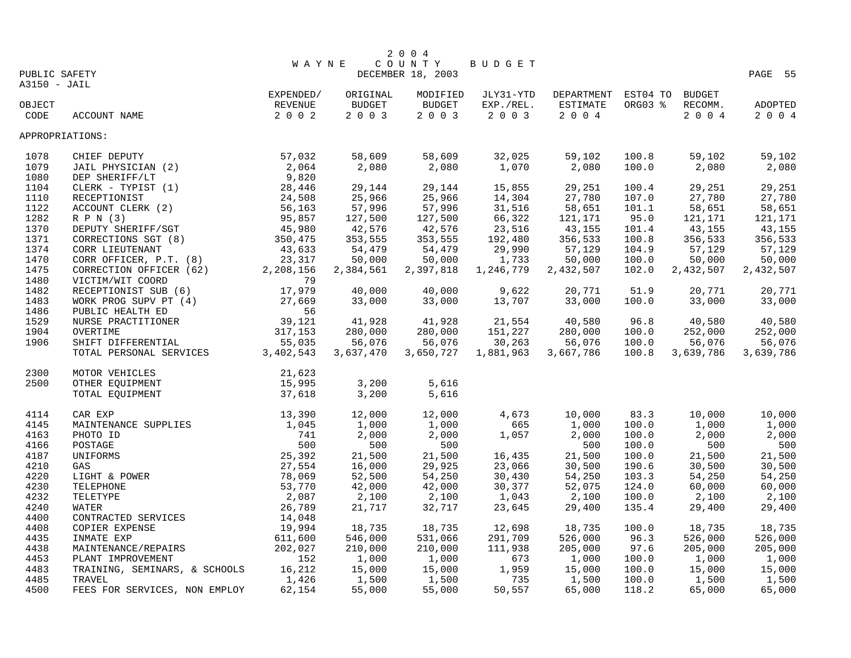|                                  |                                                                                               |                                                                                |           | 2004              |           |                            |         |           |           |
|----------------------------------|-----------------------------------------------------------------------------------------------|--------------------------------------------------------------------------------|-----------|-------------------|-----------|----------------------------|---------|-----------|-----------|
| COUNTY<br>BUDGET<br><b>WAYNE</b> |                                                                                               |                                                                                |           |                   |           |                            |         |           |           |
| PUBLIC SAFETY                    |                                                                                               |                                                                                |           | DECEMBER 18, 2003 |           |                            |         |           | PAGE 55   |
| A3150 - JAIL                     |                                                                                               |                                                                                |           |                   |           |                            |         |           |           |
|                                  |                                                                                               | EXPENDED/                                                                      | ORIGINAL  | MODIFIED          | JLY31-YTD | DEPARTMENT EST04 TO BUDGET |         |           |           |
| OBJECT                           |                                                                                               | REVENUE                                                                        | BUDGET    | BUDGET            | EXP./REL. | ESTIMATE                   | ORG03 % | RECOMM.   | ADOPTED   |
| CODE                             | $\mathbf{E}$<br>ACCOUNT NAME                                                                  | $2 0 0 2$                                                                      | 2 0 0 3   | 2003              | $2 0 0 3$ | 2 0 0 4                    |         | 2 0 0 4   | 2004      |
| APPROPRIATIONS:                  |                                                                                               |                                                                                |           |                   |           |                            |         |           |           |
| 1078                             | CHIEF DEPUTY                                                                                  | $57,032$<br>$2,064$<br>$9,820$<br>$28,446$<br>$24,508$<br>$56,163$<br>$95,857$ | 58,609    | 58,609            | 32,025    | 59,102                     | 100.8   | 59,102    | 59,102    |
| 1079                             | JAIL PHYSICIAN (2)                                                                            |                                                                                | 2,080     | 2,080             | 1,070     | 2,080                      | 100.0   | 2,080     | 2,080     |
| 1080                             | DEP SHERIFF/LT                                                                                |                                                                                |           |                   |           |                            |         |           |           |
| 1104                             | CLERK - TYPIST (1)                                                                            |                                                                                | 29,144    | 29,144            | 15,855    | 29,251                     | 100.4   | 29,251    | 29,251    |
| 1110                             | RECEPTIONIST                                                                                  |                                                                                | 25,966    | 25,966            | 14,304    | 27,780                     | 107.0   | 27,780    | 27,780    |
| 1122                             | ACCOUNT CLERK (2)                                                                             |                                                                                | 57,996    | 57,996            | 31,516    | 58,651                     | 101.1   | 58,651    | 58,651    |
| 1282                             | R P N (3)                                                                                     | 95,857                                                                         | 127,500   | 127,500           | 66,322    | 121,171                    | 95.0    | 121,171   | 121,171   |
| 1370                             | DEPUTY SHERIFF/SGT                                                                            | 45,980                                                                         | 42,576    | 42,576            | 23,516    | 43,155                     | 101.4   | 43,155    | 43,155    |
| 1371                             | CORRECTIONS SGT (8)                                                                           | 350,475                                                                        | 353,555   | 353,555           | 192,480   | 356,533                    | 100.8   | 356,533   | 356,533   |
| 1374                             | CORR LIEUTENANT                                                                               | 43,633                                                                         | 54,479    | 54,479            | 29,990    | 57,129                     | 104.9   | 57,129    | 57,129    |
| 1470                             |                                                                                               |                                                                                | 50,000    | 50,000            | 1,733     | 50,000                     | 100.0   | 50,000    | 50,000    |
| 1475                             | CORR OFFICER, P.T. $(8)$<br>CORRECTION OFFICER $(62)$<br>2,208,156<br>The Hottle Hotel School |                                                                                | 2,384,561 | 2,397,818         | 1,246,779 | 2,432,507                  | 102.0   | 2,432,507 | 2,432,507 |
| 1480                             | VICTIM/WIT COORD                                                                              | 79                                                                             |           |                   |           |                            |         |           |           |
| 1482                             | RECEPTIONIST SUB (6)                                                                          | 79<br>17 , 979<br>27 , 669                                                     | 40,000    | 40,000            | 9,622     | 20,771                     | 51.9    | 20,771    | 20,771    |
| 1483                             | WORK PROG SUPV PT (4)                                                                         |                                                                                | 33,000    | 33,000            | 13,707    | 33,000                     | 100.0   | 33,000    | 33,000    |
| 1486                             | PUBLIC HEALTH ED                                                                              | 56                                                                             |           |                   |           |                            |         |           |           |
| 1529                             | NURSE PRACTITIONER                                                                            |                                                                                | 41,928    | 41,928            | 21,554    | 40,580                     | 96.8    | 40,580    | 40,580    |
| 1904                             | OVERTIME                                                                                      | $39,121$<br>$317,153$                                                          | 280,000   | 280,000           | 151,227   | 280,000                    | 100.0   | 252,000   | 252,000   |
| 1906                             | SHIFT DIFFERENTIAL 55,035<br>TOTAL PERSONAL SERVICES 3,402,543                                |                                                                                | 56,076    | 56,076            | 30,263    | 56,076                     | 100.0   | 56,076    | 56,076    |
|                                  |                                                                                               |                                                                                | 3,637,470 | 3,650,727         | 1,881,963 | 3,667,786                  | 100.8   | 3,639,786 | 3,639,786 |
| 2300                             | MOTOR VEHICLES                                                                                | 21,623                                                                         |           |                   |           |                            |         |           |           |
| 2500                             | OTHER EQUIPMENT                                                                               | 15,995                                                                         | 3,200     | 5,616             |           |                            |         |           |           |
|                                  | TOTAL EQUIPMENT                                                                               | 37,618                                                                         | 3,200     | 5,616             |           |                            |         |           |           |
| 4114                             |                                                                                               | 13,390                                                                         | 12,000    | 12,000            | 4,673     | 10,000                     | 83.3    | 10,000    | 10,000    |
| 4145                             | CAR EXP<br>MAINTENANCE SUPPLIES                                                               | 1,045                                                                          | 1,000     | 1,000             | 665       | 1,000                      | 100.0   | 1,000     | 1,000     |
| 4163                             | PHOTO ID                                                                                      | 741                                                                            | 2,000     | 2,000             | 1,057     | 2,000                      | 100.0   | 2,000     | 2,000     |
| 4166                             | POSTAGE                                                                                       | 500                                                                            | 500       | 500               |           | 500                        | 100.0   | 500       | 500       |
| 4187                             | UNIFORMS                                                                                      | 25,392                                                                         | 21,500    | 21,500            | 16,435    | 21,500                     | 100.0   | 21,500    | 21,500    |
| 4210                             | GAS                                                                                           | 27,554                                                                         | 16,000    | 29,925            | 23,066    | 30,500                     | 190.6   | 30,500    | 30,500    |
| 4220                             | LIGHT & POWER                                                                                 | 78,069                                                                         | 52,500    | 54,250            | 30,430    | 54,250                     | 103.3   | 54,250    | 54,250    |
| 4230                             | TELEPHONE                                                                                     | 53,770                                                                         | 42,000    | 42,000            | 30,377    | 52,075                     | 124.0   | 60,000    | 60,000    |
| 4232                             | TELETYPE                                                                                      | 2,087                                                                          | 2,100     | 2,100             | 1,043     | 2,100                      | 100.0   | 2,100     | 2,100     |
| 4240                             | WATER                                                                                         | 26,789                                                                         | 21,717    | 32,717            | 23,645    | 29,400                     | 135.4   | 29,400    | 29,400    |
| 4400                             | CONTRACTED SERVICES                                                                           | 14,048                                                                         |           |                   |           |                            |         |           |           |
| 4408                             | COPIER EXPENSE                                                                                | 19,994                                                                         | 18,735    | 18,735            | 12,698    | 18,735                     | 100.0   | 18,735    | 18,735    |
| 4435                             | INMATE EXP                                                                                    | 611,600                                                                        | 546,000   | 531,066           | 291,709   | 526,000                    | 96.3    | 526,000   | 526,000   |
| 4438                             | MAINTENANCE/REPAIRS                                                                           | 202,027                                                                        | 210,000   | 210,000           | 111,938   | 205,000                    | 97.6    | 205,000   | 205,000   |
| 4453                             | PLANT IMPROVEMENT                                                                             | 152                                                                            | 1,000     | 1,000             | 673       | 1,000                      | 100.0   | 1,000     | 1,000     |
| 4483                             | TRAINING, SEMINARS, & SCHOOLS                                                                 | 16,212                                                                         | 15,000    | 15,000            | 1,959     | 15,000                     | 100.0   | 15,000    | 15,000    |
| 4485                             | TRAVEL                                                                                        | 1,426                                                                          | 1,500     | 1,500             | 735       | 1,500                      | 100.0   | 1,500     | 1,500     |
| 4500                             | FEES FOR SERVICES, NON EMPLOY                                                                 | 62,154                                                                         | 55,000    | 55,000            | 50,557    | 65,000                     | 118.2   | 65,000    | 65,000    |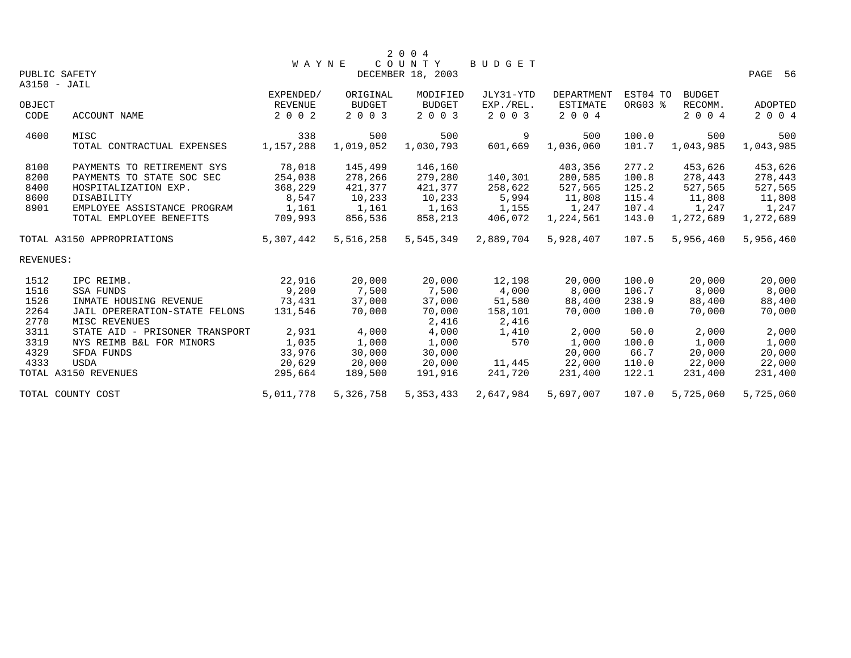|           |                                |           |               | 2 0 0 4           |           |                   |          |               |           |
|-----------|--------------------------------|-----------|---------------|-------------------|-----------|-------------------|----------|---------------|-----------|
|           |                                | W A Y N E |               | COUNTY            | BUDGET    |                   |          |               |           |
|           | PUBLIC SAFETY                  |           |               | DECEMBER 18, 2003 |           |                   |          |               | PAGE 56   |
|           | A3150 - JAIL                   |           |               |                   |           |                   |          |               |           |
|           |                                | EXPENDED/ | ORIGINAL      | MODIFIED          | JLY31-YTD | <b>DEPARTMENT</b> | EST04 TO | <b>BUDGET</b> |           |
| OBJECT    |                                | REVENUE   | <b>BUDGET</b> | <b>BUDGET</b>     | EXP./REL. | <b>ESTIMATE</b>   | ORG03 %  | RECOMM.       | ADOPTED   |
| CODE      | ACCOUNT NAME                   | 2 0 0 2   | 2 0 0 3       | 2 0 0 3           | 2 0 0 3   | 2 0 0 4           |          | 2 0 0 4       | 2 0 0 4   |
| 4600      | MISC                           | 338       | 500           | 500               | 9         | 500               | 100.0    | 500           | 500       |
|           | TOTAL CONTRACTUAL EXPENSES     | 1,157,288 | 1,019,052     | 1,030,793         | 601,669   | 1,036,060         | 101.7    | 1,043,985     | 1,043,985 |
| 8100      | PAYMENTS TO RETIREMENT SYS     | 78,018    | 145,499       | 146,160           |           | 403,356           | 277.2    | 453,626       | 453,626   |
| 8200      | PAYMENTS TO STATE SOC SEC      | 254,038   | 278,266       | 279,280           | 140,301   | 280,585           | 100.8    | 278,443       | 278,443   |
| 8400      | HOSPITALIZATION EXP.           | 368,229   | 421,377       | 421,377           | 258,622   | 527,565           | 125.2    | 527,565       | 527,565   |
| 8600      | DISABILITY                     | 8,547     | 10,233        | 10,233            | 5,994     | 11,808            | 115.4    | 11,808        | 11,808    |
| 8901      | EMPLOYEE ASSISTANCE PROGRAM    | 1,161     | 1,161         | 1,163             | 1,155     | 1,247             | 107.4    | 1,247         | 1,247     |
|           | TOTAL EMPLOYEE BENEFITS        | 709,993   | 856,536       | 858,213           | 406,072   | 1,224,561         | 143.0    | 1,272,689     | 1,272,689 |
|           | TOTAL A3150 APPROPRIATIONS     | 5,307,442 | 5,516,258     | 5,545,349         | 2,889,704 | 5,928,407         | 107.5    | 5,956,460     | 5,956,460 |
| REVENUES: |                                |           |               |                   |           |                   |          |               |           |
| 1512      | IPC REIMB.                     | 22,916    | 20,000        | 20,000            | 12,198    | 20,000            | 100.0    | 20,000        | 20,000    |
| 1516      | SSA FUNDS                      | 9,200     | 7,500         | 7,500             | 4,000     | 8,000             | 106.7    | 8,000         | 8,000     |
| 1526      | INMATE HOUSING REVENUE         | 73,431    | 37,000        | 37,000            | 51,580    | 88,400            | 238.9    | 88,400        | 88,400    |
| 2264      | JAIL OPERERATION-STATE FELONS  | 131,546   | 70,000        | 70,000            | 158,101   | 70,000            | 100.0    | 70,000        | 70,000    |
| 2770      | MISC REVENUES                  |           |               | 2,416             | 2,416     |                   |          |               |           |
| 3311      | STATE AID - PRISONER TRANSPORT | 2,931     | 4,000         | 4,000             | 1,410     | 2,000             | 50.0     | 2,000         | 2,000     |
| 3319      | NYS REIMB B&L FOR MINORS       | 1,035     | 1,000         | 1,000             | 570       | 1,000             | 100.0    | 1,000         | 1,000     |
| 4329      | SFDA FUNDS                     | 33,976    | 30,000        | 30,000            |           | 20,000            | 66.7     | 20,000        | 20,000    |
| 4333      | <b>USDA</b>                    | 20,629    | 20,000        | 20,000            | 11,445    | 22,000            | 110.0    | 22,000        | 22,000    |
|           | TOTAL A3150 REVENUES           | 295,664   | 189,500       | 191,916           | 241,720   | 231,400           | 122.1    | 231,400       | 231,400   |
|           | TOTAL COUNTY COST              | 5,011,778 | 5,326,758     | 5, 353, 433       | 2,647,984 | 5,697,007         | 107.0    | 5,725,060     | 5,725,060 |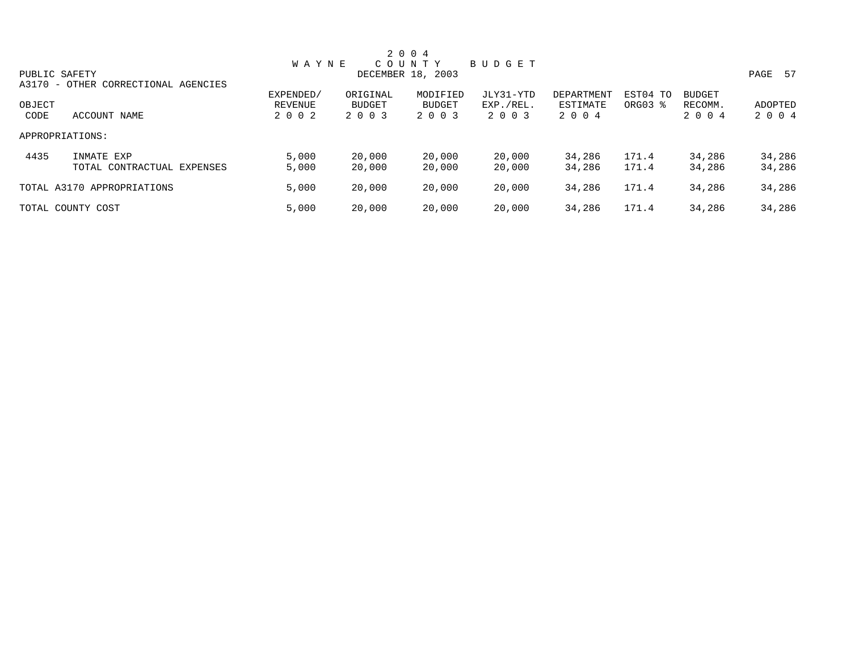|               |                                     |              |               | 2 0 0 4           |           |            |                     |               |              |
|---------------|-------------------------------------|--------------|---------------|-------------------|-----------|------------|---------------------|---------------|--------------|
|               |                                     | <b>WAYNE</b> |               | COUNTY            | BUDGET    |            |                     |               |              |
| PUBLIC SAFETY |                                     |              |               | DECEMBER 18, 2003 |           |            |                     |               | PAGE<br>- 57 |
|               | A3170 - OTHER CORRECTIONAL AGENCIES |              |               |                   |           |            |                     |               |              |
|               |                                     | EXPENDED/    | ORIGINAL      | MODIFIED          | JLY31-YTD | DEPARTMENT | EST04 TO            | <b>BUDGET</b> |              |
| OBJECT        |                                     | REVENUE      | <b>BUDGET</b> | <b>BUDGET</b>     | EXP./REL. | ESTIMATE   | ORG03 $\frac{1}{6}$ | RECOMM.       | ADOPTED      |
| CODE          | ACCOUNT NAME                        | 2 0 0 2      | 2 0 0 3       | 2 0 0 3           | 2 0 0 3   | 2 0 0 4    |                     | 2 0 0 4       | 2 0 0 4      |
|               | APPROPRIATIONS:                     |              |               |                   |           |            |                     |               |              |
| 4435          | INMATE EXP                          | 5,000        | 20,000        | 20,000            | 20,000    | 34,286     | 171.4               | 34,286        | 34,286       |
|               | TOTAL CONTRACTUAL EXPENSES          | 5,000        | 20,000        | 20,000            | 20,000    | 34,286     | 171.4               | 34,286        | 34,286       |
|               | TOTAL A3170 APPROPRIATIONS          | 5,000        | 20,000        | 20,000            | 20,000    | 34,286     | 171.4               | 34,286        | 34,286       |
|               | TOTAL COUNTY COST                   | 5,000        | 20,000        | 20,000            | 20,000    | 34,286     | 171.4               | 34,286        | 34,286       |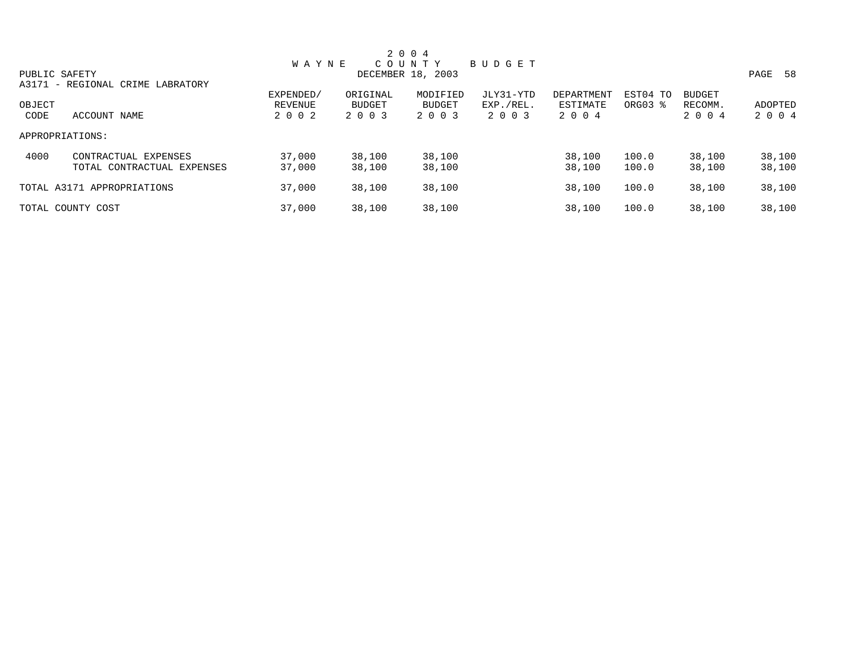| 2 0 0 4       |                                  |              |          |                   |               |            |                     |               |            |  |
|---------------|----------------------------------|--------------|----------|-------------------|---------------|------------|---------------------|---------------|------------|--|
|               |                                  | <b>WAYNE</b> |          | COUNTY            | <b>BUDGET</b> |            |                     |               |            |  |
| PUBLIC SAFETY |                                  |              |          | DECEMBER 18, 2003 |               |            |                     |               | 58<br>PAGE |  |
|               | A3171 - REGIONAL CRIME LABRATORY |              |          |                   |               |            |                     |               |            |  |
|               |                                  | EXPENDED/    | ORIGINAL | MODIFIED          | JLY31-YTD     | DEPARTMENT | EST04 TO            | <b>BUDGET</b> |            |  |
| OBJECT        |                                  | REVENUE      | BUDGET   | <b>BUDGET</b>     | EXP./REL.     | ESTIMATE   | ORG03 $\frac{1}{6}$ | RECOMM.       | ADOPTED    |  |
| CODE          | ACCOUNT NAME                     | 2 0 0 2      | 2 0 0 3  | 2 0 0 3           | 2 0 0 3       | 2 0 0 4    |                     | 2 0 0 4       | 2 0 0 4    |  |
|               | APPROPRIATIONS:                  |              |          |                   |               |            |                     |               |            |  |
| 4000          | CONTRACTUAL EXPENSES             | 37,000       | 38,100   | 38,100            |               | 38,100     | 100.0               | 38,100        | 38,100     |  |
|               | TOTAL CONTRACTUAL EXPENSES       | 37,000       | 38,100   | 38,100            |               | 38,100     | 100.0               | 38,100        | 38,100     |  |
|               | TOTAL A3171 APPROPRIATIONS       | 37,000       | 38,100   | 38,100            |               | 38,100     | 100.0               | 38,100        | 38,100     |  |
|               | TOTAL COUNTY COST                | 37,000       | 38,100   | 38,100            |               | 38,100     | 100.0               | 38,100        | 38,100     |  |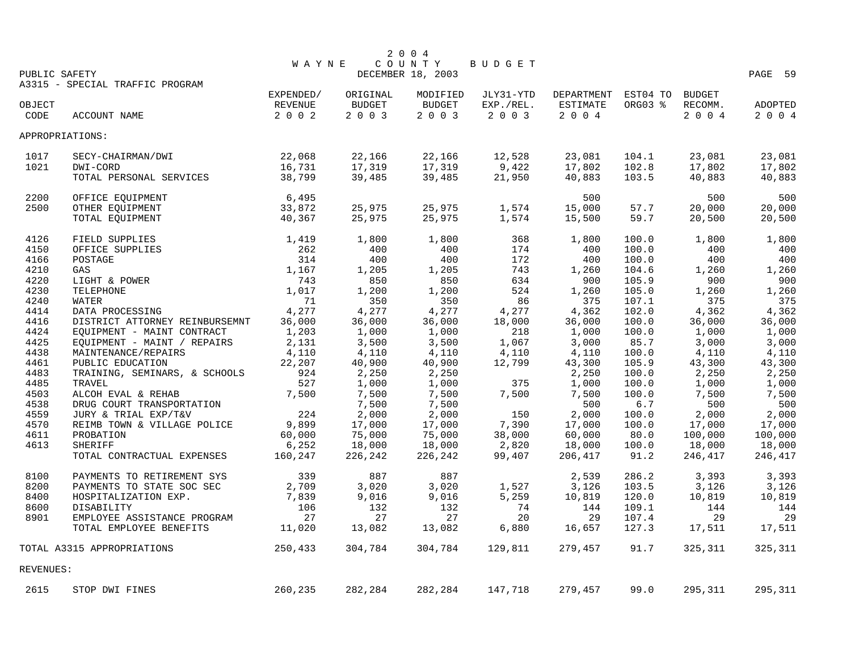|                                  |                                 |                |               | 2 0 0 4           |           |            |          |               |                |  |  |
|----------------------------------|---------------------------------|----------------|---------------|-------------------|-----------|------------|----------|---------------|----------------|--|--|
| COUNTY<br>BUDGET<br><b>WAYNE</b> |                                 |                |               |                   |           |            |          |               |                |  |  |
| PUBLIC SAFETY                    |                                 |                |               | DECEMBER 18, 2003 |           |            |          |               | PAGE<br>59     |  |  |
|                                  | A3315 - SPECIAL TRAFFIC PROGRAM |                |               |                   |           |            |          |               |                |  |  |
|                                  |                                 | EXPENDED/      | ORIGINAL      | MODIFIED          | JLY31-YTD | DEPARTMENT | EST04 TO | <b>BUDGET</b> |                |  |  |
| OBJECT                           |                                 | <b>REVENUE</b> | <b>BUDGET</b> | <b>BUDGET</b>     | EXP./REL. | ESTIMATE   | ORG03 %  | RECOMM.       | <b>ADOPTED</b> |  |  |
| CODE                             | ACCOUNT NAME                    | 2 0 0 2        | 2 0 0 3       | 2 0 0 3           | 2 0 0 3   | 2004       |          | 2004          | 2 0 0 4        |  |  |
| APPROPRIATIONS:                  |                                 |                |               |                   |           |            |          |               |                |  |  |
| 1017                             | SECY-CHAIRMAN/DWI               | 22,068         | 22,166        | 22,166            | 12,528    | 23,081     | 104.1    | 23,081        | 23,081         |  |  |
| 1021                             | DWI-CORD                        | 16,731         | 17,319        | 17,319            | 9,422     | 17,802     | 102.8    | 17,802        | 17,802         |  |  |
|                                  | TOTAL PERSONAL SERVICES         | 38,799         | 39,485        | 39,485            | 21,950    | 40,883     | 103.5    | 40,883        | 40,883         |  |  |
| 2200                             | OFFICE EQUIPMENT                | 6,495          |               |                   |           | 500        |          | 500           | 500            |  |  |
| 2500                             | OTHER EQUIPMENT                 | 33,872         | 25,975        | 25,975            | 1,574     | 15,000     | 57.7     | 20,000        | 20,000         |  |  |
|                                  | TOTAL EQUIPMENT                 | 40,367         | 25,975        | 25,975            | 1,574     | 15,500     | 59.7     | 20,500        | 20,500         |  |  |
|                                  |                                 |                |               |                   |           |            |          |               |                |  |  |
| 4126                             | FIELD SUPPLIES                  | 1,419          | 1,800         | 1,800             | 368       | 1,800      | 100.0    | 1,800         | 1,800          |  |  |
| 4150                             | OFFICE SUPPLIES                 | 262            | 400           | 400               | 174       | 400        | 100.0    | 400           | 400            |  |  |
| 4166                             | POSTAGE                         | 314            | 400           | 400               | 172       | 400        | 100.0    | 400           | 400            |  |  |
| 4210                             | GAS                             | 1,167          | 1,205         | 1,205             | 743       | 1,260      | 104.6    | 1,260         | 1,260          |  |  |
| 4220                             | LIGHT & POWER                   | 743            | 850           | 850               | 634       | 900        | 105.9    | 900           | 900            |  |  |
| 4230                             | TELEPHONE                       | 1,017          | 1,200         | 1,200             | 524       | 1,260      | 105.0    | 1,260         | 1,260          |  |  |
| 4240                             | <b>WATER</b>                    | 71             | 350           | 350               | 86        | 375        | 107.1    | 375           | 375            |  |  |
| 4414                             | DATA PROCESSING                 | 4,277          | 4,277         | 4,277             | 4,277     | 4,362      | 102.0    | 4,362         | 4,362          |  |  |
| 4416                             | DISTRICT ATTORNEY REINBURSEMNT  | 36,000         | 36,000        | 36,000            | 18,000    | 36,000     | 100.0    | 36,000        | 36,000         |  |  |
| 4424                             | EQUIPMENT - MAINT CONTRACT      | 1,203          | 1,000         | 1,000             | 218       | 1,000      | 100.0    | 1,000         | 1,000          |  |  |
| 4425                             | EQUIPMENT - MAINT / REPAIRS     | 2,131          | 3,500         | 3,500             | 1,067     | 3,000      | 85.7     | 3,000         | 3,000          |  |  |
| 4438                             | MAINTENANCE/REPAIRS             | 4,110          | 4,110         | 4,110             | 4,110     | 4,110      | 100.0    | 4,110         | 4,110          |  |  |
| 4461                             | PUBLIC EDUCATION                | 22,207         | 40,900        | 40,900            | 12,799    | 43,300     | 105.9    | 43,300        | 43,300         |  |  |
| 4483                             | TRAINING, SEMINARS, & SCHOOLS   | 924            | 2,250         | 2,250             |           | 2,250      | 100.0    | 2,250         | 2,250          |  |  |
| 4485                             | TRAVEL                          | 527            | 1,000         | 1,000             | 375       | 1,000      | 100.0    | 1,000         | 1,000          |  |  |
| 4503                             | ALCOH EVAL & REHAB              | 7,500          | 7,500         | 7,500             | 7,500     | 7,500      | 100.0    | 7,500         | 7,500          |  |  |
| 4538                             | DRUG COURT TRANSPORTATION       |                | 7,500         | 7,500             |           | 500        | 6.7      | 500           | 500            |  |  |
| 4559                             | JURY & TRIAL EXP/T&V            | 224            | 2,000         | 2,000             | 150       | 2,000      | 100.0    | 2,000         | 2,000          |  |  |
| 4570                             | REIMB TOWN & VILLAGE POLICE     | 9,899          | 17,000        | 17,000            | 7,390     | 17,000     | 100.0    | 17,000        | 17,000         |  |  |
| 4611                             | PROBATION                       | 60,000         | 75,000        | 75,000            | 38,000    | 60,000     | 80.0     | 100,000       | 100,000        |  |  |
| 4613                             | <b>SHERIFF</b>                  | 6,252          | 18,000        | 18,000            | 2,820     | 18,000     | 100.0    | 18,000        | 18,000         |  |  |
|                                  | TOTAL CONTRACTUAL EXPENSES      | 160,247        | 226,242       | 226,242           | 99,407    | 206,417    | 91.2     | 246,417       | 246,417        |  |  |
| 8100                             | PAYMENTS TO RETIREMENT SYS      | 339            | 887           | 887               |           | 2,539      | 286.2    | 3,393         | 3,393          |  |  |
| 8200                             | PAYMENTS TO STATE SOC SEC       | 2,709          | 3,020         | 3,020             | 1,527     | 3,126      | 103.5    | 3,126         | 3,126          |  |  |
| 8400                             | HOSPITALIZATION EXP.            | 7,839          | 9,016         | 9,016             | 5,259     | 10,819     | 120.0    | 10,819        | 10,819         |  |  |
| 8600                             | DISABILITY                      | 106            | 132           | 132               | 74        | 144        | 109.1    | 144           | 144            |  |  |
| 8901                             | EMPLOYEE ASSISTANCE PROGRAM     | 27             | 27            | 27                | 20        | 29         | 107.4    | 29            | 29             |  |  |
|                                  | TOTAL EMPLOYEE BENEFITS         | 11,020         | 13,082        | 13,082            | 6,880     | 16,657     | 127.3    | 17,511        | 17,511         |  |  |
|                                  | TOTAL A3315 APPROPRIATIONS      | 250,433        | 304,784       | 304,784           | 129,811   | 279,457    | 91.7     | 325,311       | 325,311        |  |  |
| REVENUES:                        |                                 |                |               |                   |           |            |          |               |                |  |  |
| 2615                             | STOP DWI FINES                  | 260,235        | 282,284       | 282,284           | 147,718   | 279,457    | 99.0     | 295,311       | 295,311        |  |  |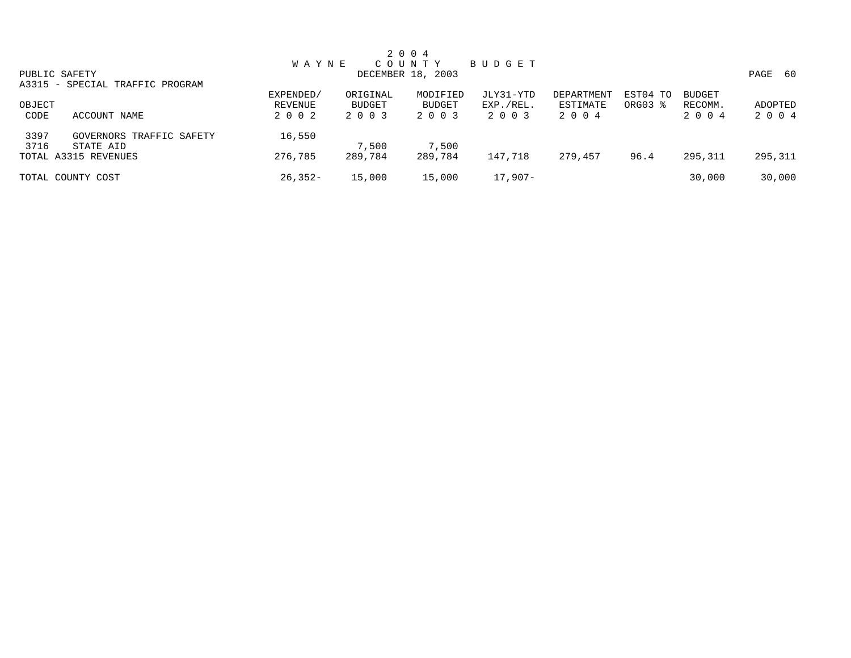|               |                                 |              |          | 2 0 0 4           |           |            |          |               |              |
|---------------|---------------------------------|--------------|----------|-------------------|-----------|------------|----------|---------------|--------------|
|               |                                 | <b>WAYNE</b> |          | C O U N T Y       | BUDGET    |            |          |               |              |
| PUBLIC SAFETY |                                 |              |          | DECEMBER 18, 2003 |           |            |          |               | PAGE<br>- 60 |
|               | A3315 - SPECIAL TRAFFIC PROGRAM |              |          |                   |           |            |          |               |              |
|               |                                 | EXPENDED/    | ORIGINAL | MODIFIED          | JLY31-YTD | DEPARTMENT | EST04 TO | <b>BUDGET</b> |              |
| OBJECT        |                                 | REVENUE      | BUDGET   | <b>BUDGET</b>     | EXP./REL. | ESTIMATE   | ORG03 %  | RECOMM.       | ADOPTED      |
| CODE          | ACCOUNT NAME                    | 2 0 0 2      | 2 0 0 3  | 2 0 0 3           | 2 0 0 3   | 2 0 0 4    |          | 2 0 0 4       | 2 0 0 4      |
| 3397          | GOVERNORS TRAFFIC SAFETY        | 16,550       |          |                   |           |            |          |               |              |
| 3716          | STATE AID                       |              | 7,500    | 7,500             |           |            |          |               |              |
|               | TOTAL A3315 REVENUES            | 276,785      | 289,784  | 289,784           | 147,718   | 279,457    | 96.4     | 295,311       | 295,311      |
|               | TOTAL COUNTY COST               | $26,352-$    | 15,000   | 15,000            | $17,907-$ |            |          | 30,000        | 30,000       |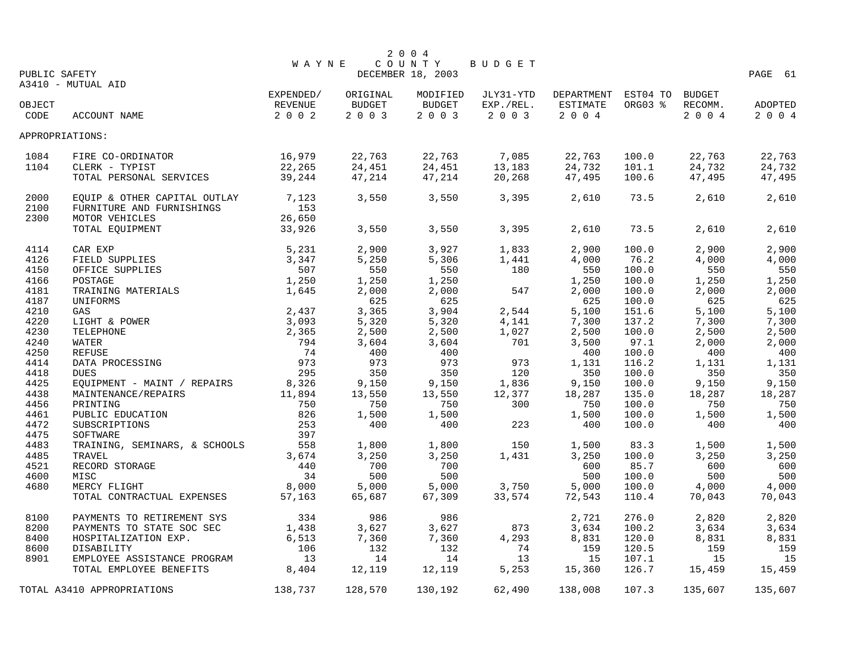|               |                                     |              |                  | 2 0 0 4           |                 |                     |                |                  |                  |
|---------------|-------------------------------------|--------------|------------------|-------------------|-----------------|---------------------|----------------|------------------|------------------|
|               |                                     | <b>WAYNE</b> |                  | COUNTY            | <b>BUDGET</b>   |                     |                |                  |                  |
| PUBLIC SAFETY | A3410 - MUTUAL AID                  |              |                  | DECEMBER 18, 2003 |                 |                     |                |                  | PAGE 61          |
|               |                                     | EXPENDED/    | ORIGINAL         | MODIFIED          | JLY31-YTD       | DEPARTMENT EST04 TO |                | <b>BUDGET</b>    |                  |
| OBJECT        |                                     | REVENUE      | <b>BUDGET</b>    | BUDGET            | EXP./REL.       | ESTIMATE            | ORG03 %        | RECOMM.          | ADOPTED          |
| CODE          | ACCOUNT NAME                        | 2002         | 2 0 0 3          | 2 0 0 3           | 2003            | 2 0 0 4             |                | 2 0 0 4          | 2 0 0 4          |
|               | APPROPRIATIONS:                     |              |                  |                   |                 |                     |                |                  |                  |
|               |                                     | 16,979       |                  |                   |                 |                     |                |                  |                  |
| 1084<br>1104  | FIRE CO-ORDINATOR<br>CLERK - TYPIST | 22,265       | 22,763<br>24,451 | 22,763<br>24,451  | 7,085<br>13,183 | 22,763<br>24,732    | 100.0<br>101.1 | 22,763<br>24,732 | 22,763<br>24,732 |
|               | TOTAL PERSONAL SERVICES             | 39,244       | 47,214           | 47,214            | 20,268          | 47,495              | 100.6          | 47,495           | 47,495           |
|               |                                     |              |                  |                   |                 |                     |                |                  |                  |
| 2000          | EQUIP & OTHER CAPITAL OUTLAY        | 7,123        | 3,550            | 3,550             | 3,395           | 2,610               | 73.5           | 2,610            | 2,610            |
| 2100          | FURNITURE AND FURNISHINGS           | 153          |                  |                   |                 |                     |                |                  |                  |
| 2300          | MOTOR VEHICLES                      | 26,650       |                  |                   |                 |                     |                |                  |                  |
|               | TOTAL EQUIPMENT                     | 33,926       | 3,550            | 3,550             | 3,395           | 2,610               | 73.5           | 2,610            | 2,610            |
| 4114          | CAR EXP                             | 5,231        | 2,900            | 3,927             | 1,833           | 2,900               | 100.0          | 2,900            | 2,900            |
| 4126          | FIELD SUPPLIES                      | 3,347        | 5,250            | 5,306             | 1,441           | 4,000               | 76.2           | 4,000            | 4,000            |
| 4150          | OFFICE SUPPLIES                     | 507          | 550              | 550               | 180             | 550                 | 100.0          | 550              | 550              |
| 4166          | POSTAGE                             | 1,250        | 1,250            | 1,250             |                 | 1,250               | 100.0          | 1,250            | 1,250            |
| 4181          | TRAINING MATERIALS                  | 1,645        | 2,000            | 2,000             | 547             | 2,000               | 100.0          | 2,000            | 2,000            |
| 4187          | UNIFORMS                            |              | 625              | 625               |                 | 625                 | 100.0          | 625              | 625              |
| 4210          | GAS                                 | 2,437        | 3,365            | 3,904             | 2,544           | 5,100               | 151.6          | 5,100            | 5,100            |
| 4220          | LIGHT & POWER                       | 3,093        | 5,320            | 5,320             | 4,141           | 7,300               | 137.2          | 7,300            | 7,300            |
| 4230          | TELEPHONE                           | 2,365        | 2,500            | 2,500             | 1,027           | 2,500               | 100.0          | 2,500            | 2,500            |
| 4240          | WATER                               | 794          | 3,604            | 3,604             | 701             | 3,500               | 97.1           | 2,000            | 2,000            |
| 4250          | REFUSE                              | 74           | 400              | 400               |                 | 400                 | 100.0          | 400              | 400              |
| 4414          | DATA PROCESSING                     | 973          | 973              | 973               | 973             | 1,131               | 116.2          | 1,131            | 1,131            |
| 4418          | <b>DUES</b>                         | 295          | 350              | 350               | 120             | 350                 | 100.0          | 350              | 350              |
| 4425          | EQUIPMENT - MAINT / REPAIRS         | 8,326        | 9,150            | 9,150             | 1,836           | 9,150               | 100.0          | 9,150            | 9,150            |
| 4438          | MAINTENANCE/REPAIRS                 | 11,894       | 13,550           | 13,550            | 12,377          | 18,287              | 135.0          | 18,287           | 18,287           |
| 4456          | PRINTING                            | 750          | 750              | 750               | 300             | 750                 | 100.0          | 750              | 750              |
| 4461          | PUBLIC EDUCATION                    | 826          | 1,500            | 1,500             |                 | 1,500               | 100.0          | 1,500            | 1,500            |
| 4472          | SUBSCRIPTIONS                       | 253          | 400              | 400               | 223             | 400                 | 100.0          | 400              | 400              |
| 4475          | SOFTWARE                            | 397          |                  |                   |                 |                     |                |                  |                  |
| 4483          | TRAINING, SEMINARS, & SCHOOLS       | 558          | 1,800            | 1,800             | 150             | 1,500               | 83.3           | 1,500            | 1,500            |
| 4485          | TRAVEL                              | 3,674        | 3,250            | 3,250             | 1,431           | 3,250               | 100.0          | 3,250            | 3,250            |
| 4521          | RECORD STORAGE                      | 440          | 700              | 700               |                 | 600                 | 85.7           | 600              | 600              |
| 4600          | MISC                                | 34           | 500              | 500               |                 | 500                 | 100.0          | 500              | 500              |
| 4680          | MERCY FLIGHT                        | 8,000        | 5,000            | 5,000             | 3,750           | 5,000               | 100.0          | 4,000            | 4,000            |
|               | TOTAL CONTRACTUAL EXPENSES          | 57,163       | 65,687           | 67,309            | 33,574          | 72,543              | 110.4          | 70,043           | 70,043           |
| 8100          | PAYMENTS TO RETIREMENT SYS          | 334          | 986              | 986               |                 | 2,721               | 276.0          | 2,820            | 2,820            |
| 8200          | PAYMENTS TO STATE SOC SEC           | 1,438        | 3,627            | 3,627             | 873             | 3,634               | 100.2          | 3,634            | 3,634            |
| 8400          | HOSPITALIZATION EXP.                | 6,513        | 7,360            | 7,360             | 4,293           | 8,831               | 120.0          | 8,831            | 8,831            |
| 8600          | DISABILITY                          | 106          | 132              | 132               | 74              | 159                 | 120.5          | 159              | 159              |
| 8901          | EMPLOYEE ASSISTANCE PROGRAM         | 13           | 14               | 14                | 13              | 15                  | 107.1          | 15               | 15               |
|               | TOTAL EMPLOYEE BENEFITS             | 8,404        | 12,119           | 12,119            | 5,253           | 15,360              | 126.7          | 15,459           | 15,459           |
|               | TOTAL A3410 APPROPRIATIONS          | 138,737      | 128,570          | 130,192           | 62,490          | 138,008             | 107.3          | 135,607          | 135,607          |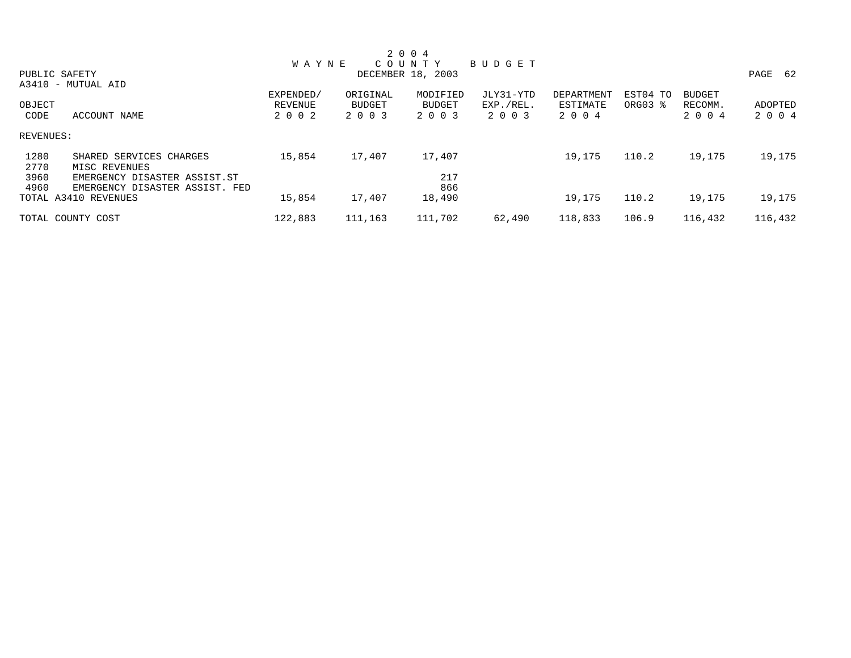|              |                                          |              |          | 2 0 0 4           |           |            |          |               |         |
|--------------|------------------------------------------|--------------|----------|-------------------|-----------|------------|----------|---------------|---------|
|              |                                          | <b>WAYNE</b> |          | C O U N T Y       | BUDGET    |            |          |               |         |
|              | PUBLIC SAFETY                            |              |          | DECEMBER 18, 2003 |           |            |          |               | PAGE 62 |
|              | A3410 - MUTUAL AID                       |              |          |                   |           |            |          |               |         |
|              |                                          | EXPENDED/    | ORIGINAL | MODIFIED          | JLY31-YTD | DEPARTMENT | EST04 TO | <b>BUDGET</b> |         |
| OBJECT       |                                          | REVENUE      | BUDGET   | BUDGET            | EXP./REL. | ESTIMATE   | ORG03 %  | RECOMM.       | ADOPTED |
| CODE         | ACCOUNT NAME                             | 2 0 0 2      | 2 0 0 3  | 2 0 0 3           | 2 0 0 3   | 2 0 0 4    |          | 2 0 0 4       | 2 0 0 4 |
| REVENUES:    |                                          |              |          |                   |           |            |          |               |         |
| 1280<br>2770 | SHARED SERVICES CHARGES<br>MISC REVENUES | 15,854       | 17,407   | 17,407            |           | 19,175     | 110.2    | 19,175        | 19,175  |
| 3960         | EMERGENCY DISASTER ASSIST.ST             |              |          | 217               |           |            |          |               |         |
| 4960         | EMERGENCY DISASTER ASSIST. FED           |              |          | 866               |           |            |          |               |         |
|              | TOTAL A3410 REVENUES                     | 15,854       | 17,407   | 18,490            |           | 19,175     | 110.2    | 19,175        | 19,175  |
|              | TOTAL COUNTY COST                        | 122,883      | 111,163  | 111,702           | 62,490    | 118,833    | 106.9    | 116,432       | 116,432 |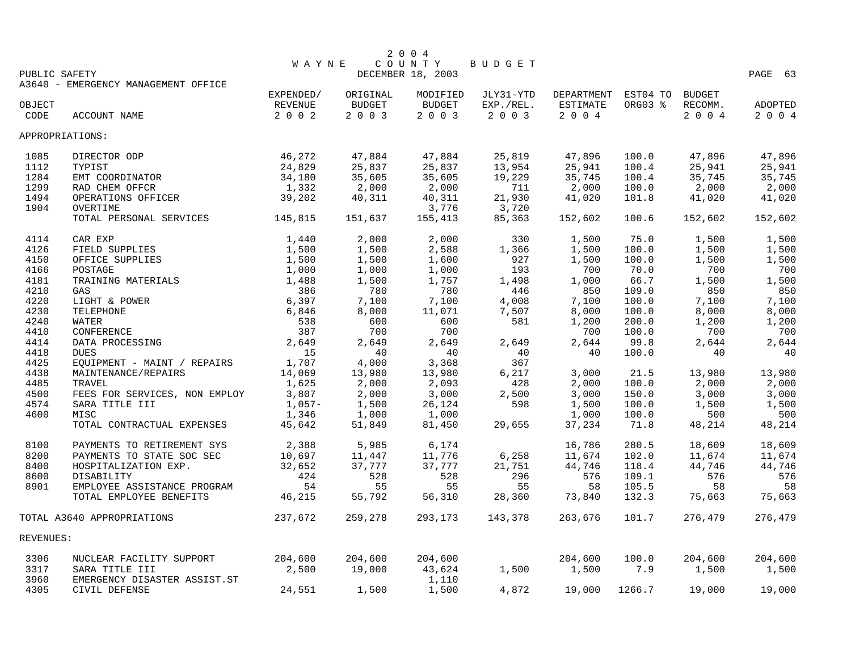|                 |                                     |                      |                    | 2 0 0 4            |                        |                                 |         |                          |         |
|-----------------|-------------------------------------|----------------------|--------------------|--------------------|------------------------|---------------------------------|---------|--------------------------|---------|
|                 |                                     | <b>WAYNE</b>         |                    | COUNTY             | BUDGET                 |                                 |         |                          |         |
| PUBLIC SAFETY   |                                     |                      |                    | DECEMBER 18, 2003  |                        |                                 |         |                          | PAGE 63 |
|                 | A3640 - EMERGENCY MANAGEMENT OFFICE |                      |                    |                    |                        |                                 |         |                          |         |
| OBJECT          |                                     | EXPENDED/<br>REVENUE | ORIGINAL<br>BUDGET | MODIFIED<br>BUDGET | JLY31-YTD<br>EXP./REL. | DEPARTMENT EST04 TO<br>ESTIMATE | ORG03 % | <b>BUDGET</b><br>RECOMM. | ADOPTED |
| CODE            | ACCOUNT NAME                        | 2 0 0 2              | 2 0 0 3            | 2 0 0 3            | 2 0 0 3                | 2 0 0 4                         |         | 2004                     | 2004    |
|                 |                                     |                      |                    |                    |                        |                                 |         |                          |         |
| APPROPRIATIONS: |                                     |                      |                    |                    |                        |                                 |         |                          |         |
| 1085            | DIRECTOR ODP                        | 46,272               | 47,884             | 47,884             | 25,819                 | 47,896                          | 100.0   | 47,896                   | 47,896  |
| 1112            | TYPIST                              | 24,829               | 25,837             | 25,837             | 13,954                 | 25,941                          | 100.4   | 25,941                   | 25,941  |
| 1284            | EMT COORDINATOR                     | 34,180               | 35,605             | 35,605             | 19,229                 | 35,745                          | 100.4   | 35,745                   | 35,745  |
| 1299            | RAD CHEM OFFCR                      | 1,332                | 2,000              | 2,000              | 711                    | 2,000                           | 100.0   | 2,000                    | 2,000   |
| 1494            | OPERATIONS OFFICER                  | 39,202               | 40,311             | 40,311             | 21,930                 | 41,020                          | 101.8   | 41,020                   | 41,020  |
| 1904            | OVERTIME                            |                      |                    | 3,776              | 3,720                  |                                 |         |                          |         |
|                 | TOTAL PERSONAL SERVICES             | 145,815              | 151,637            | 155,413            | 85,363                 | 152,602                         | 100.6   | 152,602                  | 152,602 |
| 4114            | CAR EXP                             | 1,440                | 2,000              | 2,000              | 330                    | 1,500                           | 75.0    | 1,500                    | 1,500   |
| 4126            | FIELD SUPPLIES                      | 1,500                | 1,500              | 2,588              | 1,366                  | 1,500                           | 100.0   | 1,500                    | 1,500   |
| 4150            | OFFICE SUPPLIES                     | 1,500                | 1,500              | 1,600              | 927                    | 1,500                           | 100.0   | 1,500                    | 1,500   |
| 4166            | POSTAGE                             | 1,000                | 1,000              | 1,000              | 193                    | 700                             | 70.0    | 700                      | 700     |
| 4181            | TRAINING MATERIALS                  | 1,488                | 1,500              | 1,757              | 1,498                  | 1,000                           | 66.7    | 1,500                    | 1,500   |
| 4210            | GAS                                 | 386                  | 780                | 780                | 446                    | 850                             | 109.0   | 850                      | 850     |
| 4220            | LIGHT & POWER                       | 6,397                | 7,100              | 7,100              | 4,008                  | 7,100                           | 100.0   | 7,100                    | 7,100   |
| 4230            | TELEPHONE                           | 6,846                | 8,000              | 11,071             | 7,507                  | 8,000                           | 100.0   | 8,000                    | 8,000   |
| 4240            | <b>WATER</b>                        | 538                  | 600                | 600                | 581                    | 1,200                           | 200.0   | 1,200                    | 1,200   |
| 4410            | CONFERENCE                          | 387                  | 700                | 700                |                        | 700                             | 100.0   | 700                      | 700     |
| 4414            | DATA PROCESSING                     | 2,649                | 2,649              | 2,649              | 2,649                  | 2,644                           | 99.8    | 2,644                    | 2,644   |
| 4418            | <b>DUES</b>                         | 15                   | 40                 | 40                 | 40                     | 40                              | 100.0   | 40                       | 40      |
| 4425            | EQUIPMENT - MAINT / REPAIRS         | 1,707                | 4,000              | 3,368              | 367                    |                                 |         |                          |         |
| 4438            | MAINTENANCE/REPAIRS                 | 14,069               | 13,980             | 13,980             | 6,217                  | 3,000                           | 21.5    | 13,980                   | 13,980  |
| 4485            | TRAVEL                              | 1,625                | 2,000              | 2,093              | 428                    | 2,000                           | 100.0   | 2,000                    | 2,000   |
| 4500            | FEES FOR SERVICES, NON EMPLOY       | 3,807                | 2,000              | 3,000              | 2,500                  | 3,000                           | 150.0   | 3,000                    | 3,000   |
| 4574            | SARA TITLE III                      | $1,057-$             | 1,500              | 26,124             | 598                    | 1,500                           | 100.0   | 1,500                    | 1,500   |
| 4600            | MISC                                | 1,346                | 1,000              | 1,000              |                        | 1,000                           | 100.0   | 500                      | 500     |
|                 | TOTAL CONTRACTUAL EXPENSES          | 45,642               | 51,849             | 81,450             | 29,655                 | 37,234                          | 71.8    | 48,214                   | 48,214  |
| 8100            | PAYMENTS TO RETIREMENT SYS          | 2,388                | 5,985              | 6,174              |                        | 16,786                          | 280.5   | 18,609                   | 18,609  |
| 8200            | PAYMENTS TO STATE SOC SEC           | 10,697               | 11,447             | 11,776             | 6,258                  | 11,674                          | 102.0   | 11,674                   | 11,674  |
| 8400            | HOSPITALIZATION EXP.                | 32,652               | 37,777             | 37,777             | 21,751                 | 44,746                          | 118.4   | 44,746                   | 44,746  |
| 8600            | DISABILITY                          | 424                  | 528                | 528                | 296                    | 576                             | 109.1   | 576                      | 576     |
| 8901            | EMPLOYEE ASSISTANCE PROGRAM         | 54                   | 55                 | 55                 | 55                     | 58                              | 105.5   | 58                       | 58      |
|                 | TOTAL EMPLOYEE BENEFITS             | 46,215               | 55,792             | 56,310             | 28,360                 | 73,840                          | 132.3   | 75,663                   | 75,663  |
|                 | TOTAL A3640 APPROPRIATIONS          | 237,672              | 259,278            | 293,173            | 143,378                | 263,676                         | 101.7   | 276,479                  | 276,479 |
| REVENUES:       |                                     |                      |                    |                    |                        |                                 |         |                          |         |
| 3306            | NUCLEAR FACILITY SUPPORT            | 204,600              | 204,600            | 204,600            |                        | 204,600                         | 100.0   | 204,600                  | 204,600 |
| 3317            | SARA TITLE III                      | 2,500                | 19,000             | 43,624             | 1,500                  | 1,500                           | 7.9     | 1,500                    | 1,500   |
| 3960            | EMERGENCY DISASTER ASSIST.ST        |                      |                    | 1,110              |                        |                                 |         |                          |         |
| 4305            | CIVIL DEFENSE                       | 24,551               | 1,500              | 1,500              | 4,872                  | 19,000                          | 1266.7  | 19,000                   | 19,000  |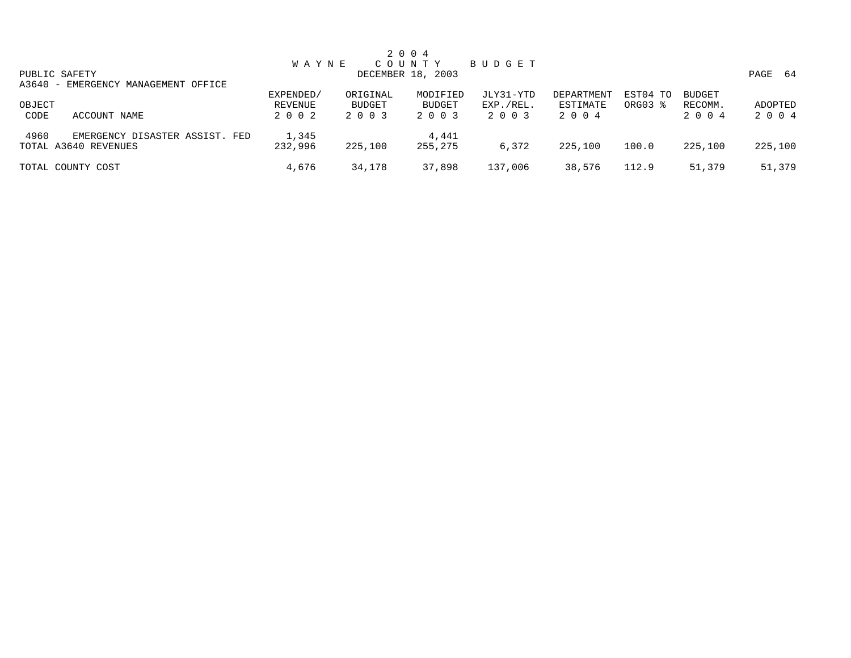|                                                                |                                 |                               | 2 0 0 4                       |                                   |                                |                     |                                  |                    |
|----------------------------------------------------------------|---------------------------------|-------------------------------|-------------------------------|-----------------------------------|--------------------------------|---------------------|----------------------------------|--------------------|
|                                                                | <b>WAYNE</b>                    |                               | C O U N T Y                   | BUDGET                            |                                |                     |                                  |                    |
| PUBLIC SAFETY                                                  |                                 |                               | DECEMBER 18, 2003             |                                   |                                |                     |                                  | PAGE<br>- 64       |
| A3640 - EMERGENCY MANAGEMENT OFFICE                            |                                 |                               |                               |                                   |                                |                     |                                  |                    |
| OBJECT<br>CODE<br>ACCOUNT NAME                                 | EXPENDED/<br>REVENUE<br>2 0 0 2 | ORIGINAL<br>BUDGET<br>2 0 0 3 | MODIFIED<br>BUDGET<br>2 0 0 3 | JLY31-YTD<br>EXP./REL.<br>2 0 0 3 | DEPARTMENT<br>ESTIMATE<br>2004 | EST04 TO<br>ORG03 % | <b>BUDGET</b><br>RECOMM.<br>2004 | ADOPTED<br>2 0 0 4 |
| 4960<br>EMERGENCY DISASTER ASSIST. FED<br>TOTAL A3640 REVENUES | 1,345<br>232,996                | 225,100                       | 4,441<br>255,275              | 6,372                             | 225,100                        | 100.0               | 225,100                          | 225,100            |
| TOTAL COUNTY COST                                              | 4,676                           | 34,178                        | 37,898                        | 137,006                           | 38,576                         | 112.9               | 51,379                           | 51,379             |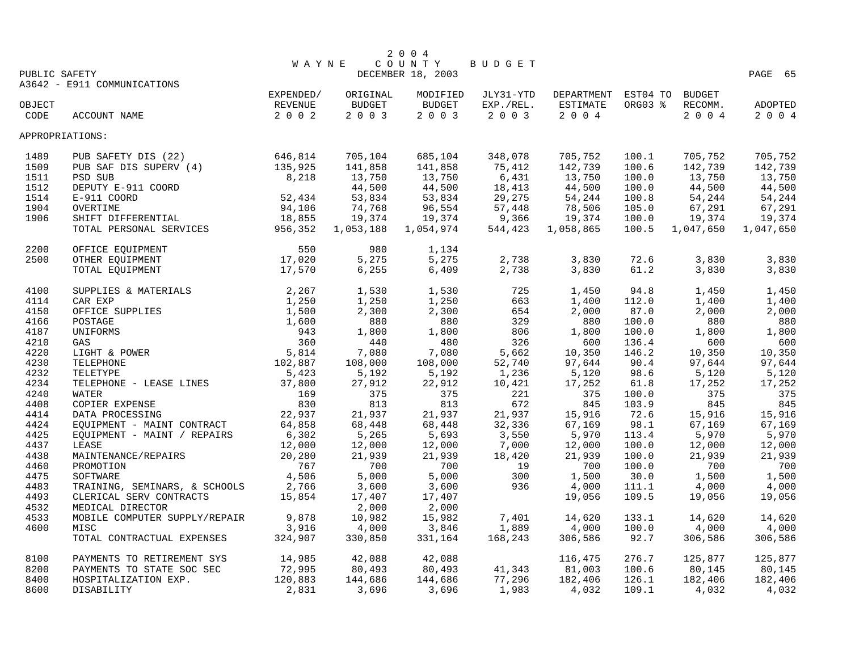|                 |                                                                                                                                |              |           | 2 0 0 4           |           |                            |         |           |           |
|-----------------|--------------------------------------------------------------------------------------------------------------------------------|--------------|-----------|-------------------|-----------|----------------------------|---------|-----------|-----------|
|                 |                                                                                                                                | <b>WAYNE</b> |           | COUNTY            | BUDGET    |                            |         |           |           |
| PUBLIC SAFETY   |                                                                                                                                |              |           | DECEMBER 18, 2003 |           |                            |         |           | PAGE 65   |
|                 | A3642 - E911 COMMUNICATIONS                                                                                                    |              |           |                   |           |                            |         |           |           |
|                 |                                                                                                                                | EXPENDED/    | ORIGINAL  | MODIFIED          | JLY31-YTD | DEPARTMENT EST04 TO BUDGET |         |           |           |
| OBJECT          |                                                                                                                                | REVENUE      | BUDGET    | <b>BUDGET</b>     | EXP./REL. | ESTIMATE                   | ORG03 % | RECOMM.   | ADOPTED   |
| CODE            | ACCOUNT NAME                                                                                                                   | 2 0 0 2      | 2 0 0 3   | 2003              | $2 0 0 3$ | 2 0 0 4                    |         | 2 0 0 4   | 2 0 0 4   |
| APPROPRIATIONS: |                                                                                                                                |              |           |                   |           |                            |         |           |           |
| 1489            | PUB SAFETY DIS (22)                                                                                                            | 646,814      | 705,104   | 685,104           | 348,078   | 705,752                    | 100.1   | 705,752   | 705,752   |
| 1509            | PUB SAF DIS SUPERV (4)                                                                                                         | 135,925      | 141,858   | 141,858           | 75,412    | 142,739                    | 100.6   | 142,739   | 142,739   |
| 1511            | PSD SUB                                                                                                                        | 8,218        | 13,750    | 13,750            | 6,431     | 13,750                     | 100.0   | 13,750    | 13,750    |
| 1512            | DEPUTY E-911 COORD                                                                                                             |              | 44,500    | 44,500            | 18,413    | 44,500                     | 100.0   | 44,500    | 44,500    |
| 1514            | E-911 COORD                                                                                                                    | 52,434       | 53,834    | 53,834            | 29,275    | 54,244                     | 100.8   | 54,244    | 54,244    |
| 1904            | OVERTIME                                                                                                                       | 94,106       | 74,768    | 96,554            | 57,448    | 78,506                     | 105.0   | 67,291    | 67,291    |
| 1906            |                                                                                                                                |              | 19,374    | 19,374            | 9,366     | 19,374                     | 100.0   | 19,374    | 19,374    |
|                 | SHIFT DIFFERENTIAL 18,855<br>TOTAL PERSONAL SERVICES 956,352                                                                   |              | 1,053,188 | 1,054,974         | 544,423   | 1,058,865                  | 100.5   | 1,047,650 | 1,047,650 |
| 2200            | OFFICE EOUIPMENT                                                                                                               | 550          | 980       | 1,134             |           |                            |         |           |           |
| 2500            | OTHER EQUIPMENT                                                                                                                | 17,020       | 5,275     | 5,275             | 2,738     | 3,830                      | 72.6    | 3,830     | 3,830     |
|                 | 17,570<br>TOTAL EQUIPMENT                                                                                                      |              | 6, 255    | 6,409             | 2,738     | 3,830                      | 61.2    | 3,830     | 3,830     |
| 4100            | ERIALS<br>S<br>S<br>$1,250$<br>$1,500$<br>$1,600$<br>$943$<br>$360$<br>$5,814$<br>$102,887$<br>$5,423$<br>SUPPLIES & MATERIALS |              | 1,530     | 1,530             | 725       | 1,450                      | 94.8    | 1,450     | 1,450     |
| 4114            | CAR EXP                                                                                                                        |              | 1,250     | 1,250             | 663       | 1,400                      | 112.0   | 1,400     | 1,400     |
| 4150            | OFFICE SUPPLIES                                                                                                                |              | 2,300     | 2,300             | 654       | 2,000                      | 87.0    | 2,000     | 2,000     |
| 4166            | POSTAGE                                                                                                                        |              | 880       | 880               | 329       | 880                        | 100.0   | 880       | 880       |
| 4187            | UNIFORMS                                                                                                                       |              | 1,800     | 1,800             | 806       | 1,800                      | 100.0   | 1,800     | 1,800     |
| 4210            | GAS                                                                                                                            |              | 440       | 480               | 326       | 600                        | 136.4   | 600       | 600       |
| 4220            | LIGHT & POWER                                                                                                                  |              | 7,080     | 7,080             | 5,662     | 10,350                     | 146.2   | 10,350    | 10,350    |
| 4230            | TELEPHONE                                                                                                                      |              | 108,000   | 108,000           | 52,740    | 97,644                     | 90.4    | 97,644    | 97,644    |
| 4232            | TELETYPE                                                                                                                       | 5,423        | 5,192     | 5,192             | 1,236     | 5,120                      | 98.6    | 5,120     | 5,120     |
| 4234            | TELEPHONE - LEASE LINES<br>WATER 37,800                                                                                        |              | 27,912    | 22,912            | 10,421    | 17,252                     | 61.8    | 17,252    | 17,252    |
| 4240            | WATER                                                                                                                          | 169<br>830   | 375       | 375               | 221       | 375                        | 100.0   | 375       | 375       |
| 4408            | COPIER EXPENSE                                                                                                                 | 830          | 813       | 813               | 672       | 845                        | 103.9   | 845       | 845       |
| 4414            | DATA PROCESSING                                                                                                                | 22,937       | 21,937    | 21,937            | 21,937    | 15,916                     | 72.6    | 15,916    | 15,916    |
| 4424            | EQUIPMENT - MAINT CONTRACT                                                                                                     | 64,858       | 68,448    | 68,448            | 32,336    | 67,169                     | 98.1    | 67,169    | 67,169    |
| 4425            | EQUIPMENT - MAINT / REPAIRS                                                                                                    | 6,302        | 5,265     | 5,693             | 3,550     | 5,970                      | 113.4   | 5,970     | 5,970     |
| 4437            | LEASE                                                                                                                          | 12,000       | 12,000    | 12,000            | 7,000     | 12,000                     | 100.0   | 12,000    | 12,000    |
| 4438            | MAINTENANCE/REPAIRS                                                                                                            | 20,280       | 21,939    | 21,939            | 18,420    | 21,939                     | 100.0   | 21,939    | 21,939    |
| 4460            | PROMOTION                                                                                                                      | 767          | 700       | 700               | 19        | 700                        | 100.0   | 700       | 700       |
| 4475            | SOFTWARE                                                                                                                       | 4,506        | 5,000     | 5,000             | 300       | 1,500                      | 30.0    | 1,500     | 1,500     |
| 4483            | TRAINING, SEMINARS, & SCHOOLS                                                                                                  | 2,766        | 3,600     | 3,600             | 936       | 4,000                      | 111.1   | 4,000     | 4,000     |
| 4493            | CLERICAL SERV CONTRACTS                                                                                                        | 15,854       | 17,407    | 17,407            |           | 19,056                     | 109.5   | 19,056    | 19,056    |
| 4532            | MEDICAL DIRECTOR                                                                                                               |              | 2,000     | 2,000             |           |                            |         |           |           |
| 4533            | MOBILE COMPUTER SUPPLY/REPAIR                                                                                                  | 9,878        | 10,982    | 15,982            | 7,401     | 14,620                     | 133.1   | 14,620    | 14,620    |
| 4600            | MISC                                                                                                                           | 3,916        | 4,000     | 3,846             | 1,889     | 4,000                      | 100.0   | 4,000     | 4,000     |
|                 | TOTAL CONTRACTUAL EXPENSES                                                                                                     | 324,907      | 330,850   | 331,164           | 168,243   | 306,586                    | 92.7    | 306,586   | 306,586   |
| 8100            | PAYMENTS TO RETIREMENT SYS                                                                                                     | 14,985       | 42,088    | 42,088            |           | 116,475                    | 276.7   | 125,877   | 125,877   |
| 8200            | PAYMENTS TO STATE SOC SEC                                                                                                      | 72,995       | 80,493    | 80,493            | 41,343    | 81,003                     | 100.6   | 80,145    | 80,145    |
| 8400            | HOSPITALIZATION EXP.                                                                                                           | 120,883      | 144,686   | 144,686           | 77,296    | 182,406                    | 126.1   | 182,406   | 182,406   |
| 8600            | DISABILITY                                                                                                                     | 2,831        | 3,696     | 3,696             | 1,983     | 4,032                      | 109.1   | 4,032     | 4,032     |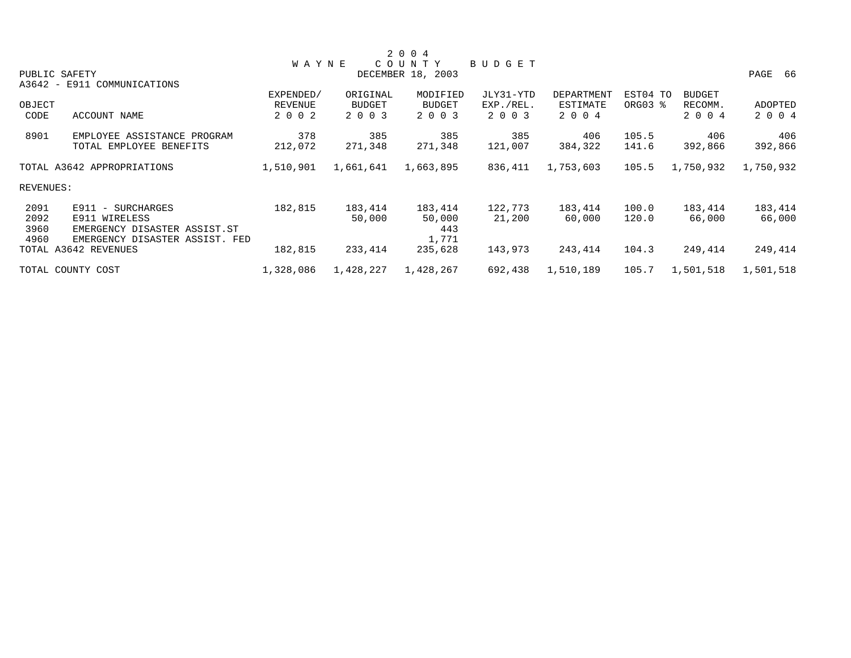|                                |                                                                                                                                                |               |               |                                        |                   |       |               | PAGE 66             |
|--------------------------------|------------------------------------------------------------------------------------------------------------------------------------------------|---------------|---------------|----------------------------------------|-------------------|-------|---------------|---------------------|
|                                |                                                                                                                                                |               |               |                                        |                   |       |               |                     |
|                                | EXPENDED/                                                                                                                                      | ORIGINAL      | MODIFIED      | JLY31-YTD                              | <b>DEPARTMENT</b> |       | <b>BUDGET</b> |                     |
|                                | REVENUE                                                                                                                                        | <b>BUDGET</b> | <b>BUDGET</b> | EXP./REL.                              | ESTIMATE          |       | RECOMM.       | ADOPTED             |
| ACCOUNT NAME                   | 2 0 0 2                                                                                                                                        | 2 0 0 3       | 2 0 0 3       | 2 0 0 3                                | 2 0 0 4           |       | 2 0 0 4       | 2 0 0 4             |
| EMPLOYEE ASSISTANCE PROGRAM    | 378                                                                                                                                            | 385           | 385           | 385                                    | 406               | 105.5 | 406           | 406                 |
| TOTAL EMPLOYEE BENEFITS        | 212,072                                                                                                                                        | 271,348       | 271,348       | 121,007                                | 384,322           | 141.6 | 392,866       | 392,866             |
|                                | 1,510,901                                                                                                                                      | 1,661,641     | 1,663,895     | 836,411                                | 1,753,603         | 105.5 | 1,750,932     | 1,750,932           |
|                                |                                                                                                                                                |               |               |                                        |                   |       |               |                     |
| E911 - SURCHARGES              | 182,815                                                                                                                                        | 183,414       | 183,414       | 122,773                                | 183,414           | 100.0 | 183,414       | 183,414             |
| E911 WIRELESS                  |                                                                                                                                                | 50,000        | 50,000        | 21,200                                 | 60,000            | 120.0 | 66,000        | 66,000              |
| EMERGENCY DISASTER ASSIST.ST   |                                                                                                                                                |               | 443           |                                        |                   |       |               |                     |
| EMERGENCY DISASTER ASSIST. FED |                                                                                                                                                |               | 1,771         |                                        |                   |       |               |                     |
|                                | 182,815                                                                                                                                        | 233,414       | 235,628       | 143,973                                | 243,414           | 104.3 | 249,414       | 249,414             |
|                                | 1,328,086                                                                                                                                      | 1,428,227     | 1,428,267     | 692,438                                | 1,510,189         | 105.7 | 1,501,518     | 1,501,518           |
|                                | PUBLIC SAFETY<br>A3642 - E911 COMMUNICATIONS<br>OBJECT<br>TOTAL A3642 APPROPRIATIONS<br>REVENUES:<br>TOTAL A3642 REVENUES<br>TOTAL COUNTY COST |               | <b>WAYNE</b>  | 2 0 0 4<br>COUNTY<br>DECEMBER 18, 2003 | BUDGET            |       |               | EST04 TO<br>ORG03 % |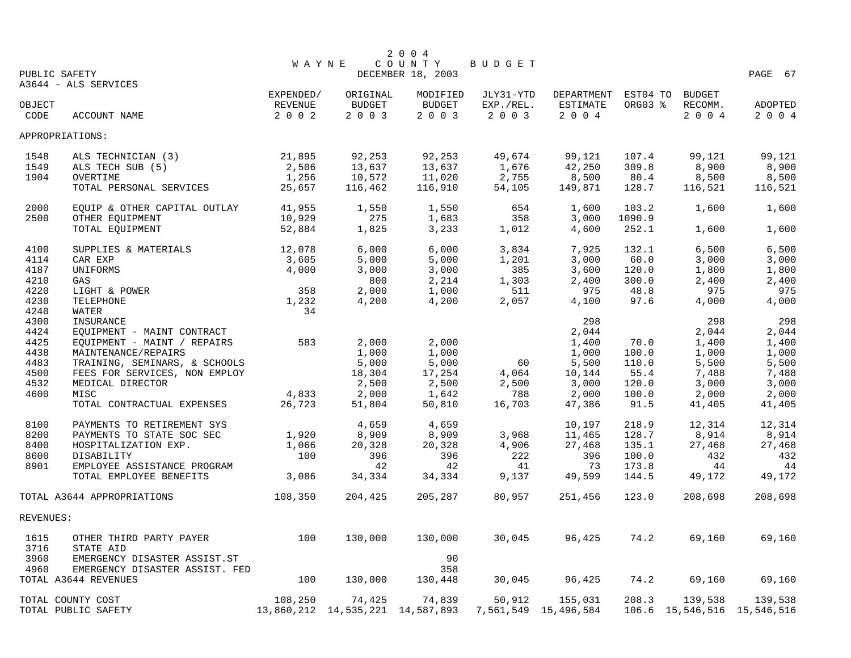|              |                                         |                |                                  | 2 0 0 4           |               |                      |          |         |                                 |
|--------------|-----------------------------------------|----------------|----------------------------------|-------------------|---------------|----------------------|----------|---------|---------------------------------|
|              |                                         | <b>WAYNE</b>   |                                  | COUNTY            | <b>BUDGET</b> |                      |          |         |                                 |
|              | PUBLIC SAFETY                           |                |                                  | DECEMBER 18, 2003 |               |                      |          |         | PAGE 67                         |
|              | A3644 - ALS SERVICES                    | EXPENDED/      | ORIGINAL                         | MODIFIED          | JLY31-YTD     | DEPARTMENT           | EST04 TO | BUDGET  |                                 |
| OBJECT       |                                         | <b>REVENUE</b> | BUDGET                           | <b>BUDGET</b>     | EXP./REL.     | <b>ESTIMATE</b>      | ORG03 %  | RECOMM. | <b>ADOPTED</b>                  |
| CODE         | ACCOUNT NAME                            | 2 0 0 2        | 2 0 0 3                          | 2 0 0 3           | 2 0 0 3       | 2004                 |          | 2004    | 2004                            |
|              |                                         |                |                                  |                   |               |                      |          |         |                                 |
|              | APPROPRIATIONS:                         |                |                                  |                   |               |                      |          |         |                                 |
| 1548         | ALS TECHNICIAN (3)                      | 21,895         | 92,253                           | 92,253            | 49,674        | 99,121               | 107.4    | 99,121  | 99,121                          |
| 1549         | ALS TECH SUB (5)                        | 2,506          | 13,637                           | 13,637            | 1,676         | 42,250               | 309.8    | 8,900   | 8,900                           |
| 1904         | OVERTIME                                | 1,256          | 10,572                           | 11,020            | 2,755         | 8,500                | 80.4     | 8,500   | 8,500                           |
|              | TOTAL PERSONAL SERVICES                 | 25,657         | 116,462                          | 116,910           | 54,105        | 149,871              | 128.7    | 116,521 | 116,521                         |
| 2000         | EQUIP & OTHER CAPITAL OUTLAY            | 41,955         | 1,550                            | 1,550             | 654           | 1,600                | 103.2    | 1,600   | 1,600                           |
| 2500         | OTHER EQUIPMENT                         | 10,929         | 275                              | 1,683             | 358           | 3,000                | 1090.9   |         |                                 |
|              | TOTAL EQUIPMENT                         | 52,884         | 1,825                            | 3,233             | 1,012         | 4,600                | 252.1    | 1,600   | 1,600                           |
| 4100         | SUPPLIES & MATERIALS                    | 12,078         | 6,000                            | 6,000             | 3,834         | 7,925                | 132.1    | 6,500   | 6,500                           |
| 4114         | CAR EXP                                 | 3,605          | 5,000                            | 5,000             | 1,201         | 3,000                | 60.0     | 3,000   | 3,000                           |
| 4187         | UNIFORMS                                | 4,000          | 3,000                            | 3,000             | 385           | 3,600                | 120.0    | 1,800   | 1,800                           |
| 4210         | GAS                                     |                | 800                              | 2,214             | 1,303         | 2,400                | 300.0    | 2,400   | 2,400                           |
| 4220         | LIGHT & POWER                           | 358            | 2,000                            | 1,000             | 511           | 975                  | 48.8     | 975     | 975                             |
| 4230         | TELEPHONE                               | 1,232          | 4,200                            | 4,200             | 2,057         | 4,100                | 97.6     | 4,000   | 4,000                           |
| 4240<br>4300 | WATER                                   | 34             |                                  |                   |               | 298                  |          | 298     | 298                             |
| 4424         | INSURANCE<br>EQUIPMENT - MAINT CONTRACT |                |                                  |                   |               | 2,044                |          | 2,044   | 2,044                           |
| 4425         | EQUIPMENT - MAINT / REPAIRS             | 583            | 2,000                            | 2,000             |               | 1,400                | 70.0     | 1,400   | 1,400                           |
| 4438         | MAINTENANCE/REPAIRS                     |                | 1,000                            | 1,000             |               | 1,000                | 100.0    | 1,000   | 1,000                           |
| 4483         | TRAINING, SEMINARS, & SCHOOLS           |                | 5,000                            | 5,000             | 60            | 5,500                | 110.0    | 5,500   | 5,500                           |
| 4500         | FEES FOR SERVICES, NON EMPLOY           |                | 18,304                           | 17,254            | 4,064         | 10,144               | 55.4     | 7,488   | 7,488                           |
| 4532         | MEDICAL DIRECTOR                        |                | 2,500                            | 2,500             | 2,500         | 3,000                | 120.0    | 3,000   | 3,000                           |
| 4600         | MISC                                    | 4,833          | 2,000                            | 1,642             | 788           | 2,000                | 100.0    | 2,000   | 2,000                           |
|              | TOTAL CONTRACTUAL EXPENSES              | 26,723         | 51,804                           | 50,810            | 16,703        | 47,386               | 91.5     | 41,405  | 41,405                          |
| 8100         | PAYMENTS TO RETIREMENT SYS              |                | 4,659                            | 4,659             |               | 10,197               | 218.9    | 12,314  | 12,314                          |
| 8200         | PAYMENTS TO STATE SOC SEC               | 1,920          | 8,909                            | 8,909             | 3,968         | 11,465               | 128.7    | 8,914   | 8,914                           |
| 8400         | HOSPITALIZATION EXP.                    | 1,066          | 20,328                           | 20,328            | 4,906         | 27,468               | 135.1    | 27,468  | 27,468                          |
| 8600         | DISABILITY                              | 100            | 396                              | 396               | 222           | 396                  | 100.0    | 432     | 432                             |
| 8901         | EMPLOYEE ASSISTANCE PROGRAM             |                | 42                               | 42                | 41            | 73                   | 173.8    | 44      | 44                              |
|              | TOTAL EMPLOYEE BENEFITS                 | 3,086          | 34,334                           | 34,334            | 9,137         | 49,599               | 144.5    | 49,172  | 49,172                          |
|              | TOTAL A3644 APPROPRIATIONS              | 108,350        | 204,425                          | 205,287           | 80,957        | 251,456              | 123.0    | 208,698 | 208,698                         |
| REVENUES:    |                                         |                |                                  |                   |               |                      |          |         |                                 |
| 1615         | OTHER THIRD PARTY PAYER                 | 100            | 130,000                          | 130,000           | 30,045        | 96,425               | 74.2     | 69,160  | 69,160                          |
| 3716         | STATE AID                               |                |                                  |                   |               |                      |          |         |                                 |
| 3960         | EMERGENCY DISASTER ASSIST.ST            |                |                                  | 90                |               |                      |          |         |                                 |
| 4960         | EMERGENCY DISASTER ASSIST. FED          |                |                                  | 358               |               |                      |          |         |                                 |
|              | TOTAL A3644 REVENUES                    | 100            | 130,000                          | 130,448           | 30,045        | 96,425               | 74.2     | 69,160  | 69,160                          |
|              | TOTAL COUNTY COST                       | 108,250        | 74,425                           | 74,839            | 50,912        | 155,031              | 208.3    | 139,538 | 139,538                         |
|              | TOTAL PUBLIC SAFETY                     |                | 13,860,212 14,535,221 14,587,893 |                   |               | 7,561,549 15,496,584 |          |         | 106.6 15, 546, 516 15, 546, 516 |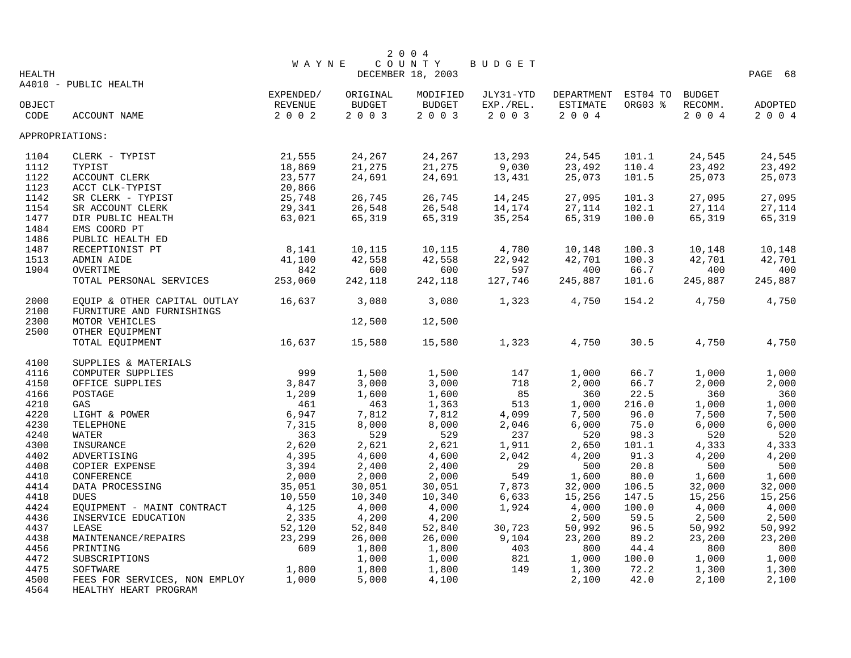|                 |                                           |              |               | 2004              |           |            |                 |         |         |
|-----------------|-------------------------------------------|--------------|---------------|-------------------|-----------|------------|-----------------|---------|---------|
|                 |                                           | <b>WAYNE</b> |               | COUNTY            | BUDGET    |            |                 |         |         |
| <b>HEALTH</b>   |                                           |              |               | DECEMBER 18, 2003 |           |            |                 |         | PAGE 68 |
|                 | A4010 - PUBLIC HEALTH                     |              |               |                   |           |            |                 |         |         |
|                 |                                           | EXPENDED/    | ORIGINAL      | MODIFIED          | JLY31-YTD | DEPARTMENT | EST04 TO BUDGET |         |         |
| OBJECT          |                                           | REVENUE      | <b>BUDGET</b> | <b>BUDGET</b>     | EXP./REL. | ESTIMATE   | ORG03 %         | RECOMM. | ADOPTED |
| CODE            | ACCOUNT NAME                              | $2 0 0 2$    | 2003          | 2003              | $2 0 0 3$ | 2004       |                 | 2004    | 2 0 0 4 |
| APPROPRIATIONS: |                                           |              |               |                   |           |            |                 |         |         |
| 1104            | CLERK - TYPIST                            | 21,555       | 24,267        | 24,267            | 13,293    | 24,545     | 101.1           | 24,545  | 24,545  |
| 1112            | TYPIST                                    | 18,869       | 21,275        | 21,275            | 9,030     | 23,492     | 110.4           | 23,492  | 23,492  |
| 1122            | ACCOUNT CLERK                             | 23,577       | 24,691        | 24,691            | 13,431    | 25,073     | 101.5           | 25,073  | 25,073  |
| 1123            | ACCT CLK-TYPIST                           | 20,866       |               |                   |           |            |                 |         |         |
| 1142            | SR CLERK - TYPIST                         | 25,748       | 26,745        | 26,745            | 14,245    | 27,095     | 101.3           | 27,095  | 27,095  |
| 1154            | SR ACCOUNT CLERK                          | 29,341       | 26,548        | 26,548            | 14,174    | 27,114     | 102.1           | 27,114  | 27,114  |
| 1477            | DIR PUBLIC HEALTH                         | 63,021       | 65,319        | 65,319            | 35,254    | 65,319     | 100.0           | 65,319  | 65,319  |
| 1484            | EMS COORD PT                              |              |               |                   |           |            |                 |         |         |
| 1486            | PUBLIC HEALTH ED                          |              |               |                   |           |            |                 |         |         |
| 1487            | RECEPTIONIST PT                           | 8,141        | 10,115        | 10,115            | 4,780     | 10,148     | 100.3           | 10,148  | 10,148  |
| 1513            | ADMIN AIDE                                | 41,100       | 42,558        | 42,558            | 22,942    | 42,701     | 100.3           | 42,701  | 42,701  |
| 1904            | OVERTIME                                  | 842          | 600           | 600               | 597       | 400        | 66.7            | 400     | 400     |
|                 | TOTAL PERSONAL SERVICES                   | 253,060      | 242,118       | 242,118           | 127,746   | 245,887    | 101.6           | 245,887 | 245,887 |
| 2000            | EQUIP & OTHER CAPITAL OUTLAY              | 16,637       | 3,080         | 3,080             | 1,323     | 4,750      | 154.2           | 4,750   | 4,750   |
| 2100            | FURNITURE AND FURNISHINGS                 |              |               |                   |           |            |                 |         |         |
| 2300            | MOTOR VEHICLES                            |              | 12,500        | 12,500            |           |            |                 |         |         |
| 2500            | OTHER EQUIPMENT                           |              |               |                   |           |            |                 |         |         |
|                 | TOTAL EQUIPMENT                           | 16,637       | 15,580        | 15,580            | 1,323     | 4,750      | 30.5            | 4,750   | 4,750   |
|                 |                                           |              |               |                   |           |            |                 |         |         |
| 4100            | SUPPLIES & MATERIALS                      |              |               |                   |           |            |                 |         |         |
| 4116            | COMPUTER SUPPLIES                         | 999          | 1,500         | 1,500             | 147       | 1,000      | 66.7            | 1,000   | 1,000   |
| 4150            | OFFICE SUPPLIES                           | 3,847        | 3,000         | 3,000             | 718       | 2,000      | 66.7            | 2,000   | 2,000   |
| 4166            | POSTAGE                                   | 1,209        | 1,600         | 1,600             | 85        | 360        | 22.5            | 360     | 360     |
| 4210            | GAS                                       | 461          | 463           | 1,363             | 513       | 1,000      | 216.0           | 1,000   | 1,000   |
| 4220            | LIGHT & POWER                             | 6,947        | 7,812         | 7,812             | 4,099     | 7,500      | 96.0            | 7,500   | 7,500   |
| 4230            | TELEPHONE                                 | 7,315        | 8,000         | 8,000             | 2,046     | 6,000      | 75.0            | 6,000   | 6,000   |
| 4240            | WATER                                     | 363          | 529           | 529               | 237       | 520        | 98.3            | 520     | 520     |
| 4300            | INSURANCE                                 | 2,620        | 2,621         | 2,621             | 1,911     | 2,650      | 101.1           | 4,333   | 4,333   |
| 4402            | ADVERTISING                               | 4,395        | 4,600         | 4,600             | 2,042     | 4,200      | 91.3            | 4,200   | 4,200   |
| 4408            | COPIER EXPENSE                            | 3,394        | 2,400         | 2,400             | 29        | 500        | 20.8            | 500     | 500     |
| 4410            | CONFERENCE                                | 2,000        | 2,000         | 2,000             | 549       | 1,600      | 80.0            | 1,600   | 1,600   |
| 4414            | DATA PROCESSING                           | 35,051       | 30,051        | 30,051            | 7,873     | 32,000     | 106.5           | 32,000  | 32,000  |
| 4418            | <b>DUES</b>                               | 10,550       | 10,340        | 10,340            | 6,633     | 15,256     | 147.5           | 15,256  | 15,256  |
| 4424            | EQUIPMENT - MAINT CONTRACT                | 4,125        | 4,000         | 4,000             | 1,924     | 4,000      | 100.0           | 4,000   | 4,000   |
| 4436            | INSERVICE EDUCATION                       | 2,335        | 4,200         | 4,200             |           | 2,500      | 59.5            | 2,500   | 2,500   |
| 4437            | LEASE                                     | 52,120       | 52,840        | 52,840            | 30,723    | 50,992     | 96.5            | 50,992  | 50,992  |
| 4438            | MAINTENANCE/REPAIRS                       | 23,299       | 26,000        | 26,000            | 9,104     | 23,200     | 89.2            | 23,200  | 23,200  |
| 4456            | PRINTING                                  | 609          | 1,800         | 1,800             | 403       | 800        | 44.4            | 800     | 800     |
| 4472            | SUBSCRIPTIONS                             |              | 1,000         | 1,000             | 821       | 1,000      | 100.0           | 1,000   | 1,000   |
| 4475            | SOFTWARE                                  | 1,800        | 1,800         | 1,800             | 149       | 1,300      | 72.2            | 1,300   | 1,300   |
| 4500<br>$1 - C$ | FEES FOR SERVICES, NON EMPLOY<br>$\cdots$ | 1,000        | 5,000         | 4,100             |           | 2,100      | 42.0            | 2,100   | 2,100   |

4564 HEALTHY HEART PROGRAM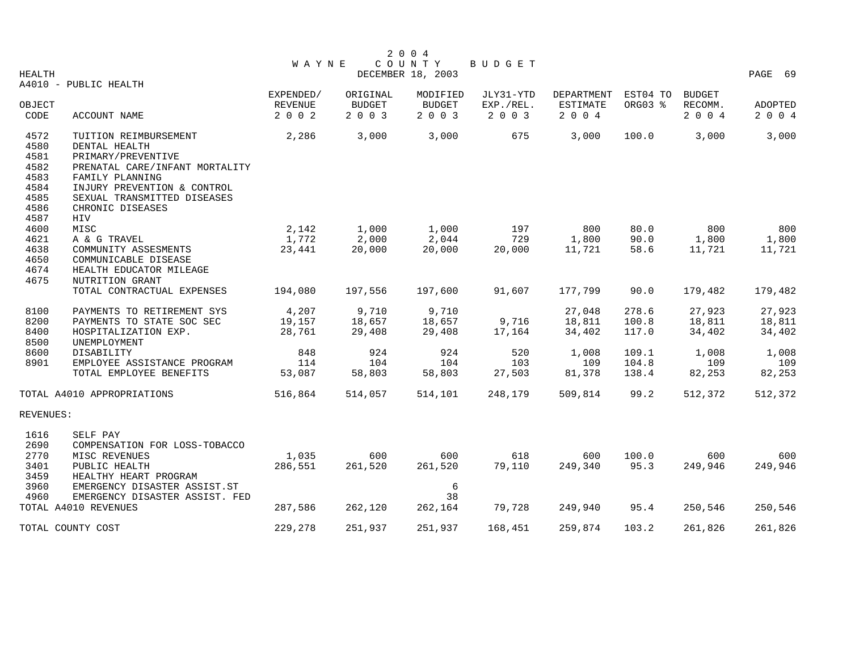|                |                                |                           |                          | 2 0 0 4                  |                      |                            |          |                    |                    |
|----------------|--------------------------------|---------------------------|--------------------------|--------------------------|----------------------|----------------------------|----------|--------------------|--------------------|
|                |                                | <b>WAYNE</b>              |                          | COUNTY                   | BUDGET               |                            |          |                    |                    |
| HEALTH         |                                |                           |                          | DECEMBER 18, 2003        |                      |                            |          |                    | PAGE 69            |
|                | A4010 - PUBLIC HEALTH          |                           |                          |                          |                      |                            |          |                    |                    |
|                |                                | EXPENDED/                 | ORIGINAL                 | MODIFIED                 | JLY31-YTD            | <b>DEPARTMENT</b>          | EST04 TO | <b>BUDGET</b>      |                    |
| OBJECT<br>CODE |                                | <b>REVENUE</b><br>2 0 0 2 | <b>BUDGET</b><br>2 0 0 3 | <b>BUDGET</b><br>2 0 0 3 | EXP./REL.<br>2 0 0 3 | <b>ESTIMATE</b><br>2 0 0 4 | ORG03 %  | RECOMM.<br>2 0 0 4 | ADOPTED<br>2 0 0 4 |
|                | ACCOUNT NAME                   |                           |                          |                          |                      |                            |          |                    |                    |
| 4572           | TUITION REIMBURSEMENT          | 2,286                     | 3,000                    | 3,000                    | 675                  | 3,000                      | 100.0    | 3,000              | 3,000              |
| 4580           | DENTAL HEALTH                  |                           |                          |                          |                      |                            |          |                    |                    |
| 4581           | PRIMARY/PREVENTIVE             |                           |                          |                          |                      |                            |          |                    |                    |
| 4582           | PRENATAL CARE/INFANT MORTALITY |                           |                          |                          |                      |                            |          |                    |                    |
| 4583           | FAMILY PLANNING                |                           |                          |                          |                      |                            |          |                    |                    |
| 4584           | INJURY PREVENTION & CONTROL    |                           |                          |                          |                      |                            |          |                    |                    |
| 4585           | SEXUAL TRANSMITTED DISEASES    |                           |                          |                          |                      |                            |          |                    |                    |
| 4586           | CHRONIC DISEASES               |                           |                          |                          |                      |                            |          |                    |                    |
| 4587           | HIV                            |                           |                          |                          |                      |                            |          |                    |                    |
| 4600           | MISC                           | 2,142                     | 1,000                    | 1,000                    | 197                  | 800                        | 80.0     | 800                | 800                |
| 4621           | A & G TRAVEL                   | 1,772                     | 2,000                    | 2,044                    | 729                  | 1,800                      | 90.0     | 1,800              | 1,800              |
| 4638           | COMMUNITY ASSESMENTS           | 23,441                    | 20,000                   | 20,000                   | 20,000               | 11,721                     | 58.6     | 11,721             | 11,721             |
| 4650           | COMMUNICABLE DISEASE           |                           |                          |                          |                      |                            |          |                    |                    |
| 4674           | HEALTH EDUCATOR MILEAGE        |                           |                          |                          |                      |                            |          |                    |                    |
| 4675           | NUTRITION GRANT                |                           |                          |                          |                      |                            |          |                    |                    |
|                | TOTAL CONTRACTUAL EXPENSES     | 194,080                   | 197,556                  | 197,600                  | 91,607               | 177,799                    | 90.0     | 179,482            | 179,482            |
| 8100           | PAYMENTS TO RETIREMENT SYS     | 4,207                     | 9,710                    | 9,710                    |                      | 27,048                     | 278.6    | 27,923             | 27,923             |
| 8200           | PAYMENTS TO STATE SOC SEC      | 19,157                    | 18,657                   | 18,657                   | 9,716                | 18,811                     | 100.8    | 18,811             | 18,811             |
| 8400           | HOSPITALIZATION EXP.           | 28,761                    | 29,408                   | 29,408                   | 17,164               | 34,402                     | 117.0    | 34,402             | 34,402             |
| 8500           | UNEMPLOYMENT                   |                           |                          |                          |                      |                            |          |                    |                    |
| 8600           | DISABILITY                     | 848                       | 924                      | 924                      | 520                  | 1,008                      | 109.1    | 1,008              | 1,008              |
| 8901           | EMPLOYEE ASSISTANCE PROGRAM    | 114                       | 104                      | 104                      | 103                  | 109                        | 104.8    | 109                | 109                |
|                | TOTAL EMPLOYEE BENEFITS        | 53,087                    | 58,803                   | 58,803                   | 27,503               | 81,378                     | 138.4    | 82,253             | 82,253             |
|                | TOTAL A4010 APPROPRIATIONS     | 516,864                   | 514,057                  | 514,101                  | 248,179              | 509,814                    | 99.2     | 512,372            | 512,372            |
|                |                                |                           |                          |                          |                      |                            |          |                    |                    |
| REVENUES:      |                                |                           |                          |                          |                      |                            |          |                    |                    |
| 1616           | SELF PAY                       |                           |                          |                          |                      |                            |          |                    |                    |
| 2690           | COMPENSATION FOR LOSS-TOBACCO  |                           |                          |                          |                      |                            |          |                    |                    |
| 2770           | MISC REVENUES                  | 1,035                     | 600                      | 600                      | 618                  | 600                        | 100.0    | 600                | 600                |
| 3401           | PUBLIC HEALTH                  | 286,551                   | 261,520                  | 261,520                  | 79,110               | 249,340                    | 95.3     | 249,946            | 249,946            |
| 3459           | HEALTHY HEART PROGRAM          |                           |                          |                          |                      |                            |          |                    |                    |
| 3960           | EMERGENCY DISASTER ASSIST.ST   |                           |                          | 6                        |                      |                            |          |                    |                    |
| 4960           | EMERGENCY DISASTER ASSIST. FED |                           |                          | 38                       |                      |                            |          |                    |                    |
|                | TOTAL A4010 REVENUES           | 287,586                   | 262,120                  | 262,164                  | 79,728               | 249,940                    | 95.4     | 250,546            | 250,546            |
|                |                                |                           |                          |                          |                      |                            |          |                    |                    |
|                | TOTAL COUNTY COST              | 229,278                   | 251,937                  | 251,937                  | 168,451              | 259,874                    | 103.2    | 261,826            | 261,826            |
|                |                                |                           |                          |                          |                      |                            |          |                    |                    |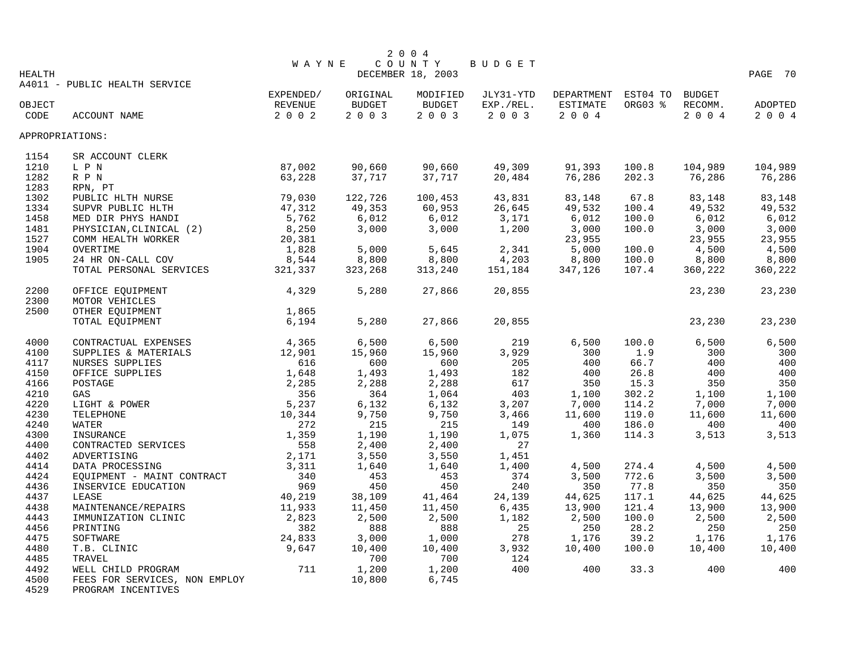|                 |                               |           |          | 2 0 0 4           |           |            |          |               |         |
|-----------------|-------------------------------|-----------|----------|-------------------|-----------|------------|----------|---------------|---------|
|                 |                               | WAYNE     |          | COUNTY            | BUDGET    |            |          |               |         |
| <b>HEALTH</b>   |                               |           |          | DECEMBER 18, 2003 |           |            |          |               | PAGE 70 |
|                 | A4011 - PUBLIC HEALTH SERVICE |           |          |                   |           |            |          |               |         |
|                 |                               | EXPENDED/ | ORIGINAL | MODIFIED          | JLY31-YTD | DEPARTMENT | EST04 TO | <b>BUDGET</b> |         |
| OBJECT          |                               | REVENUE   | BUDGET   | BUDGET            | EXP./REL. | ESTIMATE   | ORG03 %  | RECOMM.       | ADOPTED |
| CODE            | ACCOUNT NAME                  | 2002      | 2003     | 2003              | 2 0 0 3   | 2004       |          | 2004          | 2 0 0 4 |
| APPROPRIATIONS: |                               |           |          |                   |           |            |          |               |         |
| 1154            | SR ACCOUNT CLERK              |           |          |                   |           |            |          |               |         |
| 1210            | L P N                         | 87,002    | 90,660   | 90,660            | 49,309    | 91,393     | 100.8    | 104,989       | 104,989 |
| 1282            | R P N                         | 63,228    | 37,717   | 37,717            | 20,484    | 76,286     | 202.3    | 76,286        | 76,286  |
| 1283            | RPN, PT                       |           |          |                   |           |            |          |               |         |
| 1302            | PUBLIC HLTH NURSE             | 79,030    | 122,726  | 100,453           | 43,831    | 83,148     | 67.8     | 83,148        | 83,148  |
| 1334            | SUPVR PUBLIC HLTH             | 47,312    | 49,353   | 60,953            | 26,645    | 49,532     | 100.4    | 49,532        | 49,532  |
| 1458            | MED DIR PHYS HANDI            | 5,762     | 6,012    | 6,012             | 3,171     | 6,012      | 100.0    | 6,012         | 6,012   |
| 1481            | PHYSICIAN, CLINICAL (2)       | 8,250     | 3,000    | 3,000             | 1,200     | 3,000      | 100.0    | 3,000         | 3,000   |
| 1527            | COMM HEALTH WORKER            | 20,381    |          |                   |           | 23,955     |          | 23,955        | 23,955  |
| 1904            | OVERTIME                      | 1,828     | 5,000    | 5,645             | 2,341     | 5,000      | 100.0    | 4,500         | 4,500   |
| 1905            | 24 HR ON-CALL COV             | 8,544     | 8,800    | 8,800             | 4,203     | 8,800      | 100.0    | 8,800         | 8,800   |
|                 | TOTAL PERSONAL SERVICES       | 321,337   | 323,268  | 313,240           | 151,184   | 347,126    | 107.4    | 360,222       | 360,222 |
|                 |                               |           |          |                   |           |            |          |               |         |
| 2200            | OFFICE EQUIPMENT              | 4,329     | 5,280    | 27,866            | 20,855    |            |          | 23,230        | 23,230  |
| 2300            | MOTOR VEHICLES                |           |          |                   |           |            |          |               |         |
| 2500            | OTHER EOUIPMENT               | 1,865     |          |                   |           |            |          |               |         |
|                 | TOTAL EQUIPMENT               | 6,194     | 5,280    | 27,866            | 20,855    |            |          | 23,230        | 23,230  |
|                 |                               |           |          |                   |           |            |          |               |         |
| 4000            | CONTRACTUAL EXPENSES          | 4,365     | 6,500    | 6,500             | 219       | 6,500      | 100.0    | 6,500         | 6,500   |
| 4100            | SUPPLIES & MATERIALS          | 12,901    | 15,960   | 15,960            | 3,929     | 300        | 1.9      | 300           | 300     |
| 4117            | NURSES SUPPLIES               | 616       | 600      | 600               | 205       | 400        | 66.7     | 400           | 400     |
| 4150            | OFFICE SUPPLIES               | 1,648     | 1,493    | 1,493             | 182       | 400        | 26.8     | 400           | 400     |
| 4166            | POSTAGE                       | 2,285     | 2,288    | 2,288             | 617       | 350        | 15.3     | 350           | 350     |
|                 |                               |           |          |                   |           |            |          |               |         |
| 4210            | GAS                           | 356       | 364      | 1,064             | 403       | 1,100      | 302.2    | 1,100         | 1,100   |
| 4220            | LIGHT & POWER                 | 5,237     | 6,132    | 6,132             | 3,207     | 7,000      | 114.2    | 7,000         | 7,000   |
| 4230            | TELEPHONE                     | 10,344    | 9,750    | 9,750             | 3,466     | 11,600     | 119.0    | 11,600        | 11,600  |
| 4240            | <b>WATER</b>                  | 272       | 215      | 215               | 149       | 400        | 186.0    | 400           | 400     |
| 4300            | INSURANCE                     | 1,359     | 1,190    | 1,190             | 1,075     | 1,360      | 114.3    | 3,513         | 3,513   |
| 4400            | CONTRACTED SERVICES           | 558       | 2,400    | 2,400             | 27        |            |          |               |         |
| 4402            | ADVERTISING                   | 2,171     | 3,550    | 3,550             | 1,451     |            |          |               |         |
| 4414            | DATA PROCESSING               | 3,311     | 1,640    | 1,640             | 1,400     | 4,500      | 274.4    | 4,500         | 4,500   |
| 4424            | EQUIPMENT - MAINT CONTRACT    | 340       | 453      | 453               | 374       | 3,500      | 772.6    | 3,500         | 3,500   |
| 4436            | INSERVICE EDUCATION           | 969       | 450      | 450               | 240       | 350        | 77.8     | 350           | 350     |
| 4437            | LEASE                         | 40,219    | 38,109   | 41,464            | 24,139    | 44,625     | 117.1    | 44,625        | 44,625  |
| 4438            | MAINTENANCE/REPAIRS           | 11,933    | 11,450   | 11,450            | 6,435     | 13,900     | 121.4    | 13,900        | 13,900  |
| 4443            | IMMUNIZATION CLINIC           | 2,823     | 2,500    | 2,500             | 1,182     | 2,500      | 100.0    | 2,500         | 2,500   |
| 4456            | PRINTING                      | 382       | 888      | 888               | 25        | 250        | 28.2     | 250           | 250     |
| 4475            | SOFTWARE                      | 24,833    | 3,000    | 1,000             | 278       | 1,176      | 39.2     | 1,176         | 1,176   |
| 4480            | T.B. CLINIC                   | 9,647     | 10,400   | 10,400            | 3,932     | 10,400     | 100.0    | 10,400        | 10,400  |
| 4485            | TRAVEL                        |           | 700      | 700               | 124       |            |          |               |         |
| 4492            | WELL CHILD PROGRAM            | 711       | 1,200    | 1,200             | 400       | 400        | 33.3     | 400           | 400     |
| 4500            | FEES FOR SERVICES, NON EMPLOY |           | 10,800   | 6,745             |           |            |          |               |         |

4529 PROGRAM INCENTIVES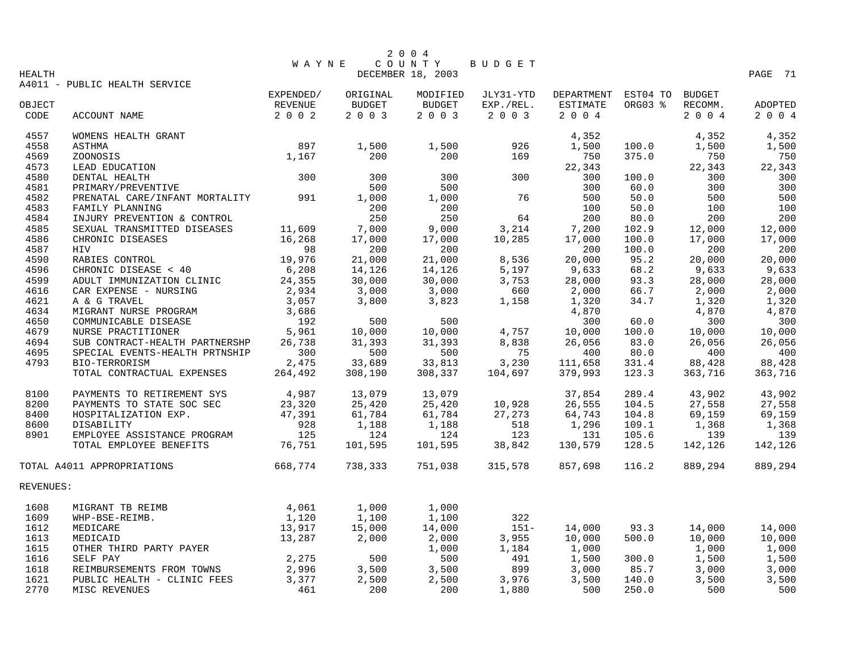|           |                                |              |               | 2 0 0 4           |               |                 |          |               |                |
|-----------|--------------------------------|--------------|---------------|-------------------|---------------|-----------------|----------|---------------|----------------|
|           |                                | <b>WAYNE</b> |               | COUNTY            | <b>BUDGET</b> |                 |          |               |                |
| HEALTH    |                                |              |               | DECEMBER 18, 2003 |               |                 |          |               | PAGE 71        |
|           | A4011 - PUBLIC HEALTH SERVICE  | EXPENDED/    | ORIGINAL      | MODIFIED          | JLY31-YTD     | DEPARTMENT      | EST04 TO | <b>BUDGET</b> |                |
| OBJECT    |                                | REVENUE      | <b>BUDGET</b> | <b>BUDGET</b>     | EXP./REL.     | <b>ESTIMATE</b> | ORG03 %  | RECOMM.       | <b>ADOPTED</b> |
| CODE      | ACCOUNT NAME                   | $2 0 0 2$    | 2 0 0 3       | 2003              | 2 0 0 3       | 2004            |          | 2004          | 2 0 0 4        |
|           |                                |              |               |                   |               |                 |          |               |                |
| 4557      | WOMENS HEALTH GRANT            |              |               |                   |               | 4,352           |          | 4,352         | 4,352          |
| 4558      | <b>ASTHMA</b>                  | 897          | 1,500         | 1,500             | 926           | 1,500           | 100.0    | 1,500         | 1,500          |
| 4569      | ZOONOSIS                       | 1,167        | 200           | 200               | 169           | 750             | 375.0    | 750           | 750            |
| 4573      | LEAD EDUCATION                 |              |               |                   |               | 22,343          |          | 22,343        | 22,343         |
| 4580      | DENTAL HEALTH                  | 300          | 300           | 300               | 300           | 300             | 100.0    | 300           | 300            |
| 4581      | PRIMARY/PREVENTIVE             |              | 500           | 500               |               | 300             | 60.0     | 300           | 300            |
| 4582      | PRENATAL CARE/INFANT MORTALITY | 991          | 1,000         | 1,000             | 76            | 500             | 50.0     | 500           | 500            |
| 4583      | FAMILY PLANNING                |              | 200           | 200               |               | 100             | 50.0     | 100           | 100            |
| 4584      | INJURY PREVENTION & CONTROL    |              | 250           | 250               | 64            | 200             | 80.0     | 200           | 200            |
| 4585      | SEXUAL TRANSMITTED DISEASES    | 11,609       | 7,000         | 9,000             | 3,214         | 7,200           | 102.9    | 12,000        | 12,000         |
| 4586      | CHRONIC DISEASES               | 16,268       | 17,000        | 17,000            | 10,285        | 17,000          | 100.0    | 17,000        | 17,000         |
| 4587      | HIV                            | 98           | 200           | 200               |               | 200             | 100.0    | 200           | 200            |
| 4590      | RABIES CONTROL                 | 19,976       | 21,000        | 21,000            | 8,536         | 20,000          | 95.2     | 20,000        | 20,000         |
| 4596      | CHRONIC DISEASE < 40           | 6,208        | 14,126        | 14,126            | 5,197         | 9,633           | 68.2     | 9,633         | 9,633          |
| 4599      | ADULT IMMUNIZATION CLINIC      | 24,355       | 30,000        | 30,000            | 3,753         | 28,000          | 93.3     | 28,000        | 28,000         |
| 4616      | CAR EXPENSE - NURSING          | 2,934        | 3,000         | 3,000             | 660           | 2,000           | 66.7     | 2,000         | 2,000          |
| 4621      | A & G TRAVEL                   | 3,057        | 3,800         | 3,823             | 1,158         | 1,320           | 34.7     | 1,320         | 1,320          |
| 4634      | MIGRANT NURSE PROGRAM          | 3,686        |               |                   |               | 4,870           |          | 4,870         | 4,870          |
| 4650      | COMMUNICABLE DISEASE           | 192          | 500           | 500               |               | 300             | 60.0     | 300           | 300            |
| 4679      | NURSE PRACTITIONER             | 5,961        | 10,000        | 10,000            | 4,757         | 10,000          | 100.0    | 10,000        | 10,000         |
| 4694      | SUB CONTRACT-HEALTH PARTNERSHP | 26,738       | 31,393        | 31,393            | 8,838         | 26,056          | 83.0     | 26,056        | 26,056         |
| 4695      | SPECIAL EVENTS-HEALTH PRTNSHIP | 300          | 500           | 500               | 75            | 400             | 80.0     | 400           | 400            |
| 4793      | BIO-TERRORISM                  | 2,475        | 33,689        | 33,813            | 3,230         | 111,658         | 331.4    | 88,428        | 88,428         |
|           | TOTAL CONTRACTUAL EXPENSES     | 264,492      | 308,190       | 308,337           | 104,697       | 379,993         | 123.3    | 363,716       | 363,716        |
| 8100      | PAYMENTS TO RETIREMENT SYS     | 4,987        | 13,079        | 13,079            |               | 37,854          | 289.4    | 43,902        | 43,902         |
| 8200      | PAYMENTS TO STATE SOC SEC      | 23,320       | 25,420        | 25,420            | 10,928        | 26,555          | 104.5    | 27,558        | 27,558         |
| 8400      | HOSPITALIZATION EXP.           | 47,391       | 61,784        | 61,784            | 27,273        | 64,743          | 104.8    | 69,159        | 69,159         |
| 8600      | DISABILITY                     | 928          | 1,188         | 1,188             | 518           | 1,296           | 109.1    | 1,368         | 1,368          |
| 8901      | EMPLOYEE ASSISTANCE PROGRAM    | 125          | 124           | 124               | 123           | 131             | 105.6    | 139           | 139            |
|           | TOTAL EMPLOYEE BENEFITS        | 76,751       | 101,595       | 101,595           | 38,842        | 130,579         | 128.5    | 142,126       | 142,126        |
|           | TOTAL A4011 APPROPRIATIONS     | 668,774      | 738,333       | 751,038           | 315,578       | 857,698         | 116.2    | 889,294       | 889,294        |
| REVENUES: |                                |              |               |                   |               |                 |          |               |                |
|           |                                |              |               |                   |               |                 |          |               |                |
| 1608      | MIGRANT TB REIMB               | 4,061        | 1,000         | 1,000             |               |                 |          |               |                |
| 1609      | WHP-BSE-REIMB.                 | 1,120        | 1,100         | 1,100             | 322           |                 |          |               |                |
| 1612      | MEDICARE                       | 13,917       | 15,000        | 14,000            | $151 -$       | 14,000          | 93.3     | 14,000        | 14,000         |
| 1613      | MEDICAID                       | 13,287       | 2,000         | 2,000             | 3,955         | 10,000          | 500.0    | 10,000        | 10,000         |
| 1615      | OTHER THIRD PARTY PAYER        |              |               | 1,000             | 1,184         | 1,000           |          | 1,000         | 1,000          |
| 1616      | SELF PAY                       | 2,275        | 500           | 500               | 491           | 1,500           | 300.0    | 1,500         | 1,500          |
| 1618      | REIMBURSEMENTS FROM TOWNS      | 2,996        | 3,500         | 3,500             | 899           | 3,000           | 85.7     | 3,000         | 3,000          |
| 1621      | PUBLIC HEALTH - CLINIC FEES    | 3,377        | 2,500         | 2,500             | 3,976         | 3,500           | 140.0    | 3,500         | 3,500          |
| 2770      | MISC REVENUES                  | 461          | 200           | 200               | 1,880         | 500             | 250.0    | 500           | 500            |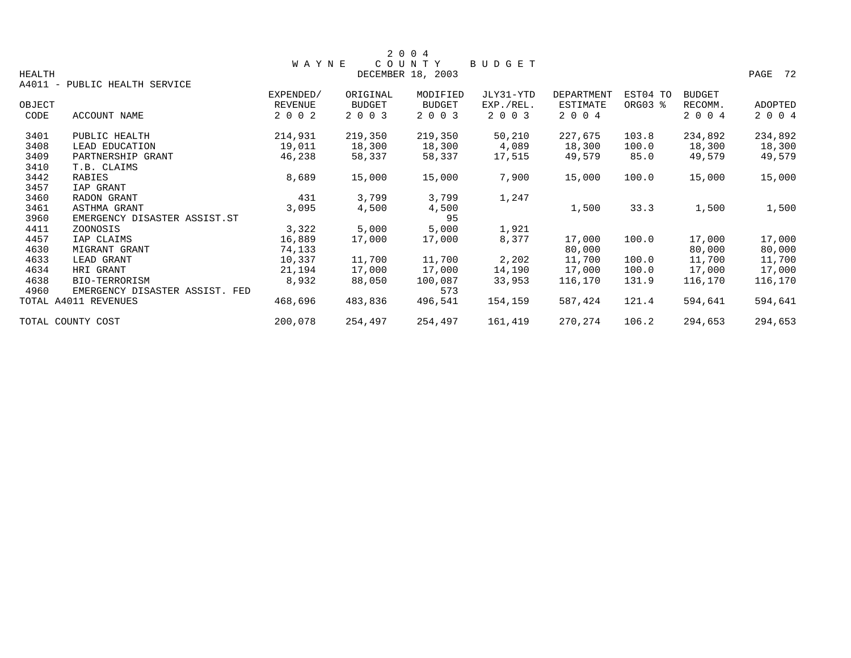|               |                                |                |               | 2 0 0 4           |           |                   |          |               |         |
|---------------|--------------------------------|----------------|---------------|-------------------|-----------|-------------------|----------|---------------|---------|
|               |                                | <b>WAYNE</b>   |               | COUNTY            | BUDGET    |                   |          |               |         |
| <b>HEALTH</b> |                                |                |               | DECEMBER 18, 2003 |           |                   |          |               | PAGE 72 |
|               | A4011 - PUBLIC HEALTH SERVICE  |                |               |                   |           |                   |          |               |         |
|               |                                | EXPENDED/      | ORIGINAL      | MODIFIED          | JLY31-YTD | <b>DEPARTMENT</b> | EST04 TO | <b>BUDGET</b> |         |
| OBJECT        |                                | <b>REVENUE</b> | <b>BUDGET</b> | <b>BUDGET</b>     | EXP./REL. | ESTIMATE          | ORG03 %  | RECOMM.       | ADOPTED |
| CODE          | ACCOUNT NAME                   | 2 0 0 2        | 2 0 0 3       | 2 0 0 3           | 2 0 0 3   | 2 0 0 4           |          | 2 0 0 4       | 2 0 0 4 |
| 3401          | PUBLIC HEALTH                  | 214,931        | 219,350       | 219,350           | 50,210    | 227,675           | 103.8    | 234,892       | 234,892 |
| 3408          | LEAD EDUCATION                 | 19,011         | 18,300        | 18,300            | 4,089     | 18,300            | 100.0    | 18,300        | 18,300  |
| 3409          | PARTNERSHIP GRANT              | 46,238         | 58,337        | 58,337            | 17,515    | 49,579            | 85.0     | 49,579        | 49,579  |
| 3410          | T.B. CLAIMS                    |                |               |                   |           |                   |          |               |         |
| 3442          | RABIES                         | 8,689          | 15,000        | 15,000            | 7,900     | 15,000            | 100.0    | 15,000        | 15,000  |
| 3457          | IAP GRANT                      |                |               |                   |           |                   |          |               |         |
| 3460          | RADON GRANT                    | 431            | 3,799         | 3,799             | 1,247     |                   |          |               |         |
| 3461          | ASTHMA GRANT                   | 3,095          | 4,500         | 4,500             |           | 1,500             | 33.3     | 1,500         | 1,500   |
| 3960          | EMERGENCY DISASTER ASSIST.ST   |                |               | 95                |           |                   |          |               |         |
| 4411          | ZOONOSIS                       | 3,322          | 5,000         | 5,000             | 1,921     |                   |          |               |         |
| 4457          | IAP CLAIMS                     | 16,889         | 17,000        | 17,000            | 8,377     | 17,000            | 100.0    | 17,000        | 17,000  |
| 4630          | MIGRANT GRANT                  | 74,133         |               |                   |           | 80,000            |          | 80,000        | 80,000  |
| 4633          | LEAD GRANT                     | 10,337         | 11,700        | 11,700            | 2,202     | 11,700            | 100.0    | 11,700        | 11,700  |
| 4634          | HRI GRANT                      | 21,194         | 17,000        | 17,000            | 14,190    | 17,000            | 100.0    | 17,000        | 17,000  |
| 4638          | BIO-TERRORISM                  | 8,932          | 88,050        | 100,087           | 33,953    | 116,170           | 131.9    | 116,170       | 116,170 |
| 4960          | EMERGENCY DISASTER ASSIST. FED |                |               | 573               |           |                   |          |               |         |
|               | TOTAL A4011 REVENUES           | 468,696        | 483,836       | 496,541           | 154,159   | 587,424           | 121.4    | 594,641       | 594,641 |
|               | TOTAL COUNTY COST              | 200,078        | 254,497       | 254,497           | 161,419   | 270,274           | 106.2    | 294,653       | 294,653 |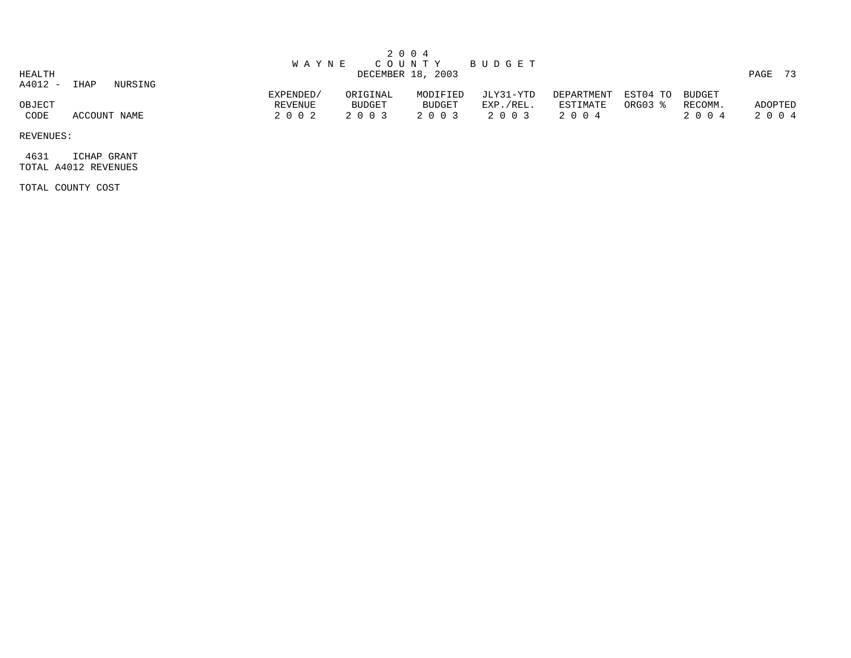|                   |              |         | W A Y N E                       |                               | 2 0 0 4                       | COUNTY BUDGET                     |                                   |                            |                    |                 |
|-------------------|--------------|---------|---------------------------------|-------------------------------|-------------------------------|-----------------------------------|-----------------------------------|----------------------------|--------------------|-----------------|
| HEALTH<br>A4012 - | IHAP         | NURSING |                                 |                               | DECEMBER 18, 2003             |                                   |                                   |                            |                    | PAGE 73         |
| OBJECT<br>CODE    | ACCOUNT NAME |         | EXPENDED/<br>REVENUE<br>2 0 0 2 | ORIGINAL<br>BUDGET<br>2 0 0 3 | MODIFIED<br>BUDGET<br>2 0 0 3 | JLY31-YTD<br>EXP./REL.<br>2 0 0 3 | DEPARTMENT<br>ESTIMATE<br>2 0 0 4 | EST04 TO BUDGET<br>ORG03 % | RECOMM.<br>2 0 0 4 | ADOPTED<br>2004 |

 4631 ICHAP GRANT TOTAL A4012 REVENUES

TOTAL COUNTY COST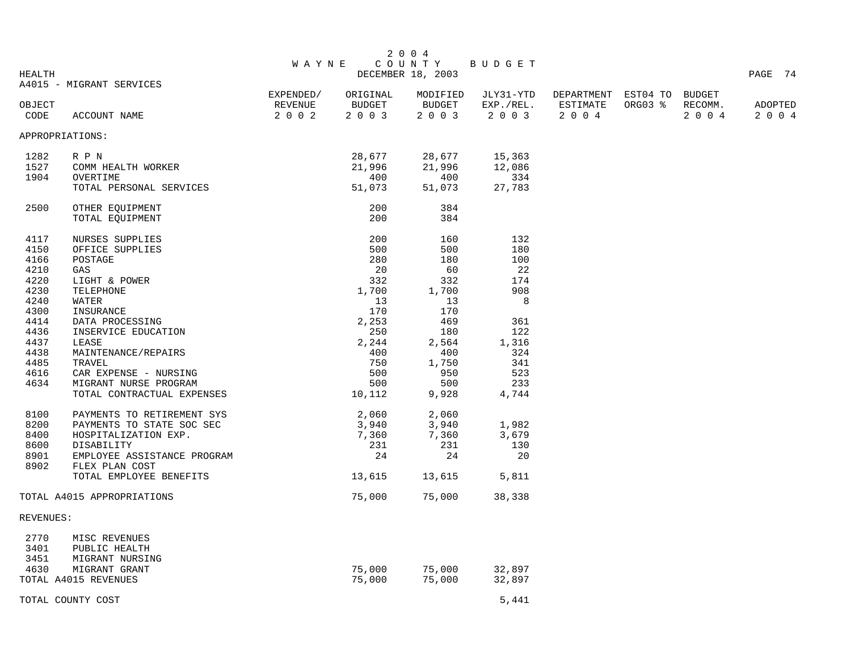| <b>HEALTH</b>  |                                           | W A Y N E          |                   | 2 0 0 4<br>COUNTY<br>DECEMBER 18, 2003 | BUDGET               |                            |         |                    | PAGE 74            |
|----------------|-------------------------------------------|--------------------|-------------------|----------------------------------------|----------------------|----------------------------|---------|--------------------|--------------------|
|                | A4015 - MIGRANT SERVICES                  | EXPENDED/          | ORIGINAL          | MODIFIED                               | JLY31-YTD            | DEPARTMENT EST04 TO BUDGET |         |                    |                    |
| OBJECT<br>CODE | ACCOUNT NAME                              | REVENUE<br>2 0 0 2 | BUDGET<br>2 0 0 3 | BUDGET<br>2 0 0 3                      | EXP./REL.<br>2 0 0 3 | ESTIMATE<br>2 0 0 4        | ORG03 % | RECOMM.<br>2 0 0 4 | ADOPTED<br>2 0 0 4 |
|                | APPROPRIATIONS:                           |                    |                   |                                        |                      |                            |         |                    |                    |
| 1282           | R P N                                     |                    | 28,677            | 28,677                                 | 15,363               |                            |         |                    |                    |
| 1527<br>1904   | COMM HEALTH WORKER<br>OVERTIME            |                    | 21,996<br>400     | 21,996<br>400                          | 12,086<br>334        |                            |         |                    |                    |
|                | TOTAL PERSONAL SERVICES                   |                    | 51,073            | 51,073                                 | 27,783               |                            |         |                    |                    |
| 2500           | OTHER EQUIPMENT                           |                    | 200               | 384                                    |                      |                            |         |                    |                    |
|                | TOTAL EQUIPMENT                           |                    | 200               | 384                                    |                      |                            |         |                    |                    |
| 4117           | NURSES SUPPLIES                           |                    | 200               | 160                                    | 132                  |                            |         |                    |                    |
| 4150           | OFFICE SUPPLIES                           |                    | 500               | 500                                    | 180                  |                            |         |                    |                    |
| 4166           | POSTAGE                                   |                    | 280               | 180                                    | 100                  |                            |         |                    |                    |
| 4210           | GAS                                       |                    | 20                | 60                                     | 22                   |                            |         |                    |                    |
| 4220           | LIGHT & POWER                             |                    | 332               | 332                                    | 174                  |                            |         |                    |                    |
| 4230           | TELEPHONE                                 |                    | 1,700             | 1,700                                  | 908                  |                            |         |                    |                    |
| 4240           | WATER                                     |                    | 13                | 13                                     | 8                    |                            |         |                    |                    |
| 4300<br>4414   | INSURANCE                                 |                    | 170               | 170<br>469                             | 361                  |                            |         |                    |                    |
| 4436           | DATA PROCESSING<br>INSERVICE EDUCATION    |                    | 2,253<br>250      | 180                                    | 122                  |                            |         |                    |                    |
| 4437           | LEASE                                     |                    | 2,244             | 2,564                                  | 1,316                |                            |         |                    |                    |
| 4438           | MAINTENANCE/REPAIRS                       |                    | 400               | 400                                    | 324                  |                            |         |                    |                    |
| 4485           | TRAVEL                                    |                    | 750               | 1,750                                  | 341                  |                            |         |                    |                    |
| 4616           | CAR EXPENSE - NURSING                     |                    | 500               | 950                                    | 523                  |                            |         |                    |                    |
| 4634           | MIGRANT NURSE PROGRAM                     |                    | 500               | 500                                    | 233                  |                            |         |                    |                    |
|                | TOTAL CONTRACTUAL EXPENSES                |                    | 10,112            | 9,928                                  | 4,744                |                            |         |                    |                    |
| 8100           | PAYMENTS TO RETIREMENT SYS                |                    | 2,060             | 2,060                                  |                      |                            |         |                    |                    |
| 8200           | PAYMENTS TO STATE SOC SEC                 |                    | 3,940             | 3,940                                  | 1,982                |                            |         |                    |                    |
| 8400           | HOSPITALIZATION EXP.                      |                    | 7,360             | 7,360                                  | 3,679                |                            |         |                    |                    |
| 8600           | DISABILITY                                |                    | 231               | 231                                    | 130                  |                            |         |                    |                    |
| 8901           | EMPLOYEE ASSISTANCE PROGRAM               |                    | 24                | 24                                     | 20                   |                            |         |                    |                    |
| 8902           | FLEX PLAN COST<br>TOTAL EMPLOYEE BENEFITS |                    | 13,615            | 13,615                                 | 5,811                |                            |         |                    |                    |
|                | TOTAL A4015 APPROPRIATIONS                |                    | 75,000            | 75,000                                 | 38,338               |                            |         |                    |                    |
| REVENUES:      |                                           |                    |                   |                                        |                      |                            |         |                    |                    |
| 2770           | MISC REVENUES                             |                    |                   |                                        |                      |                            |         |                    |                    |
| 3401           | PUBLIC HEALTH                             |                    |                   |                                        |                      |                            |         |                    |                    |
| 3451           | MIGRANT NURSING                           |                    |                   |                                        |                      |                            |         |                    |                    |
| 4630           | MIGRANT GRANT                             |                    | 75,000            | 75,000                                 | 32,897               |                            |         |                    |                    |
|                | TOTAL A4015 REVENUES                      |                    | 75,000            | 75,000                                 | 32,897               |                            |         |                    |                    |
|                | TOTAL COUNTY COST                         |                    |                   |                                        | 5,441                |                            |         |                    |                    |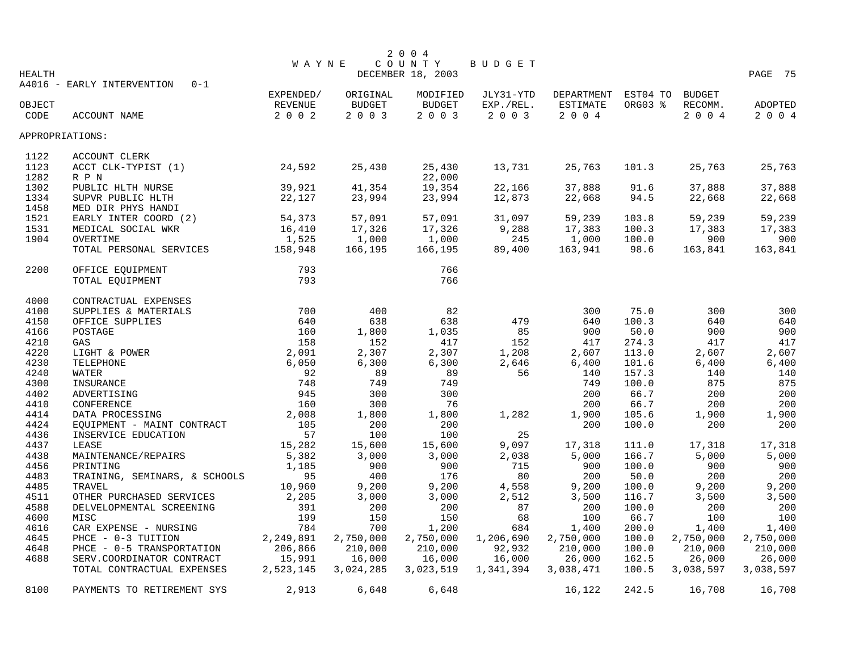|                 |                                       |              |           | 2 0 0 4           |           |            |          |               |           |
|-----------------|---------------------------------------|--------------|-----------|-------------------|-----------|------------|----------|---------------|-----------|
|                 |                                       | <b>WAYNE</b> |           | COUNTY            | BUDGET    |            |          |               |           |
| <b>HEALTH</b>   |                                       |              |           | DECEMBER 18, 2003 |           |            |          |               | PAGE 75   |
|                 | $0 - 1$<br>A4016 - EARLY INTERVENTION | EXPENDED/    | ORIGINAL  | MODIFIED          | JLY31-YTD | DEPARTMENT | EST04 TO | <b>BUDGET</b> |           |
| OBJECT          |                                       | REVENUE      | BUDGET    | <b>BUDGET</b>     | EXP./REL. | ESTIMATE   | ORG03 %  | RECOMM.       | ADOPTED   |
| CODE            | ACCOUNT NAME                          | 2 0 0 2      | 2 0 0 3   | 2 0 0 3           | 2 0 0 3   | 2004       |          | 2004          | 2 0 0 4   |
|                 |                                       |              |           |                   |           |            |          |               |           |
| APPROPRIATIONS: |                                       |              |           |                   |           |            |          |               |           |
| 1122            | ACCOUNT CLERK                         |              |           |                   |           |            |          |               |           |
| 1123            | ACCT CLK-TYPIST (1)                   | 24,592       | 25,430    | 25,430            | 13,731    | 25,763     | 101.3    | 25,763        | 25,763    |
| 1282            | R P N                                 |              |           | 22,000            |           |            |          |               |           |
| 1302            | PUBLIC HLTH NURSE                     | 39,921       | 41,354    | 19,354            | 22,166    | 37,888     | 91.6     | 37,888        | 37,888    |
| 1334            | SUPVR PUBLIC HLTH                     | 22,127       | 23,994    | 23,994            | 12,873    | 22,668     | 94.5     | 22,668        | 22,668    |
| 1458            | MED DIR PHYS HANDI                    |              |           |                   |           |            |          |               |           |
| 1521            | EARLY INTER COORD (2)                 | 54,373       | 57,091    | 57,091            | 31,097    | 59,239     | 103.8    | 59,239        | 59,239    |
| 1531            | MEDICAL SOCIAL WKR                    | 16,410       | 17,326    | 17,326            | 9,288     | 17,383     | 100.3    | 17,383        | 17,383    |
| 1904            | OVERTIME                              | 1,525        | 1,000     | 1,000             | 245       | 1,000      | 100.0    | 900           | 900       |
|                 | TOTAL PERSONAL SERVICES               | 158,948      | 166,195   | 166,195           | 89,400    | 163,941    | 98.6     | 163,841       | 163,841   |
| 2200            | OFFICE EQUIPMENT                      | 793          |           | 766               |           |            |          |               |           |
|                 | TOTAL EQUIPMENT                       | 793          |           | 766               |           |            |          |               |           |
|                 |                                       |              |           |                   |           |            |          |               |           |
| 4000            | CONTRACTUAL EXPENSES                  |              |           |                   |           |            |          |               |           |
| 4100            | SUPPLIES & MATERIALS                  | 700          | 400       | 82                |           | 300        | 75.0     | 300           | 300       |
| 4150            | OFFICE SUPPLIES                       | 640          | 638       | 638               | 479       | 640        | 100.3    | 640           | 640       |
| 4166            | POSTAGE                               | 160          | 1,800     | 1,035             | 85        | 900        | 50.0     | 900           | 900       |
| 4210            | GAS                                   | 158          | 152       | 417               | 152       | 417        | 274.3    | 417           | 417       |
| 4220            | LIGHT & POWER                         | 2,091        | 2,307     | 2,307             | 1,208     | 2,607      | 113.0    | 2,607         | 2,607     |
| 4230            | TELEPHONE                             | 6,050        | 6,300     | 6,300             | 2,646     | 6,400      | 101.6    | 6,400         | 6,400     |
| 4240            | WATER                                 | 92           | 89        | 89                | 56        | 140        | 157.3    | 140           | 140       |
| 4300            | INSURANCE                             | 748          | 749       | 749               |           | 749        | 100.0    | 875           | 875       |
| 4402            | ADVERTISING                           | 945          | 300       | 300               |           | 200        | 66.7     | 200           | 200       |
| 4410            | CONFERENCE                            | 160          | 300       | 76                |           | 200        | 66.7     | 200           | 200       |
| 4414            | DATA PROCESSING                       | 2,008        | 1,800     | 1,800             | 1,282     | 1,900      | 105.6    | 1,900         | 1,900     |
| 4424            | EQUIPMENT - MAINT CONTRACT            | 105          | 200       | 200               |           | 200        | 100.0    | 200           | 200       |
| 4436            | INSERVICE EDUCATION                   | 57           | 100       | 100               | 25        |            |          |               |           |
| 4437            | LEASE                                 | 15,282       | 15,600    | 15,600            | 9,097     | 17,318     | 111.0    | 17,318        | 17,318    |
| 4438            | MAINTENANCE/REPAIRS                   | 5,382        | 3,000     | 3,000             | 2,038     | 5,000      | 166.7    | 5,000         | 5,000     |
| 4456            | PRINTING                              | 1,185        | 900       | 900               | 715       | 900        | 100.0    | 900           | 900       |
| 4483            | TRAINING, SEMINARS, & SCHOOLS         | 95           | 400       | 176               | 80        | 200        | 50.0     | 200           | 200       |
| 4485            | TRAVEL                                | 10,960       | 9,200     | 9,200             | 4,558     | 9,200      | 100.0    | 9,200         | 9,200     |
| 4511            | OTHER PURCHASED SERVICES              | 2,205        | 3,000     | 3,000             | 2,512     | 3,500      | 116.7    | 3,500         | 3,500     |
| 4588            | DELVELOPMENTAL SCREENING              | 391          | 200       | 200               | 87        | 200        | 100.0    | 200           | 200       |
| 4600            | MISC                                  | 199          | 150       | 150               | 68        | 100        | 66.7     | 100           | 100       |
| 4616            | CAR EXPENSE - NURSING                 | 784          | 700       | 1,200             | 684       | 1,400      | 200.0    | 1,400         | 1,400     |
| 4645            | PHCE - 0-3 TUITION                    | 2,249,891    | 2,750,000 | 2,750,000         | 1,206,690 | 2,750,000  | 100.0    | 2,750,000     | 2,750,000 |
| 4648            | PHCE - 0-5 TRANSPORTATION             | 206,866      | 210,000   | 210,000           | 92,932    | 210,000    | 100.0    | 210,000       | 210,000   |
| 4688            | SERV.COORDINATOR CONTRACT             | 15,991       | 16,000    | 16,000            | 16,000    | 26,000     | 162.5    | 26,000        | 26,000    |
|                 | TOTAL CONTRACTUAL EXPENSES            | 2,523,145    | 3,024,285 | 3,023,519         | 1,341,394 | 3,038,471  | 100.5    | 3,038,597     | 3,038,597 |
| 8100            | PAYMENTS TO RETIREMENT SYS            | 2,913        | 6,648     | 6,648             |           | 16,122     | 242.5    | 16,708        | 16,708    |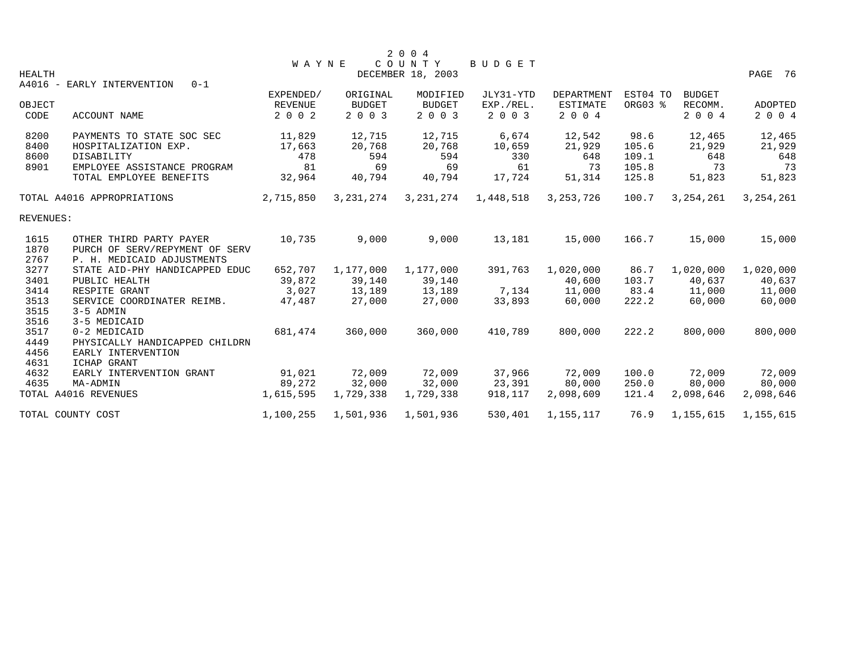| PAGE 76                                    |                                                                                                                                                                                                                  |
|--------------------------------------------|------------------------------------------------------------------------------------------------------------------------------------------------------------------------------------------------------------------|
|                                            |                                                                                                                                                                                                                  |
| <b>BUDGET</b><br>RECOMM.<br><b>ADOPTED</b> |                                                                                                                                                                                                                  |
| 2 0 0 4<br>2 0 0 4                         |                                                                                                                                                                                                                  |
| 12,465<br>12,465                           |                                                                                                                                                                                                                  |
| 21,929<br>21,929                           |                                                                                                                                                                                                                  |
| 648<br>648                                 |                                                                                                                                                                                                                  |
| 73                                         | 73                                                                                                                                                                                                               |
| 51,823<br>51,823                           |                                                                                                                                                                                                                  |
| 3, 254, 261                                |                                                                                                                                                                                                                  |
|                                            |                                                                                                                                                                                                                  |
| 15,000                                     |                                                                                                                                                                                                                  |
|                                            |                                                                                                                                                                                                                  |
|                                            |                                                                                                                                                                                                                  |
|                                            |                                                                                                                                                                                                                  |
|                                            |                                                                                                                                                                                                                  |
|                                            |                                                                                                                                                                                                                  |
|                                            |                                                                                                                                                                                                                  |
|                                            |                                                                                                                                                                                                                  |
|                                            |                                                                                                                                                                                                                  |
|                                            |                                                                                                                                                                                                                  |
|                                            |                                                                                                                                                                                                                  |
|                                            |                                                                                                                                                                                                                  |
|                                            |                                                                                                                                                                                                                  |
|                                            |                                                                                                                                                                                                                  |
| 2,098,646                                  |                                                                                                                                                                                                                  |
|                                            |                                                                                                                                                                                                                  |
|                                            | 3, 254, 261<br>15,000<br>1,020,000<br>1,020,000<br>40,637<br>40,637<br>11,000<br>11,000<br>60,000<br>60,000<br>800,000<br>800,000<br>72,009<br>72,009<br>80,000<br>80,000<br>2,098,646<br>1,155,615<br>1,155,615 |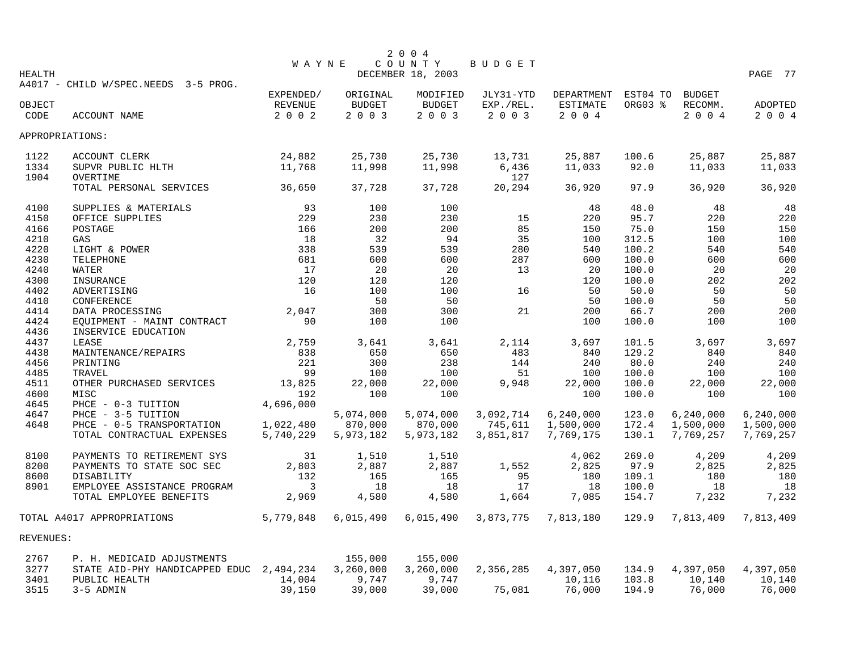|               |                                          |              |           | 2 0 0 4           |           |                     |         |               |           |
|---------------|------------------------------------------|--------------|-----------|-------------------|-----------|---------------------|---------|---------------|-----------|
|               |                                          | <b>WAYNE</b> |           | COUNTY            | BUDGET    |                     |         |               |           |
| <b>HEALTH</b> |                                          |              |           | DECEMBER 18, 2003 |           |                     |         |               | PAGE 77   |
|               | A4017 - CHILD W/SPEC.NEEDS 3-5 PROG.     |              |           |                   |           |                     |         |               |           |
|               |                                          | EXPENDED/    | ORIGINAL  | MODIFIED          | JLY31-YTD | DEPARTMENT EST04 TO |         | <b>BUDGET</b> |           |
| OBJECT        |                                          | REVENUE      | BUDGET    | BUDGET            | EXP./REL. | ESTIMATE            | ORG03 % | RECOMM.       | ADOPTED   |
| CODE          | ACCOUNT NAME                             | 2002         | 2 0 0 3   | 2 0 0 3           | 2 0 0 3   | 2004                |         | 2004          | 2004      |
|               | APPROPRIATIONS:                          |              |           |                   |           |                     |         |               |           |
| 1122          | ACCOUNT CLERK                            | 24,882       | 25,730    | 25,730            | 13,731    | 25,887              | 100.6   | 25,887        | 25,887    |
| 1334          | SUPVR PUBLIC HLTH                        | 11,768       | 11,998    | 11,998            | 6,436     | 11,033              | 92.0    | 11,033        | 11,033    |
| 1904          | OVERTIME                                 |              |           |                   | 127       |                     |         |               |           |
|               | TOTAL PERSONAL SERVICES                  | 36,650       | 37,728    | 37,728            | 20,294    | 36,920              | 97.9    | 36,920        | 36,920    |
| 4100          | SUPPLIES & MATERIALS                     | 93           | 100       | 100               |           | 48                  | 48.0    | 48            | 48        |
| 4150          | OFFICE SUPPLIES                          | 229          | 230       | 230               | 15        | 220                 | 95.7    | 220           | 220       |
| 4166          | POSTAGE                                  | 166          | 200       | 200               | 85        | 150                 | 75.0    | 150           | 150       |
| 4210          | GAS                                      | 18           | 32        | 94                | 35        | 100                 | 312.5   | 100           | 100       |
| 4220          | LIGHT & POWER                            | 338          | 539       | 539               | 280       | 540                 | 100.2   | 540           | 540       |
| 4230          | TELEPHONE                                | 681          | 600       | 600               | 287       | 600                 | 100.0   | 600           | 600       |
| 4240          | WATER                                    | 17           | 20        | 20                | 13        | 20                  | 100.0   | 20            | 20        |
| 4300          | INSURANCE                                | 120          | 120       | 120               |           | 120                 | 100.0   | 202           | 202       |
| 4402          | ADVERTISING                              | 16           | 100       | 100               | 16        | 50                  | 50.0    | 50            | 50        |
| 4410          | CONFERENCE                               |              | 50        | 50                |           | 50                  | 100.0   | 50            | 50        |
| 4414          | DATA PROCESSING                          | 2,047        | 300       | 300               | 21        | 200                 | 66.7    | 200           | 200       |
| 4424          | EQUIPMENT - MAINT CONTRACT               | 90           | 100       | 100               |           | 100                 | 100.0   | 100           | 100       |
| 4436          | INSERVICE EDUCATION                      |              |           |                   |           |                     |         |               |           |
| 4437          | LEASE                                    | 2,759        | 3,641     | 3,641             | 2,114     | 3,697               | 101.5   | 3,697         | 3,697     |
| 4438          | MAINTENANCE/REPAIRS                      | 838          | 650       | 650               | 483       | 840                 | 129.2   | 840           | 840       |
| 4456          | PRINTING                                 | 221          | 300       | 238               | 144       | 240                 | 80.0    | 240           | 240       |
| 4485          | TRAVEL                                   | 99           | 100       | 100               | 51        | 100                 | 100.0   | 100           | 100       |
| 4511          | OTHER PURCHASED SERVICES                 | 13,825       | 22,000    | 22,000            | 9,948     | 22,000              | 100.0   | 22,000        | 22,000    |
| 4600          | MISC                                     | 192          | 100       | 100               |           | 100                 | 100.0   | 100           | 100       |
| 4645          | PHCE - 0-3 TUITION                       | 4,696,000    |           |                   |           |                     |         |               |           |
| 4647          | PHCE - 3-5 TUITION                       |              | 5,074,000 | 5,074,000         | 3,092,714 | 6, 240, 000         | 123.0   | 6,240,000     | 6,240,000 |
| 4648          | PHCE - 0-5 TRANSPORTATION                | 1,022,480    | 870,000   | 870,000           | 745,611   | 1,500,000           | 172.4   | 1,500,000     | 1,500,000 |
|               | TOTAL CONTRACTUAL EXPENSES               | 5,740,229    | 5,973,182 | 5,973,182         | 3,851,817 | 7,769,175           | 130.1   | 7,769,257     | 7,769,257 |
| 8100          | PAYMENTS TO RETIREMENT SYS               | 31           | 1,510     | 1,510             |           | 4,062               | 269.0   | 4,209         | 4,209     |
| 8200          | PAYMENTS TO STATE SOC SEC                | 2,803        | 2,887     | 2,887             | 1,552     | 2,825               | 97.9    | 2,825         | 2,825     |
| 8600          | DISABILITY                               | 132          | 165       | 165               | 95        | 180                 | 109.1   | 180           | 180       |
| 8901          | EMPLOYEE ASSISTANCE PROGRAM              | 3            | 18        | 18                | 17        | 18                  | 100.0   | 18            | 18        |
|               | TOTAL EMPLOYEE BENEFITS                  | 2,969        | 4,580     | 4,580             | 1,664     | 7,085               | 154.7   | 7,232         | 7,232     |
|               | TOTAL A4017 APPROPRIATIONS               | 5,779,848    | 6,015,490 | 6,015,490         | 3,873,775 | 7,813,180           | 129.9   | 7,813,409     | 7,813,409 |
| REVENUES:     |                                          |              |           |                   |           |                     |         |               |           |
| 2767          | P. H. MEDICAID ADJUSTMENTS               |              | 155,000   | 155,000           |           |                     |         |               |           |
| 3277          | STATE AID-PHY HANDICAPPED EDUC 2,494,234 |              | 3,260,000 | 3,260,000         | 2,356,285 | 4,397,050           | 134.9   | 4,397,050     | 4,397,050 |
| 3401          | PUBLIC HEALTH                            | 14,004       | 9,747     | 9,747             |           | 10,116              | 103.8   | 10,140        | 10,140    |
| 3515          | 3-5 ADMIN                                | 39,150       | 39,000    | 39,000            | 75,081    | 76,000              | 194.9   | 76,000        | 76,000    |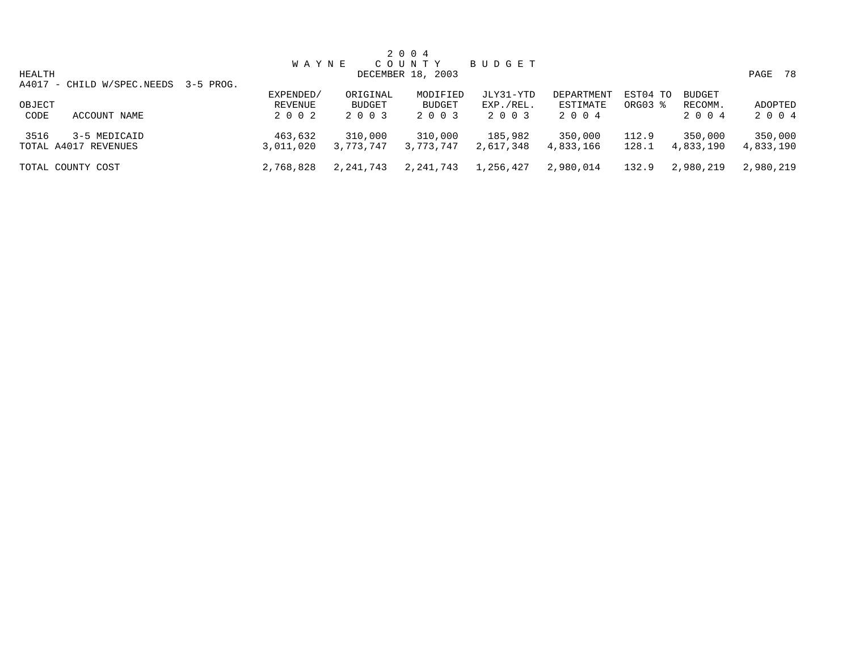|                                           |              |           | 2 0 0 4           |           |            |          |               |            |
|-------------------------------------------|--------------|-----------|-------------------|-----------|------------|----------|---------------|------------|
|                                           | <b>WAYNE</b> |           | COUNTY            | BUDGET    |            |          |               |            |
| HEALTH                                    |              |           | DECEMBER 18, 2003 |           |            |          |               | PAGE<br>78 |
| A4017 - CHILD W/SPEC.NEEDS<br>$3-5$ PROG. |              |           |                   |           |            |          |               |            |
|                                           | EXPENDED/    | ORIGINAL  | MODIFIED          | JLY31-YTD | DEPARTMENT | EST04 TO | <b>BUDGET</b> |            |
| OBJECT                                    | REVENUE      | BUDGET    | <b>BUDGET</b>     | EXP./REL. | ESTIMATE   | ORG03 %  | RECOMM.       | ADOPTED    |
| CODE<br>ACCOUNT NAME                      | 2 0 0 2      | 2 0 0 3   | 2 0 0 3           | 2 0 0 3   | 2 0 0 4    |          | 2 0 0 4       | 2 0 0 4    |
|                                           |              |           |                   |           |            |          |               |            |
| 3516<br>3-5 MEDICAID                      | 463,632      | 310,000   | 310,000           | 185,982   | 350,000    | 112.9    | 350,000       | 350,000    |
| TOTAL A4017 REVENUES                      | 3,011,020    | 3,773,747 | 3,773,747         | 2,617,348 | 4,833,166  | 128.1    | 4,833,190     | 4,833,190  |
| TOTAL COUNTY COST                         | 2,768,828    | 2,241,743 | 2,241,743         | 1,256,427 | 2,980,014  | 132.9    | 2,980,219     | 2,980,219  |
|                                           |              |           |                   |           |            |          |               |            |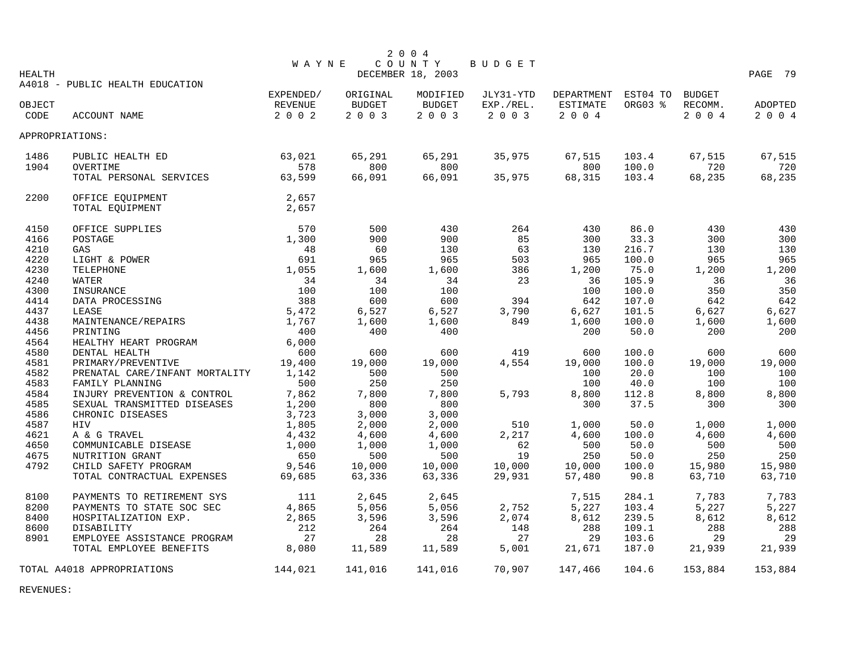|               |                                 |              |          | 2 0 0 4           |           |            |          |               |         |
|---------------|---------------------------------|--------------|----------|-------------------|-----------|------------|----------|---------------|---------|
|               |                                 | <b>WAYNE</b> |          | COUNTY            | BUDGET    |            |          |               |         |
| <b>HEALTH</b> | A4018 - PUBLIC HEALTH EDUCATION |              |          | DECEMBER 18, 2003 |           |            |          |               | PAGE 79 |
|               |                                 | EXPENDED/    | ORIGINAL | MODIFIED          | JLY31-YTD | DEPARTMENT | EST04 TO | <b>BUDGET</b> |         |
| OBJECT        |                                 | REVENUE      | BUDGET   | <b>BUDGET</b>     | EXP./REL. | ESTIMATE   | ORG03 %  | RECOMM.       | ADOPTED |
| CODE          | <b>ACCOUNT NAME</b>             | 2 0 0 2      | 2 0 0 3  | 2 0 0 3           | 2 0 0 3   | 2 0 0 4    |          | 2 0 0 4       | 2 0 0 4 |
|               |                                 |              |          |                   |           |            |          |               |         |
|               | APPROPRIATIONS:                 |              |          |                   |           |            |          |               |         |
| 1486          | PUBLIC HEALTH ED                | 63,021       | 65,291   | 65,291            | 35,975    | 67,515     | 103.4    | 67,515        | 67,515  |
| 1904          | OVERTIME                        | 578          | 800      | 800               |           | 800        | 100.0    | 720           | 720     |
|               | TOTAL PERSONAL SERVICES         | 63,599       | 66,091   | 66,091            | 35,975    | 68,315     | 103.4    | 68,235        | 68,235  |
| 2200          | OFFICE EQUIPMENT                | 2,657        |          |                   |           |            |          |               |         |
|               | TOTAL EQUIPMENT                 | 2,657        |          |                   |           |            |          |               |         |
| 4150          | OFFICE SUPPLIES                 | 570          | 500      | 430               | 264       | 430        | 86.0     | 430           | 430     |
| 4166          | POSTAGE                         | 1,300        | 900      | 900               | 85        | 300        | 33.3     | 300           | 300     |
| 4210          | GAS                             | 48           | 60       | 130               | 63        | 130        | 216.7    | 130           | 130     |
| 4220          | LIGHT & POWER                   | 691          | 965      | 965               | 503       | 965        | 100.0    | 965           | 965     |
| 4230          | TELEPHONE                       | 1,055        | 1,600    | 1,600             | 386       | 1,200      | 75.0     | 1,200         | 1,200   |
| 4240          | WATER                           | 34           | 34       | 34                | 23        | 36         | 105.9    | 36            | 36      |
| 4300          | INSURANCE                       | 100          | 100      | 100               |           | 100        | 100.0    | 350           | 350     |
| 4414          | DATA PROCESSING                 | 388          | 600      | 600               | 394       | 642        | 107.0    | 642           | 642     |
| 4437          | LEASE                           | 5,472        | 6,527    | 6,527             | 3,790     | 6,627      | 101.5    | 6,627         | 6,627   |
| 4438          | MAINTENANCE/REPAIRS             | 1,767        | 1,600    | 1,600             | 849       | 1,600      | 100.0    | 1,600         | 1,600   |
| 4456          | PRINTING                        | 400          | 400      | 400               |           | 200        | 50.0     | 200           | 200     |
| 4564          | HEALTHY HEART PROGRAM           | 6,000        |          |                   |           |            |          |               |         |
| 4580          | DENTAL HEALTH                   | 600          | 600      | 600               | 419       | 600        | 100.0    | 600           | 600     |
| 4581          | PRIMARY/PREVENTIVE              | 19,400       | 19,000   | 19,000            | 4,554     | 19,000     | 100.0    | 19,000        | 19,000  |
| 4582          | PRENATAL CARE/INFANT MORTALITY  | 1,142        | 500      | 500               |           | 100        | 20.0     | 100           | 100     |
| 4583          | FAMILY PLANNING                 | 500          | 250      | 250               |           | 100        | 40.0     | 100           | 100     |
| 4584          | INJURY PREVENTION & CONTROL     | 7,862        | 7,800    | 7,800             | 5,793     | 8,800      | 112.8    | 8,800         | 8,800   |
| 4585          | SEXUAL TRANSMITTED DISEASES     | 1,200        | 800      | 800               |           | 300        | 37.5     | 300           | 300     |
| 4586          | CHRONIC DISEASES                | 3,723        | 3,000    | 3,000             |           |            |          |               |         |
| 4587          | HIV                             | 1,805        | 2,000    | 2,000             | 510       | 1,000      | 50.0     | 1,000         | 1,000   |
| 4621          | A & G TRAVEL                    | 4,432        | 4,600    | 4,600             | 2,217     | 4,600      | 100.0    | 4,600         | 4,600   |
| 4650          | COMMUNICABLE DISEASE            | 1,000        | 1,000    | 1,000             | 62        | 500        | 50.0     | 500           | 500     |
| 4675          | NUTRITION GRANT                 | 650          | 500      | 500               | 19        | 250        | 50.0     | 250           | 250     |
| 4792          | CHILD SAFETY PROGRAM            | 9,546        | 10,000   | 10,000            | 10,000    | 10,000     | 100.0    | 15,980        | 15,980  |
|               | TOTAL CONTRACTUAL EXPENSES      | 69,685       | 63,336   | 63,336            | 29,931    | 57,480     | 90.8     | 63,710        | 63,710  |
| 8100          | PAYMENTS TO RETIREMENT SYS      | 111          | 2,645    | 2,645             |           | 7,515      | 284.1    | 7,783         | 7,783   |
| 8200          | PAYMENTS TO STATE SOC SEC       | 4,865        | 5,056    | 5,056             | 2,752     | 5,227      | 103.4    | 5,227         | 5,227   |
| 8400          | HOSPITALIZATION EXP.            | 2,865        | 3,596    | 3,596             | 2,074     | 8,612      | 239.5    | 8,612         | 8,612   |
| 8600          | DISABILITY                      | 212          | 264      | 264               | 148       | 288        | 109.1    | 288           | 288     |
| 8901          | EMPLOYEE ASSISTANCE PROGRAM     | 27           | 28       | 28                | 27        | 29         | 103.6    | 29            | 29      |
|               | TOTAL EMPLOYEE BENEFITS         | 8,080        | 11,589   | 11,589            | 5,001     | 21,671     | 187.0    | 21,939        | 21,939  |
|               | TOTAL A4018 APPROPRIATIONS      | 144,021      | 141,016  | 141,016           | 70,907    | 147,466    | 104.6    | 153,884       | 153,884 |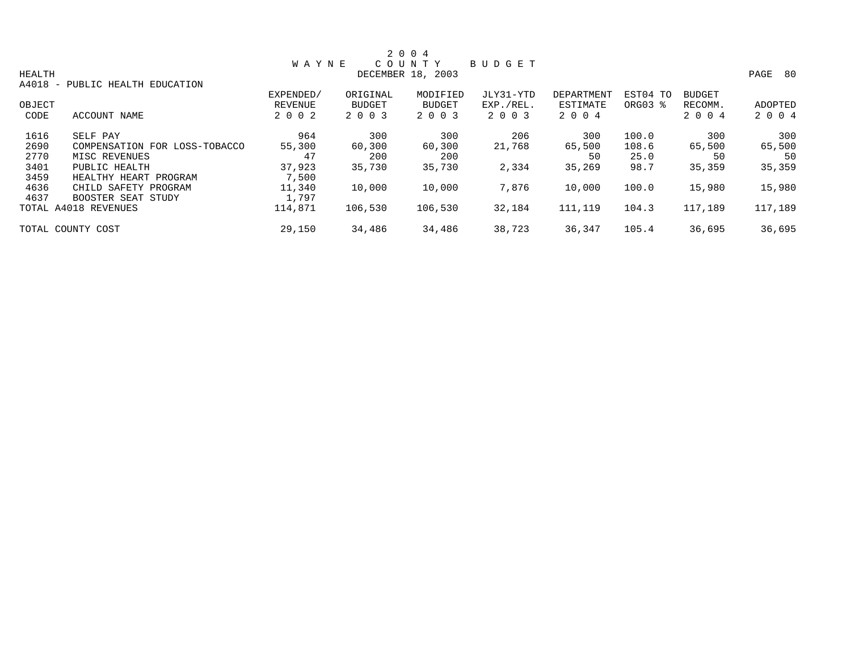|               |                               |              |          | 2 0 0 4           |               |            |          |               |              |
|---------------|-------------------------------|--------------|----------|-------------------|---------------|------------|----------|---------------|--------------|
|               |                               | <b>WAYNE</b> |          | COUNTY            | <b>BUDGET</b> |            |          |               |              |
| <b>HEALTH</b> |                               |              |          | DECEMBER 18, 2003 |               |            |          |               | PAGE<br>- 80 |
| A4018 -       | PUBLIC HEALTH EDUCATION       |              |          |                   |               |            |          |               |              |
|               |                               | EXPENDED/    | ORIGINAL | MODIFIED          | JLY31-YTD     | DEPARTMENT | EST04 TO | <b>BUDGET</b> |              |
| OBJECT        |                               | REVENUE      | BUDGET   | <b>BUDGET</b>     | EXP./REL.     | ESTIMATE   | ORG03 %  | RECOMM.       | ADOPTED      |
| CODE          | ACCOUNT NAME                  | 2 0 0 2      | 2 0 0 3  | 2 0 0 3           | 2 0 0 3       | 2 0 0 4    |          | 2 0 0 4       | 2 0 0 4      |
| 1616          | SELF PAY                      | 964          | 300      | 300               | 206           | 300        | 100.0    | 300           | 300          |
| 2690          | COMPENSATION FOR LOSS-TOBACCO | 55,300       | 60,300   | 60,300            | 21,768        | 65,500     | 108.6    | 65,500        | 65,500       |
| 2770          | MISC REVENUES                 | 47           | 200      | 200               |               | 50         | 25.0     | 50            | 50           |
| 3401          | PUBLIC HEALTH                 | 37,923       | 35,730   | 35,730            | 2,334         | 35,269     | 98.7     | 35,359        | 35,359       |
| 3459          | HEALTHY HEART PROGRAM         | 7,500        |          |                   |               |            |          |               |              |
| 4636          | CHILD SAFETY PROGRAM          | 11,340       | 10,000   | 10,000            | 7,876         | 10,000     | 100.0    | 15,980        | 15,980       |
| 4637          | BOOSTER SEAT STUDY            | 1,797        |          |                   |               |            |          |               |              |
|               | TOTAL A4018 REVENUES          | 114,871      | 106,530  | 106,530           | 32,184        | 111,119    | 104.3    | 117,189       | 117,189      |
|               | TOTAL COUNTY COST             | 29,150       | 34,486   | 34,486            | 38,723        | 36,347     | 105.4    | 36,695        | 36,695       |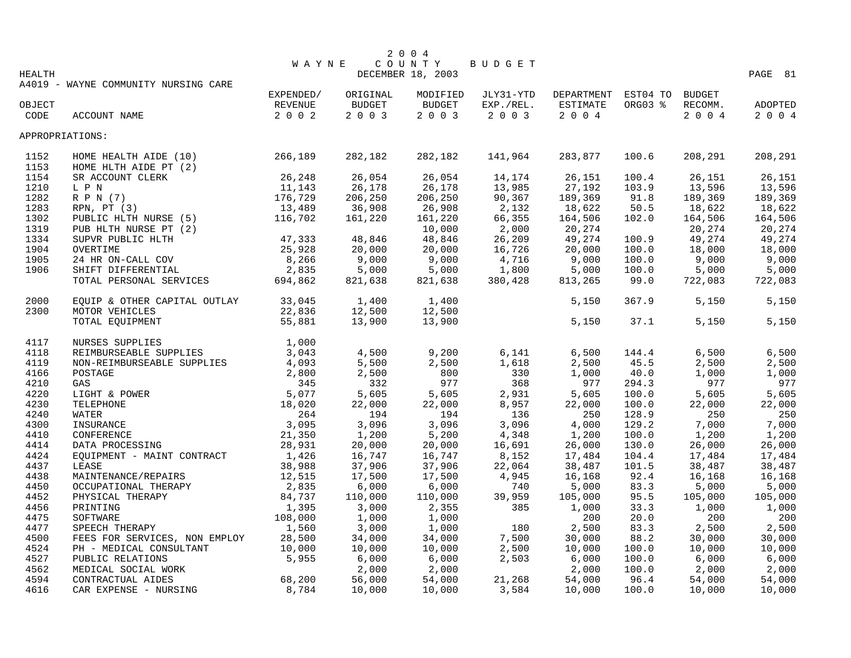|        |                                                                                                                                                              |                                  |          | 2 0 0 4           |               |                            |              |                  |         |
|--------|--------------------------------------------------------------------------------------------------------------------------------------------------------------|----------------------------------|----------|-------------------|---------------|----------------------------|--------------|------------------|---------|
|        |                                                                                                                                                              | W A Y N E                        |          | COUNTY            | BUDGET        |                            |              |                  |         |
| HEALTH |                                                                                                                                                              |                                  |          | DECEMBER 18, 2003 |               |                            |              |                  | PAGE 81 |
|        | A4019 - WAYNE COMMUNITY NURSING CARE                                                                                                                         |                                  |          |                   |               |                            |              |                  |         |
|        |                                                                                                                                                              | EXPENDED/                        | ORIGINAL | MODIFIED          | JLY31-YTD     | DEPARTMENT EST04 TO BUDGET |              |                  |         |
| OBJECT |                                                                                                                                                              | REVENUE                          | BUDGET   | <b>BUDGET</b>     | EXP./REL.     | ESTIMATE                   | ORG03 %      | RECOMM.          | ADOPTED |
| CODE   | ACCOUNT NAME                                                                                                                                                 | $2 0 0 2$                        | 2 0 0 3  | 2003              | 2003          | 2 0 0 4                    |              | 2004             | 2004    |
|        | APPROPRIATIONS:                                                                                                                                              |                                  |          |                   |               |                            |              |                  |         |
| 1152   | HOME HEALTH AIDE (10) 266,189                                                                                                                                |                                  | 282,182  | 282,182           | 141,964       | 283,877                    | 100.6        | 208,291          | 208,291 |
| 1153   | HOME HLTH AIDE PT (2)<br>SR ACCOUNT CLERK<br>L P N 11,143<br>R P N (7) 176,729<br>RPN, PT (3) 13,489<br>PUBLIC HLTH NURSE (5) 116,702<br>N HLTH NURSE PT (2) |                                  |          |                   |               |                            |              |                  |         |
| 1154   |                                                                                                                                                              |                                  | 26,054   | 26,054            | 14,174        | 26,151                     | 100.4        | 26,151           | 26,151  |
| 1210   |                                                                                                                                                              |                                  | 26,178   | 26,178            | 13,985        | 27,192                     | 103.9        | 13,596           | 13,596  |
| 1282   |                                                                                                                                                              |                                  | 206,250  | 206,250           | 90,367        | 189,369                    | 91.8         | 189,369          | 189,369 |
| 1283   |                                                                                                                                                              |                                  | 36,908   | 26,908            | 2,132         | 18,622                     | 50.5         | 18,622           | 18,622  |
| 1302   |                                                                                                                                                              |                                  | 161,220  | 161,220           | 66,355        | 164,506                    | 102.0        | 164,506          | 164,506 |
| 1319   |                                                                                                                                                              |                                  |          | 10,000            | 2,000         | 20,274                     |              | 20,274           | 20,274  |
| 1334   | SUPVR PUBLIC HLTH                                                                                                                                            | 47,333                           | 48,846   | 48,846            | 26,209        | 49,274                     | 100.9        | 49,274           | 49,274  |
| 1904   | OVERTIME                                                                                                                                                     | 25,928                           | 20,000   | 20,000            | 16,726        | 20,000                     | 100.0        | 18,000           | 18,000  |
| 1905   | 24 HR ON-CALL COV                                                                                                                                            | 8,266                            | 9,000    | 9,000             | 4,716         | 9,000                      | 100.0        | 9,000            | 9,000   |
| 1906   | SHIFT DIFFERENTIAL                                                                                                                                           | 2,835                            | 5,000    | 5,000             | 1,800         | 5,000                      | 100.0        | 5,000            | 5,000   |
|        | TOTAL PERSONAL SERVICES                                                                                                                                      | 694,862                          | 821,638  | 821,638           | 380,428       | 813,265                    | 99.0         | 722,083          | 722,083 |
| 2000   | EQUIP & OTHER CAPITAL OUTLAY                                                                                                                                 | 33,045                           | 1,400    | 1,400             |               | 5,150                      | 367.9        | 5,150            | 5,150   |
| 2300   | MOTOR VEHICLES                                                                                                                                               | 22,836                           | 12,500   | 12,500            |               |                            |              |                  |         |
|        | TOTAL EQUIPMENT                                                                                                                                              | 55,881                           | 13,900   | 13,900            |               | 5,150                      | 37.1         | 5,150            | 5,150   |
| 4117   | NURSES SUPPLIES                                                                                                                                              | 1,000                            |          |                   |               |                            |              |                  |         |
| 4118   | REIMBURSEABLE SUPPLIES                                                                                                                                       | 3,043                            | 4,500    | 9,200             | 6,141         | 6,500                      | 144.4        | 6,500            | 6,500   |
| 4119   | NON-REIMBURSEABLE SUPPLIES                                                                                                                                   | 4,093                            | 5,500    | 2,500             | 1,618         | 2,500                      | 45.5         | 2,500            | 2,500   |
| 4166   | POSTAGE                                                                                                                                                      | 2,800                            | 2,500    | 800               | 330           | 1,000                      | 40.0         | 1,000            | 1,000   |
| 4210   | GAS                                                                                                                                                          | 345                              | 332      | 977               | 368           | 977                        | 294.3        | 977              | 977     |
| 4220   | LIGHT & POWER                                                                                                                                                |                                  | 5,605    | 5,605             | 2,931         | 5,605                      | 100.0        | 5,605            | 5,605   |
| 4230   | TELEPHONE                                                                                                                                                    |                                  | 22,000   | 22,000            | 8,957         | 22,000                     | 100.0        | 22,000           | 22,000  |
| 4240   | 345<br>ER 5,077<br>18,020<br>264<br>3,095<br>21,350<br>3ING<br>28,931<br>WATER                                                                               |                                  | 194      | 194               | 136           | 250                        | 128.9        | 250              | 250     |
| 4300   | INSURANCE                                                                                                                                                    |                                  | 3,096    | 3,096             | 3,096         | 4,000                      | 129.2        | 7,000            | 7,000   |
| 4410   | CONFERENCE                                                                                                                                                   |                                  | 1,200    | 5,200             | 4,348         | 1,200                      | 100.0        | 1,200            | 1,200   |
| 4414   | DATA PROCESSING                                                                                                                                              |                                  | 20,000   | 20,000            | 16,691        | 26,000                     | 130.0        | 26,000           | 26,000  |
| 4424   | EQUIPMENT - MAINT CONTRACT                                                                                                                                   | 1,426                            | 16,747   | 16,747            | 8,152         | 17,484                     | 104.4        | 17,484           | 17,484  |
| 4437   | LEASE                                                                                                                                                        | 38,988                           | 37,906   | 37,906            | 22,064        | 38,487                     | 101.5        | 38,487           | 38,487  |
| 4438   | MAINTENANCE/REPAIRS                                                                                                                                          | 12,515                           | 17,500   | 17,500            | 4,945         | 16,168                     | 92.4         | 16,168           | 16,168  |
|        |                                                                                                                                                              | 2,835                            | 6,000    |                   |               |                            |              |                  | 5,000   |
| 4450   | OCCUPATIONAL THERAPY                                                                                                                                         |                                  | 110,000  | 6,000<br>110,000  | 740           | 5,000                      | 83.3         | 5,000            |         |
| 4452   | PHYSICAL THERAPY                                                                                                                                             | 84,737                           |          | 2,355             | 39,959<br>385 | 105,000                    | 95.5<br>33.3 | 105,000<br>1,000 | 105,000 |
| 4456   | PRINTING                                                                                                                                                     | 1,395<br>108,000                 | 3,000    |                   |               | 1,000                      |              |                  | 1,000   |
| 4475   | SOFTWARE                                                                                                                                                     |                                  | 1,000    | 1,000             |               | 200                        | 20.0         | 200              | 200     |
| 4477   | SPEECH THERAPY                                                                                                                                               | 1,560                            | 3,000    | 1,000             | 180           | 2,500                      | 83.3         | 2,500            | 2,500   |
| 4500   | FEES FOR SERVICES, NON EMPLOY                                                                                                                                | 28,500<br>MPLOY 28,500<br>10,000 | 34,000   | 34,000            | 7,500         | 30,000                     | 88.2         | 30,000           | 30,000  |
| 4524   | PH - MEDICAL CONSULTANT                                                                                                                                      |                                  | 10,000   | 10,000            | 2,500         | 10,000                     | 100.0        | 10,000           | 10,000  |
| 4527   | PUBLIC RELATIONS                                                                                                                                             | 5,955                            | $6,000$  | 6,000             | 2,503         | 6,000                      | 100.0        | 6,000            | 6,000   |
| 4562   | MEDICAL SOCIAL WORK                                                                                                                                          |                                  | 2,000    | 2,000             |               | 2,000                      | 100.0        | 2,000            | 2,000   |
| 4594   | CONTRACTUAL AIDES                                                                                                                                            | 68,200                           | 56,000   | 54,000            | 21,268        | 54,000                     | 96.4         | 54,000           | 54,000  |
| 4616   | CAR EXPENSE - NURSING                                                                                                                                        | 8,784                            | 10,000   | 10,000            | 3,584         | 10,000                     | 100.0        | 10,000           | 10,000  |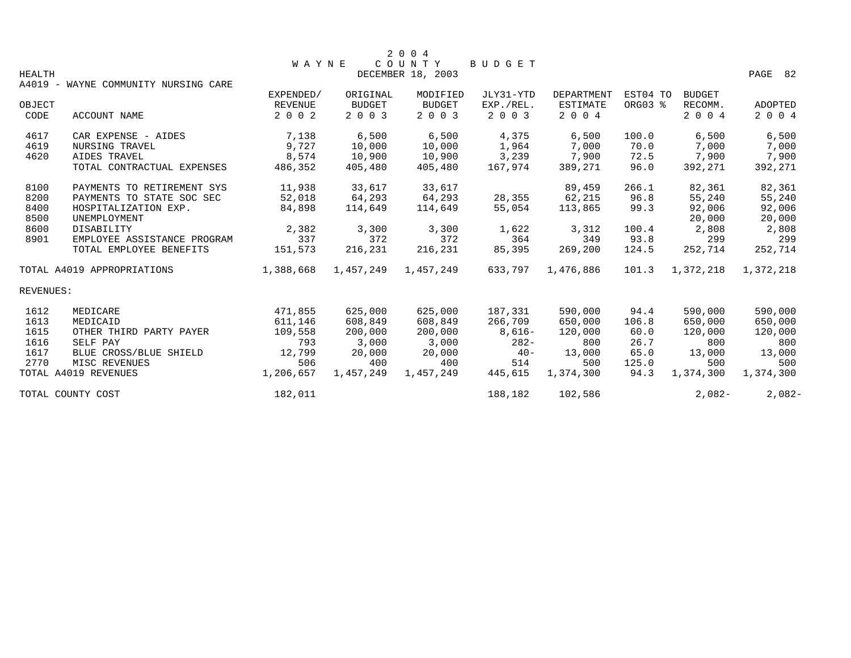|           |                                      |                |           | 2 0 0 4           |           |                   |          |               |           |
|-----------|--------------------------------------|----------------|-----------|-------------------|-----------|-------------------|----------|---------------|-----------|
|           |                                      | <b>WAYNE</b>   |           | COUNTY            | BUDGET    |                   |          |               |           |
| HEALTH    | A4019 - WAYNE COMMUNITY NURSING CARE |                |           | DECEMBER 18, 2003 |           |                   |          |               | PAGE 82   |
|           |                                      | EXPENDED/      | ORIGINAL  | MODIFIED          | JLY31-YTD | <b>DEPARTMENT</b> | EST04 TO | <b>BUDGET</b> |           |
| OBJECT    |                                      | <b>REVENUE</b> | BUDGET    | <b>BUDGET</b>     | EXP./REL. | ESTIMATE          | ORG03 %  | RECOMM.       | ADOPTED   |
| CODE      | ACCOUNT NAME                         | 2 0 0 2        | 2 0 0 3   | 2 0 0 3           | 2 0 0 3   | 2 0 0 4           |          | 2 0 0 4       | 2 0 0 4   |
| 4617      | CAR EXPENSE - AIDES                  | 7,138          | 6,500     | 6,500             | 4,375     | 6,500             | 100.0    | 6,500         | 6,500     |
| 4619      | NURSING TRAVEL                       | 9,727          | 10,000    | 10,000            | 1,964     | 7,000             | 70.0     | 7,000         | 7,000     |
| 4620      | AIDES TRAVEL                         | 8,574          | 10,900    | 10,900            | 3,239     | 7,900             | 72.5     | 7,900         | 7,900     |
|           | TOTAL CONTRACTUAL EXPENSES           | 486,352        | 405,480   | 405,480           | 167,974   | 389,271           | 96.0     | 392,271       | 392,271   |
| 8100      | PAYMENTS TO RETIREMENT SYS           | 11,938         | 33,617    | 33,617            |           | 89,459            | 266.1    | 82,361        | 82,361    |
| 8200      | PAYMENTS TO STATE SOC SEC            | 52,018         | 64,293    | 64,293            | 28,355    | 62,215            | 96.8     | 55,240        | 55,240    |
| 8400      | HOSPITALIZATION EXP.                 | 84,898         | 114,649   | 114,649           | 55,054    | 113,865           | 99.3     | 92,006        | 92,006    |
| 8500      | UNEMPLOYMENT                         |                |           |                   |           |                   |          | 20,000        | 20,000    |
| 8600      | DISABILITY                           | 2,382          | 3,300     | 3,300             | 1,622     | 3,312             | 100.4    | 2,808         | 2,808     |
| 8901      | EMPLOYEE ASSISTANCE PROGRAM          | 337            | 372       | 372               | 364       | 349               | 93.8     | 299           | 299       |
|           | TOTAL EMPLOYEE BENEFITS              | 151,573        | 216,231   | 216,231           | 85,395    | 269,200           | 124.5    | 252,714       | 252,714   |
|           | TOTAL A4019 APPROPRIATIONS           | 1,388,668      | 1,457,249 | 1,457,249         | 633,797   | 1,476,886         | 101.3    | 1,372,218     | 1,372,218 |
| REVENUES: |                                      |                |           |                   |           |                   |          |               |           |
| 1612      | MEDICARE                             | 471,855        | 625,000   | 625,000           | 187,331   | 590,000           | 94.4     | 590,000       | 590,000   |
| 1613      | MEDICAID                             | 611,146        | 608,849   | 608,849           | 266,709   | 650,000           | 106.8    | 650,000       | 650,000   |
| 1615      | OTHER THIRD PARTY PAYER              | 109,558        | 200,000   | 200,000           | $8,616-$  | 120,000           | 60.0     | 120,000       | 120,000   |
| 1616      | SELF PAY                             | 793            | 3,000     | 3,000             | $282-$    | 800               | 26.7     | 800           | 800       |
| 1617      | BLUE CROSS/BLUE SHIELD               | 12,799         | 20,000    | 20,000            | $40 -$    | 13,000            | 65.0     | 13,000        | 13,000    |
| 2770      | MISC REVENUES                        | 506            | 400       | 400               | 514       | 500               | 125.0    | 500           | 500       |
|           | TOTAL A4019 REVENUES                 | 1,206,657      | 1,457,249 | 1,457,249         | 445,615   | 1,374,300         | 94.3     | 1,374,300     | 1,374,300 |
|           | TOTAL COUNTY COST                    | 182,011        |           |                   | 188,182   | 102,586           |          | $2,082-$      | $2,082-$  |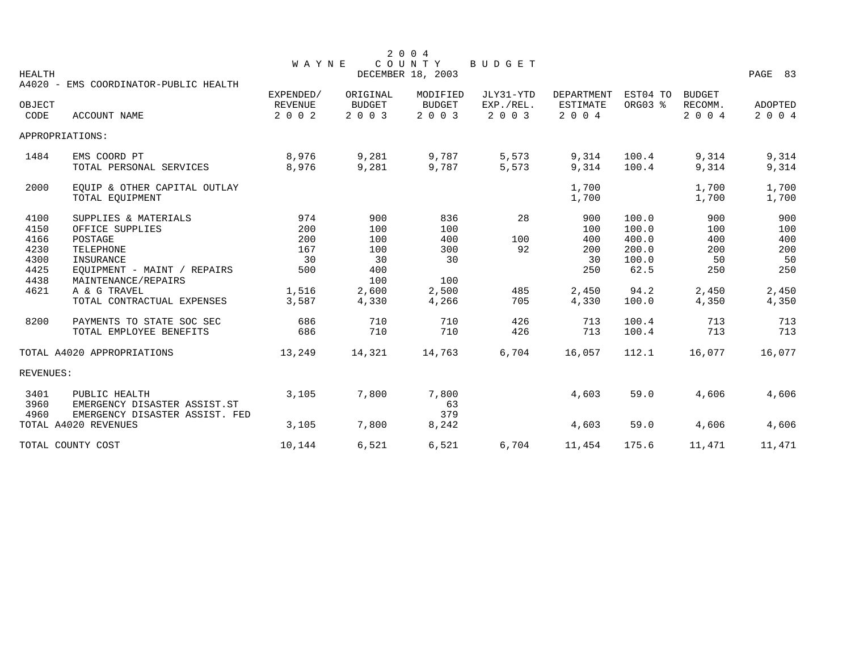|                |                                |                           |                          | 2 0 0 4                  |                      |                            |          |                    |                    |
|----------------|--------------------------------|---------------------------|--------------------------|--------------------------|----------------------|----------------------------|----------|--------------------|--------------------|
|                |                                | WAYNE                     |                          | COUNTY                   | BUDGET               |                            |          |                    |                    |
| <b>HEALTH</b>  |                                |                           |                          | DECEMBER 18, 2003        |                      |                            |          |                    | PAGE 83            |
| $A4020 -$      | EMS COORDINATOR-PUBLIC HEALTH  |                           |                          |                          |                      |                            |          |                    |                    |
|                |                                | EXPENDED/                 | ORIGINAL                 | MODIFIED                 | JLY31-YTD            | <b>DEPARTMENT</b>          | EST04 TO | <b>BUDGET</b>      |                    |
| OBJECT<br>CODE | ACCOUNT NAME                   | <b>REVENUE</b><br>2 0 0 2 | <b>BUDGET</b><br>2 0 0 3 | <b>BUDGET</b><br>2 0 0 3 | EXP./REL.<br>2 0 0 3 | <b>ESTIMATE</b><br>2 0 0 4 | ORG03 %  | RECOMM.<br>2 0 0 4 | ADOPTED<br>2 0 0 4 |
|                |                                |                           |                          |                          |                      |                            |          |                    |                    |
|                | APPROPRIATIONS:                |                           |                          |                          |                      |                            |          |                    |                    |
| 1484           | EMS COORD PT                   | 8,976                     | 9,281                    | 9,787                    | 5,573                | 9,314                      | 100.4    | 9,314              | 9,314              |
|                | TOTAL PERSONAL SERVICES        | 8,976                     | 9,281                    | 9,787                    | 5,573                | 9,314                      | 100.4    | 9,314              | 9,314              |
|                |                                |                           |                          |                          |                      |                            |          |                    |                    |
| 2000           | EQUIP & OTHER CAPITAL OUTLAY   |                           |                          |                          |                      | 1,700                      |          | 1,700              | 1,700              |
|                | TOTAL EQUIPMENT                |                           |                          |                          |                      | 1,700                      |          | 1,700              | 1,700              |
| 4100           | SUPPLIES & MATERIALS           | 974                       | 900                      | 836                      | 28                   | 900                        | 100.0    | 900                | 900                |
| 4150           | OFFICE SUPPLIES                | 200                       | 100                      | 100                      |                      | 100                        | 100.0    | 100                | 100                |
| 4166           | POSTAGE                        | 200                       | 100                      | 400                      | 100                  | 400                        | 400.0    | 400                | 400                |
| 4230           | <b>TELEPHONE</b>               | 167                       | 100                      | 300                      | 92                   | 200                        | 200.0    | 200                | 200                |
| 4300           | INSURANCE                      | 30                        | 30                       | 30                       |                      | 30                         | 100.0    | 50                 | 50                 |
| 4425           | EQUIPMENT - MAINT / REPAIRS    | 500                       | 400                      |                          |                      | 250                        | 62.5     | 250                | 250                |
| 4438           | MAINTENANCE/REPAIRS            |                           | 100                      | 100                      |                      |                            |          |                    |                    |
| 4621           | A & G TRAVEL                   | 1,516                     | 2,600                    | 2,500                    | 485                  | 2,450                      | 94.2     | 2,450              | 2,450              |
|                | TOTAL CONTRACTUAL EXPENSES     | 3,587                     | 4,330                    | 4,266                    | 705                  | 4,330                      | 100.0    | 4,350              | 4,350              |
| 8200           | PAYMENTS TO STATE SOC SEC      | 686                       | 710                      | 710                      | 426                  | 713                        | 100.4    | 713                | 713                |
|                | TOTAL EMPLOYEE BENEFITS        | 686                       | 710                      | 710                      | 426                  | 713                        | 100.4    | 713                | 713                |
|                | TOTAL A4020 APPROPRIATIONS     | 13,249                    | 14,321                   | 14,763                   | 6,704                | 16,057                     | 112.1    | 16,077             | 16,077             |
| REVENUES:      |                                |                           |                          |                          |                      |                            |          |                    |                    |
| 3401           | PUBLIC HEALTH                  | 3,105                     | 7,800                    | 7,800                    |                      | 4,603                      | 59.0     | 4,606              | 4,606              |
| 3960           | EMERGENCY DISASTER ASSIST.ST   |                           |                          | 63                       |                      |                            |          |                    |                    |
| 4960           | EMERGENCY DISASTER ASSIST. FED |                           |                          | 379                      |                      |                            |          |                    |                    |
|                | TOTAL A4020 REVENUES           | 3,105                     | 7,800                    | 8,242                    |                      | 4,603                      | 59.0     | 4,606              | 4,606              |
|                |                                |                           |                          |                          |                      |                            |          |                    |                    |
|                | TOTAL COUNTY COST              | 10,144                    | 6,521                    | 6,521                    | 6,704                | 11,454                     | 175.6    | 11,471             | 11,471             |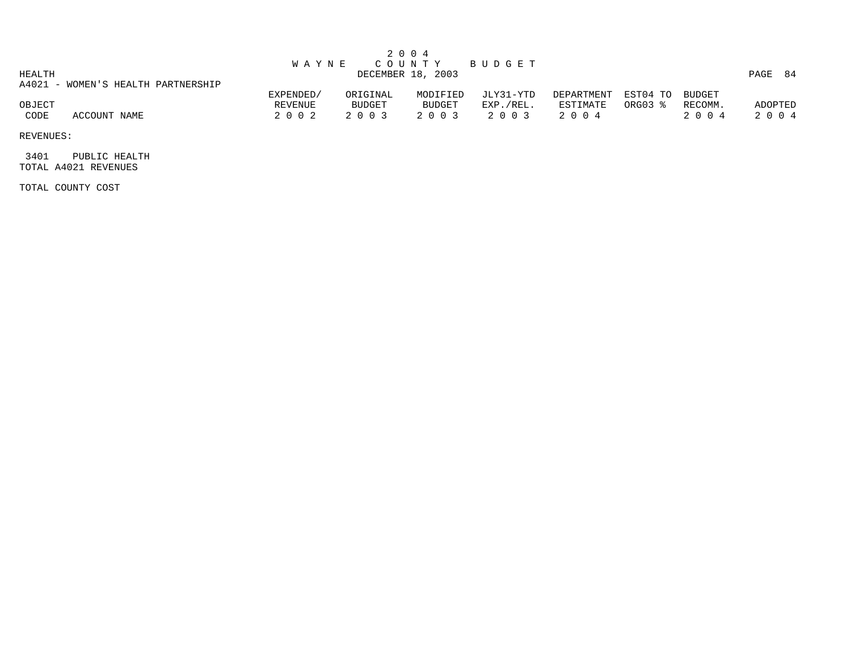|        |                                    |              |          | 2004              |           |            |                 |         |         |
|--------|------------------------------------|--------------|----------|-------------------|-----------|------------|-----------------|---------|---------|
|        |                                    | <b>WAYNE</b> |          | COUNTY            | BUDGET    |            |                 |         |         |
| HEALTH |                                    |              |          | DECEMBER 18, 2003 |           |            |                 |         | PAGE 84 |
|        | A4021 - WOMEN'S HEALTH PARTNERSHIP |              |          |                   |           |            |                 |         |         |
|        |                                    | EXPENDED/    | ORIGINAL | MODIFIED          | JLY31-YTD | DEPARTMENT | EST04 TO BUDGET |         |         |
| OBJECT |                                    | REVENUE      | BUDGET   | <b>BUDGET</b>     | EXP./REL. | ESTIMATE   | ORG03 %         | RECOMM. | ADOPTED |
| CODE   | ACCOUNT NAME                       | 2002         | 2 0 0 3  | 2 0 0 3           | 2 0 0 3   | 2004       |                 | 2004    | 2 0 0 4 |

 3401 PUBLIC HEALTH TOTAL A4021 REVENUES

TOTAL COUNTY COST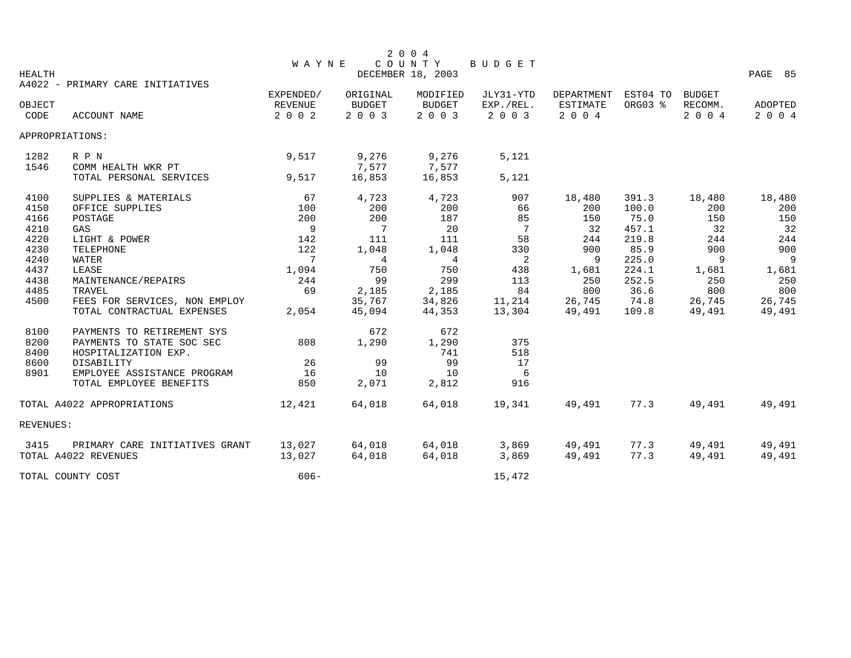|               |                                  |                |                | 2 0 0 4                      |               |                 |          |               |         |
|---------------|----------------------------------|----------------|----------------|------------------------------|---------------|-----------------|----------|---------------|---------|
|               |                                  | <b>WAYNE</b>   |                | $C$ $O$ $U$ $N$ $T$ $\,$ $Y$ | <b>BUDGET</b> |                 |          |               |         |
| <b>HEALTH</b> |                                  |                |                | DECEMBER 18, 2003            |               |                 |          |               | PAGE 85 |
|               | A4022 - PRIMARY CARE INITIATIVES | EXPENDED/      | ORIGINAL       | MODIFIED                     | JLY31-YTD     | DEPARTMENT      | EST04 TO | <b>BUDGET</b> |         |
| OBJECT        |                                  | <b>REVENUE</b> | <b>BUDGET</b>  | <b>BUDGET</b>                | EXP./REL.     | <b>ESTIMATE</b> | ORG03 %  | RECOMM.       | ADOPTED |
| CODE          | <b>ACCOUNT NAME</b>              | 2 0 0 2        | 2 0 0 3        | 2 0 0 3                      | 2 0 0 3       | 2 0 0 4         |          | 2 0 0 4       | 2 0 0 4 |
|               | APPROPRIATIONS:                  |                |                |                              |               |                 |          |               |         |
| 1282          | R P N                            | 9,517          | 9,276          | 9,276                        | 5,121         |                 |          |               |         |
| 1546          | COMM HEALTH WKR PT               |                | 7,577          | 7,577                        |               |                 |          |               |         |
|               | TOTAL PERSONAL SERVICES          | 9,517          | 16,853         | 16,853                       | 5,121         |                 |          |               |         |
| 4100          | SUPPLIES & MATERIALS             | 67             | 4,723          | 4,723                        | 907           | 18,480          | 391.3    | 18,480        | 18,480  |
| 4150          | OFFICE SUPPLIES                  | 100            | 200            | 200                          | 66            | 200             | 100.0    | 200           | 200     |
| 4166          | POSTAGE                          | 200            | 200            | 187                          | 85            | 150             | 75.0     | 150           | 150     |
| 4210          | GAS                              | 9              | 7              | 20                           | 7             | 32              | 457.1    | 32            | 32      |
| 4220          | LIGHT & POWER                    | 142            | 111            | 111                          | 58            | 244             | 219.8    | 244           | 244     |
| 4230          | TELEPHONE                        | 122            | 1,048          | 1,048                        | 330           | 900             | 85.9     | 900           | 900     |
| 4240          | <b>WATER</b>                     | 7              | $\overline{4}$ | 4                            | 2             | 9               | 225.0    | 9             | 9       |
| 4437          | LEASE                            | 1,094          | 750            | 750                          | 438           | 1,681           | 224.1    | 1,681         | 1,681   |
| 4438          | MAINTENANCE/REPAIRS              | 244            | 99             | 299                          | 113           | 250             | 252.5    | 250           | 250     |
| 4485          | TRAVEL                           | 69             | 2,185          | 2,185                        | 84            | 800             | 36.6     | 800           | 800     |
| 4500          | FEES FOR SERVICES, NON EMPLOY    |                | 35,767         | 34,826                       | 11,214        | 26,745          | 74.8     | 26,745        | 26,745  |
|               | TOTAL CONTRACTUAL EXPENSES       | 2,054          | 45,094         | 44,353                       | 13,304        | 49,491          | 109.8    | 49,491        | 49,491  |
| 8100          | PAYMENTS TO RETIREMENT SYS       |                | 672            | 672                          |               |                 |          |               |         |
| 8200          | PAYMENTS TO STATE SOC SEC        | 808            | 1,290          | 1,290                        | 375           |                 |          |               |         |
| 8400          | HOSPITALIZATION EXP.             |                |                | 741                          | 518           |                 |          |               |         |
| 8600          | DISABILITY                       | 26             | 99             | 99                           | 17            |                 |          |               |         |
| 8901          | EMPLOYEE ASSISTANCE PROGRAM      | 16             | 10             | 10                           | 6             |                 |          |               |         |
|               | TOTAL EMPLOYEE BENEFITS          | 850            | 2,071          | 2,812                        | 916           |                 |          |               |         |
|               | TOTAL A4022 APPROPRIATIONS       | 12,421         | 64,018         | 64,018                       | 19,341        | 49,491          | 77.3     | 49,491        | 49,491  |
| REVENUES:     |                                  |                |                |                              |               |                 |          |               |         |
| 3415          | PRIMARY CARE INITIATIVES GRANT   | 13,027         | 64,018         | 64,018                       | 3,869         | 49,491          | 77.3     | 49,491        | 49,491  |
|               | TOTAL A4022 REVENUES             | 13,027         | 64,018         | 64,018                       | 3,869         | 49,491          | 77.3     | 49,491        | 49,491  |
|               | TOTAL COUNTY COST                | $606 -$        |                |                              | 15,472        |                 |          |               |         |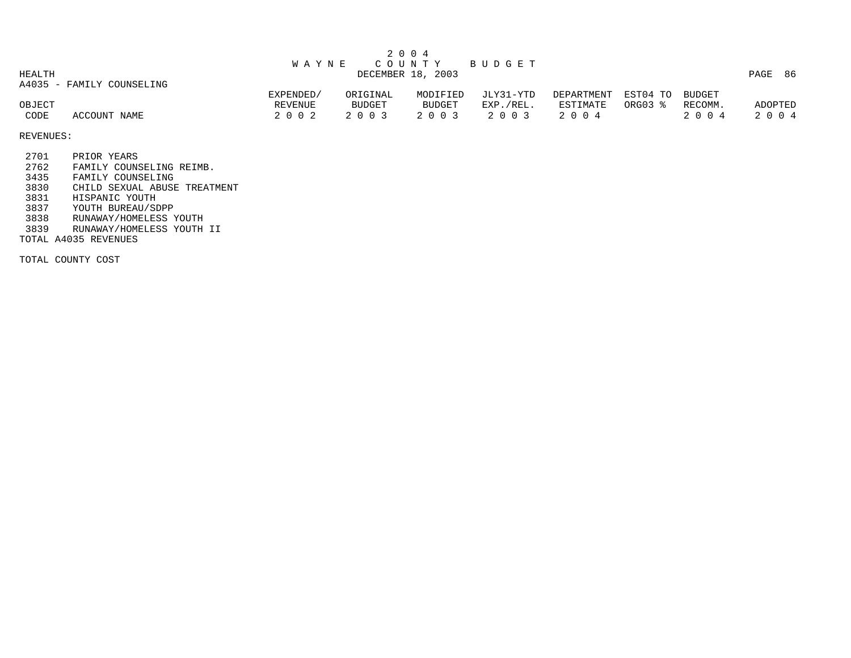| HEALTH         |                           | W A Y N E          |                   | 2004<br>C O U N T Y<br>DECEMBER 18, 2003 | B U D G E T          |                     |          |                 | PAGE<br>-86        |
|----------------|---------------------------|--------------------|-------------------|------------------------------------------|----------------------|---------------------|----------|-----------------|--------------------|
|                | A4035 - FAMILY COUNSELING | EXPENDED/          | ORIGINAL          | MODIFIED                                 | JLY31-YTD            | DEPARTMENT          | EST04 TO | BUDGET          |                    |
| OBJECT<br>CODE | ACCOUNT NAME              | REVENUE<br>2 0 0 2 | BUDGET<br>2 0 0 3 | BUDGET<br>2 0 0 3                        | EXP./REL.<br>2 0 0 3 | ESTIMATE<br>2 0 0 4 | ORG03 %  | RECOMM.<br>2004 | ADOPTED<br>2 0 0 4 |

2701 PRIOR YEARS

2762 FAMILY COUNSELING REIMB.

3435 FAMILY COUNSELING<br>3830 CHILD SEXUAL ABUSE 3830 CHILD SEXUAL ABUSE TREATMENT

3831 HISPANIC YOUTH<br>3837 YOUTH BUREAU/SI

3837 YOUTH BUREAU/SDPP

3838 RUNAWAY/HOMELESS YOUTH

3839 RUNAWAY/HOMELESS YOUTH II

TOTAL A4035 REVENUES

TOTAL COUNTY COST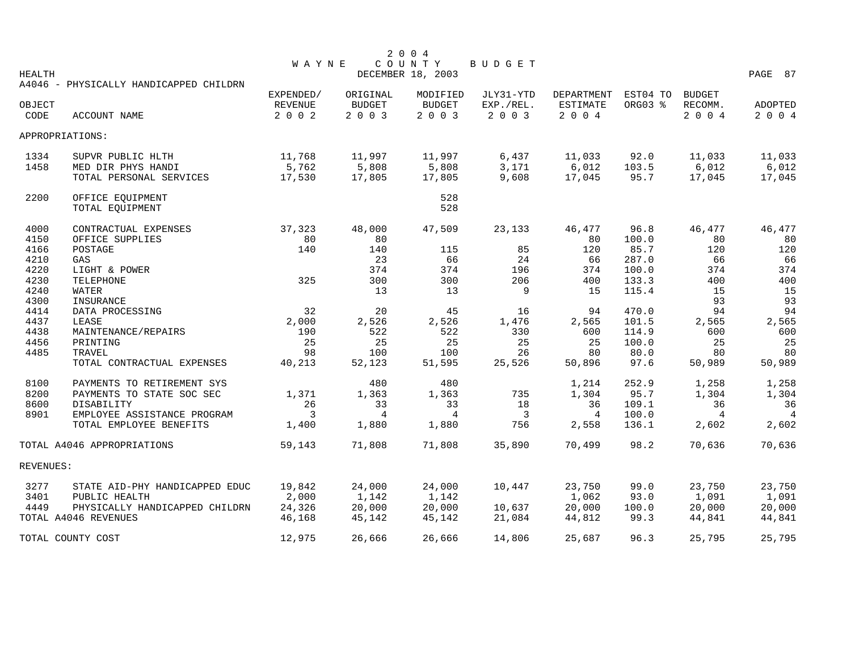|               |                                                        |             |               | 2 0 0 4           |           |                 |               |               |                |
|---------------|--------------------------------------------------------|-------------|---------------|-------------------|-----------|-----------------|---------------|---------------|----------------|
|               |                                                        | WAYNE       |               | COUNTY            | BUDGET    |                 |               |               |                |
| <b>HEALTH</b> |                                                        |             |               | DECEMBER 18, 2003 |           |                 |               |               | PAGE 87        |
|               | A4046 - PHYSICALLY HANDICAPPED CHILDRN                 |             |               |                   |           |                 |               |               |                |
|               |                                                        | EXPENDED/   | ORIGINAL      | MODIFIED          | JLY31-YTD | DEPARTMENT      | EST04 TO      | <b>BUDGET</b> |                |
| OBJECT        |                                                        | REVENUE     | <b>BUDGET</b> | <b>BUDGET</b>     | EXP./REL. | <b>ESTIMATE</b> | ORG03 %       | RECOMM.       | <b>ADOPTED</b> |
| CODE          | ACCOUNT NAME                                           | 2 0 0 2     | 2 0 0 3       | 2 0 0 3           | 2 0 0 3   | 2 0 0 4         |               | 2 0 0 4       | 2 0 0 4        |
|               | APPROPRIATIONS:                                        |             |               |                   |           |                 |               |               |                |
| 1334          | SUPVR PUBLIC HLTH                                      | 11,768      | 11,997        | 11,997            | 6,437     | 11,033          | 92.0          | 11,033        | 11,033         |
| 1458          | MED DIR PHYS HANDI                                     | 5,762       | 5,808         | 5,808             | 3,171     | 6,012           | 103.5         | 6,012         | 6,012          |
|               | TOTAL PERSONAL SERVICES                                | 17,530      | 17,805        | 17,805            | 9,608     | 17,045          | 95.7          | 17,045        | 17,045         |
| 2200          | OFFICE EQUIPMENT                                       |             |               | 528               |           |                 |               |               |                |
|               | TOTAL EQUIPMENT                                        |             |               | 528               |           |                 |               |               |                |
| 4000          | CONTRACTUAL EXPENSES                                   | 37,323      | 48,000        | 47,509            | 23,133    | 46,477          | 96.8          | 46,477        | 46,477         |
| 4150          | OFFICE SUPPLIES                                        | 80          | 80            |                   |           | 80              | 100.0         | 80            | 80             |
| 4166          | POSTAGE                                                | 140         | 140           | 115               | 85        | 120             | 85.7          | 120           | 120            |
| 4210          | GAS                                                    |             | 23            | 66                | 24        | 66              | 287.0         | 66            | 66             |
| 4220          | LIGHT & POWER                                          |             | 374           | 374               | 196       | 374             | 100.0         | 374           | 374            |
| 4230          | TELEPHONE                                              | 325         | 300           | 300               | 206       | 400             | 133.3         | 400           | 400            |
| 4240          | WATER                                                  |             | 13            | 13                | 9         | 15              | 115.4         | 15            | 15             |
| 4300          | INSURANCE                                              |             |               |                   |           |                 |               | 93            | 93             |
| 4414          | DATA PROCESSING                                        | 32          | $20$          | 45                | 16        | 94              | 470.0         | 94            | 94             |
| 4437          | LEASE                                                  | 2,000       | 2,526         | 2,526             | 1,476     | 2,565           | 101.5         | 2,565         | 2,565          |
| 4438          | MAINTENANCE/REPAIRS                                    | 190         | 522           | 522               | 330       | 600             | 114.9         | 600           | 600            |
| 4456          | PRINTING                                               | 25          | 25            | 25                | 25        | 25              | 100.0         | 25            | 25             |
| 4485          | TRAVEL                                                 | 98          | 100           | 100               | 26        | 80              | 80.0          | 80            | 80             |
|               | TOTAL CONTRACTUAL EXPENSES                             | 40,213      | 52,123        | 51,595            | 25,526    | 50,896          | 97.6          | 50,989        | 50,989         |
| 8100          |                                                        |             | 480           | 480               |           |                 |               |               |                |
|               | PAYMENTS TO RETIREMENT SYS                             |             |               |                   |           | 1,214           | 252.9         | 1,258         | 1,258          |
| 8200          | PAYMENTS TO STATE SOC SEC                              | 1,371<br>26 | 1,363<br>33   | 1,363<br>33       | 735       | 1,304           | 95.7<br>109.1 | 1,304<br>36   | 1,304<br>36    |
| 8600<br>8901  | DISABILITY                                             | 3           | 4             | $\overline{4}$    | 18<br>3   | 36<br>4         | 100.0         | 4             | $\overline{4}$ |
|               | EMPLOYEE ASSISTANCE PROGRAM<br>TOTAL EMPLOYEE BENEFITS | 1,400       | 1,880         | 1,880             | 756       | 2,558           | 136.1         | 2,602         | 2,602          |
|               | TOTAL A4046 APPROPRIATIONS                             | 59,143      | 71,808        | 71,808            | 35,890    | 70,499          | 98.2          | 70,636        | 70,636         |
|               |                                                        |             |               |                   |           |                 |               |               |                |
| REVENUES:     |                                                        |             |               |                   |           |                 |               |               |                |
| 3277          | STATE AID-PHY HANDICAPPED EDUC                         | 19,842      | 24,000        | 24,000            | 10,447    | 23,750          | 99.0          | 23,750        | 23,750         |
| 3401          | PUBLIC HEALTH                                          | 2,000       | 1,142         | 1,142             |           | 1,062           | 93.0          | 1,091         | 1,091          |
| 4449          | PHYSICALLY HANDICAPPED CHILDRN                         | 24,326      | 20,000        | 20,000            | 10,637    | 20,000          | 100.0         | 20,000        | 20,000         |
|               | TOTAL A4046 REVENUES                                   | 46,168      | 45,142        | 45,142            | 21,084    | 44,812          | 99.3          | 44,841        | 44,841         |
|               | TOTAL COUNTY COST                                      | 12,975      | 26,666        | 26,666            | 14,806    | 25,687          | 96.3          | 25,795        | 25,795         |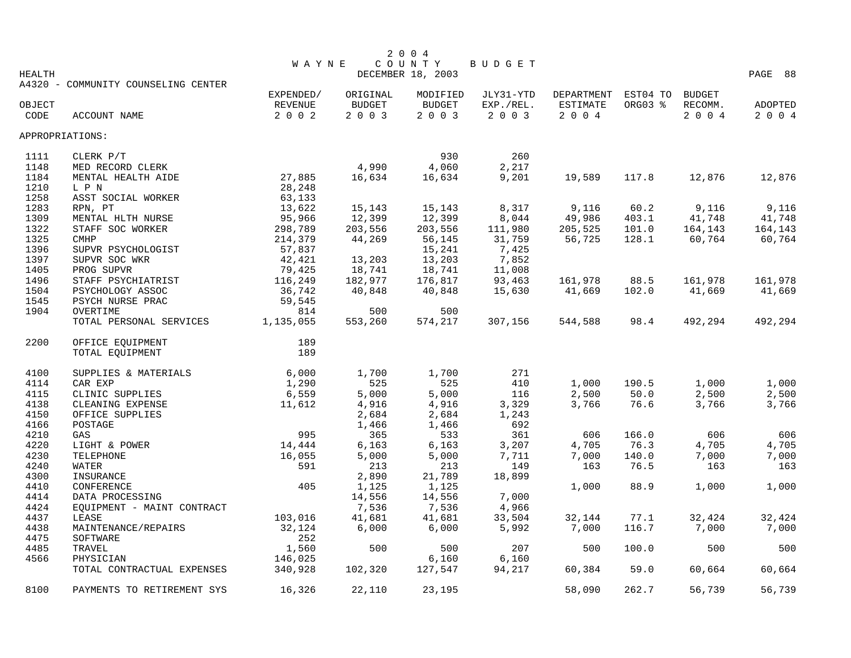|                 |                                     |              |               | 2 0 0 4           |           |            |          |               |         |
|-----------------|-------------------------------------|--------------|---------------|-------------------|-----------|------------|----------|---------------|---------|
|                 |                                     | <b>WAYNE</b> |               | COUNTY            | BUDGET    |            |          |               |         |
| <b>HEALTH</b>   |                                     |              |               | DECEMBER 18, 2003 |           |            |          |               | PAGE 88 |
|                 | A4320 - COMMUNITY COUNSELING CENTER | EXPENDED/    | ORIGINAL      | MODIFIED          | JLY31-YTD | DEPARTMENT | EST04 TO | <b>BUDGET</b> |         |
| OBJECT          |                                     | REVENUE      | <b>BUDGET</b> | BUDGET            | EXP./REL. | ESTIMATE   | ORG03 %  | RECOMM.       | ADOPTED |
| CODE            | ACCOUNT NAME                        | 2 0 0 2      | 2 0 0 3       | 2 0 0 3           | $2 0 0 3$ | 2 0 0 4    |          | 2004          | 2 0 0 4 |
|                 |                                     |              |               |                   |           |            |          |               |         |
| APPROPRIATIONS: |                                     |              |               |                   |           |            |          |               |         |
| 1111            | CLERK P/T                           |              |               | 930               | 260       |            |          |               |         |
| 1148            | MED RECORD CLERK                    |              | 4,990         | 4,060             | 2,217     |            |          |               |         |
| 1184            | MENTAL HEALTH AIDE                  | 27,885       | 16,634        | 16,634            | 9,201     | 19,589     | 117.8    | 12,876        | 12,876  |
| 1210            | L P N                               | 28,248       |               |                   |           |            |          |               |         |
| 1258            | ASST SOCIAL WORKER                  | 63,133       |               |                   |           |            |          |               |         |
| 1283            | RPN, PT                             | 13,622       | 15,143        | 15,143            | 8,317     | 9,116      | 60.2     | 9,116         | 9,116   |
| 1309            | MENTAL HLTH NURSE                   | 95,966       | 12,399        | 12,399            | 8,044     | 49,986     | 403.1    | 41,748        | 41,748  |
| 1322            | STAFF SOC WORKER                    | 298,789      | 203,556       | 203,556           | 111,980   | 205,525    | 101.0    | 164,143       | 164,143 |
| 1325            | <b>CMHP</b>                         | 214,379      | 44,269        | 56,145            | 31,759    | 56,725     | 128.1    | 60,764        | 60,764  |
| 1396            | SUPVR PSYCHOLOGIST                  | 57,837       |               | 15,241            | 7,425     |            |          |               |         |
| 1397            | SUPVR SOC WKR                       | 42,421       | 13,203        | 13,203            | 7,852     |            |          |               |         |
| 1405            | PROG SUPVR                          | 79,425       | 18,741        | 18,741            | 11,008    |            |          |               |         |
| 1496            | STAFF PSYCHIATRIST                  | 116,249      | 182,977       | 176,817           | 93,463    | 161,978    | 88.5     | 161,978       | 161,978 |
| 1504            | PSYCHOLOGY ASSOC                    | 36,742       | 40,848        | 40,848            | 15,630    | 41,669     | 102.0    | 41,669        | 41,669  |
| 1545            | PSYCH NURSE PRAC                    | 59,545       |               |                   |           |            |          |               |         |
| 1904            | OVERTIME                            | 814          | 500           | 500               |           |            |          |               |         |
|                 | TOTAL PERSONAL SERVICES             | 1,135,055    | 553,260       | 574,217           | 307,156   | 544,588    | 98.4     | 492,294       | 492,294 |
| 2200            | OFFICE EQUIPMENT                    | 189          |               |                   |           |            |          |               |         |
|                 | TOTAL EQUIPMENT                     | 189          |               |                   |           |            |          |               |         |
|                 |                                     |              |               |                   |           |            |          |               |         |
| 4100            | SUPPLIES & MATERIALS                | 6,000        | 1,700         | 1,700             | 271       |            |          |               |         |
| 4114            | CAR EXP                             | 1,290        | 525           | 525               | 410       | 1,000      | 190.5    | 1,000         | 1,000   |
| 4115            | CLINIC SUPPLIES                     | 6,559        | 5,000         | 5,000             | 116       | 2,500      | 50.0     | 2,500         | 2,500   |
| 4138            | CLEANING EXPENSE                    | 11,612       | 4,916         | 4,916             | 3,329     | 3,766      | 76.6     | 3,766         | 3,766   |
| 4150            | OFFICE SUPPLIES                     |              | 2,684         | 2,684             | 1,243     |            |          |               |         |
| 4166            | POSTAGE                             |              | 1,466         | 1,466             | 692       |            |          |               |         |
| 4210            | GAS                                 | 995          | 365           | 533               | 361       | 606        | 166.0    | 606           | 606     |
| 4220            | LIGHT & POWER                       | 14,444       | 6,163         | 6,163             | 3,207     | 4,705      | 76.3     | 4,705         | 4,705   |
| 4230            | TELEPHONE                           | 16,055       | 5,000         | 5,000             | 7,711     | 7,000      | 140.0    | 7,000         | 7,000   |
| 4240            | WATER                               | 591          | 213           | 213               | 149       | 163        | 76.5     | 163           | 163     |
| 4300            | INSURANCE                           |              | 2,890         | 21,789            | 18,899    |            |          |               |         |
| 4410            | CONFERENCE                          | 405          | 1,125         | 1,125             |           | 1,000      | 88.9     | 1,000         | 1,000   |
| 4414            | DATA PROCESSING                     |              | 14,556        | 14,556            | 7,000     |            |          |               |         |
| 4424            | EQUIPMENT - MAINT CONTRACT          |              | 7,536         | 7,536             | 4,966     |            |          |               |         |
| 4437            | LEASE                               | 103,016      | 41,681        | 41,681            | 33,504    | 32,144     | 77.1     | 32,424        | 32,424  |
| 4438            | MAINTENANCE/REPAIRS                 | 32,124       | 6,000         | 6,000             | 5,992     | 7,000      | 116.7    | 7,000         | 7,000   |
| 4475            | SOFTWARE                            | 252          |               |                   |           |            |          |               |         |
| 4485            | TRAVEL                              | 1,560        | 500           | 500               | 207       | 500        | 100.0    | 500           | 500     |
| 4566            | PHYSICIAN                           | 146,025      |               | 6,160             | 6,160     |            |          |               |         |
|                 | TOTAL CONTRACTUAL EXPENSES          | 340,928      | 102,320       | 127,547           | 94,217    | 60,384     | 59.0     | 60,664        | 60,664  |
| 8100            | PAYMENTS TO RETIREMENT SYS          | 16,326       | 22,110        | 23,195            |           | 58,090     | 262.7    | 56,739        | 56,739  |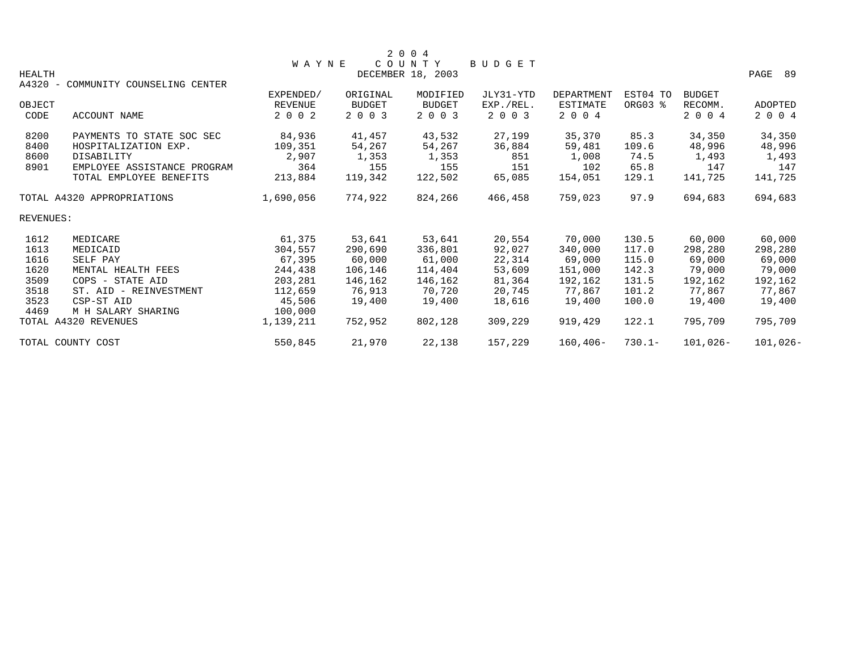|               |                             |              |               | 2004              |           |                   |           |               |             |
|---------------|-----------------------------|--------------|---------------|-------------------|-----------|-------------------|-----------|---------------|-------------|
|               |                             | <b>WAYNE</b> |               | COUNTY            | BUDGET    |                   |           |               |             |
| <b>HEALTH</b> |                             |              |               | DECEMBER 18, 2003 |           |                   |           |               | PAGE 89     |
| $A4320 -$     | COMMUNITY COUNSELING CENTER |              |               |                   |           |                   |           |               |             |
|               |                             | EXPENDED/    | ORIGINAL      | MODIFIED          | JLY31-YTD | <b>DEPARTMENT</b> | EST04 TO  | <b>BUDGET</b> |             |
| OBJECT        |                             | REVENUE      | <b>BUDGET</b> | <b>BUDGET</b>     | EXP./REL. | ESTIMATE          | ORG03 %   | RECOMM.       | ADOPTED     |
| CODE          | ACCOUNT NAME                | 2 0 0 2      | 2 0 0 3       | 2 0 0 3           | 2 0 0 3   | 2 0 0 4           |           | 2004          | 2004        |
| 8200          | PAYMENTS TO STATE SOC SEC   | 84,936       | 41,457        | 43,532            | 27,199    | 35,370            | 85.3      | 34,350        | 34,350      |
| 8400          | HOSPITALIZATION EXP.        | 109,351      | 54,267        | 54,267            | 36,884    | 59,481            | 109.6     | 48,996        | 48,996      |
| 8600          | DISABILITY                  | 2,907        | 1,353         | 1,353             | 851       | 1,008             | 74.5      | 1,493         | 1,493       |
| 8901          | EMPLOYEE ASSISTANCE PROGRAM | 364          | 155           | 155               | 151       | 102               | 65.8      | 147           | 147         |
|               | TOTAL EMPLOYEE BENEFITS     | 213,884      | 119,342       | 122,502           | 65,085    | 154,051           | 129.1     | 141,725       | 141,725     |
|               | TOTAL A4320 APPROPRIATIONS  | 1,690,056    | 774,922       | 824,266           | 466,458   | 759,023           | 97.9      | 694,683       | 694,683     |
| REVENUES:     |                             |              |               |                   |           |                   |           |               |             |
| 1612          | MEDICARE                    | 61,375       | 53,641        | 53,641            | 20,554    | 70,000            | 130.5     | 60,000        | 60,000      |
| 1613          | MEDICAID                    | 304,557      | 290,690       | 336,801           | 92,027    | 340,000           | 117.0     | 298,280       | 298,280     |
| 1616          | SELF PAY                    | 67,395       | 60,000        | 61,000            | 22,314    | 69,000            | 115.0     | 69,000        | 69,000      |
| 1620          | MENTAL HEALTH FEES          | 244,438      | 106,146       | 114,404           | 53,609    | 151,000           | 142.3     | 79,000        | 79,000      |
| 3509          | COPS - STATE AID            | 203,281      | 146,162       | 146,162           | 81,364    | 192,162           | 131.5     | 192,162       | 192,162     |
| 3518          | ST. AID - REINVESTMENT      | 112,659      | 76,913        | 70,720            | 20,745    | 77.867            | 101.2     | 77.867        | 77,867      |
| 3523          | CSP-ST AID                  | 45,506       | 19,400        | 19,400            | 18,616    | 19,400            | 100.0     | 19,400        | 19,400      |
| 4469          | M H SALARY SHARING          | 100,000      |               |                   |           |                   |           |               |             |
|               | TOTAL A4320 REVENUES        | 1,139,211    | 752,952       | 802,128           | 309,229   | 919,429           | 122.1     | 795,709       | 795,709     |
|               | TOTAL COUNTY COST           | 550,845      | 21,970        | 22,138            | 157,229   | $160.406 -$       | $730.1 -$ | $101,026-$    | $101,026 -$ |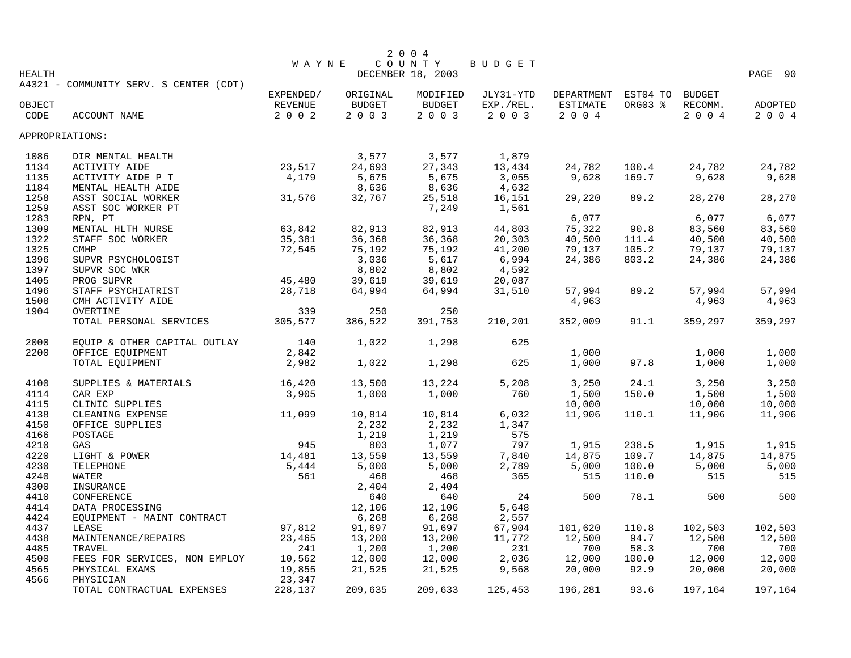|                 |                                        |                      |                    | 2 0 0 4            |                        |                                 |               |                          |                  |
|-----------------|----------------------------------------|----------------------|--------------------|--------------------|------------------------|---------------------------------|---------------|--------------------------|------------------|
|                 |                                        | <b>WAYNE</b>         |                    | COUNTY             | BUDGET                 |                                 |               |                          |                  |
| <b>HEALTH</b>   |                                        |                      |                    | DECEMBER 18, 2003  |                        |                                 |               |                          | PAGE 90          |
|                 | A4321 - COMMUNITY SERV. S CENTER (CDT) |                      |                    |                    |                        |                                 |               |                          |                  |
| OBJECT          |                                        | EXPENDED/<br>REVENUE | ORIGINAL<br>BUDGET | MODIFIED<br>BUDGET | JLY31-YTD<br>EXP./REL. | DEPARTMENT EST04 TO<br>ESTIMATE | ORG03 %       | <b>BUDGET</b><br>RECOMM. | ADOPTED          |
| CODE            | ACCOUNT NAME                           | $2 0 0 2$            | 2 0 0 3            | 2 0 0 3            | 2003                   | 2 0 0 4                         |               | 2 0 0 4                  | 2 0 0 4          |
|                 |                                        |                      |                    |                    |                        |                                 |               |                          |                  |
| APPROPRIATIONS: |                                        |                      |                    |                    |                        |                                 |               |                          |                  |
| 1086            | DIR MENTAL HEALTH                      |                      | 3,577              | 3,577              | 1,879                  |                                 |               |                          |                  |
| 1134            | ACTIVITY AIDE                          | 23,517               | 24,693             | 27,343             | 13,434                 | 24,782                          | 100.4         | 24,782                   | 24,782           |
| 1135            | ACTIVITY AIDE P T                      | 4,179                | 5,675              | 5,675              | 3,055                  | 9,628                           | 169.7         | 9,628                    | 9,628            |
| 1184            | MENTAL HEALTH AIDE                     |                      | 8,636              | 8,636              | 4,632                  |                                 |               |                          |                  |
| 1258            | ASST SOCIAL WORKER                     | 31,576               | 32,767             | 25,518             | 16,151                 | 29,220                          | 89.2          | 28,270                   | 28,270           |
| 1259            | ASST SOC WORKER PT                     |                      |                    | 7,249              | 1,561                  |                                 |               |                          |                  |
| 1283            | RPN, PT                                |                      |                    |                    |                        | 6,077                           |               | 6,077                    | 6,077            |
| 1309            | MENTAL HLTH NURSE                      | 63,842               | 82,913             | 82,913             | 44,803                 | 75,322                          | 90.8          | 83,560                   | 83,560           |
| 1322            | STAFF SOC WORKER                       | 35,381               | 36,368             | 36,368             | 20,303                 | 40,500                          | 111.4         | 40,500                   | 40,500           |
| 1325            | <b>CMHP</b>                            | 72,545               | 75,192             | 75,192             | 41,200                 | 79,137                          | 105.2         | 79,137                   | 79,137           |
| 1396            | SUPVR PSYCHOLOGIST                     |                      | 3,036              | 5,617              | 6,994                  | 24,386                          | 803.2         | 24,386                   | 24,386           |
| 1397            | SUPVR SOC WKR                          |                      | 8,802              | 8,802              | 4,592                  |                                 |               |                          |                  |
| 1405            | PROG SUPVR                             | 45,480               | 39,619             | 39,619             | 20,087                 |                                 |               |                          |                  |
| 1496            | STAFF PSYCHIATRIST                     | 28,718               | 64,994             | 64,994             | 31,510                 | 57,994                          | 89.2          | 57,994                   | 57,994           |
| 1508            | CMH ACTIVITY AIDE                      |                      |                    |                    |                        | 4,963                           |               | 4,963                    | 4,963            |
| 1904            | OVERTIME                               | 339                  | 250                | 250                |                        |                                 |               |                          |                  |
|                 | TOTAL PERSONAL SERVICES                | 305,577              | 386,522            | 391,753            | 210,201                | 352,009                         | 91.1          | 359,297                  | 359,297          |
| 2000            | EQUIP & OTHER CAPITAL OUTLAY           | 140                  | 1,022              | 1,298              | 625                    |                                 |               |                          |                  |
| 2200            | OFFICE EQUIPMENT                       | 2,842                |                    |                    |                        | 1,000                           |               | 1,000                    | 1,000            |
|                 | TOTAL EQUIPMENT                        | 2,982                | 1,022              | 1,298              | 625                    | 1,000                           | 97.8          | 1,000                    | 1,000            |
|                 |                                        |                      |                    |                    |                        |                                 |               |                          |                  |
| 4100            | SUPPLIES & MATERIALS                   | 16,420               | 13,500             | 13,224             | 5,208                  | 3,250                           | 24.1          | 3,250                    | 3,250            |
| 4114            | CAR EXP                                | 3,905                | 1,000              | 1,000              | 760                    | 1,500                           | 150.0         | 1,500                    | 1,500            |
| 4115            | CLINIC SUPPLIES                        |                      |                    |                    |                        | 10,000                          |               | 10,000                   | 10,000           |
| 4138            | CLEANING EXPENSE                       | 11,099               | 10,814             | 10,814             | 6,032                  | 11,906                          | 110.1         | 11,906                   | 11,906           |
| 4150            | OFFICE SUPPLIES                        |                      | 2,232              | 2,232              | 1,347                  |                                 |               |                          |                  |
| 4166            | POSTAGE                                |                      | 1,219              | 1,219              | 575                    |                                 |               |                          |                  |
| 4210            | GAS                                    | 945                  | 803                | 1,077              | 797                    | 1,915                           | 238.5         | 1,915                    | 1,915            |
| 4220            | LIGHT & POWER                          | 14,481               | 13,559             | 13,559             | 7,840                  | 14,875                          | 109.7         | 14,875                   | 14,875           |
| 4230            | TELEPHONE                              | 5,444                | 5,000              | 5,000              | 2,789                  | 5,000                           | 100.0         | 5,000                    | 5,000            |
| 4240            | WATER                                  | 561                  | 468                | 468                | 365                    | 515                             | 110.0         | 515                      | 515              |
| 4300            | INSURANCE                              |                      | 2,404              | 2,404              |                        |                                 |               |                          |                  |
| 4410            | CONFERENCE                             |                      | 640                | 640                | 24                     | 500                             | 78.1          | 500                      | 500              |
| 4414            | DATA PROCESSING                        |                      | 12,106             | 12,106             | 5,648                  |                                 |               |                          |                  |
| 4424            | EQUIPMENT - MAINT CONTRACT             |                      | 6,268              | 6,268              | 2,557                  |                                 |               |                          |                  |
| 4437            | LEASE                                  | 97,812               | 91,697             | 91,697             | 67,904                 | 101,620                         | 110.8         | 102,503                  | 102,503          |
| 4438            | MAINTENANCE/REPAIRS                    | 23,465               | 13,200             | 13,200             | 11,772                 | 12,500                          | 94.7          | 12,500                   | 12,500           |
| 4485            | TRAVEL                                 | 241<br>10,562        | 1,200              | 1,200              | 231                    | 700                             | 58.3          | 700<br>12,000            | 700              |
| 4500<br>4565    | FEES FOR SERVICES, NON EMPLOY          | 19,855               | 12,000<br>21,525   | 12,000             | 2,036<br>9,568         | 12,000<br>20,000                | 100.0<br>92.9 | 20,000                   | 12,000<br>20,000 |
| 4566            | PHYSICAL EXAMS<br>PHYSICIAN            | 23,347               |                    | 21,525             |                        |                                 |               |                          |                  |
|                 | TOTAL CONTRACTUAL EXPENSES             | 228,137              | 209,635            | 209,633            | 125,453                | 196,281                         | 93.6          | 197,164                  | 197,164          |
|                 |                                        |                      |                    |                    |                        |                                 |               |                          |                  |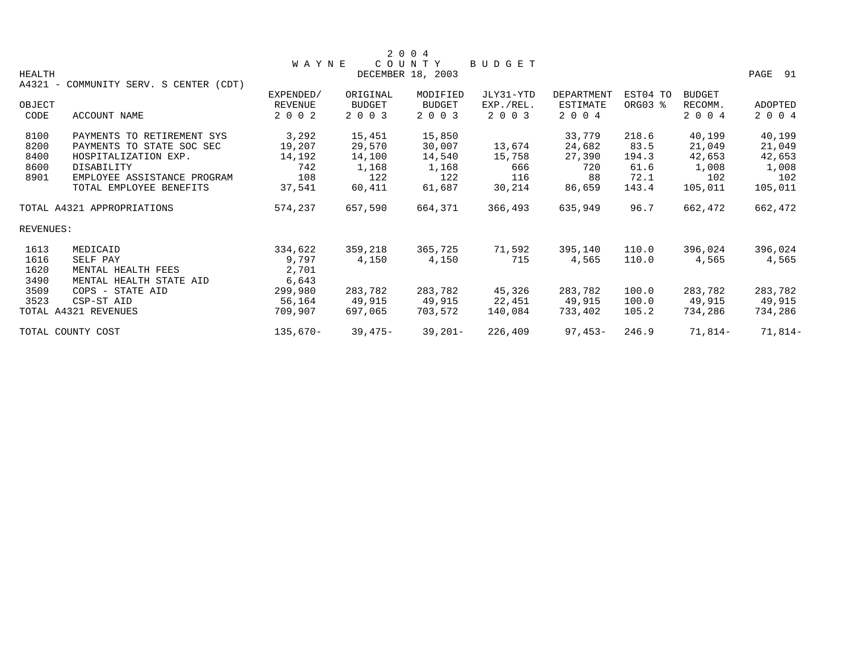|               |                                        |                |               | 2 0 0 4           |           |                 |          |               |                |
|---------------|----------------------------------------|----------------|---------------|-------------------|-----------|-----------------|----------|---------------|----------------|
|               |                                        | <b>WAYNE</b>   |               | COUNTY            | BUDGET    |                 |          |               |                |
| <b>HEALTH</b> |                                        |                |               | DECEMBER 18, 2003 |           |                 |          |               | PAGE 91        |
|               | A4321 - COMMUNITY SERV. S CENTER (CDT) |                |               |                   |           |                 |          |               |                |
|               |                                        | EXPENDED/      | ORIGINAL      | MODIFIED          | JLY31-YTD | DEPARTMENT      | EST04 TO | <b>BUDGET</b> |                |
| OBJECT        |                                        | <b>REVENUE</b> | <b>BUDGET</b> | <b>BUDGET</b>     | EXP./REL. | <b>ESTIMATE</b> | ORG03 %  | RECOMM.       | <b>ADOPTED</b> |
| CODE          | ACCOUNT NAME                           | 2 0 0 2        | 2 0 0 3       | 2 0 0 3           | 2 0 0 3   | 2 0 0 4         |          | 2 0 0 4       | 2 0 0 4        |
| 8100          | PAYMENTS TO RETIREMENT SYS             | 3,292          | 15,451        | 15,850            |           | 33,779          | 218.6    | 40,199        | 40,199         |
| 8200          | PAYMENTS TO STATE SOC SEC              | 19,207         | 29,570        | 30,007            | 13,674    | 24,682          | 83.5     | 21,049        | 21,049         |
| 8400          | HOSPITALIZATION EXP.                   | 14,192         | 14,100        | 14,540            | 15,758    | 27,390          | 194.3    | 42,653        | 42,653         |
| 8600          | DISABILITY                             | 742            | 1,168         | 1,168             | 666       | 720             | 61.6     | 1,008         | 1,008          |
| 8901          | EMPLOYEE ASSISTANCE PROGRAM            | 108            | 122           | 122               | 116       | 88              | 72.1     | 102           | 102            |
|               | TOTAL EMPLOYEE BENEFITS                | 37,541         | 60,411        | 61,687            | 30,214    | 86,659          | 143.4    | 105,011       | 105,011        |
|               | TOTAL A4321 APPROPRIATIONS             | 574,237        | 657,590       | 664,371           | 366,493   | 635,949         | 96.7     | 662,472       | 662,472        |
| REVENUES:     |                                        |                |               |                   |           |                 |          |               |                |
| 1613          | MEDICAID                               | 334,622        | 359,218       | 365,725           | 71,592    | 395,140         | 110.0    | 396,024       | 396,024        |
| 1616          | SELF PAY                               | 9,797          | 4,150         | 4,150             | 715       | 4,565           | 110.0    | 4,565         | 4,565          |
| 1620          | MENTAL HEALTH FEES                     | 2,701          |               |                   |           |                 |          |               |                |
| 3490          | MENTAL HEALTH STATE AID                | 6,643          |               |                   |           |                 |          |               |                |
| 3509          | COPS - STATE AID                       | 299,980        | 283,782       | 283,782           | 45,326    | 283,782         | 100.0    | 283,782       | 283,782        |
| 3523          | CSP-ST AID                             | 56,164         | 49,915        | 49,915            | 22,451    | 49,915          | 100.0    | 49,915        | 49,915         |
|               | TOTAL A4321 REVENUES                   | 709,907        | 697,065       | 703,572           | 140,084   | 733,402         | 105.2    | 734,286       | 734,286        |
|               | TOTAL COUNTY COST                      | $135,670-$     | $39,475-$     | $39,201 -$        | 226,409   | $97,453-$       | 246.9    | $71,814-$     | $71,814-$      |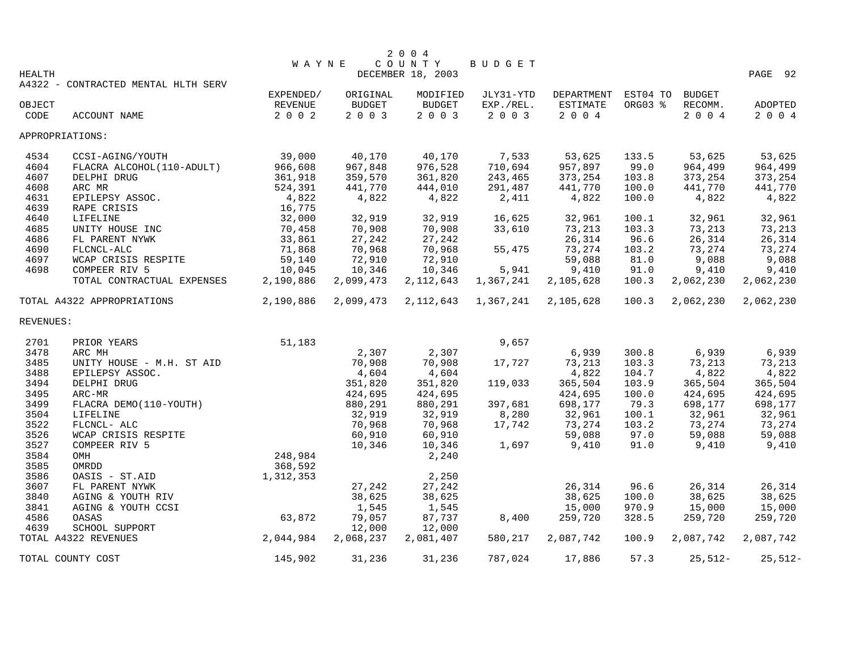|               |                                     |              |           | 2 0 0 4           |           |            |          |               |           |
|---------------|-------------------------------------|--------------|-----------|-------------------|-----------|------------|----------|---------------|-----------|
|               |                                     | <b>WAYNE</b> |           | COUNTY            | BUDGET    |            |          |               |           |
| <b>HEALTH</b> |                                     |              |           | DECEMBER 18, 2003 |           |            |          |               | PAGE 92   |
|               | A4322 - CONTRACTED MENTAL HLTH SERV |              |           |                   |           |            |          |               |           |
|               |                                     | EXPENDED/    | ORIGINAL  | MODIFIED          | JLY31-YTD | DEPARTMENT | EST04 TO | <b>BUDGET</b> |           |
| OBJECT        |                                     | REVENUE      | BUDGET    | BUDGET            | EXP./REL. | ESTIMATE   | ORG03 %  | RECOMM.       | ADOPTED   |
| CODE          | <b>ACCOUNT NAME</b>                 | $2 0 0 2$    | 2 0 0 3   | 2003              | 2 0 0 3   | $2 0 0 4$  |          | 2 0 0 4       | 2 0 0 4   |
|               | APPROPRIATIONS:                     |              |           |                   |           |            |          |               |           |
| 4534          | CCSI-AGING/YOUTH                    | 39,000       | 40,170    | 40,170            | 7,533     | 53,625     | 133.5    | 53,625        | 53,625    |
| 4604          | FLACRA ALCOHOL(110-ADULT)           | 966,608      | 967,848   | 976,528           | 710,694   | 957,897    | 99.0     | 964,499       | 964,499   |
| 4607          | DELPHI DRUG                         | 361,918      | 359,570   | 361,820           | 243,465   | 373,254    | 103.8    | 373,254       | 373,254   |
| 4608          | ARC MR                              | 524,391      | 441,770   | 444,010           | 291,487   | 441,770    | 100.0    | 441,770       | 441,770   |
| 4631          | EPILEPSY ASSOC.                     | 4,822        | 4,822     | 4,822             | 2,411     | 4,822      | 100.0    | 4,822         | 4,822     |
| 4639          | RAPE CRISIS                         | 16,775       |           |                   |           |            |          |               |           |
| 4640          | LIFELINE                            | 32,000       | 32,919    | 32,919            | 16,625    | 32,961     | 100.1    | 32,961        | 32,961    |
| 4685          | UNITY HOUSE INC                     | 70,458       | 70,908    | 70,908            | 33,610    | 73,213     | 103.3    | 73,213        | 73,213    |
| 4686          | FL PARENT NYWK                      | 33,861       | 27,242    | 27,242            |           | 26,314     | 96.6     | 26,314        | 26,314    |
| 4690          | FLCNCL-ALC                          | 71,868       | 70,968    | 70,968            | 55,475    | 73,274     | 103.2    | 73,274        | 73,274    |
| 4697          | WCAP CRISIS RESPITE                 | 59,140       | 72,910    | 72,910            |           | 59,088     | 81.0     | 9,088         | 9,088     |
| 4698          | COMPEER RIV 5                       | 10,045       | 10,346    | 10,346            | 5,941     | 9,410      | 91.0     | 9,410         | 9,410     |
|               | TOTAL CONTRACTUAL EXPENSES          | 2,190,886    | 2,099,473 | 2, 112, 643       | 1,367,241 | 2,105,628  | 100.3    | 2,062,230     | 2,062,230 |
|               | TOTAL A4322 APPROPRIATIONS          | 2,190,886    | 2,099,473 | 2, 112, 643       | 1,367,241 | 2,105,628  | 100.3    | 2,062,230     | 2,062,230 |
| REVENUES:     |                                     |              |           |                   |           |            |          |               |           |
| 2701          | PRIOR YEARS                         | 51,183       |           |                   | 9,657     |            |          |               |           |
| 3478          | ARC MH                              |              | 2,307     | 2,307             |           | 6,939      | 300.8    | 6,939         | 6,939     |
| 3485          | UNITY HOUSE - M.H. ST AID           |              | 70,908    | 70,908            | 17,727    | 73,213     | 103.3    | 73,213        | 73,213    |
| 3488          | EPILEPSY ASSOC.                     |              | 4,604     | 4,604             |           | 4,822      | 104.7    | 4,822         | 4,822     |
| 3494          | DELPHI DRUG                         |              | 351,820   | 351,820           | 119,033   | 365,504    | 103.9    | 365,504       | 365,504   |
| 3495          | ARC-MR                              |              | 424,695   | 424,695           |           | 424,695    | 100.0    | 424,695       | 424,695   |
| 3499          | FLACRA DEMO(110-YOUTH)              |              | 880,291   | 880,291           | 397,681   | 698,177    | 79.3     | 698,177       | 698,177   |
| 3504          | LIFELINE                            |              | 32,919    | 32,919            | 8,280     | 32,961     | 100.1    | 32,961        | 32,961    |
| 3522          | FLCNCL- ALC                         |              | 70,968    | 70,968            | 17,742    | 73,274     | 103.2    | 73,274        | 73,274    |
| 3526          | WCAP CRISIS RESPITE                 |              | 60,910    | 60,910            |           | 59,088     | 97.0     | 59,088        | 59,088    |
| 3527          | COMPEER RIV 5                       |              | 10,346    | 10,346            | 1,697     | 9,410      | 91.0     | 9,410         | 9,410     |
| 3584          | OMH                                 | 248,984      |           | 2,240             |           |            |          |               |           |
| 3585          | OMRDD                               | 368,592      |           |                   |           |            |          |               |           |
| 3586          | OASIS - ST.AID                      | 1,312,353    |           | 2,250             |           |            |          |               |           |
| 3607          | FL PARENT NYWK                      |              | 27,242    | 27,242            |           | 26,314     | 96.6     | 26,314        | 26,314    |
| 3840          | AGING & YOUTH RIV                   |              | 38,625    | 38,625            |           | 38,625     | 100.0    | 38,625        | 38,625    |
| 3841          | AGING & YOUTH CCSI                  |              | 1,545     | 1,545             |           | 15,000     | 970.9    | 15,000        | 15,000    |
| 4586          | OASAS                               | 63,872       | 79,057    | 87,737            | 8,400     | 259,720    | 328.5    | 259,720       | 259,720   |
| 4639          | SCHOOL SUPPORT                      |              | 12,000    | 12,000            |           |            |          |               |           |
|               | TOTAL A4322 REVENUES                | 2,044,984    | 2,068,237 | 2,081,407         | 580,217   | 2,087,742  | 100.9    | 2,087,742     | 2,087,742 |
|               | TOTAL COUNTY COST                   | 145,902      | 31,236    | 31,236            | 787,024   | 17,886     | 57.3     | $25,512-$     | $25,512-$ |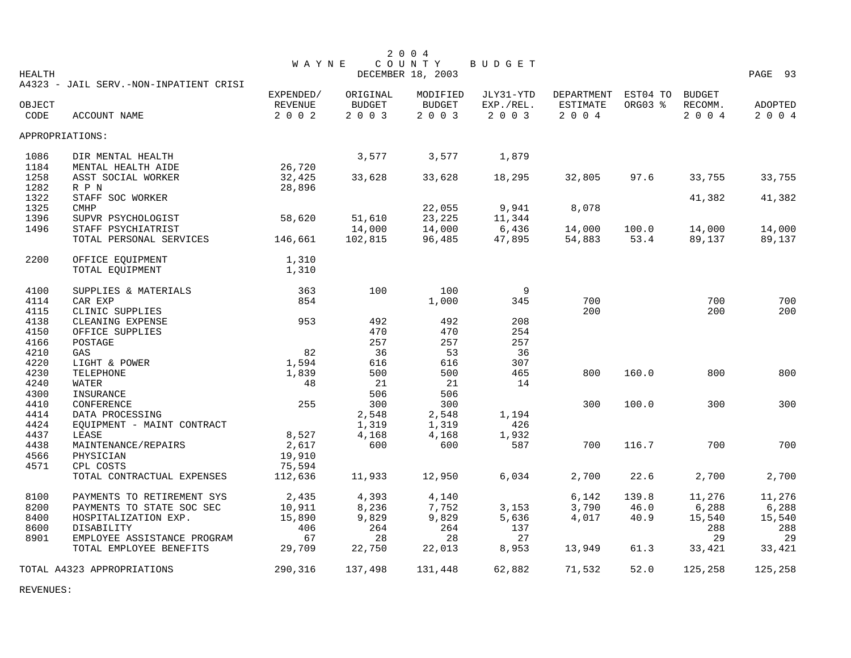|               |                                        |              |               | 2 0 0 4           |               |            |          |               |         |
|---------------|----------------------------------------|--------------|---------------|-------------------|---------------|------------|----------|---------------|---------|
|               |                                        | <b>WAYNE</b> |               | COUNTY            | <b>BUDGET</b> |            |          |               |         |
| <b>HEALTH</b> |                                        |              |               | DECEMBER 18, 2003 |               |            |          |               | PAGE 93 |
|               | A4323 - JAIL SERV.-NON-INPATIENT CRISI |              |               |                   |               |            |          |               |         |
|               |                                        | EXPENDED/    | ORIGINAL      | MODIFIED          | JLY31-YTD     | DEPARTMENT | EST04 TO | <b>BUDGET</b> |         |
| OBJECT        |                                        | REVENUE      | <b>BUDGET</b> | <b>BUDGET</b>     | EXP./REL.     | ESTIMATE   | ORG03 %  | RECOMM.       | ADOPTED |
| CODE          | ACCOUNT NAME                           | 2 0 0 2      | 2 0 0 3       | 2 0 0 3           | 2 0 0 3       | 2 0 0 4    |          | 2 0 0 4       | 2 0 0 4 |
|               | APPROPRIATIONS:                        |              |               |                   |               |            |          |               |         |
| 1086          | DIR MENTAL HEALTH                      |              | 3,577         | 3,577             | 1,879         |            |          |               |         |
| 1184          | MENTAL HEALTH AIDE                     | 26,720       |               |                   |               |            |          |               |         |
| 1258          | ASST SOCIAL WORKER                     | 32,425       | 33,628        | 33,628            | 18,295        | 32,805     | 97.6     | 33,755        | 33,755  |
| 1282          | R P N                                  | 28,896       |               |                   |               |            |          |               |         |
| 1322          | STAFF SOC WORKER                       |              |               |                   |               |            |          | 41,382        | 41,382  |
| 1325          | <b>CMHP</b>                            |              |               | 22,055            | 9,941         | 8,078      |          |               |         |
| 1396          | SUPVR PSYCHOLOGIST                     | 58,620       | 51,610        | 23,225            | 11,344        |            |          |               |         |
| 1496          | STAFF PSYCHIATRIST                     |              | 14,000        | 14,000            | 6,436         | 14,000     | 100.0    | 14,000        | 14,000  |
|               |                                        | 146,661      | 102,815       | 96,485            | 47,895        | 54,883     | 53.4     | 89,137        | 89,137  |
|               | TOTAL PERSONAL SERVICES                |              |               |                   |               |            |          |               |         |
| 2200          | OFFICE EQUIPMENT                       | 1,310        |               |                   |               |            |          |               |         |
|               | TOTAL EQUIPMENT                        | 1,310        |               |                   |               |            |          |               |         |
| 4100          | SUPPLIES & MATERIALS                   | 363          | 100           | 100               | 9             |            |          |               |         |
| 4114          | CAR EXP                                | 854          |               | 1,000             | 345           | 700        |          | 700           | 700     |
| 4115          | CLINIC SUPPLIES                        |              |               |                   |               | 200        |          | 200           | 200     |
| 4138          | CLEANING EXPENSE                       | 953          | 492           | 492               | 208           |            |          |               |         |
| 4150          | OFFICE SUPPLIES                        |              | 470           | 470               | 254           |            |          |               |         |
| 4166          | POSTAGE                                |              | 257           | 257               | 257           |            |          |               |         |
| 4210          | GAS                                    | 82           | 36            | 53                | 36            |            |          |               |         |
| 4220          | LIGHT & POWER                          | 1,594        | 616           | 616               | 307           |            |          |               |         |
| 4230          | TELEPHONE                              | 1,839        | 500           | 500               | 465           | 800        | 160.0    | 800           | 800     |
| 4240          | WATER                                  | 48           | 21            | 21                | 14            |            |          |               |         |
|               |                                        |              | 506           | 506               |               |            |          |               |         |
| 4300          | INSURANCE                              |              |               |                   |               |            |          | 300           |         |
| 4410          | CONFERENCE                             | 255          | 300           | 300               |               | 300        | 100.0    |               | 300     |
| 4414          | DATA PROCESSING                        |              | 2,548         | 2,548             | 1,194         |            |          |               |         |
| 4424          | EQUIPMENT - MAINT CONTRACT             |              | 1,319         | 1,319             | 426           |            |          |               |         |
| 4437          | LEASE                                  | 8,527        | 4,168         | 4,168             | 1,932         |            |          |               |         |
| 4438          | MAINTENANCE/REPAIRS                    | 2,617        | 600           | 600               | 587           | 700        | 116.7    | 700           | 700     |
| 4566          | PHYSICIAN                              | 19,910       |               |                   |               |            |          |               |         |
| 4571          | CPL COSTS                              | 75,594       |               |                   |               |            |          |               |         |
|               | TOTAL CONTRACTUAL EXPENSES             | 112,636      | 11,933        | 12,950            | 6,034         | 2,700      | 22.6     | 2,700         | 2,700   |
| 8100          | PAYMENTS TO RETIREMENT SYS             | 2,435        | 4,393         | 4,140             |               | 6,142      | 139.8    | 11,276        | 11,276  |
| 8200          | PAYMENTS TO STATE SOC SEC              | 10,911       | 8,236         | 7,752             | 3,153         | 3,790      | 46.0     | 6,288         | 6,288   |
| 8400          | HOSPITALIZATION EXP.                   | 15,890       | 9,829         | 9,829             | 5,636         | 4,017      | 40.9     | 15,540        | 15,540  |
| 8600          | DISABILITY                             | 406          | 264           | 264               | 137           |            |          | 288           | 288     |
| 8901          | EMPLOYEE ASSISTANCE PROGRAM            | 67           | 28            | 28                | 27            |            |          | 29            | 29      |
|               | TOTAL EMPLOYEE BENEFITS                | 29,709       | 22,750        | 22,013            | 8,953         | 13,949     | 61.3     | 33,421        | 33,421  |
|               | TOTAL A4323 APPROPRIATIONS             | 290,316      | 137,498       | 131,448           | 62,882        | 71,532     | 52.0     | 125,258       | 125,258 |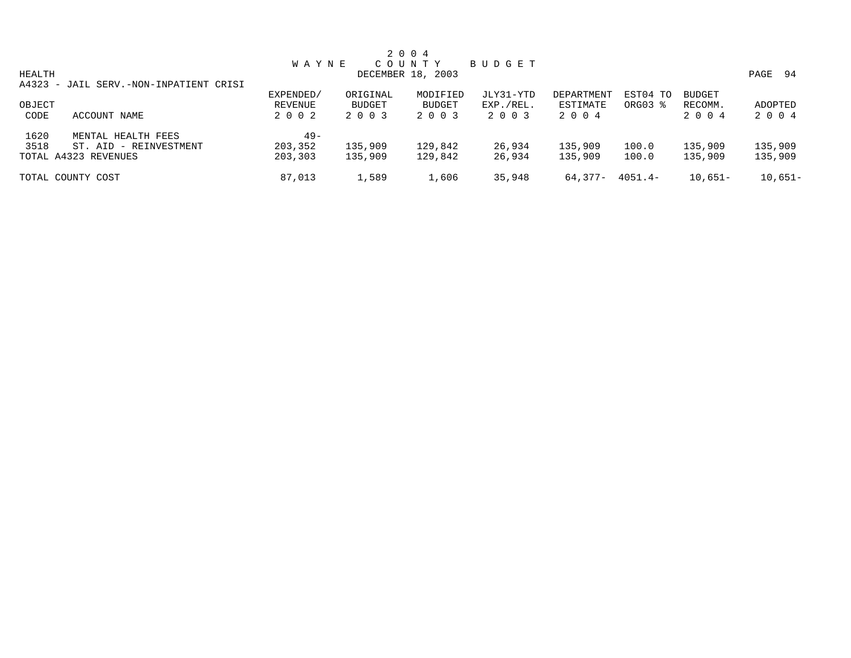|        |                                        |              |               | 2 0 0 4           |             |            |                     |               |              |
|--------|----------------------------------------|--------------|---------------|-------------------|-------------|------------|---------------------|---------------|--------------|
|        |                                        | <b>WAYNE</b> |               | C O U N T Y       | B U D G E T |            |                     |               |              |
| HEALTH |                                        |              |               | DECEMBER 18, 2003 |             |            |                     |               | PAGE<br>- 94 |
|        | A4323 - JAIL SERV.-NON-INPATIENT CRISI |              |               |                   |             |            |                     |               |              |
|        |                                        | EXPENDED/    | ORIGINAL      | MODIFIED          | JLY31-YTD   | DEPARTMENT | EST04 TO            | <b>BUDGET</b> |              |
| OBJECT |                                        | REVENUE      | <b>BUDGET</b> | BUDGET            | EXP./REL.   | ESTIMATE   | ORG03 $\frac{8}{3}$ | RECOMM.       | ADOPTED      |
| CODE   | ACCOUNT NAME                           | 2 0 0 2      | 2 0 0 3       | 2 0 0 3           | 2003        | 2004       |                     | 2 0 0 4       | 2 0 0 4      |
| 1620   | MENTAL HEALTH FEES                     | $49 -$       |               |                   |             |            |                     |               |              |
| 3518   | ST. AID - REINVESTMENT                 | 203,352      | 135,909       | 129,842           | 26,934      | 135,909    | 100.0               | 135,909       | 135,909      |
|        | TOTAL A4323 REVENUES                   | 203,303      | 135,909       | 129,842           | 26,934      | 135,909    | 100.0               | 135,909       | 135,909      |
|        | TOTAL COUNTY COST                      | 87,013       | 1,589         | 1,606             | 35,948      | 64.377-    | 4051.4-             | $10,651-$     | $10,651-$    |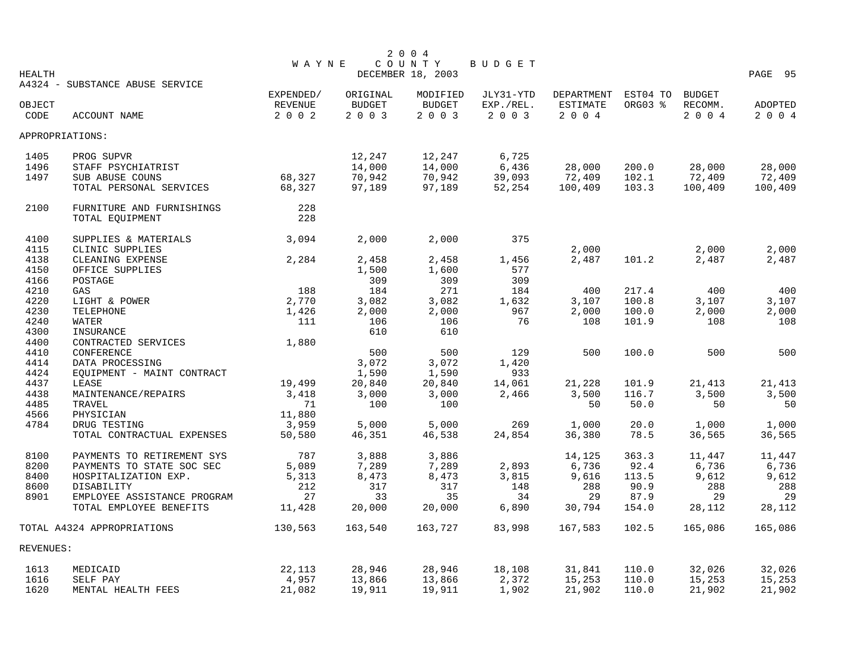|                 |                                 |              |          | 2 0 0 4           |           |            |          |               |         |
|-----------------|---------------------------------|--------------|----------|-------------------|-----------|------------|----------|---------------|---------|
|                 |                                 | <b>WAYNE</b> |          | COUNTY            | BUDGET    |            |          |               |         |
| <b>HEALTH</b>   |                                 |              |          | DECEMBER 18, 2003 |           |            |          |               | PAGE 95 |
|                 | A4324 - SUBSTANCE ABUSE SERVICE |              |          |                   |           |            |          |               |         |
|                 |                                 | EXPENDED/    | ORIGINAL | MODIFIED          | JLY31-YTD | DEPARTMENT | EST04 TO | <b>BUDGET</b> |         |
| OBJECT          |                                 | REVENUE      | BUDGET   | <b>BUDGET</b>     | EXP./REL. | ESTIMATE   | ORG03 %  | RECOMM.       | ADOPTED |
| CODE            | ACCOUNT NAME                    | 2002         | 2 0 0 3  | 2003              | 2 0 0 3   | 2 0 0 4    |          | 2004          | 2 0 0 4 |
| APPROPRIATIONS: |                                 |              |          |                   |           |            |          |               |         |
| 1405            | PROG SUPVR                      |              | 12,247   | 12,247            | 6,725     |            |          |               |         |
| 1496            | STAFF PSYCHIATRIST              |              | 14,000   | 14,000            | 6,436     | 28,000     | 200.0    | 28,000        | 28,000  |
| 1497            | SUB ABUSE COUNS                 | 68,327       | 70,942   | 70,942            | 39,093    | 72,409     | 102.1    | 72,409        | 72,409  |
|                 | TOTAL PERSONAL SERVICES         | 68,327       | 97,189   | 97,189            | 52,254    | 100,409    | 103.3    | 100,409       | 100,409 |
| 2100            | FURNITURE AND FURNISHINGS       | 228          |          |                   |           |            |          |               |         |
|                 | TOTAL EQUIPMENT                 | 228          |          |                   |           |            |          |               |         |
|                 |                                 |              |          |                   |           |            |          |               |         |
| 4100            | SUPPLIES & MATERIALS            | 3,094        | 2,000    | 2,000             | 375       |            |          |               |         |
| 4115            | CLINIC SUPPLIES                 |              |          |                   |           | 2,000      |          | 2,000         | 2,000   |
| 4138            | CLEANING EXPENSE                | 2,284        | 2,458    | 2,458             | 1,456     | 2,487      | 101.2    | 2,487         | 2,487   |
| 4150            | OFFICE SUPPLIES                 |              | 1,500    | 1,600             | 577       |            |          |               |         |
| 4166            | POSTAGE                         |              | 309      | 309               | 309       |            |          |               |         |
| 4210            | GAS                             | 188          | 184      | 271               | 184       | 400        | 217.4    | 400           | 400     |
| 4220            | LIGHT & POWER                   | 2,770        | 3,082    | 3,082             | 1,632     | 3,107      | 100.8    | 3,107         | 3,107   |
| 4230            | <b>TELEPHONE</b>                | 1,426        | 2,000    | 2,000             | 967       | 2,000      | 100.0    | 2,000         | 2,000   |
| 4240            | WATER                           | 111          | 106      | 106               | 76        | 108        | 101.9    | 108           | 108     |
| 4300            | INSURANCE                       |              | 610      | 610               |           |            |          |               |         |
| 4400            | CONTRACTED SERVICES             | 1,880        |          |                   |           |            |          |               |         |
| 4410            | CONFERENCE                      |              | 500      | 500               | 129       | 500        | 100.0    | 500           | 500     |
| 4414            | DATA PROCESSING                 |              | 3,072    | 3,072             | 1,420     |            |          |               |         |
| 4424            | EQUIPMENT - MAINT CONTRACT      |              | 1,590    | 1,590             | 933       |            |          |               |         |
| 4437            | LEASE                           | 19,499       | 20,840   | 20,840            | 14,061    | 21,228     | 101.9    | 21,413        | 21,413  |
| 4438            | MAINTENANCE/REPAIRS             | 3,418        | 3,000    | 3,000             | 2,466     | 3,500      | 116.7    | 3,500         | 3,500   |
| 4485            | TRAVEL                          | 71           | 100      | 100               |           | 50         | 50.0     | 50            | 50      |
| 4566            | PHYSICIAN                       | 11,880       |          |                   |           |            |          |               |         |
| 4784            | DRUG TESTING                    | 3,959        | 5,000    | 5,000             | 269       | 1,000      | 20.0     | 1,000         | 1,000   |
|                 | TOTAL CONTRACTUAL EXPENSES      | 50,580       | 46,351   | 46,538            | 24,854    | 36,380     | 78.5     | 36,565        | 36,565  |
|                 |                                 |              |          |                   |           |            |          |               |         |
| 8100            | PAYMENTS TO RETIREMENT SYS      | 787          | 3,888    | 3,886             |           | 14,125     | 363.3    | 11,447        | 11,447  |
| 8200            | PAYMENTS TO STATE SOC SEC       | 5,089        | 7,289    | 7,289             | 2,893     | 6,736      | 92.4     | 6,736         | 6,736   |
| 8400            | HOSPITALIZATION EXP.            | 5,313        | 8,473    | 8,473             | 3,815     | 9,616      | 113.5    | 9,612         | 9,612   |
| 8600            | DISABILITY                      | 212          | 317      | 317               | 148       | 288        | 90.9     | 288           | 288     |
| 8901            | EMPLOYEE ASSISTANCE PROGRAM     | 27           | 33       | 35                | 34        | 29         | 87.9     | 29            | 29      |
|                 | TOTAL EMPLOYEE BENEFITS         | 11,428       | 20,000   | 20,000            | 6,890     | 30,794     | 154.0    | 28,112        | 28,112  |
|                 | TOTAL A4324 APPROPRIATIONS      | 130,563      | 163,540  | 163,727           | 83,998    | 167,583    | 102.5    | 165,086       | 165,086 |
| REVENUES:       |                                 |              |          |                   |           |            |          |               |         |
| 1613            | MEDICAID                        | 22,113       | 28,946   | 28,946            | 18,108    | 31,841     | 110.0    | 32,026        | 32,026  |
| 1616            | SELF PAY                        | 4,957        | 13,866   | 13,866            | 2,372     | 15,253     | 110.0    | 15,253        | 15,253  |
| 1620            | MENTAL HEALTH FEES              | 21,082       | 19,911   | 19,911            | 1,902     | 21,902     | 110.0    | 21,902        | 21,902  |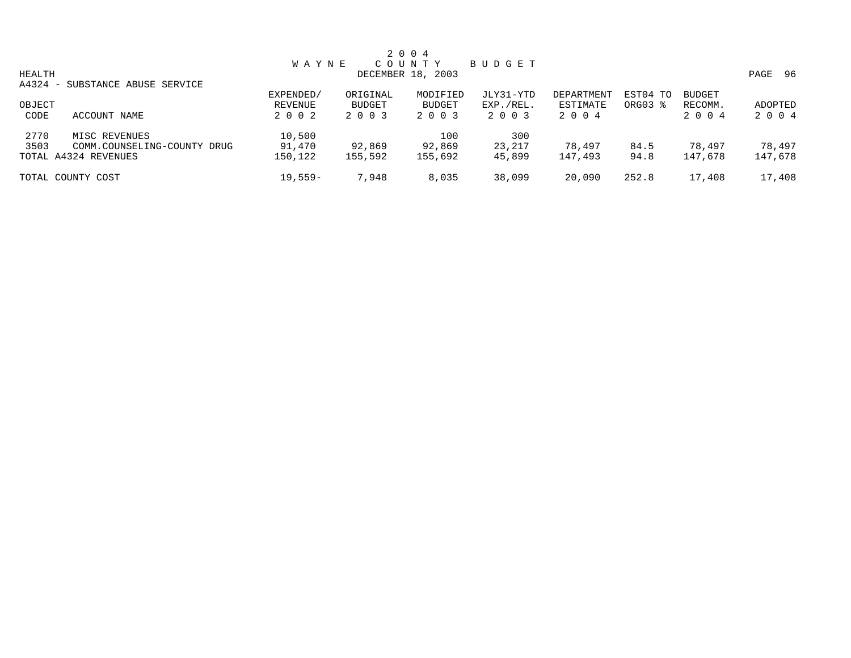|        |                                 |              |               | 2 0 0 4           |           |                   |          |               |              |
|--------|---------------------------------|--------------|---------------|-------------------|-----------|-------------------|----------|---------------|--------------|
|        |                                 | <b>WAYNE</b> |               | COUNTY            | BUDGET    |                   |          |               |              |
| HEALTH |                                 |              |               | DECEMBER 18, 2003 |           |                   |          |               | PAGE<br>- 96 |
|        | A4324 - SUBSTANCE ABUSE SERVICE |              |               |                   |           |                   |          |               |              |
|        |                                 | EXPENDED/    | ORIGINAL      | MODIFIED          | JLY31-YTD | <b>DEPARTMENT</b> | EST04 TO | <b>BUDGET</b> |              |
| OBJECT |                                 | REVENUE      | <b>BUDGET</b> | <b>BUDGET</b>     | EXP./REL. | ESTIMATE          | ORG03 %  | RECOMM.       | ADOPTED      |
| CODE   | ACCOUNT NAME                    | 2 0 0 2      | 2 0 0 3       | 2 0 0 3           | 2 0 0 3   | 2 0 0 4           |          | 2 0 0 4       | 2 0 0 4      |
| 2770   | MISC REVENUES                   | 10,500       |               | 100               | 300       |                   |          |               |              |
| 3503   | COMM.COUNSELING-COUNTY DRUG     | 91,470       | 92,869        | 92,869            | 23,217    | 78,497            | 84.5     | 78,497        | 78,497       |
|        | TOTAL A4324 REVENUES            | 150,122      | 155,592       | 155,692           | 45,899    | 147,493           | 94.8     | 147,678       | 147,678      |
|        | TOTAL COUNTY COST               | $19,559-$    | 7,948         | 8,035             | 38,099    | 20,090            | 252.8    | 17,408        | 17,408       |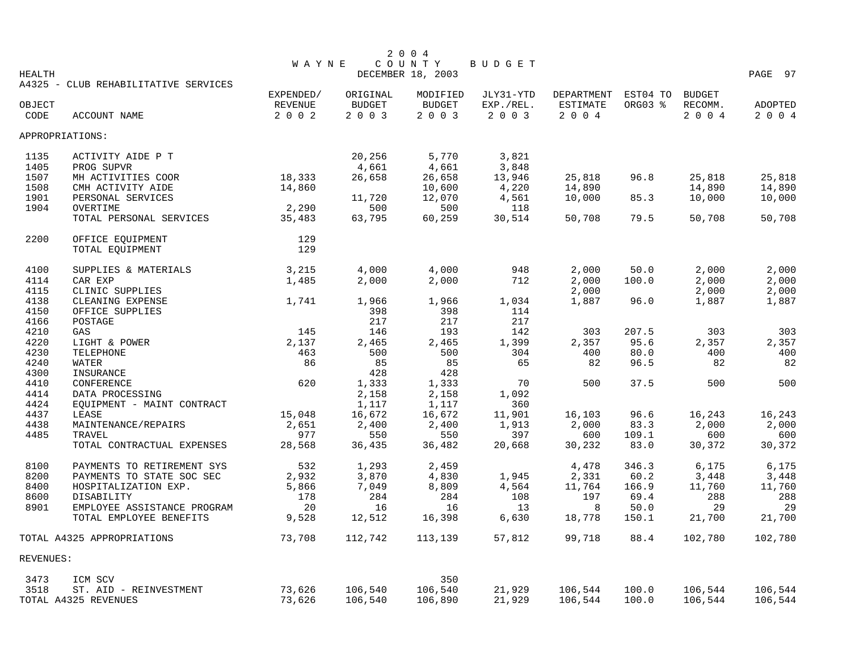|               |                                      |              |               | 2 0 0 4           |           |            |          |               |         |
|---------------|--------------------------------------|--------------|---------------|-------------------|-----------|------------|----------|---------------|---------|
|               |                                      | <b>WAYNE</b> |               | COUNTY            | BUDGET    |            |          |               |         |
| <b>HEALTH</b> | A4325 - CLUB REHABILITATIVE SERVICES |              |               | DECEMBER 18, 2003 |           |            |          |               | PAGE 97 |
|               |                                      | EXPENDED/    | ORIGINAL      | MODIFIED          | JLY31-YTD | DEPARTMENT | EST04 TO | <b>BUDGET</b> |         |
| OBJECT        |                                      | REVENUE      | <b>BUDGET</b> | <b>BUDGET</b>     | EXP./REL. | ESTIMATE   | ORG03 %  | RECOMM.       | ADOPTED |
| CODE          | ACCOUNT NAME                         | 2 0 0 2      | 2 0 0 3       | 2 0 0 3           | 2 0 0 3   | 2 0 0 4    |          | 2 0 0 4       | 2 0 0 4 |
|               | APPROPRIATIONS:                      |              |               |                   |           |            |          |               |         |
| 1135          | ACTIVITY AIDE P T                    |              | 20,256        | 5,770             | 3,821     |            |          |               |         |
| 1405          | PROG SUPVR                           |              | 4,661         | 4,661             | 3,848     |            |          |               |         |
| 1507          | MH ACTIVITIES COOR                   | 18,333       | 26,658        | 26,658            | 13,946    | 25,818     | 96.8     | 25,818        | 25,818  |
| 1508          | CMH ACTIVITY AIDE                    | 14,860       |               | 10,600            | 4,220     | 14,890     |          | 14,890        | 14,890  |
| 1901          | PERSONAL SERVICES                    |              | 11,720        | 12,070            | 4,561     | 10,000     | 85.3     | 10,000        | 10,000  |
| 1904          | OVERTIME                             | 2,290        | 500           | 500               | 118       |            |          |               |         |
|               | TOTAL PERSONAL SERVICES              | 35,483       | 63,795        | 60,259            | 30,514    | 50,708     | 79.5     | 50,708        | 50,708  |
| 2200          | OFFICE EQUIPMENT                     | 129          |               |                   |           |            |          |               |         |
|               | TOTAL EQUIPMENT                      | 129          |               |                   |           |            |          |               |         |
| 4100          | SUPPLIES & MATERIALS                 | 3,215        | 4,000         | 4,000             | 948       | 2,000      | 50.0     | 2,000         | 2,000   |
| 4114          | CAR EXP                              | 1,485        | 2,000         | 2,000             | 712       | 2,000      | 100.0    | 2,000         | 2,000   |
| 4115          | CLINIC SUPPLIES                      |              |               |                   |           | 2,000      |          | 2,000         | 2,000   |
| 4138          | CLEANING EXPENSE                     | 1,741        | 1,966         | 1,966             | 1,034     | 1,887      | 96.0     | 1,887         | 1,887   |
| 4150          | OFFICE SUPPLIES                      |              | 398           | 398               | 114       |            |          |               |         |
| 4166          | POSTAGE                              |              | 217           | 217               | 217       |            |          |               |         |
| 4210          | GAS                                  | 145          | 146           | 193               | 142       | 303        | 207.5    | 303           | 303     |
| 4220          | LIGHT & POWER                        | 2,137        | 2,465         | 2,465             | 1,399     | 2,357      | 95.6     | 2,357         | 2,357   |
| 4230          | TELEPHONE                            | 463          | 500           | 500               | 304       | 400        | 80.0     | 400           | 400     |
| 4240          | WATER                                | 86           | 85            | 85                | 65        | 82         | 96.5     | 82            | 82      |
| 4300          | INSURANCE                            |              | 428           | 428               |           |            |          |               |         |
| 4410          | CONFERENCE                           | 620          | 1,333         | 1,333             | 70        | 500        | 37.5     | 500           | 500     |
| 4414          | DATA PROCESSING                      |              | 2,158         | 2,158             | 1,092     |            |          |               |         |
| 4424          | EOUIPMENT - MAINT CONTRACT           |              | 1,117         | 1,117             | 360       |            |          |               |         |
| 4437          | LEASE                                | 15,048       | 16,672        | 16,672            | 11,901    | 16,103     | 96.6     | 16,243        | 16,243  |
| 4438          | MAINTENANCE/REPAIRS                  | 2,651        | 2,400         | 2,400             | 1,913     | 2,000      | 83.3     | 2,000         | 2,000   |
| 4485          | <b>TRAVEL</b>                        | 977          | 550           | 550               | 397       | 600        | 109.1    | 600           | 600     |
|               | TOTAL CONTRACTUAL EXPENSES           | 28,568       | 36,435        | 36,482            | 20,668    | 30,232     | 83.0     | 30,372        | 30,372  |
| 8100          | PAYMENTS TO RETIREMENT SYS           | 532          | 1,293         | 2,459             |           | 4,478      | 346.3    | 6,175         | 6,175   |
| 8200          | PAYMENTS TO STATE SOC SEC            | 2,932        | 3,870         | 4,830             | 1,945     | 2,331      | 60.2     | 3,448         | 3,448   |
| 8400          | HOSPITALIZATION EXP.                 | 5,866        | 7,049         | 8,809             | 4,564     | 11,764     | 166.9    | 11,760        | 11,760  |
| 8600          | DISABILITY                           | 178          | 284           | 284               | 108       | 197        | 69.4     | 288           | 288     |
| 8901          | EMPLOYEE ASSISTANCE PROGRAM          | 20           | 16            | 16                | 13        | 8          | 50.0     | 29            | 29      |
|               | TOTAL EMPLOYEE BENEFITS              | 9,528        | 12,512        | 16,398            | 6,630     | 18,778     | 150.1    | 21,700        | 21,700  |
|               | TOTAL A4325 APPROPRIATIONS           | 73,708       | 112,742       | 113,139           | 57,812    | 99,718     | 88.4     | 102,780       | 102,780 |
| REVENUES:     |                                      |              |               |                   |           |            |          |               |         |
| 3473          | ICM SCV                              |              |               | 350               |           |            |          |               |         |
| 3518          | ST. AID - REINVESTMENT               | 73,626       | 106,540       | 106,540           | 21,929    | 106,544    | 100.0    | 106,544       | 106,544 |
|               | TOTAL A4325 REVENUES                 | 73,626       | 106,540       | 106,890           | 21,929    | 106,544    | 100.0    | 106,544       | 106,544 |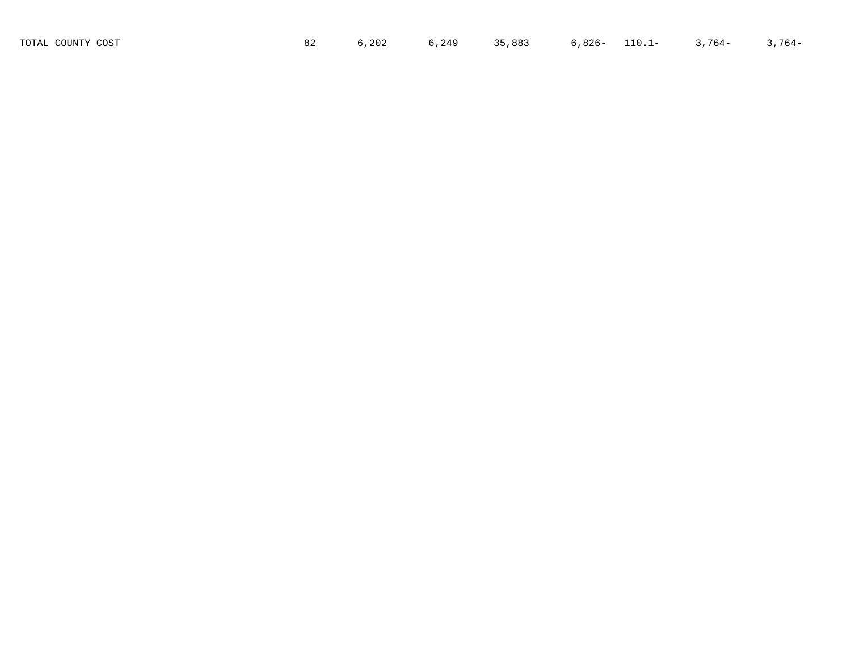| TOTAL COUNTY COST | ,202 | 6,249 | 35,883 | 6,826- | $110.1 -$ | $3,764-$ | $764-$ |
|-------------------|------|-------|--------|--------|-----------|----------|--------|
|                   |      |       |        |        |           |          |        |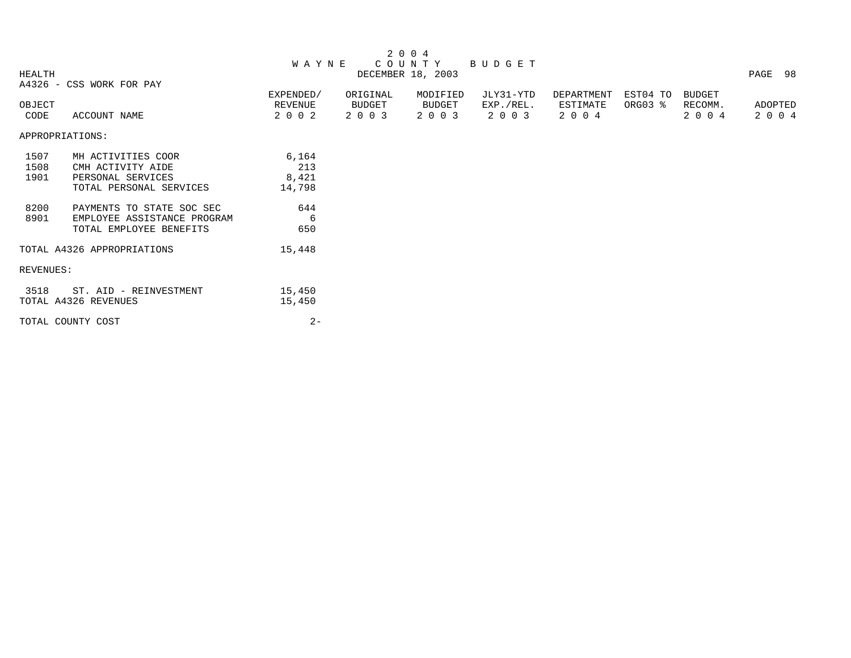|               |                             |              |          | 2 0 0 4           |           |            |          |         |         |
|---------------|-----------------------------|--------------|----------|-------------------|-----------|------------|----------|---------|---------|
|               |                             | <b>WAYNE</b> |          | C O U N T Y       | BUDGET    |            |          |         |         |
| <b>HEALTH</b> |                             |              |          | DECEMBER 18, 2003 |           |            |          |         | PAGE 98 |
|               | A4326 - CSS WORK FOR PAY    |              |          |                   |           |            |          |         |         |
|               |                             | EXPENDED/    | ORIGINAL | MODIFIED          | JLY31-YTD | DEPARTMENT | EST04 TO | BUDGET  |         |
| OBJECT        |                             | REVENUE      | BUDGET   | BUDGET            | EXP./REL. | ESTIMATE   | ORG03 %  | RECOMM. | ADOPTED |
| CODE          | ACCOUNT NAME                | 2 0 0 2      | 2 0 0 3  | 2 0 0 3           | 2 0 0 3   | 2 0 0 4    |          | 2 0 0 4 | 2 0 0 4 |
|               | APPROPRIATIONS:             |              |          |                   |           |            |          |         |         |
| 1507          | MH ACTIVITIES COOR          | 6,164        |          |                   |           |            |          |         |         |
| 1508          | CMH ACTIVITY AIDE           | 213          |          |                   |           |            |          |         |         |
| 1901          | PERSONAL SERVICES           | 8,421        |          |                   |           |            |          |         |         |
|               | TOTAL PERSONAL SERVICES     | 14,798       |          |                   |           |            |          |         |         |
| 8200          | PAYMENTS TO STATE SOC SEC   | 644          |          |                   |           |            |          |         |         |
| 8901          | EMPLOYEE ASSISTANCE PROGRAM | - 6          |          |                   |           |            |          |         |         |
|               | TOTAL EMPLOYEE BENEFITS     | 650          |          |                   |           |            |          |         |         |
|               | TOTAL A4326 APPROPRIATIONS  | 15,448       |          |                   |           |            |          |         |         |
| REVENUES:     |                             |              |          |                   |           |            |          |         |         |
| 3518          | ST. AID - REINVESTMENT      | 15,450       |          |                   |           |            |          |         |         |
|               | TOTAL A4326 REVENUES        | 15,450       |          |                   |           |            |          |         |         |
|               | TOTAL COUNTY COST           | $2 -$        |          |                   |           |            |          |         |         |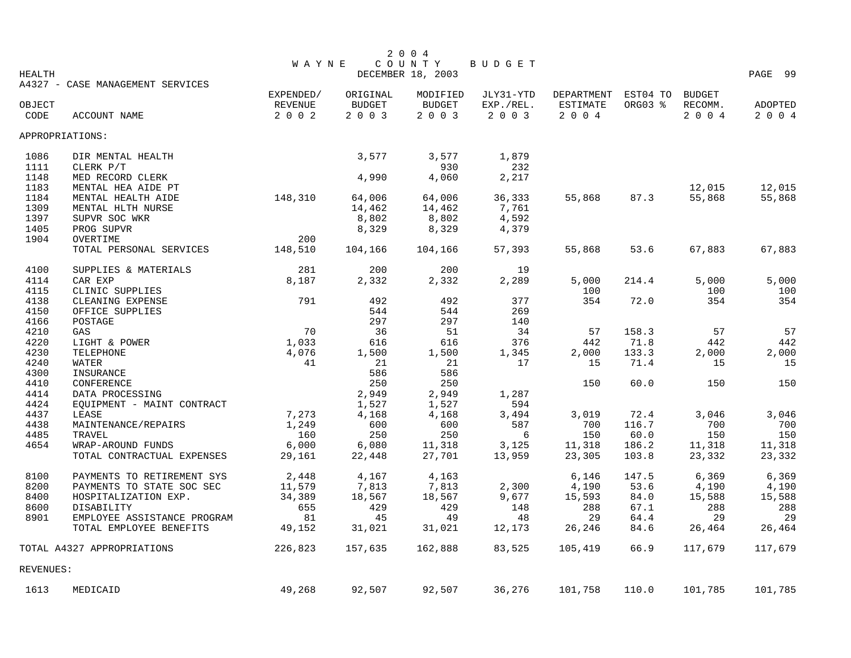|               |                                  |                |               | 2 0 0 4           |           |                               |          |               |                |
|---------------|----------------------------------|----------------|---------------|-------------------|-----------|-------------------------------|----------|---------------|----------------|
|               |                                  | <b>WAYNE</b>   |               | COUNTY            | BUDGET    |                               |          |               |                |
| <b>HEALTH</b> |                                  |                |               | DECEMBER 18, 2003 |           |                               |          |               | PAGE 99        |
|               | A4327 - CASE MANAGEMENT SERVICES | EXPENDED/      | ORIGINAL      | MODIFIED          | JLY31-YTD |                               | EST04 TO | <b>BUDGET</b> |                |
| OBJECT        |                                  | <b>REVENUE</b> | <b>BUDGET</b> | <b>BUDGET</b>     | EXP./REL. | DEPARTMENT<br><b>ESTIMATE</b> | ORG03 %  | RECOMM.       | <b>ADOPTED</b> |
| CODE          | ACCOUNT NAME                     | 2 0 0 2        | 2 0 0 3       | 2003              | 2003      | 2004                          |          | 2004          | 2 0 0 4        |
|               |                                  |                |               |                   |           |                               |          |               |                |
|               | APPROPRIATIONS:                  |                |               |                   |           |                               |          |               |                |
| 1086          | DIR MENTAL HEALTH                |                | 3,577         | 3,577             | 1,879     |                               |          |               |                |
| 1111          | CLERK P/T                        |                |               | 930               | 232       |                               |          |               |                |
| 1148          | MED RECORD CLERK                 |                | 4,990         | 4,060             | 2,217     |                               |          |               |                |
| 1183          | MENTAL HEA AIDE PT               |                |               |                   |           |                               |          | 12,015        | 12,015         |
| 1184          | MENTAL HEALTH AIDE               | 148,310        | 64,006        | 64,006            | 36,333    | 55,868                        | 87.3     | 55,868        | 55,868         |
| 1309          | MENTAL HLTH NURSE                |                | 14,462        | 14,462            | 7,761     |                               |          |               |                |
| 1397          | SUPVR SOC WKR                    |                | 8,802         | 8,802             | 4,592     |                               |          |               |                |
| 1405          | PROG SUPVR                       |                | 8,329         | 8,329             | 4,379     |                               |          |               |                |
| 1904          | OVERTIME                         | 200            |               |                   |           |                               |          |               |                |
|               | TOTAL PERSONAL SERVICES          | 148,510        | 104,166       | 104,166           | 57,393    | 55,868                        | 53.6     | 67,883        | 67,883         |
| 4100          | SUPPLIES & MATERIALS             | 281            | 200           | 200               | 19        |                               |          |               |                |
| 4114          | CAR EXP                          | 8,187          | 2,332         | 2,332             | 2,289     | 5,000                         | 214.4    | 5,000         | 5,000          |
| 4115          | CLINIC SUPPLIES                  |                |               |                   |           | 100                           |          | 100           | 100            |
| 4138          | CLEANING EXPENSE                 | 791            | 492           | 492               | 377       | 354                           | 72.0     | 354           | 354            |
| 4150          | OFFICE SUPPLIES                  |                | 544           | 544               | 269       |                               |          |               |                |
| 4166          | POSTAGE                          |                | 297           | 297               | 140       |                               |          |               |                |
| 4210          | GAS                              | 70             | 36            | 51                | 34        | 57                            | 158.3    | 57            | 57             |
| 4220          | LIGHT & POWER                    | 1,033          | 616           | 616               | 376       | 442                           | 71.8     | 442           | 442            |
| 4230          | TELEPHONE                        | 4,076          | 1,500         | 1,500             | 1,345     | 2,000                         | 133.3    | 2,000         | 2,000          |
| 4240          | WATER                            | 41             | 21            | 21                | 17        | 15                            | 71.4     | 15            | 15             |
| 4300          | INSURANCE                        |                | 586           | 586               |           |                               |          |               |                |
| 4410          | CONFERENCE                       |                | 250           | 250               |           | 150                           | 60.0     | 150           | 150            |
| 4414          | DATA PROCESSING                  |                | 2,949         | 2,949             | 1,287     |                               |          |               |                |
| 4424          | EQUIPMENT - MAINT CONTRACT       |                | 1,527         | 1,527             | 594       |                               |          |               |                |
| 4437          | LEASE                            | 7,273          | 4,168         | 4,168             | 3,494     | 3,019                         | 72.4     | 3,046         | 3,046          |
| 4438          | MAINTENANCE/REPAIRS              | 1,249          | 600           | 600               | 587       | 700                           | 116.7    | 700           | 700            |
| 4485          | TRAVEL                           | 160            | 250           | 250               | 6         | 150                           | 60.0     | 150           | 150            |
| 4654          | WRAP-AROUND FUNDS                | 6,000          | 6,080         | 11,318            | 3,125     | 11,318                        | 186.2    | 11,318        | 11,318         |
|               | TOTAL CONTRACTUAL EXPENSES       | 29,161         | 22,448        | 27,701            | 13,959    | 23,305                        | 103.8    | 23,332        | 23,332         |
| 8100          | PAYMENTS TO RETIREMENT SYS       | 2,448          | 4,167         | 4,163             |           | 6,146                         | 147.5    | 6,369         | 6,369          |
| 8200          | PAYMENTS TO STATE SOC SEC        | 11,579         | 7,813         | 7,813             | 2,300     | 4,190                         | 53.6     | 4,190         | 4,190          |
| 8400          | HOSPITALIZATION EXP.             | 34,389         | 18,567        | 18,567            | 9,677     | 15,593                        | 84.0     | 15,588        | 15,588         |
| 8600          | DISABILITY                       | 655            | 429           | 429               | 148       | 288                           | 67.1     | 288           | 288            |
| 8901          | EMPLOYEE ASSISTANCE PROGRAM      | 81             | 45            | 49                | 48        | 29                            | 64.4     | 29            | 29             |
|               | TOTAL EMPLOYEE BENEFITS          | 49,152         | 31,021        | 31,021            | 12,173    | 26,246                        | 84.6     | 26,464        | 26,464         |
|               | TOTAL A4327 APPROPRIATIONS       | 226,823        | 157,635       | 162,888           | 83,525    | 105,419                       | 66.9     | 117,679       | 117,679        |
| REVENUES:     |                                  |                |               |                   |           |                               |          |               |                |
| 1613          | MEDICAID                         | 49,268         | 92,507        | 92,507            | 36,276    | 101,758                       | 110.0    | 101,785       | 101,785        |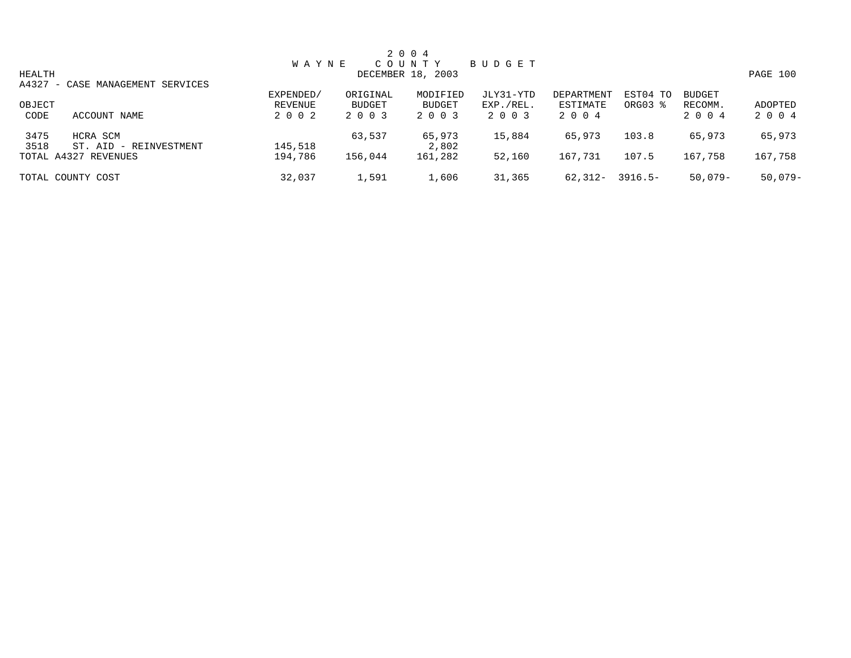|        |                                  |              |               | 2 0 0 4           |           |            |                     |               |           |
|--------|----------------------------------|--------------|---------------|-------------------|-----------|------------|---------------------|---------------|-----------|
|        |                                  | <b>WAYNE</b> |               | COUNTY            | BUDGET    |            |                     |               |           |
| HEALTH |                                  |              |               | DECEMBER 18, 2003 |           |            |                     |               | PAGE 100  |
|        | A4327 - CASE MANAGEMENT SERVICES |              |               |                   |           |            |                     |               |           |
|        |                                  | EXPENDED/    | ORIGINAL      | MODIFIED          | JLY31-YTD | DEPARTMENT | EST04 TO            | <b>BUDGET</b> |           |
| OBJECT |                                  | REVENUE      | <b>BUDGET</b> | BUDGET            | EXP./REL. | ESTIMATE   | ORG03 $\frac{8}{3}$ | RECOMM.       | ADOPTED   |
| CODE   | ACCOUNT NAME                     | 2 0 0 2      | 2 0 0 3       | 2 0 0 3           | 2 0 0 3   | 2 0 0 4    |                     | 2 0 0 4       | 2 0 0 4   |
| 3475   | HCRA SCM                         |              | 63,537        | 65,973            | 15,884    | 65,973     | 103.8               | 65,973        | 65,973    |
| 3518   | ST. AID - REINVESTMENT           | 145,518      |               | 2,802             |           |            |                     |               |           |
|        | TOTAL A4327 REVENUES             | 194,786      | 156,044       | 161,282           | 52,160    | 167,731    | 107.5               | 167,758       | 167,758   |
|        | TOTAL COUNTY COST                | 32,037       | 1,591         | 1,606             | 31,365    | 62,312-    | 3916.5-             | $50.079 -$    | $50,079-$ |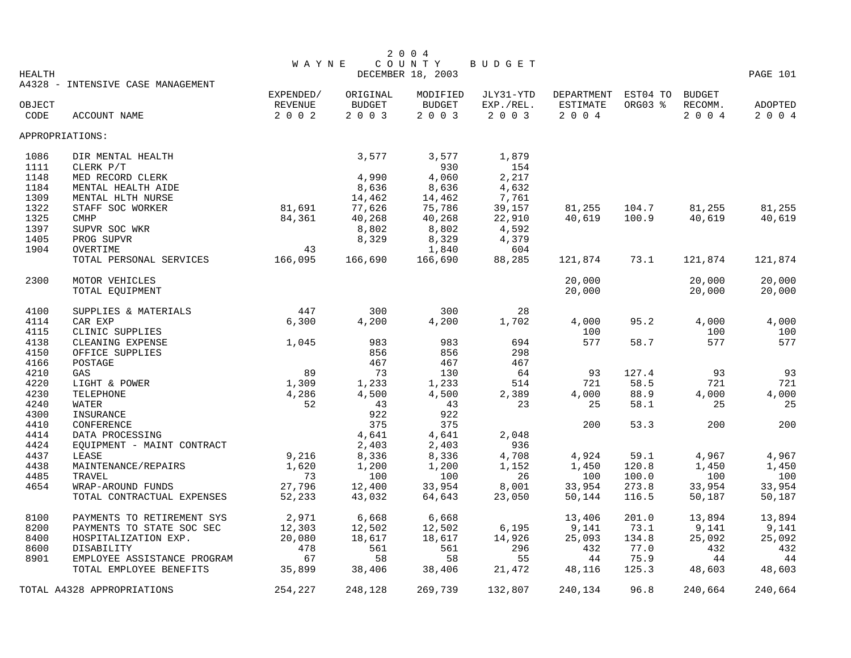|                 |                                                   |                  |                 | 2 0 0 4                     |             |                 |                 |                 |                 |
|-----------------|---------------------------------------------------|------------------|-----------------|-----------------------------|-------------|-----------------|-----------------|-----------------|-----------------|
| <b>HEALTH</b>   |                                                   | <b>WAYNE</b>     |                 | COUNTY<br>DECEMBER 18, 2003 | BUDGET      |                 |                 |                 | PAGE 101        |
|                 | A4328 - INTENSIVE CASE MANAGEMENT                 |                  |                 |                             |             |                 |                 |                 |                 |
|                 |                                                   | EXPENDED/        | ORIGINAL        | MODIFIED                    | JLY31-YTD   | DEPARTMENT      | EST04 TO BUDGET |                 |                 |
| OBJECT          |                                                   | REVENUE          | <b>BUDGET</b>   | <b>BUDGET</b>               | EXP./REL.   | <b>ESTIMATE</b> | ORG03 %         | RECOMM.         | ADOPTED         |
| CODE            | ACCOUNT NAME                                      | 2002             | 2 0 0 3         | 2003                        | 2 0 0 3     | 2 0 0 4         |                 | 2004            | 2 0 0 4         |
| APPROPRIATIONS: |                                                   |                  |                 |                             |             |                 |                 |                 |                 |
| 1086            | DIR MENTAL HEALTH                                 |                  | 3,577           | 3,577                       | 1,879       |                 |                 |                 |                 |
| 1111            | CLERK P/T                                         |                  |                 | 930                         | 154         |                 |                 |                 |                 |
| 1148            | MED RECORD CLERK                                  |                  | 4,990           | 4,060                       | 2,217       |                 |                 |                 |                 |
| 1184            | MENTAL HEALTH AIDE                                |                  | 8,636           | 8,636                       | 4,632       |                 |                 |                 |                 |
| 1309            | MENTAL HLTH NURSE                                 | 81,691           | 14,462          | 14,462                      | 7,761       |                 |                 |                 |                 |
| 1322            | STAFF SOC WORKER                                  |                  | 77,626          | 75,786                      | 39,157      | 81,255          | 104.7           | 81,255          | 81,255          |
| 1325            | <b>CMHP</b>                                       | 84,361           | 40,268          | 40,268                      | 22,910      | 40,619          | 100.9           | 40,619          | 40,619          |
| 1397            | SUPVR SOC WKR                                     |                  | 8,802           | 8,802                       | 4,592       |                 |                 |                 |                 |
| 1405            | PROG SUPVR                                        |                  | 8,329           | 8,329                       | 4,379       |                 |                 |                 |                 |
| 1904            | OVERTIME                                          | 43               |                 | 1,840                       | 604         |                 |                 |                 |                 |
|                 | TOTAL PERSONAL SERVICES                           | 166,095          | 166,690         | 166,690                     | 88,285      | 121,874         | 73.1            | 121,874         | 121,874         |
| 2300            | MOTOR VEHICLES                                    |                  |                 |                             |             | 20,000          |                 | 20,000          | 20,000          |
|                 | TOTAL EQUIPMENT                                   |                  |                 |                             |             | 20,000          |                 | 20,000          | 20,000          |
| 4100            | SUPPLIES & MATERIALS                              | 447              | 300             | 300                         | 28          |                 |                 |                 |                 |
| 4114            | CAR EXP                                           | 6,300            | 4,200           | 4,200                       | 1,702       | 4,000           | 95.2            | 4,000           | 4,000           |
| 4115            | CLINIC SUPPLIES                                   |                  |                 |                             |             | 100             |                 | 100             | 100             |
| 4138            | CLEANING EXPENSE                                  | 1,045            | 983             | 983                         | 694         | 577             | 58.7            | 577             | 577             |
| 4150            | OFFICE SUPPLIES                                   |                  | 856             | 856                         | 298         |                 |                 |                 |                 |
| 4166            | POSTAGE                                           |                  | 467             | 467                         | 467         |                 |                 |                 |                 |
| 4210            | GAS                                               | 89               | 73              | 130                         | 64          | 93              | 127.4           | 93              | 93              |
| 4220            | LIGHT & POWER                                     | 1,309            | 1,233           | 1,233                       | 514         | 721             | 58.5            | 721             | 721             |
| 4230            | TELEPHONE                                         | 4,286            | 4,500           | 4,500                       | 2,389       | 4,000           | 88.9            | 4,000           | 4,000           |
| 4240            | WATER                                             | 52               | 43              | 43                          | 23          | 25              | 58.1            | 25              | 25              |
| 4300            | INSURANCE                                         |                  | 922             | 922                         |             |                 |                 |                 |                 |
| 4410            | CONFERENCE                                        |                  | 375             | 375                         |             | 200             | 53.3            | 200             | 200             |
| 4414            | DATA PROCESSING                                   |                  | 4,641           | 4,641                       | 2,048       |                 |                 |                 |                 |
| 4424            | EQUIPMENT - MAINT CONTRACT                        |                  | 2,403           | 2,403                       | 936         |                 |                 |                 |                 |
| 4437            | LEASE                                             | 9,216            | 8,336           | 8,336                       | 4,708       | 4,924           | 59.1            | 4,967           | 4,967           |
| 4438<br>4485    | MAINTENANCE/REPAIRS<br>TRAVEL                     | 1,620<br>73      | 1,200<br>100    | 1,200<br>100                | 1,152<br>26 | 1,450<br>100    | 120.8<br>100.0  | 1,450<br>100    | 1,450<br>100    |
| 4654            | WRAP-AROUND FUNDS                                 | 27,796           | 12,400          | 33,954                      | 8,001       | 33,954          | 273.8           | 33,954          | 33,954          |
|                 | TOTAL CONTRACTUAL EXPENSES                        | 52,233           | 43,032          | 64,643                      | 23,050      | 50,144          | 116.5           | 50,187          | 50,187          |
|                 |                                                   |                  |                 |                             |             |                 |                 |                 |                 |
| 8100<br>8200    | PAYMENTS TO RETIREMENT SYS                        | 2,971            | 6,668<br>12,502 | 6,668<br>12,502             | 6,195       | 13,406          | 201.0<br>73.1   | 13,894<br>9,141 | 13,894          |
| 8400            | PAYMENTS TO STATE SOC SEC<br>HOSPITALIZATION EXP. | 12,303<br>20,080 | 18,617          | 18,617                      | 14,926      | 9,141<br>25,093 | 134.8           | 25,092          | 9,141<br>25,092 |
| 8600            | DISABILITY                                        | 478              | 561             | 561                         | 296         | 432             | 77.0            | 432             | 432             |
| 8901            | EMPLOYEE ASSISTANCE PROGRAM                       | 67               | 58              | 58                          | 55          | 44              | 75.9            | 44              | 44              |
|                 | TOTAL EMPLOYEE BENEFITS                           | 35,899           | 38,406          | 38,406                      | 21,472      | 48,116          | 125.3           | 48,603          | 48,603          |
|                 | TOTAL A4328 APPROPRIATIONS                        | 254,227          | 248,128         | 269,739                     | 132,807     | 240,134         | 96.8            | 240,664         | 240,664         |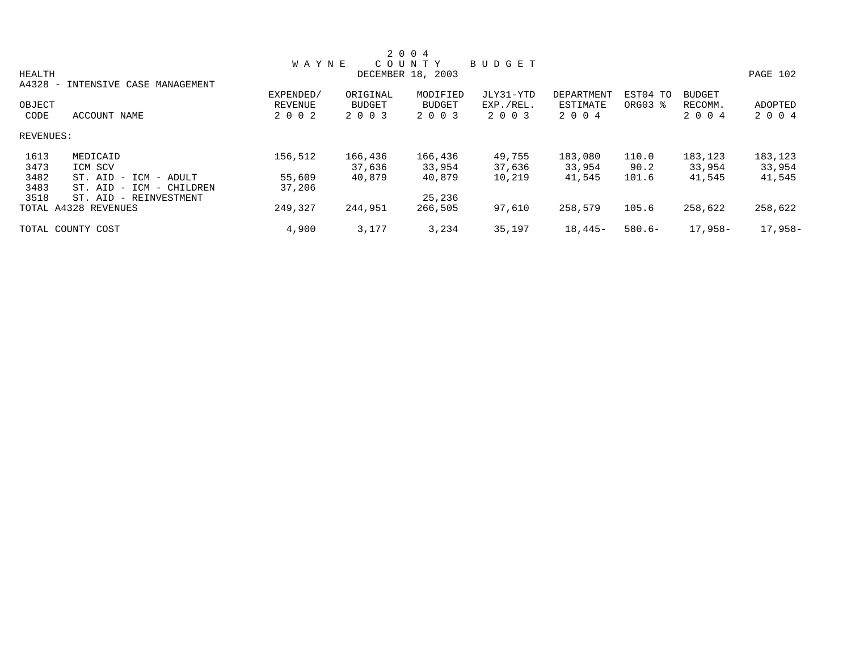|                                   |                                     |                |               | 2 0 0 4           |           |            |           |               |          |
|-----------------------------------|-------------------------------------|----------------|---------------|-------------------|-----------|------------|-----------|---------------|----------|
|                                   |                                     | <b>WAYNE</b>   |               | COUNTY            | BUDGET    |            |           |               |          |
| HEALTH                            |                                     |                |               | DECEMBER 18, 2003 |           |            |           |               | PAGE 102 |
| A4328<br>$\overline{\phantom{0}}$ | INTENSIVE CASE MANAGEMENT           |                |               |                   |           |            |           |               |          |
|                                   |                                     | EXPENDED/      | ORIGINAL      | MODIFIED          | JLY31-YTD | DEPARTMENT | EST04 TO  | <b>BUDGET</b> |          |
| OBJECT                            |                                     | <b>REVENUE</b> | <b>BUDGET</b> | BUDGET            | EXP./REL. | ESTIMATE   | ORG03 %   | RECOMM.       | ADOPTED  |
| CODE                              | ACCOUNT NAME                        | 2 0 0 2        | 2 0 0 3       | 2 0 0 3           | 2 0 0 3   | 2 0 0 4    |           | 2 0 0 4       | 2 0 0 4  |
| REVENUES:                         |                                     |                |               |                   |           |            |           |               |          |
| 1613                              | MEDICAID                            | 156,512        | 166,436       | 166,436           | 49,755    | 183,080    | 110.0     | 183,123       | 183,123  |
| 3473                              | ICM SCV                             |                | 37,636        | 33,954            | 37,636    | 33,954     | 90.2      | 33,954        | 33,954   |
| 3482                              | ST. AID<br>- ICM - ADULT            | 55,609         | 40,879        | 40,879            | 10,219    | 41,545     | 101.6     | 41,545        | 41,545   |
| 3483                              | ST. AID<br>ICM<br>- CHILDREN<br>$-$ | 37,206         |               |                   |           |            |           |               |          |
| 3518                              | - REINVESTMENT<br>ST. AID           |                |               | 25,236            |           |            |           |               |          |
|                                   | TOTAL A4328 REVENUES                | 249,327        | 244,951       | 266,505           | 97,610    | 258,579    | 105.6     | 258,622       | 258,622  |
|                                   | TOTAL COUNTY COST                   | 4,900          | 3,177         | 3,234             | 35,197    | $18,445-$  | $580.6 -$ | 17,958-       | 17,958-  |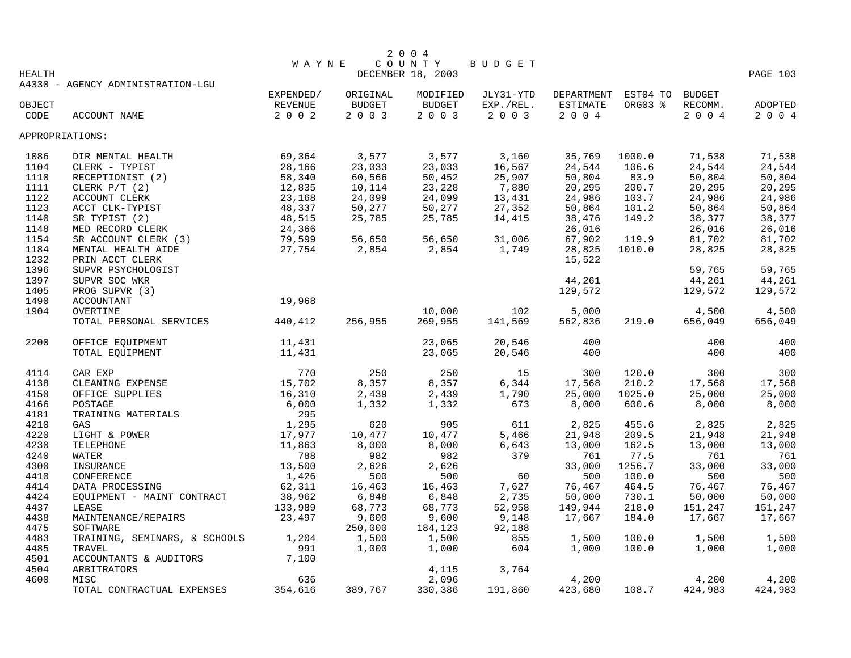|                 |                                   |                 |          | 2 0 0 4           |                   |          |                     |                    |                |
|-----------------|-----------------------------------|-----------------|----------|-------------------|-------------------|----------|---------------------|--------------------|----------------|
|                 |                                   | <b>WAYNE</b>    |          | COUNTY            | BUDGET            |          |                     |                    |                |
| <b>HEALTH</b>   |                                   |                 |          | DECEMBER 18, 2003 |                   |          |                     |                    | PAGE 103       |
|                 | A4330 - AGENCY ADMINISTRATION-LGU |                 |          |                   |                   |          |                     |                    |                |
|                 |                                   | EXPENDED/       | ORIGINAL | MODIFIED          | JLY31-YTD         |          | DEPARTMENT EST04 TO | <b>BUDGET</b>      |                |
| OBJECT          |                                   | REVENUE<br>2002 | BUDGET   | <b>BUDGET</b>     | EXP./REL.<br>2003 | ESTIMATE | ORG03 %             | RECOMM.<br>2 0 0 4 | <b>ADOPTED</b> |
| CODE            | ACCOUNT NAME                      |                 | 2 0 0 3  | 2 0 0 3           |                   | 2 0 0 4  |                     |                    | 2 0 0 4        |
| APPROPRIATIONS: |                                   |                 |          |                   |                   |          |                     |                    |                |
| 1086            | DIR MENTAL HEALTH                 | 69,364          | 3,577    | 3,577             | 3,160             | 35,769   | 1000.0              | 71,538             | 71,538         |
| 1104            | CLERK - TYPIST                    | 28,166          | 23,033   | 23,033            | 16,567            | 24,544   | 106.6               | 24,544             | 24,544         |
| 1110            | RECEPTIONIST (2)                  | 58,340          | 60,566   | 50,452            | 25,907            | 50,804   | 83.9                | 50,804             | 50,804         |
| 1111            | CLERK $P/T$ (2)                   | 12,835          | 10,114   | 23,228            | 7,880             | 20,295   | 200.7               | 20,295             | 20,295         |
| 1122            | ACCOUNT CLERK                     | 23,168          | 24,099   | 24,099            | 13,431            | 24,986   | 103.7               | 24,986             | 24,986         |
| 1123            | ACCT CLK-TYPIST                   | 48,337          | 50,277   | 50,277            | 27,352            | 50,864   | 101.2               | 50,864             | 50,864         |
| 1140            | SR TYPIST (2)                     | 48,515          | 25,785   | 25,785            | 14,415            | 38,476   | 149.2               | 38,377             | 38,377         |
| 1148            | MED RECORD CLERK                  | 24,366          |          |                   |                   | 26,016   |                     | 26,016             | 26,016         |
| 1154            | SR ACCOUNT CLERK (3)              | 79,599          | 56,650   | 56,650            | 31,006            | 67,902   | 119.9               | 81,702             | 81,702         |
| 1184            | MENTAL HEALTH AIDE                | 27,754          | 2,854    | 2,854             | 1,749             | 28,825   | 1010.0              | 28,825             | 28,825         |
| 1232            | PRIN ACCT CLERK                   |                 |          |                   |                   | 15,522   |                     |                    |                |
| 1396            | SUPVR PSYCHOLOGIST                |                 |          |                   |                   |          |                     | 59,765             | 59,765         |
| 1397            | SUPVR SOC WKR                     |                 |          |                   |                   | 44,261   |                     | 44,261             | 44,261         |
| 1405            | PROG SUPVR (3)                    |                 |          |                   |                   | 129,572  |                     | 129,572            | 129,572        |
| 1490            | <b>ACCOUNTANT</b>                 | 19,968          |          |                   |                   |          |                     |                    |                |
| 1904            | OVERTIME                          |                 |          | 10,000            | 102               | 5,000    |                     | 4,500              | 4,500          |
|                 | TOTAL PERSONAL SERVICES           | 440,412         | 256,955  | 269,955           | 141,569           | 562,836  | 219.0               | 656,049            | 656,049        |
| 2200            | OFFICE EQUIPMENT                  | 11,431          |          | 23,065            | 20,546            | 400      |                     | 400                | 400            |
|                 | TOTAL EQUIPMENT                   | 11,431          |          | 23,065            | 20,546            | 400      |                     | 400                | 400            |
|                 |                                   |                 |          |                   |                   |          |                     |                    |                |
| 4114            | CAR EXP                           | 770             | 250      | 250               | 15                | 300      | 120.0               | 300                | 300            |
| 4138            | CLEANING EXPENSE                  | 15,702          | 8,357    | 8,357             | 6,344             | 17,568   | 210.2               | 17,568             | 17,568         |
| 4150            | OFFICE SUPPLIES                   | 16,310          | 2,439    | 2,439             | 1,790             | 25,000   | 1025.0              | 25,000             | 25,000         |
| 4166            | POSTAGE                           | 6,000           | 1,332    | 1,332             | 673               | 8,000    | 600.6               | 8,000              | 8,000          |
| 4181            | TRAINING MATERIALS                | 295             |          |                   |                   |          |                     |                    |                |
| 4210            | GAS                               | 1,295           | 620      | 905               | 611               | 2,825    | 455.6               | 2,825              | 2,825          |
| 4220            | LIGHT & POWER                     | 17,977          | 10,477   | 10,477            | 5,466             | 21,948   | 209.5               | 21,948             | 21,948         |
| 4230            | TELEPHONE                         | 11,863          | 8,000    | 8,000             | 6,643             | 13,000   | 162.5               | 13,000             | 13,000         |
| 4240            | WATER                             | 788             | 982      | 982               | 379               | 761      | 77.5                | 761                | 761            |
| 4300            | INSURANCE                         | 13,500          | 2,626    | 2,626             |                   | 33,000   | 1256.7              | 33,000             | 33,000         |
| 4410            | CONFERENCE                        | 1,426           | 500      | 500               | 60                | 500      | 100.0               | 500                | 500            |
| 4414            | DATA PROCESSING                   | 62,311          | 16,463   | 16,463            | 7,627             | 76,467   | 464.5               | 76,467             | 76,467         |
| 4424            | EQUIPMENT - MAINT CONTRACT        | 38,962          | 6,848    | 6,848             | 2,735             | 50,000   | 730.1               | 50,000             | 50,000         |
| 4437            | LEASE                             | 133,989         | 68,773   | 68,773            | 52,958            | 149,944  | 218.0               | 151,247            | 151,247        |
| 4438            | MAINTENANCE/REPAIRS               | 23,497          | 9,600    | 9,600             | 9,148             | 17,667   | 184.0               | 17,667             | 17,667         |
| 4475            | SOFTWARE                          |                 | 250,000  | 184,123           | 92,188            |          |                     |                    |                |
| 4483            | TRAINING, SEMINARS, & SCHOOLS     | 1,204           | 1,500    | 1,500             | 855               | 1,500    | 100.0               | 1,500              | 1,500          |
| 4485            | <b>TRAVEL</b>                     | 991             | 1,000    | 1,000             | 604               | 1,000    | 100.0               | 1,000              | 1,000          |
| 4501            | ACCOUNTANTS & AUDITORS            | 7,100           |          |                   |                   |          |                     |                    |                |
| 4504            | ARBITRATORS                       |                 |          | 4,115             | 3,764             |          |                     |                    |                |
| 4600            | MISC                              | 636             |          | 2,096             |                   | 4,200    |                     | 4,200              | 4,200          |
|                 | TOTAL CONTRACTUAL EXPENSES        | 354,616         | 389,767  | 330,386           | 191,860           | 423,680  | 108.7               | 424,983            | 424,983        |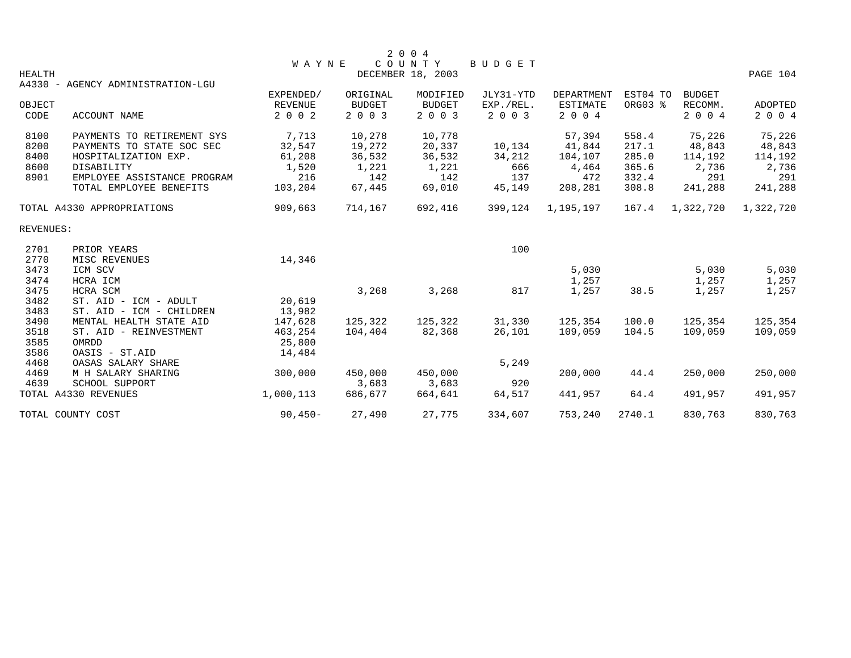|           |                                   |                |               | 2 0 0 4           |               |                 |          |               |           |
|-----------|-----------------------------------|----------------|---------------|-------------------|---------------|-----------------|----------|---------------|-----------|
|           |                                   | <b>WAYNE</b>   |               | COUNTY            | <b>BUDGET</b> |                 |          |               |           |
| HEALTH    |                                   |                |               | DECEMBER 18, 2003 |               |                 |          |               | PAGE 104  |
|           | A4330 - AGENCY ADMINISTRATION-LGU |                |               |                   |               |                 |          |               |           |
|           |                                   | EXPENDED/      | ORIGINAL      | MODIFIED          | JLY31-YTD     | DEPARTMENT      | EST04 TO | <b>BUDGET</b> |           |
| OBJECT    |                                   | <b>REVENUE</b> | <b>BUDGET</b> | <b>BUDGET</b>     | EXP./REL.     | <b>ESTIMATE</b> | ORG03 %  | RECOMM.       | ADOPTED   |
| CODE      | <b>ACCOUNT NAME</b>               | 2 0 0 2        | 2003          | 2003              | 2 0 0 3       | 2 0 0 4         |          | 2 0 0 4       | 2 0 0 4   |
| 8100      | PAYMENTS TO RETIREMENT SYS        | 7,713          | 10,278        | 10,778            |               | 57,394          | 558.4    | 75,226        | 75,226    |
| 8200      | PAYMENTS TO STATE SOC SEC         | 32,547         | 19,272        | 20,337            | 10,134        | 41,844          | 217.1    | 48,843        | 48,843    |
| 8400      | HOSPITALIZATION EXP.              | 61,208         | 36,532        | 36,532            | 34,212        | 104,107         | 285.0    | 114,192       | 114,192   |
| 8600      | DISABILITY                        | 1,520          | 1,221         | 1,221             | 666           | 4,464           | 365.6    | 2,736         | 2,736     |
| 8901      | EMPLOYEE ASSISTANCE PROGRAM       | 216            | 142           | 142               | 137           | 472             | 332.4    | 291           | 291       |
|           | TOTAL EMPLOYEE BENEFITS           | 103,204        | 67,445        | 69,010            | 45,149        | 208,281         | 308.8    | 241,288       | 241,288   |
|           | TOTAL A4330 APPROPRIATIONS        | 909,663        | 714,167       | 692,416           | 399,124       | 1,195,197       | 167.4    | 1,322,720     | 1,322,720 |
| REVENUES: |                                   |                |               |                   |               |                 |          |               |           |
| 2701      | PRIOR YEARS                       |                |               |                   | 100           |                 |          |               |           |
| 2770      | MISC REVENUES                     | 14,346         |               |                   |               |                 |          |               |           |
| 3473      | ICM SCV                           |                |               |                   |               | 5,030           |          | 5,030         | 5,030     |
| 3474      | HCRA ICM                          |                |               |                   |               | 1,257           |          | 1,257         | 1,257     |
| 3475      | HCRA SCM                          |                | 3,268         | 3,268             | 817           | 1,257           | 38.5     | 1,257         | 1,257     |
| 3482      | ST. AID - ICM - ADULT             | 20,619         |               |                   |               |                 |          |               |           |
| 3483      | ST. AID - ICM - CHILDREN          | 13,982         |               |                   |               |                 |          |               |           |
| 3490      | MENTAL HEALTH STATE AID           | 147,628        | 125,322       | 125,322           | 31,330        | 125,354         | 100.0    | 125,354       | 125,354   |
| 3518      | ST. AID - REINVESTMENT            | 463,254        | 104,404       | 82,368            | 26,101        | 109,059         | 104.5    | 109,059       | 109,059   |
| 3585      | OMRDD                             | 25,800         |               |                   |               |                 |          |               |           |
| 3586      | OASIS - ST.AID                    | 14,484         |               |                   |               |                 |          |               |           |
| 4468      | OASAS SALARY SHARE                |                |               |                   | 5,249         |                 |          |               |           |
| 4469      | M H SALARY SHARING                | 300,000        | 450,000       | 450,000           |               | 200,000         | 44.4     | 250,000       | 250,000   |
| 4639      | SCHOOL SUPPORT                    |                | 3,683         | 3,683             | 920           |                 |          |               |           |
|           | TOTAL A4330 REVENUES              | 1,000,113      | 686,677       | 664,641           | 64,517        | 441,957         | 64.4     | 491,957       | 491,957   |
|           | TOTAL COUNTY COST                 | $90,450-$      | 27,490        | 27,775            | 334,607       | 753,240         | 2740.1   | 830,763       | 830,763   |
|           |                                   |                |               |                   |               |                 |          |               |           |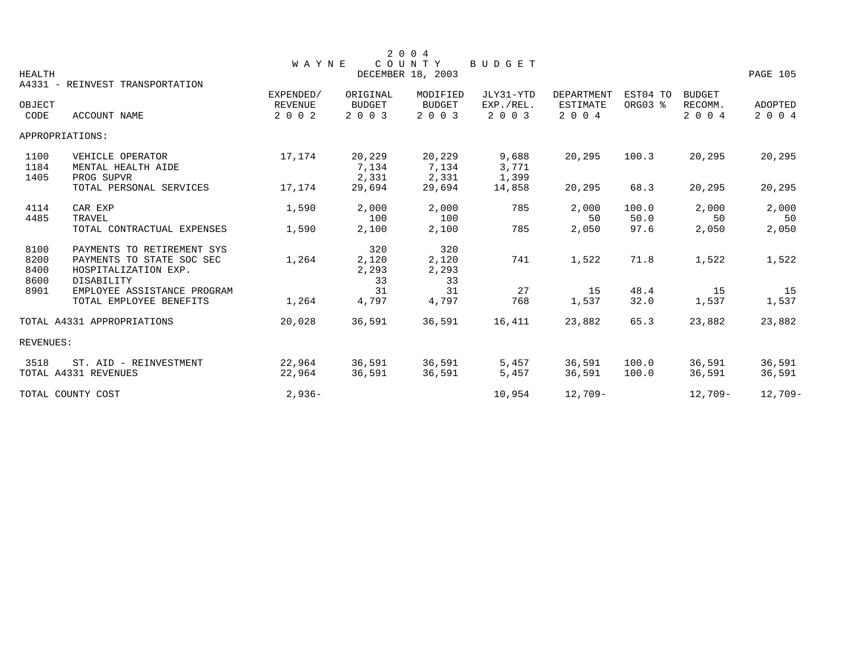| 2 0 0 4<br>COUNTY<br>BUDGET<br><b>WAYNE</b><br><b>HEALTH</b><br>DECEMBER 18, 2003<br>PAGE 105<br>A4331 - REINVEST TRANSPORTATION |                                                                                               |                                        |                                      |                                      |                                   |                                                 |                     |                                     |                           |  |  |
|----------------------------------------------------------------------------------------------------------------------------------|-----------------------------------------------------------------------------------------------|----------------------------------------|--------------------------------------|--------------------------------------|-----------------------------------|-------------------------------------------------|---------------------|-------------------------------------|---------------------------|--|--|
| OBJECT<br>CODE                                                                                                                   | ACCOUNT NAME                                                                                  | EXPENDED/<br><b>REVENUE</b><br>2 0 0 2 | ORIGINAL<br><b>BUDGET</b><br>2 0 0 3 | MODIFIED<br><b>BUDGET</b><br>2 0 0 3 | JLY31-YTD<br>EXP./REL.<br>2 0 0 3 | <b>DEPARTMENT</b><br><b>ESTIMATE</b><br>2 0 0 4 | EST04 TO<br>ORG03 % | <b>BUDGET</b><br>RECOMM.<br>2 0 0 4 | <b>ADOPTED</b><br>2 0 0 4 |  |  |
| APPROPRIATIONS:                                                                                                                  |                                                                                               |                                        |                                      |                                      |                                   |                                                 |                     |                                     |                           |  |  |
| 1100<br>1184<br>1405                                                                                                             | VEHICLE OPERATOR<br>MENTAL HEALTH AIDE<br>PROG SUPVR                                          | 17,174                                 | 20,229<br>7,134<br>2,331             | 20,229<br>7,134<br>2,331             | 9,688<br>3,771<br>1,399           | 20,295                                          | 100.3               | 20,295                              | 20,295                    |  |  |
|                                                                                                                                  | TOTAL PERSONAL SERVICES                                                                       | 17,174                                 | 29,694                               | 29,694                               | 14,858                            | 20,295                                          | 68.3                | 20,295                              | 20,295                    |  |  |
| 4114<br>4485                                                                                                                     | CAR EXP<br>TRAVEL                                                                             | 1,590                                  | 2,000<br>100                         | 2,000<br>100                         | 785                               | 2,000<br>50                                     | 100.0<br>50.0       | 2,000<br>50                         | 2,000<br>50               |  |  |
|                                                                                                                                  | TOTAL CONTRACTUAL EXPENSES                                                                    | 1,590                                  | 2,100                                | 2,100                                | 785                               | 2,050                                           | 97.6                | 2,050                               | 2,050                     |  |  |
| 8100<br>8200<br>8400<br>8600                                                                                                     | PAYMENTS TO RETIREMENT SYS<br>PAYMENTS TO STATE SOC SEC<br>HOSPITALIZATION EXP.<br>DISABILITY | 1,264                                  | 320<br>2,120<br>2,293<br>33          | 320<br>2,120<br>2,293<br>33          | 741                               | 1,522                                           | 71.8                | 1,522                               | 1,522                     |  |  |
| 8901                                                                                                                             | EMPLOYEE ASSISTANCE PROGRAM<br>TOTAL EMPLOYEE BENEFITS                                        | 1,264                                  | 31<br>4,797                          | 31<br>4,797                          | 27<br>768                         | 15<br>1,537                                     | 48.4<br>32.0        | 15<br>1,537                         | 15<br>1,537               |  |  |
|                                                                                                                                  | TOTAL A4331 APPROPRIATIONS                                                                    | 20,028                                 | 36,591                               | 36,591                               | 16,411                            | 23,882                                          | 65.3                | 23,882                              | 23,882                    |  |  |
| REVENUES:                                                                                                                        |                                                                                               |                                        |                                      |                                      |                                   |                                                 |                     |                                     |                           |  |  |
| 3518                                                                                                                             | ST. AID - REINVESTMENT<br>TOTAL A4331 REVENUES                                                | 22,964<br>22,964                       | 36,591<br>36,591                     | 36,591<br>36,591                     | 5,457<br>5,457                    | 36,591<br>36,591                                | 100.0<br>100.0      | 36,591<br>36,591                    | 36,591<br>36,591          |  |  |
|                                                                                                                                  | TOTAL COUNTY COST                                                                             | $2,936-$                               |                                      |                                      | 10,954                            | 12,709-                                         |                     | 12,709-                             | $12,709-$                 |  |  |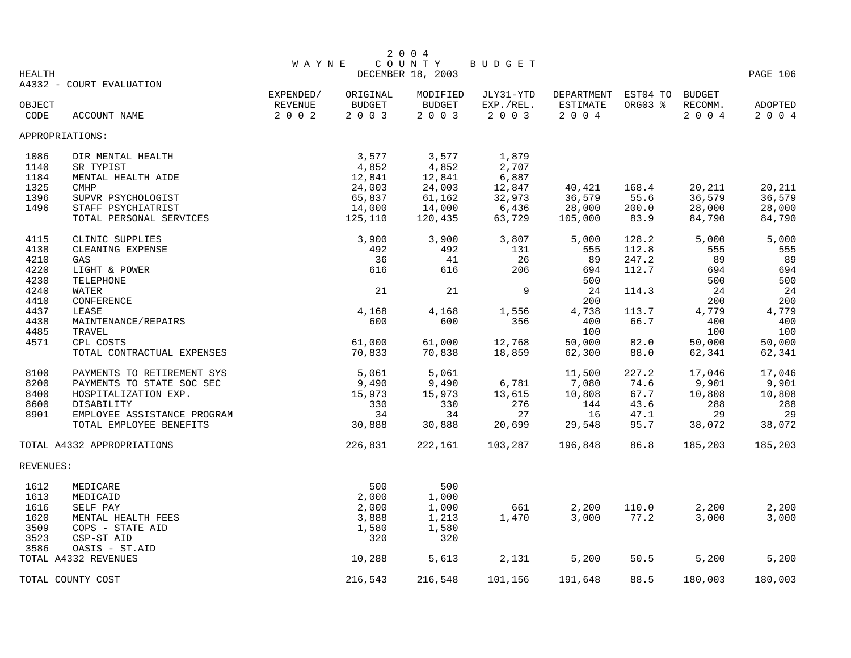|               |                             |              |               | 2 0 0 4           |                 |            |          |               |          |
|---------------|-----------------------------|--------------|---------------|-------------------|-----------------|------------|----------|---------------|----------|
|               |                             | <b>WAYNE</b> |               | COUNTY            | BUDGET          |            |          |               |          |
| <b>HEALTH</b> |                             |              |               | DECEMBER 18, 2003 |                 |            |          |               | PAGE 106 |
|               | A4332 - COURT EVALUATION    |              |               |                   |                 |            |          |               |          |
|               |                             | EXPENDED/    | ORIGINAL      | MODIFIED          | JLY31-YTD       | DEPARTMENT | EST04 TO | <b>BUDGET</b> |          |
| OBJECT        |                             | REVENUE      | <b>BUDGET</b> | <b>BUDGET</b>     | EXP./REL.       | ESTIMATE   | ORG03 %  | RECOMM.       | ADOPTED  |
| CODE          | ACCOUNT NAME                | 2 0 0 2      | 2 0 0 3       | 2003              | 2 0 0 3         | 2004       |          | 2 0 0 4       | 2 0 0 4  |
|               | APPROPRIATIONS:             |              |               |                   |                 |            |          |               |          |
| 1086          | DIR MENTAL HEALTH           |              | 3,577         | 3,577             | 1,879           |            |          |               |          |
| 1140          | SR TYPIST                   |              | 4,852         | 4,852             | 2,707           |            |          |               |          |
| 1184          | MENTAL HEALTH AIDE          |              | 12,841        | 12,841            | 6,887           |            |          |               |          |
| 1325          | <b>CMHP</b>                 |              | 24,003        | 24,003            | 12,847          | 40,421     | 168.4    | 20,211        | 20,211   |
| 1396          | SUPVR PSYCHOLOGIST          |              | 65,837        | 61,162            | 32,973          | 36,579     | 55.6     | 36,579        | 36,579   |
| 1496          | STAFF PSYCHIATRIST          |              | 14,000        | 14,000            | 6,436           | 28,000     | 200.0    | 28,000        | 28,000   |
|               | TOTAL PERSONAL SERVICES     |              | 125,110       | 120,435           | 63,729          | 105,000    | 83.9     | 84,790        | 84,790   |
| 4115          | CLINIC SUPPLIES             |              | 3,900         | 3,900             | 3,807           | 5,000      | 128.2    | 5,000         | 5,000    |
| 4138          | CLEANING EXPENSE            |              | 492           | 492               | 131             | 555        | 112.8    | 555           | 555      |
| 4210          | GAS                         |              | 36            | 41                | 26              | 89         | 247.2    | 89            | 89       |
| 4220          | LIGHT & POWER               |              | 616           | 616               | 206             | 694        | 112.7    | 694           | 694      |
| 4230          | TELEPHONE                   |              |               |                   |                 | 500        |          | 500           | 500      |
| 4240          | WATER                       |              | 21            | 21                | 9               | 24         | 114.3    | 24            | 24       |
| 4410          | CONFERENCE                  |              |               |                   |                 | 200        |          | 200           | 200      |
| 4437          | LEASE                       |              | 4,168         | 4,168             | 1,556           | 4,738      | 113.7    | 4,779         | 4,779    |
| 4438          | MAINTENANCE/REPAIRS         |              | 600           | 600               | 356             | 400        | 66.7     | 400           | 400      |
| 4485          | TRAVEL                      |              |               |                   |                 | 100        |          | 100           | 100      |
| 4571          | CPL COSTS                   |              | 61,000        | 61,000            | 12,768          | 50,000     | 82.0     | 50,000        | 50,000   |
|               | TOTAL CONTRACTUAL EXPENSES  |              | 70,833        | 70,838            | 18,859          | 62,300     | 88.0     | 62,341        | 62,341   |
| 8100          | PAYMENTS TO RETIREMENT SYS  |              | 5,061         | 5,061             |                 | 11,500     | 227.2    | 17,046        | 17,046   |
| 8200          | PAYMENTS TO STATE SOC SEC   |              | 9,490         | 9,490             |                 | 7,080      | 74.6     | 9,901         | 9,901    |
| 8400          | HOSPITALIZATION EXP.        |              | 15,973        | 15,973            | 6,781<br>13,615 | 10,808     | 67.7     | 10,808        | 10,808   |
| 8600          | DISABILITY                  |              | 330           | 330               | 276             | 144        | 43.6     | 288           | 288      |
| 8901          | EMPLOYEE ASSISTANCE PROGRAM |              | 34            | 34                | 27              | 16         | 47.1     | 29            | 29       |
|               | TOTAL EMPLOYEE BENEFITS     |              | 30,888        | 30,888            | 20,699          | 29,548     | 95.7     | 38,072        | 38,072   |
|               | TOTAL A4332 APPROPRIATIONS  |              | 226,831       | 222,161           | 103,287         | 196,848    | 86.8     | 185,203       | 185,203  |
| REVENUES:     |                             |              |               |                   |                 |            |          |               |          |
| 1612          | MEDICARE                    |              | 500           | 500               |                 |            |          |               |          |
| 1613          | MEDICAID                    |              | 2,000         | 1,000             |                 |            |          |               |          |
| 1616          | SELF PAY                    |              | 2,000         | 1,000             | 661             | 2,200      | 110.0    | 2,200         | 2,200    |
| 1620          | MENTAL HEALTH FEES          |              | 3,888         | 1,213             | 1,470           | 3,000      | 77.2     | 3,000         | 3,000    |
| 3509          | COPS - STATE AID            |              | 1,580         | 1,580             |                 |            |          |               |          |
| 3523          | CSP-ST AID                  |              | 320           | 320               |                 |            |          |               |          |
| 3586          | OASIS - ST.AID              |              |               |                   |                 |            |          |               |          |
|               | TOTAL A4332 REVENUES        |              | 10,288        | 5,613             | 2,131           | 5,200      | 50.5     | 5,200         | 5,200    |
|               | TOTAL COUNTY COST           |              | 216,543       | 216,548           | 101,156         | 191,648    | 88.5     | 180,003       | 180,003  |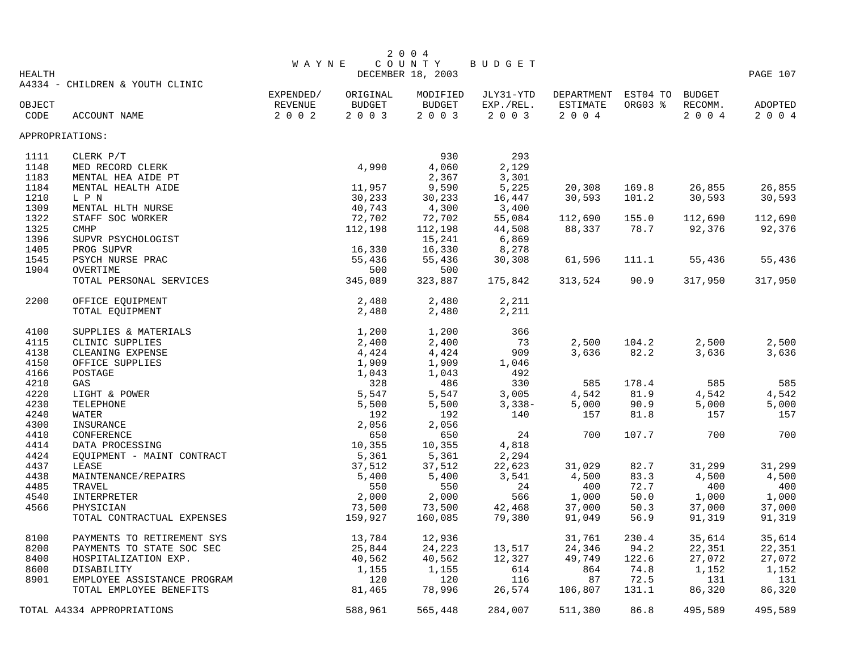|               |                                 |              |               | 2 0 0 4           |               |                     |         |         |          |
|---------------|---------------------------------|--------------|---------------|-------------------|---------------|---------------------|---------|---------|----------|
|               |                                 | <b>WAYNE</b> |               | COUNTY            | <b>BUDGET</b> |                     |         |         |          |
| <b>HEALTH</b> |                                 |              |               | DECEMBER 18, 2003 |               |                     |         |         | PAGE 107 |
|               | A4334 - CHILDREN & YOUTH CLINIC | EXPENDED/    | ORIGINAL      | MODIFIED          | JLY31-YTD     | DEPARTMENT EST04 TO |         | BUDGET  |          |
| OBJECT        |                                 | REVENUE      | <b>BUDGET</b> | <b>BUDGET</b>     | EXP./REL.     | ESTIMATE            | ORG03 % | RECOMM. | ADOPTED  |
| CODE          | ACCOUNT NAME                    | 2 0 0 2      | 2003          | 2003              | 2 0 0 3       | 2004                |         | 2 0 0 4 | 2 0 0 4  |
|               | APPROPRIATIONS:                 |              |               |                   |               |                     |         |         |          |
|               |                                 |              |               |                   |               |                     |         |         |          |
| 1111          | CLERK P/T                       |              |               | 930               | 293           |                     |         |         |          |
| 1148          | MED RECORD CLERK                |              | 4,990         | 4,060             | 2,129         |                     |         |         |          |
| 1183          | MENTAL HEA AIDE PT              |              |               | 2,367             | 3,301         |                     |         |         |          |
| 1184          | MENTAL HEALTH AIDE              |              | 11,957        | 9,590             | 5,225         | 20,308              | 169.8   | 26,855  | 26,855   |
| 1210          | L P N                           |              | 30,233        | 30,233            | 16,447        | 30,593              | 101.2   | 30,593  | 30,593   |
| 1309          | MENTAL HLTH NURSE               |              | 40,743        | 4,300             | 3,400         |                     |         |         |          |
| 1322          | STAFF SOC WORKER                |              | 72,702        | 72,702            | 55,084        | 112,690             | 155.0   | 112,690 | 112,690  |
| 1325          | <b>CMHP</b>                     |              | 112,198       | 112,198           | 44,508        | 88,337              | 78.7    | 92,376  | 92,376   |
| 1396          | SUPVR PSYCHOLOGIST              |              |               | 15,241            | 6,869         |                     |         |         |          |
| 1405          | PROG SUPVR                      |              | 16,330        | 16,330            | 8,278         |                     |         |         |          |
| 1545          | PSYCH NURSE PRAC                |              | 55,436        | 55,436            | 30,308        | 61,596              | 111.1   | 55,436  | 55,436   |
| 1904          | OVERTIME                        |              | 500           | 500               |               |                     |         |         |          |
|               | TOTAL PERSONAL SERVICES         |              | 345,089       | 323,887           | 175,842       | 313,524             | 90.9    | 317,950 | 317,950  |
| 2200          | OFFICE EQUIPMENT                |              | 2,480         | 2,480             | 2,211         |                     |         |         |          |
|               | TOTAL EQUIPMENT                 |              | 2,480         | 2,480             | 2,211         |                     |         |         |          |
| 4100          | SUPPLIES & MATERIALS            |              | 1,200         | 1,200             | 366           |                     |         |         |          |
| 4115          | CLINIC SUPPLIES                 |              | 2,400         | 2,400             | 73            | 2,500               | 104.2   | 2,500   | 2,500    |
| 4138          | CLEANING EXPENSE                |              | 4,424         | 4,424             | 909           | 3,636               | 82.2    | 3,636   | 3,636    |
| 4150          | OFFICE SUPPLIES                 |              | 1,909         | 1,909             | 1,046         |                     |         |         |          |
| 4166          | POSTAGE                         |              | 1,043         | 1,043             | 492           |                     |         |         |          |
| 4210          | GAS                             |              | 328           | 486               | 330           | 585                 | 178.4   | 585     | 585      |
| 4220          | LIGHT & POWER                   |              | 5,547         | 5,547             | 3,005         | 4,542               | 81.9    | 4,542   | 4,542    |
| 4230          | TELEPHONE                       |              | 5,500         | 5,500             | $3,338-$      | 5,000               | 90.9    | 5,000   | 5,000    |
| 4240          | WATER                           |              | 192           | 192               | 140           | 157                 | 81.8    | 157     | 157      |
| 4300          | INSURANCE                       |              | 2,056         | 2,056             |               |                     |         |         |          |
| 4410          | CONFERENCE                      |              | 650           | 650               | 24            | 700                 | 107.7   | 700     | 700      |
| 4414          | DATA PROCESSING                 |              | 10,355        | 10,355            | 4,818         |                     |         |         |          |
| 4424          | EQUIPMENT - MAINT CONTRACT      |              | 5,361         | 5,361             | 2,294         |                     |         |         |          |
| 4437          | LEASE                           |              | 37,512        | 37,512            | 22,623        | 31,029              | 82.7    | 31,299  | 31,299   |
| 4438          | MAINTENANCE/REPAIRS             |              | 5,400         | 5,400             | 3,541         | 4,500               | 83.3    | 4,500   | 4,500    |
| 4485          | TRAVEL                          |              | 550           | 550               | 24            | 400                 | 72.7    | 400     | 400      |
| 4540          | INTERPRETER                     |              | 2,000         | 2,000             | 566           | 1,000               | 50.0    | 1,000   | 1,000    |
| 4566          | PHYSICIAN                       |              | 73,500        | 73,500            | 42,468        | 37,000              | 50.3    | 37,000  | 37,000   |
|               | TOTAL CONTRACTUAL EXPENSES      |              | 159,927       | 160,085           | 79,380        | 91,049              | 56.9    | 91,319  | 91,319   |
| 8100          | PAYMENTS TO RETIREMENT SYS      |              | 13,784        | 12,936            |               | 31,761              | 230.4   | 35,614  | 35,614   |
| 8200          | PAYMENTS TO STATE SOC SEC       |              | 25,844        | 24,223            | 13,517        | 24,346              | 94.2    | 22,351  | 22,351   |
| 8400          | HOSPITALIZATION EXP.            |              | 40,562        | 40,562            | 12,327        | 49,749              | 122.6   | 27,072  | 27,072   |
| 8600          | DISABILITY                      |              | 1,155         | 1,155             | 614           | 864                 | 74.8    | 1,152   | 1,152    |
| 8901          | EMPLOYEE ASSISTANCE PROGRAM     |              | 120           | 120               | 116           | 87                  | 72.5    | 131     | 131      |
|               | TOTAL EMPLOYEE BENEFITS         |              | 81,465        | 78,996            | 26,574        | 106,807             | 131.1   | 86,320  | 86,320   |
|               | TOTAL A4334 APPROPRIATIONS      |              | 588,961       | 565,448           | 284,007       | 511,380             | 86.8    | 495,589 | 495,589  |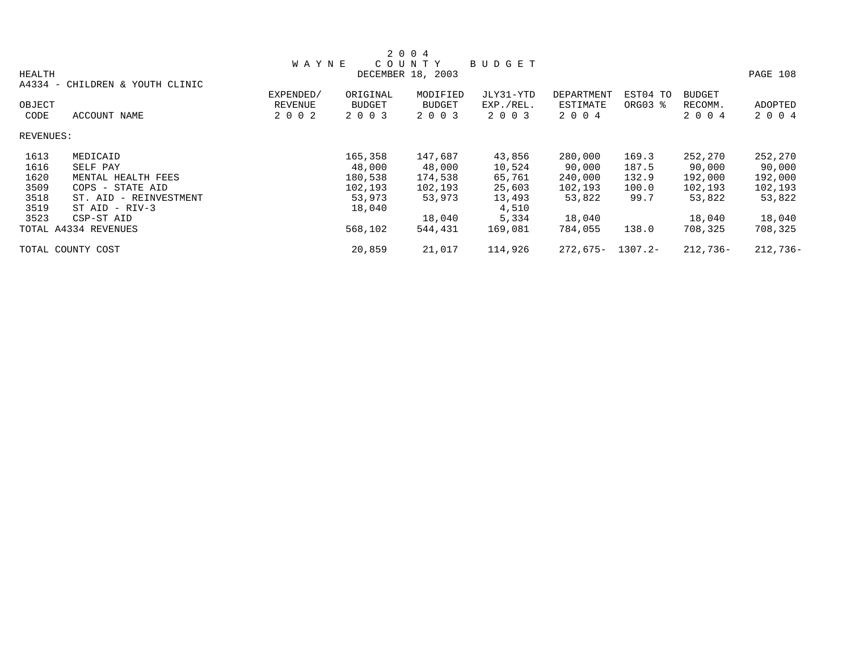|           |                                           |              |               | 2 0 0 4           |               |                   |            |               |            |
|-----------|-------------------------------------------|--------------|---------------|-------------------|---------------|-------------------|------------|---------------|------------|
|           |                                           | <b>WAYNE</b> |               | COUNTY            | <b>BUDGET</b> |                   |            |               |            |
| HEALTH    |                                           |              |               | DECEMBER 18, 2003 |               |                   |            |               | PAGE 108   |
| A4334     | CHILDREN & YOUTH CLINIC<br>$\sim$ $ \sim$ |              |               |                   |               |                   |            |               |            |
|           |                                           | EXPENDED/    | ORIGINAL      | MODIFIED          | JLY31-YTD     | <b>DEPARTMENT</b> | EST04 TO   | <b>BUDGET</b> |            |
| OBJECT    |                                           | REVENUE      | <b>BUDGET</b> | <b>BUDGET</b>     | EXP./REL.     | ESTIMATE          | ORG03 %    | RECOMM.       | ADOPTED    |
| CODE      | ACCOUNT NAME                              | 2 0 0 2      | 2 0 0 3       | 2 0 0 3           | 2 0 0 3       | 2 0 0 4           |            | 2 0 0 4       | 2 0 0 4    |
| REVENUES: |                                           |              |               |                   |               |                   |            |               |            |
| 1613      | MEDICAID                                  |              | 165,358       | 147,687           | 43,856        | 280,000           | 169.3      | 252,270       | 252,270    |
| 1616      | SELF PAY                                  |              | 48,000        | 48,000            | 10,524        | 90,000            | 187.5      | 90,000        | 90,000     |
| 1620      | MENTAL HEALTH FEES                        |              | 180,538       | 174,538           | 65,761        | 240,000           | 132.9      | 192,000       | 192,000    |
| 3509      | $COPS$ –<br>STATE AID                     |              | 102,193       | 102,193           | 25,603        | 102,193           | 100.0      | 102,193       | 102,193    |
| 3518      | ST. AID - REINVESTMENT                    |              | 53,973        | 53,973            | 13,493        | 53,822            | 99.7       | 53,822        | 53,822     |
| 3519      | $ST$ AID - RIV-3                          |              | 18,040        |                   | 4,510         |                   |            |               |            |
| 3523      | CSP-ST AID                                |              |               | 18,040            | 5,334         | 18,040            |            | 18,040        | 18,040     |
|           | TOTAL A4334 REVENUES                      |              | 568,102       | 544,431           | 169,081       | 784,055           | 138.0      | 708,325       | 708,325    |
|           | TOTAL COUNTY COST                         |              | 20,859        | 21,017            | 114,926       | 272,675-          | $1307.2 -$ | $212,736-$    | $212,736-$ |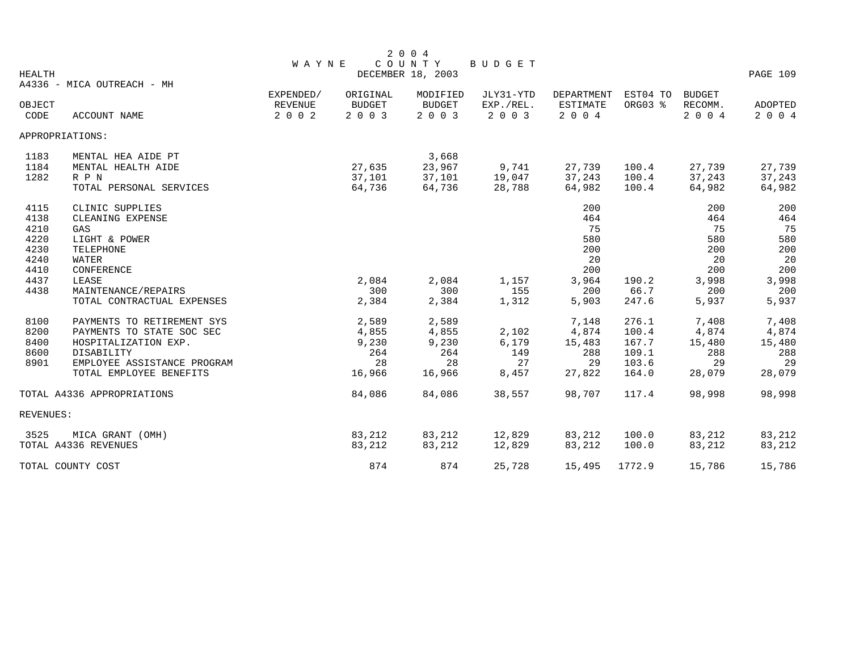| <b>HEALTH</b>                                        |                                                                                                                                                         | <b>WAYNE</b>                           |                                                | 2004<br>COUNTY<br>DECEMBER 18, 2003            | BUDGET                               |                                                 |                                                    |                                                 | PAGE 109                                        |
|------------------------------------------------------|---------------------------------------------------------------------------------------------------------------------------------------------------------|----------------------------------------|------------------------------------------------|------------------------------------------------|--------------------------------------|-------------------------------------------------|----------------------------------------------------|-------------------------------------------------|-------------------------------------------------|
| OBJECT<br>CODE                                       | A4336 - MICA OUTREACH - MH<br>ACCOUNT NAME                                                                                                              | EXPENDED/<br><b>REVENUE</b><br>2 0 0 2 | ORIGINAL<br><b>BUDGET</b><br>2 0 0 3           | MODIFIED<br><b>BUDGET</b><br>2 0 0 3           | JLY31-YTD<br>EXP./REL.<br>2 0 0 3    | DEPARTMENT<br><b>ESTIMATE</b><br>2004           | EST04 TO<br>ORG03 %                                | <b>BUDGET</b><br>RECOMM.<br>2 0 0 4             | ADOPTED<br>2 0 0 4                              |
|                                                      | APPROPRIATIONS:                                                                                                                                         |                                        |                                                |                                                |                                      |                                                 |                                                    |                                                 |                                                 |
| 1183<br>1184<br>1282                                 | MENTAL HEA AIDE PT<br>MENTAL HEALTH AIDE<br>R P N<br>TOTAL PERSONAL SERVICES                                                                            |                                        | 27,635<br>37,101<br>64,736                     | 3,668<br>23,967<br>37,101<br>64,736            | 9,741<br>19,047<br>28,788            | 27,739<br>37,243<br>64,982                      | 100.4<br>100.4<br>100.4                            | 27,739<br>37,243<br>64,982                      | 27,739<br>37,243<br>64,982                      |
| 4115<br>4138<br>4210<br>4220<br>4230<br>4240<br>4410 | CLINIC SUPPLIES<br>CLEANING EXPENSE<br>GAS<br>LIGHT & POWER<br>TELEPHONE<br><b>WATER</b><br>CONFERENCE                                                  |                                        |                                                |                                                |                                      | 200<br>464<br>75<br>580<br>200<br>20<br>200     |                                                    | 200<br>464<br>75<br>580<br>200<br>20<br>200     | 200<br>464<br>75<br>580<br>200<br>20<br>200     |
| 4437<br>4438                                         | LEASE<br>MAINTENANCE/REPAIRS<br>TOTAL CONTRACTUAL EXPENSES                                                                                              |                                        | 2,084<br>300<br>2,384                          | 2,084<br>300<br>2,384                          | 1,157<br>155<br>1,312                | 3,964<br>200<br>5,903                           | 190.2<br>66.7<br>247.6                             | 3,998<br>200<br>5,937                           | 3,998<br>200<br>5,937                           |
| 8100<br>8200<br>8400<br>8600<br>8901                 | PAYMENTS TO RETIREMENT SYS<br>PAYMENTS TO STATE SOC SEC<br>HOSPITALIZATION EXP.<br>DISABILITY<br>EMPLOYEE ASSISTANCE PROGRAM<br>TOTAL EMPLOYEE BENEFITS |                                        | 2,589<br>4,855<br>9,230<br>264<br>28<br>16,966 | 2,589<br>4,855<br>9,230<br>264<br>28<br>16,966 | 2,102<br>6,179<br>149<br>27<br>8,457 | 7,148<br>4,874<br>15,483<br>288<br>29<br>27,822 | 276.1<br>100.4<br>167.7<br>109.1<br>103.6<br>164.0 | 7,408<br>4,874<br>15,480<br>288<br>29<br>28,079 | 7,408<br>4,874<br>15,480<br>288<br>29<br>28,079 |
|                                                      | TOTAL A4336 APPROPRIATIONS                                                                                                                              |                                        | 84,086                                         | 84,086                                         | 38,557                               | 98,707                                          | 117.4                                              | 98,998                                          | 98,998                                          |
| REVENUES:                                            |                                                                                                                                                         |                                        |                                                |                                                |                                      |                                                 |                                                    |                                                 |                                                 |
| 3525                                                 | MICA GRANT (OMH)<br>TOTAL A4336 REVENUES                                                                                                                |                                        | 83,212<br>83,212                               | 83,212<br>83,212                               | 12,829<br>12,829                     | 83,212<br>83,212                                | 100.0<br>100.0                                     | 83,212<br>83,212                                | 83,212<br>83,212                                |
|                                                      | TOTAL COUNTY COST                                                                                                                                       |                                        | 874                                            | 874                                            | 25,728                               | 15,495                                          | 1772.9                                             | 15,786                                          | 15,786                                          |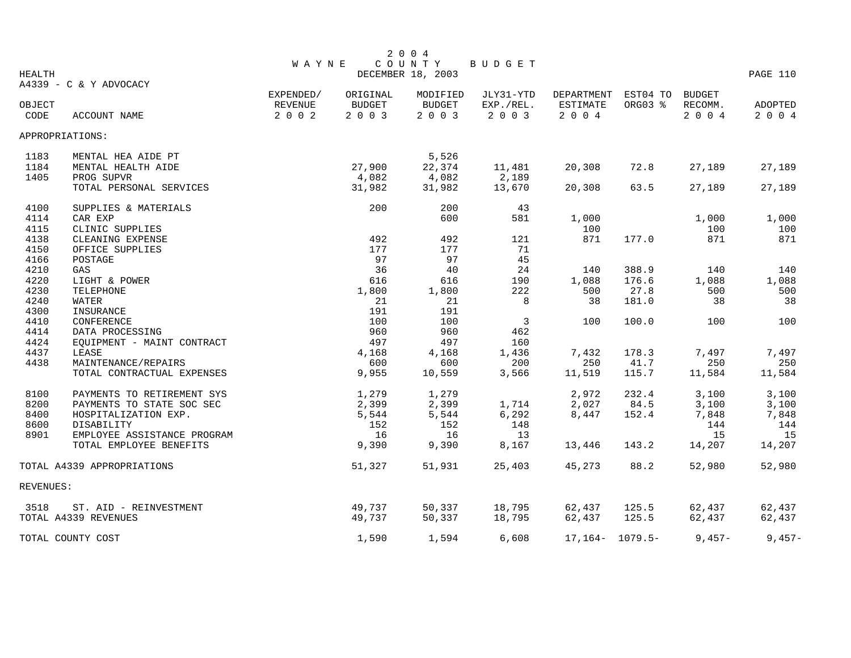|           |                             |              |          | 2 0 0 4                     |                |                     |          |               |          |
|-----------|-----------------------------|--------------|----------|-----------------------------|----------------|---------------------|----------|---------------|----------|
| HEALTH    |                             | <b>WAYNE</b> |          | COUNTY<br>DECEMBER 18, 2003 | BUDGET         |                     |          |               | PAGE 110 |
|           | A4339 - C & Y ADVOCACY      |              |          |                             |                |                     |          |               |          |
|           |                             | EXPENDED/    | ORIGINAL | MODIFIED                    | JLY31-YTD      | DEPARTMENT          | EST04 TO | <b>BUDGET</b> |          |
| OBJECT    |                             | REVENUE      | BUDGET   | BUDGET                      | EXP./REL.      | ESTIMATE            | ORG03 %  | RECOMM.       | ADOPTED  |
| CODE      | ACCOUNT NAME                | 2 0 0 2      | 2 0 0 3  | 2 0 0 3                     | 2 0 0 3        | 2004                |          | 2004          | 2 0 0 4  |
|           | APPROPRIATIONS:             |              |          |                             |                |                     |          |               |          |
| 1183      | MENTAL HEA AIDE PT          |              |          | 5,526                       |                |                     |          |               |          |
| 1184      | MENTAL HEALTH AIDE          |              | 27,900   | 22,374                      | 11,481         | 20,308              | 72.8     | 27,189        | 27,189   |
| 1405      | PROG SUPVR                  |              | 4,082    | 4,082                       | 2,189          |                     |          |               |          |
|           | TOTAL PERSONAL SERVICES     |              | 31,982   | 31,982                      | 13,670         | 20,308              | 63.5     | 27,189        | 27,189   |
| 4100      | SUPPLIES & MATERIALS        |              | 200      | 200                         | 43             |                     |          |               |          |
| 4114      | CAR EXP                     |              |          | 600                         | 581            | 1,000               |          | 1,000         | 1,000    |
| 4115      | CLINIC SUPPLIES             |              |          |                             |                | 100                 |          | 100           | 100      |
| 4138      | CLEANING EXPENSE            |              | 492      | 492                         | 121            | 871                 | 177.0    | 871           | 871      |
| 4150      | OFFICE SUPPLIES             |              | 177      | 177                         | 71             |                     |          |               |          |
| 4166      | POSTAGE                     |              | 97       | 97                          | 45             |                     |          |               |          |
| 4210      | GAS                         |              | 36       | 40                          | 24             | 140                 | 388.9    | 140           | 140      |
| 4220      | LIGHT & POWER               |              | 616      | 616                         | 190            | 1,088               | 176.6    | 1,088         | 1,088    |
| 4230      | TELEPHONE                   |              | 1,800    | 1,800                       | 222            | 500                 | 27.8     | 500           | 500      |
| 4240      | WATER                       |              | 21       | 21                          | 8              | 38                  | 181.0    | 38            | 38       |
| 4300      | INSURANCE                   |              | 191      | 191                         |                |                     |          |               |          |
| 4410      | <b>CONFERENCE</b>           |              | 100      | 100                         | $\overline{3}$ | 100                 | 100.0    | 100           | 100      |
| 4414      | DATA PROCESSING             |              | 960      | 960                         | 462            |                     |          |               |          |
| 4424      | EQUIPMENT - MAINT CONTRACT  |              | 497      | 497                         | 160            |                     |          |               |          |
| 4437      | LEASE                       |              | 4,168    | 4,168                       | 1,436          | 7,432               | 178.3    | 7,497         | 7,497    |
| 4438      | MAINTENANCE/REPAIRS         |              | 600      | 600                         | 200            | 250                 | 41.7     | 250           | 250      |
|           | TOTAL CONTRACTUAL EXPENSES  |              | 9,955    | 10,559                      | 3,566          | 11,519              | 115.7    | 11,584        | 11,584   |
| 8100      | PAYMENTS TO RETIREMENT SYS  |              | 1,279    | 1,279                       |                | 2,972               | 232.4    | 3,100         | 3,100    |
| 8200      | PAYMENTS TO STATE SOC SEC   |              | 2,399    | 2,399                       | 1,714          | 2,027               | 84.5     | 3,100         | 3,100    |
| 8400      | HOSPITALIZATION EXP.        |              | 5,544    | 5,544                       | 6,292          | 8,447               | 152.4    | 7,848         | 7,848    |
| 8600      | DISABILITY                  |              | 152      | 152                         | 148            |                     |          | 144           | 144      |
| 8901      | EMPLOYEE ASSISTANCE PROGRAM |              | 16       | 16                          | 13             |                     |          | 15            | 15       |
|           | TOTAL EMPLOYEE BENEFITS     |              | 9,390    | 9,390                       | 8,167          | 13,446              | 143.2    | 14,207        | 14,207   |
|           | TOTAL A4339 APPROPRIATIONS  |              | 51,327   | 51,931                      | 25,403         | 45,273              | 88.2     | 52,980        | 52,980   |
| REVENUES: |                             |              |          |                             |                |                     |          |               |          |
| 3518      | ST. AID - REINVESTMENT      |              | 49,737   | 50,337                      | 18,795         | 62,437              | 125.5    | 62,437        | 62,437   |
|           | TOTAL A4339 REVENUES        |              | 49,737   | 50,337                      | 18,795         | 62,437              | 125.5    | 62,437        | 62,437   |
|           | TOTAL COUNTY COST           |              | 1,590    | 1,594                       | 6,608          | $17,164 - 1079.5 -$ |          | $9,457-$      | $9,457-$ |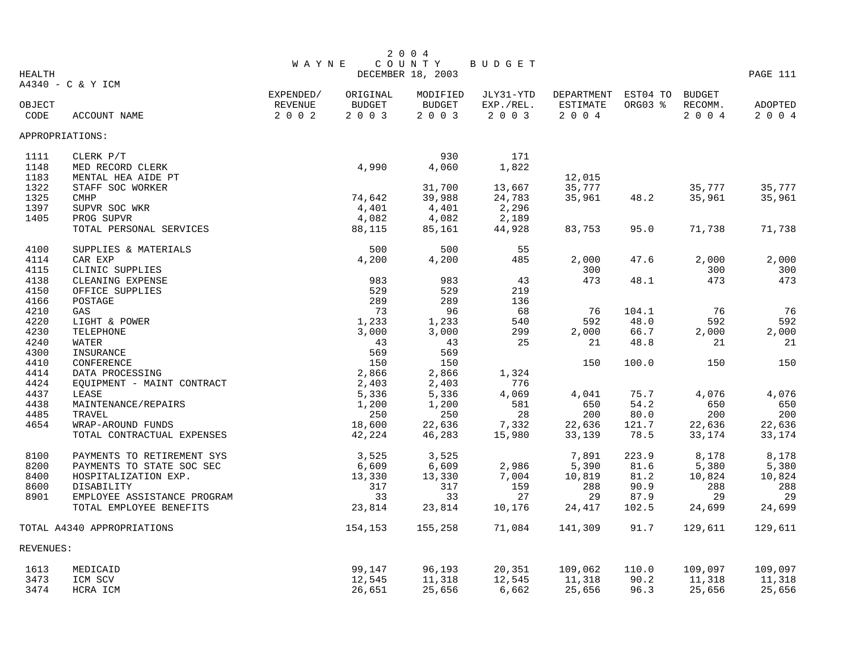|                 |                             |                |               | 2 0 0 4           |           |            |          |               |          |
|-----------------|-----------------------------|----------------|---------------|-------------------|-----------|------------|----------|---------------|----------|
|                 |                             | <b>WAYNE</b>   |               | COUNTY            | BUDGET    |            |          |               |          |
| <b>HEALTH</b>   |                             |                |               | DECEMBER 18, 2003 |           |            |          |               | PAGE 111 |
|                 | A4340 - C & Y ICM           |                |               |                   |           |            |          |               |          |
|                 |                             | EXPENDED/      | ORIGINAL      | MODIFIED          | JLY31-YTD | DEPARTMENT | EST04 TO | <b>BUDGET</b> |          |
| OBJECT          |                             | <b>REVENUE</b> | <b>BUDGET</b> | <b>BUDGET</b>     | EXP./REL. | ESTIMATE   | ORG03 %  | RECOMM.       | ADOPTED  |
| CODE            | ACCOUNT NAME                | 2 0 0 2        | 2 0 0 3       | 2 0 0 3           | 2 0 0 3   | 2 0 0 4    |          | 2 0 0 4       | 2 0 0 4  |
| APPROPRIATIONS: |                             |                |               |                   |           |            |          |               |          |
| 1111            | CLERK P/T                   |                |               | 930               | 171       |            |          |               |          |
| 1148            | MED RECORD CLERK            |                | 4,990         | 4,060             | 1,822     |            |          |               |          |
| 1183            | MENTAL HEA AIDE PT          |                |               |                   |           | 12,015     |          |               |          |
| 1322            | STAFF SOC WORKER            |                |               | 31,700            | 13,667    | 35,777     |          | 35,777        | 35,777   |
| 1325            | <b>CMHP</b>                 |                | 74,642        | 39,988            | 24,783    | 35,961     | 48.2     | 35,961        | 35,961   |
| 1397            | SUPVR SOC WKR               |                | 4,401         | 4,401             | 2,296     |            |          |               |          |
| 1405            | PROG SUPVR                  |                | 4,082         | 4,082             | 2,189     |            |          |               |          |
|                 | TOTAL PERSONAL SERVICES     |                | 88,115        | 85,161            | 44,928    | 83,753     | 95.0     | 71,738        | 71,738   |
| 4100            | SUPPLIES & MATERIALS        |                | 500           | 500               | 55        |            |          |               |          |
| 4114            | CAR EXP                     |                | 4,200         | 4,200             | 485       | 2,000      | 47.6     | 2,000         | 2,000    |
| 4115            | CLINIC SUPPLIES             |                |               |                   |           | 300        |          | 300           | 300      |
| 4138            | CLEANING EXPENSE            |                | 983           | 983               | 43        | 473        | 48.1     | 473           | 473      |
| 4150            | OFFICE SUPPLIES             |                | 529           | 529               | 219       |            |          |               |          |
| 4166            | POSTAGE                     |                | 289           | 289               | 136       |            |          |               |          |
| 4210            | GAS                         |                | 73            | 96                | 68        | 76         | 104.1    | 76            | 76       |
| 4220            | LIGHT & POWER               |                | 1,233         | 1,233             | 540       | 592        | 48.0     | 592           | 592      |
| 4230            | TELEPHONE                   |                | 3,000         | 3,000             | 299       | 2,000      | 66.7     | 2,000         | 2,000    |
| 4240            | WATER                       |                | 43            | 43                | 25        | 21         | 48.8     | 21            | 21       |
| 4300            | INSURANCE                   |                | 569           | 569               |           |            |          |               |          |
| 4410            | CONFERENCE                  |                | 150           | 150               |           | 150        | 100.0    | 150           | 150      |
| 4414            | DATA PROCESSING             |                | 2,866         | 2,866             | 1,324     |            |          |               |          |
| 4424            | EOUIPMENT - MAINT CONTRACT  |                | 2,403         | 2,403             | 776       |            |          |               |          |
| 4437            | LEASE                       |                | 5,336         | 5,336             | 4,069     | 4,041      | 75.7     | 4,076         | 4,076    |
| 4438            | MAINTENANCE/REPAIRS         |                | 1,200         | 1,200             | 581       | 650        | 54.2     | 650           | 650      |
| 4485            | TRAVEL                      |                | 250           | 250               | 28        | 200        | 80.0     | 200           | 200      |
| 4654            | WRAP-AROUND FUNDS           |                | 18,600        | 22,636            | 7,332     | 22,636     | 121.7    | 22,636        | 22,636   |
|                 | TOTAL CONTRACTUAL EXPENSES  |                | 42,224        | 46,283            | 15,980    | 33,139     | 78.5     | 33,174        | 33,174   |
|                 |                             |                |               |                   |           |            |          |               |          |
| 8100            | PAYMENTS TO RETIREMENT SYS  |                | 3,525         | 3,525             |           | 7,891      | 223.9    | 8,178         | 8,178    |
| 8200            | PAYMENTS TO STATE SOC SEC   |                | 6,609         | 6,609             | 2,986     | 5,390      | 81.6     | 5,380         | 5,380    |
| 8400            | HOSPITALIZATION EXP.        |                | 13,330        | 13,330            | 7,004     | 10,819     | 81.2     | 10,824        | 10,824   |
| 8600            | DISABILITY                  |                | 317           | 317               | 159       | 288        | 90.9     | 288           | 288      |
| 8901            | EMPLOYEE ASSISTANCE PROGRAM |                | 33            | 33                | 27        | 29         | 87.9     | 29            | 29       |
|                 | TOTAL EMPLOYEE BENEFITS     |                | 23,814        | 23,814            | 10,176    | 24,417     | 102.5    | 24,699        | 24,699   |
|                 | TOTAL A4340 APPROPRIATIONS  |                | 154,153       | 155,258           | 71,084    | 141,309    | 91.7     | 129,611       | 129,611  |
| REVENUES:       |                             |                |               |                   |           |            |          |               |          |
| 1613            | MEDICAID                    |                | 99,147        | 96,193            | 20,351    | 109,062    | 110.0    | 109,097       | 109,097  |
| 3473            | ICM SCV                     |                | 12,545        | 11,318            | 12,545    | 11,318     | 90.2     | 11,318        | 11,318   |
| 3474            | HCRA ICM                    |                | 26,651        | 25,656            | 6,662     | 25,656     | 96.3     | 25,656        | 25,656   |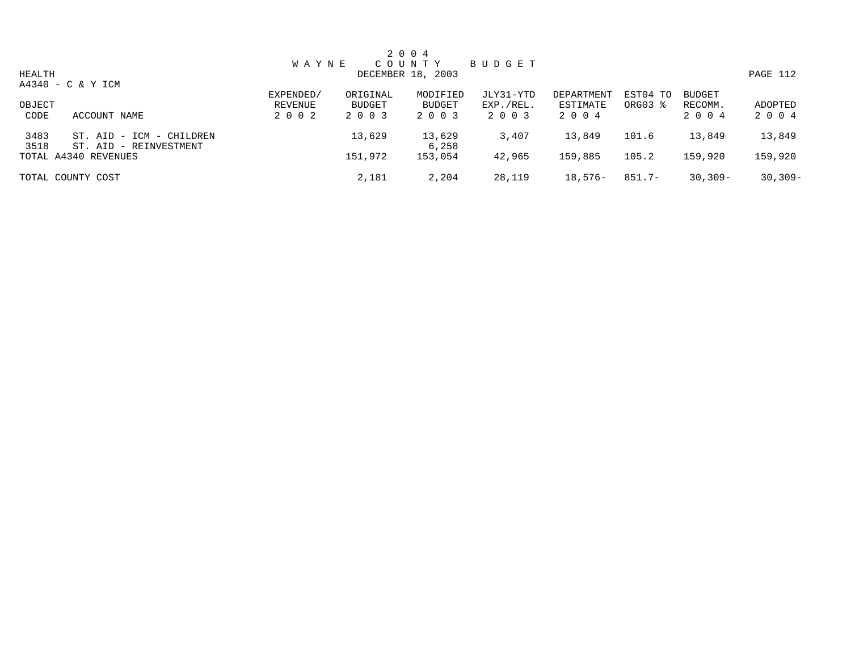|              |                                                       |              |               | 2 0 0 4           |           |            |           |               |           |
|--------------|-------------------------------------------------------|--------------|---------------|-------------------|-----------|------------|-----------|---------------|-----------|
|              |                                                       | <b>WAYNE</b> |               | COUNTY            | BUDGET    |            |           |               |           |
| HEALTH       |                                                       |              |               | DECEMBER 18, 2003 |           |            |           |               | PAGE 112  |
|              | A4340 - C & Y ICM                                     |              |               |                   |           |            |           |               |           |
|              |                                                       | EXPENDED/    | ORIGINAL      | MODIFIED          | JLY31-YTD | DEPARTMENT | EST04 TO  | <b>BUDGET</b> |           |
| OBJECT       |                                                       | REVENUE      | <b>BUDGET</b> | BUDGET            | EXP./REL. | ESTIMATE   | ORG03 %   | RECOMM.       | ADOPTED   |
| CODE         | ACCOUNT NAME                                          | 2 0 0 2      | 2 0 0 3       | 2 0 0 3           | 2 0 0 3   | 2 0 0 4    |           | 2 0 0 4       | 2 0 0 4   |
| 3483<br>3518 | ST. AID - ICM<br>- CHILDREN<br>ST. AID - REINVESTMENT |              | 13,629        | 13,629<br>6,258   | 3,407     | 13,849     | 101.6     | 13,849        | 13,849    |
|              | TOTAL A4340 REVENUES                                  |              | 151,972       | 153,054           | 42,965    | 159,885    | 105.2     | 159,920       | 159,920   |
|              | TOTAL COUNTY COST                                     |              | 2,181         | 2,204             | 28,119    | $18,576-$  | $851.7 -$ | $30,309 -$    | $30,309-$ |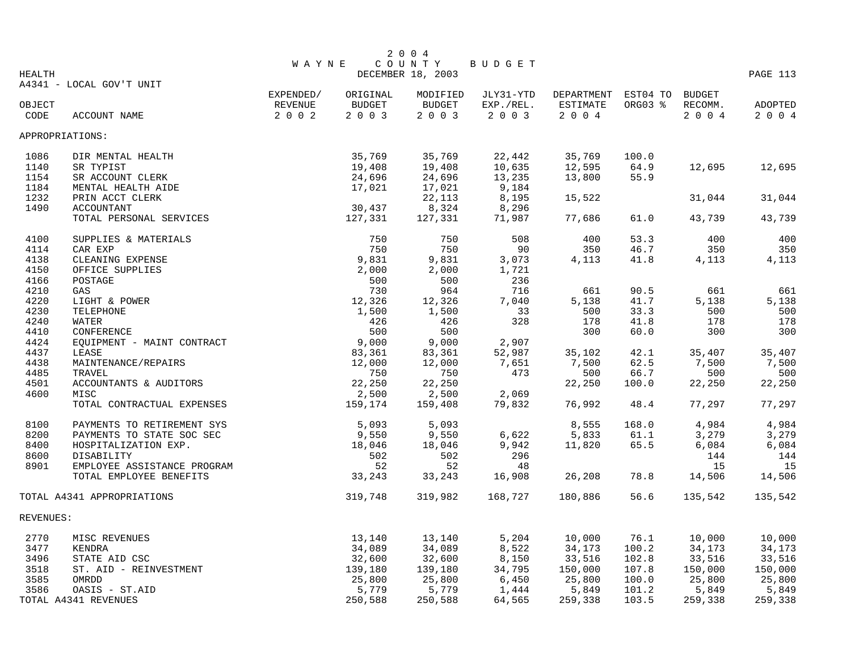|               |                             |                      |          | 2 0 0 4                   |                        |                 |          |               |          |
|---------------|-----------------------------|----------------------|----------|---------------------------|------------------------|-----------------|----------|---------------|----------|
|               |                             | <b>WAYNE</b>         |          | COUNTY                    | BUDGET                 |                 |          |               |          |
| <b>HEALTH</b> |                             |                      |          | DECEMBER 18, 2003         |                        |                 |          |               | PAGE 113 |
|               | A4341 - LOCAL GOV'T UNIT    |                      | ORIGINAL |                           |                        | DEPARTMENT      | EST04 TO | <b>BUDGET</b> |          |
| OBJECT        |                             | EXPENDED/<br>REVENUE | BUDGET   | MODIFIED<br><b>BUDGET</b> | JLY31-YTD<br>EXP./REL. | <b>ESTIMATE</b> | ORG03 %  | RECOMM.       | ADOPTED  |
| CODE          | ACCOUNT NAME                | 2 0 0 2              | 2 0 0 3  | 2 0 0 3                   | 2 0 0 3                | 2 0 0 4         |          | 2004          | 2 0 0 4  |
|               |                             |                      |          |                           |                        |                 |          |               |          |
|               | APPROPRIATIONS:             |                      |          |                           |                        |                 |          |               |          |
| 1086          | DIR MENTAL HEALTH           |                      | 35,769   | 35,769                    | 22,442                 | 35,769          | 100.0    |               |          |
| 1140          | SR TYPIST                   |                      | 19,408   | 19,408                    | 10,635                 | 12,595          | 64.9     | 12,695        | 12,695   |
| 1154          | SR ACCOUNT CLERK            |                      | 24,696   | 24,696                    | 13,235                 | 13,800          | 55.9     |               |          |
| 1184          | MENTAL HEALTH AIDE          |                      | 17,021   | 17,021                    | 9,184                  |                 |          |               |          |
| 1232          | PRIN ACCT CLERK             |                      |          | 22,113                    | 8,195                  | 15,522          |          | 31,044        | 31,044   |
| 1490          | <b>ACCOUNTANT</b>           |                      | 30,437   | 8,324                     | 8,296                  |                 |          |               |          |
|               | TOTAL PERSONAL SERVICES     |                      | 127,331  | 127,331                   | 71,987                 | 77,686          | 61.0     | 43,739        | 43,739   |
| 4100          | SUPPLIES & MATERIALS        |                      | 750      | 750                       | 508                    | 400             | 53.3     | 400           | 400      |
| 4114          | CAR EXP                     |                      | 750      | 750                       | 90                     | 350             | 46.7     | 350           | 350      |
| 4138          | CLEANING EXPENSE            |                      | 9,831    | 9,831                     | 3,073                  | 4,113           | 41.8     | 4,113         | 4,113    |
| 4150          | OFFICE SUPPLIES             |                      | 2,000    | 2,000                     | 1,721                  |                 |          |               |          |
| 4166          | POSTAGE                     |                      | 500      | 500                       | 236                    |                 |          |               |          |
| 4210          | GAS                         |                      | 730      | 964                       | 716                    | 661             | 90.5     | 661           | 661      |
| 4220          | LIGHT & POWER               |                      | 12,326   | 12,326                    | 7,040                  | 5,138           | 41.7     | 5,138         | 5,138    |
| 4230          | TELEPHONE                   |                      | 1,500    | 1,500                     | 33                     | 500             | 33.3     | 500           | 500      |
| 4240          | <b>WATER</b>                |                      | 426      | 426                       | 328                    | 178             | 41.8     | 178           | 178      |
| 4410          | CONFERENCE                  |                      | 500      | 500                       |                        | 300             | 60.0     | 300           | 300      |
| 4424          | EQUIPMENT - MAINT CONTRACT  |                      | 9,000    | 9,000                     | 2,907                  |                 |          |               |          |
| 4437          | LEASE                       |                      | 83,361   | 83,361                    | 52,987                 | 35,102          | 42.1     | 35,407        | 35,407   |
| 4438          | MAINTENANCE/REPAIRS         |                      | 12,000   | 12,000                    | 7,651                  | 7,500           | 62.5     | 7,500         | 7,500    |
| 4485          | TRAVEL                      |                      | 750      | 750                       | 473                    | 500             | 66.7     | 500           | 500      |
| 4501          | ACCOUNTANTS & AUDITORS      |                      | 22,250   | 22,250                    |                        | 22,250          | 100.0    | 22,250        | 22,250   |
| 4600          | MISC                        |                      | 2,500    | 2,500                     | 2,069                  |                 |          |               |          |
|               | TOTAL CONTRACTUAL EXPENSES  |                      | 159,174  | 159,408                   | 79,832                 | 76,992          | 48.4     | 77,297        | 77,297   |
| 8100          | PAYMENTS TO RETIREMENT SYS  |                      | 5,093    | 5,093                     |                        | 8,555           | 168.0    | 4,984         | 4,984    |
| 8200          | PAYMENTS TO STATE SOC SEC   |                      | 9,550    | 9,550                     | 6,622                  | 5,833           | 61.1     | 3,279         | 3,279    |
| 8400          | HOSPITALIZATION EXP.        |                      | 18,046   | 18,046                    | 9,942                  | 11,820          | 65.5     | 6,084         | 6,084    |
| 8600          | DISABILITY                  |                      | 502      | 502                       | 296                    |                 |          | 144           | 144      |
| 8901          | EMPLOYEE ASSISTANCE PROGRAM |                      | 52       | 52                        | 48                     |                 |          | 15            | 15       |
|               | TOTAL EMPLOYEE BENEFITS     |                      | 33,243   | 33,243                    | 16,908                 | 26,208          | 78.8     | 14,506        | 14,506   |
|               | TOTAL A4341 APPROPRIATIONS  |                      | 319,748  | 319,982                   | 168,727                | 180,886         | 56.6     | 135,542       | 135,542  |
| REVENUES:     |                             |                      |          |                           |                        |                 |          |               |          |
| 2770          | MISC REVENUES               |                      | 13,140   | 13,140                    | 5,204                  | 10,000          | 76.1     | 10,000        | 10,000   |
| 3477          | KENDRA                      |                      | 34,089   | 34,089                    | 8,522                  | 34,173          | 100.2    | 34,173        | 34,173   |
| 3496          | STATE AID CSC               |                      | 32,600   | 32,600                    | 8,150                  | 33,516          | 102.8    | 33,516        | 33,516   |
| 3518          | ST. AID - REINVESTMENT      |                      | 139,180  | 139,180                   | 34,795                 | 150,000         | 107.8    | 150,000       | 150,000  |
| 3585          | OMRDD                       |                      | 25,800   | 25,800                    | 6,450                  | 25,800          | 100.0    | 25,800        | 25,800   |
| 3586          | OASIS - ST.AID              |                      | 5,779    | 5,779                     | 1,444                  | 5,849           | 101.2    | 5,849         | 5,849    |
|               | TOTAL A4341 REVENUES        |                      | 250,588  | 250,588                   | 64,565                 | 259,338         | 103.5    | 259,338       | 259,338  |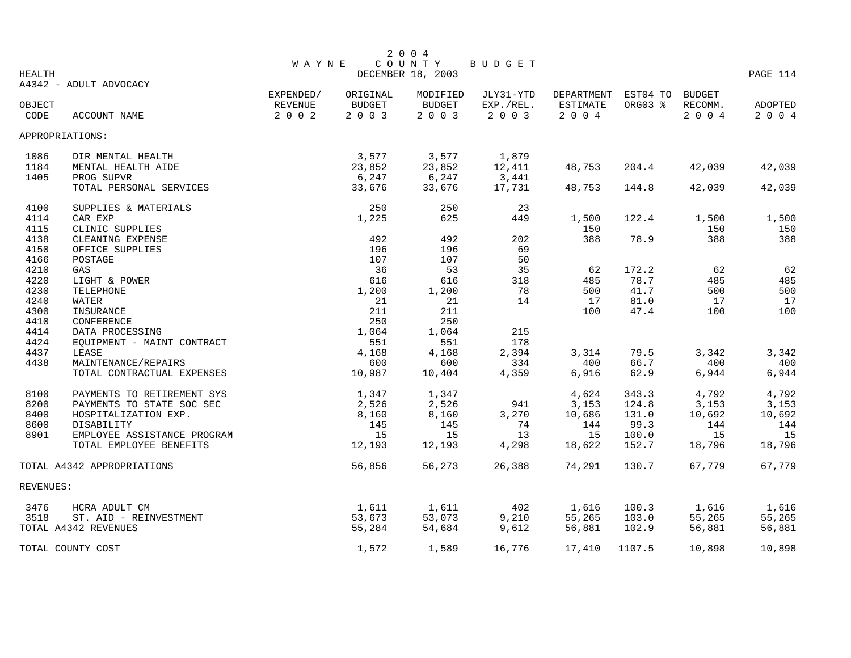|               |                             |              |          | 2 0 0 4                     |               |            |          |               |          |
|---------------|-----------------------------|--------------|----------|-----------------------------|---------------|------------|----------|---------------|----------|
| <b>HEALTH</b> |                             | <b>WAYNE</b> |          | COUNTY<br>DECEMBER 18, 2003 | <b>BUDGET</b> |            |          |               | PAGE 114 |
|               | A4342 - ADULT ADVOCACY      |              |          |                             |               |            |          |               |          |
|               |                             | EXPENDED/    | ORIGINAL | MODIFIED                    | JLY31-YTD     | DEPARTMENT | EST04 TO | <b>BUDGET</b> |          |
| OBJECT        |                             | REVENUE      | BUDGET   | BUDGET                      | EXP./REL.     | ESTIMATE   | ORG03 %  | RECOMM.       | ADOPTED  |
| CODE          | ACCOUNT NAME                | 2 0 0 2      | 2 0 0 3  | 2 0 0 3                     | 2 0 0 3       | $2 0 0 4$  |          | 2 0 0 4       | 2 0 0 4  |
|               | APPROPRIATIONS:             |              |          |                             |               |            |          |               |          |
| 1086          | DIR MENTAL HEALTH           |              | 3,577    | 3,577                       | 1,879         |            |          |               |          |
| 1184          | MENTAL HEALTH AIDE          |              | 23,852   | 23,852                      | 12,411        | 48,753     | 204.4    | 42,039        | 42,039   |
| 1405          | PROG SUPVR                  |              | 6,247    | 6, 247                      | 3,441         |            |          |               |          |
|               | TOTAL PERSONAL SERVICES     |              | 33,676   | 33,676                      | 17,731        | 48,753     | 144.8    | 42,039        | 42,039   |
| 4100          | SUPPLIES & MATERIALS        |              | 250      | 250                         | 23            |            |          |               |          |
| 4114          | CAR EXP                     |              | 1,225    | 625                         | 449           | 1,500      | 122.4    | 1,500         | 1,500    |
| 4115          | CLINIC SUPPLIES             |              |          |                             |               | 150        |          | 150           | 150      |
| 4138          | CLEANING EXPENSE            |              | 492      | 492                         | 202           | 388        | 78.9     | 388           | 388      |
| 4150          | OFFICE SUPPLIES             |              | 196      | 196                         | 69            |            |          |               |          |
| 4166          | POSTAGE                     |              | 107      | 107                         | 50            |            |          |               |          |
| 4210          | GAS                         |              | 36       | 53                          | 35            | 62         | 172.2    | 62            | 62       |
| 4220          | LIGHT & POWER               |              | 616      | 616                         | 318           | 485        | 78.7     | 485           | 485      |
| 4230          | TELEPHONE                   |              | 1,200    | 1,200                       | 78            | 500        | 41.7     | 500           | 500      |
| 4240          | WATER                       |              | 21       | 21                          | 14            | 17         | 81.0     | 17            | 17       |
| 4300          | INSURANCE                   |              | 211      | 211                         |               | 100        | 47.4     | 100           | 100      |
| 4410          | CONFERENCE                  |              | 250      | 250                         |               |            |          |               |          |
| 4414          | DATA PROCESSING             |              | 1,064    | 1,064                       | 215           |            |          |               |          |
| 4424          | EQUIPMENT - MAINT CONTRACT  |              | 551      | 551                         | 178           |            |          |               |          |
| 4437          | LEASE                       |              | 4,168    | 4,168                       | 2,394         | 3,314      | 79.5     | 3,342         | 3,342    |
| 4438          | MAINTENANCE/REPAIRS         |              | 600      | 600                         | 334           | 400        | 66.7     | 400           | 400      |
|               | TOTAL CONTRACTUAL EXPENSES  |              | 10,987   | 10,404                      | 4,359         | 6,916      | 62.9     | 6,944         | 6,944    |
| 8100          | PAYMENTS TO RETIREMENT SYS  |              | 1,347    | 1,347                       |               | 4,624      | 343.3    | 4,792         | 4,792    |
| 8200          | PAYMENTS TO STATE SOC SEC   |              | 2,526    | 2,526                       | 941           | 3,153      | 124.8    | 3,153         | 3,153    |
| 8400          | HOSPITALIZATION EXP.        |              | 8,160    | 8,160                       | 3,270         | 10,686     | 131.0    | 10,692        | 10,692   |
| 8600          | DISABILITY                  |              | 145      | 145                         | 74            | 144        | 99.3     | 144           | 144      |
| 8901          | EMPLOYEE ASSISTANCE PROGRAM |              | 15       | 15                          | 13            | 15         | 100.0    | 15            | 15       |
|               | TOTAL EMPLOYEE BENEFITS     |              | 12,193   | 12,193                      | 4,298         | 18,622     | 152.7    | 18,796        | 18,796   |
|               | TOTAL A4342 APPROPRIATIONS  |              | 56,856   | 56,273                      | 26,388        | 74,291     | 130.7    | 67,779        | 67,779   |
| REVENUES:     |                             |              |          |                             |               |            |          |               |          |
| 3476          | HCRA ADULT CM               |              | 1,611    | 1,611                       | 402           | 1,616      | 100.3    | 1,616         | 1,616    |
| 3518          | ST. AID - REINVESTMENT      |              | 53,673   | 53,073                      | 9,210         | 55,265     | 103.0    | 55,265        | 55,265   |
|               | TOTAL A4342 REVENUES        |              | 55,284   | 54,684                      | 9,612         | 56,881     | 102.9    | 56,881        | 56,881   |
|               | TOTAL COUNTY COST           |              | 1,572    | 1,589                       | 16,776        | 17,410     | 1107.5   | 10,898        | 10,898   |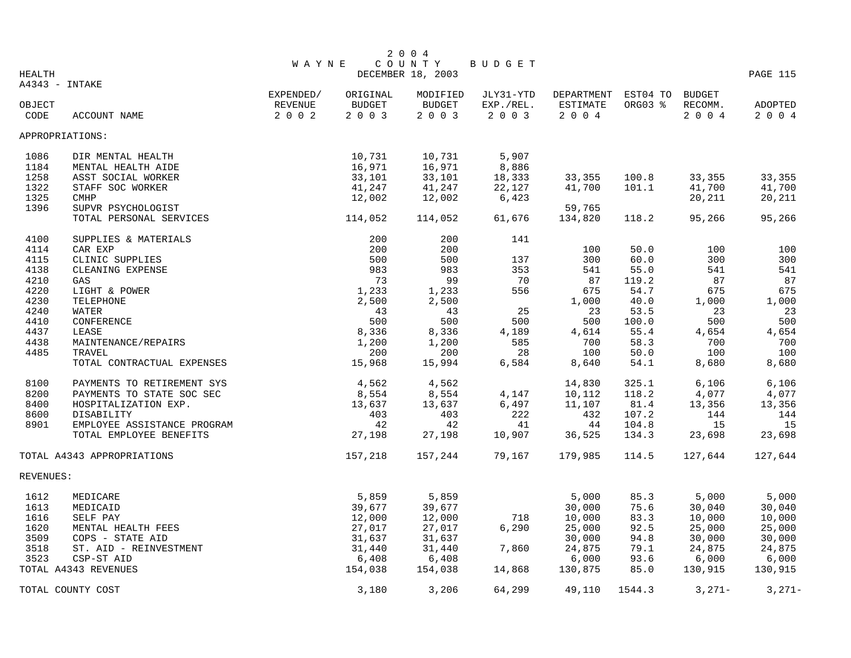|               |                             |              |          | 2 0 0 4           |           |                     |         |               |          |
|---------------|-----------------------------|--------------|----------|-------------------|-----------|---------------------|---------|---------------|----------|
|               |                             | <b>WAYNE</b> |          | COUNTY            | BUDGET    |                     |         |               |          |
| <b>HEALTH</b> |                             |              |          | DECEMBER 18, 2003 |           |                     |         |               | PAGE 115 |
|               | A4343 - INTAKE              |              |          |                   |           |                     |         |               |          |
|               |                             | EXPENDED/    | ORIGINAL | MODIFIED          | JLY31-YTD | DEPARTMENT EST04 TO |         | <b>BUDGET</b> |          |
| OBJECT        |                             | REVENUE      | BUDGET   | <b>BUDGET</b>     | EXP./REL. | ESTIMATE            | ORG03 % | RECOMM.       | ADOPTED  |
| CODE          | ACCOUNT NAME                | $2 0 0 2$    | 2 0 0 3  | 2003              | $2 0 0 3$ | 2 0 0 4             |         | 2004          | 2004     |
|               | APPROPRIATIONS:             |              |          |                   |           |                     |         |               |          |
| 1086          | DIR MENTAL HEALTH           |              | 10,731   | 10,731            | 5,907     |                     |         |               |          |
| 1184          | MENTAL HEALTH AIDE          |              | 16,971   | 16,971            | 8,886     |                     |         |               |          |
| 1258          | ASST SOCIAL WORKER          |              | 33,101   | 33,101            | 18,333    | 33,355              | 100.8   | 33,355        | 33,355   |
| 1322          | STAFF SOC WORKER            |              | 41,247   | 41,247            | 22,127    | 41,700              | 101.1   | 41,700        | 41,700   |
| 1325          | <b>CMHP</b>                 |              | 12,002   | 12,002            | 6,423     |                     |         | 20,211        | 20,211   |
| 1396          | SUPVR PSYCHOLOGIST          |              |          |                   |           | 59,765              |         |               |          |
|               | TOTAL PERSONAL SERVICES     |              | 114,052  | 114,052           | 61,676    | 134,820             | 118.2   | 95,266        | 95,266   |
| 4100          | SUPPLIES & MATERIALS        |              | 200      | 200               | 141       |                     |         |               |          |
| 4114          | CAR EXP                     |              | 200      | 200               |           | 100                 | 50.0    | 100           | 100      |
| 4115          | CLINIC SUPPLIES             |              | 500      | 500               | 137       | 300                 | 60.0    | 300           | 300      |
| 4138          | CLEANING EXPENSE            |              | 983      | 983               | 353       | 541                 | 55.0    | 541           | 541      |
| 4210          | GAS                         |              | 73       | 99                | 70        | 87                  | 119.2   | 87            | 87       |
| 4220          | LIGHT & POWER               |              | 1,233    | 1,233             | 556       | 675                 | 54.7    | 675           | 675      |
| 4230          | TELEPHONE                   |              | 2,500    | 2,500             |           | 1,000               | 40.0    | 1,000         | 1,000    |
| 4240          | WATER                       |              | 43       | 43                | 25        | 23                  | 53.5    | 23            | 23       |
| 4410          | CONFERENCE                  |              | 500      | 500               | 500       | 500                 | 100.0   | 500           | 500      |
| 4437          | LEASE                       |              | 8,336    | 8,336             | 4,189     | 4,614               | 55.4    | 4,654         | 4,654    |
| 4438          | MAINTENANCE/REPAIRS         |              | 1,200    | 1,200             | 585       | 700                 | 58.3    | 700           | 700      |
| 4485          | TRAVEL                      |              | 200      | 200               | 28        | 100                 | 50.0    | 100           | 100      |
|               | TOTAL CONTRACTUAL EXPENSES  |              | 15,968   | 15,994            | 6,584     | 8,640               | 54.1    | 8,680         | 8,680    |
|               |                             |              |          |                   |           |                     |         |               |          |
| 8100          | PAYMENTS TO RETIREMENT SYS  |              | 4,562    | 4,562             |           | 14,830              | 325.1   | 6,106         | 6,106    |
| 8200          | PAYMENTS TO STATE SOC SEC   |              | 8,554    | 8,554             | 4,147     | 10,112              | 118.2   | 4,077         | 4,077    |
| 8400          | HOSPITALIZATION EXP.        |              | 13,637   | 13,637            | 6,497     | 11,107              | 81.4    | 13,356        | 13,356   |
| 8600          | DISABILITY                  |              | 403      | 403               | 222       | 432                 | 107.2   | 144           | 144      |
| 8901          | EMPLOYEE ASSISTANCE PROGRAM |              | 42       | 42                | 41        | 44                  | 104.8   | 15            | 15       |
|               | TOTAL EMPLOYEE BENEFITS     |              | 27,198   | 27,198            | 10,907    | 36,525              | 134.3   | 23,698        | 23,698   |
|               | TOTAL A4343 APPROPRIATIONS  |              | 157,218  | 157,244           | 79,167    | 179,985             | 114.5   | 127,644       | 127,644  |
| REVENUES:     |                             |              |          |                   |           |                     |         |               |          |
| 1612          | MEDICARE                    |              | 5,859    | 5,859             |           | 5,000               | 85.3    | 5,000         | 5,000    |
| 1613          | MEDICAID                    |              | 39,677   | 39,677            |           | 30,000              | 75.6    | 30,040        | 30,040   |
| 1616          | SELF PAY                    |              | 12,000   | 12,000            | 718       | 10,000              | 83.3    | 10,000        | 10,000   |
| 1620          | MENTAL HEALTH FEES          |              | 27,017   | 27,017            | 6,290     | 25,000              | 92.5    | 25,000        | 25,000   |
| 3509          | COPS - STATE AID            |              | 31,637   | 31,637            |           | 30,000              | 94.8    | 30,000        | 30,000   |
| 3518          | ST. AID - REINVESTMENT      |              | 31,440   | 31,440            | 7,860     | 24,875              | 79.1    | 24,875        | 24,875   |
| 3523          | CSP-ST AID                  |              | 6,408    | 6,408             |           | 6,000               | 93.6    | 6,000         | 6,000    |
|               | TOTAL A4343 REVENUES        |              | 154,038  | 154,038           | 14,868    | 130,875             | 85.0    | 130,915       | 130,915  |
|               | TOTAL COUNTY COST           |              | 3,180    | 3,206             | 64,299    | 49,110              | 1544.3  | $3,271-$      | $3,271-$ |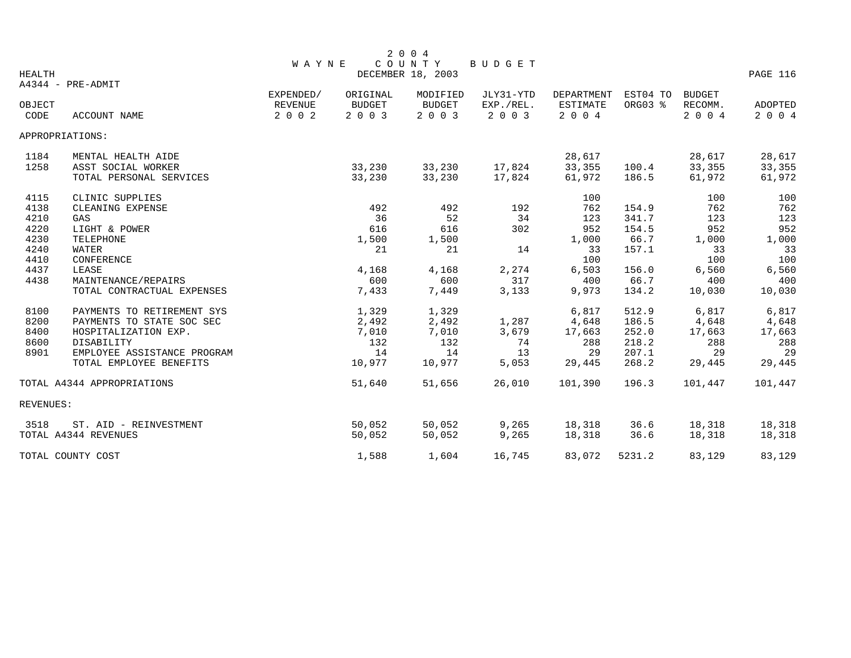|               |                             | <b>WAYNE</b> |               | 2004<br>COUNTY    | BUDGET    |                 |          |               |          |
|---------------|-----------------------------|--------------|---------------|-------------------|-----------|-----------------|----------|---------------|----------|
| <b>HEALTH</b> |                             |              |               | DECEMBER 18, 2003 |           |                 |          |               | PAGE 116 |
|               | A4344 - PRE-ADMIT           |              |               |                   |           |                 |          |               |          |
|               |                             | EXPENDED/    | ORIGINAL      | MODIFIED          | JLY31-YTD | DEPARTMENT      | EST04 TO | <b>BUDGET</b> |          |
| OBJECT        |                             | REVENUE      | <b>BUDGET</b> | <b>BUDGET</b>     | EXP./REL. | <b>ESTIMATE</b> | ORG03 %  | RECOMM.       | ADOPTED  |
| CODE          | <b>ACCOUNT NAME</b>         | 2 0 0 2      | 2 0 0 3       | 2 0 0 3           | 2 0 0 3   | 2004            |          | 2 0 0 4       | 2 0 0 4  |
|               | APPROPRIATIONS:             |              |               |                   |           |                 |          |               |          |
| 1184          | MENTAL HEALTH AIDE          |              |               |                   |           | 28,617          |          | 28,617        | 28,617   |
| 1258          | ASST SOCIAL WORKER          |              | 33,230        | 33,230            | 17,824    | 33,355          | 100.4    | 33,355        | 33,355   |
|               | TOTAL PERSONAL SERVICES     |              | 33,230        | 33,230            | 17,824    | 61,972          | 186.5    | 61,972        | 61,972   |
| 4115          | CLINIC SUPPLIES             |              |               |                   |           | 100             |          | 100           | 100      |
| 4138          | CLEANING EXPENSE            |              | 492           | 492               | 192       | 762             | 154.9    | 762           | 762      |
| 4210          | GAS                         |              | 36            | 52                | 34        | 123             | 341.7    | 123           | 123      |
| 4220          | LIGHT & POWER               |              | 616           | 616               | 302       | 952             | 154.5    | 952           | 952      |
| 4230          | TELEPHONE                   |              | 1,500         | 1,500             |           | 1,000           | 66.7     | 1,000         | 1,000    |
| 4240          | WATER                       |              | 21            | 21                | 14        | 33              | 157.1    | 33            | 33       |
| 4410          | CONFERENCE                  |              |               |                   |           | 100             |          | 100           | 100      |
| 4437          | LEASE                       |              | 4,168         | 4,168             | 2,274     | 6,503           | 156.0    | 6,560         | 6,560    |
| 4438          | MAINTENANCE/REPAIRS         |              | 600           | 600               | 317       | 400             | 66.7     | 400           | 400      |
|               | TOTAL CONTRACTUAL EXPENSES  |              | 7,433         | 7,449             | 3,133     | 9,973           | 134.2    | 10,030        | 10,030   |
| 8100          | PAYMENTS TO RETIREMENT SYS  |              | 1,329         | 1,329             |           | 6,817           | 512.9    | 6,817         | 6,817    |
| 8200          | PAYMENTS TO STATE SOC SEC   |              | 2,492         | 2,492             | 1,287     | 4,648           | 186.5    | 4,648         | 4,648    |
| 8400          | HOSPITALIZATION EXP.        |              | 7,010         | 7,010             | 3,679     | 17,663          | 252.0    | 17,663        | 17,663   |
| 8600          | DISABILITY                  |              | 132           | 132               | 74        | 288             | 218.2    | 288           | 288      |
| 8901          | EMPLOYEE ASSISTANCE PROGRAM |              | 14            | 14                | 13        | 29              | 207.1    | 29            | 29       |
|               | TOTAL EMPLOYEE BENEFITS     |              | 10,977        | 10,977            | 5,053     | 29,445          | 268.2    | 29,445        | 29,445   |
|               | TOTAL A4344 APPROPRIATIONS  |              | 51,640        | 51,656            | 26,010    | 101,390         | 196.3    | 101,447       | 101,447  |
| REVENUES:     |                             |              |               |                   |           |                 |          |               |          |
| 3518          | ST. AID - REINVESTMENT      |              | 50,052        | 50,052            | 9,265     | 18,318          | 36.6     | 18,318        | 18,318   |
|               | TOTAL A4344 REVENUES        |              | 50,052        | 50,052            | 9,265     | 18,318          | 36.6     | 18,318        | 18,318   |
|               | TOTAL COUNTY COST           |              | 1,588         | 1,604             | 16,745    | 83,072          | 5231.2   | 83,129        | 83,129   |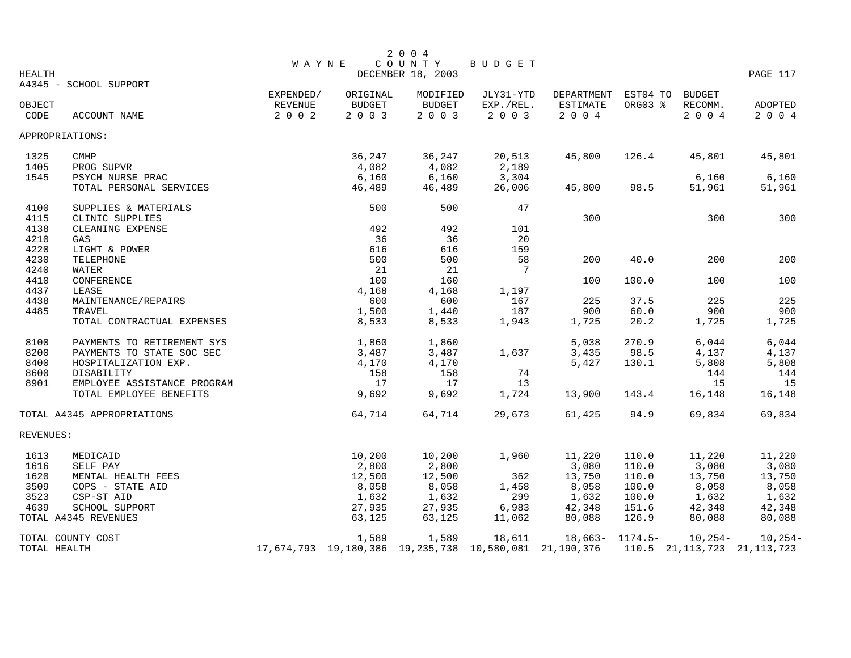|               |                             |              |          | 2 0 0 4                                                |           |            |          |               |                                 |
|---------------|-----------------------------|--------------|----------|--------------------------------------------------------|-----------|------------|----------|---------------|---------------------------------|
| <b>HEALTH</b> |                             | <b>WAYNE</b> |          | COUNTY<br>DECEMBER 18, 2003                            | BUDGET    |            |          |               | PAGE 117                        |
|               | A4345 - SCHOOL SUPPORT      |              |          |                                                        |           |            |          |               |                                 |
|               |                             | EXPENDED/    | ORIGINAL | MODIFIED                                               | JLY31-YTD | DEPARTMENT | EST04 TO | <b>BUDGET</b> |                                 |
| OBJECT        |                             | REVENUE      | BUDGET   | BUDGET                                                 | EXP./REL. | ESTIMATE   | ORG03 %  | RECOMM.       | ADOPTED                         |
| CODE          | ACCOUNT NAME                | $2 0 0 2$    | 2 0 0 3  | 2 0 0 3                                                | 2 0 0 3   | $2 0 0 4$  |          | 2004          | 2 0 0 4                         |
|               | APPROPRIATIONS:             |              |          |                                                        |           |            |          |               |                                 |
| 1325          | <b>CMHP</b>                 |              | 36,247   | 36,247                                                 | 20,513    | 45,800     | 126.4    | 45,801        | 45,801                          |
| 1405          | PROG SUPVR                  |              | 4,082    | 4,082                                                  | 2,189     |            |          |               |                                 |
| 1545          | PSYCH NURSE PRAC            |              | 6,160    | 6,160                                                  | 3,304     |            |          | 6,160         | 6,160                           |
|               | TOTAL PERSONAL SERVICES     |              | 46,489   | 46,489                                                 | 26,006    | 45,800     | 98.5     | 51,961        | 51,961                          |
| 4100          | SUPPLIES & MATERIALS        |              | 500      | 500                                                    | 47        |            |          |               |                                 |
| 4115          | CLINIC SUPPLIES             |              |          |                                                        |           | 300        |          | 300           | 300                             |
| 4138          | CLEANING EXPENSE            |              | 492      | 492                                                    | 101       |            |          |               |                                 |
| 4210          | GAS                         |              | 36       | 36                                                     | 20        |            |          |               |                                 |
| 4220          | LIGHT & POWER               |              | 616      | 616                                                    | 159       |            |          |               |                                 |
| 4230          | TELEPHONE                   |              | 500      | 500                                                    | 58        | 200        | 40.0     | 200           | 200                             |
| 4240          | WATER                       |              | 21       | 21                                                     | 7         |            |          |               |                                 |
| 4410          | CONFERENCE                  |              | 100      | 160                                                    |           | 100        | 100.0    | 100           | 100                             |
| 4437          | LEASE                       |              | 4,168    | 4,168                                                  | 1,197     |            |          |               |                                 |
| 4438          | MAINTENANCE/REPAIRS         |              | 600      | 600                                                    | 167       | 225        | 37.5     | 225           | 225                             |
| 4485          | <b>TRAVEL</b>               |              | 1,500    | 1,440                                                  | 187       | 900        | 60.0     | 900           | 900                             |
|               | TOTAL CONTRACTUAL EXPENSES  |              | 8,533    | 8,533                                                  | 1,943     | 1,725      | 20.2     | 1,725         | 1,725                           |
| 8100          | PAYMENTS TO RETIREMENT SYS  |              | 1,860    | 1,860                                                  |           | 5,038      | 270.9    | 6,044         | 6,044                           |
| 8200          | PAYMENTS TO STATE SOC SEC   |              | 3,487    | 3,487                                                  | 1,637     | 3,435      | 98.5     | 4,137         | 4,137                           |
| 8400          | HOSPITALIZATION EXP.        |              | 4,170    | 4,170                                                  |           | 5,427      | 130.1    | 5,808         | 5,808                           |
| 8600          | DISABILITY                  |              | 158      | 158                                                    | 74        |            |          | 144           | 144                             |
| 8901          | EMPLOYEE ASSISTANCE PROGRAM |              | 17       | 17                                                     | 13        |            |          | 15            | 15                              |
|               | TOTAL EMPLOYEE BENEFITS     |              | 9,692    | 9,692                                                  | 1,724     | 13,900     | 143.4    | 16,148        | 16,148                          |
|               | TOTAL A4345 APPROPRIATIONS  |              | 64,714   | 64,714                                                 | 29,673    | 61,425     | 94.9     | 69,834        | 69,834                          |
| REVENUES:     |                             |              |          |                                                        |           |            |          |               |                                 |
| 1613          | MEDICAID                    |              | 10,200   | 10,200                                                 | 1,960     | 11,220     | 110.0    | 11,220        | 11,220                          |
| 1616          | SELF PAY                    |              | 2,800    | 2,800                                                  |           | 3,080      | 110.0    | 3,080         | 3,080                           |
| 1620          | MENTAL HEALTH FEES          |              | 12,500   | 12,500                                                 | 362       | 13,750     | 110.0    | 13,750        | 13,750                          |
| 3509          | COPS - STATE AID            |              | 8,058    | 8,058                                                  | 1,458     | 8,058      | 100.0    | 8,058         | 8,058                           |
| 3523          | CSP-ST AID                  |              | 1,632    | 1,632                                                  | 299       | 1,632      | 100.0    | 1,632         | 1,632                           |
| 4639          | SCHOOL SUPPORT              |              | 27,935   | 27,935                                                 | 6,983     | 42,348     | 151.6    | 42,348        | 42,348                          |
|               | TOTAL A4345 REVENUES        |              | 63,125   | 63,125                                                 | 11,062    | 80,088     | 126.9    | 80,088        | 80,088                          |
|               | TOTAL COUNTY COST           |              | 1,589    | 1,589                                                  | 18,611    | 18,663-    | 1174.5-  | $10, 254 -$   | $10, 254-$                      |
|               | TOTAL HEALTH                |              |          | 17,674,793 19,180,386 19,235,738 10,580,081 21,190,376 |           |            |          |               | 110.5 21, 113, 723 21, 113, 723 |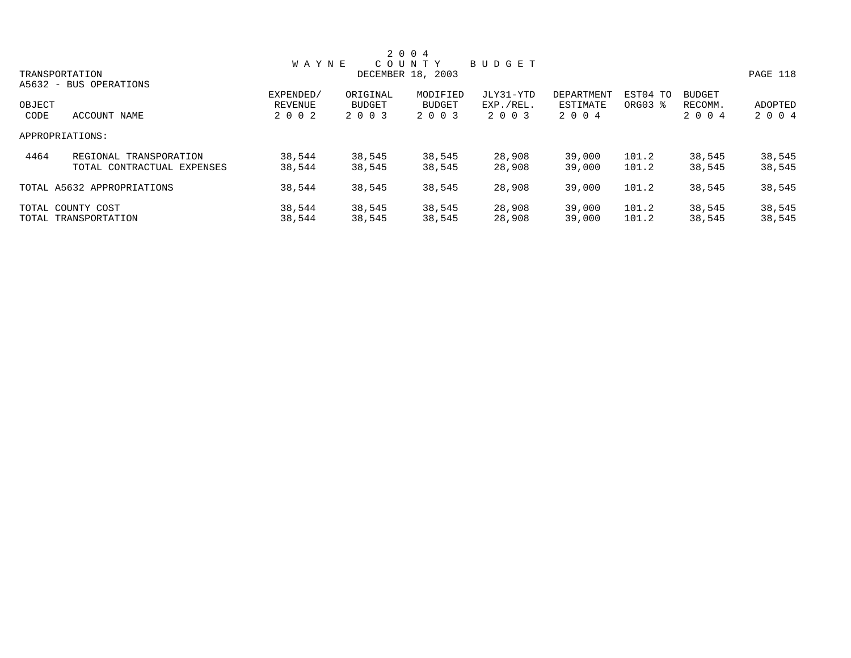|        |                            |              |          | 2 0 0 4           |               |            |          |               |          |
|--------|----------------------------|--------------|----------|-------------------|---------------|------------|----------|---------------|----------|
|        |                            | <b>WAYNE</b> |          | COUNTY            | <b>BUDGET</b> |            |          |               |          |
|        | TRANSPORTATION             |              |          | DECEMBER 18, 2003 |               |            |          |               | PAGE 118 |
|        | A5632 - BUS OPERATIONS     |              |          |                   |               |            |          |               |          |
|        |                            | EXPENDED/    | ORIGINAL | MODIFIED          | JLY31-YTD     | DEPARTMENT | EST04 TO | <b>BUDGET</b> |          |
| OBJECT |                            | REVENUE      | BUDGET   | <b>BUDGET</b>     | EXP./REL.     | ESTIMATE   | ORG03 %  | RECOMM.       | ADOPTED  |
| CODE   | ACCOUNT NAME               | 2 0 0 2      | 2 0 0 3  | 2 0 0 3           | 2 0 0 3       | 2 0 0 4    |          | 2 0 0 4       | 2 0 0 4  |
|        | APPROPRIATIONS:            |              |          |                   |               |            |          |               |          |
| 4464   | REGIONAL TRANSPORATION     | 38,544       | 38,545   | 38,545            | 28,908        | 39,000     | 101.2    | 38,545        | 38,545   |
|        | TOTAL CONTRACTUAL EXPENSES | 38,544       | 38,545   | 38,545            | 28,908        | 39,000     | 101.2    | 38,545        | 38,545   |
|        | TOTAL A5632 APPROPRIATIONS | 38,544       | 38,545   | 38,545            | 28,908        | 39,000     | 101.2    | 38,545        | 38,545   |
|        | TOTAL COUNTY COST          | 38,544       | 38,545   | 38,545            | 28,908        | 39,000     | 101.2    | 38,545        | 38,545   |
|        | TOTAL TRANSPORTATION       | 38,544       | 38,545   | 38,545            | 28,908        | 39,000     | 101.2    | 38,545        | 38,545   |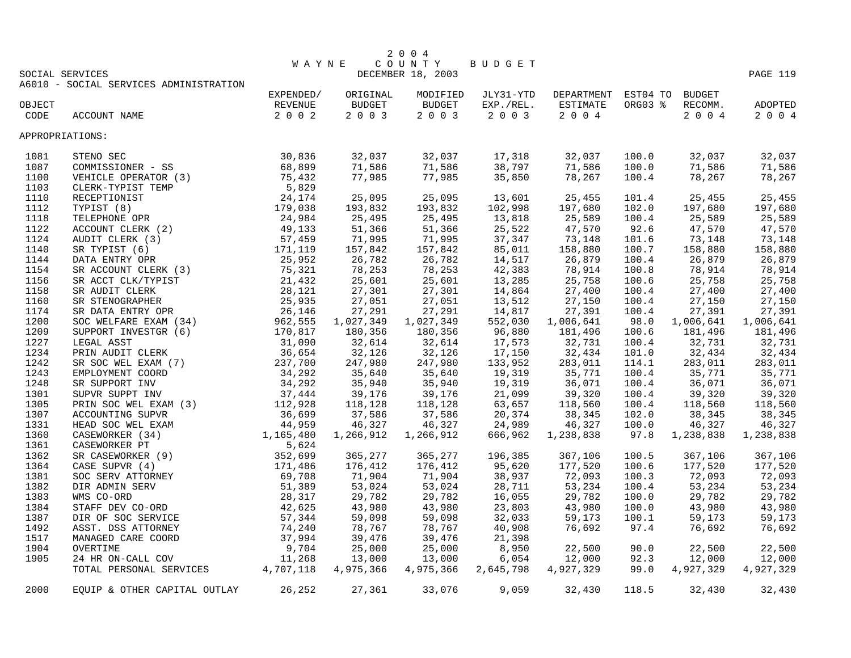|                 |                                        |           |                                                                                    | 2 0 0 4                         |                            |                                      |         |                             |                            |
|-----------------|----------------------------------------|-----------|------------------------------------------------------------------------------------|---------------------------------|----------------------------|--------------------------------------|---------|-----------------------------|----------------------------|
|                 |                                        | W A Y N E |                                                                                    | COUNTY BUDGET                   |                            |                                      |         |                             |                            |
| SOCIAL SERVICES |                                        |           |                                                                                    | DECEMBER 18, 2003               |                            |                                      |         |                             | PAGE 119                   |
|                 | A6010 - SOCIAL SERVICES ADMINISTRATION |           |                                                                                    |                                 |                            |                                      |         |                             |                            |
|                 |                                        | EXPENDED/ | ORIGINAL                                                                           | MODIFIED                        |                            | JLY31-YTD DEPARTMENT EST04 TO BUDGET |         |                             |                            |
| OBJECT          |                                        | REVENUE   | <b>BUDGET</b>                                                                      | <b>BUDGET</b><br>$2 0 0 3$      |                            | EXP./REL. ESTIMATE                   | ORG03 % | RECOMM.                     | ADOPTED                    |
| CODE            | ACCOUNT NAME                           | 2 0 0 2   | 2 0 0 3                                                                            |                                 | 2 0 0 3                    | 2 0 0 4                              |         | 2004                        | 2004                       |
| APPROPRIATIONS: |                                        |           |                                                                                    |                                 |                            |                                      |         |                             |                            |
| 1081            |                                        |           | 32,037                                                                             | 32,037                          | 17,318                     | 32,037                               | 100.0   | 32,037                      | 32,037                     |
| 1087            |                                        |           | 71,586                                                                             | 71,586                          | 38,797                     | 71,586                               | 100.0   | 71,586                      | 71,586                     |
| 1100            |                                        |           | 77,985                                                                             | 77,985                          | 35,850                     | 78,267                               | 100.4   | 78,267                      | 78,267                     |
| 1103            |                                        |           |                                                                                    |                                 |                            |                                      |         |                             |                            |
| 1110            |                                        |           | 25,095                                                                             | 25,095                          | 13,601                     | 25,455                               | 101.4   | 25,455                      | 25,455                     |
| 1112            |                                        |           | 193,832                                                                            | 193,832                         | 102,998                    | 197,680                              | 102.0   | 197,680                     | 197,680                    |
| 1118            |                                        |           | 25,495<br>51,366                                                                   | 25,495                          | $\frac{13,818}{25,522}$    | 25,589                               | 100.4   | 25,589                      | 25,589                     |
| 1122            |                                        |           |                                                                                    | 51,366                          |                            | 47,570                               | 92.6    | 47,570                      | 47,570                     |
| 1124            |                                        |           | 71,995                                                                             | 71,995                          | 37,347                     | 73,148                               | 101.6   | 73,148                      | 73,148                     |
| 1140            |                                        |           | 157,842                                                                            | 157,842                         | 85,011                     | 158,880                              | 100.7   | 158,880                     | 158,880                    |
| 1144            |                                        |           | 26,782                                                                             | 26,782                          | 14,517                     | 26,879                               | 100.4   | 26,879                      | 26,879                     |
| 1154            |                                        |           | 78,253                                                                             |                                 | 42,383                     | 78,914                               | 100.8   | 78,914                      | 78,914                     |
| 1156            |                                        |           | 25,601                                                                             | 78,253<br>25,601                | 13,285                     | 25,758                               | 100.6   | 25,758                      | 25,758                     |
| 1158            |                                        |           | 27,301                                                                             | 27,301                          | 14,864                     | 27,400                               | 100.4   | 27,400                      | 27,400                     |
| 1160            |                                        |           | 27,051                                                                             | 27,051                          | 13,512                     | 27,150                               | 100.4   | 27,150                      | 27,150                     |
| 1174            |                                        |           | 27,291                                                                             | 27,291                          | 14,817                     | 27,391                               | 100.4   | 27,391                      | 27,391                     |
| 1200            |                                        |           | 1,027,349                                                                          | 1,027,349                       | 552,030                    | 1,006,641                            | 98.0    | 1,006,641                   | 1,006,641                  |
| 1209            |                                        |           | 180,356                                                                            | 180,356                         | 96,880                     | 181,496                              | 100.6   | 181,496                     | 181,496                    |
| 1227            |                                        |           |                                                                                    |                                 |                            | 32,731                               | 100.4   | 32,731                      | 32,731                     |
| 1234            |                                        |           | $32,614$<br>$32,126$<br>$347,980$<br>$35,640$<br>$35,940$<br>$39,176$<br>$118,128$ | 32,614<br>32,126                | 17,573<br>17,150           | 32,434                               | 101.0   | 32,434                      | 32,434                     |
| 1242            |                                        |           |                                                                                    | 247,980                         | 133,952                    |                                      | 114.1   |                             | 283,011                    |
| 1243            |                                        |           |                                                                                    | 35,640                          |                            | 283,011<br>35,771<br>36,071          | 100.4   | 283,011<br>35,771<br>36,071 |                            |
| 1248            |                                        |           |                                                                                    | 35,940                          | 19,319<br>19,319<br>19,319 |                                      | 100.4   |                             | 35,771<br>36,071<br>36,071 |
| 1301            |                                        |           |                                                                                    | 39,176                          | 21,099                     | 39,320                               | 100.4   | 39,320                      | 39,320                     |
| 1305            |                                        |           |                                                                                    | 118,128                         | 63,657                     | 118,560                              | 100.4   | 118,560                     | 118,560                    |
| 1307            |                                        |           | 37,586                                                                             |                                 | 20,374                     | 38,345                               | 102.0   | 38,345                      | 38,345                     |
| 1331            |                                        |           | 46,327                                                                             | $\frac{37}{46}$ , 586<br>46,327 | 24,989                     | 46,327                               | 100.0   | 46,327                      | 46,327                     |
| 1360            |                                        |           | 1,266,912                                                                          | 1,266,912                       | 666,962                    | 1,238,838                            | 97.8    | 1,238,838                   | 1,238,838                  |
| 1361            |                                        |           |                                                                                    |                                 |                            |                                      |         |                             |                            |
| 1362            |                                        |           | 365,277                                                                            | 365,277                         | 196,385                    | 367,106                              | 100.5   | 367,106                     | 367,106                    |
| 1364            |                                        |           |                                                                                    | 176,412                         | 95,620                     | 177,520                              | 100.6   | 177,520                     | 177,520                    |
| 1381            |                                        |           | 176,412<br>71,904                                                                  | 71,904                          | 38,937                     | 177,520<br>72,093<br>53,234          | 100.3   | 72,093                      | 72,093                     |
| 1382            |                                        |           | 53,024                                                                             | 53,024                          | 28,711                     |                                      |         | 53,234                      | 53,234                     |
|                 |                                        |           | 29,782                                                                             | 29,782                          | 16,055                     | 29,782                               | 100.4   | 29,782                      | 29,782                     |
| 1383<br>1384    |                                        |           | 43,980                                                                             | 43,980                          | 23,803                     | 43,980                               | 100.0   | 43,980                      | 43,980                     |
|                 |                                        |           | 59,098                                                                             | 59,098                          |                            | 59,173                               | 100.0   | 59,173                      | 59,173                     |
| 1387            |                                        |           |                                                                                    |                                 | 32,033                     |                                      | 100.1   |                             |                            |
| 1492            |                                        |           | 78,767                                                                             | 78,767                          | 40,908                     | 76,692                               | 97.4    | 76,692                      | 76,692                     |
| 1517            |                                        |           | 39,476                                                                             | 39,476                          | 21,398                     |                                      |         |                             |                            |
| 1904            |                                        |           | 25,000                                                                             | 25,000                          | 8,950                      | 22,500                               | 90.0    | 22,500                      | 22,500                     |
| 1905            |                                        |           | 13,000                                                                             | 13,000                          | 6,054                      | 12,000                               | 92.3    | 12,000                      | 12,000                     |
|                 |                                        |           | 4,975,366                                                                          | 4,975,366                       | 2,645,798                  | 4,927,329                            | 99.0    | 4,927,329                   | 4,927,329                  |
| 2000            | EQUIP & OTHER CAPITAL OUTLAY 26,252    |           | 27,361                                                                             | 33,076                          | 9,059                      | 32,430                               | 118.5   | 32,430                      | 32,430                     |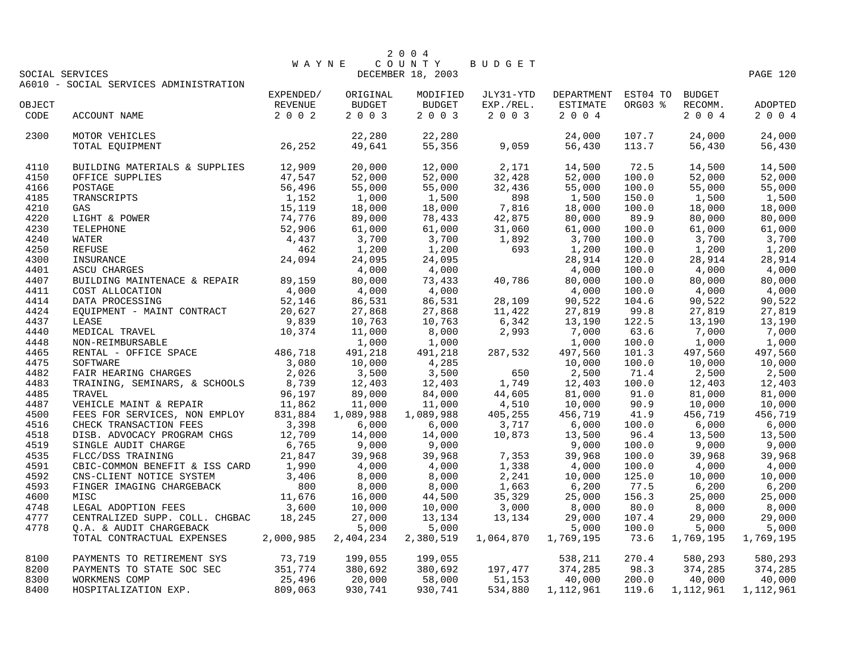|              | SOCIAL SERVICES                                                                                                                                                                                                                                           |                   | W A Y N E                                                                                                        | 2 0 0 4<br>COUNTY<br>DECEMBER 18, 2003                                                                                                                                                                                                                                               | BUDGET                                                                                                           |                               |                |                                                 | PAGE 120            |
|--------------|-----------------------------------------------------------------------------------------------------------------------------------------------------------------------------------------------------------------------------------------------------------|-------------------|------------------------------------------------------------------------------------------------------------------|--------------------------------------------------------------------------------------------------------------------------------------------------------------------------------------------------------------------------------------------------------------------------------------|------------------------------------------------------------------------------------------------------------------|-------------------------------|----------------|-------------------------------------------------|---------------------|
|              | A6010 - SOCIAL SERVICES ADMINISTRATION                                                                                                                                                                                                                    | EXPENDED/         | ORIGINAL                                                                                                         | MODIFIED                                                                                                                                                                                                                                                                             |                                                                                                                  | JLY31-YTD DEPARTMENT EST04 TO |                | <b>BUDGET</b>                                   |                     |
| OBJECT       |                                                                                                                                                                                                                                                           | REVENUE           | BUDGET                                                                                                           | BUDGET                                                                                                                                                                                                                                                                               | EXP./REL.                                                                                                        | ESTIMATE                      | ORG03 %        | RECOMM.                                         | ADOPTED             |
| CODE         | ACCOUNT NAME                                                                                                                                                                                                                                              | 2 0 0 2           | 2003                                                                                                             | 2 0 0 3                                                                                                                                                                                                                                                                              | 2 0 0 3                                                                                                          | 2004                          |                | 2004                                            | 2004                |
| 2300         | MOTOR VEHICLES                                                                                                                                                                                                                                            |                   | 22,280                                                                                                           | 22,280                                                                                                                                                                                                                                                                               |                                                                                                                  | 24,000                        | 107.7          | 24,000                                          | 24,000              |
|              | 26, 252<br>TOTAL EQUIPMENT                                                                                                                                                                                                                                |                   | 49,641                                                                                                           | $22,280$<br>55,356                                                                                                                                                                                                                                                                   | 9,059                                                                                                            | 56,430                        | 113.7          | 56,430                                          | 56,430              |
| 4110         | BUILDING MATERIALS & SUPPLIES 12,909                                                                                                                                                                                                                      |                   | 20,000                                                                                                           |                                                                                                                                                                                                                                                                                      |                                                                                                                  | 14,500                        | 72.5           | 14,500                                          | 14,500              |
| 4150         |                                                                                                                                                                                                                                                           |                   | 52,000                                                                                                           |                                                                                                                                                                                                                                                                                      | $12,000$ $2,171$<br>52,000 $32,428$                                                                              | 52,000                        | 100.0          | 52,000                                          | 52,000              |
| 4166         |                                                                                                                                                                                                                                                           |                   |                                                                                                                  |                                                                                                                                                                                                                                                                                      |                                                                                                                  | 55,000                        | 100.0          | 55,000                                          | 55,000              |
| 4185         | BUILDING MATERIALS & SUPPLIES<br>OFFICE SUPPLIES<br>POSTAGE<br>TRANSCRIPTS<br>CAS<br>IS 1, 152<br>CAS<br>LIGHT & POWER<br>TELEPHONE<br>TELEPHONE<br>TELEPHONE<br>MATER<br>A 4, 437<br>REFUSE<br>INSURANCE<br>ASCU CHARGES<br>ASCU CHARGES<br>ASCU CHARGES |                   | $52,000$<br>$1,000$<br>$1,000$<br>$18,000$<br>$89,000$<br>$61,000$<br>$3,700$<br>$1,200$                         | 52,000 32,428<br>55,000 32,436<br>1,500 898<br>18,000 7,816<br>78,433 42,875<br>61,000 31,060<br>3,700 1,892<br>1,200 693                                                                                                                                                            |                                                                                                                  | 1,500                         | 150.0          | 1,500                                           | 1,500               |
| 4210         |                                                                                                                                                                                                                                                           |                   |                                                                                                                  |                                                                                                                                                                                                                                                                                      |                                                                                                                  | 18,000                        | 100.0          | 18,000                                          | 18,000              |
| 4220         |                                                                                                                                                                                                                                                           |                   |                                                                                                                  |                                                                                                                                                                                                                                                                                      |                                                                                                                  | 80,000                        | 89.9           | 80,000                                          | 80,000              |
| 4230         |                                                                                                                                                                                                                                                           |                   |                                                                                                                  |                                                                                                                                                                                                                                                                                      |                                                                                                                  | 61,000                        | 100.0          | 61,000                                          | 61,000              |
| 4240         |                                                                                                                                                                                                                                                           |                   |                                                                                                                  |                                                                                                                                                                                                                                                                                      |                                                                                                                  | 3,700                         | 100.0          | 3,700                                           | 3,700               |
| 4250         |                                                                                                                                                                                                                                                           |                   |                                                                                                                  |                                                                                                                                                                                                                                                                                      |                                                                                                                  | 1,200                         | 100.0          | 1,200                                           | 1,200               |
| 4300         |                                                                                                                                                                                                                                                           |                   | 24,095                                                                                                           |                                                                                                                                                                                                                                                                                      |                                                                                                                  | 28,914                        | 120.0          | 28,914                                          | 28,914              |
| 4401         | ASCU CHARGES                                                                                                                                                                                                                                              |                   | 4,000                                                                                                            |                                                                                                                                                                                                                                                                                      |                                                                                                                  | 4,000                         | 100.0          | 4,000                                           | 4,000               |
| 4407         | BUILDING MAINTENACE & REPAIR<br>COST ALLOCATION 09,159<br>COST ALLOCATION 04,000<br>DATA PROCESSING 52,146<br>EQUIPMENT - MAINT CONTRACT 09,839<br>LEASE 9,839<br>MEDICAL TRAVEL                                                                          |                   | $\begin{array}{r} 4,000 \\ 80,000 \\ 4,000 \\ 86,531 \\ 27,868 \\ 10,763 \\ 11,000 \\ 1,000 \end{array}$         | $24,095$<br>$4,000$<br>$73,433$<br>$4,000$<br>$4,000$                                                                                                                                                                                                                                |                                                                                                                  | 80,000                        | 100.0          | 80,000                                          | 80,000              |
| 4411         |                                                                                                                                                                                                                                                           |                   |                                                                                                                  | 4,000                                                                                                                                                                                                                                                                                | $\begin{array}{llll} 3,435\, \\ 4,000\, \\ 86,531\, \\ 27,868\, \\ 3\, \\ 2\, \\ 6,342\, \\ 2,993\, \end{array}$ | 4,000                         | 100.0          | 4,000                                           | 4,000               |
| 4414         |                                                                                                                                                                                                                                                           |                   |                                                                                                                  |                                                                                                                                                                                                                                                                                      |                                                                                                                  | 90,522                        | 104.6          | 90,522                                          | 90,522              |
| 4424         |                                                                                                                                                                                                                                                           |                   |                                                                                                                  |                                                                                                                                                                                                                                                                                      |                                                                                                                  | 27,819                        | 99.8           | 27,819                                          | 27,819              |
| 4437         |                                                                                                                                                                                                                                                           |                   |                                                                                                                  |                                                                                                                                                                                                                                                                                      |                                                                                                                  | 13,190                        | 122.5          | 13,190                                          | 13,190              |
| 4440         | MEDICAL TRAVEL                                                                                                                                                                                                                                            |                   |                                                                                                                  |                                                                                                                                                                                                                                                                                      |                                                                                                                  | 7,000                         | 63.6           | 7,000                                           | 7,000               |
| 4448         | $9,839$<br>$10,374$<br>NON-REIMBURSABLE                                                                                                                                                                                                                   |                   | 1,000                                                                                                            | 1,000                                                                                                                                                                                                                                                                                |                                                                                                                  | 1,000                         | 100.0          | 1,000                                           | 1,000               |
| 4465         |                                                                                                                                                                                                                                                           |                   | 491,218                                                                                                          |                                                                                                                                                                                                                                                                                      |                                                                                                                  | 497,560                       | 101.3          | 497,560                                         | 497,560             |
| 4475         | NON-REIMBURSABLE<br>RENTAL - OFFICE SPACE 486,718<br>SOFTWARE 3,080<br>FAIR HEARING CHARGES 2,026<br>TRAINING, SEMINARS, & SCHOOLS 8,739<br>TRAVEL 96,197<br>VEHICLE MAINT & REPAIR 11,862<br>FEES FOR SERVICES, NON EMPLOY 831,884<br>CHECK T            |                   |                                                                                                                  | $\begin{array}{cccc} 4,285 & 10,000 \ 3,500 & 650 & 2,500 \ 12,403 & 1,749 & 12,403 \ 84,000 & 44,605 & 81,000 \ 11,000 & 4,510 & 10,000 \ 1,089,988 & 405,255 & 456,719 \end{array}$                                                                                                |                                                                                                                  |                               | 100.0          | 10,000                                          | 10,000              |
| 4482         |                                                                                                                                                                                                                                                           |                   | $10,000$<br>$3,500$<br>$12,403$<br>$89,000$<br>$11,000$                                                          |                                                                                                                                                                                                                                                                                      |                                                                                                                  |                               | 71.4           | 2,500                                           | 2,500               |
| 4483         |                                                                                                                                                                                                                                                           |                   |                                                                                                                  |                                                                                                                                                                                                                                                                                      |                                                                                                                  |                               | 100.0          | 12,403                                          | 12,403              |
| 4485         |                                                                                                                                                                                                                                                           |                   |                                                                                                                  |                                                                                                                                                                                                                                                                                      |                                                                                                                  |                               | 91.0           | 81,000                                          | 81,000              |
| 4487         |                                                                                                                                                                                                                                                           |                   |                                                                                                                  |                                                                                                                                                                                                                                                                                      |                                                                                                                  |                               | 90.9           | 10,000                                          | 10,000              |
| 4500         |                                                                                                                                                                                                                                                           |                   | 1,089,988                                                                                                        | 1,089,988                                                                                                                                                                                                                                                                            |                                                                                                                  |                               | 41.9           |                                                 | 456,719             |
| 4516         |                                                                                                                                                                                                                                                           |                   | 6,000                                                                                                            |                                                                                                                                                                                                                                                                                      | 3,717                                                                                                            |                               | 100.0          |                                                 | 6,000               |
| 4518         |                                                                                                                                                                                                                                                           |                   |                                                                                                                  |                                                                                                                                                                                                                                                                                      | 10,873                                                                                                           | $456, 719$<br>6,000<br>13,500 | 96.4           |                                                 | 13,500              |
| 4519         |                                                                                                                                                                                                                                                           |                   |                                                                                                                  | $6,000$<br>14,000 1<br>9,000                                                                                                                                                                                                                                                         |                                                                                                                  | 9,000                         | 100.0          | $456, 719$<br>$6, 000$<br>$13, 500$<br>$9, 000$ | 9,000               |
| 4535         | DISB. ADVOCACY PROGRAM CHGS<br>SINGLE AUDIT CHARGE<br>FLCC/DSS TRAINING 21,847                                                                                                                                                                            |                   | $\begin{array}{r} 14,000\ 9,000\ 9,000\ 39,968\ 4,000\ 8,000\ 8,000\ 16,000\ 10,000\ 27,000\ 5.000\ \end{array}$ | 14,000<br>9,000<br>39,968<br>$\begin{array}{cccc} 14\,, 000 & 10\,, 873\ 9\,, 000 & & & & & \ 39\,, 968 & 7\,, 353\ 4\,, 000 & 1\,, 338\ 8\,, 000 & 2\,, 241\ 8\,, 000 & 1\,, 663\ 44\,, 500 & 35\,, 329\ 10\,, 000 & 3\,, 000\ 13\,, 134 & 13\,, 134\ 5\,. 000 & & & & \end{array}$ |                                                                                                                  | 39,968                        | 100.0          | 39,968                                          | 39,968              |
|              |                                                                                                                                                                                                                                                           |                   |                                                                                                                  |                                                                                                                                                                                                                                                                                      | 7,353<br>1,338                                                                                                   | 4,000                         |                | 4,000                                           | 4,000               |
| 4591<br>4592 | CBIC-COMMON BENEFIT & ISS CARD 1,990<br>CNS-CLIENT NOTICE SYSTEM 3,406<br>FINGER IMAGING CHARGEBACK 800<br>MISC 11,676<br>LEGAL ADOPTION FEES 3,600                                                                                                       |                   |                                                                                                                  |                                                                                                                                                                                                                                                                                      |                                                                                                                  | 10,000                        | 100.0<br>125.0 | 10,000                                          | 10,000              |
| 4593         |                                                                                                                                                                                                                                                           |                   |                                                                                                                  |                                                                                                                                                                                                                                                                                      |                                                                                                                  | 6,200                         | 77.5           | 6,200                                           | 6,200               |
| 4600         |                                                                                                                                                                                                                                                           |                   |                                                                                                                  |                                                                                                                                                                                                                                                                                      |                                                                                                                  | 25,000                        | 156.3          | 25,000                                          | 25,000              |
| 4748         |                                                                                                                                                                                                                                                           |                   |                                                                                                                  |                                                                                                                                                                                                                                                                                      |                                                                                                                  | 8,000                         | 80.0           | 8,000                                           | 8,000               |
|              | CENTRALIZED SUPP. COLL. CHGBAC 18,245                                                                                                                                                                                                                     |                   |                                                                                                                  |                                                                                                                                                                                                                                                                                      |                                                                                                                  |                               |                |                                                 |                     |
| 4777<br>4778 |                                                                                                                                                                                                                                                           |                   | 5,000                                                                                                            |                                                                                                                                                                                                                                                                                      |                                                                                                                  | 29,000                        | 107.4          | 29,000                                          | 29,000<br>5,000     |
|              | Q.A. & AUDIT CHARGEBACK<br>5,000 5,000 5,000 5,000 5,000 5,000<br>TOTAL CONTRACTUAL EXPENSES 2,000,985 2,404,234 2,380,519 1,064,870 1,769,195                                                                                                            |                   |                                                                                                                  | 5,000                                                                                                                                                                                                                                                                                |                                                                                                                  | 5,000                         | 100.0<br>73.6  | 5,000<br>1,769,195                              | 1,769,195           |
|              |                                                                                                                                                                                                                                                           |                   |                                                                                                                  |                                                                                                                                                                                                                                                                                      |                                                                                                                  |                               |                |                                                 |                     |
| 8100         |                                                                                                                                                                                                                                                           |                   | 199,055                                                                                                          | 199,055                                                                                                                                                                                                                                                                              |                                                                                                                  | 538,211                       | 270.4          | 580,293                                         | 580,293             |
| 8200         | PAYMENTS TO RETIREMENT SYS<br>PAYMENTS TO STATE SOC SEC 351,774<br>MODEMENS COMP                                                                                                                                                                          |                   | 380,692<br>20,000                                                                                                | 380,692<br>58,000                                                                                                                                                                                                                                                                    | 197,477<br>51,153                                                                                                | 374,285<br>40,000             | 98.3           | 374,285                                         | 374,285             |
| 8300<br>8400 | WORKMENS COMP<br>HOSPITALIZATION EXP.                                                                                                                                                                                                                     | 25,496<br>809,063 | 930,741                                                                                                          | 930,741                                                                                                                                                                                                                                                                              | 534,880                                                                                                          | 1,112,961                     | 200.0          | 40,000<br>119.6 1, 112, 961                     | 40,000<br>1,112,961 |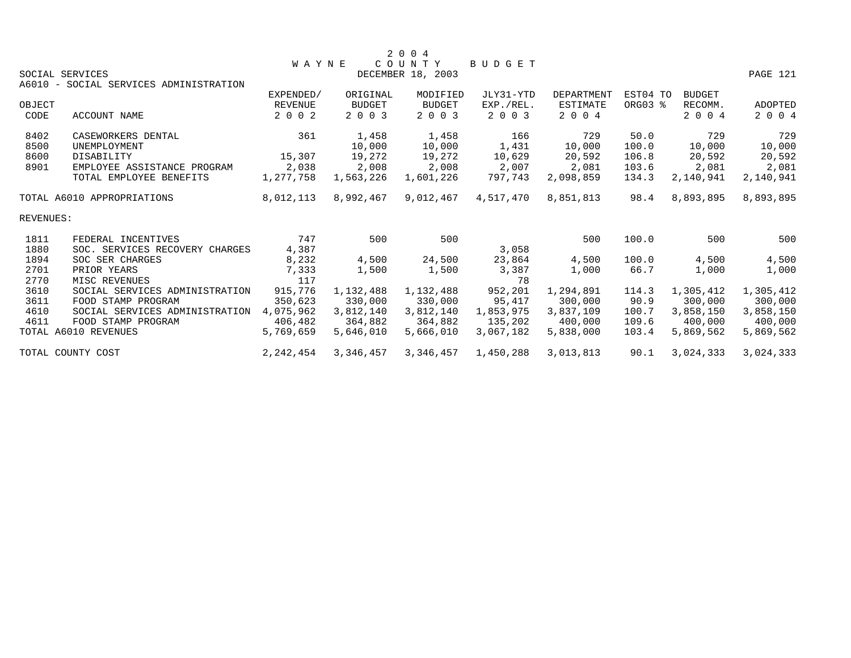|           |                                        |                |           | 2 0 0 4           |           |                   |          |               |           |
|-----------|----------------------------------------|----------------|-----------|-------------------|-----------|-------------------|----------|---------------|-----------|
|           |                                        | <b>WAYNE</b>   |           | COUNTY            | BUDGET    |                   |          |               |           |
|           | SOCIAL SERVICES                        |                |           | DECEMBER 18, 2003 |           |                   |          |               | PAGE 121  |
|           | A6010 - SOCIAL SERVICES ADMINISTRATION |                |           |                   |           |                   |          |               |           |
|           |                                        | EXPENDED/      | ORIGINAL  | MODIFIED          | JLY31-YTD | <b>DEPARTMENT</b> | EST04 TO | <b>BUDGET</b> |           |
| OBJECT    |                                        | <b>REVENUE</b> | BUDGET    | <b>BUDGET</b>     | EXP./REL. | ESTIMATE          | ORG03 %  | RECOMM.       | ADOPTED   |
| CODE      | <b>ACCOUNT NAME</b>                    | 2 0 0 2        | 2 0 0 3   | 2 0 0 3           | 2 0 0 3   | 2 0 0 4           |          | 2 0 0 4       | 2 0 0 4   |
| 8402      | CASEWORKERS DENTAL                     | 361            | 1,458     | 1,458             | 166       | 729               | 50.0     | 729           | 729       |
| 8500      | UNEMPLOYMENT                           |                | 10,000    | 10,000            | 1,431     | 10,000            | 100.0    | 10,000        | 10,000    |
| 8600      | DISABILITY                             | 15,307         | 19,272    | 19,272            | 10,629    | 20,592            | 106.8    | 20,592        | 20,592    |
| 8901      | EMPLOYEE ASSISTANCE PROGRAM            | 2,038          | 2,008     | 2,008             | 2,007     | 2,081             | 103.6    | 2,081         | 2,081     |
|           | TOTAL EMPLOYEE BENEFITS                | 1,277,758      | 1,563,226 | 1,601,226         | 797,743   | 2,098,859         | 134.3    | 2,140,941     | 2,140,941 |
|           | TOTAL A6010 APPROPRIATIONS             | 8,012,113      | 8,992,467 | 9,012,467         | 4,517,470 | 8,851,813         | 98.4     | 8,893,895     | 8,893,895 |
| REVENUES: |                                        |                |           |                   |           |                   |          |               |           |
| 1811      | FEDERAL INCENTIVES                     | 747            | 500       | 500               |           | 500               | 100.0    | 500           | 500       |
| 1880      | SOC. SERVICES RECOVERY CHARGES         | 4,387          |           |                   | 3,058     |                   |          |               |           |
| 1894      | SOC SER CHARGES                        | 8,232          | 4,500     | 24,500            | 23,864    | 4,500             | 100.0    | 4,500         | 4,500     |
| 2701      | PRIOR YEARS                            | 7,333          | 1,500     | 1,500             | 3,387     | 1,000             | 66.7     | 1,000         | 1,000     |
| 2770      | MISC REVENUES                          | 117            |           |                   | 78        |                   |          |               |           |
| 3610      | SOCIAL SERVICES ADMINISTRATION         | 915,776        | 1,132,488 | 1,132,488         | 952,201   | 1,294,891         | 114.3    | 1,305,412     | 1,305,412 |
| 3611      | FOOD STAMP PROGRAM                     | 350,623        | 330,000   | 330,000           | 95,417    | 300,000           | 90.9     | 300,000       | 300,000   |
| 4610      | SOCIAL SERVICES ADMINISTRATION         | 4,075,962      | 3,812,140 | 3,812,140         | 1,853,975 | 3,837,109         | 100.7    | 3,858,150     | 3,858,150 |
| 4611      | FOOD STAMP PROGRAM                     | 406,482        | 364,882   | 364,882           | 135,202   | 400,000           | 109.6    | 400,000       | 400,000   |
|           | TOTAL A6010 REVENUES                   | 5,769,659      | 5,646,010 | 5,666,010         | 3,067,182 | 5,838,000         | 103.4    | 5,869,562     | 5,869,562 |
|           | TOTAL COUNTY COST                      | 2, 242, 454    | 3,346,457 | 3,346,457         | 1,450,288 | 3,013,813         | 90.1     | 3,024,333     | 3,024,333 |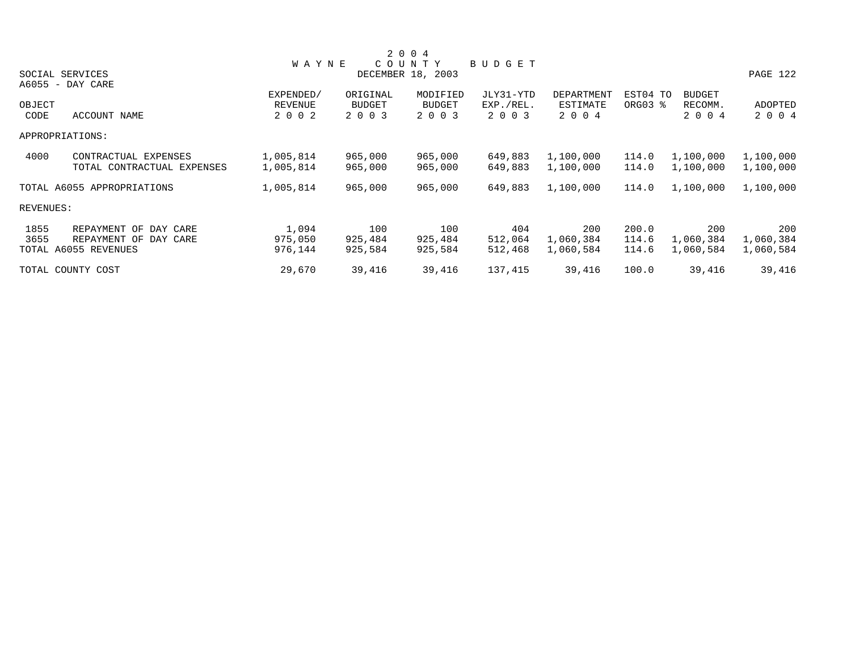|           |                            |                |               | 2 0 0 4           |           |            |          |               |           |
|-----------|----------------------------|----------------|---------------|-------------------|-----------|------------|----------|---------------|-----------|
|           |                            | <b>WAYNE</b>   |               | COUNTY            | BUDGET    |            |          |               |           |
|           | SOCIAL SERVICES            |                |               | DECEMBER 18, 2003 |           |            |          |               | PAGE 122  |
|           | A6055 - DAY CARE           |                |               |                   |           |            |          |               |           |
|           |                            | EXPENDED/      | ORIGINAL      | MODIFIED          | JLY31-YTD | DEPARTMENT | EST04 TO | <b>BUDGET</b> |           |
| OBJECT    |                            | <b>REVENUE</b> | <b>BUDGET</b> | <b>BUDGET</b>     | EXP./REL. | ESTIMATE   | ORG03 %  | RECOMM.       | ADOPTED   |
| CODE      | ACCOUNT NAME               | 2 0 0 2        | 2 0 0 3       | 2 0 0 3           | 2 0 0 3   | 2 0 0 4    |          | 2 0 0 4       | 2 0 0 4   |
|           | APPROPRIATIONS:            |                |               |                   |           |            |          |               |           |
| 4000      | CONTRACTUAL EXPENSES       | 1,005,814      | 965,000       | 965,000           | 649,883   | 1,100,000  | 114.0    | 1,100,000     | 1,100,000 |
|           | TOTAL CONTRACTUAL EXPENSES | 1,005,814      | 965,000       | 965,000           | 649,883   | 1,100,000  | 114.0    | 1,100,000     | 1,100,000 |
|           | TOTAL A6055 APPROPRIATIONS | 1,005,814      | 965,000       | 965,000           | 649,883   | 1,100,000  | 114.0    | 1,100,000     | 1,100,000 |
| REVENUES: |                            |                |               |                   |           |            |          |               |           |
| 1855      | REPAYMENT OF DAY CARE      | 1,094          | 100           | 100               | 404       | 200        | 200.0    | 200           | 200       |
| 3655      | REPAYMENT OF DAY CARE      | 975,050        | 925,484       | 925,484           | 512,064   | 1,060,384  | 114.6    | 1,060,384     | 1,060,384 |
|           | TOTAL A6055 REVENUES       | 976,144        | 925,584       | 925,584           | 512,468   | 1,060,584  | 114.6    | 1,060,584     | 1,060,584 |
|           | TOTAL COUNTY COST          | 29,670         | 39,416        | 39,416            | 137,415   | 39,416     | 100.0    | 39,416        | 39,416    |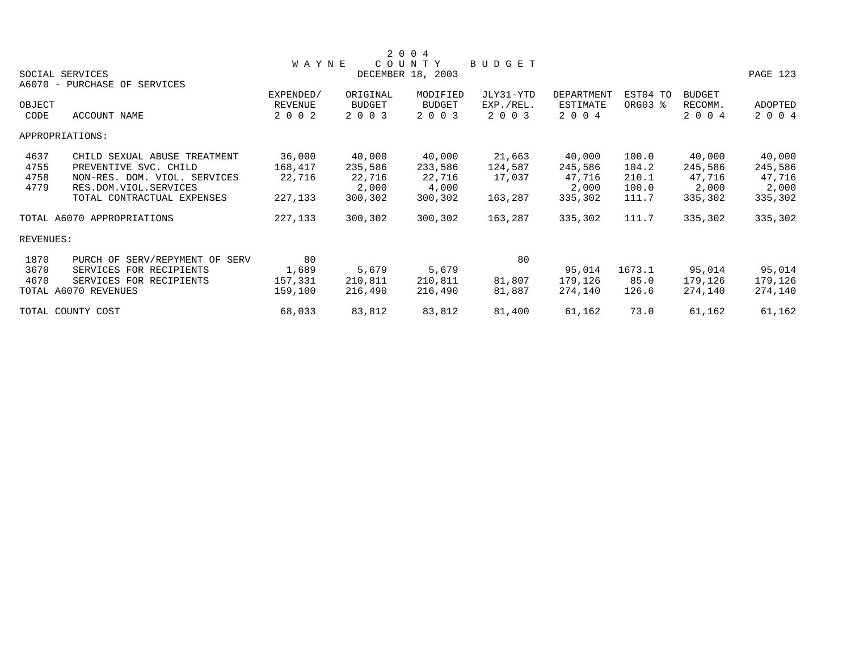|           |                                |              |          | 2 0 0 4           |           |            |          |               |          |
|-----------|--------------------------------|--------------|----------|-------------------|-----------|------------|----------|---------------|----------|
|           |                                | <b>WAYNE</b> |          | COUNTY            | BUDGET    |            |          |               |          |
|           | SOCIAL SERVICES                |              |          | DECEMBER 18, 2003 |           |            |          |               | PAGE 123 |
|           | A6070 - PURCHASE OF SERVICES   |              |          |                   |           |            |          |               |          |
|           |                                | EXPENDED/    | ORIGINAL | MODIFIED          | JLY31-YTD | DEPARTMENT | EST04 TO | <b>BUDGET</b> |          |
| OBJECT    |                                | REVENUE      | BUDGET   | <b>BUDGET</b>     | EXP./REL. | ESTIMATE   | ORG03 %  | RECOMM.       | ADOPTED  |
| CODE      | ACCOUNT NAME                   | 2 0 0 2      | 2 0 0 3  | 2 0 0 3           | 2 0 0 3   | 2 0 0 4    |          | 2 0 0 4       | 2 0 0 4  |
|           | APPROPRIATIONS:                |              |          |                   |           |            |          |               |          |
| 4637      | CHILD SEXUAL ABUSE TREATMENT   | 36,000       | 40,000   | 40,000            | 21,663    | 40,000     | 100.0    | 40,000        | 40,000   |
| 4755      | PREVENTIVE SVC. CHILD          | 168,417      | 235,586  | 233,586           | 124,587   | 245,586    | 104.2    | 245,586       | 245,586  |
| 4758      | NON-RES. DOM. VIOL. SERVICES   | 22,716       | 22,716   | 22,716            | 17,037    | 47,716     | 210.1    | 47,716        | 47,716   |
| 4779      | RES.DOM.VIOL.SERVICES          |              | 2,000    | 4,000             |           | 2,000      | 100.0    | 2,000         | 2,000    |
|           | TOTAL CONTRACTUAL EXPENSES     | 227,133      | 300,302  | 300,302           | 163,287   | 335,302    | 111.7    | 335,302       | 335,302  |
|           | TOTAL A6070 APPROPRIATIONS     | 227,133      | 300,302  | 300,302           | 163,287   | 335,302    | 111.7    | 335,302       | 335,302  |
| REVENUES: |                                |              |          |                   |           |            |          |               |          |
| 1870      | PURCH OF SERV/REPYMENT OF SERV | 80           |          |                   | 80        |            |          |               |          |
| 3670      | SERVICES FOR RECIPIENTS        | 1,689        | 5,679    | 5,679             |           | 95,014     | 1673.1   | 95,014        | 95,014   |
| 4670      | SERVICES FOR RECIPIENTS        | 157,331      | 210,811  | 210,811           | 81,807    | 179,126    | 85.0     | 179,126       | 179,126  |
|           | TOTAL A6070 REVENUES           | 159,100      | 216,490  | 216,490           | 81,887    | 274,140    | 126.6    | 274,140       | 274,140  |
|           | TOTAL COUNTY COST              | 68,033       | 83,812   | 83,812            | 81,400    | 61,162     | 73.0     | 61,162        | 61,162   |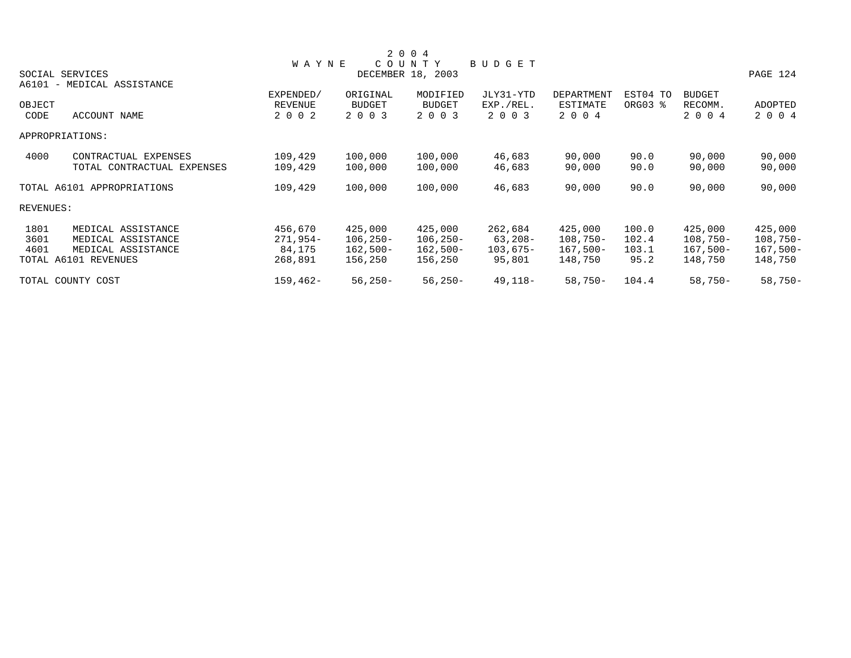|           |                            |                      |               | 2 0 0 4                   |           |                   |          |                          |            |
|-----------|----------------------------|----------------------|---------------|---------------------------|-----------|-------------------|----------|--------------------------|------------|
|           |                            | <b>WAYNE</b>         |               | COUNTY                    | BUDGET    |                   |          |                          |            |
|           | SOCIAL SERVICES            |                      |               | DECEMBER 18, 2003         |           |                   |          |                          | PAGE 124   |
|           | A6101 - MEDICAL ASSISTANCE |                      | ORIGINAL      |                           | JLY31-YTD | <b>DEPARTMENT</b> | EST04 TO |                          |            |
| OBJECT    |                            | EXPENDED/<br>REVENUE | <b>BUDGET</b> | MODIFIED<br><b>BUDGET</b> | EXP./REL. | ESTIMATE          | ORG03 %  | <b>BUDGET</b><br>RECOMM. | ADOPTED    |
| CODE      | ACCOUNT NAME               | 2 0 0 2              | 2 0 0 3       | 2 0 0 3                   | 2 0 0 3   | 2 0 0 4           |          | 2 0 0 4                  | 2 0 0 4    |
|           | APPROPRIATIONS:            |                      |               |                           |           |                   |          |                          |            |
| 4000      | CONTRACTUAL EXPENSES       | 109,429              | 100,000       | 100,000                   | 46,683    | 90,000            | 90.0     | 90,000                   | 90,000     |
|           | TOTAL CONTRACTUAL EXPENSES | 109,429              | 100,000       | 100,000                   | 46,683    | 90,000            | 90.0     | 90,000                   | 90,000     |
|           | TOTAL A6101 APPROPRIATIONS | 109,429              | 100,000       | 100,000                   | 46,683    | 90,000            | 90.0     | 90,000                   | 90,000     |
| REVENUES: |                            |                      |               |                           |           |                   |          |                          |            |
| 1801      | MEDICAL ASSISTANCE         | 456,670              | 425,000       | 425,000                   | 262,684   | 425,000           | 100.0    | 425,000                  | 425,000    |
| 3601      | MEDICAL ASSISTANCE         | $271,954-$           | $106, 250 -$  | $106, 250 -$              | 63,208-   | $108,750-$        | 102.4    | $108,750-$               | $108,750-$ |
| 4601      | MEDICAL ASSISTANCE         | 84,175               | 162,500-      | $162,500-$                | 103,675-  | $167,500-$        | 103.1    | $167,500-$               | $167,500-$ |
|           | TOTAL A6101 REVENUES       | 268,891              | 156,250       | 156,250                   | 95,801    | 148,750           | 95.2     | 148,750                  | 148,750    |
|           | TOTAL COUNTY COST          | $159, 462 -$         | $56,250-$     | $56,250-$                 | 49,118-   | $58,750-$         | 104.4    | $58,750-$                | $58,750-$  |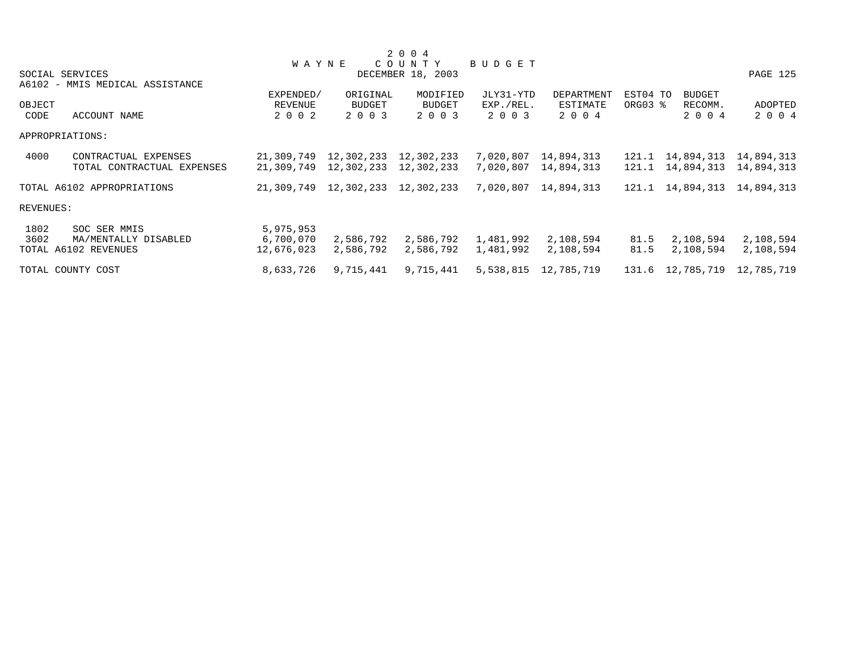|           |                                 |                       |                                        | 2 0 0 4           |           |                      |          |                  |            |
|-----------|---------------------------------|-----------------------|----------------------------------------|-------------------|-----------|----------------------|----------|------------------|------------|
|           |                                 | <b>WAYNE</b>          |                                        | COUNTY            | BUDGET    |                      |          |                  |            |
|           | SOCIAL SERVICES                 |                       |                                        | DECEMBER 18, 2003 |           |                      |          |                  | PAGE 125   |
|           | A6102 - MMIS MEDICAL ASSISTANCE |                       |                                        |                   |           |                      |          |                  |            |
|           |                                 | EXPENDED/             | ORIGINAL                               | MODIFIED          | JLY31-YTD | DEPARTMENT           | EST04 TO | <b>BUDGET</b>    |            |
| OBJECT    |                                 | <b>REVENUE</b>        | <b>BUDGET</b>                          | BUDGET            | EXP./REL. | ESTIMATE             | ORG03 %  | RECOMM.          | ADOPTED    |
| CODE      | ACCOUNT NAME                    | 2 0 0 2               | 2 0 0 3                                | 2 0 0 3           | 2 0 0 3   | 2 0 0 4              |          | 2 0 0 4          | 2 0 0 4    |
|           | APPROPRIATIONS:                 |                       |                                        |                   |           |                      |          |                  |            |
| 4000      | CONTRACTUAL EXPENSES            | 21,309,749            | 12,302,233                             | 12,302,233        | 7,020,807 | 14,894,313           |          | 121.1 14,894,313 | 14,894,313 |
|           | TOTAL CONTRACTUAL EXPENSES      | 21,309,749 12,302,233 |                                        | 12,302,233        | 7,020,807 | 14,894,313           |          | 121.1 14,894,313 | 14,894,313 |
|           | TOTAL A6102 APPROPRIATIONS      |                       | 21, 309, 749 12, 302, 233 12, 302, 233 |                   | 7,020,807 | 14,894,313           |          | 121.1 14,894,313 | 14,894,313 |
| REVENUES: |                                 |                       |                                        |                   |           |                      |          |                  |            |
| 1802      | SOC SER MMIS                    | 5,975,953             |                                        |                   |           |                      |          |                  |            |
| 3602      | MA/MENTALLY DISABLED            | 6,700,070             | 2,586,792                              | 2,586,792         | 1,481,992 | 2,108,594            | 81.5     | 2,108,594        | 2,108,594  |
|           | TOTAL A6102 REVENUES            | 12,676,023            | 2,586,792                              | 2,586,792         | 1,481,992 | 2,108,594            | 81.5     | 2,108,594        | 2,108,594  |
|           | TOTAL COUNTY COST               | 8,633,726             | 9,715,441                              | 9,715,441         |           | 5,538,815 12,785,719 |          | 131.6 12,785,719 | 12,785,719 |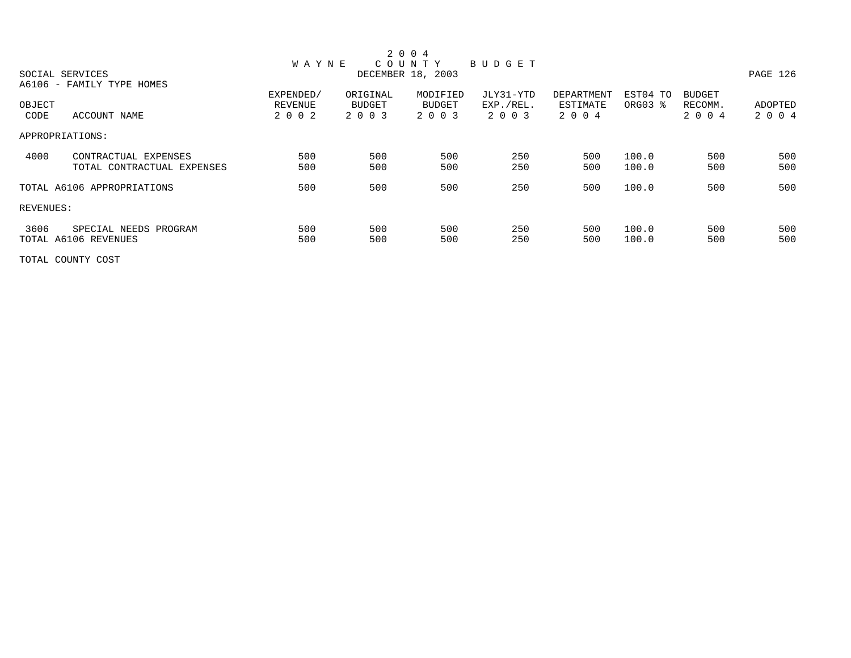|           |                            |              |               | 2 0 0 4           |           |            |          |               |          |
|-----------|----------------------------|--------------|---------------|-------------------|-----------|------------|----------|---------------|----------|
|           |                            | <b>WAYNE</b> |               | COUNTY            | BUDGET    |            |          |               |          |
|           | SOCIAL SERVICES            |              |               | DECEMBER 18, 2003 |           |            |          |               | PAGE 126 |
|           | A6106 - FAMILY TYPE HOMES  |              |               |                   |           |            |          |               |          |
|           |                            | EXPENDED/    | ORIGINAL      | MODIFIED          | JLY31-YTD | DEPARTMENT | EST04 TO | <b>BUDGET</b> |          |
| OBJECT    |                            | REVENUE      | <b>BUDGET</b> | <b>BUDGET</b>     | EXP./REL. | ESTIMATE   | ORG03 %  | RECOMM.       | ADOPTED  |
| CODE      | ACCOUNT NAME               | 2 0 0 2      | 2 0 0 3       | 2 0 0 3           | 2 0 0 3   | 2 0 0 4    |          | 2 0 0 4       | 2 0 0 4  |
|           | APPROPRIATIONS:            |              |               |                   |           |            |          |               |          |
| 4000      | CONTRACTUAL EXPENSES       | 500          | 500           | 500               | 250       | 500        | 100.0    | 500           | 500      |
|           | TOTAL CONTRACTUAL EXPENSES | 500          | 500           | 500               | 250       | 500        | 100.0    | 500           | 500      |
|           | TOTAL A6106 APPROPRIATIONS | 500          | 500           | 500               | 250       | 500        | 100.0    | 500           | 500      |
| REVENUES: |                            |              |               |                   |           |            |          |               |          |
| 3606      | SPECIAL NEEDS PROGRAM      | 500          | 500           | 500               | 250       | 500        | 100.0    | 500           | 500      |
|           | TOTAL A6106 REVENUES       | 500          | 500           | 500               | 250       | 500        | 100.0    | 500           | 500      |

TOTAL COUNTY COST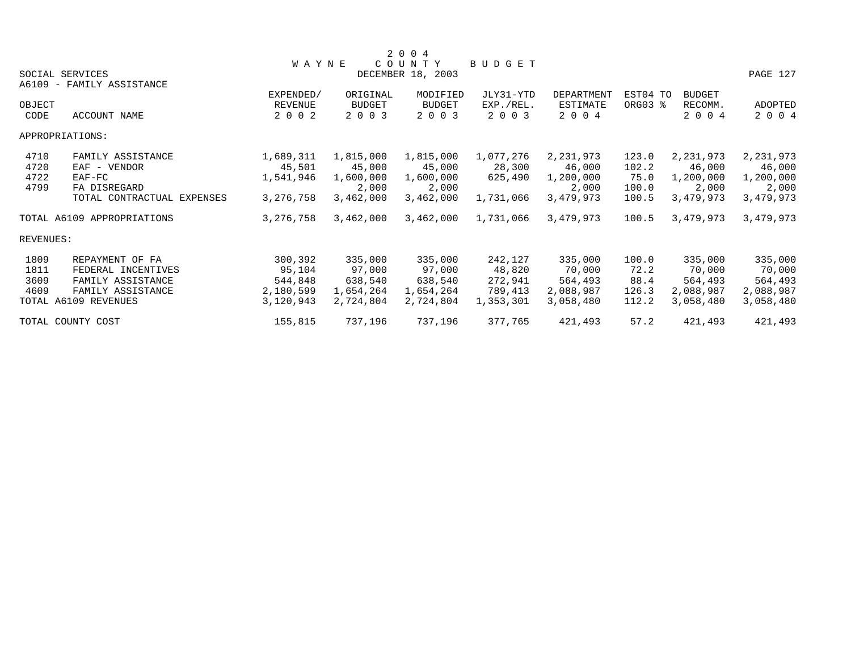|                              | SOCIAL SERVICES<br>A6109 - FAMILY ASSISTANCE                                                            | <b>WAYNE</b>                                           |                                                        | 2 0 0 4<br>COUNTY<br>DECEMBER 18, 2003                 | <b>BUDGET</b>                                        |                                                        |                                          |                                                        | PAGE 127                                               |  |
|------------------------------|---------------------------------------------------------------------------------------------------------|--------------------------------------------------------|--------------------------------------------------------|--------------------------------------------------------|------------------------------------------------------|--------------------------------------------------------|------------------------------------------|--------------------------------------------------------|--------------------------------------------------------|--|
| OBJECT<br>CODE               | ACCOUNT NAME                                                                                            | EXPENDED/<br><b>REVENUE</b><br>2 0 0 2                 | ORIGINAL<br><b>BUDGET</b><br>2 0 0 3                   | MODIFIED<br><b>BUDGET</b><br>2 0 0 3                   | JLY31-YTD<br>EXP./REL.<br>2 0 0 3                    | DEPARTMENT<br>ESTIMATE<br>2 0 0 4                      | EST04 TO<br>ORG03 %                      | <b>BUDGET</b><br>RECOMM.<br>2 0 0 4                    | ADOPTED<br>2 0 0 4                                     |  |
|                              | APPROPRIATIONS:                                                                                         |                                                        |                                                        |                                                        |                                                      |                                                        |                                          |                                                        |                                                        |  |
| 4710<br>4720<br>4722<br>4799 | FAMILY ASSISTANCE<br>EAF - VENDOR<br>$EAF-FC$<br>FA DISREGARD<br>TOTAL CONTRACTUAL EXPENSES             | 1,689,311<br>45,501<br>1,541,946<br>3, 276, 758        | 1,815,000<br>45,000<br>1,600,000<br>2,000<br>3,462,000 | 1,815,000<br>45,000<br>1,600,000<br>2,000<br>3,462,000 | 1,077,276<br>28,300<br>625,490<br>1,731,066          | 2,231,973<br>46,000<br>1,200,000<br>2,000<br>3,479,973 | 123.0<br>102.2<br>75.0<br>100.0<br>100.5 | 2,231,973<br>46,000<br>1,200,000<br>2,000<br>3,479,973 | 2,231,973<br>46,000<br>1,200,000<br>2,000<br>3,479,973 |  |
|                              | TOTAL A6109 APPROPRIATIONS                                                                              | 3, 276, 758                                            | 3,462,000                                              | 3,462,000                                              | 1,731,066                                            | 3,479,973                                              | 100.5                                    | 3,479,973                                              | 3,479,973                                              |  |
| <b>REVENUES:</b>             |                                                                                                         |                                                        |                                                        |                                                        |                                                      |                                                        |                                          |                                                        |                                                        |  |
| 1809<br>1811<br>3609<br>4609 | REPAYMENT OF FA<br>FEDERAL INCENTIVES<br>FAMILY ASSISTANCE<br>FAMILY ASSISTANCE<br>TOTAL A6109 REVENUES | 300,392<br>95,104<br>544,848<br>2,180,599<br>3,120,943 | 335,000<br>97,000<br>638,540<br>1,654,264<br>2,724,804 | 335,000<br>97,000<br>638,540<br>1,654,264<br>2,724,804 | 242,127<br>48,820<br>272,941<br>789,413<br>1,353,301 | 335,000<br>70,000<br>564,493<br>2,088,987<br>3,058,480 | 100.0<br>72.2<br>88.4<br>126.3<br>112.2  | 335,000<br>70,000<br>564,493<br>2,088,987<br>3,058,480 | 335,000<br>70,000<br>564,493<br>2,088,987<br>3,058,480 |  |
|                              | TOTAL COUNTY COST                                                                                       | 155,815                                                | 737,196                                                | 737,196                                                | 377,765                                              | 421,493                                                | 57.2                                     | 421,493                                                | 421,493                                                |  |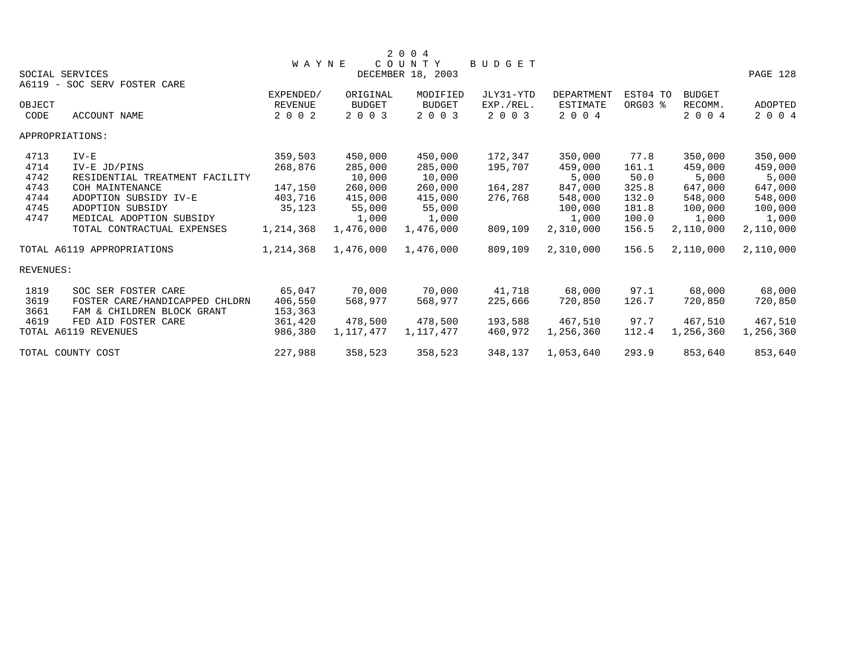|           |                                |                |               | 2 0 0 4           |               |            |          |               |           |
|-----------|--------------------------------|----------------|---------------|-------------------|---------------|------------|----------|---------------|-----------|
|           |                                | <b>WAYNE</b>   |               | COUNTY            | <b>BUDGET</b> |            |          |               |           |
|           | SOCIAL SERVICES                |                |               | DECEMBER 18, 2003 |               |            |          |               | PAGE 128  |
|           | A6119 - SOC SERV FOSTER CARE   |                |               |                   |               |            |          |               |           |
|           |                                | EXPENDED/      | ORIGINAL      | MODIFIED          | JLY31-YTD     | DEPARTMENT | EST04 TO | <b>BUDGET</b> |           |
| OBJECT    |                                | <b>REVENUE</b> | <b>BUDGET</b> | <b>BUDGET</b>     | EXP./REL.     | ESTIMATE   | ORG03 %  | RECOMM.       | ADOPTED   |
| CODE      | ACCOUNT NAME                   | 2 0 0 2        | 2 0 0 3       | 2 0 0 3           | 2 0 0 3       | 2 0 0 4    |          | 2004          | 2 0 0 4   |
|           | APPROPRIATIONS:                |                |               |                   |               |            |          |               |           |
| 4713      | $IV-E$                         | 359,503        | 450,000       | 450,000           | 172,347       | 350,000    | 77.8     | 350,000       | 350,000   |
| 4714      | IV-E JD/PINS                   | 268,876        | 285,000       | 285,000           | 195,707       | 459,000    | 161.1    | 459,000       | 459,000   |
| 4742      | RESIDENTIAL TREATMENT FACILITY |                | 10,000        | 10,000            |               | 5,000      | 50.0     | 5,000         | 5,000     |
| 4743      | COH MAINTENANCE                | 147,150        | 260,000       | 260,000           | 164,287       | 847,000    | 325.8    | 647,000       | 647,000   |
| 4744      | ADOPTION SUBSIDY IV-E          | 403,716        | 415,000       | 415,000           | 276,768       | 548,000    | 132.0    | 548,000       | 548,000   |
| 4745      | ADOPTION SUBSIDY               | 35,123         | 55,000        | 55,000            |               | 100,000    | 181.8    | 100,000       | 100,000   |
| 4747      | MEDICAL ADOPTION SUBSIDY       |                | 1,000         | 1,000             |               | 1,000      | 100.0    | 1,000         | 1,000     |
|           | TOTAL CONTRACTUAL EXPENSES     | 1,214,368      | 1,476,000     | 1,476,000         | 809,109       | 2,310,000  | 156.5    | 2,110,000     | 2,110,000 |
|           | TOTAL A6119 APPROPRIATIONS     | 1,214,368      | 1,476,000     | 1,476,000         | 809,109       | 2,310,000  | 156.5    | 2,110,000     | 2,110,000 |
| REVENUES: |                                |                |               |                   |               |            |          |               |           |
| 1819      | SOC SER FOSTER CARE            | 65,047         | 70,000        | 70,000            | 41,718        | 68,000     | 97.1     | 68,000        | 68,000    |
| 3619      | FOSTER CARE/HANDICAPPED CHLDRN | 406,550        | 568,977       | 568,977           | 225,666       | 720,850    | 126.7    | 720,850       | 720,850   |
| 3661      | FAM & CHILDREN BLOCK GRANT     | 153,363        |               |                   |               |            |          |               |           |
| 4619      | FED AID FOSTER CARE            | 361,420        | 478,500       | 478,500           | 193,588       | 467,510    | 97.7     | 467,510       | 467,510   |
|           | TOTAL A6119 REVENUES           | 986,380        | 1,117,477     | 1,117,477         | 460,972       | 1,256,360  | 112.4    | 1,256,360     | 1,256,360 |
|           | TOTAL COUNTY COST              | 227,988        | 358,523       | 358,523           | 348,137       | 1,053,640  | 293.9    | 853,640       | 853,640   |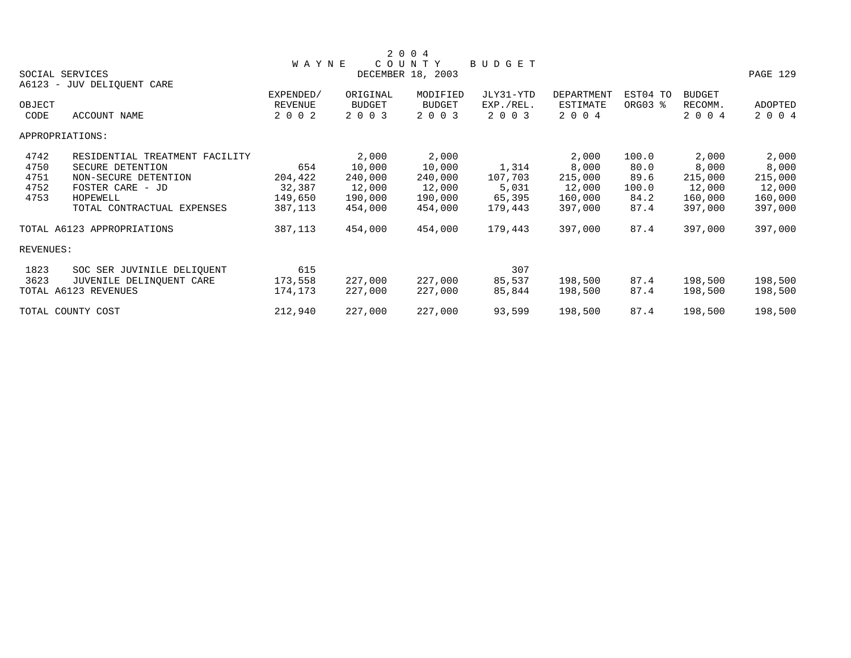|                 |                                |              |               | 2 0 0 4           |           |            |          |               |                |
|-----------------|--------------------------------|--------------|---------------|-------------------|-----------|------------|----------|---------------|----------------|
|                 |                                | <b>WAYNE</b> |               | COUNTY            | BUDGET    |            |          |               |                |
|                 | SOCIAL SERVICES                |              |               | DECEMBER 18, 2003 |           |            |          |               | PAGE 129       |
|                 | A6123 - JUV DELIQUENT CARE     |              |               |                   |           |            |          |               |                |
|                 |                                | EXPENDED/    | ORIGINAL      | MODIFIED          | JLY31-YTD | DEPARTMENT | EST04 TO | <b>BUDGET</b> |                |
| OBJECT          |                                | REVENUE      | <b>BUDGET</b> | <b>BUDGET</b>     | EXP./REL. | ESTIMATE   | ORG03 %  | RECOMM.       | <b>ADOPTED</b> |
| CODE            | ACCOUNT NAME                   | 2 0 0 2      | 2 0 0 3       | 2 0 0 3           | 2 0 0 3   | 2 0 0 4    |          | 2 0 0 4       | 2 0 0 4        |
| APPROPRIATIONS: |                                |              |               |                   |           |            |          |               |                |
| 4742            | RESIDENTIAL TREATMENT FACILITY |              | 2,000         | 2,000             |           | 2,000      | 100.0    | 2,000         | 2,000          |
| 4750            | SECURE DETENTION               | 654          | 10,000        | 10,000            | 1,314     | 8,000      | 80.0     | 8,000         | 8,000          |
| 4751            | NON-SECURE DETENTION           | 204,422      | 240,000       | 240,000           | 107,703   | 215,000    | 89.6     | 215,000       | 215,000        |
| 4752            | FOSTER CARE - JD               | 32,387       | 12,000        | 12,000            | 5,031     | 12,000     | 100.0    | 12,000        | 12,000         |
| 4753            | HOPEWELL                       | 149,650      | 190,000       | 190,000           | 65,395    | 160,000    | 84.2     | 160,000       | 160,000        |
|                 | TOTAL CONTRACTUAL EXPENSES     | 387,113      | 454,000       | 454,000           | 179,443   | 397,000    | 87.4     | 397,000       | 397,000        |
|                 | TOTAL A6123 APPROPRIATIONS     | 387,113      | 454,000       | 454,000           | 179,443   | 397,000    | 87.4     | 397,000       | 397,000        |
| REVENUES:       |                                |              |               |                   |           |            |          |               |                |
| 1823            | SOC SER JUVINILE DELIOUENT     | 615          |               |                   | 307       |            |          |               |                |
| 3623            | JUVENILE DELINQUENT CARE       | 173,558      | 227,000       | 227,000           | 85,537    | 198,500    | 87.4     | 198,500       | 198,500        |
|                 | TOTAL A6123 REVENUES           | 174,173      | 227,000       | 227,000           | 85,844    | 198,500    | 87.4     | 198,500       | 198,500        |
|                 | TOTAL COUNTY COST              | 212,940      | 227,000       | 227,000           | 93,599    | 198,500    | 87.4     | 198,500       | 198,500        |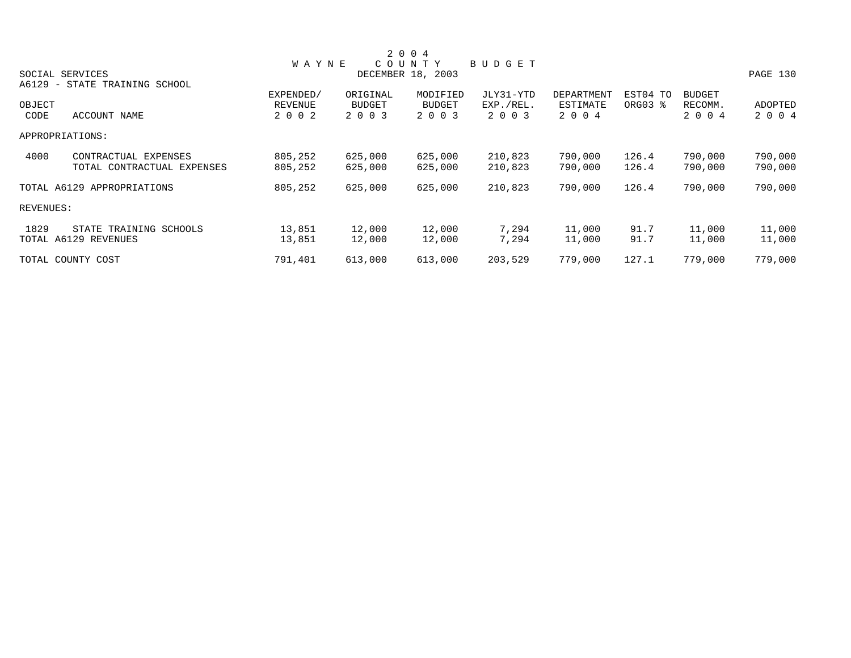|           |                               |              |               | 2 0 0 4           |           |            |          |               |          |
|-----------|-------------------------------|--------------|---------------|-------------------|-----------|------------|----------|---------------|----------|
|           |                               | <b>WAYNE</b> |               | COUNTY            | BUDGET    |            |          |               |          |
|           | SOCIAL SERVICES               |              |               | DECEMBER 18, 2003 |           |            |          |               | PAGE 130 |
|           | A6129 - STATE TRAINING SCHOOL |              |               |                   |           |            |          |               |          |
|           |                               | EXPENDED/    | ORIGINAL      | MODIFIED          | JLY31-YTD | DEPARTMENT | EST04 TO | <b>BUDGET</b> |          |
| OBJECT    |                               | REVENUE      | <b>BUDGET</b> | <b>BUDGET</b>     | EXP./REL. | ESTIMATE   | ORG03 %  | RECOMM.       | ADOPTED  |
| CODE      | ACCOUNT NAME                  | 2 0 0 2      | 2 0 0 3       | 2 0 0 3           | 2 0 0 3   | 2 0 0 4    |          | 2 0 0 4       | 2 0 0 4  |
|           | APPROPRIATIONS:               |              |               |                   |           |            |          |               |          |
| 4000      | CONTRACTUAL EXPENSES          | 805,252      | 625,000       | 625,000           | 210,823   | 790,000    | 126.4    | 790,000       | 790,000  |
|           | TOTAL CONTRACTUAL EXPENSES    | 805,252      | 625,000       | 625,000           | 210,823   | 790,000    | 126.4    | 790,000       | 790,000  |
|           | TOTAL A6129 APPROPRIATIONS    | 805,252      | 625,000       | 625,000           | 210,823   | 790,000    | 126.4    | 790,000       | 790,000  |
| REVENUES: |                               |              |               |                   |           |            |          |               |          |
| 1829      | STATE TRAINING SCHOOLS        | 13,851       | 12,000        | 12,000            | 7,294     | 11,000     | 91.7     | 11,000        | 11,000   |
|           | TOTAL A6129 REVENUES          | 13,851       | 12,000        | 12,000            | 7,294     | 11,000     | 91.7     | 11,000        | 11,000   |
|           | TOTAL COUNTY COST             | 791,401      | 613,000       | 613,000           | 203,529   | 779,000    | 127.1    | 779,000       | 779,000  |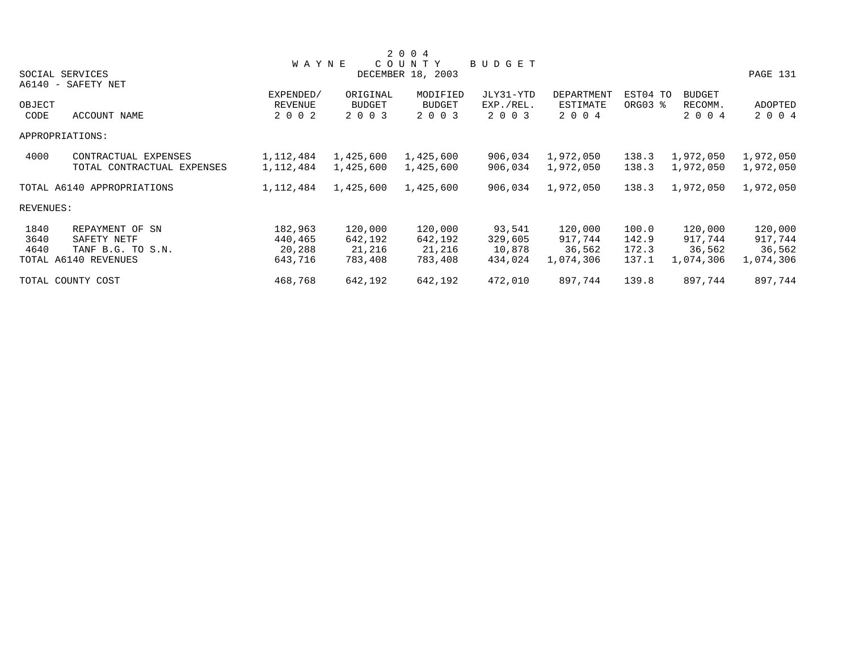|           |                            |              |           | 2 0 0 4           |           |            |          |               |           |
|-----------|----------------------------|--------------|-----------|-------------------|-----------|------------|----------|---------------|-----------|
|           |                            | <b>WAYNE</b> |           | COUNTY            | BUDGET    |            |          |               |           |
|           | SOCIAL SERVICES            |              |           | DECEMBER 18, 2003 |           |            |          |               | PAGE 131  |
|           | A6140 - SAFETY NET         |              |           |                   |           |            |          |               |           |
|           |                            | EXPENDED/    | ORIGINAL  | MODIFIED          | JLY31-YTD | DEPARTMENT | EST04 TO | <b>BUDGET</b> |           |
| OBJECT    |                            | REVENUE      | BUDGET    | <b>BUDGET</b>     | EXP./REL. | ESTIMATE   | ORG03 %  | RECOMM.       | ADOPTED   |
| CODE      | ACCOUNT NAME               | 2 0 0 2      | 2 0 0 3   | 2 0 0 3           | 2 0 0 3   | 2 0 0 4    |          | 2 0 0 4       | 2 0 0 4   |
|           | APPROPRIATIONS:            |              |           |                   |           |            |          |               |           |
| 4000      | CONTRACTUAL EXPENSES       | 1,112,484    | 1,425,600 | 1,425,600         | 906,034   | 1,972,050  | 138.3    | 1,972,050     | 1,972,050 |
|           | TOTAL CONTRACTUAL EXPENSES | 1,112,484    | 1,425,600 | 1,425,600         | 906,034   | 1,972,050  | 138.3    | 1,972,050     | 1,972,050 |
|           | TOTAL A6140 APPROPRIATIONS | 1,112,484    | 1,425,600 | 1,425,600         | 906,034   | 1,972,050  | 138.3    | 1,972,050     | 1,972,050 |
| REVENUES: |                            |              |           |                   |           |            |          |               |           |
| 1840      | REPAYMENT OF SN            | 182,963      | 120,000   | 120,000           | 93,541    | 120,000    | 100.0    | 120,000       | 120,000   |
| 3640      | SAFETY NETF                | 440,465      | 642,192   | 642,192           | 329,605   | 917,744    | 142.9    | 917,744       | 917,744   |
| 4640      | TANF B.G. TO S.N.          | 20,288       | 21,216    | 21,216            | 10,878    | 36,562     | 172.3    | 36,562        | 36,562    |
|           | TOTAL A6140 REVENUES       | 643,716      | 783,408   | 783,408           | 434,024   | 1,074,306  | 137.1    | 1,074,306     | 1,074,306 |
|           | TOTAL COUNTY COST          | 468,768      | 642,192   | 642,192           | 472,010   | 897,744    | 139.8    | 897,744       | 897,744   |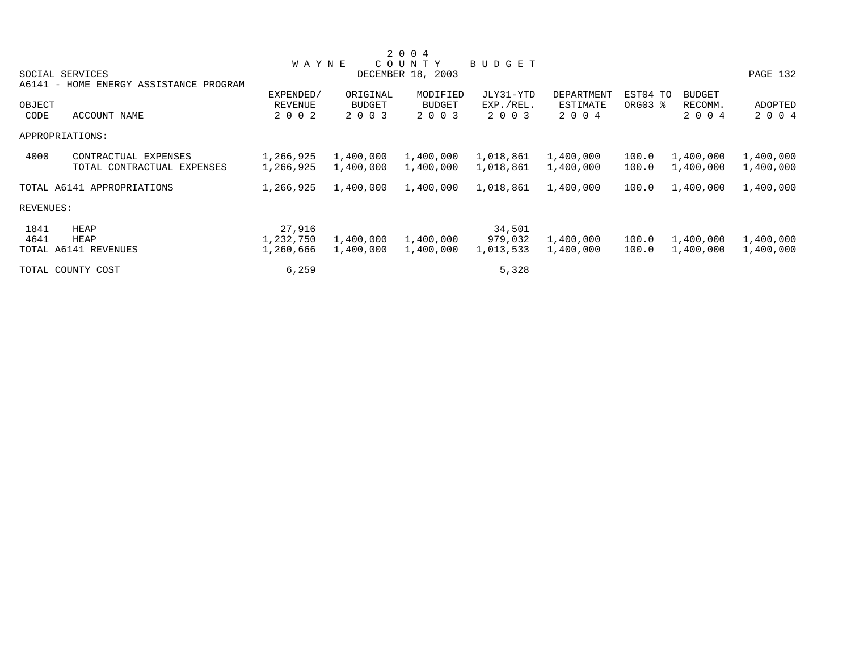|           |                                        |                |               | 2 0 0 4           |           |            |          |               |           |
|-----------|----------------------------------------|----------------|---------------|-------------------|-----------|------------|----------|---------------|-----------|
|           |                                        | <b>WAYNE</b>   |               | COUNTY            | BUDGET    |            |          |               |           |
|           | SOCIAL SERVICES                        |                |               | DECEMBER 18, 2003 |           |            |          |               | PAGE 132  |
|           | A6141 - HOME ENERGY ASSISTANCE PROGRAM |                |               |                   |           |            |          |               |           |
|           |                                        | EXPENDED/      | ORIGINAL      | MODIFIED          | JLY31-YTD | DEPARTMENT | EST04 TO | <b>BUDGET</b> |           |
| OBJECT    |                                        | <b>REVENUE</b> | <b>BUDGET</b> | BUDGET            | EXP./REL. | ESTIMATE   | ORG03 %  | RECOMM.       | ADOPTED   |
| CODE      | ACCOUNT NAME                           | 2 0 0 2        | 2 0 0 3       | 2 0 0 3           | 2 0 0 3   | 2 0 0 4    |          | 2 0 0 4       | 2 0 0 4   |
|           | APPROPRIATIONS:                        |                |               |                   |           |            |          |               |           |
| 4000      | CONTRACTUAL EXPENSES                   | 1,266,925      | 1,400,000     | 1,400,000         | 1,018,861 | 1,400,000  | 100.0    | 1,400,000     | 1,400,000 |
|           | TOTAL CONTRACTUAL EXPENSES             | 1,266,925      | 1,400,000     | 1,400,000         | 1,018,861 | 1,400,000  | 100.0    | 1,400,000     | 1,400,000 |
|           | TOTAL A6141 APPROPRIATIONS             | 1,266,925      | 1,400,000     | 1,400,000         | 1,018,861 | 1,400,000  | 100.0    | 1,400,000     | 1,400,000 |
| REVENUES: |                                        |                |               |                   |           |            |          |               |           |
| 1841      | HEAP                                   | 27,916         |               |                   | 34,501    |            |          |               |           |
| 4641      | HEAP                                   | 1,232,750      | 1,400,000     | 1,400,000         | 979,032   | 1,400,000  | 100.0    | 1,400,000     | 1,400,000 |
|           | TOTAL A6141 REVENUES                   | 1,260,666      | 1,400,000     | 1,400,000         | 1,013,533 | 1,400,000  | 100.0    | 1,400,000     | 1,400,000 |
|           | TOTAL COUNTY COST                      | 6,259          |               |                   | 5,328     |            |          |               |           |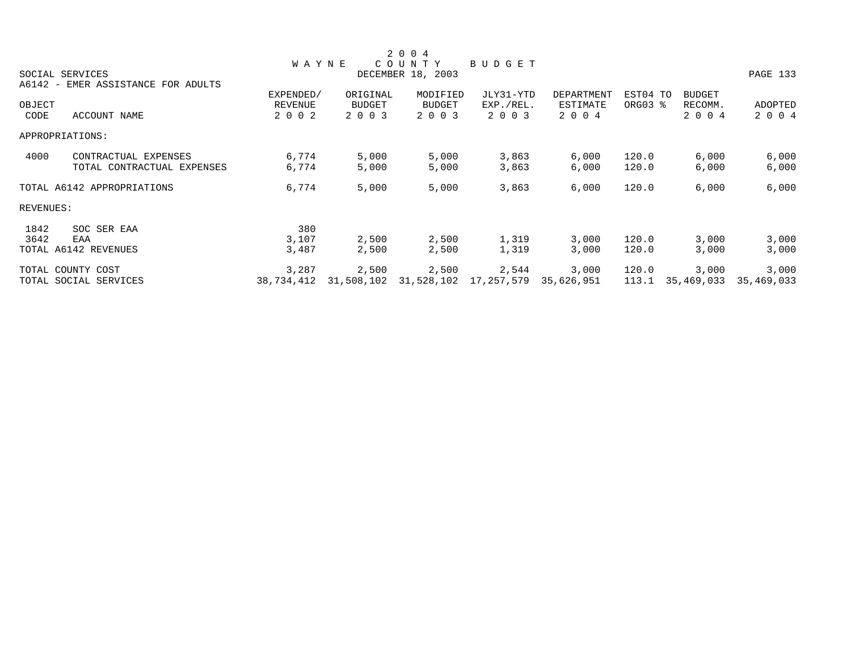|           |                                    |                |            | 2 0 0 4           |            |                   |          |               |            |
|-----------|------------------------------------|----------------|------------|-------------------|------------|-------------------|----------|---------------|------------|
|           |                                    | <b>WAYNE</b>   |            | COUNTY            | BUDGET     |                   |          |               |            |
|           | SOCIAL SERVICES                    |                |            | DECEMBER 18, 2003 |            |                   |          |               | PAGE 133   |
|           | A6142 - EMER ASSISTANCE FOR ADULTS |                |            |                   |            |                   |          |               |            |
|           |                                    | EXPENDED/      | ORIGINAL   | MODIFIED          | JLY31-YTD  | <b>DEPARTMENT</b> | EST04 TO | <b>BUDGET</b> |            |
| OBJECT    |                                    | <b>REVENUE</b> | BUDGET     | <b>BUDGET</b>     | EXP./REL.  | ESTIMATE          | ORG03 %  | RECOMM.       | ADOPTED    |
| CODE      | ACCOUNT NAME                       | 2 0 0 2        | 2 0 0 3    | 2 0 0 3           | 2 0 0 3    | 2 0 0 4           |          | 2 0 0 4       | 2 0 0 4    |
|           | APPROPRIATIONS:                    |                |            |                   |            |                   |          |               |            |
| 4000      | CONTRACTUAL EXPENSES               | 6,774          | 5,000      | 5,000             | 3,863      | 6,000             | 120.0    | 6,000         | 6,000      |
|           | TOTAL CONTRACTUAL EXPENSES         | 6,774          | 5,000      | 5,000             | 3,863      | 6,000             | 120.0    | 6,000         | 6,000      |
|           | TOTAL A6142 APPROPRIATIONS         | 6,774          | 5,000      | 5,000             | 3,863      | 6,000             | 120.0    | 6,000         | 6,000      |
| REVENUES: |                                    |                |            |                   |            |                   |          |               |            |
| 1842      | SOC SER EAA                        | 380            |            |                   |            |                   |          |               |            |
| 3642      | EAA                                | 3,107          | 2,500      | 2,500             | 1,319      | 3,000             | 120.0    | 3,000         | 3,000      |
|           | TOTAL A6142 REVENUES               | 3,487          | 2,500      | 2,500             | 1,319      | 3,000             | 120.0    | 3,000         | 3,000      |
|           | TOTAL COUNTY COST                  | 3,287          | 2,500      | 2,500             | 2,544      | 3,000             | 120.0    | 3,000         | 3,000      |
|           | TOTAL SOCIAL SERVICES              | 38,734,412     | 31,508,102 | 31,528,102        | 17,257,579 | 35,626,951        | 113.1    | 35,469,033    | 35,469,033 |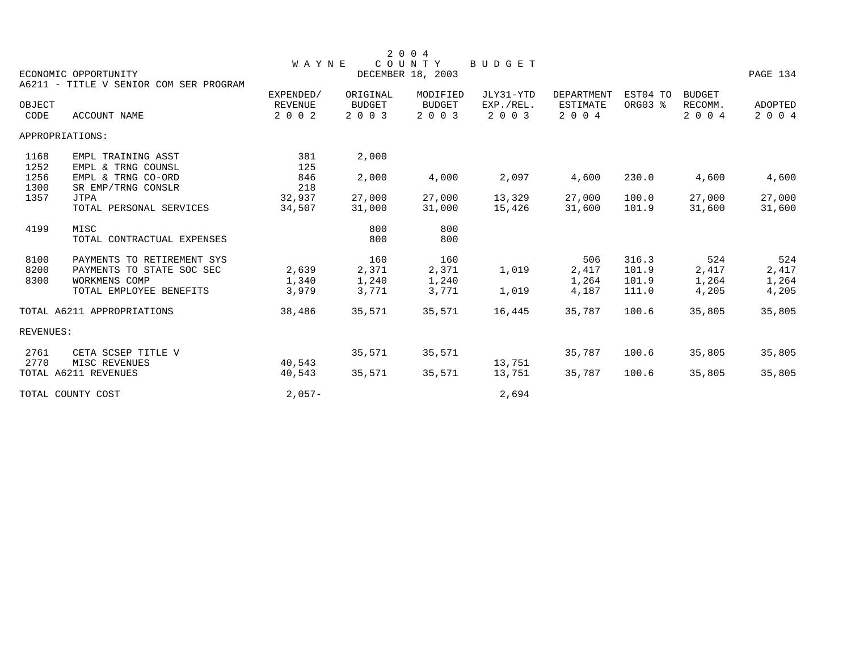|                      | ECONOMIC OPPORTUNITY                                                                                       | <b>WAYNE</b>              |                                | 2 0 0 4<br>COUNTY<br>DECEMBER 18, 2003 | <b>BUDGET</b>        |                                |                                  |                                | PAGE 134                       |
|----------------------|------------------------------------------------------------------------------------------------------------|---------------------------|--------------------------------|----------------------------------------|----------------------|--------------------------------|----------------------------------|--------------------------------|--------------------------------|
|                      | A6211 - TITLE V SENIOR COM SER PROGRAM                                                                     | EXPENDED/                 | ORIGINAL                       | MODIFIED                               | JLY31-YTD            | DEPARTMENT                     | EST04 TO                         | <b>BUDGET</b>                  |                                |
| OBJECT<br>CODE       | <b>ACCOUNT NAME</b>                                                                                        | <b>REVENUE</b><br>2 0 0 2 | <b>BUDGET</b><br>2 0 0 3       | <b>BUDGET</b><br>2 0 0 3               | EXP./REL.<br>2 0 0 3 | ESTIMATE<br>2 0 0 4            | ORG03 %                          | RECOMM.<br>2 0 0 4             | ADOPTED<br>2 0 0 4             |
|                      | APPROPRIATIONS:                                                                                            |                           |                                |                                        |                      |                                |                                  |                                |                                |
| 1168<br>1252         | EMPL TRAINING ASST<br>EMPL & TRNG COUNSL                                                                   | 381<br>125                | 2,000                          |                                        |                      |                                |                                  |                                |                                |
| 1256<br>1300         | EMPL & TRNG CO-ORD<br>SR EMP/TRNG CONSLR                                                                   | 846<br>218                | 2,000                          | 4,000                                  | 2,097                | 4,600                          | 230.0                            | 4,600                          | 4,600                          |
| 1357                 | JTPA<br>TOTAL PERSONAL SERVICES                                                                            | 32,937<br>34,507          | 27,000<br>31,000               | 27,000<br>31,000                       | 13,329<br>15,426     | 27,000<br>31,600               | 100.0<br>101.9                   | 27,000<br>31,600               | 27,000<br>31,600               |
| 4199                 | MISC<br>TOTAL CONTRACTUAL EXPENSES                                                                         |                           | 800<br>800                     | 800<br>800                             |                      |                                |                                  |                                |                                |
| 8100<br>8200<br>8300 | PAYMENTS TO RETIREMENT SYS<br>PAYMENTS TO STATE SOC SEC<br><b>WORKMENS COMP</b><br>TOTAL EMPLOYEE BENEFITS | 2,639<br>1,340<br>3,979   | 160<br>2,371<br>1,240<br>3,771 | 160<br>2,371<br>1,240<br>3,771         | 1,019<br>1,019       | 506<br>2,417<br>1,264<br>4,187 | 316.3<br>101.9<br>101.9<br>111.0 | 524<br>2,417<br>1,264<br>4,205 | 524<br>2,417<br>1,264<br>4,205 |
|                      | TOTAL A6211 APPROPRIATIONS                                                                                 | 38,486                    | 35,571                         | 35,571                                 | 16,445               | 35,787                         | 100.6                            | 35,805                         | 35,805                         |
| REVENUES:            |                                                                                                            |                           |                                |                                        |                      |                                |                                  |                                |                                |
| 2761<br>2770         | CETA SCSEP TITLE V<br>MISC REVENUES                                                                        | 40,543                    | 35,571                         | 35,571                                 | 13,751               | 35,787                         | 100.6                            | 35,805                         | 35,805                         |
|                      | TOTAL A6211 REVENUES                                                                                       | 40,543                    | 35,571                         | 35,571                                 | 13,751               | 35,787                         | 100.6                            | 35,805                         | 35,805                         |
|                      | TOTAL COUNTY COST                                                                                          | $2,057-$                  |                                |                                        | 2,694                |                                |                                  |                                |                                |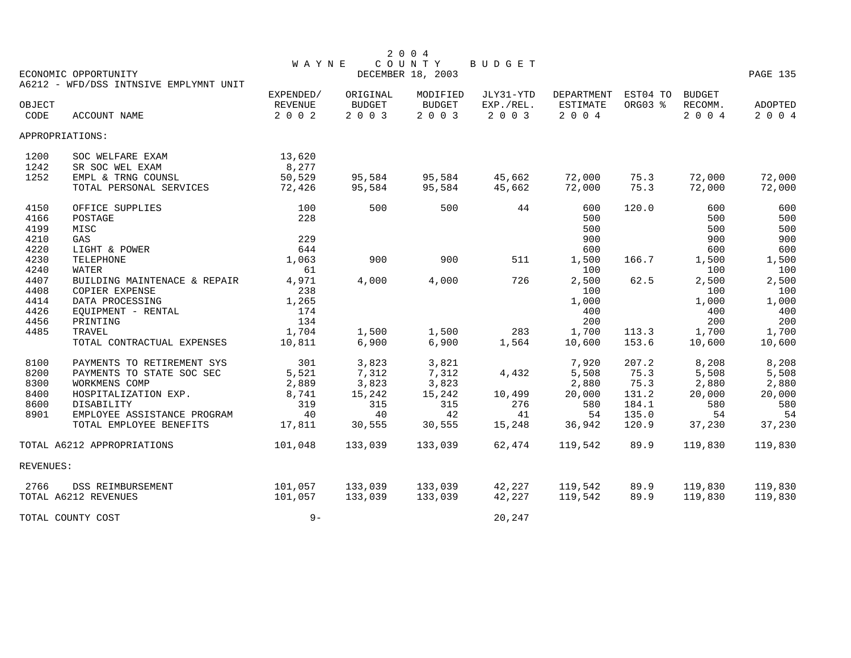|           |                                        |              |               | 2 0 0 4                     |           |            |          |               |          |
|-----------|----------------------------------------|--------------|---------------|-----------------------------|-----------|------------|----------|---------------|----------|
|           | ECONOMIC OPPORTUNITY                   | <b>WAYNE</b> |               | COUNTY<br>DECEMBER 18, 2003 | BUDGET    |            |          |               | PAGE 135 |
|           | A6212 - WFD/DSS INTNSIVE EMPLYMNT UNIT |              |               |                             |           |            |          |               |          |
|           |                                        | EXPENDED/    | ORIGINAL      | MODIFIED                    | JLY31-YTD | DEPARTMENT | EST04 TO | <b>BUDGET</b> |          |
| OBJECT    |                                        | REVENUE      | <b>BUDGET</b> | <b>BUDGET</b>               | EXP./REL. | ESTIMATE   | ORG03 %  | RECOMM.       | ADOPTED  |
| CODE      | <b>ACCOUNT NAME</b>                    | 2 0 0 2      | 2003          | 2 0 0 3                     | 2 0 0 3   | 2 0 0 4    |          | 2 0 0 4       | 2 0 0 4  |
|           | APPROPRIATIONS:                        |              |               |                             |           |            |          |               |          |
| 1200      | SOC WELFARE EXAM                       | 13,620       |               |                             |           |            |          |               |          |
| 1242      | SR SOC WEL EXAM                        | 8,277        |               |                             |           |            |          |               |          |
| 1252      | EMPL & TRNG COUNSL                     | 50,529       | 95,584        | 95,584                      | 45,662    | 72,000     | 75.3     | 72,000        | 72,000   |
|           | TOTAL PERSONAL SERVICES                | 72,426       | 95,584        | 95,584                      | 45,662    | 72,000     | 75.3     | 72,000        | 72,000   |
| 4150      | OFFICE SUPPLIES                        | 100          | 500           | 500                         | 44        | 600        | 120.0    | 600           | 600      |
| 4166      | POSTAGE                                | 228          |               |                             |           | 500        |          | 500           | 500      |
| 4199      | MISC                                   |              |               |                             |           | 500        |          | 500           | 500      |
| 4210      | GAS                                    | 229          |               |                             |           | 900        |          | 900           | 900      |
| 4220      | LIGHT & POWER                          | 644          |               |                             |           | 600        |          | 600           | 600      |
| 4230      | <b>TELEPHONE</b>                       | 1,063        | 900           | 900                         | 511       | 1,500      | 166.7    | 1,500         | 1,500    |
| 4240      | <b>WATER</b>                           | 61           |               |                             |           | 100        |          | 100           | 100      |
| 4407      | BUILDING MAINTENACE & REPAIR           | 4,971        | 4,000         | 4,000                       | 726       | 2,500      | 62.5     | 2,500         | 2,500    |
| 4408      | COPIER EXPENSE                         | 238          |               |                             |           | 100        |          | 100           | 100      |
| 4414      | DATA PROCESSING                        | 1,265        |               |                             |           | 1,000      |          | 1,000         | 1,000    |
| 4426      | EQUIPMENT - RENTAL                     | 174          |               |                             |           | 400        |          | 400           | 400      |
| 4456      | PRINTING                               | 134          |               |                             |           | 200        |          | 200           | 200      |
| 4485      | TRAVEL                                 | 1,704        | 1,500         | 1,500                       | 283       | 1,700      | 113.3    | 1,700         | 1,700    |
|           | TOTAL CONTRACTUAL EXPENSES             | 10,811       | 6,900         | 6,900                       | 1,564     | 10,600     | 153.6    | 10,600        | 10,600   |
| 8100      | PAYMENTS TO RETIREMENT SYS             | 301          | 3,823         | 3,821                       |           | 7,920      | 207.2    | 8,208         | 8,208    |
| 8200      | PAYMENTS TO STATE SOC SEC              | 5,521        | 7,312         | 7,312                       | 4,432     | 5,508      | 75.3     | 5,508         | 5,508    |
| 8300      | WORKMENS COMP                          | 2,889        | 3,823         | 3,823                       |           | 2,880      | 75.3     | 2,880         | 2,880    |
| 8400      | HOSPITALIZATION EXP.                   | 8,741        | 15,242        | 15,242                      | 10,499    | 20,000     | 131.2    | 20,000        | 20,000   |
| 8600      | DISABILITY                             | 319          | 315           | 315                         | 276       | 580        | 184.1    | 580           | 580      |
| 8901      | EMPLOYEE ASSISTANCE PROGRAM            | 40           | 40            | 42                          | 41        | 54         | 135.0    | 54            | 54       |
|           | TOTAL EMPLOYEE BENEFITS                | 17,811       | 30,555        | 30,555                      | 15,248    | 36,942     | 120.9    | 37,230        | 37,230   |
|           | TOTAL A6212 APPROPRIATIONS             | 101,048      | 133,039       | 133,039                     | 62,474    | 119,542    | 89.9     | 119,830       | 119,830  |
| REVENUES: |                                        |              |               |                             |           |            |          |               |          |
| 2766      | <b>DSS REIMBURSEMENT</b>               | 101,057      | 133,039       | 133,039                     | 42,227    | 119,542    | 89.9     | 119,830       | 119,830  |
|           | TOTAL A6212 REVENUES                   | 101,057      | 133,039       | 133,039                     | 42,227    | 119,542    | 89.9     | 119,830       | 119,830  |
|           | TOTAL COUNTY COST                      | $9-$         |               |                             | 20,247    |            |          |               |          |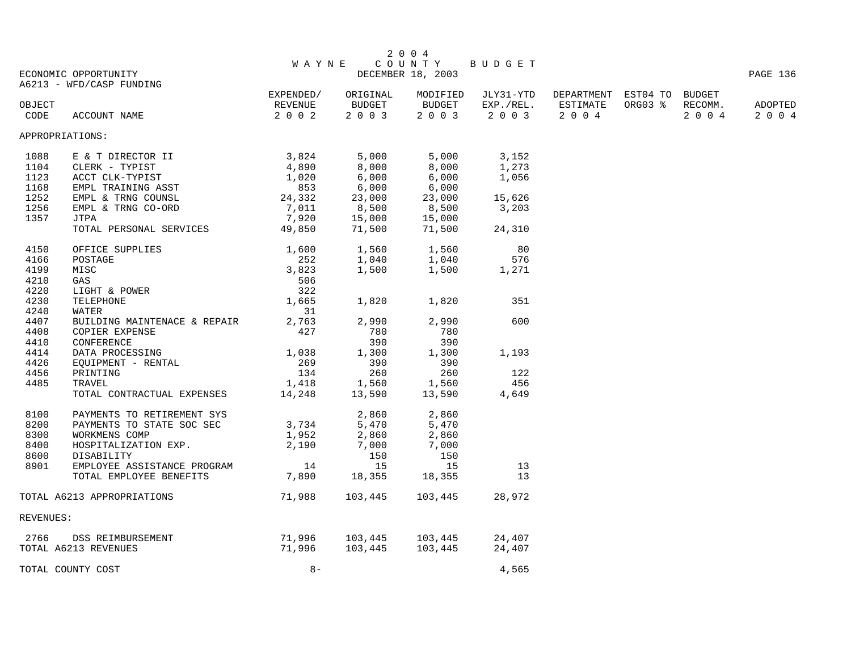|           |                                                           |                 |          | 2 0 0 4           |                 |                                      |                 |         |          |
|-----------|-----------------------------------------------------------|-----------------|----------|-------------------|-----------------|--------------------------------------|-----------------|---------|----------|
|           |                                                           | <b>WAYNE</b>    |          | COUNTY            | <b>BUDGET</b>   |                                      |                 |         |          |
|           | ECONOMIC OPPORTUNITY<br>A6213 - WFD/CASP FUNDING          |                 |          | DECEMBER 18, 2003 |                 |                                      |                 |         | PAGE 136 |
|           |                                                           | EXPENDED/       | ORIGINAL | MODIFIED          |                 | JLY31-YTD DEPARTMENT EST04 TO BUDGET |                 |         |          |
| OBJECT    |                                                           | REVENUE         | BUDGET   | BUDGET            | EXP./REL.       | ESTIMATE                             | ORG03 % RECOMM. |         | ADOPTED  |
| CODE      | ACCOUNT NAME                                              | 2 0 0 2         | 2 0 0 3  |                   | 2 0 0 3 2 0 0 3 | 2 0 0 4                              |                 | 2 0 0 4 | 2 0 0 4  |
|           | APPROPRIATIONS:                                           |                 |          |                   |                 |                                      |                 |         |          |
| 1088      | 3,824<br>E & T DIRECTOR II                                |                 | 5,000    | 5,000             | 3,152           |                                      |                 |         |          |
| 1104      | CLERK - TYPIST                                            | 4,890           | 8,000    | 8,000             | 1,273           |                                      |                 |         |          |
| 1123      | ACCT CLK-TYPIST                                           | 1,020           | 6,000    | 6,000             | 1,056           |                                      |                 |         |          |
| 1168      | EMPL TRAINING ASST                                        | 853             | 6,000    | 6,000             |                 |                                      |                 |         |          |
| 1252      | EMPL & TRNG COUNSL                                        | 24,332<br>7,011 | 23,000   | 23,000            | 15,626          |                                      |                 |         |          |
| 1256      | EMPL & TRNG CO-ORD                                        |                 | 8,500    | 8,500             | 3,203           |                                      |                 |         |          |
| 1357      | JTPA                                                      | 7,920           | 15,000   | 15,000            |                 |                                      |                 |         |          |
|           | TOTAL PERSONAL SERVICES 49,850                            |                 | 71,500   | 71,500            | 24,310          |                                      |                 |         |          |
| 4150      | OFFICE SUPPLIES                                           | 1,600           | 1,560    | 1,560             | 80              |                                      |                 |         |          |
| 4166      | POSTAGE                                                   | 252             | 1,040    | 1,040             | 576             |                                      |                 |         |          |
| 4199      | MISC                                                      | 3,823           | 1,500    | 1,500             | 1,271           |                                      |                 |         |          |
| 4210      | GAS                                                       | 506             |          |                   |                 |                                      |                 |         |          |
| 4220      | LIGHT & POWER                                             | 322             |          |                   |                 |                                      |                 |         |          |
| 4230      | TELEPHONE                                                 | 1,665           | 1,820    | 1,820             | 351             |                                      |                 |         |          |
| 4240      | WATER                                                     | 31              |          |                   |                 |                                      |                 |         |          |
| 4407      | BUILDING MAINTENACE & REPAIR                              | 2,763           | 2,990    | 2,990             | 600             |                                      |                 |         |          |
| 4408      | COPIER EXPENSE                                            | 427             | 780      | 780               |                 |                                      |                 |         |          |
| 4410      | CONFERENCE                                                |                 | 390      | 390               |                 |                                      |                 |         |          |
| 4414      | DATA PROCESSING                                           | 1,038           | 1,300    | 1,300             | 1,193           |                                      |                 |         |          |
| 4426      | EQUIPMENT - RENTAL                                        | 269             | 390      | 390               |                 |                                      |                 |         |          |
| 4456      | PRINTING                                                  | 134             | 260      | 260               | 122             |                                      |                 |         |          |
| 4485      | TRAVEL                                                    | 1,418           | 1,560    | 1,560             | 456             |                                      |                 |         |          |
|           | TOTAL CONTRACTUAL EXPENSES 14,248                         |                 | 13,590   | 13,590            | 4,649           |                                      |                 |         |          |
| 8100      | PAYMENTS TO RETIREMENT SYS                                |                 | 2,860    | 2,860             |                 |                                      |                 |         |          |
| 8200      | PAYMENTS TO STATE SOC SEC                                 | 3,734           | 5,470    | 5,470             |                 |                                      |                 |         |          |
| 8300      | WORKMENS COMP                                             | 1,952           | 2,860    | 2,860             |                 |                                      |                 |         |          |
| 8400      | HOSPITALIZATION EXP.                                      | 2,190           | 7,000    | 7,000             |                 |                                      |                 |         |          |
| 8600      |                                                           |                 | 150      | 150               |                 |                                      |                 |         |          |
| 8901      |                                                           |                 | 15       | 15                | 13              |                                      |                 |         |          |
|           | EMPLOYEE ASSISTANCE PROGRAM 14<br>TOTAL EMPLOYEE BENEETTS |                 | 18,355   | 18,355            | 13              |                                      |                 |         |          |
|           | TOTAL A6213 APPROPRIATIONS 71,988                         |                 | 103,445  | 103,445           | 28,972          |                                      |                 |         |          |
| REVENUES: |                                                           |                 |          |                   |                 |                                      |                 |         |          |
| 2766      | 71,996<br>DSS REIMBURSEMENT                               |                 | 103,445  | 103,445           | 24,407          |                                      |                 |         |          |
|           | TOTAL A6213 REVENUES                                      | 71,996          | 103,445  | 103,445           | 24,407          |                                      |                 |         |          |
|           | TOTAL COUNTY COST                                         | $8 -$           |          |                   | 4,565           |                                      |                 |         |          |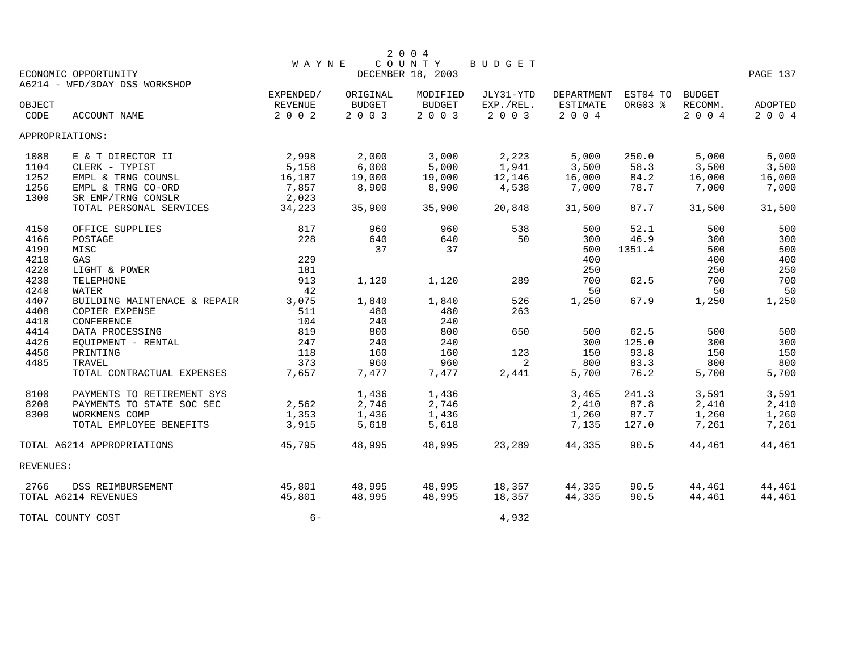|           |                               |              |               | 2004              |           |            |          |               |          |
|-----------|-------------------------------|--------------|---------------|-------------------|-----------|------------|----------|---------------|----------|
|           |                               | <b>WAYNE</b> |               | COUNTY            | BUDGET    |            |          |               |          |
|           | ECONOMIC OPPORTUNITY          |              |               | DECEMBER 18, 2003 |           |            |          |               | PAGE 137 |
|           | A6214 - WFD/3DAY DSS WORKSHOP |              |               |                   |           |            |          |               |          |
|           |                               | EXPENDED/    | ORIGINAL      | MODIFIED          | JLY31-YTD | DEPARTMENT | EST04 TO | <b>BUDGET</b> |          |
| OBJECT    |                               | REVENUE      | <b>BUDGET</b> | <b>BUDGET</b>     | EXP./REL. | ESTIMATE   | ORG03 %  | RECOMM.       | ADOPTED  |
| CODE      | <b>ACCOUNT NAME</b>           | 2 0 0 2      | 2003          | 2003              | 2 0 0 3   | 2 0 0 4    |          | 2 0 0 4       | 2 0 0 4  |
|           | APPROPRIATIONS:               |              |               |                   |           |            |          |               |          |
| 1088      | E & T DIRECTOR II             | 2,998        | 2,000         | 3,000             | 2,223     | 5,000      | 250.0    | 5,000         | 5,000    |
| 1104      | CLERK - TYPIST                | 5,158        | 6,000         | 5,000             | 1,941     | 3,500      | 58.3     | 3,500         | 3,500    |
| 1252      | EMPL & TRNG COUNSL            | 16,187       | 19,000        | 19,000            | 12,146    | 16,000     | 84.2     | 16,000        | 16,000   |
| 1256      | EMPL & TRNG CO-ORD            | 7,857        | 8,900         | 8,900             | 4,538     | 7,000      | 78.7     | 7,000         | 7,000    |
| 1300      | SR EMP/TRNG CONSLR            | 2,023        |               |                   |           |            |          |               |          |
|           | TOTAL PERSONAL SERVICES       | 34,223       | 35,900        | 35,900            | 20,848    | 31,500     | 87.7     | 31,500        | 31,500   |
| 4150      | OFFICE SUPPLIES               | 817          | 960           | 960               | 538       | 500        | 52.1     | 500           | 500      |
| 4166      | POSTAGE                       | 228          | 640           | 640               | 50        | 300        | 46.9     | 300           | 300      |
| 4199      | MISC                          |              | 37            | 37                |           | 500        | 1351.4   | 500           | 500      |
| 4210      | GAS                           | 229          |               |                   |           | 400        |          | 400           | 400      |
| 4220      | LIGHT & POWER                 | 181          |               |                   |           | 250        |          | 250           | 250      |
| 4230      | TELEPHONE                     | 913          | 1,120         | 1,120             | 289       | 700        | 62.5     | 700           | 700      |
| 4240      | WATER                         | 42           |               |                   |           | 50         |          | 50            | 50       |
| 4407      | BUILDING MAINTENACE & REPAIR  | 3,075        | 1,840         | 1,840             | 526       | 1,250      | 67.9     | 1,250         | 1,250    |
| 4408      | <b>COPIER EXPENSE</b>         | 511          | 480           | 480               | 263       |            |          |               |          |
| 4410      | <b>CONFERENCE</b>             | 104          | 240           | 240               |           |            |          |               |          |
| 4414      | DATA PROCESSING               | 819          | 800           | 800               | 650       | 500        | 62.5     | 500           | 500      |
| 4426      | EOUIPMENT - RENTAL            | 247          | 240           | 240               |           | 300        | 125.0    | 300           | 300      |
| 4456      | PRINTING                      | 118          | 160           | 160               | 123       | 150        | 93.8     | 150           | 150      |
| 4485      | <b>TRAVEL</b>                 | 373          | 960           | 960               | 2         | 800        | 83.3     | 800           | 800      |
|           | TOTAL CONTRACTUAL EXPENSES    | 7,657        | 7,477         | 7,477             | 2,441     | 5,700      | 76.2     | 5,700         | 5,700    |
|           |                               |              |               |                   |           |            |          |               |          |
| 8100      | PAYMENTS TO RETIREMENT SYS    |              | 1,436         | 1,436             |           | 3,465      | 241.3    | 3,591         | 3,591    |
| 8200      | PAYMENTS TO STATE SOC SEC     | 2,562        | 2,746         | 2,746             |           | 2,410      | 87.8     | 2,410         | 2,410    |
| 8300      | WORKMENS COMP                 | 1,353        | 1,436         | 1,436             |           | 1,260      | 87.7     | 1,260         | 1,260    |
|           | TOTAL EMPLOYEE BENEFITS       | 3,915        | 5,618         | 5,618             |           | 7,135      | 127.0    | 7,261         | 7,261    |
|           | TOTAL A6214 APPROPRIATIONS    | 45,795       | 48,995        | 48,995            | 23,289    | 44,335     | 90.5     | 44,461        | 44,461   |
| REVENUES: |                               |              |               |                   |           |            |          |               |          |
| 2766      | DSS REIMBURSEMENT             | 45,801       | 48,995        | 48,995            | 18,357    | 44,335     | 90.5     | 44,461        | 44,461   |
|           | TOTAL A6214 REVENUES          | 45,801       | 48,995        | 48,995            | 18,357    | 44,335     | 90.5     | 44,461        | 44,461   |
|           | TOTAL COUNTY COST             | $6-$         |               |                   | 4,932     |            |          |               |          |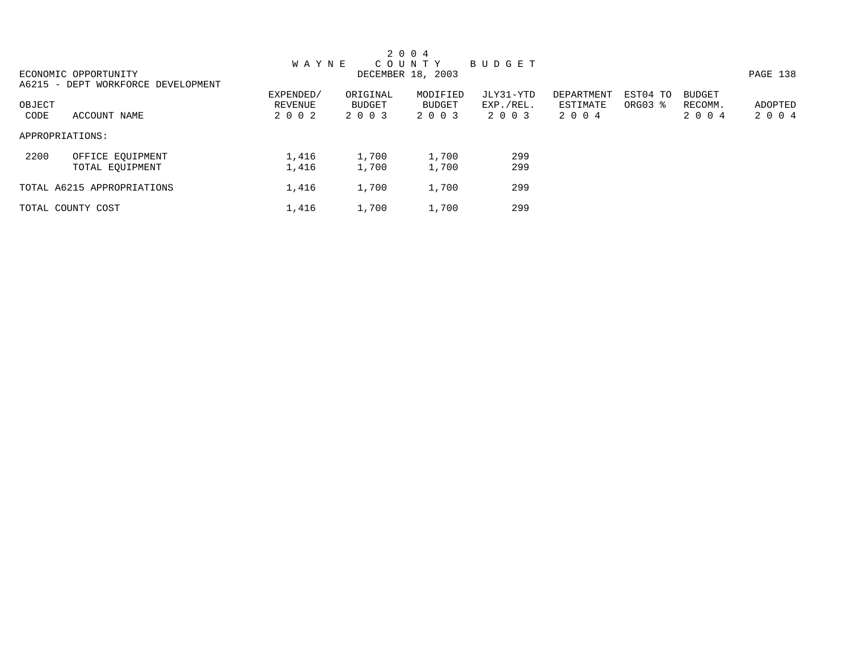|        |                                    |              |          | 2 0 0 4           |           |            |          |               |          |
|--------|------------------------------------|--------------|----------|-------------------|-----------|------------|----------|---------------|----------|
|        |                                    | <b>WAYNE</b> |          | COUNTY            | BUDGET    |            |          |               |          |
|        | ECONOMIC OPPORTUNITY               |              |          | DECEMBER 18, 2003 |           |            |          |               | PAGE 138 |
|        | A6215 - DEPT WORKFORCE DEVELOPMENT |              |          |                   |           |            |          |               |          |
|        |                                    | EXPENDED/    | ORIGINAL | MODIFIED          | JLY31-YTD | DEPARTMENT | EST04 TO | <b>BUDGET</b> |          |
| OBJECT |                                    | REVENUE      | BUDGET   | BUDGET            | EXP./REL. | ESTIMATE   | ORG03 %  | RECOMM.       | ADOPTED  |
| CODE   | ACCOUNT NAME                       | 2 0 0 2      | 2 0 0 3  | 2 0 0 3           | 2 0 0 3   | 2 0 0 4    |          | 2 0 0 4       | 2 0 0 4  |
|        | APPROPRIATIONS:                    |              |          |                   |           |            |          |               |          |
| 2200   | OFFICE EQUIPMENT                   | 1,416        | 1,700    | 1,700             | 299       |            |          |               |          |
|        | TOTAL EQUIPMENT                    | 1,416        | 1,700    | 1,700             | 299       |            |          |               |          |
|        | TOTAL A6215 APPROPRIATIONS         | 1,416        | 1,700    | 1,700             | 299       |            |          |               |          |
|        | TOTAL COUNTY COST                  | 1,416        | 1,700    | 1,700             | 299       |            |          |               |          |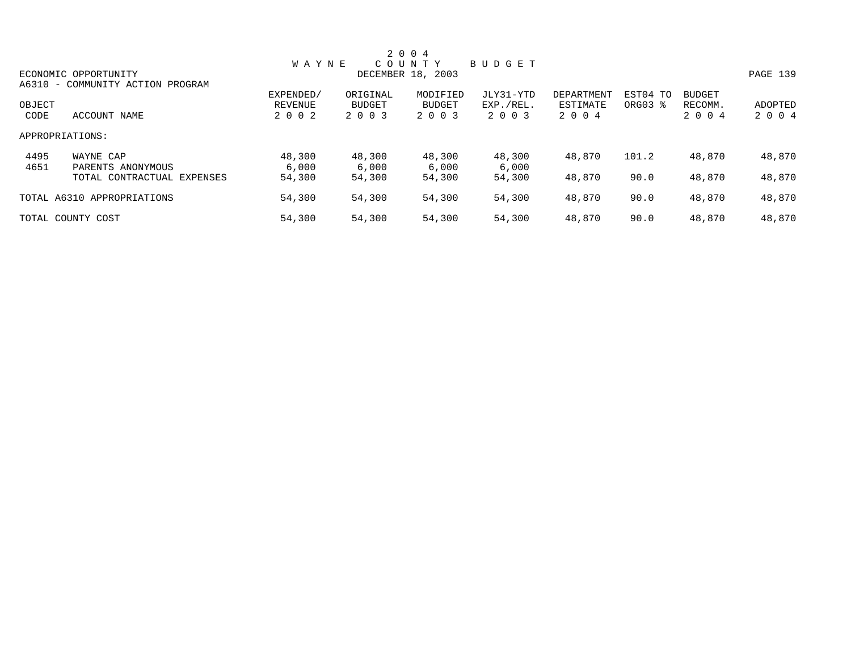|        |                                  |              |               | 2 0 0 4           |           |            |          |               |          |
|--------|----------------------------------|--------------|---------------|-------------------|-----------|------------|----------|---------------|----------|
|        |                                  | <b>WAYNE</b> |               | COUNTY            | BUDGET    |            |          |               |          |
|        | ECONOMIC OPPORTUNITY             |              |               | DECEMBER 18, 2003 |           |            |          |               | PAGE 139 |
|        | A6310 - COMMUNITY ACTION PROGRAM |              |               |                   |           |            |          |               |          |
|        |                                  | EXPENDED/    | ORIGINAL      | MODIFIED          | JLY31-YTD | DEPARTMENT | EST04 TO | <b>BUDGET</b> |          |
| OBJECT |                                  | REVENUE      | <b>BUDGET</b> | <b>BUDGET</b>     | EXP./REL. | ESTIMATE   | ORG03 %  | RECOMM.       | ADOPTED  |
| CODE   | ACCOUNT NAME                     | 2 0 0 2      | 2 0 0 3       | 2 0 0 3           | 2 0 0 3   | 2 0 0 4    |          | 2 0 0 4       | 2 0 0 4  |
|        | APPROPRIATIONS:                  |              |               |                   |           |            |          |               |          |
| 4495   | WAYNE CAP                        | 48,300       | 48,300        | 48,300            | 48,300    | 48,870     | 101.2    | 48,870        | 48,870   |
| 4651   | PARENTS ANONYMOUS                | 6,000        | 6,000         | 6,000             | 6,000     |            |          |               |          |
|        | TOTAL CONTRACTUAL EXPENSES       | 54,300       | 54,300        | 54,300            | 54,300    | 48,870     | 90.0     | 48,870        | 48,870   |
|        | TOTAL A6310 APPROPRIATIONS       | 54,300       | 54,300        | 54,300            | 54,300    | 48,870     | 90.0     | 48,870        | 48,870   |
|        | TOTAL COUNTY COST                | 54,300       | 54,300        | 54,300            | 54,300    | 48,870     | 90.0     | 48,870        | 48,870   |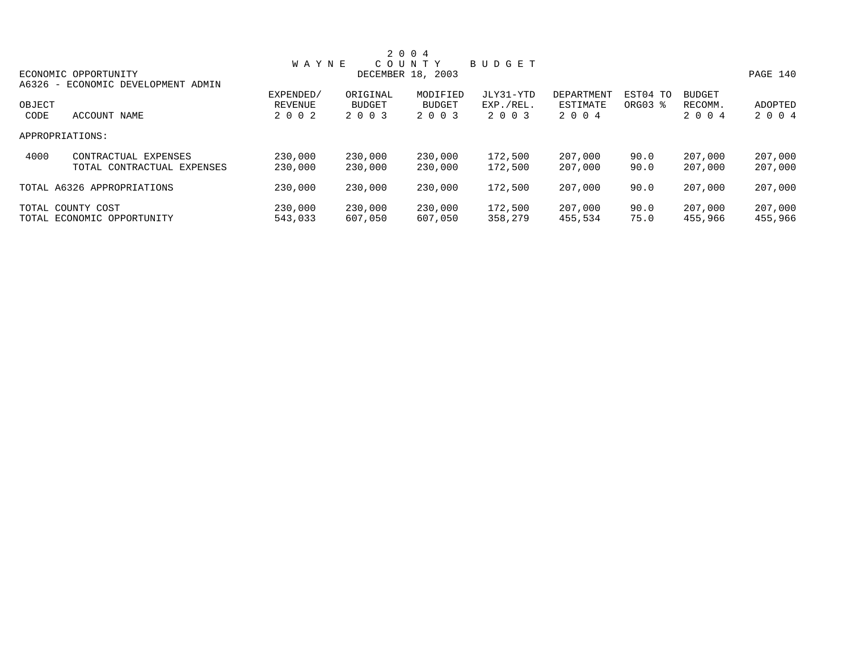|        |                                    |                |          | 2 0 0 4           |               |            |          |               |          |
|--------|------------------------------------|----------------|----------|-------------------|---------------|------------|----------|---------------|----------|
|        |                                    | <b>WAYNE</b>   |          | COUNTY            | <b>BUDGET</b> |            |          |               |          |
|        | ECONOMIC OPPORTUNITY               |                |          | DECEMBER 18, 2003 |               |            |          |               | PAGE 140 |
|        | A6326 - ECONOMIC DEVELOPMENT ADMIN |                |          |                   |               |            |          |               |          |
|        |                                    | EXPENDED/      | ORIGINAL | MODIFIED          | JLY31-YTD     | DEPARTMENT | EST04 TO | <b>BUDGET</b> |          |
| OBJECT |                                    | <b>REVENUE</b> | BUDGET   | <b>BUDGET</b>     | EXP./REL.     | ESTIMATE   | ORG03 %  | RECOMM.       | ADOPTED  |
| CODE   | ACCOUNT NAME                       | 2 0 0 2        | 2 0 0 3  | 2 0 0 3           | 2 0 0 3       | 2 0 0 4    |          | 2 0 0 4       | 2 0 0 4  |
|        | APPROPRIATIONS:                    |                |          |                   |               |            |          |               |          |
| 4000   | CONTRACTUAL EXPENSES               | 230,000        | 230,000  | 230,000           | 172,500       | 207,000    | 90.0     | 207,000       | 207,000  |
|        | TOTAL CONTRACTUAL EXPENSES         | 230,000        | 230,000  | 230,000           | 172,500       | 207,000    | 90.0     | 207,000       | 207,000  |
|        | TOTAL A6326 APPROPRIATIONS         | 230,000        | 230,000  | 230,000           | 172,500       | 207,000    | 90.0     | 207,000       | 207,000  |
|        | TOTAL COUNTY COST                  | 230,000        | 230,000  | 230,000           | 172,500       | 207,000    | 90.0     | 207,000       | 207,000  |
|        | TOTAL ECONOMIC OPPORTUNITY         | 543,033        | 607,050  | 607,050           | 358,279       | 455,534    | 75.0     | 455,966       | 455,966  |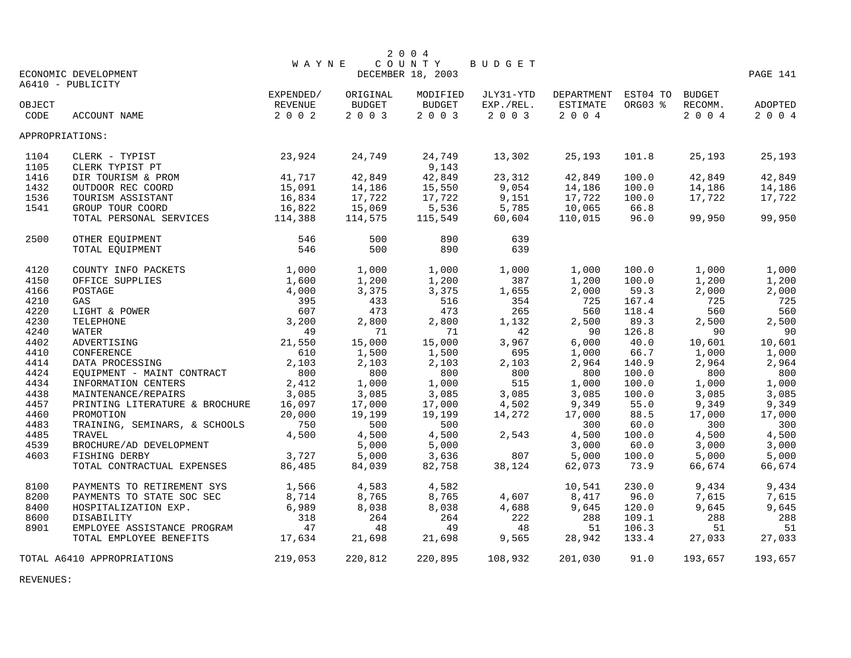|        |                                |              |               | 2 0 0 4           |           |                            |         |         |          |
|--------|--------------------------------|--------------|---------------|-------------------|-----------|----------------------------|---------|---------|----------|
|        |                                | <b>WAYNE</b> |               | COUNTY            | BUDGET    |                            |         |         |          |
|        | ECONOMIC DEVELOPMENT           |              |               | DECEMBER 18, 2003 |           |                            |         |         | PAGE 141 |
|        | A6410 - PUBLICITY              |              |               |                   |           |                            |         |         |          |
|        |                                | EXPENDED/    | ORIGINAL      | MODIFIED          | JLY31-YTD | DEPARTMENT EST04 TO BUDGET |         |         |          |
| OBJECT |                                | REVENUE      | <b>BUDGET</b> | BUDGET            | EXP./REL. | ESTIMATE                   | ORG03 % | RECOMM. | ADOPTED  |
| CODE   | ACCOUNT NAME                   | 2 0 0 2      | 2 0 0 3       | 2 0 0 3           | 2 0 0 3   | 2 0 0 4                    |         | 2 0 0 4 | 2 0 0 4  |
|        | APPROPRIATIONS:                |              |               |                   |           |                            |         |         |          |
| 1104   | 23,924<br>CLERK - TYPIST       |              | 24,749        | 24,749            | 13,302    | 25,193                     | 101.8   | 25,193  | 25,193   |
| 1105   | CLERK TYPIST PT                |              |               | 9,143             |           |                            |         |         |          |
| 1416   | DIR TOURISM & PROM             | 41,717       | 42,849        | 42,849            | 23,312    | 42,849                     | 100.0   | 42,849  | 42,849   |
| 1432   | OUTDOOR REC COORD              | 15,091       | 14,186        | 15,550            | 9,054     | 14,186                     | 100.0   | 14,186  | 14,186   |
| 1536   | TOURISM ASSISTANT              | 16,834       | 17,722        | 17,722            | 9,151     | 17,722                     | 100.0   | 17,722  | 17,722   |
| 1541   | GROUP TOUR COORD               | 16,822       | 15,069        | 5,536             | 5,785     | 10,065                     | 66.8    |         |          |
|        | TOTAL PERSONAL SERVICES        | 114,388      | 114,575       | 115,549           | 60,604    | 110,015                    | 96.0    | 99,950  | 99,950   |
| 2500   | OTHER EQUIPMENT                | 546          | 500           | 890               | 639       |                            |         |         |          |
|        | TOTAL EQUIPMENT                | 546          | 500           | 890               | 639       |                            |         |         |          |
| 4120   | COUNTY INFO PACKETS            | 1,000        | 1,000         | 1,000             | 1,000     | 1,000                      | 100.0   | 1,000   | 1,000    |
| 4150   | OFFICE SUPPLIES                | 1,600        | 1,200         | 1,200             | 387       | 1,200                      | 100.0   | 1,200   | 1,200    |
| 4166   | POSTAGE                        | 4,000        | 3,375         | 3,375             | 1,655     | 2,000                      | 59.3    | 2,000   | 2,000    |
| 4210   | GAS                            | 395          | 433           | 516               | 354       | 725                        | 167.4   | 725     | 725      |
| 4220   | LIGHT & POWER                  | 607          | 473           | 473               | 265       | 560                        | 118.4   | 560     | 560      |
| 4230   | TELEPHONE                      | 3,200        | 2,800         | 2,800             | 1,132     | 2,500                      | 89.3    | 2,500   | 2,500    |
| 4240   | WATER                          | 49           | 71            | 71                | 42        | 90                         | 126.8   | 90      | 90       |
| 4402   | ADVERTISING                    | 21,550       | 15,000        | 15,000            | 3,967     | 6,000                      | 40.0    | 10,601  | 10,601   |
| 4410   | CONFERENCE                     | 610          | 1,500         | 1,500             | 695       | 1,000                      | 66.7    | 1,000   | 1,000    |
| 4414   | DATA PROCESSING                | 2,103        | 2,103         | 2,103             | 2,103     | 2,964                      | 140.9   | 2,964   | 2,964    |
| 4424   | EQUIPMENT - MAINT CONTRACT     | 800          | 800           | 800               | 800       | 800                        | 100.0   | 800     | 800      |
| 4434   | INFORMATION CENTERS            | 2,412        | 1,000         | 1,000             | 515       | 1,000                      | 100.0   | 1,000   | 1,000    |
| 4438   | MAINTENANCE/REPAIRS            | 3,085        | 3,085         | 3,085             | 3,085     | 3,085                      | 100.0   | 3,085   | 3,085    |
| 4457   | PRINTING LITERATURE & BROCHURE | 16,097       | 17,000        | 17,000            | 4,502     | 9,349                      | 55.0    | 9,349   | 9,349    |
| 4460   | PROMOTION                      | 20,000       | 19,199        | 19,199            | 14,272    | 17,000                     | 88.5    | 17,000  | 17,000   |
| 4483   | TRAINING, SEMINARS, & SCHOOLS  | 750          | 500           | 500               |           | 300                        | 60.0    | 300     | 300      |
| 4485   | TRAVEL                         | 4,500        | 4,500         | 4,500             | 2,543     | 4,500                      | 100.0   | 4,500   | 4,500    |
| 4539   | BROCHURE/AD DEVELOPMENT        |              | 5,000         | 5,000             |           | 3,000                      | 60.0    | 3,000   | 3,000    |
| 4603   | FISHING DERBY                  | 3,727        | 5,000         | 3,636             | 807       | 5,000                      | 100.0   | 5,000   | 5,000    |
|        | TOTAL CONTRACTUAL EXPENSES     | 86,485       | 84,039        | 82,758            | 38,124    | 62,073                     | 73.9    | 66,674  | 66,674   |
| 8100   | PAYMENTS TO RETIREMENT SYS     | 1,566        | 4,583         | 4,582             |           | 10,541                     | 230.0   | 9,434   | 9,434    |
| 8200   | PAYMENTS TO STATE SOC SEC      | 8,714        | 8,765         | 8,765             | 4,607     | 8,417                      | 96.0    | 7,615   | 7,615    |
| 8400   | HOSPITALIZATION EXP.           | 6,989        | 8,038         | 8,038             | 4,688     | 9,645                      | 120.0   | 9,645   | 9,645    |
| 8600   | DISABILITY                     | 318          | 264           | 264               | 222       | 288                        | 109.1   | 288     | 288      |
| 8901   | EMPLOYEE ASSISTANCE PROGRAM    | 47           | 48            | 49                | 48        | 51                         | 106.3   | 51      | 51       |
|        | TOTAL EMPLOYEE BENEFITS        | 17,634       | 21,698        | 21,698            | 9,565     | 28,942                     | 133.4   | 27,033  | 27,033   |
|        | TOTAL A6410 APPROPRIATIONS     | 219,053      | 220,812       | 220,895           | 108,932   | 201,030                    | 91.0    | 193,657 | 193,657  |

REVENUES: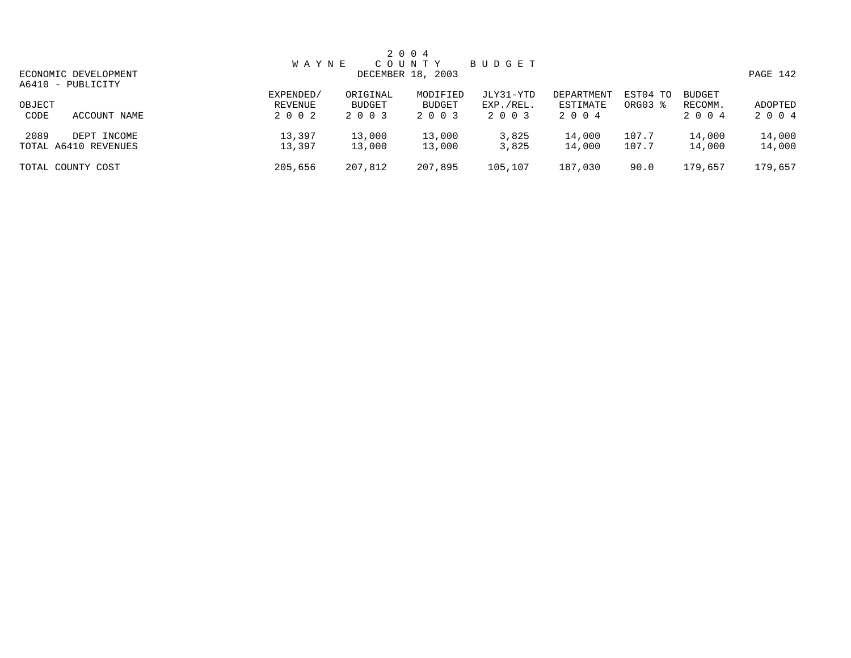|        |                      |              |          | 2 0 0 4           |           |            |          |               |          |
|--------|----------------------|--------------|----------|-------------------|-----------|------------|----------|---------------|----------|
|        |                      | <b>WAYNE</b> |          | COUNTY            | BUDGET    |            |          |               |          |
|        | ECONOMIC DEVELOPMENT |              |          | DECEMBER 18, 2003 |           |            |          |               | PAGE 142 |
|        | A6410 - PUBLICITY    |              |          |                   |           |            |          |               |          |
|        |                      | EXPENDED/    | ORIGINAL | MODIFIED          | JLY31-YTD | DEPARTMENT | EST04 TO | <b>BUDGET</b> |          |
| OBJECT |                      | REVENUE      | BUDGET   | BUDGET            | EXP./REL. | ESTIMATE   | ORG03 %  | RECOMM.       | ADOPTED  |
| CODE   | ACCOUNT NAME         | 2 0 0 2      | 2 0 0 3  | 2 0 0 3           | 2 0 0 3   | 2004       |          | 2 0 0 4       | 2 0 0 4  |
| 2089   | DEPT INCOME          | 13,397       | 13,000   | 13,000            | 3,825     | 14,000     | 107.7    | 14,000        | 14,000   |
|        | TOTAL A6410 REVENUES | 13,397       | 13,000   | 13,000            | 3,825     | 14,000     | 107.7    | 14,000        | 14,000   |
|        | TOTAL COUNTY COST    | 205,656      | 207,812  | 207,895           | 105,107   | 187,030    | 90.0     | 179,657       | 179,657  |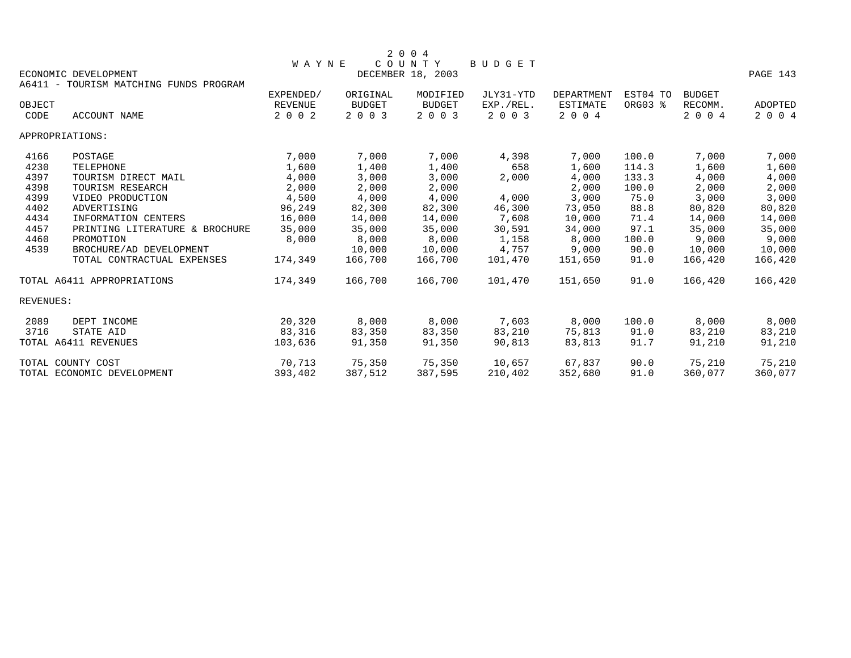|                |                                        |                           |                          | 2 0 0 4                     |                      |                     |          |                    |                           |
|----------------|----------------------------------------|---------------------------|--------------------------|-----------------------------|----------------------|---------------------|----------|--------------------|---------------------------|
|                | ECONOMIC DEVELOPMENT                   | <b>WAYNE</b>              |                          | COUNTY<br>DECEMBER 18, 2003 | <b>BUDGET</b>        |                     |          |                    | PAGE 143                  |
|                | A6411 - TOURISM MATCHING FUNDS PROGRAM |                           |                          |                             |                      |                     |          |                    |                           |
|                |                                        | EXPENDED/                 | ORIGINAL                 | MODIFIED                    | JLY31-YTD            | DEPARTMENT          | EST04 TO | <b>BUDGET</b>      |                           |
| OBJECT<br>CODE | ACCOUNT NAME                           | <b>REVENUE</b><br>2 0 0 2 | <b>BUDGET</b><br>2 0 0 3 | <b>BUDGET</b><br>2 0 0 3    | EXP./REL.<br>2 0 0 3 | ESTIMATE<br>2 0 0 4 | ORG03 %  | RECOMM.<br>2 0 0 4 | <b>ADOPTED</b><br>2 0 0 4 |
|                | APPROPRIATIONS:                        |                           |                          |                             |                      |                     |          |                    |                           |
| 4166           | POSTAGE                                | 7,000                     | 7,000                    | 7,000                       | 4,398                | 7,000               | 100.0    | 7,000              | 7,000                     |
| 4230           | TELEPHONE                              | 1,600                     | 1,400                    | 1,400                       | 658                  | 1,600               | 114.3    | 1,600              | 1,600                     |
| 4397           | TOURISM DIRECT MAIL                    | 4,000                     | 3,000                    | 3,000                       | 2,000                | 4,000               | 133.3    | 4,000              | 4,000                     |
| 4398           | TOURISM RESEARCH                       | 2,000                     | 2,000                    | 2,000                       |                      | 2,000               | 100.0    | 2,000              | 2,000                     |
| 4399           | VIDEO PRODUCTION                       | 4,500                     | 4,000                    | 4,000                       | 4,000                | 3,000               | 75.0     | 3,000              | 3,000                     |
| 4402           | ADVERTISING                            | 96,249                    | 82,300                   | 82,300                      | 46,300               | 73,050              | 88.8     | 80,820             | 80,820                    |
| 4434           | INFORMATION CENTERS                    | 16,000                    | 14,000                   | 14,000                      | 7,608                | 10,000              | 71.4     | 14,000             | 14,000                    |
| 4457           | PRINTING LITERATURE & BROCHURE         | 35,000                    | 35,000                   | 35,000                      | 30,591               | 34,000              | 97.1     | 35,000             | 35,000                    |
| 4460           | PROMOTION                              | 8,000                     | 8,000                    | 8,000                       | 1,158                | 8,000               | 100.0    | 9,000              | 9,000                     |
| 4539           | BROCHURE/AD DEVELOPMENT                |                           | 10,000                   | 10,000                      | 4,757                | 9,000               | 90.0     | 10,000             | 10,000                    |
|                | TOTAL CONTRACTUAL EXPENSES             | 174,349                   | 166,700                  | 166,700                     | 101,470              | 151,650             | 91.0     | 166,420            | 166,420                   |
|                | TOTAL A6411 APPROPRIATIONS             | 174,349                   | 166,700                  | 166,700                     | 101,470              | 151,650             | 91.0     | 166,420            | 166,420                   |
| REVENUES:      |                                        |                           |                          |                             |                      |                     |          |                    |                           |
| 2089           | DEPT INCOME                            | 20,320                    | 8,000                    | 8,000                       | 7,603                | 8,000               | 100.0    | 8,000              | 8,000                     |
| 3716           | STATE AID                              | 83,316                    | 83,350                   | 83,350                      | 83,210               | 75,813              | 91.0     | 83,210             | 83,210                    |
|                | TOTAL A6411 REVENUES                   | 103,636                   | 91,350                   | 91,350                      | 90,813               | 83,813              | 91.7     | 91,210             | 91,210                    |
|                | TOTAL COUNTY COST                      | 70,713                    | 75,350                   | 75,350                      | 10,657               | 67,837              | 90.0     | 75,210             | 75,210                    |
|                | TOTAL ECONOMIC DEVELOPMENT             | 393,402                   | 387,512                  | 387,595                     | 210,402              | 352,680             | 91.0     | 360,077            | 360,077                   |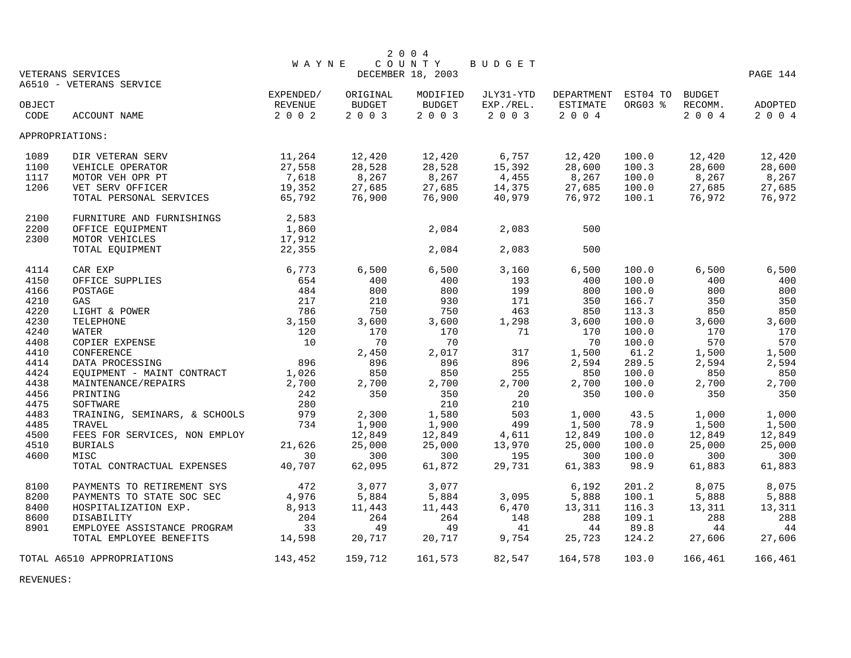|        |                               |              |          | 2 0 0 4           |               |                     |         |               |          |
|--------|-------------------------------|--------------|----------|-------------------|---------------|---------------------|---------|---------------|----------|
|        |                               | <b>WAYNE</b> |          | COUNTY            | <b>BUDGET</b> |                     |         |               |          |
|        | VETERANS SERVICES             |              |          | DECEMBER 18, 2003 |               |                     |         |               | PAGE 144 |
|        | A6510 - VETERANS SERVICE      |              |          |                   |               |                     |         |               |          |
|        |                               | EXPENDED/    | ORIGINAL | MODIFIED          | JLY31-YTD     | DEPARTMENT EST04 TO | ORG03 % | <b>BUDGET</b> |          |
| OBJECT |                               | REVENUE      | BUDGET   | BUDGET            | EXP./REL.     | ESTIMATE            |         | RECOMM.       | ADOPTED  |
| CODE   | ACCOUNT NAME                  | 2 0 0 2      | 2 0 0 3  | 2 0 0 3           | 2 0 0 3       | 2 0 0 4             |         | 2 0 0 4       | 2 0 0 4  |
|        | APPROPRIATIONS:               |              |          |                   |               |                     |         |               |          |
| 1089   | DIR VETERAN SERV              | 11,264       | 12,420   | 12,420            | 6,757         | 12,420              | 100.0   | 12,420        | 12,420   |
| 1100   | VEHICLE OPERATOR              | 27,558       | 28,528   | 28,528            | 15,392        | 28,600              | 100.3   | 28,600        | 28,600   |
| 1117   | MOTOR VEH OPR PT              | 7,618        | 8,267    | 8,267             | 4,455         | 8,267               | 100.0   | 8,267         | 8,267    |
| 1206   | VET SERV OFFICER              | 19,352       | 27,685   | 27,685            | 14,375        | 27,685              | 100.0   | 27,685        | 27,685   |
|        | TOTAL PERSONAL SERVICES       | 65,792       | 76,900   | 76,900            | 40,979        | 76,972              | 100.1   | 76,972        | 76,972   |
| 2100   | FURNITURE AND FURNISHINGS     | 2,583        |          |                   |               |                     |         |               |          |
| 2200   | OFFICE EQUIPMENT              | 1,860        |          | 2,084             | 2,083         | 500                 |         |               |          |
| 2300   | MOTOR VEHICLES                | 17,912       |          |                   |               |                     |         |               |          |
|        | TOTAL EQUIPMENT               | 22,355       |          | 2,084             | 2,083         | 500                 |         |               |          |
| 4114   | CAR EXP                       | 6,773        | 6,500    | 6,500             | 3,160         | 6,500               | 100.0   | 6,500         | 6,500    |
| 4150   | OFFICE SUPPLIES               | 654          | 400      | 400               | 193           | 400                 | 100.0   | 400           | 400      |
| 4166   | POSTAGE                       | 484          | 800      | 800               | 199           | 800                 | 100.0   | 800           | 800      |
| 4210   | GAS                           | 217          | 210      | 930               | 171           | 350                 | 166.7   | 350           | 350      |
| 4220   | LIGHT & POWER                 | 786          | 750      | 750               | 463           | 850                 | 113.3   | 850           | 850      |
| 4230   | TELEPHONE                     | 3,150        | 3,600    | 3,600             | 1,298         | 3,600               | 100.0   | 3,600         | 3,600    |
| 4240   | WATER                         | 120          | 170      | 170               | 71            | 170                 | 100.0   | 170           | 170      |
| 4408   | COPIER EXPENSE                | 10           | 70       | 70                |               | 70                  | 100.0   | 570           | 570      |
| 4410   | CONFERENCE                    |              | 2,450    | 2,017             | 317           | 1,500               | 61.2    | 1,500         | 1,500    |
| 4414   | DATA PROCESSING               | 896          | 896      | 896               | 896           | 2,594               | 289.5   | 2,594         | 2,594    |
| 4424   | EQUIPMENT - MAINT CONTRACT    | 1,026        | 850      | 850               | 255           | 850                 | 100.0   | 850           | 850      |
| 4438   | MAINTENANCE/REPAIRS           | 2,700        | 2,700    | 2,700             | 2,700         | 2,700               | 100.0   | 2,700         | 2,700    |
| 4456   | PRINTING                      | 242          | 350      | 350               | 20            | 350                 | 100.0   | 350           | 350      |
| 4475   | SOFTWARE                      | 280          |          | 210               | 210           |                     |         |               |          |
| 4483   | TRAINING, SEMINARS, & SCHOOLS | 979          | 2,300    | 1,580             | 503           | 1,000               | 43.5    | 1,000         | 1,000    |
| 4485   | TRAVEL                        | 734          | 1,900    | 1,900             | 499           | 1,500               | 78.9    | 1,500         | 1,500    |
| 4500   | FEES FOR SERVICES, NON EMPLOY |              | 12,849   | 12,849            | 4,611         | 12,849              | 100.0   | 12,849        | 12,849   |
| 4510   | <b>BURIALS</b>                | 21,626       | 25,000   | 25,000            | 13,970        | 25,000              | 100.0   | 25,000        | 25,000   |
| 4600   | MISC                          | 30           | 300      | 300               | 195           | 300                 | 100.0   | 300           | 300      |
|        | TOTAL CONTRACTUAL EXPENSES    | 40,707       | 62,095   | 61,872            | 29,731        | 61,383              | 98.9    | 61,883        | 61,883   |
| 8100   | PAYMENTS TO RETIREMENT SYS    | 472          | 3,077    | 3,077             |               | 6,192               | 201.2   | 8,075         | 8,075    |
| 8200   | PAYMENTS TO STATE SOC SEC     | 4,976        | 5,884    | 5,884             | 3,095         | 5,888               | 100.1   | 5,888         | 5,888    |
| 8400   | HOSPITALIZATION EXP.          | 8,913        | 11,443   | 11,443            | 6,470         | 13,311              | 116.3   | 13,311        | 13,311   |
| 8600   | DISABILITY                    | 204          | 264      | 264               | 148           | 288                 | 109.1   | 288           | 288      |
| 8901   | EMPLOYEE ASSISTANCE PROGRAM   | 33           | 49       | 49                | 41            | 44                  | 89.8    | 44            | 44       |
|        | TOTAL EMPLOYEE BENEFITS       | 14,598       | 20,717   | 20,717            | 9,754         | 25,723              | 124.2   | 27,606        | 27,606   |
|        | TOTAL A6510 APPROPRIATIONS    | 143,452      | 159,712  | 161,573           | 82,547        | 164,578             | 103.0   | 166,461       | 166,461  |

REVENUES: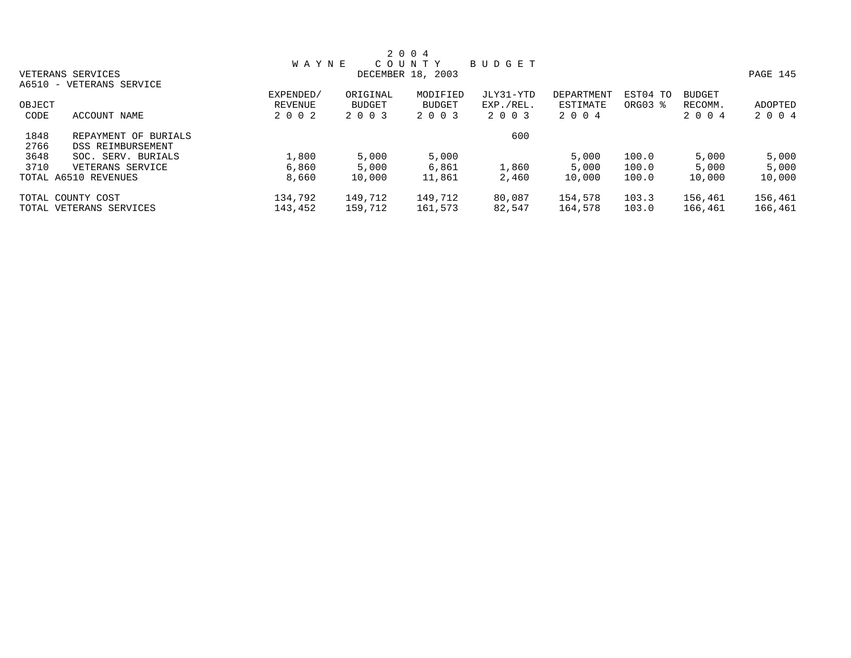|        |                          |              |               | 2 0 0 4           |           |            |          |               |          |
|--------|--------------------------|--------------|---------------|-------------------|-----------|------------|----------|---------------|----------|
|        |                          | <b>WAYNE</b> |               | COUNTY            | BUDGET    |            |          |               |          |
|        | VETERANS SERVICES        |              |               | DECEMBER 18, 2003 |           |            |          |               | PAGE 145 |
|        | A6510 - VETERANS SERVICE |              |               |                   |           |            |          |               |          |
|        |                          | EXPENDED/    | ORIGINAL      | MODIFIED          | JLY31-YTD | DEPARTMENT | EST04 TO | <b>BUDGET</b> |          |
| OBJECT |                          | REVENUE      | <b>BUDGET</b> | <b>BUDGET</b>     | EXP./REL. | ESTIMATE   | ORG03 %  | RECOMM.       | ADOPTED  |
| CODE   | ACCOUNT NAME             | 2 0 0 2      | 2 0 0 3       | 2 0 0 3           | 2 0 0 3   | 2 0 0 4    |          | 2 0 0 4       | 2 0 0 4  |
| 1848   | REPAYMENT OF BURIALS     |              |               |                   | 600       |            |          |               |          |
| 2766   | DSS REIMBURSEMENT        |              |               |                   |           |            |          |               |          |
| 3648   | SOC. SERV. BURIALS       | 1,800        | 5,000         | 5,000             |           | 5,000      | 100.0    | 5,000         | 5,000    |
| 3710   | VETERANS SERVICE         | 6,860        | 5,000         | 6,861             | 1,860     | 5,000      | 100.0    | 5,000         | 5,000    |
|        | TOTAL A6510 REVENUES     | 8,660        | 10,000        | 11,861            | 2,460     | 10,000     | 100.0    | 10,000        | 10,000   |
|        | TOTAL COUNTY COST        | 134,792      | 149,712       | 149,712           | 80,087    | 154,578    | 103.3    | 156,461       | 156,461  |
|        | TOTAL VETERANS SERVICES  | 143,452      | 159,712       | 161,573           | 82,547    | 164,578    | 103.0    | 166,461       | 166,461  |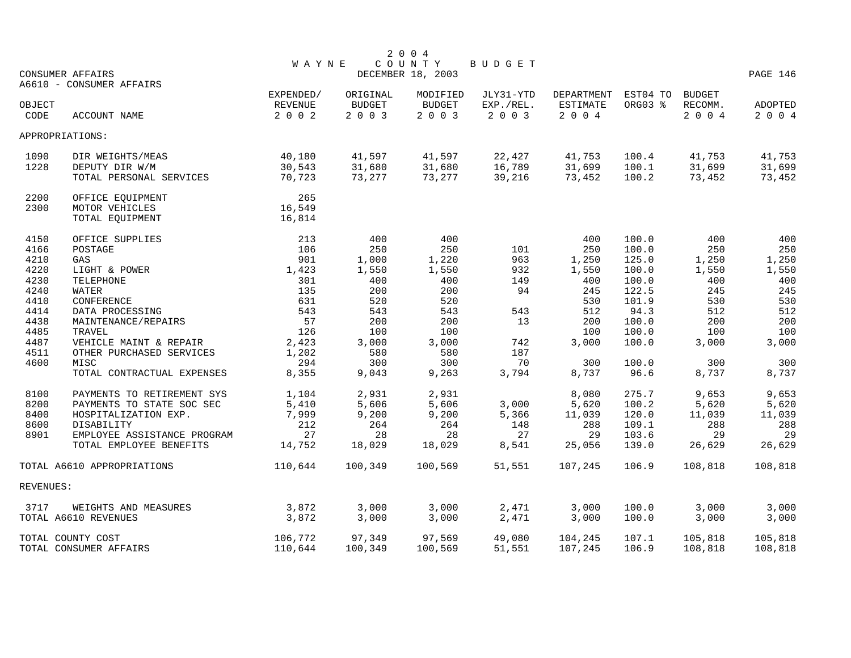|           |                             |              |          | 2 0 0 4                     |           |            |          |         |          |
|-----------|-----------------------------|--------------|----------|-----------------------------|-----------|------------|----------|---------|----------|
|           | <b>CONSUMER AFFAIRS</b>     | <b>WAYNE</b> |          | COUNTY<br>DECEMBER 18, 2003 | BUDGET    |            |          |         | PAGE 146 |
|           | A6610 - CONSUMER AFFAIRS    |              |          |                             |           |            |          |         |          |
|           |                             | EXPENDED/    | ORIGINAL | MODIFIED                    | JLY31-YTD | DEPARTMENT | EST04 TO | BUDGET  |          |
| OBJECT    |                             | REVENUE      | BUDGET   | <b>BUDGET</b>               | EXP./REL. | ESTIMATE   | ORG03 %  | RECOMM. | ADOPTED  |
| CODE      | ACCOUNT NAME                | 2 0 0 2      | 2 0 0 3  | 2 0 0 3                     | 2 0 0 3   | 2 0 0 4    |          | 2004    | 2 0 0 4  |
|           | APPROPRIATIONS:             |              |          |                             |           |            |          |         |          |
| 1090      | DIR WEIGHTS/MEAS            | 40,180       | 41,597   | 41,597                      | 22,427    | 41,753     | 100.4    | 41,753  | 41,753   |
| 1228      | DEPUTY DIR W/M              | 30,543       | 31,680   | 31,680                      | 16,789    | 31,699     | 100.1    | 31,699  | 31,699   |
|           | TOTAL PERSONAL SERVICES     | 70,723       | 73,277   | 73,277                      | 39,216    | 73,452     | 100.2    | 73,452  | 73,452   |
| 2200      | OFFICE EQUIPMENT            | 265          |          |                             |           |            |          |         |          |
| 2300      | MOTOR VEHICLES              | 16,549       |          |                             |           |            |          |         |          |
|           | TOTAL EQUIPMENT             | 16,814       |          |                             |           |            |          |         |          |
| 4150      | OFFICE SUPPLIES             | 213          | 400      | 400                         |           | 400        | 100.0    | 400     | 400      |
| 4166      | POSTAGE                     | 106          | 250      | 250                         | 101       | 250        | 100.0    | 250     | 250      |
| 4210      | GAS                         | 901          | 1,000    | 1,220                       | 963       | 1,250      | 125.0    | 1,250   | 1,250    |
| 4220      | LIGHT & POWER               | 1,423        | 1,550    | 1,550                       | 932       | 1,550      | 100.0    | 1,550   | 1,550    |
| 4230      | TELEPHONE                   | 301          | 400      | 400                         | 149       | 400        | 100.0    | 400     | 400      |
| 4240      | WATER                       | 135          | 200      | 200                         | 94        | 245        | 122.5    | 245     | 245      |
| 4410      | CONFERENCE                  | 631          | 520      | 520                         |           | 530        | 101.9    | 530     | 530      |
| 4414      | DATA PROCESSING             | 543          | 543      | 543                         | 543       | 512        | 94.3     | 512     | 512      |
| 4438      | MAINTENANCE/REPAIRS         | 57           | 200      | 200                         | 13        | 200        | 100.0    | 200     | 200      |
| 4485      | TRAVEL                      | 126          | 100      | 100                         |           | 100        | 100.0    | 100     | 100      |
| 4487      | VEHICLE MAINT & REPAIR      | 2,423        | 3,000    | 3,000                       | 742       | 3,000      | 100.0    | 3,000   | 3,000    |
| 4511      | OTHER PURCHASED SERVICES    | 1,202        | 580      | 580                         | 187       |            |          |         |          |
| 4600      | MISC                        | 294          | 300      | 300                         | 70        | 300        | 100.0    | 300     | 300      |
|           | TOTAL CONTRACTUAL EXPENSES  | 8,355        | 9,043    | 9,263                       | 3,794     | 8,737      | 96.6     | 8,737   | 8,737    |
| 8100      | PAYMENTS TO RETIREMENT SYS  | 1,104        | 2,931    | 2,931                       |           | 8,080      | 275.7    | 9,653   | 9,653    |
| 8200      | PAYMENTS TO STATE SOC SEC   | 5,410        | 5,606    | 5,606                       | 3,000     | 5,620      | 100.2    | 5,620   | 5,620    |
| 8400      | HOSPITALIZATION EXP.        | 7,999        | 9,200    | 9,200                       | 5,366     | 11,039     | 120.0    | 11,039  | 11,039   |
| 8600      | DISABILITY                  | 212          | 264      | 264                         | 148       | 288        | 109.1    | 288     | 288      |
| 8901      | EMPLOYEE ASSISTANCE PROGRAM | 27           | 28       | 28                          | 27        | 29         | 103.6    | 29      | 29       |
|           | TOTAL EMPLOYEE BENEFITS     | 14,752       | 18,029   | 18,029                      | 8,541     | 25,056     | 139.0    | 26,629  | 26,629   |
|           | TOTAL A6610 APPROPRIATIONS  | 110,644      | 100,349  | 100,569                     | 51,551    | 107,245    | 106.9    | 108,818 | 108,818  |
| REVENUES: |                             |              |          |                             |           |            |          |         |          |
| 3717      | WEIGHTS AND MEASURES        | 3,872        | 3,000    | 3,000                       | 2,471     | 3,000      | 100.0    | 3,000   | 3,000    |
|           | TOTAL A6610 REVENUES        | 3,872        | 3,000    | 3,000                       | 2,471     | 3,000      | 100.0    | 3,000   | 3,000    |
|           | TOTAL COUNTY COST           | 106,772      | 97,349   | 97,569                      | 49,080    | 104,245    | 107.1    | 105,818 | 105,818  |
|           | TOTAL CONSUMER AFFAIRS      | 110,644      | 100,349  | 100,569                     | 51,551    | 107,245    | 106.9    | 108,818 | 108,818  |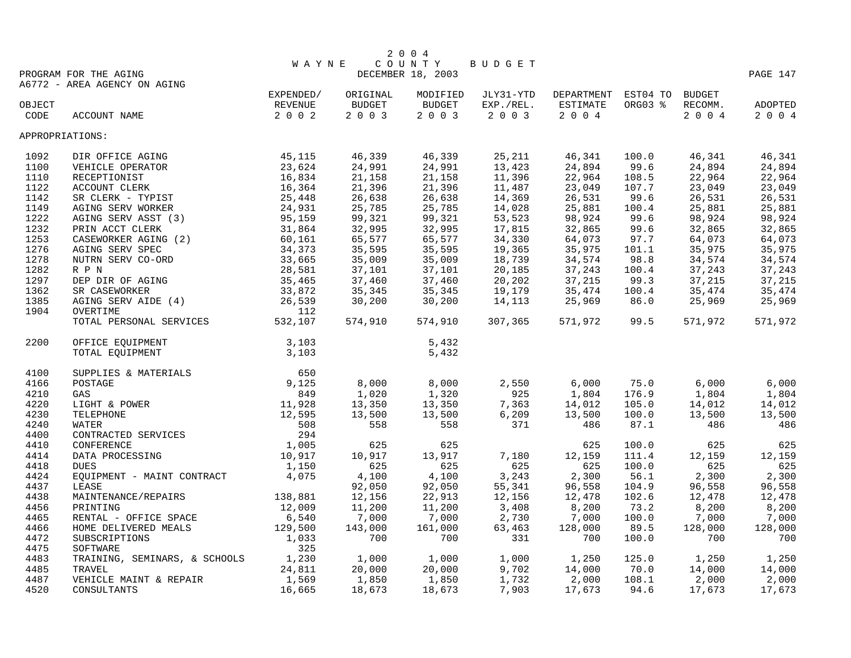|                                  |                                                                                                |                      |               | 2004              |           |                            |         |         |          |
|----------------------------------|------------------------------------------------------------------------------------------------|----------------------|---------------|-------------------|-----------|----------------------------|---------|---------|----------|
| COUNTY<br>BUDGET<br><b>WAYNE</b> |                                                                                                |                      |               |                   |           |                            |         |         |          |
|                                  | PROGRAM FOR THE AGING                                                                          |                      |               | DECEMBER 18, 2003 |           |                            |         |         | PAGE 147 |
|                                  | A6772 - AREA AGENCY ON AGING                                                                   | EXPENDED/            | ORIGINAL      | MODIFIED          | JLY31-YTD | DEPARTMENT EST04 TO BUDGET |         |         |          |
| OBJECT                           |                                                                                                | REVENUE              | <b>BUDGET</b> | BUDGET            | EXP./REL. | ESTIMATE                   | ORG03 % | RECOMM. | ADOPTED  |
| CODE                             | ACCOUNT NAME                                                                                   | 2 0 0 2              | 2003          | 2003              | 2003      | 2004                       |         | 2004    | 2 0 0 4  |
|                                  |                                                                                                |                      |               |                   |           |                            |         |         |          |
| APPROPRIATIONS:                  |                                                                                                |                      |               |                   |           |                            |         |         |          |
| 1092                             | 45, 115<br>DIR OFFICE AGING                                                                    |                      | 46,339        | 46,339            | 25,211    | 46,341                     | 100.0   | 46,341  | 46,341   |
| 1100                             |                                                                                                | 23,624               | 24,991        | 24,991            | 13,423    | 24,894                     | 99.6    | 24,894  | 24,894   |
| 1110                             |                                                                                                | 16,834               | 21,158        | 21,158            | 11,396    | 22,964                     | 108.5   | 22,964  | 22,964   |
| 1122                             | VEHICLE OPERATOR<br>RECEPTIONIST<br>ACCOUNT CLERK<br>SR CLERK - TYPIST                         | 16,364               | 21,396        | 21,396            | 11,487    | 23,049                     | 107.7   | 23,049  | 23,049   |
| 1142                             |                                                                                                | $\frac{1}{25}$ , 448 | 26,638        | 26,638            | 14,369    | 26,531                     | 99.6    | 26,531  | 26,531   |
| 1149                             | AGING SERV WORKER                                                                              | 24,931               | 25,785        | 25,785            | 14,028    | 25,881                     | 100.4   | 25,881  | 25,881   |
| 1222                             | AGING SERV ASST (3)                                                                            | 95,159               | 99,321        | 99,321            | 53,523    | 98,924                     | 99.6    | 98,924  | 98,924   |
| 1232                             | PRIN ACCT CLERK                                                                                | 31,864               | 32,995        | 32,995            | 17,815    | 32,865                     | 99.6    | 32,865  | 32,865   |
| 1253                             | CASEWORKER AGING (2)                                                                           | 60,161               | 65,577        | 65,577            | 34,330    | 64,073                     | 97.7    | 64,073  | 64,073   |
| 1276                             | AGING SERV SPEC                                                                                | 34,373               | 35,595        | 35,595            | 19,365    | 35,975                     | 101.1   | 35,975  | 35,975   |
| 1278                             | NUTRN SERV CO-ORD                                                                              | 33,665               | 35,009        | 35,009            | 18,739    | 34,574                     | 98.8    | 34,574  | 34,574   |
| 1282                             | R P N                                                                                          |                      | 37,101        | 37,101            | 20,185    | 37,243                     | 100.4   | 37,243  | 37,243   |
| 1297                             | DEP DIR OF AGING                                                                               |                      | 37,460        | 37,460            | 20,202    | 37,215                     | 99.3    | 37,215  | 37,215   |
| 1362                             | $\begin{array}{r} 33,661 \\ 28,581 \\ 35,465 \\ 33,872 \\ 26,539 \end{array}$<br>SR CASEWORKER |                      | 35,345        | 35,345            | 19,179    | 35,474                     | 100.4   | 35,474  | 35,474   |
| 1385                             | AGING SERV AIDE (4)                                                                            |                      | 30,200        | 30,200            | 14,113    | 25,969                     | 86.0    | 25,969  | 25,969   |
| 1904                             | OVERTIME                                                                                       |                      |               |                   |           |                            |         |         |          |
|                                  | OVERTIME<br>TOTAL PERSONAL SERVICES                                                            | 532,107              | 574,910       | 574,910           | 307,365   | 571,972                    | 99.5    | 571,972 | 571,972  |
| 2200                             | OFFICE EQUIPMENT                                                                               | 3,103                |               | 5,432             |           |                            |         |         |          |
|                                  | TOTAL EQUIPMENT                                                                                | 3,103                |               | 5,432             |           |                            |         |         |          |
|                                  |                                                                                                |                      |               |                   |           |                            |         |         |          |
| 4100                             |                                                                                                |                      |               |                   |           |                            |         |         |          |
| 4166                             |                                                                                                |                      | 8,000         | 8,000             | 2,550     | 6,000                      | 75.0    | 6,000   | 6,000    |
| 4210                             |                                                                                                |                      | 1,020         | 1,320             | 925       | 1,804                      | 176.9   | 1,804   | 1,804    |
| 4220                             |                                                                                                |                      | 13,350        | 13,350            | 7,363     | 14,012                     | 105.0   | 14,012  | 14,012   |
| 4230                             |                                                                                                |                      | 13,500        | 13,500            | 6,209     | 13,500                     | 100.0   | 13,500  | 13,500   |
| 4240                             |                                                                                                |                      | 558           | 558               | 371       | 486                        | 87.1    | 486     | 486      |
| 4400                             |                                                                                                |                      |               |                   |           |                            |         |         |          |
| 4410                             | CONFERENCE                                                                                     | 1,005                | 625           | 625               |           | 625                        | 100.0   | 625     | 625      |
| 4414                             | DATA PROCESSING                                                                                | 10,917               | 10,917        | 13,917            | 7,180     | 12,159                     | 111.4   | 12,159  | 12,159   |
| 4418                             | <b>DUES</b>                                                                                    | 1,150                | 625           | 625               | 625       | 625                        | 100.0   | 625     | 625      |
| 4424                             | EQUIPMENT - MAINT CONTRACT                                                                     | 4,075                | 4,100         | 4,100             | 3,243     | 2,300                      | 56.1    | 2,300   | 2,300    |
| 4437                             | LEASE                                                                                          |                      | 92,050        | 92,050            | 55,341    | 96,558                     | 104.9   | 96,558  | 96,558   |
| 4438                             | MAINTENANCE/REPAIRS 138,881                                                                    |                      | 12,156        | 22,913            | 12,156    | 12,478                     | 102.6   | 12,478  | 12,478   |
| 4456                             | PRINTING                                                                                       | 12,009               | 11,200        | 11,200            | 3,408     | 8,200                      | 73.2    | 8,200   | 8,200    |
| 4465                             | RENTAL - OFFICE SPACE                                                                          | 6,540                | 7,000         | 7,000             | 2,730     | 7,000                      | 100.0   | 7,000   | 7,000    |
| 4466                             | HOME DELIVERED MEALS                                                                           | 129,500              | 143,000       | 161,000           | 63,463    | 128,000                    | 89.5    | 128,000 | 128,000  |
| 4472                             | SUBSCRIPTIONS                                                                                  | 1,033                | 700           | 700               | 331       | 700                        | 100.0   | 700     | 700      |
| 4475                             | SOFTWARE                                                                                       | 325                  |               |                   |           |                            |         |         |          |
| 4483                             | TRAINING, SEMINARS, & SCHOOLS 1,230                                                            |                      | 1,000         | 1,000             | 1,000     | 1,250                      | 125.0   | 1,250   | 1,250    |
| 4485                             | TRAVEL                                                                                         | 24,811               | 20,000        | 20,000            | 9,702     | 14,000                     | 70.0    | 14,000  | 14,000   |
| 4487                             | VEHICLE MAINT & REPAIR                                                                         | 1,569                | 1,850         | 1,850             | 1,732     | 2,000                      | 108.1   | 2,000   | 2,000    |
| 4520                             | CONSULTANTS                                                                                    | 16,665               | 18,673        | 18,673            | 7,903     | 17,673                     | 94.6    | 17,673  | 17,673   |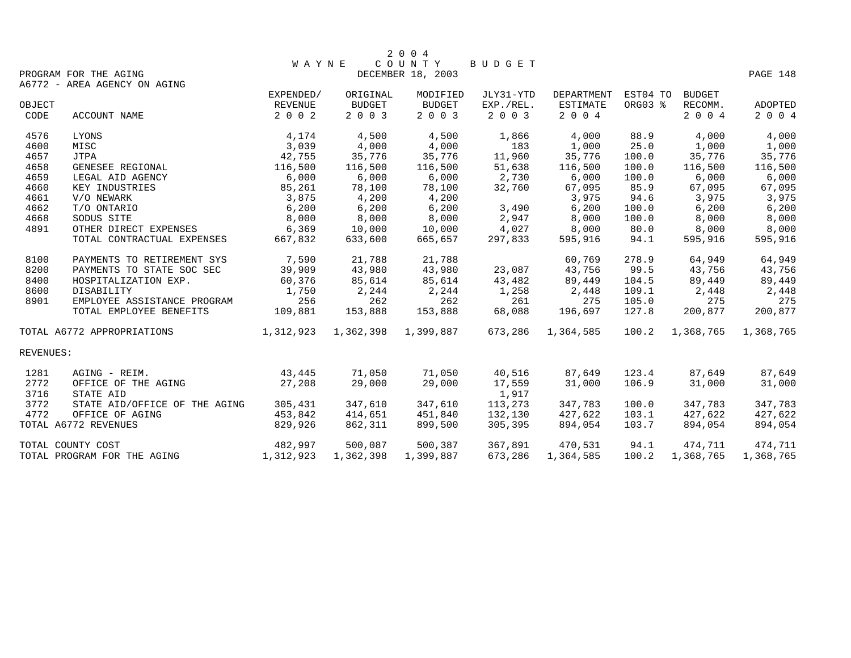|           |                                                       |              |           | 2 0 0 4             |           |                   |          |               |           |
|-----------|-------------------------------------------------------|--------------|-----------|---------------------|-----------|-------------------|----------|---------------|-----------|
|           |                                                       | <b>WAYNE</b> |           | COUNTY              | BUDGET    |                   |          |               |           |
|           | PROGRAM FOR THE AGING<br>A6772 - AREA AGENCY ON AGING |              |           | DECEMBER 18, 2003   |           |                   |          |               | PAGE 148  |
|           |                                                       | EXPENDED/    | ORIGINAL  | MODIFIED            | JLY31-YTD | <b>DEPARTMENT</b> | EST04 TO | <b>BUDGET</b> |           |
| OBJECT    |                                                       | REVENUE      | BUDGET    | BUDGET              | EXP./REL. | ESTIMATE          | ORG03 %  | RECOMM.       | ADOPTED   |
| CODE      | ACCOUNT NAME                                          | 2 0 0 2      | 2 0 0 3   | 2 0 0 3             | 2 0 0 3   | 2 0 0 4           |          | 2 0 0 4       | 2 0 0 4   |
| 4576      | LYONS                                                 | 4,174        | 4,500     | 4,500               | 1,866     | 4,000             | 88.9     | 4,000         | 4,000     |
| 4600      | MISC                                                  | 3,039        | 4,000     | 4,000               | 183       | 1,000             | 25.0     | 1,000         | 1,000     |
| 4657      | <b>JTPA</b>                                           | 42,755       | 35,776    | 35,776              | 11,960    | 35,776            | 100.0    | 35,776        | 35,776    |
| 4658      | GENESEE REGIONAL                                      | 116,500      | 116,500   | 116,500             | 51,638    | 116,500           | 100.0    | 116,500       | 116,500   |
| 4659      | LEGAL AID AGENCY                                      | 6,000        | 6,000     | 6,000               | 2,730     | 6,000             | 100.0    | 6,000         | 6,000     |
| 4660      | KEY INDUSTRIES                                        | 85,261       | 78,100    | 78,100              | 32,760    | 67,095            | 85.9     | 67,095        | 67,095    |
| 4661      | V/O NEWARK                                            | 3,875        | 4,200     | 4,200               |           | 3,975             | 94.6     | 3,975         | 3,975     |
| 4662      | T/O ONTARIO                                           | 6,200        | 6,200     | 6,200               | 3,490     | 6,200             | 100.0    | 6,200         | 6,200     |
| 4668      | SODUS SITE                                            | 8,000        | 8,000     | 8,000               | 2,947     | 8,000             | 100.0    | 8,000         | 8,000     |
| 4891      | OTHER DIRECT EXPENSES                                 | 6,369        | 10,000    | 10,000              | 4,027     | 8,000             | 80.0     | 8,000         | 8,000     |
|           | TOTAL CONTRACTUAL EXPENSES                            | 667,832      | 633,600   | 665,657             | 297,833   | 595,916           | 94.1     | 595,916       | 595,916   |
| 8100      | PAYMENTS TO RETIREMENT SYS                            | 7,590        | 21,788    | 21,788              |           | 60,769            | 278.9    | 64,949        | 64,949    |
| 8200      | PAYMENTS TO STATE SOC SEC                             | 39,909       | 43,980    | 43,980              | 23,087    | 43,756            | 99.5     | 43,756        | 43,756    |
| 8400      | HOSPITALIZATION EXP.                                  | 60,376       | 85,614    | 85,614              | 43,482    | 89,449            | 104.5    | 89,449        | 89,449    |
| 8600      | DISABILITY                                            | 1,750        | 2,244     | 2,244               | 1,258     | 2,448             | 109.1    | 2,448         | 2,448     |
| 8901      | EMPLOYEE ASSISTANCE PROGRAM                           | 256          | 262       | 262                 | 261       | 275               | 105.0    | 275           | 275       |
|           | TOTAL EMPLOYEE BENEFITS                               | 109,881      | 153,888   | 153,888             | 68,088    | 196,697           | 127.8    | 200,877       | 200,877   |
|           | TOTAL A6772 APPROPRIATIONS                            | 1,312,923    |           | 1,362,398 1,399,887 | 673,286   | 1,364,585         | 100.2    | 1,368,765     | 1,368,765 |
| REVENUES: |                                                       |              |           |                     |           |                   |          |               |           |
| 1281      | AGING - REIM.                                         | 43,445       | 71,050    | 71,050              | 40,516    | 87,649            | 123.4    | 87,649        | 87,649    |
| 2772      | OFFICE OF THE AGING                                   | 27,208       | 29,000    | 29,000              | 17,559    | 31,000            | 106.9    | 31,000        | 31,000    |
| 3716      | STATE AID                                             |              |           |                     | 1,917     |                   |          |               |           |
| 3772      | STATE AID/OFFICE OF THE AGING                         | 305,431      | 347,610   | 347,610             | 113,273   | 347,783           | 100.0    | 347,783       | 347,783   |
| 4772      | OFFICE OF AGING                                       | 453,842      | 414,651   | 451,840             | 132,130   | 427,622           | 103.1    | 427,622       | 427,622   |
|           | TOTAL A6772 REVENUES                                  | 829,926      | 862,311   | 899,500             | 305,395   | 894,054           | 103.7    | 894,054       | 894,054   |
|           | TOTAL COUNTY COST                                     | 482,997      | 500,087   | 500,387             | 367,891   | 470,531           | 94.1     | 474,711       | 474,711   |
|           | TOTAL PROGRAM FOR THE AGING                           | 1,312,923    | 1,362,398 | 1,399,887           | 673,286   | 1,364,585         | 100.2    | 1,368,765     | 1,368,765 |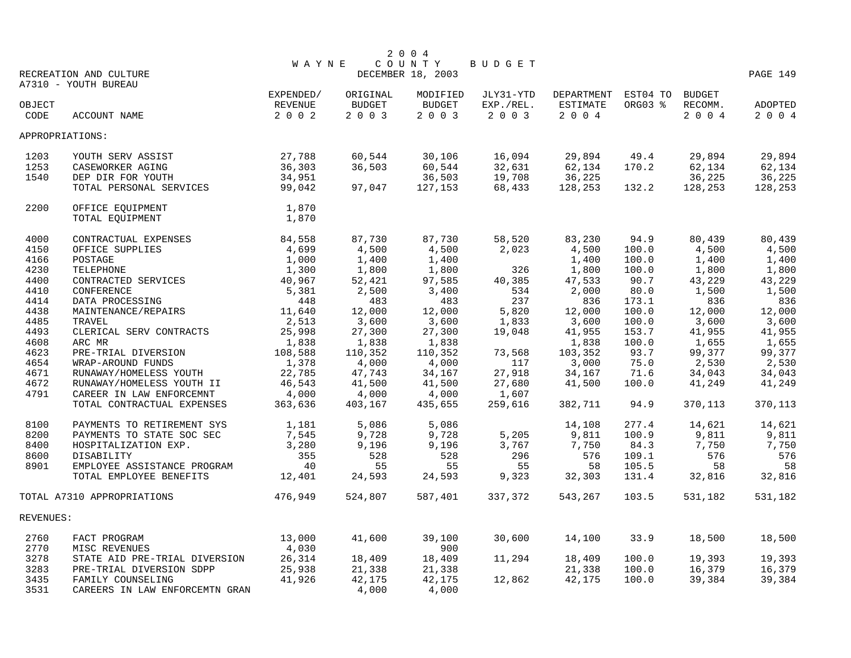|           |                                |              |               | 2 0 0 4           |           |            |          |               |          |
|-----------|--------------------------------|--------------|---------------|-------------------|-----------|------------|----------|---------------|----------|
|           |                                | <b>WAYNE</b> |               | COUNTY            | BUDGET    |            |          |               |          |
|           | RECREATION AND CULTURE         |              |               | DECEMBER 18, 2003 |           |            |          |               | PAGE 149 |
|           | A7310 - YOUTH BUREAU           |              |               |                   |           |            |          |               |          |
|           |                                | EXPENDED/    | ORIGINAL      | MODIFIED          | JLY31-YTD | DEPARTMENT | EST04 TO | <b>BUDGET</b> |          |
| OBJECT    |                                | REVENUE      | <b>BUDGET</b> | <b>BUDGET</b>     | EXP./REL. | ESTIMATE   | ORG03 %  | RECOMM.       | ADOPTED  |
| CODE      | ACCOUNT NAME                   | 2002         | 2 0 0 3       | 2 0 0 3           | 2 0 0 3   | 2004       |          | 2004          | 2004     |
|           | APPROPRIATIONS:                |              |               |                   |           |            |          |               |          |
| 1203      | YOUTH SERV ASSIST              | 27,788       | 60,544        | 30,106            | 16,094    | 29,894     | 49.4     | 29,894        | 29,894   |
| 1253      | CASEWORKER AGING               | 36,303       | 36,503        | 60,544            | 32,631    | 62,134     | 170.2    | 62,134        | 62,134   |
| 1540      | DEP DIR FOR YOUTH              | 34,951       |               | 36,503            | 19,708    | 36,225     |          | 36,225        | 36,225   |
|           | TOTAL PERSONAL SERVICES        | 99,042       | 97,047        | 127,153           | 68,433    | 128,253    | 132.2    | 128,253       | 128,253  |
| 2200      | OFFICE EQUIPMENT               | 1,870        |               |                   |           |            |          |               |          |
|           | TOTAL EQUIPMENT                | 1,870        |               |                   |           |            |          |               |          |
|           |                                |              |               |                   |           |            |          |               |          |
| 4000      | CONTRACTUAL EXPENSES           | 84,558       | 87,730        | 87,730            | 58,520    | 83,230     | 94.9     | 80,439        | 80,439   |
| 4150      | OFFICE SUPPLIES                | 4,699        | 4,500         | 4,500             | 2,023     | 4,500      | 100.0    | 4,500         | 4,500    |
| 4166      | POSTAGE                        | 1,000        | 1,400         | 1,400             |           | 1,400      | 100.0    | 1,400         | 1,400    |
| 4230      | TELEPHONE                      | 1,300        | 1,800         | 1,800             | 326       | 1,800      | 100.0    | 1,800         | 1,800    |
| 4400      | CONTRACTED SERVICES            | 40,967       | 52,421        | 97,585            | 40,385    | 47,533     | 90.7     | 43,229        | 43,229   |
| 4410      | CONFERENCE                     | 5,381        | 2,500         | 3,400             | 534       | 2,000      | 80.0     | 1,500         | 1,500    |
| 4414      | DATA PROCESSING                | 448          | 483           | 483               | 237       | 836        | 173.1    | 836           | 836      |
| 4438      | MAINTENANCE/REPAIRS            | 11,640       | 12,000        | 12,000            | 5,820     | 12,000     | 100.0    | 12,000        | 12,000   |
| 4485      | <b>TRAVEL</b>                  | 2,513        | 3,600         | 3,600             | 1,833     | 3,600      | 100.0    | 3,600         | 3,600    |
| 4493      | CLERICAL SERV CONTRACTS        | 25,998       | 27,300        | 27,300            | 19,048    | 41,955     | 153.7    | 41,955        | 41,955   |
| 4608      | ARC MR                         | 1,838        | 1,838         | 1,838             |           | 1,838      | 100.0    | 1,655         | 1,655    |
| 4623      | PRE-TRIAL DIVERSION            | 108,588      | 110,352       | 110,352           | 73,568    | 103,352    | 93.7     | 99,377        | 99,377   |
| 4654      | WRAP-AROUND FUNDS              | 1,378        | 4,000         | 4,000             | 117       | 3,000      | 75.0     | 2,530         | 2,530    |
| 4671      | RUNAWAY/HOMELESS YOUTH         | 22,785       | 47,743        | 34,167            | 27,918    | 34,167     | 71.6     | 34,043        | 34,043   |
| 4672      | RUNAWAY/HOMELESS YOUTH II      | 46,543       | 41,500        | 41,500            | 27,680    | 41,500     | 100.0    | 41,249        | 41,249   |
| 4791      | CAREER IN LAW ENFORCEMNT       | 4,000        | 4,000         | 4,000             | 1,607     |            |          |               |          |
|           | TOTAL CONTRACTUAL EXPENSES     | 363,636      | 403,167       | 435,655           | 259,616   | 382,711    | 94.9     | 370,113       | 370,113  |
| 8100      | PAYMENTS TO RETIREMENT SYS     | 1,181        | 5,086         | 5,086             |           | 14,108     | 277.4    | 14,621        | 14,621   |
| 8200      | PAYMENTS TO STATE SOC SEC      | 7,545        | 9,728         | 9,728             | 5,205     | 9,811      | 100.9    | 9,811         | 9,811    |
| 8400      | HOSPITALIZATION EXP.           | 3,280        | 9,196         | 9,196             | 3,767     | 7,750      | 84.3     | 7,750         | 7,750    |
| 8600      | DISABILITY                     | 355          | 528           | 528               | 296       | 576        | 109.1    | 576           | 576      |
| 8901      | EMPLOYEE ASSISTANCE PROGRAM    | 40           | 55            | 55                | 55        | 58         | 105.5    | 58            | 58       |
|           | TOTAL EMPLOYEE BENEFITS        | 12,401       | 24,593        | 24,593            | 9,323     | 32,303     | 131.4    | 32,816        | 32,816   |
|           | TOTAL A7310 APPROPRIATIONS     | 476,949      | 524,807       | 587,401           | 337,372   | 543,267    | 103.5    | 531,182       | 531,182  |
| REVENUES: |                                |              |               |                   |           |            |          |               |          |
| 2760      | FACT PROGRAM                   | 13,000       | 41,600        | 39,100            | 30,600    | 14,100     | 33.9     | 18,500        | 18,500   |
| 2770      | MISC REVENUES                  | 4,030        |               | 900               |           |            |          |               |          |
| 3278      | STATE AID PRE-TRIAL DIVERSION  | 26,314       | 18,409        | 18,409            | 11,294    | 18,409     | 100.0    | 19,393        | 19,393   |
| 3283      | PRE-TRIAL DIVERSION SDPP       | 25,938       | 21,338        | 21,338            |           | 21,338     | 100.0    | 16,379        | 16,379   |
| 3435      | FAMILY COUNSELING              | 41,926       | 42,175        | 42,175            | 12,862    | 42,175     | 100.0    | 39,384        | 39,384   |
| 3531      | CAREERS IN LAW ENFORCEMTN GRAN |              | 4,000         | 4,000             |           |            |          |               |          |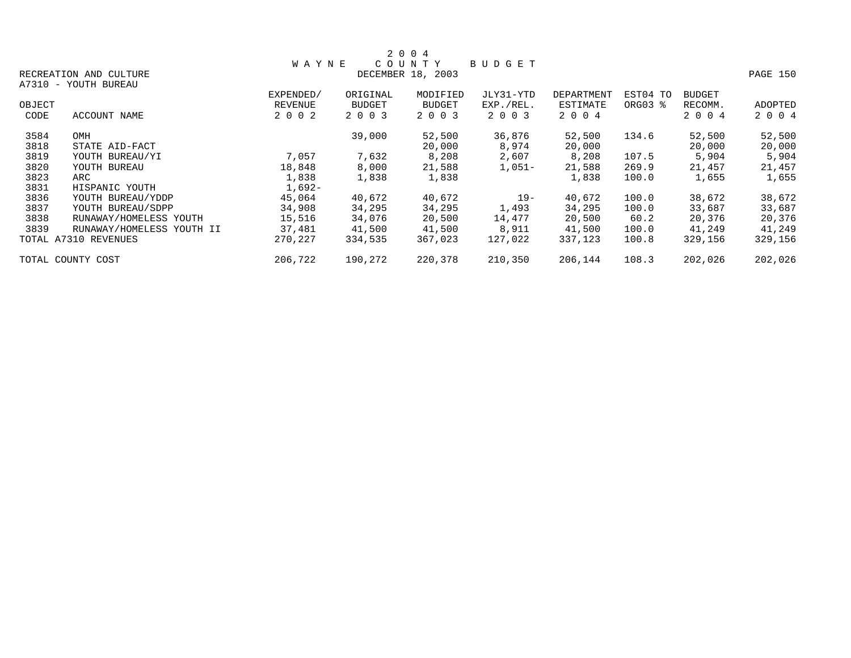|        |                           |              |               | 2 0 0 4           |           |            |          |               |          |
|--------|---------------------------|--------------|---------------|-------------------|-----------|------------|----------|---------------|----------|
|        |                           | <b>WAYNE</b> |               | COUNTY            | BUDGET    |            |          |               |          |
|        | RECREATION AND CULTURE    |              |               | DECEMBER 18, 2003 |           |            |          |               | PAGE 150 |
|        | A7310 - YOUTH BUREAU      |              |               |                   |           |            |          |               |          |
|        |                           | EXPENDED/    | ORIGINAL      | MODIFIED          | JLY31-YTD | DEPARTMENT | EST04 TO | <b>BUDGET</b> |          |
| OBJECT |                           | REVENUE      | <b>BUDGET</b> | <b>BUDGET</b>     | EXP./REL. | ESTIMATE   | ORG03 %  | RECOMM.       | ADOPTED  |
| CODE   | ACCOUNT NAME              | 2 0 0 2      | 2 0 0 3       | 2 0 0 3           | 2 0 0 3   | 2 0 0 4    |          | 2 0 0 4       | 2 0 0 4  |
| 3584   | OMH                       |              | 39,000        | 52,500            | 36,876    | 52,500     | 134.6    | 52,500        | 52,500   |
| 3818   | STATE AID-FACT            |              |               | 20,000            | 8,974     | 20,000     |          | 20,000        | 20,000   |
| 3819   | YOUTH BUREAU/YI           | 7,057        | 7,632         | 8,208             | 2,607     | 8,208      | 107.5    | 5,904         | 5,904    |
| 3820   | YOUTH BUREAU              | 18,848       | 8,000         | 21,588            | $1,051-$  | 21,588     | 269.9    | 21,457        | 21,457   |
| 3823   | ARC                       | 1,838        | 1,838         | 1,838             |           | 1,838      | 100.0    | 1,655         | 1,655    |
| 3831   | HISPANIC YOUTH            | 1,692-       |               |                   |           |            |          |               |          |
| 3836   | YOUTH BUREAU/YDDP         | 45,064       | 40,672        | 40,672            | $19-$     | 40,672     | 100.0    | 38,672        | 38,672   |
| 3837   | YOUTH BUREAU/SDPP         | 34,908       | 34,295        | 34,295            | 1,493     | 34,295     | 100.0    | 33,687        | 33,687   |
| 3838   | RUNAWAY/HOMELESS YOUTH    | 15,516       | 34,076        | 20,500            | 14,477    | 20,500     | 60.2     | 20,376        | 20,376   |
| 3839   | RUNAWAY/HOMELESS YOUTH II | 37,481       | 41,500        | 41,500            | 8,911     | 41,500     | 100.0    | 41,249        | 41,249   |
|        | TOTAL A7310 REVENUES      | 270,227      | 334,535       | 367,023           | 127,022   | 337,123    | 100.8    | 329,156       | 329,156  |
|        | TOTAL COUNTY COST         | 206,722      | 190,272       | 220,378           | 210,350   | 206,144    | 108.3    | 202,026       | 202,026  |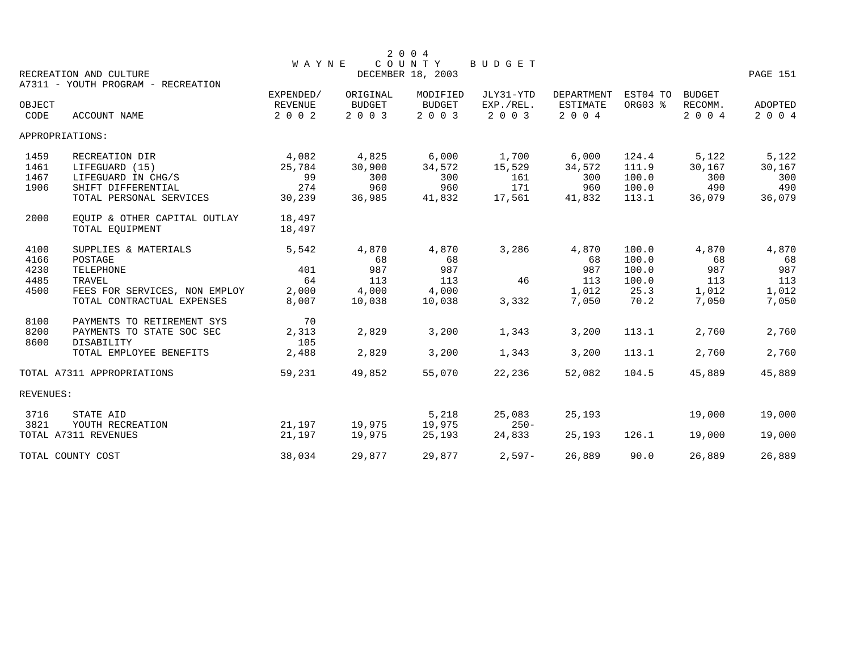|           |                                                              |                |               | 2 0 0 4           |           |                 |          |               |          |
|-----------|--------------------------------------------------------------|----------------|---------------|-------------------|-----------|-----------------|----------|---------------|----------|
|           |                                                              | <b>WAYNE</b>   |               | COUNTY            | BUDGET    |                 |          |               |          |
|           | RECREATION AND CULTURE<br>A7311 - YOUTH PROGRAM - RECREATION |                |               | DECEMBER 18, 2003 |           |                 |          |               | PAGE 151 |
|           |                                                              | EXPENDED/      | ORIGINAL      | MODIFIED          | JLY31-YTD | DEPARTMENT      | EST04 TO | <b>BUDGET</b> |          |
| OBJECT    |                                                              | <b>REVENUE</b> | <b>BUDGET</b> | <b>BUDGET</b>     | EXP./REL. | <b>ESTIMATE</b> | ORG03 %  | RECOMM.       | ADOPTED  |
| CODE      | <b>ACCOUNT NAME</b>                                          | 2 0 0 2        | 2 0 0 3       | 2 0 0 3           | 2 0 0 3   | 2004            |          | 2 0 0 4       | 2 0 0 4  |
|           | APPROPRIATIONS:                                              |                |               |                   |           |                 |          |               |          |
| 1459      | RECREATION DIR                                               | 4,082          | 4,825         | 6,000             | 1,700     | 6,000           | 124.4    | 5,122         | 5,122    |
| 1461      | LIFEGUARD (15)                                               | 25,784         | 30,900        | 34,572            | 15,529    | 34,572          | 111.9    | 30,167        | 30,167   |
| 1467      | LIFEGUARD IN CHG/S                                           | 99             | 300           | 300               | 161       | 300             | 100.0    | 300           | 300      |
| 1906      | SHIFT DIFFERENTIAL                                           | 274            | 960           | 960               | 171       | 960             | 100.0    | 490           | 490      |
|           | TOTAL PERSONAL SERVICES                                      | 30,239         | 36,985        | 41,832            | 17,561    | 41,832          | 113.1    | 36,079        | 36,079   |
| 2000      | EQUIP & OTHER CAPITAL OUTLAY                                 | 18,497         |               |                   |           |                 |          |               |          |
|           | TOTAL EOUIPMENT                                              | 18,497         |               |                   |           |                 |          |               |          |
| 4100      | SUPPLIES & MATERIALS                                         | 5,542          | 4,870         | 4,870             | 3,286     | 4,870           | 100.0    | 4,870         | 4,870    |
| 4166      | POSTAGE                                                      |                | 68            | 68                |           | 68              | 100.0    | 68            | 68       |
| 4230      | TELEPHONE                                                    | 401            | 987           | 987               |           | 987             | 100.0    | 987           | 987      |
| 4485      | TRAVEL                                                       | 64             | 113           | 113               | 46        | 113             | 100.0    | 113           | 113      |
| 4500      | FEES FOR SERVICES, NON EMPLOY                                | 2,000          | 4,000         | 4,000             |           | 1,012           | 25.3     | 1,012         | 1,012    |
|           | TOTAL CONTRACTUAL EXPENSES                                   | 8,007          | 10,038        | 10,038            | 3,332     | 7,050           | 70.2     | 7,050         | 7,050    |
| 8100      | PAYMENTS TO RETIREMENT SYS                                   | 70             |               |                   |           |                 |          |               |          |
| 8200      | PAYMENTS TO STATE SOC SEC                                    | 2,313          | 2,829         | 3,200             | 1,343     | 3,200           | 113.1    | 2,760         | 2,760    |
| 8600      | DISABILITY                                                   | 105            |               |                   |           |                 |          |               |          |
|           | TOTAL EMPLOYEE BENEFITS                                      | 2,488          | 2,829         | 3,200             | 1,343     | 3,200           | 113.1    | 2,760         | 2,760    |
|           | TOTAL A7311 APPROPRIATIONS                                   | 59,231         | 49,852        | 55,070            | 22,236    | 52,082          | 104.5    | 45,889        | 45,889   |
| REVENUES: |                                                              |                |               |                   |           |                 |          |               |          |
| 3716      | STATE AID                                                    |                |               | 5,218             | 25,083    | 25,193          |          | 19,000        | 19,000   |
| 3821      | YOUTH RECREATION                                             | 21,197         | 19,975        | 19,975            | $250 -$   |                 |          |               |          |
|           | TOTAL A7311 REVENUES                                         | 21,197         | 19,975        | 25,193            | 24,833    | 25,193          | 126.1    | 19,000        | 19,000   |
|           | TOTAL COUNTY COST                                            | 38,034         | 29,877        | 29,877            | $2,597-$  | 26,889          | 90.0     | 26,889        | 26,889   |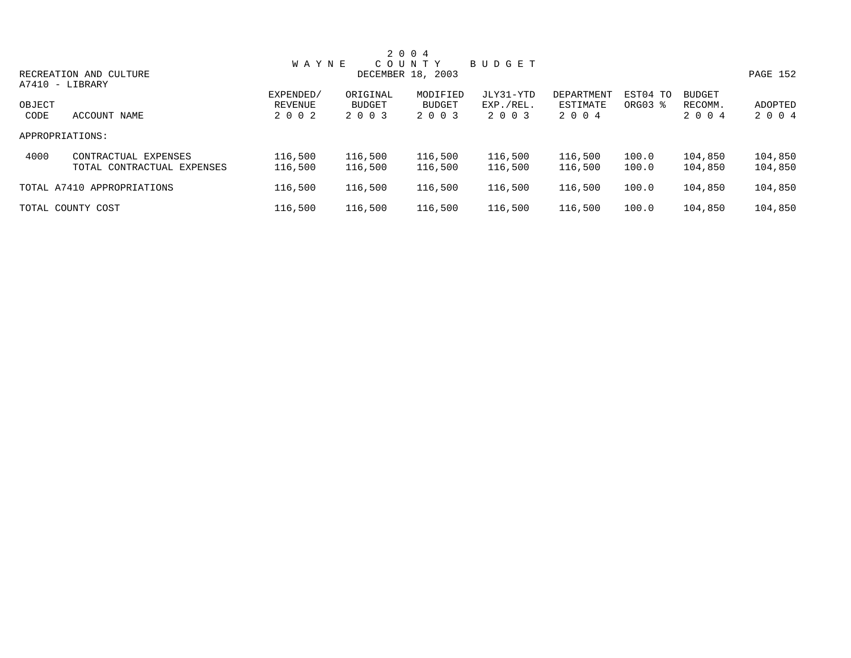|        |                            |              |               | 2 0 0 4           |           |            |          |               |          |
|--------|----------------------------|--------------|---------------|-------------------|-----------|------------|----------|---------------|----------|
|        |                            | <b>WAYNE</b> |               | COUNTY            | BUDGET    |            |          |               |          |
|        | RECREATION AND CULTURE     |              |               | DECEMBER 18, 2003 |           |            |          |               | PAGE 152 |
|        | A7410 - LIBRARY            |              |               |                   |           |            |          |               |          |
|        |                            | EXPENDED/    | ORIGINAL      | MODIFIED          | JLY31-YTD | DEPARTMENT | EST04 TO | <b>BUDGET</b> |          |
| OBJECT |                            | REVENUE      | <b>BUDGET</b> | <b>BUDGET</b>     | EXP./REL. | ESTIMATE   | ORG03 %  | RECOMM.       | ADOPTED  |
| CODE   | ACCOUNT NAME               | 2 0 0 2      | 2 0 0 3       | 2 0 0 3           | 2 0 0 3   | 2 0 0 4    |          | 2 0 0 4       | 2 0 0 4  |
|        | APPROPRIATIONS:            |              |               |                   |           |            |          |               |          |
| 4000   | CONTRACTUAL EXPENSES       | 116,500      | 116,500       | 116,500           | 116,500   | 116,500    | 100.0    | 104,850       | 104,850  |
|        | TOTAL CONTRACTUAL EXPENSES | 116,500      | 116,500       | 116,500           | 116,500   | 116,500    | 100.0    | 104,850       | 104,850  |
|        | TOTAL A7410 APPROPRIATIONS | 116,500      | 116,500       | 116,500           | 116,500   | 116,500    | 100.0    | 104,850       | 104,850  |
|        | TOTAL COUNTY COST          | 116,500      | 116,500       | 116,500           | 116,500   | 116,500    | 100.0    | 104,850       | 104,850  |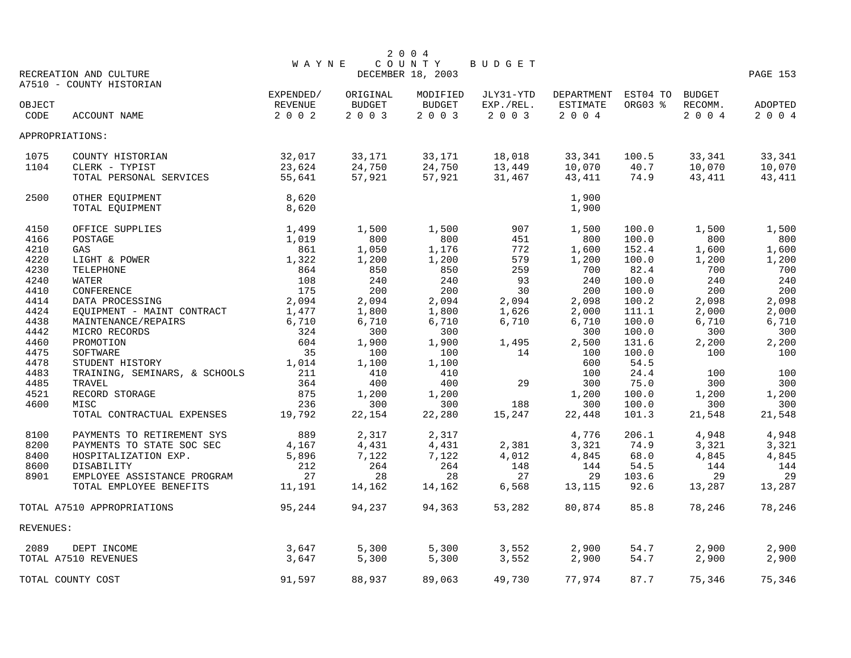|           |                               |              |               | 2 0 0 4           |           |            |          |               |          |
|-----------|-------------------------------|--------------|---------------|-------------------|-----------|------------|----------|---------------|----------|
|           |                               | <b>WAYNE</b> |               | COUNTY            | BUDGET    |            |          |               |          |
|           | RECREATION AND CULTURE        |              |               | DECEMBER 18, 2003 |           |            |          |               | PAGE 153 |
|           | A7510 - COUNTY HISTORIAN      |              |               |                   |           |            |          |               |          |
|           |                               | EXPENDED/    | ORIGINAL      | MODIFIED          | JLY31-YTD | DEPARTMENT | EST04 TO | <b>BUDGET</b> |          |
| OBJECT    |                               | REVENUE      | <b>BUDGET</b> | <b>BUDGET</b>     | EXP./REL. | ESTIMATE   | ORG03 %  | RECOMM.       | ADOPTED  |
| CODE      | ACCOUNT NAME                  | 2 0 0 2      | 2 0 0 3       | 2003              | 2 0 0 3   | 2004       |          | 2004          | 2 0 0 4  |
|           | APPROPRIATIONS:               |              |               |                   |           |            |          |               |          |
| 1075      | COUNTY HISTORIAN              | 32,017       | 33,171        | 33,171            | 18,018    | 33,341     | 100.5    | 33,341        | 33,341   |
| 1104      | CLERK - TYPIST                | 23,624       | 24,750        | 24,750            | 13,449    | 10,070     | 40.7     | 10,070        | 10,070   |
|           | TOTAL PERSONAL SERVICES       | 55,641       | 57,921        | 57,921            | 31,467    | 43,411     | 74.9     | 43,411        | 43,411   |
| 2500      | OTHER EQUIPMENT               | 8,620        |               |                   |           | 1,900      |          |               |          |
|           | TOTAL EQUIPMENT               | 8,620        |               |                   |           | 1,900      |          |               |          |
| 4150      | OFFICE SUPPLIES               | 1,499        | 1,500         | 1,500             | 907       | 1,500      | 100.0    | 1,500         | 1,500    |
| 4166      | POSTAGE                       | 1,019        | 800           | 800               | 451       | 800        | 100.0    | 800           | 800      |
| 4210      | GAS                           | 861          | 1,050         | 1,176             | 772       | 1,600      | 152.4    | 1,600         | 1,600    |
| 4220      | LIGHT & POWER                 | 1,322        | 1,200         | 1,200             | 579       | 1,200      | 100.0    | 1,200         | 1,200    |
| 4230      | TELEPHONE                     | 864          | 850           | 850               | 259       | 700        | 82.4     | 700           | 700      |
| 4240      | WATER                         | 108          | 240           | 240               | 93        | 240        | 100.0    | 240           | 240      |
| 4410      | CONFERENCE                    | 175          | 200           | 200               | 30        | 200        | 100.0    | 200           | 200      |
| 4414      | DATA PROCESSING               | 2,094        | 2,094         | 2,094             | 2,094     | 2,098      | 100.2    | 2,098         | 2,098    |
| 4424      | EQUIPMENT - MAINT CONTRACT    | 1,477        | 1,800         | 1,800             | 1,626     | 2,000      | 111.1    | 2,000         | 2,000    |
| 4438      | MAINTENANCE/REPAIRS           | 6,710        | 6,710         | 6,710             | 6,710     | 6,710      | 100.0    | 6,710         | 6,710    |
| 4442      | MICRO RECORDS                 | 324          | 300           | 300               |           | 300        | 100.0    | 300           | 300      |
| 4460      | PROMOTION                     | 604          | 1,900         | 1,900             | 1,495     | 2,500      | 131.6    | 2,200         | 2,200    |
| 4475      | SOFTWARE                      | 35           | 100           | 100               | 14        | 100        | 100.0    | 100           | 100      |
| 4478      | STUDENT HISTORY               | 1,014        | 1,100         | 1,100             |           | 600        | 54.5     |               |          |
| 4483      | TRAINING, SEMINARS, & SCHOOLS | 211          | 410           | 410               |           | 100        | 24.4     | 100           | 100      |
| 4485      | TRAVEL                        | 364          | 400           | 400               | 29        | 300        | 75.0     | 300           | 300      |
| 4521      | RECORD STORAGE                | 875          | 1,200         | 1,200             |           | 1,200      | 100.0    | 1,200         | 1,200    |
| 4600      | MISC                          | 236          | 300           | 300               | 188       | 300        | 100.0    | 300           | 300      |
|           | TOTAL CONTRACTUAL EXPENSES    | 19,792       | 22,154        | 22,280            | 15,247    | 22,448     | 101.3    | 21,548        | 21,548   |
| 8100      | PAYMENTS TO RETIREMENT SYS    | 889          | 2,317         | 2,317             |           | 4,776      | 206.1    | 4,948         | 4,948    |
| 8200      | PAYMENTS TO STATE SOC SEC     | 4,167        | 4,431         | 4,431             | 2,381     | 3,321      | 74.9     | 3,321         | 3,321    |
| 8400      | HOSPITALIZATION EXP.          | 5,896        | 7,122         | 7,122             | 4,012     | 4,845      | 68.0     | 4,845         | 4,845    |
| 8600      | DISABILITY                    | 212          | 264           | 264               | 148       | 144        | 54.5     | 144           | 144      |
| 8901      | EMPLOYEE ASSISTANCE PROGRAM   | 27           | 28            | 28                | 27        | 29         | 103.6    | 29            | 29       |
|           | TOTAL EMPLOYEE BENEFITS       | 11,191       | 14,162        | 14,162            | 6,568     | 13,115     | 92.6     | 13,287        | 13,287   |
|           |                               |              |               |                   |           |            |          |               |          |
|           | TOTAL A7510 APPROPRIATIONS    | 95,244       | 94,237        | 94,363            | 53,282    | 80,874     | 85.8     | 78,246        | 78,246   |
| REVENUES: |                               |              |               |                   |           |            |          |               |          |
| 2089      | DEPT INCOME                   | 3,647        | 5,300         | 5,300             | 3,552     | 2,900      | 54.7     | 2,900         | 2,900    |
|           | TOTAL A7510 REVENUES          | 3,647        | 5,300         | 5,300             | 3,552     | 2,900      | 54.7     | 2,900         | 2,900    |
|           | TOTAL COUNTY COST             | 91,597       | 88,937        | 89,063            | 49,730    | 77,974     | 87.7     | 75,346        | 75,346   |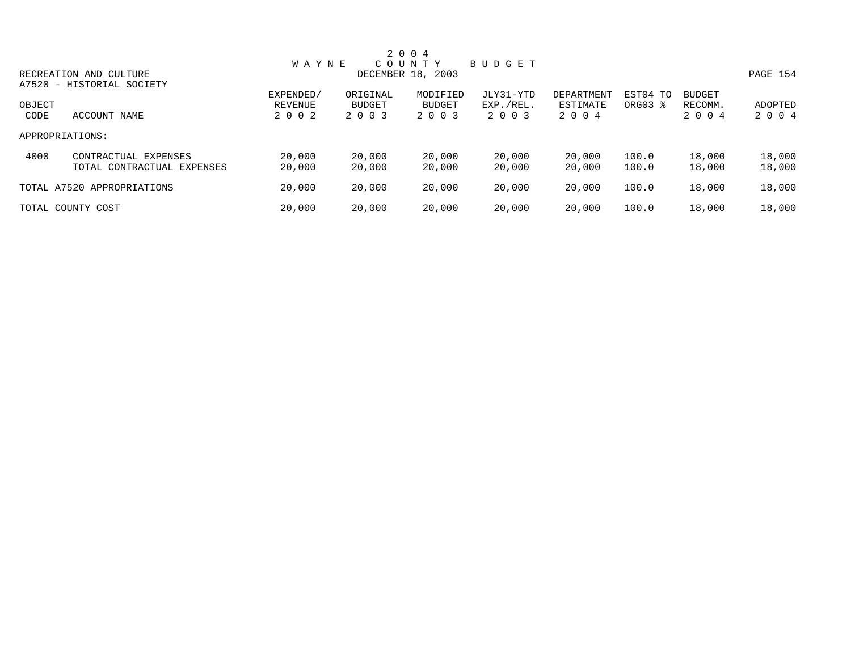| 2 0 0 4 |                            |              |               |                   |           |            |          |               |          |  |
|---------|----------------------------|--------------|---------------|-------------------|-----------|------------|----------|---------------|----------|--|
|         |                            | <b>WAYNE</b> |               | COUNTY            | BUDGET    |            |          |               |          |  |
|         | RECREATION AND CULTURE     |              |               | DECEMBER 18, 2003 |           |            |          |               | PAGE 154 |  |
|         | A7520 - HISTORIAL SOCIETY  |              |               |                   |           |            |          |               |          |  |
|         |                            | EXPENDED/    | ORIGINAL      | MODIFIED          | JLY31-YTD | DEPARTMENT | EST04 TO | <b>BUDGET</b> |          |  |
| OBJECT  |                            | REVENUE      | <b>BUDGET</b> | <b>BUDGET</b>     | EXP./REL. | ESTIMATE   | ORG03 %  | RECOMM.       | ADOPTED  |  |
| CODE    | ACCOUNT NAME               | 2 0 0 2      | 2 0 0 3       | 2 0 0 3           | 2 0 0 3   | 2 0 0 4    |          | 2 0 0 4       | 2 0 0 4  |  |
|         | APPROPRIATIONS:            |              |               |                   |           |            |          |               |          |  |
| 4000    | CONTRACTUAL EXPENSES       | 20,000       | 20,000        | 20,000            | 20,000    | 20,000     | 100.0    | 18,000        | 18,000   |  |
|         | TOTAL CONTRACTUAL EXPENSES | 20,000       | 20,000        | 20,000            | 20,000    | 20,000     | 100.0    | 18,000        | 18,000   |  |
|         | TOTAL A7520 APPROPRIATIONS | 20,000       | 20,000        | 20,000            | 20,000    | 20,000     | 100.0    | 18,000        | 18,000   |  |
|         | TOTAL COUNTY COST          | 20,000       | 20,000        | 20,000            | 20,000    | 20,000     | 100.0    | 18,000        | 18,000   |  |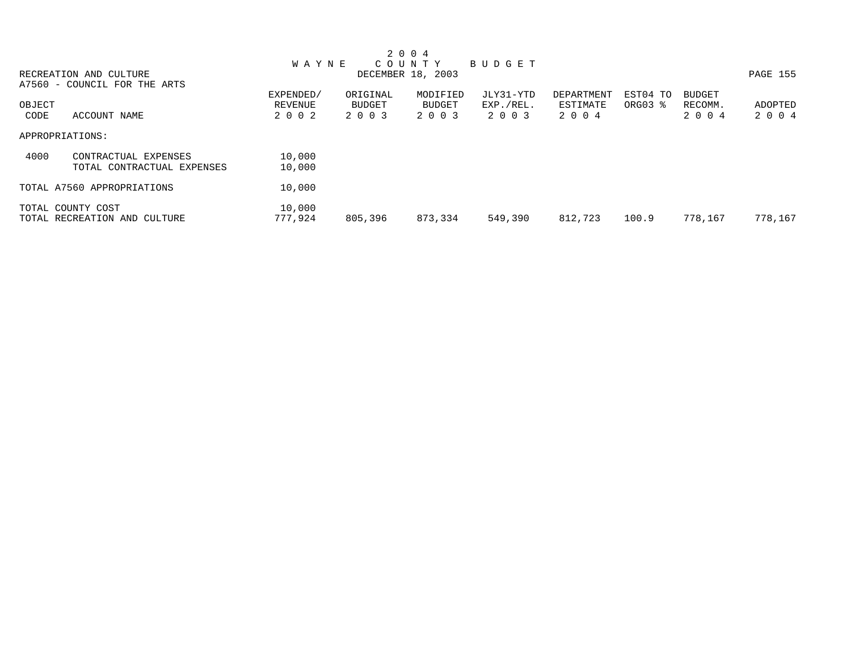|        |                              |              |          | 2 0 0 4           |           |            |          |               |          |
|--------|------------------------------|--------------|----------|-------------------|-----------|------------|----------|---------------|----------|
|        |                              | <b>WAYNE</b> |          | COUNTY            | BUDGET    |            |          |               |          |
|        | RECREATION AND CULTURE       |              |          | DECEMBER 18, 2003 |           |            |          |               | PAGE 155 |
|        | A7560 - COUNCIL FOR THE ARTS |              |          |                   |           |            |          |               |          |
|        |                              | EXPENDED/    | ORIGINAL | MODIFIED          | JLY31-YTD | DEPARTMENT | EST04 TO | <b>BUDGET</b> |          |
| OBJECT |                              | REVENUE      | BUDGET   | BUDGET            | EXP./REL. | ESTIMATE   | ORG03 %  | RECOMM.       | ADOPTED  |
| CODE   | ACCOUNT NAME                 | 2 0 0 2      | 2 0 0 3  | 2 0 0 3           | 2 0 0 3   | 2 0 0 4    |          | 2 0 0 4       | 2 0 0 4  |
|        | APPROPRIATIONS:              |              |          |                   |           |            |          |               |          |
| 4000   | CONTRACTUAL EXPENSES         | 10,000       |          |                   |           |            |          |               |          |
|        | TOTAL CONTRACTUAL EXPENSES   | 10,000       |          |                   |           |            |          |               |          |
|        | TOTAL A7560 APPROPRIATIONS   | 10,000       |          |                   |           |            |          |               |          |
|        | TOTAL COUNTY COST            | 10,000       |          |                   |           |            |          |               |          |
|        | TOTAL RECREATION AND CULTURE | 777,924      | 805,396  | 873,334           | 549,390   | 812,723    | 100.9    | 778,167       | 778,167  |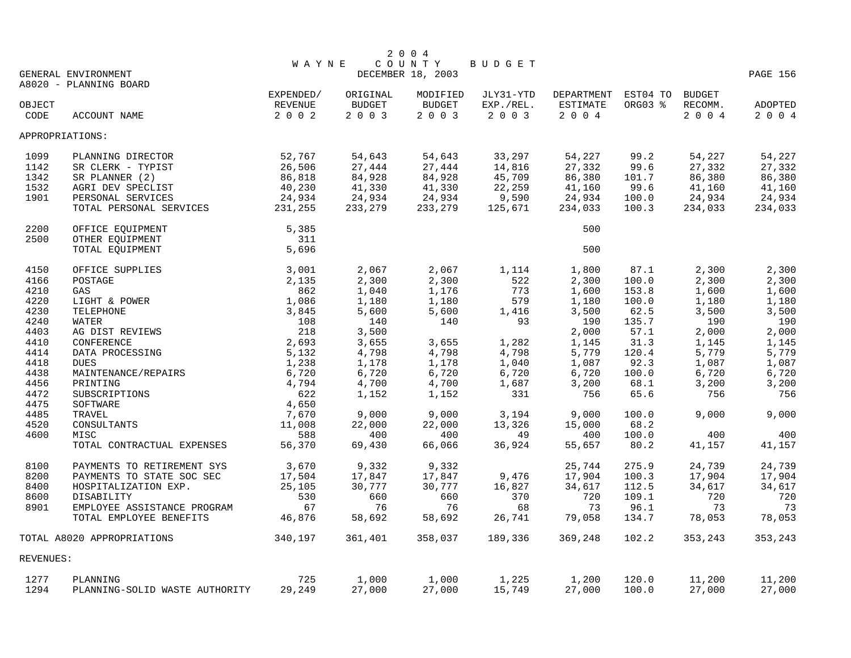|           |                                |                 |               | 2 0 0 4           |                   |                  |          |                 |          |
|-----------|--------------------------------|-----------------|---------------|-------------------|-------------------|------------------|----------|-----------------|----------|
|           |                                | <b>WAYNE</b>    |               | COUNTY            | BUDGET            |                  |          |                 |          |
|           | GENERAL ENVIRONMENT            |                 |               | DECEMBER 18, 2003 |                   |                  |          |                 | PAGE 156 |
|           | A8020 - PLANNING BOARD         |                 |               |                   |                   |                  |          |                 |          |
|           |                                | EXPENDED/       | ORIGINAL      | MODIFIED          | JLY31-YTD         | DEPARTMENT       | EST04 TO | <b>BUDGET</b>   |          |
| OBJECT    |                                | REVENUE<br>2002 | <b>BUDGET</b> | <b>BUDGET</b>     | EXP./REL.<br>2003 | ESTIMATE<br>2004 | ORG03 %  | RECOMM.<br>2004 | ADOPTED  |
| CODE      | ACCOUNT NAME                   |                 | 2 0 0 3       | 2 0 0 3           |                   |                  |          |                 | 2004     |
|           | APPROPRIATIONS:                |                 |               |                   |                   |                  |          |                 |          |
| 1099      | PLANNING DIRECTOR              | 52,767          | 54,643        | 54,643            | 33,297            | 54,227           | 99.2     | 54,227          | 54,227   |
| 1142      | SR CLERK - TYPIST              | 26,506          | 27,444        | 27,444            | 14,816            | 27,332           | 99.6     | 27,332          | 27,332   |
| 1342      | SR PLANNER (2)                 | 86,818          | 84,928        | 84,928            | 45,709            | 86,380           | 101.7    | 86,380          | 86,380   |
| 1532      | AGRI DEV SPECLIST              | 40,230          | 41,330        | 41,330            | 22,259            | 41,160           | 99.6     | 41,160          | 41,160   |
| 1901      | PERSONAL SERVICES              | 24,934          | 24,934        | 24,934            | 9,590             | 24,934           | 100.0    | 24,934          | 24,934   |
|           | TOTAL PERSONAL SERVICES        | 231,255         | 233,279       | 233,279           | 125,671           | 234,033          | 100.3    | 234,033         | 234,033  |
| 2200      | OFFICE EQUIPMENT               | 5,385           |               |                   |                   | 500              |          |                 |          |
| 2500      | OTHER EQUIPMENT                | 311             |               |                   |                   |                  |          |                 |          |
|           | TOTAL EQUIPMENT                | 5,696           |               |                   |                   | 500              |          |                 |          |
| 4150      | OFFICE SUPPLIES                | 3,001           | 2,067         | 2,067             | 1,114             | 1,800            | 87.1     | 2,300           | 2,300    |
| 4166      | POSTAGE                        | 2,135           | 2,300         | 2,300             | 522               | 2,300            | 100.0    | 2,300           | 2,300    |
| 4210      | GAS                            | 862             | 1,040         | 1,176             | 773               | 1,600            | 153.8    | 1,600           | 1,600    |
| 4220      | LIGHT & POWER                  | 1,086           | 1,180         | 1,180             | 579               | 1,180            | 100.0    | 1,180           | 1,180    |
| 4230      | TELEPHONE                      | 3,845           | 5,600         | 5,600             | 1,416             | 3,500            | 62.5     | 3,500           | 3,500    |
| 4240      | WATER                          | 108             | 140           | 140               | 93                | 190              | 135.7    | 190             | 190      |
| 4403      | AG DIST REVIEWS                | 218             | 3,500         |                   |                   | 2,000            | 57.1     | 2,000           | 2,000    |
| 4410      | CONFERENCE                     | 2,693           | 3,655         | 3,655             | 1,282             | 1,145            | 31.3     | 1,145           | 1,145    |
| 4414      | DATA PROCESSING                | 5,132           | 4,798         | 4,798             | 4,798             | 5,779            | 120.4    | 5,779           | 5,779    |
| 4418      | <b>DUES</b>                    | 1,238           | 1,178         | 1,178             | 1,040             | 1,087            | 92.3     | 1,087           | 1,087    |
| 4438      | MAINTENANCE/REPAIRS            | 6,720           | 6,720         | 6,720             | 6,720             | 6,720            | 100.0    | 6,720           | 6,720    |
| 4456      | PRINTING                       | 4,794           | 4,700         | 4,700             | 1,687             | 3,200            | 68.1     | 3,200           | 3,200    |
| 4472      | SUBSCRIPTIONS                  | 622             | 1,152         | 1,152             | 331               | 756              | 65.6     | 756             | 756      |
| 4475      | SOFTWARE                       | 4,650           |               |                   |                   |                  |          |                 |          |
| 4485      | TRAVEL                         | 7,670           | 9,000         | 9.000             | 3,194             | 9,000            | 100.0    | 9,000           | 9,000    |
| 4520      | CONSULTANTS                    | 11,008          | 22,000        | 22,000            | 13,326            | 15,000           | 68.2     |                 |          |
| 4600      | MISC                           | 588             | 400           | 400               | 49                | 400              | 100.0    | 400             | 400      |
|           | TOTAL CONTRACTUAL EXPENSES     | 56,370          | 69,430        | 66,066            | 36,924            | 55,657           | 80.2     | 41,157          | 41,157   |
| 8100      | PAYMENTS TO RETIREMENT SYS     | 3,670           | 9,332         | 9,332             |                   | 25,744           | 275.9    | 24,739          | 24,739   |
| 8200      | PAYMENTS TO STATE SOC SEC      | 17,504          | 17,847        | 17,847            | 9,476             | 17,904           | 100.3    | 17,904          | 17,904   |
| 8400      | HOSPITALIZATION EXP.           | 25,105          | 30,777        | 30,777            | 16,827            | 34,617           | 112.5    | 34,617          | 34,617   |
| 8600      | DISABILITY                     | 530             | 660           | 660               | 370               | 720              | 109.1    | 720             | 720      |
| 8901      | EMPLOYEE ASSISTANCE PROGRAM    | 67              | 76            | 76                | 68                | 73               | 96.1     | 73              | 73       |
|           | TOTAL EMPLOYEE BENEFITS        | 46,876          | 58,692        | 58,692            | 26,741            | 79,058           | 134.7    | 78,053          | 78,053   |
|           | TOTAL A8020 APPROPRIATIONS     | 340,197         | 361,401       | 358,037           | 189,336           | 369,248          | 102.2    | 353,243         | 353,243  |
| REVENUES: |                                |                 |               |                   |                   |                  |          |                 |          |
| 1277      | PLANNING                       | 725             | 1,000         | 1,000             | 1,225             | 1,200            | 120.0    | 11,200          | 11,200   |
| 1294      | PLANNING-SOLID WASTE AUTHORITY | 29,249          | 27,000        | 27,000            | 15,749            | 27,000           | 100.0    | 27,000          | 27,000   |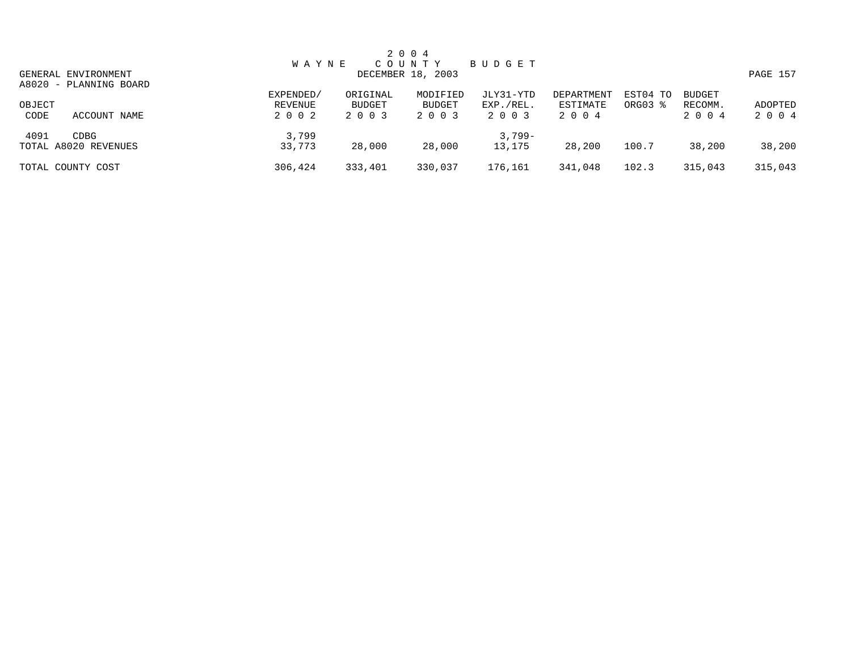|        |                        |              |          | 2 0 0 4           |           |            |          |               |          |
|--------|------------------------|--------------|----------|-------------------|-----------|------------|----------|---------------|----------|
|        |                        | <b>WAYNE</b> |          | C O U N T Y       | BUDGET    |            |          |               |          |
|        | GENERAL ENVIRONMENT    |              |          | DECEMBER 18, 2003 |           |            |          |               | PAGE 157 |
|        | A8020 - PLANNING BOARD |              |          |                   |           |            |          |               |          |
|        |                        | EXPENDED/    | ORIGINAL | MODIFIED          | JLY31-YTD | DEPARTMENT | EST04 TO | <b>BUDGET</b> |          |
| OBJECT |                        | REVENUE      | BUDGET   | BUDGET            | EXP./REL. | ESTIMATE   | ORG03 %  | RECOMM.       | ADOPTED  |
| CODE   | ACCOUNT NAME           | 2 0 0 2      | 2 0 0 3  | 2 0 0 3           | 2 0 0 3   | 2004       |          | 2 0 0 4       | 2 0 0 4  |
| 4091   | CDBG                   | 3,799        |          |                   | $3,799-$  |            |          |               |          |
|        | TOTAL A8020 REVENUES   | 33,773       | 28,000   | 28,000            | 13,175    | 28,200     | 100.7    | 38,200        | 38,200   |
|        | TOTAL COUNTY COST      | 306,424      | 333,401  | 330,037           | 176,161   | 341,048    | 102.3    | 315,043       | 315,043  |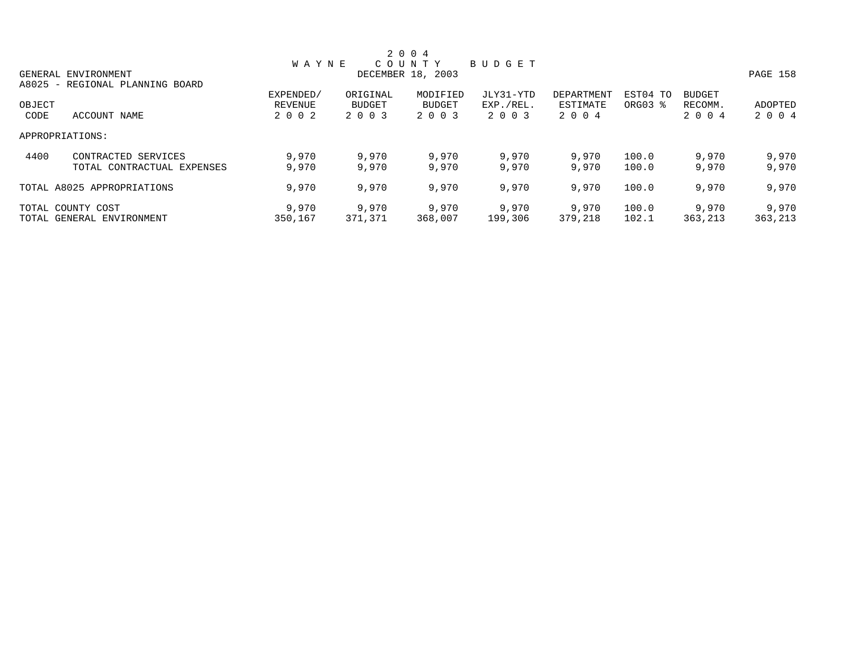|        |                                 |              |               | 2 0 0 4           |           |            |          |               |          |
|--------|---------------------------------|--------------|---------------|-------------------|-----------|------------|----------|---------------|----------|
|        |                                 | <b>WAYNE</b> |               | COUNTY            | BUDGET    |            |          |               |          |
|        | GENERAL ENVIRONMENT             |              |               | DECEMBER 18, 2003 |           |            |          |               | PAGE 158 |
|        | A8025 - REGIONAL PLANNING BOARD |              |               |                   |           |            |          |               |          |
|        |                                 | EXPENDED/    | ORIGINAL      | MODIFIED          | JLY31-YTD | DEPARTMENT | EST04 TO | <b>BUDGET</b> |          |
| OBJECT |                                 | REVENUE      | <b>BUDGET</b> | <b>BUDGET</b>     | EXP./REL. | ESTIMATE   | ORG03 %  | RECOMM.       | ADOPTED  |
| CODE   | ACCOUNT NAME                    | 2 0 0 2      | 2 0 0 3       | 2 0 0 3           | 2 0 0 3   | 2 0 0 4    |          | 2 0 0 4       | 2 0 0 4  |
|        | APPROPRIATIONS:                 |              |               |                   |           |            |          |               |          |
| 4400   | CONTRACTED SERVICES             | 9,970        | 9,970         | 9,970             | 9,970     | 9,970      | 100.0    | 9,970         | 9,970    |
|        | TOTAL CONTRACTUAL EXPENSES      | 9,970        | 9,970         | 9,970             | 9,970     | 9,970      | 100.0    | 9,970         | 9,970    |
|        | TOTAL A8025 APPROPRIATIONS      | 9,970        | 9,970         | 9,970             | 9,970     | 9,970      | 100.0    | 9,970         | 9,970    |
|        | TOTAL COUNTY COST               | 9,970        | 9,970         | 9,970             | 9,970     | 9,970      | 100.0    | 9,970         | 9,970    |
|        | TOTAL GENERAL ENVIRONMENT       | 350,167      | 371,371       | 368,007           | 199,306   | 379,218    | 102.1    | 363,213       | 363,213  |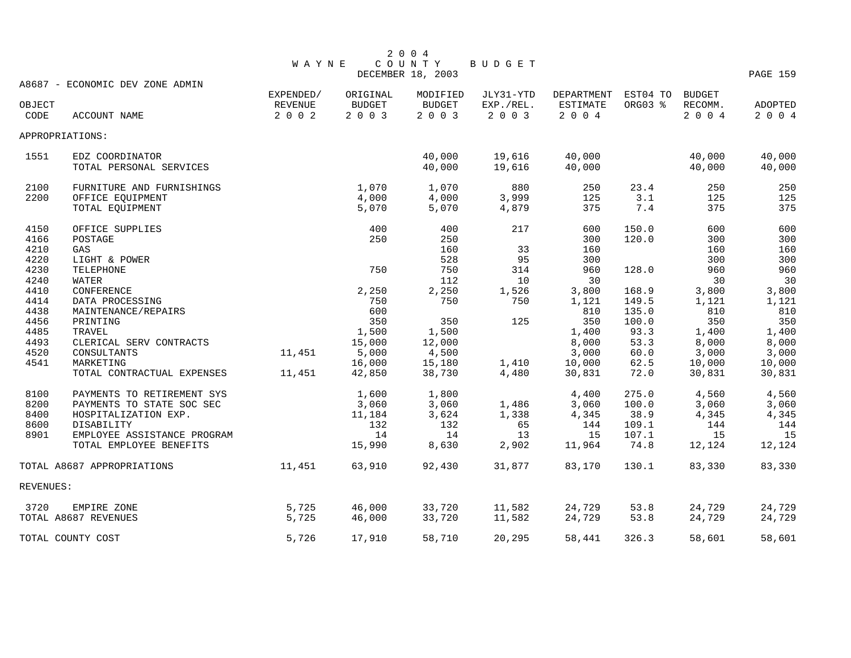|              |                                 | <b>WAYNE</b> |               | COUNTY<br>DECEMBER 18, 2003 | BUDGET          |                     |         |               | PAGE 159       |
|--------------|---------------------------------|--------------|---------------|-----------------------------|-----------------|---------------------|---------|---------------|----------------|
|              | A8687 - ECONOMIC DEV ZONE ADMIN | EXPENDED/    | ORIGINAL      | MODIFIED                    | JLY31-YTD       | DEPARTMENT EST04 TO |         | <b>BUDGET</b> |                |
| OBJECT       |                                 | REVENUE      | <b>BUDGET</b> | <b>BUDGET</b>               | EXP./REL.       | ESTIMATE            | ORG03 % | RECOMM.       | ADOPTED        |
| CODE         | ACCOUNT NAME                    | 2 0 0 2      | 2 0 0 3       | 2 0 0 3                     | 2003            | 2004                |         | 2004          | 2 0 0 4        |
|              | APPROPRIATIONS:                 |              |               |                             |                 |                     |         |               |                |
| 1551         | EDZ COORDINATOR                 |              |               | 40,000                      | 19,616          | 40,000              |         | 40,000        | 40,000         |
|              | TOTAL PERSONAL SERVICES         |              |               | 40,000                      | 19,616          | 40,000              |         | 40,000        | 40,000         |
| 2100         | FURNITURE AND FURNISHINGS       |              | 1,070         | 1,070                       | 880             | 250                 | 23.4    | 250           | 250            |
| 2200         | OFFICE EQUIPMENT                |              | 4,000         | 4,000                       | 3,999           | 125                 | 3.1     | 125           | 125            |
|              | TOTAL EQUIPMENT                 |              | 5,070         | 5,070                       | 4,879           | 375                 | 7.4     | 375           | 375            |
| 4150         | OFFICE SUPPLIES                 |              | 400           | 400                         | 217             | 600                 | 150.0   | 600           | 600            |
| 4166         | POSTAGE                         |              | 250           | 250                         |                 | 300                 | 120.0   | 300           | 300            |
| 4210         | GAS                             |              |               | 160                         | 33              | 160                 |         | 160           | 160            |
| 4220         | LIGHT & POWER                   |              |               | 528                         | 95              | 300                 |         | 300           | 300            |
| 4230         | TELEPHONE                       |              | 750           | 750<br>112                  | 314             | 960                 | 128.0   | 960           | 960            |
| 4240<br>4410 | WATER<br>CONFERENCE             |              |               | 2,250                       | 10 <sup>°</sup> | 30<br>3,800         | 168.9   | 30<br>3,800   | 30             |
| 4414         | DATA PROCESSING                 |              | 2,250<br>750  | 750                         | 1,526<br>750    | 1,121               | 149.5   | 1,121         | 3,800<br>1,121 |
| 4438         | MAINTENANCE/REPAIRS             |              | 600           |                             |                 | 810                 | 135.0   | 810           | 810            |
| 4456         | PRINTING                        |              | 350           | 350                         | 125             | 350                 | 100.0   | 350           | 350            |
| 4485         | TRAVEL                          |              | 1,500         | 1,500                       |                 | 1,400               | 93.3    | 1,400         | 1,400          |
| 4493         | CLERICAL SERV CONTRACTS         |              | 15,000        | 12,000                      |                 | 8,000               | 53.3    | 8,000         | 8,000          |
| 4520         | CONSULTANTS                     | 11,451       | 5,000         | 4,500                       |                 | 3,000               | 60.0    | 3,000         | 3,000          |
| 4541         | MARKETING                       |              | 16,000        | 15,180                      | 1,410           | 10,000              | 62.5    | 10,000        | 10,000         |
|              | TOTAL CONTRACTUAL EXPENSES      | 11,451       | 42,850        | 38,730                      | 4,480           | 30,831              | 72.0    | 30,831        | 30,831         |
| 8100         | PAYMENTS TO RETIREMENT SYS      |              | 1,600         | 1,800                       |                 | 4,400               | 275.0   | 4,560         | 4,560          |
| 8200         | PAYMENTS TO STATE SOC SEC       |              | 3,060         | 3,060                       | 1,486           | 3,060               | 100.0   | 3,060         | 3,060          |
| 8400         | HOSPITALIZATION EXP.            |              | 11,184        | 3,624                       | 1,338           | 4,345               | 38.9    | 4,345         | 4,345          |
| 8600         | DISABILITY                      |              | 132           | 132                         | 65              | 144                 | 109.1   | 144           | 144            |
| 8901         | EMPLOYEE ASSISTANCE PROGRAM     |              | 14            | 14                          | 13              | 15                  | 107.1   | 15            | 15             |
|              | TOTAL EMPLOYEE BENEFITS         |              | 15,990        | 8,630                       | 2,902           | 11,964              | 74.8    | 12,124        | 12,124         |
|              | TOTAL A8687 APPROPRIATIONS      | 11,451       | 63,910        | 92,430                      | 31,877          | 83,170              | 130.1   | 83,330        | 83,330         |
| REVENUES:    |                                 |              |               |                             |                 |                     |         |               |                |
| 3720         | EMPIRE ZONE                     | 5,725        | 46,000        | 33,720                      | 11,582          | 24,729              | 53.8    | 24,729        | 24,729         |
|              | TOTAL A8687 REVENUES            | 5,725        | 46,000        | 33,720                      | 11,582          | 24,729              | 53.8    | 24,729        | 24,729         |
|              | TOTAL COUNTY COST               | 5,726        | 17,910        | 58,710                      | 20,295          | 58,441              | 326.3   | 58,601        | 58,601         |

2 0 0 4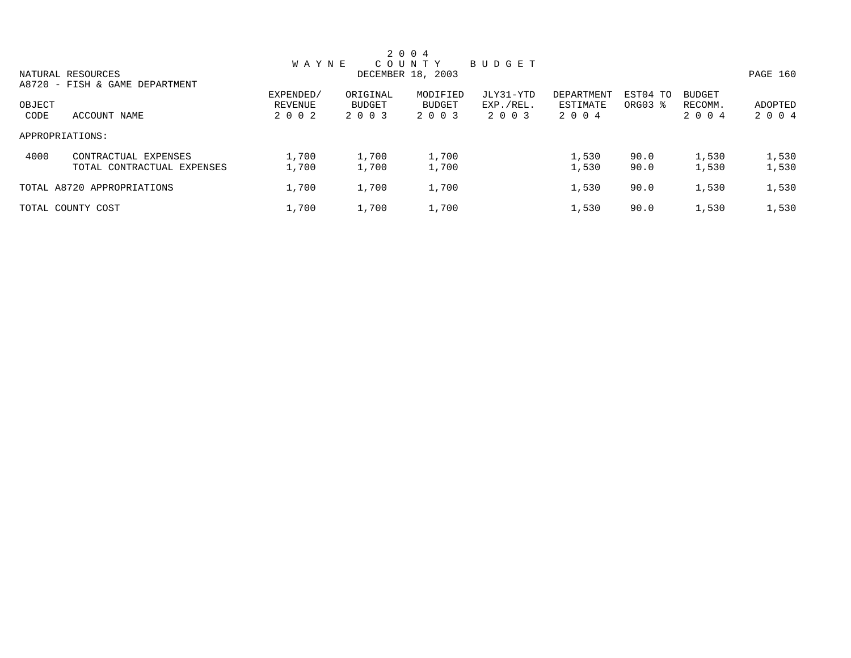| 2 0 0 4         |                                |              |               |                   |           |            |          |               |          |  |  |
|-----------------|--------------------------------|--------------|---------------|-------------------|-----------|------------|----------|---------------|----------|--|--|
|                 |                                | <b>WAYNE</b> |               | COUNTY            | BUDGET    |            |          |               |          |  |  |
|                 | NATURAL RESOURCES              |              |               | DECEMBER 18, 2003 |           |            |          |               | PAGE 160 |  |  |
|                 | A8720 - FISH & GAME DEPARTMENT | EXPENDED/    | ORIGINAL      | MODIFIED          | JLY31-YTD | DEPARTMENT | EST04 TO | <b>BUDGET</b> |          |  |  |
| OBJECT          |                                | REVENUE      | <b>BUDGET</b> | BUDGET            | EXP./REL. | ESTIMATE   | ORG03 %  | RECOMM.       | ADOPTED  |  |  |
| CODE            | ACCOUNT NAME                   | 2 0 0 2      | 2 0 0 3       | 2 0 0 3           | 2 0 0 3   | 2 0 0 4    |          | 2 0 0 4       | 2 0 0 4  |  |  |
| APPROPRIATIONS: |                                |              |               |                   |           |            |          |               |          |  |  |
| 4000            | CONTRACTUAL EXPENSES           | 1,700        | 1,700         | 1,700             |           | 1,530      | 90.0     | 1,530         | 1,530    |  |  |
|                 | TOTAL CONTRACTUAL EXPENSES     | 1,700        | 1,700         | 1,700             |           | 1,530      | 90.0     | 1,530         | 1,530    |  |  |
|                 | TOTAL A8720 APPROPRIATIONS     | 1,700        | 1,700         | 1,700             |           | 1,530      | 90.0     | 1,530         | 1,530    |  |  |
|                 | TOTAL COUNTY COST              | 1,700        | 1,700         | 1,700             |           | 1,530      | 90.0     | 1,530         | 1,530    |  |  |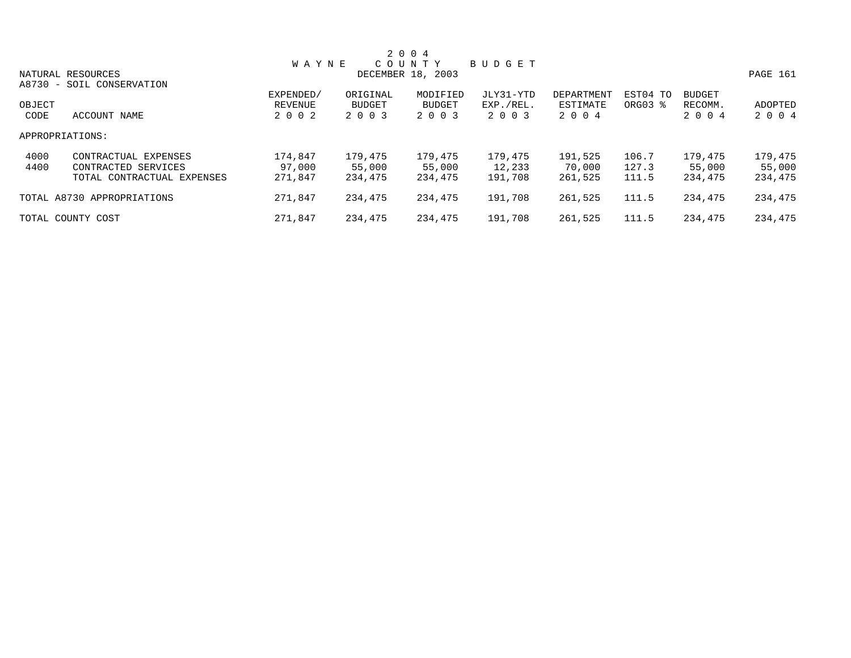|                 |                            |              |               | 2 0 0 4           |           |            |          |               |          |
|-----------------|----------------------------|--------------|---------------|-------------------|-----------|------------|----------|---------------|----------|
|                 |                            | <b>WAYNE</b> |               | COUNTY            | BUDGET    |            |          |               |          |
|                 | NATURAL RESOURCES          |              |               | DECEMBER 18, 2003 |           |            |          |               | PAGE 161 |
|                 | A8730 - SOIL CONSERVATION  |              |               |                   |           |            |          |               |          |
|                 |                            | EXPENDED/    | ORIGINAL      | MODIFIED          | JLY31-YTD | DEPARTMENT | EST04 TO | <b>BUDGET</b> |          |
| OBJECT          |                            | REVENUE      | <b>BUDGET</b> | <b>BUDGET</b>     | EXP./REL. | ESTIMATE   | ORG03 %  | RECOMM.       | ADOPTED  |
| CODE            | ACCOUNT NAME               | 2 0 0 2      | 2 0 0 3       | 2 0 0 3           | 2 0 0 3   | 2 0 0 4    |          | 2 0 0 4       | 2 0 0 4  |
| APPROPRIATIONS: |                            |              |               |                   |           |            |          |               |          |
| 4000            | CONTRACTUAL EXPENSES       | 174,847      | 179,475       | 179,475           | 179,475   | 191,525    | 106.7    | 179,475       | 179,475  |
| 4400            | CONTRACTED SERVICES        | 97,000       | 55,000        | 55,000            | 12,233    | 70,000     | 127.3    | 55,000        | 55,000   |
|                 | TOTAL CONTRACTUAL EXPENSES | 271,847      | 234,475       | 234,475           | 191,708   | 261,525    | 111.5    | 234,475       | 234,475  |
|                 | TOTAL A8730 APPROPRIATIONS | 271,847      | 234,475       | 234,475           | 191,708   | 261,525    | 111.5    | 234,475       | 234,475  |
|                 | TOTAL COUNTY COST          | 271,847      | 234,475       | 234,475           | 191,708   | 261,525    | 111.5    | 234,475       | 234,475  |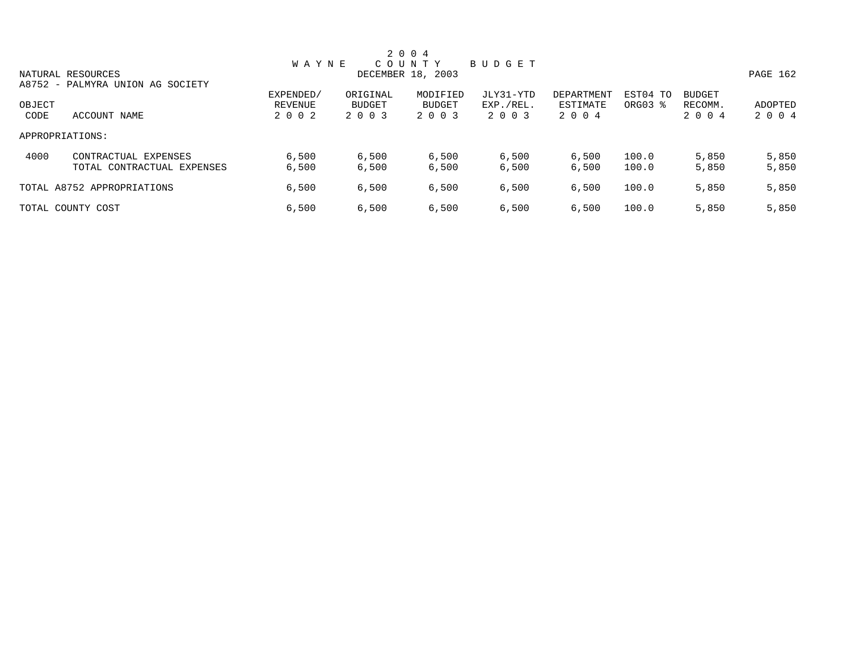|        |                                  |              |               | 2 0 0 4           |           |            |          |               |          |
|--------|----------------------------------|--------------|---------------|-------------------|-----------|------------|----------|---------------|----------|
|        |                                  | <b>WAYNE</b> |               | COUNTY            | BUDGET    |            |          |               |          |
|        | NATURAL RESOURCES                |              |               | DECEMBER 18, 2003 |           |            |          |               | PAGE 162 |
|        | A8752 - PALMYRA UNION AG SOCIETY |              |               |                   |           |            |          |               |          |
|        |                                  | EXPENDED/    | ORIGINAL      | MODIFIED          | JLY31-YTD | DEPARTMENT | EST04 TO | <b>BUDGET</b> |          |
| OBJECT |                                  | REVENUE      | <b>BUDGET</b> | <b>BUDGET</b>     | EXP./REL. | ESTIMATE   | ORG03 %  | RECOMM.       | ADOPTED  |
| CODE   | ACCOUNT NAME                     | 2 0 0 2      | 2 0 0 3       | 2 0 0 3           | 2 0 0 3   | 2 0 0 4    |          | 2 0 0 4       | 2 0 0 4  |
|        | APPROPRIATIONS:                  |              |               |                   |           |            |          |               |          |
| 4000   | CONTRACTUAL EXPENSES             | 6,500        | 6,500         | 6,500             | 6,500     | 6,500      | 100.0    | 5,850         | 5,850    |
|        | TOTAL CONTRACTUAL EXPENSES       | 6,500        | 6,500         | 6,500             | 6,500     | 6,500      | 100.0    | 5,850         | 5,850    |
|        | TOTAL A8752 APPROPRIATIONS       | 6,500        | 6,500         | 6,500             | 6,500     | 6,500      | 100.0    | 5,850         | 5,850    |
|        | TOTAL COUNTY COST                | 6,500        | 6,500         | 6,500             | 6,500     | 6,500      | 100.0    | 5,850         | 5,850    |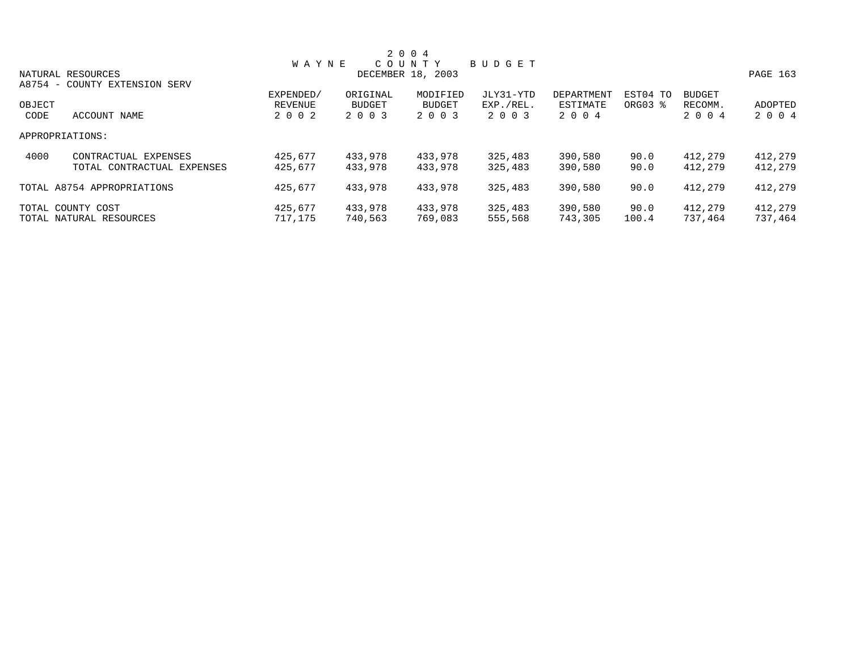|        |                               |              |               | 2 0 0 4           |           |            |          |               |          |
|--------|-------------------------------|--------------|---------------|-------------------|-----------|------------|----------|---------------|----------|
|        |                               | <b>WAYNE</b> |               | COUNTY            | BUDGET    |            |          |               |          |
|        | NATURAL RESOURCES             |              |               | DECEMBER 18, 2003 |           |            |          |               | PAGE 163 |
|        | A8754 - COUNTY EXTENSION SERV |              |               |                   |           |            |          |               |          |
|        |                               | EXPENDED/    | ORIGINAL      | MODIFIED          | JLY31-YTD | DEPARTMENT | EST04 TO | <b>BUDGET</b> |          |
| OBJECT |                               | REVENUE      | <b>BUDGET</b> | <b>BUDGET</b>     | EXP./REL. | ESTIMATE   | ORG03 %  | RECOMM.       | ADOPTED  |
| CODE   | ACCOUNT NAME                  | 2 0 0 2      | 2 0 0 3       | 2 0 0 3           | 2 0 0 3   | 2 0 0 4    |          | 2 0 0 4       | 2 0 0 4  |
|        | APPROPRIATIONS:               |              |               |                   |           |            |          |               |          |
| 4000   | CONTRACTUAL EXPENSES          | 425,677      | 433,978       | 433,978           | 325,483   | 390,580    | 90.0     | 412,279       | 412,279  |
|        | TOTAL CONTRACTUAL EXPENSES    | 425,677      | 433,978       | 433,978           | 325,483   | 390,580    | 90.0     | 412,279       | 412,279  |
|        | TOTAL A8754 APPROPRIATIONS    | 425,677      | 433,978       | 433,978           | 325,483   | 390,580    | 90.0     | 412,279       | 412,279  |
|        | TOTAL COUNTY COST             | 425,677      | 433,978       | 433,978           | 325,483   | 390,580    | 90.0     | 412,279       | 412,279  |
|        | TOTAL NATURAL RESOURCES       | 717,175      | 740,563       | 769,083           | 555,568   | 743,305    | 100.4    | 737.464       | 737,464  |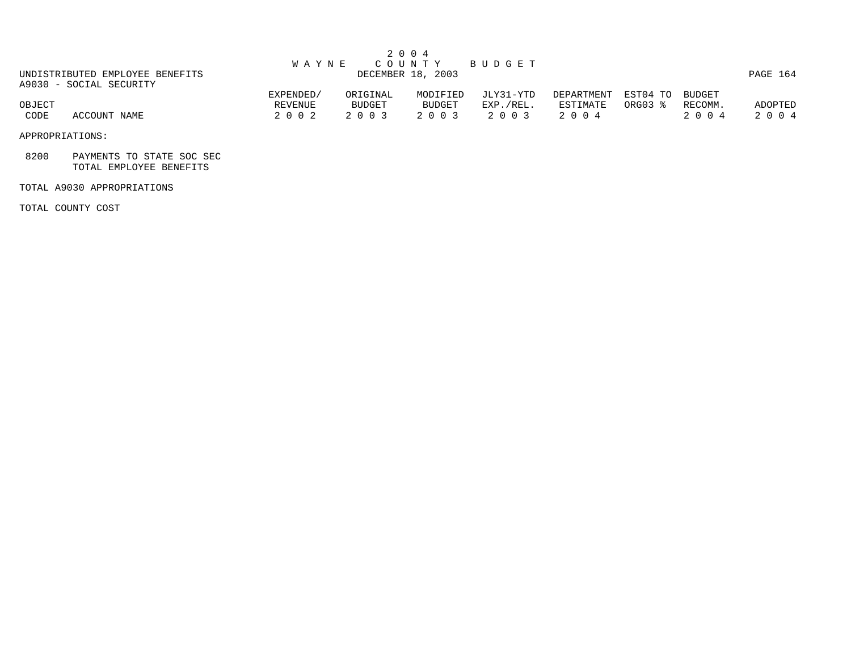|                                                            | W A Y N E            | 2004               |                    | COUNTY BUDGET          |                        |                     |                   |          |
|------------------------------------------------------------|----------------------|--------------------|--------------------|------------------------|------------------------|---------------------|-------------------|----------|
| UNDISTRIBUTED EMPLOYEE BENEFITS<br>A9030 - SOCIAL SECURITY |                      | DECEMBER 18, 2003  |                    |                        |                        |                     |                   | PAGE 164 |
| OBJECT                                                     | EXPENDED/<br>REVENUE | ORIGINAL<br>BUDGET | MODIFIED<br>BUDGET | JLY31-YTD<br>EXP./REL. | DEPARTMENT<br>ESTIMATE | EST04 TO<br>ORG03 % | BUDGET<br>RECOMM. | ADOPTED  |
| CODE<br>ACCOUNT NAME                                       | 2 0 0 2              | 2 0 0 3            | 2 0 0 3            | 2 0 0 3                | 2004                   |                     | 2 0 0 4           | 2 0 0 4  |

APPROPRIATIONS:

 8200 PAYMENTS TO STATE SOC SEC TOTAL EMPLOYEE BENEFITS

## TOTAL A9030 APPROPRIATIONS

TOTAL COUNTY COST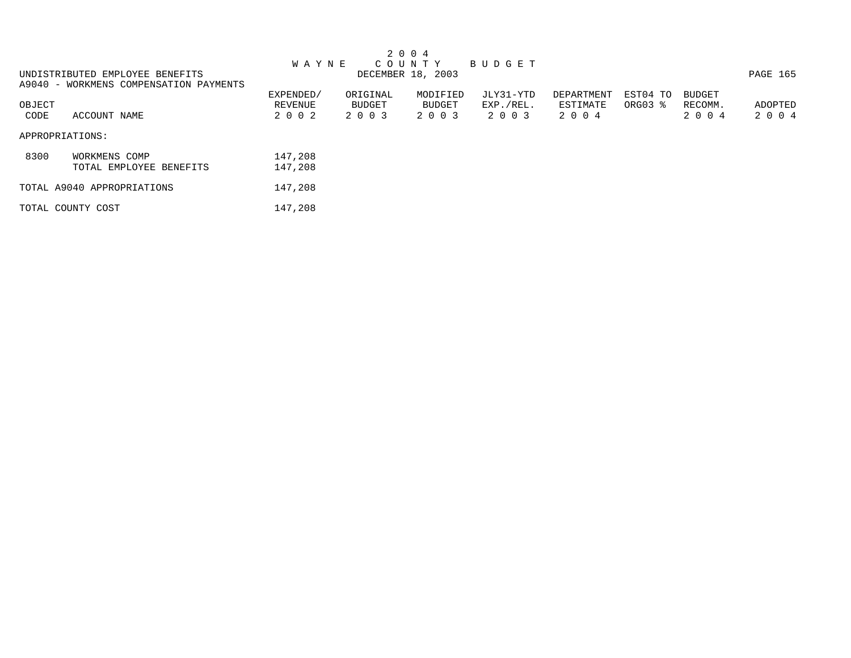|        |                                        |              |          | 2 0 0 4           |             |            |          |               |          |
|--------|----------------------------------------|--------------|----------|-------------------|-------------|------------|----------|---------------|----------|
|        |                                        | <b>WAYNE</b> |          | COUNTY            | B U D G E T |            |          |               |          |
|        | UNDISTRIBUTED EMPLOYEE BENEFITS        |              |          | DECEMBER 18, 2003 |             |            |          |               | PAGE 165 |
|        | A9040 - WORKMENS COMPENSATION PAYMENTS |              |          |                   |             |            |          |               |          |
|        |                                        | EXPENDED/    | ORIGINAL | MODIFIED          | JLY31-YTD   | DEPARTMENT | EST04 TO | <b>BUDGET</b> |          |
| OBJECT |                                        | REVENUE      | BUDGET   | BUDGET            | EXP./REL.   | ESTIMATE   | ORG03 %  | RECOMM.       | ADOPTED  |
| CODE   | ACCOUNT NAME                           | 2 0 0 2      | 2 0 0 3  | 2 0 0 3           | 2 0 0 3     | 2 0 0 4    |          | 2 0 0 4       | 2 0 0 4  |
|        | APPROPRIATIONS:                        |              |          |                   |             |            |          |               |          |
| 8300   | WORKMENS COMP                          | 147,208      |          |                   |             |            |          |               |          |
|        | TOTAL EMPLOYEE BENEFITS                | 147,208      |          |                   |             |            |          |               |          |
|        | TOTAL A9040 APPROPRIATIONS             | 147,208      |          |                   |             |            |          |               |          |
|        | TOTAL COUNTY COST                      | 147,208      |          |                   |             |            |          |               |          |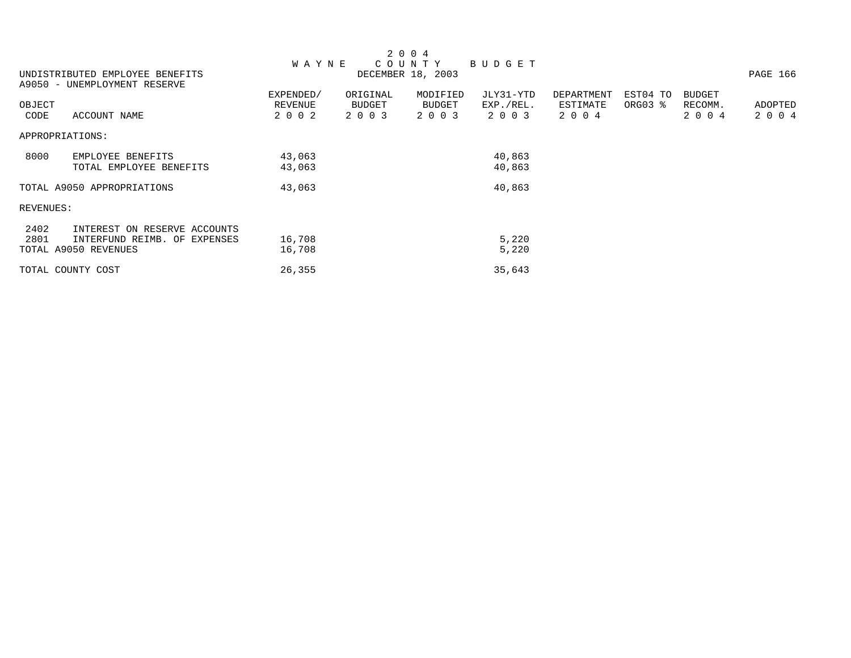|           |                                 |              |          | 2 0 0 4           |           |            |          |         |          |
|-----------|---------------------------------|--------------|----------|-------------------|-----------|------------|----------|---------|----------|
|           |                                 | <b>WAYNE</b> |          | COUNTY            | BUDGET    |            |          |         |          |
|           | UNDISTRIBUTED EMPLOYEE BENEFITS |              |          | DECEMBER 18, 2003 |           |            |          |         | PAGE 166 |
|           | A9050 - UNEMPLOYMENT RESERVE    |              |          |                   |           |            |          |         |          |
|           |                                 | EXPENDED/    | ORIGINAL | MODIFIED          | JLY31-YTD | DEPARTMENT | EST04 TO | BUDGET  |          |
| OBJECT    |                                 | REVENUE      | BUDGET   | <b>BUDGET</b>     | EXP./REL. | ESTIMATE   | ORG03 %  | RECOMM. | ADOPTED  |
| CODE      | ACCOUNT NAME                    | 2 0 0 2      | 2 0 0 3  | 2 0 0 3           | 2 0 0 3   | 2 0 0 4    |          | 2 0 0 4 | 2 0 0 4  |
|           | APPROPRIATIONS:                 |              |          |                   |           |            |          |         |          |
| 8000      | EMPLOYEE BENEFITS               | 43,063       |          |                   | 40,863    |            |          |         |          |
|           | TOTAL EMPLOYEE BENEFITS         | 43,063       |          |                   | 40,863    |            |          |         |          |
|           | TOTAL A9050 APPROPRIATIONS      | 43,063       |          |                   | 40,863    |            |          |         |          |
| REVENUES: |                                 |              |          |                   |           |            |          |         |          |
| 2402      | INTEREST ON RESERVE ACCOUNTS    |              |          |                   |           |            |          |         |          |
| 2801      | INTERFUND REIMB. OF EXPENSES    | 16,708       |          |                   | 5,220     |            |          |         |          |
|           | TOTAL A9050 REVENUES            | 16,708       |          |                   | 5,220     |            |          |         |          |
|           | TOTAL COUNTY COST               | 26,355       |          |                   | 35,643    |            |          |         |          |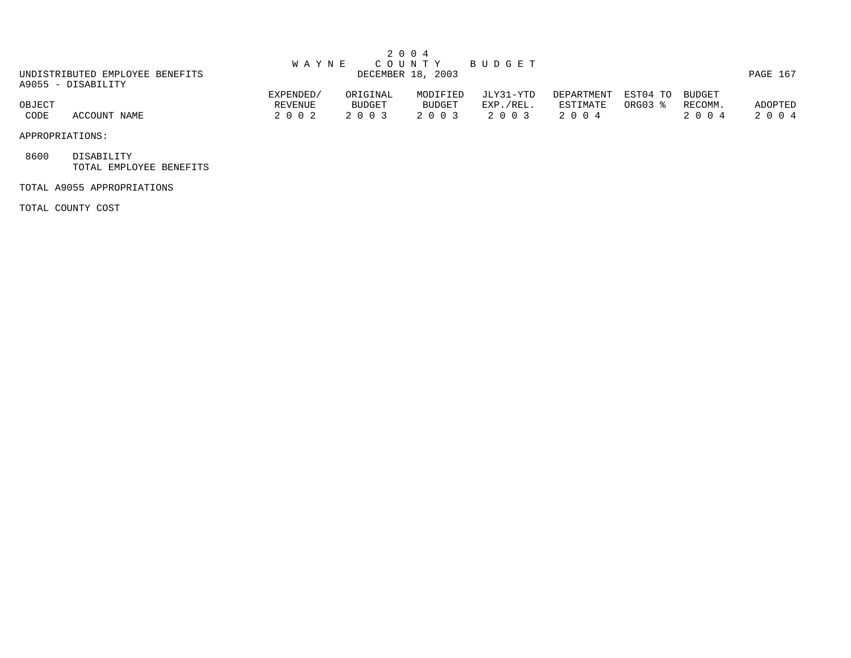|                                                       | <b>WAYNE</b>      |                | 2 0 0 4<br>COUNTY | BUDGET               |                  |          |                 |                    |
|-------------------------------------------------------|-------------------|----------------|-------------------|----------------------|------------------|----------|-----------------|--------------------|
| UNDISTRIBUTED EMPLOYEE BENEFITS<br>A9055 - DISABILITY | DECEMBER 18, 2003 |                |                   |                      |                  |          |                 |                    |
|                                                       | EXPENDED/         | ORIGINAL       | MODIFIED          | JLY31-YTD            | DEPARTMENT       | ESTO4 TO | BUDGET          |                    |
| OBJECT<br>CODE<br>ACCOUNT NAME                        | REVENUE<br>2002   | BUDGET<br>2003 | BUDGET<br>2 0 0 3 | EXP./REL.<br>2 0 0 3 | ESTIMATE<br>2004 | ORG03 %  | RECOMM.<br>2004 | ADOPTED<br>2 0 0 4 |

APPROPRIATIONS:

 8600 DISABILITY TOTAL EMPLOYEE BENEFITS

## TOTAL A9055 APPROPRIATIONS

TOTAL COUNTY COST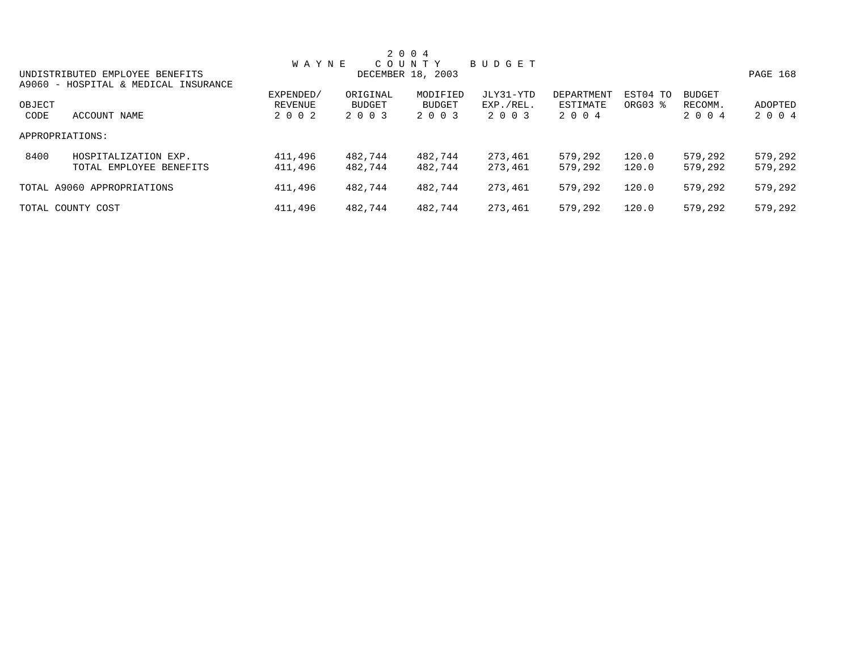|                 |                                      |              |          | 2 0 0 4           |           |            |                     |               |          |
|-----------------|--------------------------------------|--------------|----------|-------------------|-----------|------------|---------------------|---------------|----------|
|                 |                                      | <b>WAYNE</b> |          | COUNTY            | BUDGET    |            |                     |               |          |
|                 | UNDISTRIBUTED EMPLOYEE BENEFITS      |              |          | DECEMBER 18, 2003 |           |            |                     |               | PAGE 168 |
|                 | A9060 - HOSPITAL & MEDICAL INSURANCE |              |          |                   |           |            |                     |               |          |
|                 |                                      | EXPENDED/    | ORIGINAL | MODIFIED          | JLY31-YTD | DEPARTMENT | EST04 TO            | <b>BUDGET</b> |          |
| OBJECT          |                                      | REVENUE      | BUDGET   | BUDGET            | EXP./REL. | ESTIMATE   | ORG03 $\frac{1}{6}$ | RECOMM.       | ADOPTED  |
| CODE            | ACCOUNT NAME                         | 2 0 0 2      | 2 0 0 3  | 2 0 0 3           | 2 0 0 3   | 2 0 0 4    |                     | 2 0 0 4       | 2 0 0 4  |
| APPROPRIATIONS: |                                      |              |          |                   |           |            |                     |               |          |
| 8400            | HOSPITALIZATION EXP.                 | 411,496      | 482,744  | 482,744           | 273,461   | 579,292    | 120.0               | 579,292       | 579,292  |
|                 | TOTAL EMPLOYEE BENEFITS              | 411,496      | 482,744  | 482,744           | 273,461   | 579,292    | 120.0               | 579,292       | 579,292  |
|                 | TOTAL A9060 APPROPRIATIONS           | 411,496      | 482,744  | 482,744           | 273,461   | 579,292    | 120.0               | 579,292       | 579,292  |
|                 | TOTAL COUNTY COST                    | 411,496      | 482,744  | 482,744           | 273,461   | 579,292    | 120.0               | 579,292       | 579,292  |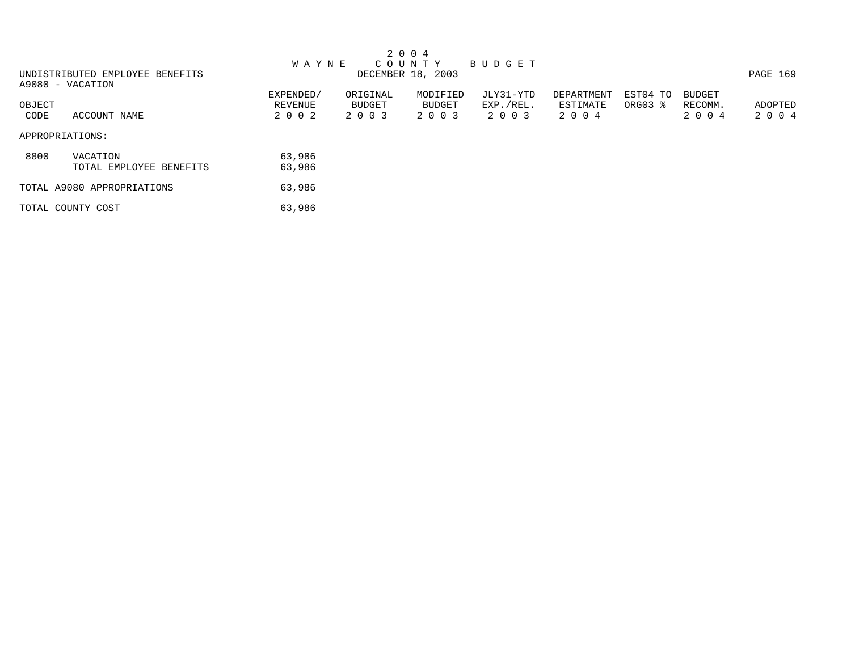|        |                                 |           |          | 2 0 0 4           |           |            |          |               |          |
|--------|---------------------------------|-----------|----------|-------------------|-----------|------------|----------|---------------|----------|
|        |                                 | W A Y N E |          | C O U N T Y       | BUDGET    |            |          |               |          |
|        | UNDISTRIBUTED EMPLOYEE BENEFITS |           |          | DECEMBER 18, 2003 |           |            |          |               | PAGE 169 |
|        | A9080 - VACATION                |           |          |                   |           |            |          |               |          |
|        |                                 | EXPENDED/ | ORIGINAL | MODIFIED          | JLY31-YTD | DEPARTMENT | EST04 TO | <b>BUDGET</b> |          |
| OBJECT |                                 | REVENUE   | BUDGET   | BUDGET            | EXP./REL. | ESTIMATE   | ORG03 %  | RECOMM.       | ADOPTED  |
| CODE   | ACCOUNT NAME                    | 2 0 0 2   | 2 0 0 3  | 2 0 0 3           | 2 0 0 3   | 2 0 0 4    |          | 2 0 0 4       | 2 0 0 4  |
|        | APPROPRIATIONS:                 |           |          |                   |           |            |          |               |          |
| 8800   | VACATION                        | 63,986    |          |                   |           |            |          |               |          |
|        | TOTAL EMPLOYEE BENEFITS         | 63,986    |          |                   |           |            |          |               |          |
|        | TOTAL A9080 APPROPRIATIONS      | 63,986    |          |                   |           |            |          |               |          |
|        | TOTAL COUNTY COST               | 63,986    |          |                   |           |            |          |               |          |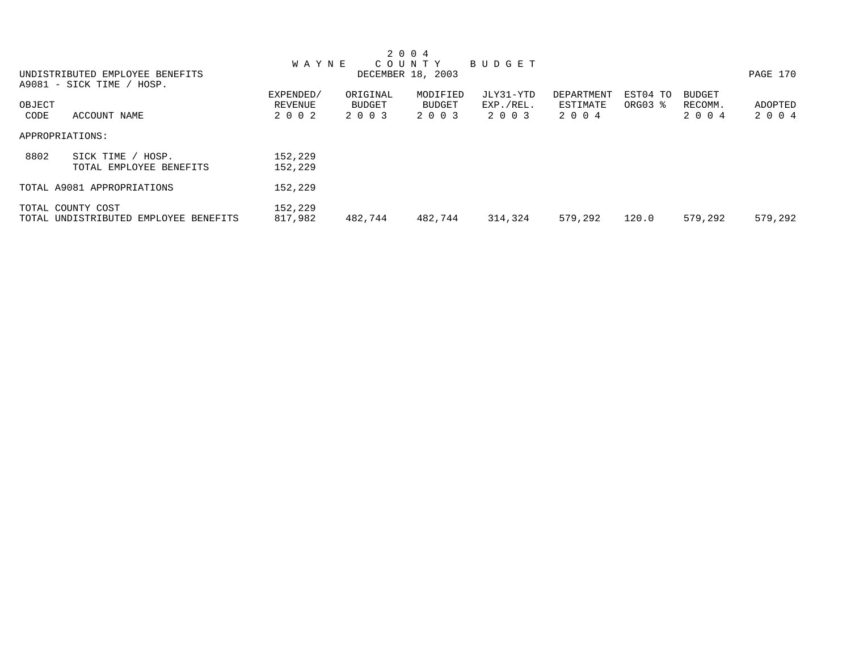|        |                                       |              |          | 2 0 0 4           |           |            |          |               |          |
|--------|---------------------------------------|--------------|----------|-------------------|-----------|------------|----------|---------------|----------|
|        |                                       | <b>WAYNE</b> |          | C O U N T Y       | BUDGET    |            |          |               |          |
|        | UNDISTRIBUTED EMPLOYEE BENEFITS       |              |          | DECEMBER 18, 2003 |           |            |          |               | PAGE 170 |
|        | A9081 - SICK TIME / HOSP.             |              |          |                   |           |            |          |               |          |
|        |                                       | EXPENDED/    | ORIGINAL | MODIFIED          | JLY31-YTD | DEPARTMENT | EST04 TO | <b>BUDGET</b> |          |
| OBJECT |                                       | REVENUE      | BUDGET   | BUDGET            | EXP./REL. | ESTIMATE   | ORG03 %  | RECOMM.       | ADOPTED  |
| CODE   | ACCOUNT NAME                          | 2002         | 2 0 0 3  | 2 0 0 3           | 2 0 0 3   | 2 0 0 4    |          | 2 0 0 4       | 2 0 0 4  |
|        | APPROPRIATIONS:                       |              |          |                   |           |            |          |               |          |
| 8802   | SICK TIME / HOSP.                     | 152,229      |          |                   |           |            |          |               |          |
|        | TOTAL EMPLOYEE BENEFITS               | 152,229      |          |                   |           |            |          |               |          |
|        | TOTAL A9081 APPROPRIATIONS            | 152,229      |          |                   |           |            |          |               |          |
|        | TOTAL COUNTY COST                     | 152,229      |          |                   |           |            |          |               |          |
|        | TOTAL UNDISTRIBUTED EMPLOYEE BENEFITS | 817,982      | 482.744  | 482.744           | 314,324   | 579,292    | 120.0    | 579,292       | 579,292  |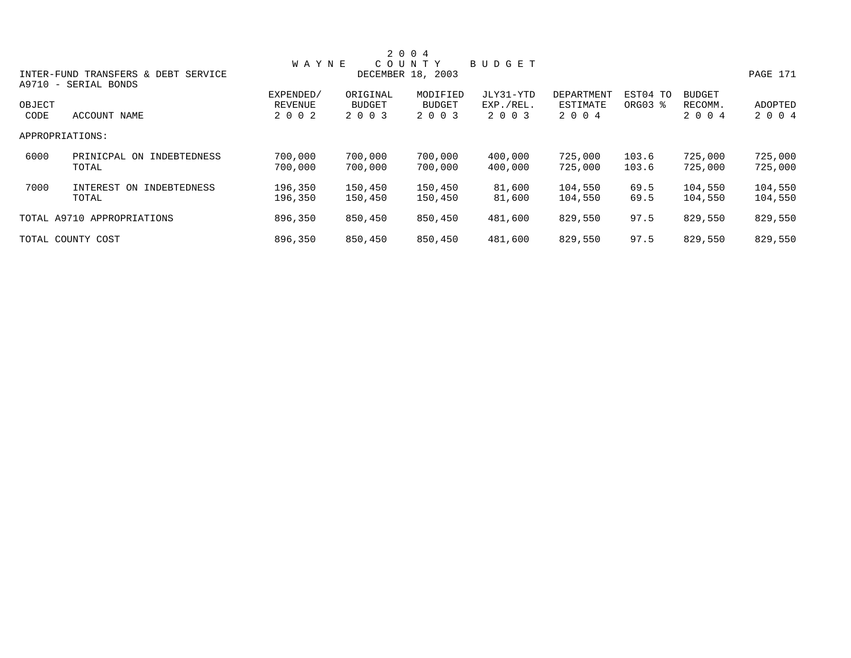|                |                                                             |                                 |                                      | 2 0 0 4                              |                                   |                                   |                     |                                     |                    |
|----------------|-------------------------------------------------------------|---------------------------------|--------------------------------------|--------------------------------------|-----------------------------------|-----------------------------------|---------------------|-------------------------------------|--------------------|
|                |                                                             | <b>WAYNE</b>                    |                                      | COUNTY                               | BUDGET                            |                                   |                     |                                     |                    |
|                | INTER-FUND TRANSFERS & DEBT SERVICE<br>A9710 - SERIAL BONDS |                                 |                                      | DECEMBER 18, 2003                    |                                   |                                   |                     |                                     | PAGE 171           |
| OBJECT<br>CODE | ACCOUNT NAME                                                | EXPENDED/<br>REVENUE<br>2 0 0 2 | ORIGINAL<br><b>BUDGET</b><br>2 0 0 3 | MODIFIED<br><b>BUDGET</b><br>2 0 0 3 | JLY31-YTD<br>EXP./REL.<br>2 0 0 3 | DEPARTMENT<br>ESTIMATE<br>2 0 0 4 | EST04 TO<br>ORG03 % | <b>BUDGET</b><br>RECOMM.<br>2 0 0 4 | ADOPTED<br>2 0 0 4 |
|                | APPROPRIATIONS:                                             |                                 |                                      |                                      |                                   |                                   |                     |                                     |                    |
| 6000           | PRINICPAL ON INDEBTEDNESS<br>TOTAL                          | 700,000<br>700,000              | 700,000<br>700,000                   | 700,000<br>700,000                   | 400,000<br>400,000                | 725,000<br>725,000                | 103.6<br>103.6      | 725,000<br>725,000                  | 725,000<br>725,000 |
| 7000           | INTEREST<br>ON<br>INDEBTEDNESS<br>TOTAL                     | 196,350<br>196,350              | 150,450<br>150,450                   | 150,450<br>150,450                   | 81,600<br>81,600                  | 104,550<br>104,550                | 69.5<br>69.5        | 104,550<br>104,550                  | 104,550<br>104,550 |
|                | TOTAL A9710 APPROPRIATIONS                                  | 896,350                         | 850,450                              | 850,450                              | 481,600                           | 829,550                           | 97.5                | 829,550                             | 829,550            |
|                | TOTAL COUNTY COST                                           | 896,350                         | 850,450                              | 850,450                              | 481,600                           | 829,550                           | 97.5                | 829,550                             | 829,550            |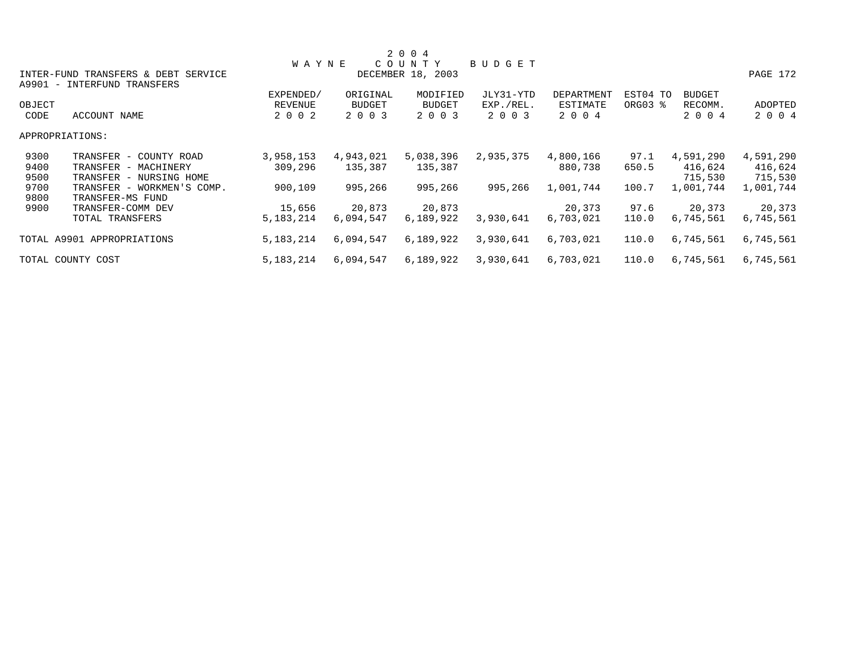|        |                                     |              |               | 2 0 0 4           |               |            |          |               |           |
|--------|-------------------------------------|--------------|---------------|-------------------|---------------|------------|----------|---------------|-----------|
|        |                                     | <b>WAYNE</b> |               | COUNTY            | <b>BUDGET</b> |            |          |               |           |
|        | INTER-FUND TRANSFERS & DEBT SERVICE |              |               | DECEMBER 18, 2003 |               |            |          |               | PAGE 172  |
|        | A9901 - INTERFUND TRANSFERS         |              |               |                   |               |            |          |               |           |
|        |                                     | EXPENDED/    | ORIGINAL      | MODIFIED          | JLY31-YTD     | DEPARTMENT | EST04 TO | <b>BUDGET</b> |           |
| OBJECT |                                     | REVENUE      | <b>BUDGET</b> | <b>BUDGET</b>     | EXP./REL.     | ESTIMATE   | ORG03 %  | RECOMM.       | ADOPTED   |
| CODE   | ACCOUNT NAME                        | 2 0 0 2      | 2 0 0 3       | 2 0 0 3           | 2 0 0 3       | 2 0 0 4    |          | 2 0 0 4       | 2 0 0 4   |
|        | APPROPRIATIONS:                     |              |               |                   |               |            |          |               |           |
| 9300   | TRANSFER - COUNTY ROAD              | 3,958,153    | 4,943,021     | 5,038,396         | 2,935,375     | 4,800,166  | 97.1     | 4,591,290     | 4,591,290 |
| 9400   | TRANSFER - MACHINERY                | 309,296      | 135,387       | 135,387           |               | 880,738    | 650.5    | 416,624       | 416,624   |
| 9500   | TRANSFER - NURSING HOME             |              |               |                   |               |            |          | 715,530       | 715,530   |
| 9700   | TRANSFER - WORKMEN'S COMP.          | 900,109      | 995,266       | 995,266           | 995,266       | 1,001,744  | 100.7    | 1,001,744     | 1,001,744 |
| 9800   | TRANSFER-MS FUND                    |              |               |                   |               |            |          |               |           |
| 9900   | TRANSFER-COMM DEV                   | 15,656       | 20,873        | 20,873            |               | 20,373     | 97.6     | 20,373        | 20,373    |
|        | TOTAL TRANSFERS                     | 5, 183, 214  | 6,094,547     | 6,189,922         | 3,930,641     | 6,703,021  | 110.0    | 6,745,561     | 6,745,561 |
|        | TOTAL A9901 APPROPRIATIONS          | 5, 183, 214  | 6,094,547     | 6,189,922         | 3,930,641     | 6,703,021  | 110.0    | 6,745,561     | 6,745,561 |
|        | TOTAL COUNTY COST                   | 5, 183, 214  | 6,094,547     | 6,189,922         | 3,930,641     | 6,703,021  | 110.0    | 6,745,561     | 6,745,561 |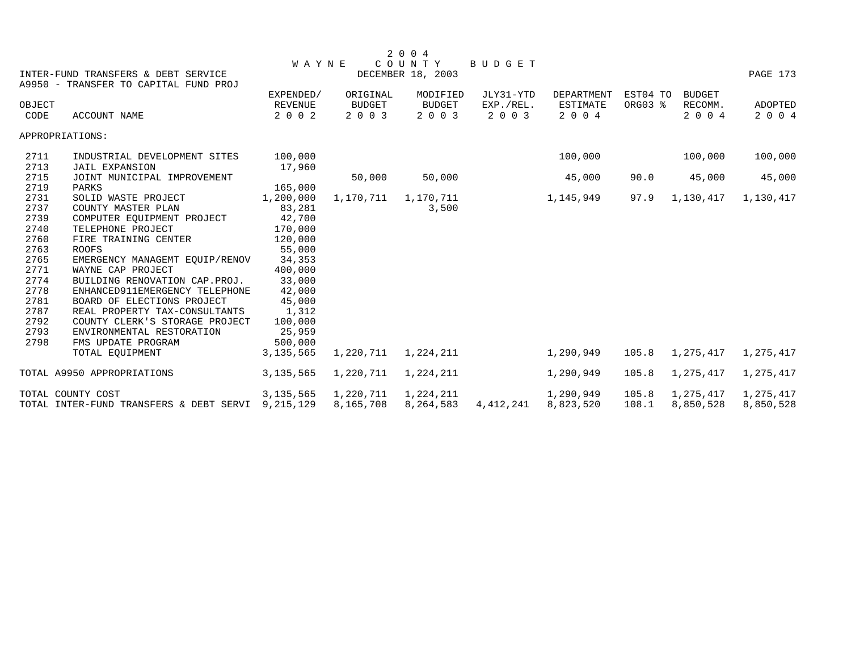|              |                                                                              |                   |               | 2 0 0 4           |               |                   |          |               |           |
|--------------|------------------------------------------------------------------------------|-------------------|---------------|-------------------|---------------|-------------------|----------|---------------|-----------|
|              |                                                                              | WAYNE             |               | COUNTY            | <b>BUDGET</b> |                   |          |               |           |
|              | INTER-FUND TRANSFERS & DEBT SERVICE<br>A9950 - TRANSFER TO CAPITAL FUND PROJ |                   |               | DECEMBER 18, 2003 |               |                   |          |               | PAGE 173  |
|              |                                                                              | EXPENDED/         | ORIGINAL      | MODIFIED          | JLY31-YTD     | <b>DEPARTMENT</b> | EST04 TO | <b>BUDGET</b> |           |
| OBJECT       |                                                                              | <b>REVENUE</b>    | <b>BUDGET</b> | <b>BUDGET</b>     | EXP./REL.     | <b>ESTIMATE</b>   | ORG03 %  | RECOMM.       | ADOPTED   |
| CODE         | <b>ACCOUNT NAME</b>                                                          | 2 0 0 2           | 2 0 0 3       | 2 0 0 3           | 2 0 0 3       | 2 0 0 4           |          | 2 0 0 4       | 2 0 0 4   |
|              | APPROPRIATIONS:                                                              |                   |               |                   |               |                   |          |               |           |
| 2711         | INDUSTRIAL DEVELOPMENT SITES                                                 | 100,000           |               |                   |               | 100,000           |          | 100,000       | 100,000   |
| 2713         | <b>JAIL EXPANSION</b>                                                        | 17,960            |               |                   |               |                   |          |               |           |
| 2715         | JOINT MUNICIPAL IMPROVEMENT                                                  |                   | 50,000        | 50,000            |               | 45,000            | 90.0     | 45,000        | 45,000    |
| 2719         | PARKS                                                                        | 165,000           |               |                   |               |                   |          |               |           |
| 2731         | SOLID WASTE PROJECT                                                          | 1,200,000         | 1,170,711     | 1,170,711         |               | 1,145,949         | 97.9     | 1,130,417     | 1,130,417 |
| 2737         | COUNTY MASTER PLAN                                                           | 83,281            |               | 3,500             |               |                   |          |               |           |
| 2739<br>2740 | COMPUTER EQUIPMENT PROJECT<br>TELEPHONE PROJECT                              | 42,700            |               |                   |               |                   |          |               |           |
| 2760         |                                                                              | 170,000           |               |                   |               |                   |          |               |           |
| 2763         | FIRE TRAINING CENTER<br><b>ROOFS</b>                                         | 120,000<br>55,000 |               |                   |               |                   |          |               |           |
| 2765         |                                                                              | 34,353            |               |                   |               |                   |          |               |           |
| 2771         | EMERGENCY MANAGEMT EQUIP/RENOV<br>WAYNE CAP PROJECT                          | 400,000           |               |                   |               |                   |          |               |           |
| 2774         | BUILDING RENOVATION CAP. PROJ.                                               | 33,000            |               |                   |               |                   |          |               |           |
| 2778         | ENHANCED911EMERGENCY TELEPHONE                                               | 42,000            |               |                   |               |                   |          |               |           |
| 2781         | BOARD OF ELECTIONS PROJECT                                                   | 45,000            |               |                   |               |                   |          |               |           |
| 2787         | REAL PROPERTY TAX-CONSULTANTS                                                | 1,312             |               |                   |               |                   |          |               |           |
| 2792         | COUNTY CLERK'S STORAGE PROJECT                                               | 100,000           |               |                   |               |                   |          |               |           |
| 2793         | ENVIRONMENTAL RESTORATION                                                    | 25,959            |               |                   |               |                   |          |               |           |
| 2798         | FMS UPDATE PROGRAM                                                           | 500,000           |               |                   |               |                   |          |               |           |
|              | TOTAL EQUIPMENT                                                              | 3, 135, 565       | 1,220,711     | 1,224,211         |               | 1,290,949         | 105.8    | 1,275,417     | 1,275,417 |
|              | TOTAL A9950 APPROPRIATIONS                                                   | 3, 135, 565       | 1,220,711     | 1,224,211         |               | 1,290,949         | 105.8    | 1,275,417     | 1,275,417 |
|              | TOTAL COUNTY COST                                                            | 3, 135, 565       | 1,220,711     | 1,224,211         |               | 1,290,949         | 105.8    | 1,275,417     | 1,275,417 |
|              | TOTAL INTER-FUND TRANSFERS & DEBT SERVI                                      | 9,215,129         | 8,165,708     | 8,264,583         | 4,412,241     | 8,823,520         | 108.1    | 8,850,528     | 8,850,528 |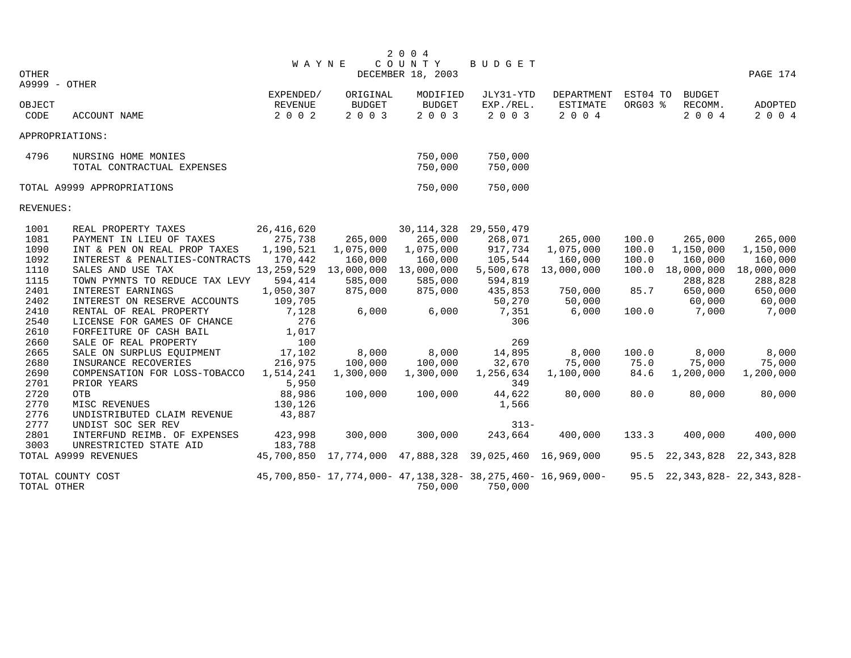|             |                                |                |               | 2 0 0 4           |                                                             |                 |          |                                    |                |
|-------------|--------------------------------|----------------|---------------|-------------------|-------------------------------------------------------------|-----------------|----------|------------------------------------|----------------|
|             |                                | <b>WAYNE</b>   |               | COUNTY            | <b>BUDGET</b>                                               |                 |          |                                    |                |
| OTHER       |                                |                |               | DECEMBER 18, 2003 |                                                             |                 |          |                                    | PAGE 174       |
|             | A9999 - OTHER                  |                |               |                   |                                                             |                 |          |                                    |                |
|             |                                | EXPENDED/      | ORIGINAL      | MODIFIED          | JLY31-YTD                                                   | DEPARTMENT      | EST04 TO | <b>BUDGET</b>                      |                |
| OBJECT      |                                | <b>REVENUE</b> | <b>BUDGET</b> | <b>BUDGET</b>     | EXP./REL.                                                   | <b>ESTIMATE</b> | ORG03 %  | RECOMM.                            | <b>ADOPTED</b> |
| CODE        | ACCOUNT NAME                   | 2 0 0 2        | 2003          | 2 0 0 3           | 2 0 0 3                                                     | 2 0 0 4         |          | 2 0 0 4                            | 2 0 0 4        |
|             | APPROPRIATIONS:                |                |               |                   |                                                             |                 |          |                                    |                |
| 4796        | NURSING HOME MONIES            |                |               | 750,000           | 750,000                                                     |                 |          |                                    |                |
|             | TOTAL CONTRACTUAL EXPENSES     |                |               | 750,000           | 750,000                                                     |                 |          |                                    |                |
|             | TOTAL A9999 APPROPRIATIONS     |                |               | 750,000           | 750,000                                                     |                 |          |                                    |                |
| REVENUES:   |                                |                |               |                   |                                                             |                 |          |                                    |                |
| 1001        | REAL PROPERTY TAXES            | 26, 416, 620   |               | 30, 114, 328      | 29,550,479                                                  |                 |          |                                    |                |
| 1081        | PAYMENT IN LIEU OF TAXES       | 275,738        | 265,000       | 265,000           | 268,071                                                     | 265,000         | 100.0    | 265,000                            | 265,000        |
| 1090        | INT & PEN ON REAL PROP TAXES   | 1,190,521      | 1,075,000     | 1,075,000         | 917,734                                                     | 1,075,000       | 100.0    | 1,150,000                          | 1,150,000      |
| 1092        | INTEREST & PENALTIES-CONTRACTS | 170,442        | 160,000       | 160,000           | 105,544                                                     | 160,000         | 100.0    | 160,000                            | 160,000        |
| 1110        | SALES AND USE TAX              | 13, 259, 529   | 13,000,000    | 13,000,000        | 5,500,678                                                   | 13,000,000      | 100.0    | 18,000,000                         | 18,000,000     |
| 1115        | TOWN PYMNTS TO REDUCE TAX LEVY | 594,414        | 585,000       | 585,000           | 594,819                                                     |                 |          | 288,828                            | 288,828        |
| 2401        | INTEREST EARNINGS              | 1,050,307      | 875,000       | 875,000           | 435,853                                                     | 750,000         | 85.7     | 650,000                            | 650,000        |
| 2402        | INTEREST ON RESERVE ACCOUNTS   | 109,705        |               |                   | 50,270                                                      | 50,000          |          | 60,000                             | 60,000         |
| 2410        | RENTAL OF REAL PROPERTY        | 7,128          | 6,000         | 6,000             | 7,351                                                       | 6,000           | 100.0    | 7,000                              | 7,000          |
| 2540        | LICENSE FOR GAMES OF CHANCE    | 276            |               |                   | 306                                                         |                 |          |                                    |                |
| 2610        | FORFEITURE OF CASH BAIL        | 1,017          |               |                   |                                                             |                 |          |                                    |                |
| 2660        | SALE OF REAL PROPERTY          | 100            |               |                   | 269                                                         |                 |          |                                    |                |
| 2665        | SALE ON SURPLUS EQUIPMENT      | 17,102         | 8,000         | 8,000             | 14,895                                                      | 8,000           | 100.0    | 8,000                              | 8,000          |
| 2680        | INSURANCE RECOVERIES           | 216,975        | 100,000       | 100,000           | 32,670                                                      | 75,000          | 75.0     | 75,000                             | 75,000         |
| 2690        | COMPENSATION FOR LOSS-TOBACCO  | 1,514,241      | 1,300,000     | 1,300,000         | 1,256,634                                                   | 1,100,000       | 84.6     | 1,200,000                          | 1,200,000      |
| 2701        | PRIOR YEARS                    | 5,950          |               |                   | 349                                                         |                 |          |                                    |                |
| 2720        | <b>OTB</b>                     | 88,986         | 100,000       | 100,000           | 44,622                                                      | 80,000          | 80.0     | 80,000                             | 80,000         |
| 2770        | MISC REVENUES                  | 130,126        |               |                   | 1,566                                                       |                 |          |                                    |                |
| 2776        | UNDISTRIBUTED CLAIM REVENUE    | 43,887         |               |                   |                                                             |                 |          |                                    |                |
| 2777        | UNDIST SOC SER REV             |                |               |                   | $313 -$                                                     |                 |          |                                    |                |
| 2801        | INTERFUND REIMB. OF EXPENSES   | 423,998        | 300,000       | 300,000           | 243,664                                                     | 400,000         | 133.3    | 400,000                            | 400,000        |
| 3003        | UNRESTRICTED STATE AID         | 183,788        |               |                   |                                                             |                 |          |                                    |                |
|             | TOTAL A9999 REVENUES           |                |               |                   | 45,700,850 17,774,000 47,888,328 39,025,460 16,969,000      |                 |          | 95.5 22, 343, 828                  | 22,343,828     |
|             | TOTAL COUNTY COST              |                |               |                   | 45,700,850- 17,774,000- 47,138,328- 38,275,460- 16,969,000- |                 |          | 95.5 22, 343, 828 - 22, 343, 828 - |                |
| TOTAL OTHER |                                |                |               | 750,000           | 750,000                                                     |                 |          |                                    |                |
|             |                                |                |               |                   |                                                             |                 |          |                                    |                |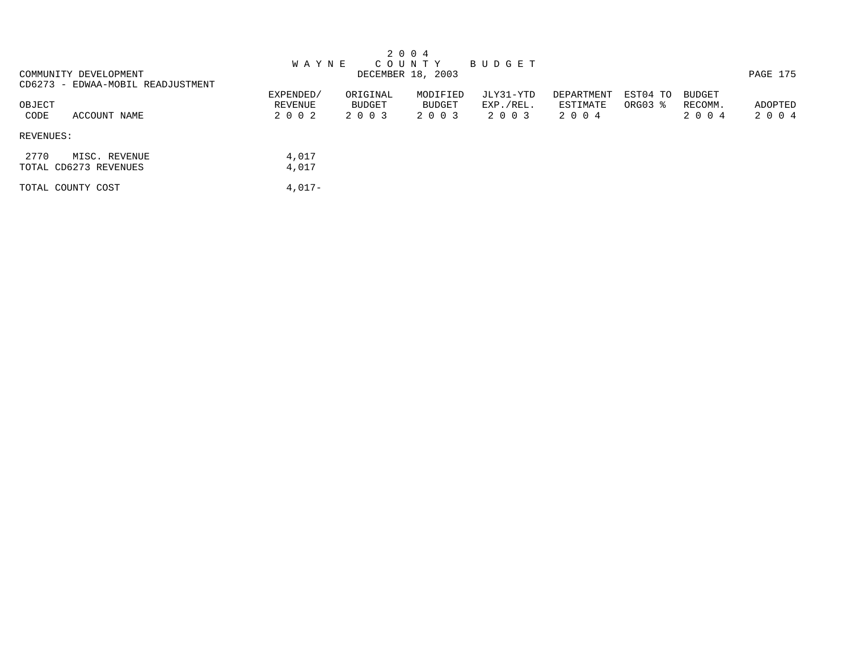|                                                |                                 |                               | 2 0 0 4                       |                                   |                                   |                     |                                     |                    |
|------------------------------------------------|---------------------------------|-------------------------------|-------------------------------|-----------------------------------|-----------------------------------|---------------------|-------------------------------------|--------------------|
|                                                | <b>WAYNE</b>                    |                               | C O U N T Y                   | BUDGET                            |                                   |                     |                                     |                    |
| COMMUNITY DEVELOPMENT                          |                                 |                               | DECEMBER 18, 2003             |                                   |                                   |                     |                                     | PAGE 175           |
| CD6273 - EDWAA-MOBIL READJUSTMENT              |                                 |                               |                               |                                   |                                   |                     |                                     |                    |
| OBJECT<br>ACCOUNT NAME<br>CODE                 | EXPENDED/<br>REVENUE<br>2 0 0 2 | ORIGINAL<br>BUDGET<br>2 0 0 3 | MODIFIED<br>BUDGET<br>2 0 0 3 | JLY31-YTD<br>EXP./REL.<br>2 0 0 3 | DEPARTMENT<br>ESTIMATE<br>2 0 0 4 | EST04 TO<br>ORG03 % | <b>BUDGET</b><br>RECOMM.<br>2 0 0 4 | ADOPTED<br>2 0 0 4 |
| REVENUES:                                      |                                 |                               |                               |                                   |                                   |                     |                                     |                    |
| 2770<br>MISC. REVENUE<br>TOTAL CD6273 REVENUES | 4,017<br>4,017                  |                               |                               |                                   |                                   |                     |                                     |                    |
| TOTAL COUNTY COST                              | $4,017-$                        |                               |                               |                                   |                                   |                     |                                     |                    |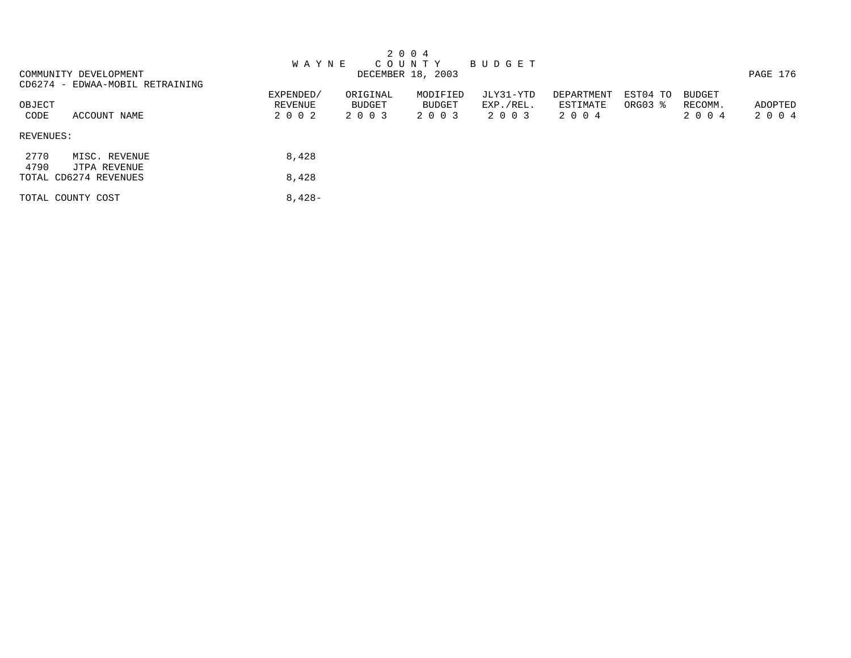|              |                                 |           |               | 2 0 0 4           |             |            |          |               |          |
|--------------|---------------------------------|-----------|---------------|-------------------|-------------|------------|----------|---------------|----------|
|              |                                 | W A Y N E |               | COUNTY            | B U D G E T |            |          |               |          |
|              | COMMUNITY DEVELOPMENT           |           |               | DECEMBER 18, 2003 |             |            |          |               | PAGE 176 |
|              | CD6274 - EDWAA-MOBIL RETRAINING |           |               |                   |             |            |          |               |          |
|              |                                 | EXPENDED/ | ORIGINAL      | MODIFIED          | JLY31-YTD   | DEPARTMENT | EST04 TO | <b>BUDGET</b> |          |
| OBJECT       |                                 | REVENUE   | <b>BUDGET</b> | BUDGET            | EXP./REL.   | ESTIMATE   | ORG03 %  | RECOMM.       | ADOPTED  |
| CODE         | ACCOUNT NAME                    | 2 0 0 2   | 2 0 0 3       | 2 0 0 3           | 2 0 0 3     | 2 0 0 4    |          | 2 0 0 4       | 2004     |
| REVENUES:    |                                 |           |               |                   |             |            |          |               |          |
| 2770<br>4790 | MISC. REVENUE<br>JTPA REVENUE   | 8,428     |               |                   |             |            |          |               |          |
|              | TOTAL CD6274 REVENUES           | 8,428     |               |                   |             |            |          |               |          |
|              | TOTAL COUNTY COST               | $8,428-$  |               |                   |             |            |          |               |          |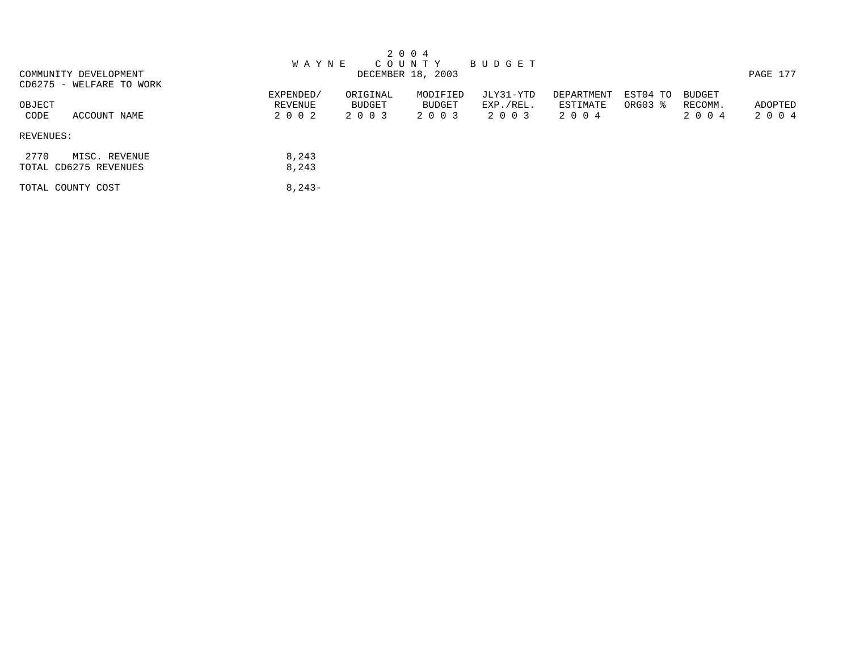|                          |              |          | 2 0 0 4           |           |            |          |               |          |
|--------------------------|--------------|----------|-------------------|-----------|------------|----------|---------------|----------|
|                          | <b>WAYNE</b> |          | C O U N T Y       | BUDGET    |            |          |               |          |
| COMMUNITY DEVELOPMENT    |              |          | DECEMBER 18, 2003 |           |            |          |               | PAGE 177 |
| CD6275 - WELFARE TO WORK |              |          |                   |           |            |          |               |          |
|                          | EXPENDED/    | ORIGINAL | MODIFIED          | JLY31-YTD | DEPARTMENT | EST04 TO | <b>BUDGET</b> |          |
| OBJECT                   | REVENUE      | BUDGET   | BUDGET            | EXP./REL. | ESTIMATE   | ORG03 %  | RECOMM.       | ADOPTED  |
| ACCOUNT NAME<br>CODE     | 2 0 0 2      | 2 0 0 3  | 2 0 0 3           | 2 0 0 3   | 2004       |          | 2004          | 2004     |
| REVENUES:                |              |          |                   |           |            |          |               |          |
| 2770<br>MISC. REVENUE    | 8,243        |          |                   |           |            |          |               |          |
| TOTAL CD6275 REVENUES    | 8,243        |          |                   |           |            |          |               |          |
| TOTAL COUNTY COST        | $8,243-$     |          |                   |           |            |          |               |          |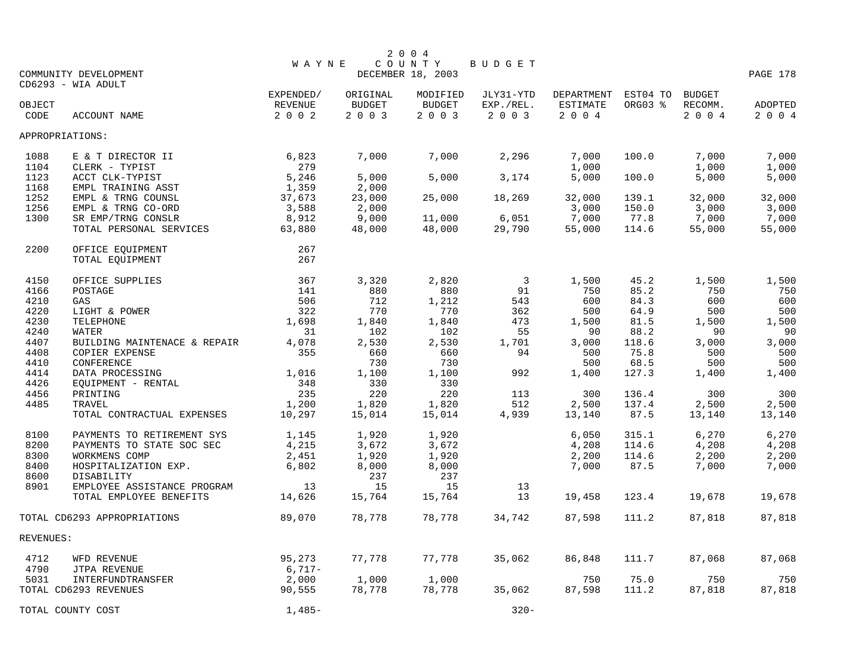|           | COMMUNITY DEVELOPMENT        | <b>WAYNE</b>         |                           | 2 0 0 4<br>COUNTY<br>DECEMBER 18, 2003 | BUDGET                 |                               |                     |                          | PAGE 178 |
|-----------|------------------------------|----------------------|---------------------------|----------------------------------------|------------------------|-------------------------------|---------------------|--------------------------|----------|
| OBJECT    | CD6293 - WIA ADULT           | EXPENDED/<br>REVENUE | ORIGINAL<br><b>BUDGET</b> | MODIFIED<br><b>BUDGET</b>              | JLY31-YTD<br>EXP./REL. | DEPARTMENT<br><b>ESTIMATE</b> | EST04 TO<br>ORG03 % | <b>BUDGET</b><br>RECOMM. | ADOPTED  |
| CODE      | <b>ACCOUNT NAME</b>          | 2 0 0 2              | 2 0 0 3                   | 2 0 0 3                                | 2 0 0 3                | 2 0 0 4                       |                     | 2004                     | 2 0 0 4  |
|           | APPROPRIATIONS:              |                      |                           |                                        |                        |                               |                     |                          |          |
| 1088      | E & T DIRECTOR II            | 6,823                | 7,000                     | 7,000                                  | 2,296                  | 7,000                         | 100.0               | 7,000                    | 7,000    |
| 1104      | CLERK - TYPIST               | 279                  |                           |                                        |                        | 1,000                         |                     | 1,000                    | 1,000    |
| 1123      | ACCT CLK-TYPIST              | 5,246                | 5,000                     | 5,000                                  | 3,174                  | 5,000                         | 100.0               | 5,000                    | 5,000    |
| 1168      | EMPL TRAINING ASST           | 1,359                | 2,000                     |                                        |                        |                               |                     |                          |          |
| 1252      | EMPL & TRNG COUNSL           | 37,673               | 23,000                    | 25,000                                 | 18,269                 | 32,000                        | 139.1               | 32,000                   | 32,000   |
| 1256      | EMPL & TRNG CO-ORD           | 3,588                | 2,000                     |                                        |                        | 3,000                         | 150.0               | 3,000                    | 3,000    |
| 1300      | SR EMP/TRNG CONSLR           | 8,912                | 9,000                     | 11,000                                 | 6,051                  | 7,000                         | 77.8                | 7,000                    | 7,000    |
|           | TOTAL PERSONAL SERVICES      | 63,880               | 48,000                    | 48,000                                 | 29,790                 | 55,000                        | 114.6               | 55,000                   | 55,000   |
| 2200      | OFFICE EQUIPMENT             | 267                  |                           |                                        |                        |                               |                     |                          |          |
|           | TOTAL EQUIPMENT              | 267                  |                           |                                        |                        |                               |                     |                          |          |
| 4150      | OFFICE SUPPLIES              | 367                  | 3,320                     | 2,820                                  | $\overline{3}$         | 1,500                         | 45.2                | 1,500                    | 1,500    |
| 4166      | POSTAGE                      | 141                  | 880                       | 880                                    | 91                     | 750                           | 85.2                | 750                      | 750      |
| 4210      | GAS                          | 506                  | 712                       | 1,212                                  | 543                    | 600                           | 84.3                | 600                      | 600      |
| 4220      | LIGHT & POWER                | 322                  | 770                       | 770                                    | 362                    | 500                           | 64.9                | 500                      | 500      |
| 4230      | TELEPHONE                    | 1,698                | 1,840                     | 1,840                                  | 473                    | 1,500                         | 81.5                | 1,500                    | 1,500    |
| 4240      | WATER                        | 31                   | 102                       | 102                                    | 55                     | 90                            | 88.2                | 90                       | 90       |
| 4407      | BUILDING MAINTENACE & REPAIR | 4,078                | 2,530                     | 2,530                                  | 1,701                  | 3,000                         | 118.6               | 3,000                    | 3,000    |
| 4408      | COPIER EXPENSE               | 355                  | 660                       | 660                                    | 94                     | 500                           | 75.8                | 500                      | 500      |
| 4410      | CONFERENCE                   |                      | 730                       | 730                                    |                        | 500                           | 68.5                | 500                      | 500      |
| 4414      | DATA PROCESSING              | 1,016                | 1,100                     | 1,100                                  | 992                    | 1,400                         | 127.3               | 1,400                    | 1,400    |
| 4426      | EQUIPMENT - RENTAL           | 348                  | 330                       | 330                                    |                        |                               |                     |                          |          |
| 4456      | PRINTING                     | 235                  | 220                       | 220                                    | 113                    | 300                           | 136.4               | 300                      | 300      |
| 4485      | TRAVEL                       | 1,200                | 1,820                     | 1,820                                  | 512                    | 2,500                         | 137.4<br>87.5       | 2,500                    | 2,500    |
|           | TOTAL CONTRACTUAL EXPENSES   | 10,297               | 15,014                    | 15,014                                 | 4,939                  | 13,140                        |                     | 13,140                   | 13,140   |
| 8100      | PAYMENTS TO RETIREMENT SYS   | 1,145                | 1,920                     | 1,920                                  |                        | 6,050                         | 315.1               | 6,270                    | 6,270    |
| 8200      | PAYMENTS TO STATE SOC SEC    | 4,215                | 3,672                     | 3,672                                  |                        | 4,208                         | 114.6               | 4,208                    | 4,208    |
| 8300      | WORKMENS COMP                | 2,451                | 1,920                     | 1,920                                  |                        | 2,200                         | 114.6               | 2,200                    | 2,200    |
| 8400      | HOSPITALIZATION EXP.         | 6,802                | 8,000                     | 8,000                                  |                        | 7,000                         | 87.5                | 7,000                    | 7,000    |
| 8600      | DISABILITY                   |                      | 237                       | 237                                    |                        |                               |                     |                          |          |
| 8901      | EMPLOYEE ASSISTANCE PROGRAM  | 13                   | 15                        | 15                                     | 13                     |                               |                     |                          |          |
|           | TOTAL EMPLOYEE BENEFITS      | 14,626               | 15,764                    | 15,764                                 | 13                     | 19,458                        | 123.4               | 19,678                   | 19,678   |
|           | TOTAL CD6293 APPROPRIATIONS  | 89,070               | 78,778                    | 78,778                                 | 34,742                 | 87,598                        | 111.2               | 87,818                   | 87,818   |
| REVENUES: |                              |                      |                           |                                        |                        |                               |                     |                          |          |
| 4712      | WFD REVENUE                  | 95,273               | 77,778                    | 77,778                                 | 35,062                 | 86,848                        | 111.7               | 87,068                   | 87,068   |
| 4790      | JTPA REVENUE                 | $6,717-$             |                           |                                        |                        |                               |                     |                          |          |
| 5031      | INTERFUNDTRANSFER            | 2,000                | 1,000                     | 1,000                                  |                        | 750                           | 75.0                | 750                      | 750      |
|           | TOTAL CD6293 REVENUES        | 90,555               | 78,778                    | 78,778                                 | 35,062                 | 87,598                        | 111.2               | 87,818                   | 87,818   |
|           | TOTAL COUNTY COST            | $1,485-$             |                           |                                        | $320 -$                |                               |                     |                          |          |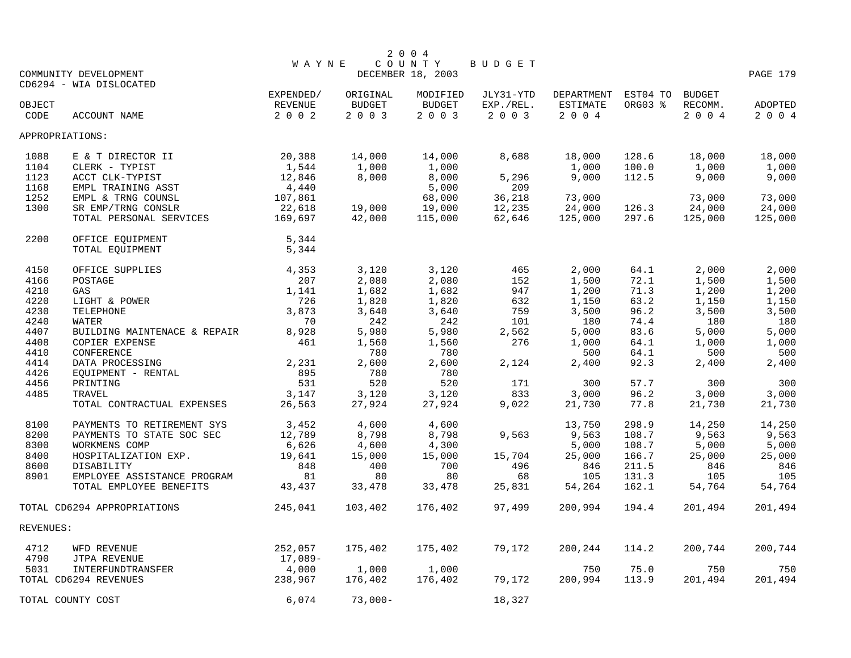| COUNTY<br><b>WAYNE</b><br>DECEMBER 18, 2003<br>COMMUNITY DEVELOPMENT<br>PAGE 179<br>CD6294 - WIA DISLOCATED<br>EST04 TO<br>EXPENDED/<br>ORIGINAL<br>MODIFIED<br>JLY31-YTD<br>DEPARTMENT<br><b>BUDGET</b><br>ORG03 %<br><b>REVENUE</b><br><b>BUDGET</b><br><b>BUDGET</b><br>EXP./REL.<br><b>ESTIMATE</b><br>RECOMM.<br>OBJECT<br>ADOPTED<br>2 0 0 2<br>2003<br>2003<br>2 0 0 3<br>2004<br>2004<br>CODE<br>ACCOUNT NAME<br>2 0 0 4<br>APPROPRIATIONS:<br>20,388<br>14,000<br>14,000<br>18,000<br>18,000<br>18,000<br>1088<br>E & T DIRECTOR II<br>8,688<br>128.6<br>1,544<br>1,000<br>1,000<br>1,000<br>1,000<br>1104<br>CLERK - TYPIST<br>1,000<br>100.0<br>8,000<br>8,000<br>9,000<br>1123<br>12,846<br>5,296<br>9,000<br>112.5<br>9,000<br>ACCT CLK-TYPIST<br>4,440<br>1168<br>EMPL TRAINING ASST<br>5,000<br>209<br>68,000<br>36,218<br>73,000<br>1252<br>EMPL & TRNG COUNSL<br>107,861<br>73,000<br>73,000<br>1300<br>SR EMP/TRNG CONSLR<br>22,618<br>19,000<br>12,235<br>24,000<br>24,000<br>24,000<br>19,000<br>126.3<br>297.6<br>125,000<br>TOTAL PERSONAL SERVICES<br>169,697<br>42,000<br>115,000<br>62,646<br>125,000<br>125,000<br>2200<br>OFFICE EQUIPMENT<br>5,344<br>TOTAL EQUIPMENT<br>5,344<br>4150<br>3,120<br>3,120<br>465<br>2,000<br>64.1<br>2,000<br>2,000<br>OFFICE SUPPLIES<br>4,353<br>207<br>2,080<br>2,080<br>1,500<br>72.1<br>1,500<br>1,500<br>4166<br>POSTAGE<br>152<br>1,682<br>1,200<br>71.3<br>1,200<br>4210<br>1,141<br>1,682<br>947<br>1,200<br>GAS<br>726<br>4220<br>1,820<br>1,820<br>632<br>1,150<br>63.2<br>1,150<br>1,150<br>LIGHT & POWER<br>4230<br>3,873<br>3,640<br>759<br>3,500<br>96.2<br>3,500<br>3,500<br><b>TELEPHONE</b><br>3,640<br>4240<br>70<br>242<br>242<br>101<br>180<br>74.4<br>180<br>180<br>WATER<br>4407<br>8,928<br>5,980<br>5,980<br>2,562<br>5,000<br>83.6<br>5,000<br>5,000<br>BUILDING MAINTENACE & REPAIR<br>4408<br>276<br>64.1<br>1,000<br><b>COPIER EXPENSE</b><br>461<br>1,560<br>1,560<br>1,000<br>1,000<br>4410<br>CONFERENCE<br>780<br>780<br>500<br>64.1<br>500<br>500<br>2,600<br>4414<br>2,231<br>2,600<br>2,124<br>2,400<br>92.3<br>2,400<br>2,400<br>DATA PROCESSING<br>895<br>780<br>780<br>4426<br>EQUIPMENT - RENTAL<br>531<br>520<br>520<br>4456<br>PRINTING<br>171<br>300<br>57.7<br>300<br>300<br>3,120<br>96.2<br>3,000<br>4485<br>TRAVEL<br>3,147<br>3,120<br>833<br>3,000<br>3,000<br>26,563<br>27,924<br>9,022<br>21,730<br>77.8<br>21,730<br>21,730<br>TOTAL CONTRACTUAL EXPENSES<br>27,924<br>8100<br>3,452<br>4,600<br>13,750<br>298.9<br>14,250<br>PAYMENTS TO RETIREMENT SYS<br>4,600<br>14,250<br>8200<br>PAYMENTS TO STATE SOC SEC<br>12,789<br>8,798<br>8,798<br>9,563<br>9,563<br>108.7<br>9,563<br>9,563<br>6,626<br>4,600<br>4,300<br>5,000<br>108.7<br>5,000<br>5,000<br>8300<br>WORKMENS COMP<br>8400<br>19,641<br>15,000<br>15,000<br>25,000<br>166.7<br>25,000<br>25,000<br>HOSPITALIZATION EXP.<br>15,704<br>848<br>700<br>846<br>846<br>8600<br>DISABILITY<br>400<br>496<br>846<br>211.5<br>8901<br>81<br>131.3<br>105<br>EMPLOYEE ASSISTANCE PROGRAM<br>80<br>80<br>68<br>105<br>105<br>43,437<br>25,831<br>54,264<br>162.1<br>54,764<br>54,764<br>TOTAL EMPLOYEE BENEFITS<br>33,478<br>33,478<br>245,041<br>103,402<br>97,499<br>200,994<br>194.4<br>201,494<br>201,494<br>TOTAL CD6294 APPROPRIATIONS<br>176,402<br>REVENUES:<br>252,057<br>175,402<br>175,402<br>79,172<br>200,244<br>114.2<br>200,744<br>200,744<br>4712<br>WFD REVENUE<br>$17,089-$<br>4790<br>JTPA REVENUE<br>4,000<br>1,000<br>1,000<br>75.0<br>5031<br>INTERFUNDTRANSFER<br>750<br>750<br>750<br>201,494<br>TOTAL CD6294 REVENUES<br>238,967<br>176,402<br>79,172<br>200,994<br>113.9<br>201,494<br>176,402 |  |  | 2004 |        |  |  |
|---------------------------------------------------------------------------------------------------------------------------------------------------------------------------------------------------------------------------------------------------------------------------------------------------------------------------------------------------------------------------------------------------------------------------------------------------------------------------------------------------------------------------------------------------------------------------------------------------------------------------------------------------------------------------------------------------------------------------------------------------------------------------------------------------------------------------------------------------------------------------------------------------------------------------------------------------------------------------------------------------------------------------------------------------------------------------------------------------------------------------------------------------------------------------------------------------------------------------------------------------------------------------------------------------------------------------------------------------------------------------------------------------------------------------------------------------------------------------------------------------------------------------------------------------------------------------------------------------------------------------------------------------------------------------------------------------------------------------------------------------------------------------------------------------------------------------------------------------------------------------------------------------------------------------------------------------------------------------------------------------------------------------------------------------------------------------------------------------------------------------------------------------------------------------------------------------------------------------------------------------------------------------------------------------------------------------------------------------------------------------------------------------------------------------------------------------------------------------------------------------------------------------------------------------------------------------------------------------------------------------------------------------------------------------------------------------------------------------------------------------------------------------------------------------------------------------------------------------------------------------------------------------------------------------------------------------------------------------------------------------------------------------------------------------------------------------------------------------------------------------------------------------------------------------------------------------------------------------------------------------------------------------------------------------------------------------------------------------------------------------------------------------------------------------------------------------------------------------------------------------------------------------------------------------------------------------------------------------------------------------------------------------------------------------------------------|--|--|------|--------|--|--|
|                                                                                                                                                                                                                                                                                                                                                                                                                                                                                                                                                                                                                                                                                                                                                                                                                                                                                                                                                                                                                                                                                                                                                                                                                                                                                                                                                                                                                                                                                                                                                                                                                                                                                                                                                                                                                                                                                                                                                                                                                                                                                                                                                                                                                                                                                                                                                                                                                                                                                                                                                                                                                                                                                                                                                                                                                                                                                                                                                                                                                                                                                                                                                                                                                                                                                                                                                                                                                                                                                                                                                                                                                                                                                             |  |  |      | BUDGET |  |  |
|                                                                                                                                                                                                                                                                                                                                                                                                                                                                                                                                                                                                                                                                                                                                                                                                                                                                                                                                                                                                                                                                                                                                                                                                                                                                                                                                                                                                                                                                                                                                                                                                                                                                                                                                                                                                                                                                                                                                                                                                                                                                                                                                                                                                                                                                                                                                                                                                                                                                                                                                                                                                                                                                                                                                                                                                                                                                                                                                                                                                                                                                                                                                                                                                                                                                                                                                                                                                                                                                                                                                                                                                                                                                                             |  |  |      |        |  |  |
|                                                                                                                                                                                                                                                                                                                                                                                                                                                                                                                                                                                                                                                                                                                                                                                                                                                                                                                                                                                                                                                                                                                                                                                                                                                                                                                                                                                                                                                                                                                                                                                                                                                                                                                                                                                                                                                                                                                                                                                                                                                                                                                                                                                                                                                                                                                                                                                                                                                                                                                                                                                                                                                                                                                                                                                                                                                                                                                                                                                                                                                                                                                                                                                                                                                                                                                                                                                                                                                                                                                                                                                                                                                                                             |  |  |      |        |  |  |
|                                                                                                                                                                                                                                                                                                                                                                                                                                                                                                                                                                                                                                                                                                                                                                                                                                                                                                                                                                                                                                                                                                                                                                                                                                                                                                                                                                                                                                                                                                                                                                                                                                                                                                                                                                                                                                                                                                                                                                                                                                                                                                                                                                                                                                                                                                                                                                                                                                                                                                                                                                                                                                                                                                                                                                                                                                                                                                                                                                                                                                                                                                                                                                                                                                                                                                                                                                                                                                                                                                                                                                                                                                                                                             |  |  |      |        |  |  |
|                                                                                                                                                                                                                                                                                                                                                                                                                                                                                                                                                                                                                                                                                                                                                                                                                                                                                                                                                                                                                                                                                                                                                                                                                                                                                                                                                                                                                                                                                                                                                                                                                                                                                                                                                                                                                                                                                                                                                                                                                                                                                                                                                                                                                                                                                                                                                                                                                                                                                                                                                                                                                                                                                                                                                                                                                                                                                                                                                                                                                                                                                                                                                                                                                                                                                                                                                                                                                                                                                                                                                                                                                                                                                             |  |  |      |        |  |  |
|                                                                                                                                                                                                                                                                                                                                                                                                                                                                                                                                                                                                                                                                                                                                                                                                                                                                                                                                                                                                                                                                                                                                                                                                                                                                                                                                                                                                                                                                                                                                                                                                                                                                                                                                                                                                                                                                                                                                                                                                                                                                                                                                                                                                                                                                                                                                                                                                                                                                                                                                                                                                                                                                                                                                                                                                                                                                                                                                                                                                                                                                                                                                                                                                                                                                                                                                                                                                                                                                                                                                                                                                                                                                                             |  |  |      |        |  |  |
|                                                                                                                                                                                                                                                                                                                                                                                                                                                                                                                                                                                                                                                                                                                                                                                                                                                                                                                                                                                                                                                                                                                                                                                                                                                                                                                                                                                                                                                                                                                                                                                                                                                                                                                                                                                                                                                                                                                                                                                                                                                                                                                                                                                                                                                                                                                                                                                                                                                                                                                                                                                                                                                                                                                                                                                                                                                                                                                                                                                                                                                                                                                                                                                                                                                                                                                                                                                                                                                                                                                                                                                                                                                                                             |  |  |      |        |  |  |
|                                                                                                                                                                                                                                                                                                                                                                                                                                                                                                                                                                                                                                                                                                                                                                                                                                                                                                                                                                                                                                                                                                                                                                                                                                                                                                                                                                                                                                                                                                                                                                                                                                                                                                                                                                                                                                                                                                                                                                                                                                                                                                                                                                                                                                                                                                                                                                                                                                                                                                                                                                                                                                                                                                                                                                                                                                                                                                                                                                                                                                                                                                                                                                                                                                                                                                                                                                                                                                                                                                                                                                                                                                                                                             |  |  |      |        |  |  |
|                                                                                                                                                                                                                                                                                                                                                                                                                                                                                                                                                                                                                                                                                                                                                                                                                                                                                                                                                                                                                                                                                                                                                                                                                                                                                                                                                                                                                                                                                                                                                                                                                                                                                                                                                                                                                                                                                                                                                                                                                                                                                                                                                                                                                                                                                                                                                                                                                                                                                                                                                                                                                                                                                                                                                                                                                                                                                                                                                                                                                                                                                                                                                                                                                                                                                                                                                                                                                                                                                                                                                                                                                                                                                             |  |  |      |        |  |  |
|                                                                                                                                                                                                                                                                                                                                                                                                                                                                                                                                                                                                                                                                                                                                                                                                                                                                                                                                                                                                                                                                                                                                                                                                                                                                                                                                                                                                                                                                                                                                                                                                                                                                                                                                                                                                                                                                                                                                                                                                                                                                                                                                                                                                                                                                                                                                                                                                                                                                                                                                                                                                                                                                                                                                                                                                                                                                                                                                                                                                                                                                                                                                                                                                                                                                                                                                                                                                                                                                                                                                                                                                                                                                                             |  |  |      |        |  |  |
|                                                                                                                                                                                                                                                                                                                                                                                                                                                                                                                                                                                                                                                                                                                                                                                                                                                                                                                                                                                                                                                                                                                                                                                                                                                                                                                                                                                                                                                                                                                                                                                                                                                                                                                                                                                                                                                                                                                                                                                                                                                                                                                                                                                                                                                                                                                                                                                                                                                                                                                                                                                                                                                                                                                                                                                                                                                                                                                                                                                                                                                                                                                                                                                                                                                                                                                                                                                                                                                                                                                                                                                                                                                                                             |  |  |      |        |  |  |
|                                                                                                                                                                                                                                                                                                                                                                                                                                                                                                                                                                                                                                                                                                                                                                                                                                                                                                                                                                                                                                                                                                                                                                                                                                                                                                                                                                                                                                                                                                                                                                                                                                                                                                                                                                                                                                                                                                                                                                                                                                                                                                                                                                                                                                                                                                                                                                                                                                                                                                                                                                                                                                                                                                                                                                                                                                                                                                                                                                                                                                                                                                                                                                                                                                                                                                                                                                                                                                                                                                                                                                                                                                                                                             |  |  |      |        |  |  |
|                                                                                                                                                                                                                                                                                                                                                                                                                                                                                                                                                                                                                                                                                                                                                                                                                                                                                                                                                                                                                                                                                                                                                                                                                                                                                                                                                                                                                                                                                                                                                                                                                                                                                                                                                                                                                                                                                                                                                                                                                                                                                                                                                                                                                                                                                                                                                                                                                                                                                                                                                                                                                                                                                                                                                                                                                                                                                                                                                                                                                                                                                                                                                                                                                                                                                                                                                                                                                                                                                                                                                                                                                                                                                             |  |  |      |        |  |  |
|                                                                                                                                                                                                                                                                                                                                                                                                                                                                                                                                                                                                                                                                                                                                                                                                                                                                                                                                                                                                                                                                                                                                                                                                                                                                                                                                                                                                                                                                                                                                                                                                                                                                                                                                                                                                                                                                                                                                                                                                                                                                                                                                                                                                                                                                                                                                                                                                                                                                                                                                                                                                                                                                                                                                                                                                                                                                                                                                                                                                                                                                                                                                                                                                                                                                                                                                                                                                                                                                                                                                                                                                                                                                                             |  |  |      |        |  |  |
|                                                                                                                                                                                                                                                                                                                                                                                                                                                                                                                                                                                                                                                                                                                                                                                                                                                                                                                                                                                                                                                                                                                                                                                                                                                                                                                                                                                                                                                                                                                                                                                                                                                                                                                                                                                                                                                                                                                                                                                                                                                                                                                                                                                                                                                                                                                                                                                                                                                                                                                                                                                                                                                                                                                                                                                                                                                                                                                                                                                                                                                                                                                                                                                                                                                                                                                                                                                                                                                                                                                                                                                                                                                                                             |  |  |      |        |  |  |
|                                                                                                                                                                                                                                                                                                                                                                                                                                                                                                                                                                                                                                                                                                                                                                                                                                                                                                                                                                                                                                                                                                                                                                                                                                                                                                                                                                                                                                                                                                                                                                                                                                                                                                                                                                                                                                                                                                                                                                                                                                                                                                                                                                                                                                                                                                                                                                                                                                                                                                                                                                                                                                                                                                                                                                                                                                                                                                                                                                                                                                                                                                                                                                                                                                                                                                                                                                                                                                                                                                                                                                                                                                                                                             |  |  |      |        |  |  |
|                                                                                                                                                                                                                                                                                                                                                                                                                                                                                                                                                                                                                                                                                                                                                                                                                                                                                                                                                                                                                                                                                                                                                                                                                                                                                                                                                                                                                                                                                                                                                                                                                                                                                                                                                                                                                                                                                                                                                                                                                                                                                                                                                                                                                                                                                                                                                                                                                                                                                                                                                                                                                                                                                                                                                                                                                                                                                                                                                                                                                                                                                                                                                                                                                                                                                                                                                                                                                                                                                                                                                                                                                                                                                             |  |  |      |        |  |  |
|                                                                                                                                                                                                                                                                                                                                                                                                                                                                                                                                                                                                                                                                                                                                                                                                                                                                                                                                                                                                                                                                                                                                                                                                                                                                                                                                                                                                                                                                                                                                                                                                                                                                                                                                                                                                                                                                                                                                                                                                                                                                                                                                                                                                                                                                                                                                                                                                                                                                                                                                                                                                                                                                                                                                                                                                                                                                                                                                                                                                                                                                                                                                                                                                                                                                                                                                                                                                                                                                                                                                                                                                                                                                                             |  |  |      |        |  |  |
|                                                                                                                                                                                                                                                                                                                                                                                                                                                                                                                                                                                                                                                                                                                                                                                                                                                                                                                                                                                                                                                                                                                                                                                                                                                                                                                                                                                                                                                                                                                                                                                                                                                                                                                                                                                                                                                                                                                                                                                                                                                                                                                                                                                                                                                                                                                                                                                                                                                                                                                                                                                                                                                                                                                                                                                                                                                                                                                                                                                                                                                                                                                                                                                                                                                                                                                                                                                                                                                                                                                                                                                                                                                                                             |  |  |      |        |  |  |
|                                                                                                                                                                                                                                                                                                                                                                                                                                                                                                                                                                                                                                                                                                                                                                                                                                                                                                                                                                                                                                                                                                                                                                                                                                                                                                                                                                                                                                                                                                                                                                                                                                                                                                                                                                                                                                                                                                                                                                                                                                                                                                                                                                                                                                                                                                                                                                                                                                                                                                                                                                                                                                                                                                                                                                                                                                                                                                                                                                                                                                                                                                                                                                                                                                                                                                                                                                                                                                                                                                                                                                                                                                                                                             |  |  |      |        |  |  |
|                                                                                                                                                                                                                                                                                                                                                                                                                                                                                                                                                                                                                                                                                                                                                                                                                                                                                                                                                                                                                                                                                                                                                                                                                                                                                                                                                                                                                                                                                                                                                                                                                                                                                                                                                                                                                                                                                                                                                                                                                                                                                                                                                                                                                                                                                                                                                                                                                                                                                                                                                                                                                                                                                                                                                                                                                                                                                                                                                                                                                                                                                                                                                                                                                                                                                                                                                                                                                                                                                                                                                                                                                                                                                             |  |  |      |        |  |  |
|                                                                                                                                                                                                                                                                                                                                                                                                                                                                                                                                                                                                                                                                                                                                                                                                                                                                                                                                                                                                                                                                                                                                                                                                                                                                                                                                                                                                                                                                                                                                                                                                                                                                                                                                                                                                                                                                                                                                                                                                                                                                                                                                                                                                                                                                                                                                                                                                                                                                                                                                                                                                                                                                                                                                                                                                                                                                                                                                                                                                                                                                                                                                                                                                                                                                                                                                                                                                                                                                                                                                                                                                                                                                                             |  |  |      |        |  |  |
|                                                                                                                                                                                                                                                                                                                                                                                                                                                                                                                                                                                                                                                                                                                                                                                                                                                                                                                                                                                                                                                                                                                                                                                                                                                                                                                                                                                                                                                                                                                                                                                                                                                                                                                                                                                                                                                                                                                                                                                                                                                                                                                                                                                                                                                                                                                                                                                                                                                                                                                                                                                                                                                                                                                                                                                                                                                                                                                                                                                                                                                                                                                                                                                                                                                                                                                                                                                                                                                                                                                                                                                                                                                                                             |  |  |      |        |  |  |
|                                                                                                                                                                                                                                                                                                                                                                                                                                                                                                                                                                                                                                                                                                                                                                                                                                                                                                                                                                                                                                                                                                                                                                                                                                                                                                                                                                                                                                                                                                                                                                                                                                                                                                                                                                                                                                                                                                                                                                                                                                                                                                                                                                                                                                                                                                                                                                                                                                                                                                                                                                                                                                                                                                                                                                                                                                                                                                                                                                                                                                                                                                                                                                                                                                                                                                                                                                                                                                                                                                                                                                                                                                                                                             |  |  |      |        |  |  |
|                                                                                                                                                                                                                                                                                                                                                                                                                                                                                                                                                                                                                                                                                                                                                                                                                                                                                                                                                                                                                                                                                                                                                                                                                                                                                                                                                                                                                                                                                                                                                                                                                                                                                                                                                                                                                                                                                                                                                                                                                                                                                                                                                                                                                                                                                                                                                                                                                                                                                                                                                                                                                                                                                                                                                                                                                                                                                                                                                                                                                                                                                                                                                                                                                                                                                                                                                                                                                                                                                                                                                                                                                                                                                             |  |  |      |        |  |  |
|                                                                                                                                                                                                                                                                                                                                                                                                                                                                                                                                                                                                                                                                                                                                                                                                                                                                                                                                                                                                                                                                                                                                                                                                                                                                                                                                                                                                                                                                                                                                                                                                                                                                                                                                                                                                                                                                                                                                                                                                                                                                                                                                                                                                                                                                                                                                                                                                                                                                                                                                                                                                                                                                                                                                                                                                                                                                                                                                                                                                                                                                                                                                                                                                                                                                                                                                                                                                                                                                                                                                                                                                                                                                                             |  |  |      |        |  |  |
|                                                                                                                                                                                                                                                                                                                                                                                                                                                                                                                                                                                                                                                                                                                                                                                                                                                                                                                                                                                                                                                                                                                                                                                                                                                                                                                                                                                                                                                                                                                                                                                                                                                                                                                                                                                                                                                                                                                                                                                                                                                                                                                                                                                                                                                                                                                                                                                                                                                                                                                                                                                                                                                                                                                                                                                                                                                                                                                                                                                                                                                                                                                                                                                                                                                                                                                                                                                                                                                                                                                                                                                                                                                                                             |  |  |      |        |  |  |
|                                                                                                                                                                                                                                                                                                                                                                                                                                                                                                                                                                                                                                                                                                                                                                                                                                                                                                                                                                                                                                                                                                                                                                                                                                                                                                                                                                                                                                                                                                                                                                                                                                                                                                                                                                                                                                                                                                                                                                                                                                                                                                                                                                                                                                                                                                                                                                                                                                                                                                                                                                                                                                                                                                                                                                                                                                                                                                                                                                                                                                                                                                                                                                                                                                                                                                                                                                                                                                                                                                                                                                                                                                                                                             |  |  |      |        |  |  |
|                                                                                                                                                                                                                                                                                                                                                                                                                                                                                                                                                                                                                                                                                                                                                                                                                                                                                                                                                                                                                                                                                                                                                                                                                                                                                                                                                                                                                                                                                                                                                                                                                                                                                                                                                                                                                                                                                                                                                                                                                                                                                                                                                                                                                                                                                                                                                                                                                                                                                                                                                                                                                                                                                                                                                                                                                                                                                                                                                                                                                                                                                                                                                                                                                                                                                                                                                                                                                                                                                                                                                                                                                                                                                             |  |  |      |        |  |  |
|                                                                                                                                                                                                                                                                                                                                                                                                                                                                                                                                                                                                                                                                                                                                                                                                                                                                                                                                                                                                                                                                                                                                                                                                                                                                                                                                                                                                                                                                                                                                                                                                                                                                                                                                                                                                                                                                                                                                                                                                                                                                                                                                                                                                                                                                                                                                                                                                                                                                                                                                                                                                                                                                                                                                                                                                                                                                                                                                                                                                                                                                                                                                                                                                                                                                                                                                                                                                                                                                                                                                                                                                                                                                                             |  |  |      |        |  |  |
|                                                                                                                                                                                                                                                                                                                                                                                                                                                                                                                                                                                                                                                                                                                                                                                                                                                                                                                                                                                                                                                                                                                                                                                                                                                                                                                                                                                                                                                                                                                                                                                                                                                                                                                                                                                                                                                                                                                                                                                                                                                                                                                                                                                                                                                                                                                                                                                                                                                                                                                                                                                                                                                                                                                                                                                                                                                                                                                                                                                                                                                                                                                                                                                                                                                                                                                                                                                                                                                                                                                                                                                                                                                                                             |  |  |      |        |  |  |
|                                                                                                                                                                                                                                                                                                                                                                                                                                                                                                                                                                                                                                                                                                                                                                                                                                                                                                                                                                                                                                                                                                                                                                                                                                                                                                                                                                                                                                                                                                                                                                                                                                                                                                                                                                                                                                                                                                                                                                                                                                                                                                                                                                                                                                                                                                                                                                                                                                                                                                                                                                                                                                                                                                                                                                                                                                                                                                                                                                                                                                                                                                                                                                                                                                                                                                                                                                                                                                                                                                                                                                                                                                                                                             |  |  |      |        |  |  |
|                                                                                                                                                                                                                                                                                                                                                                                                                                                                                                                                                                                                                                                                                                                                                                                                                                                                                                                                                                                                                                                                                                                                                                                                                                                                                                                                                                                                                                                                                                                                                                                                                                                                                                                                                                                                                                                                                                                                                                                                                                                                                                                                                                                                                                                                                                                                                                                                                                                                                                                                                                                                                                                                                                                                                                                                                                                                                                                                                                                                                                                                                                                                                                                                                                                                                                                                                                                                                                                                                                                                                                                                                                                                                             |  |  |      |        |  |  |
|                                                                                                                                                                                                                                                                                                                                                                                                                                                                                                                                                                                                                                                                                                                                                                                                                                                                                                                                                                                                                                                                                                                                                                                                                                                                                                                                                                                                                                                                                                                                                                                                                                                                                                                                                                                                                                                                                                                                                                                                                                                                                                                                                                                                                                                                                                                                                                                                                                                                                                                                                                                                                                                                                                                                                                                                                                                                                                                                                                                                                                                                                                                                                                                                                                                                                                                                                                                                                                                                                                                                                                                                                                                                                             |  |  |      |        |  |  |
|                                                                                                                                                                                                                                                                                                                                                                                                                                                                                                                                                                                                                                                                                                                                                                                                                                                                                                                                                                                                                                                                                                                                                                                                                                                                                                                                                                                                                                                                                                                                                                                                                                                                                                                                                                                                                                                                                                                                                                                                                                                                                                                                                                                                                                                                                                                                                                                                                                                                                                                                                                                                                                                                                                                                                                                                                                                                                                                                                                                                                                                                                                                                                                                                                                                                                                                                                                                                                                                                                                                                                                                                                                                                                             |  |  |      |        |  |  |
|                                                                                                                                                                                                                                                                                                                                                                                                                                                                                                                                                                                                                                                                                                                                                                                                                                                                                                                                                                                                                                                                                                                                                                                                                                                                                                                                                                                                                                                                                                                                                                                                                                                                                                                                                                                                                                                                                                                                                                                                                                                                                                                                                                                                                                                                                                                                                                                                                                                                                                                                                                                                                                                                                                                                                                                                                                                                                                                                                                                                                                                                                                                                                                                                                                                                                                                                                                                                                                                                                                                                                                                                                                                                                             |  |  |      |        |  |  |
|                                                                                                                                                                                                                                                                                                                                                                                                                                                                                                                                                                                                                                                                                                                                                                                                                                                                                                                                                                                                                                                                                                                                                                                                                                                                                                                                                                                                                                                                                                                                                                                                                                                                                                                                                                                                                                                                                                                                                                                                                                                                                                                                                                                                                                                                                                                                                                                                                                                                                                                                                                                                                                                                                                                                                                                                                                                                                                                                                                                                                                                                                                                                                                                                                                                                                                                                                                                                                                                                                                                                                                                                                                                                                             |  |  |      |        |  |  |
|                                                                                                                                                                                                                                                                                                                                                                                                                                                                                                                                                                                                                                                                                                                                                                                                                                                                                                                                                                                                                                                                                                                                                                                                                                                                                                                                                                                                                                                                                                                                                                                                                                                                                                                                                                                                                                                                                                                                                                                                                                                                                                                                                                                                                                                                                                                                                                                                                                                                                                                                                                                                                                                                                                                                                                                                                                                                                                                                                                                                                                                                                                                                                                                                                                                                                                                                                                                                                                                                                                                                                                                                                                                                                             |  |  |      |        |  |  |
|                                                                                                                                                                                                                                                                                                                                                                                                                                                                                                                                                                                                                                                                                                                                                                                                                                                                                                                                                                                                                                                                                                                                                                                                                                                                                                                                                                                                                                                                                                                                                                                                                                                                                                                                                                                                                                                                                                                                                                                                                                                                                                                                                                                                                                                                                                                                                                                                                                                                                                                                                                                                                                                                                                                                                                                                                                                                                                                                                                                                                                                                                                                                                                                                                                                                                                                                                                                                                                                                                                                                                                                                                                                                                             |  |  |      |        |  |  |
|                                                                                                                                                                                                                                                                                                                                                                                                                                                                                                                                                                                                                                                                                                                                                                                                                                                                                                                                                                                                                                                                                                                                                                                                                                                                                                                                                                                                                                                                                                                                                                                                                                                                                                                                                                                                                                                                                                                                                                                                                                                                                                                                                                                                                                                                                                                                                                                                                                                                                                                                                                                                                                                                                                                                                                                                                                                                                                                                                                                                                                                                                                                                                                                                                                                                                                                                                                                                                                                                                                                                                                                                                                                                                             |  |  |      |        |  |  |
|                                                                                                                                                                                                                                                                                                                                                                                                                                                                                                                                                                                                                                                                                                                                                                                                                                                                                                                                                                                                                                                                                                                                                                                                                                                                                                                                                                                                                                                                                                                                                                                                                                                                                                                                                                                                                                                                                                                                                                                                                                                                                                                                                                                                                                                                                                                                                                                                                                                                                                                                                                                                                                                                                                                                                                                                                                                                                                                                                                                                                                                                                                                                                                                                                                                                                                                                                                                                                                                                                                                                                                                                                                                                                             |  |  |      |        |  |  |
|                                                                                                                                                                                                                                                                                                                                                                                                                                                                                                                                                                                                                                                                                                                                                                                                                                                                                                                                                                                                                                                                                                                                                                                                                                                                                                                                                                                                                                                                                                                                                                                                                                                                                                                                                                                                                                                                                                                                                                                                                                                                                                                                                                                                                                                                                                                                                                                                                                                                                                                                                                                                                                                                                                                                                                                                                                                                                                                                                                                                                                                                                                                                                                                                                                                                                                                                                                                                                                                                                                                                                                                                                                                                                             |  |  |      |        |  |  |
|                                                                                                                                                                                                                                                                                                                                                                                                                                                                                                                                                                                                                                                                                                                                                                                                                                                                                                                                                                                                                                                                                                                                                                                                                                                                                                                                                                                                                                                                                                                                                                                                                                                                                                                                                                                                                                                                                                                                                                                                                                                                                                                                                                                                                                                                                                                                                                                                                                                                                                                                                                                                                                                                                                                                                                                                                                                                                                                                                                                                                                                                                                                                                                                                                                                                                                                                                                                                                                                                                                                                                                                                                                                                                             |  |  |      |        |  |  |
| 6,074<br>$73,000-$<br>18,327<br>TOTAL COUNTY COST                                                                                                                                                                                                                                                                                                                                                                                                                                                                                                                                                                                                                                                                                                                                                                                                                                                                                                                                                                                                                                                                                                                                                                                                                                                                                                                                                                                                                                                                                                                                                                                                                                                                                                                                                                                                                                                                                                                                                                                                                                                                                                                                                                                                                                                                                                                                                                                                                                                                                                                                                                                                                                                                                                                                                                                                                                                                                                                                                                                                                                                                                                                                                                                                                                                                                                                                                                                                                                                                                                                                                                                                                                           |  |  |      |        |  |  |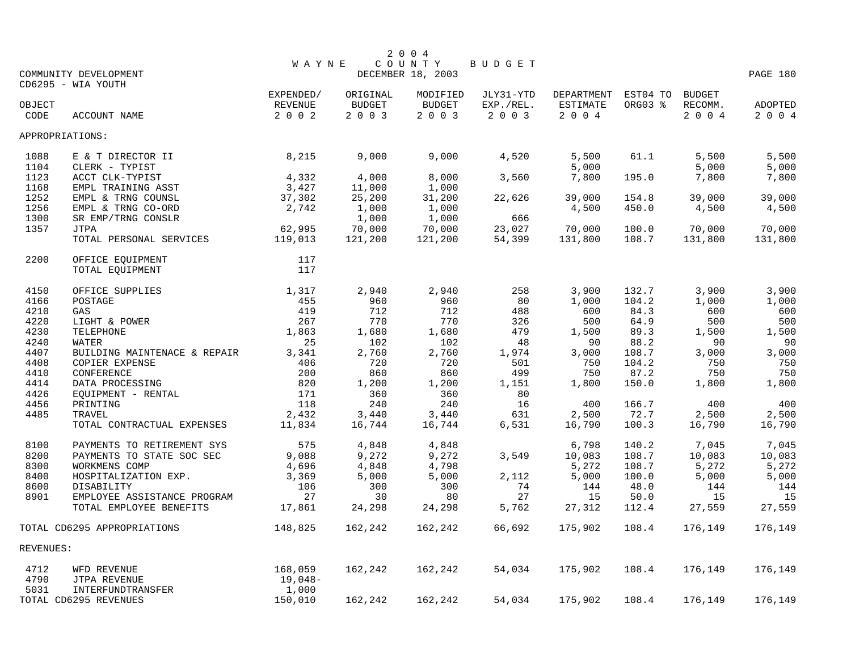|                 |                              |           |               | 2 0 0 4           |           |            |          |               |          |
|-----------------|------------------------------|-----------|---------------|-------------------|-----------|------------|----------|---------------|----------|
|                 |                              | W A Y N E |               | COUNTY            | BUDGET    |            |          |               |          |
|                 | COMMUNITY DEVELOPMENT        |           |               | DECEMBER 18, 2003 |           |            |          |               | PAGE 180 |
|                 | CD6295 - WIA YOUTH           |           |               |                   |           |            |          |               |          |
|                 |                              | EXPENDED/ | ORIGINAL      | MODIFIED          | JLY31-YTD | DEPARTMENT | EST04 TO | <b>BUDGET</b> |          |
| OBJECT          |                              | REVENUE   | <b>BUDGET</b> | <b>BUDGET</b>     | EXP./REL. | ESTIMATE   | ORG03 %  | RECOMM.       | ADOPTED  |
| CODE            | ACCOUNT NAME                 | 2 0 0 2   | 2 0 0 3       | 2 0 0 3           | 2 0 0 3   | 2 0 0 4    |          | 2 0 0 4       | 2 0 0 4  |
| APPROPRIATIONS: |                              |           |               |                   |           |            |          |               |          |
| 1088            | E & T DIRECTOR II            | 8,215     | 9,000         | 9,000             | 4,520     | 5,500      | 61.1     | 5,500         | 5,500    |
| 1104            | CLERK - TYPIST               |           |               |                   |           | 5,000      |          | 5,000         | 5,000    |
| 1123            | ACCT CLK-TYPIST              | 4,332     | 4,000         | 8,000             | 3,560     | 7,800      | 195.0    | 7,800         | 7,800    |
| 1168            | EMPL TRAINING ASST           | 3,427     | 11,000        | 1,000             |           |            |          |               |          |
| 1252            | EMPL & TRNG COUNSL           | 37,302    | 25,200        | 31,200            | 22,626    | 39,000     | 154.8    | 39,000        | 39,000   |
| 1256            | EMPL & TRNG CO-ORD           | 2,742     | 1,000         | 1,000             |           | 4,500      | 450.0    | 4,500         | 4,500    |
| 1300            | SR EMP/TRNG CONSLR           |           | 1,000         | 1,000             | 666       |            |          |               |          |
| 1357            | <b>JTPA</b>                  | 62,995    | 70,000        | 70,000            | 23,027    | 70,000     | 100.0    | 70,000        | 70,000   |
|                 | TOTAL PERSONAL SERVICES      | 119,013   | 121,200       | 121,200           | 54,399    | 131,800    | 108.7    | 131,800       | 131,800  |
| 2200            | OFFICE EQUIPMENT             | 117       |               |                   |           |            |          |               |          |
|                 | TOTAL EQUIPMENT              | 117       |               |                   |           |            |          |               |          |
| 4150            | OFFICE SUPPLIES              | 1,317     | 2,940         | 2,940             | 258       | 3,900      | 132.7    | 3,900         | 3,900    |
| 4166            | POSTAGE                      | 455       | 960           | 960               | 80        | 1,000      | 104.2    | 1,000         | 1,000    |
| 4210            | GAS                          | 419       | 712           | 712               | 488       | 600        | 84.3     | 600           | 600      |
| 4220            | LIGHT & POWER                | 267       | 770           | 770               | 326       | 500        | 64.9     | 500           | 500      |
| 4230            | TELEPHONE                    | 1,863     | 1,680         | 1,680             | 479       | 1,500      | 89.3     | 1,500         | 1,500    |
| 4240            | <b>WATER</b>                 | 25        | 102           | 102               | 48        | 90         | 88.2     | 90            | 90       |
| 4407            | BUILDING MAINTENACE & REPAIR | 3,341     | 2,760         | 2,760             | 1,974     | 3,000      | 108.7    | 3,000         | 3,000    |
| 4408            | COPIER EXPENSE               | 406       | 720           | 720               | 501       | 750        | 104.2    | 750           | 750      |
| 4410            | CONFERENCE                   | 200       | 860           | 860               | 499       | 750        | 87.2     | 750           | 750      |
| 4414            | DATA PROCESSING              | 820       | 1,200         | 1,200             | 1,151     | 1,800      | 150.0    | 1,800         | 1,800    |
| 4426            | EQUIPMENT - RENTAL           | 171       | 360           | 360               | 80        |            |          |               |          |
| 4456            | PRINTING                     | 118       | 240           | 240               | 16        | 400        | 166.7    | 400           | 400      |
| 4485            | TRAVEL                       | 2,432     | 3,440         | 3,440             | 631       | 2,500      | 72.7     | 2,500         | 2,500    |
|                 | TOTAL CONTRACTUAL EXPENSES   | 11,834    | 16,744        | 16,744            | 6,531     | 16,790     | 100.3    | 16,790        | 16,790   |
| 8100            | PAYMENTS TO RETIREMENT SYS   | 575       | 4,848         | 4,848             |           | 6,798      | 140.2    | 7,045         | 7,045    |
| 8200            | PAYMENTS TO STATE SOC SEC    | 9,088     | 9,272         | 9,272             | 3,549     | 10,083     | 108.7    | 10,083        | 10,083   |
| 8300            | WORKMENS COMP                | 4,696     | 4,848         | 4,798             |           | 5,272      | 108.7    | 5,272         | 5,272    |
| 8400            | HOSPITALIZATION EXP.         | 3,369     | 5,000         | 5,000             | 2,112     | 5,000      | 100.0    | 5,000         | 5,000    |
| 8600            | DISABILITY                   | 106       | 300           | 300               | 74        | 144        | 48.0     | 144           | 144      |
| 8901            | EMPLOYEE ASSISTANCE PROGRAM  | 27        | 30            | 80                | 27        | 15         | 50.0     | 15            | 15       |
|                 | TOTAL EMPLOYEE BENEFITS      | 17,861    | 24,298        | 24,298            | 5,762     | 27,312     | 112.4    | 27,559        | 27,559   |
|                 | TOTAL CD6295 APPROPRIATIONS  | 148,825   | 162,242       | 162,242           | 66,692    | 175,902    | 108.4    | 176,149       | 176,149  |
| REVENUES:       |                              |           |               |                   |           |            |          |               |          |
| 4712            | WFD REVENUE                  | 168,059   | 162,242       | 162,242           | 54,034    | 175,902    | 108.4    | 176,149       | 176,149  |
| 4790            | JTPA REVENUE                 | 19,048-   |               |                   |           |            |          |               |          |
| 5031            | INTERFUNDTRANSFER            | 1,000     |               |                   |           |            |          |               |          |
|                 | TOTAL CD6295 REVENUES        | 150,010   | 162,242       | 162,242           | 54,034    | 175,902    | 108.4    | 176,149       | 176,149  |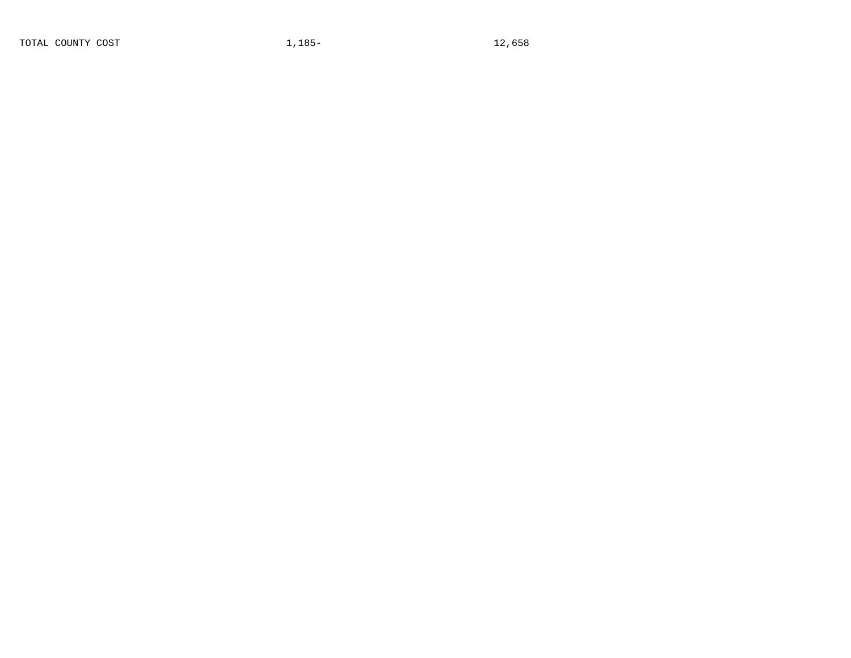TOTAL COUNTY COST 1,185-<br>12,658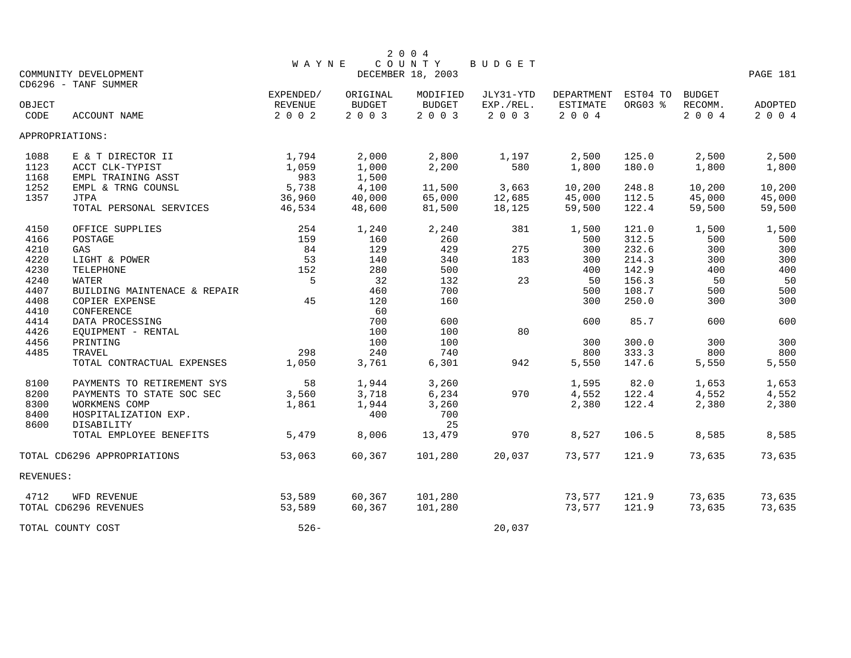|           |                              |              |               | 2 0 0 4           |           |            |          |               |          |
|-----------|------------------------------|--------------|---------------|-------------------|-----------|------------|----------|---------------|----------|
|           |                              | <b>WAYNE</b> |               | COUNTY            | BUDGET    |            |          |               |          |
|           | COMMUNITY DEVELOPMENT        |              |               | DECEMBER 18, 2003 |           |            |          |               | PAGE 181 |
|           | CD6296 - TANF SUMMER         |              |               |                   |           |            |          |               |          |
|           |                              | EXPENDED/    | ORIGINAL      | MODIFIED          | JLY31-YTD | DEPARTMENT | EST04 TO | <b>BUDGET</b> |          |
| OBJECT    |                              | REVENUE      | <b>BUDGET</b> | <b>BUDGET</b>     | EXP./REL. | ESTIMATE   | ORG03 %  | RECOMM.       | ADOPTED  |
| CODE      | ACCOUNT NAME                 | 2 0 0 2      | 2 0 0 3       | 2003              | 2 0 0 3   | 2 0 0 4    |          | 2 0 0 4       | 2 0 0 4  |
|           | APPROPRIATIONS:              |              |               |                   |           |            |          |               |          |
| 1088      | E & T DIRECTOR II            | 1,794        | 2,000         | 2,800             | 1,197     | 2,500      | 125.0    | 2,500         | 2,500    |
| 1123      | ACCT CLK-TYPIST              | 1,059        | 1,000         | 2,200             | 580       | 1,800      | 180.0    | 1,800         | 1,800    |
| 1168      | EMPL TRAINING ASST           | 983          | 1,500         |                   |           |            |          |               |          |
| 1252      | EMPL & TRNG COUNSL           | 5,738        | 4,100         | 11,500            | 3,663     | 10,200     | 248.8    | 10,200        | 10,200   |
| 1357      | <b>JTPA</b>                  | 36,960       | 40,000        | 65,000            | 12,685    | 45,000     | 112.5    | 45,000        | 45,000   |
|           | TOTAL PERSONAL SERVICES      | 46,534       | 48,600        | 81,500            | 18,125    | 59,500     | 122.4    | 59,500        | 59,500   |
| 4150      | OFFICE SUPPLIES              | 254          | 1,240         | 2,240             | 381       | 1,500      | 121.0    | 1,500         | 1,500    |
| 4166      | POSTAGE                      | 159          | 160           | 260               |           | 500        | 312.5    | 500           | 500      |
| 4210      | GAS                          | 84           | 129           | 429               | 275       | 300        | 232.6    | 300           | 300      |
| 4220      | LIGHT & POWER                | 53           | 140           | 340               | 183       | 300        | 214.3    | 300           | 300      |
| 4230      | TELEPHONE                    | 152          | 280           | 500               |           | 400        | 142.9    | 400           | 400      |
| 4240      | WATER                        | 5            | 32            | 132               | 23        | 50         | 156.3    | 50            | 50       |
| 4407      | BUILDING MAINTENACE & REPAIR |              | 460           | 700               |           | 500        | 108.7    | 500           | 500      |
| 4408      | COPIER EXPENSE               | 45           | 120           | 160               |           | 300        | 250.0    | 300           | 300      |
| 4410      | CONFERENCE                   |              | 60            |                   |           |            |          |               |          |
| 4414      | DATA PROCESSING              |              | 700           | 600               |           | 600        | 85.7     | 600           | 600      |
| 4426      | EQUIPMENT - RENTAL           |              | 100           | 100               | 80        |            |          |               |          |
| 4456      | PRINTING                     |              | 100           | 100               |           | 300        | 300.0    | 300           | 300      |
| 4485      | TRAVEL                       | 298          | 240           | 740               |           | 800        | 333.3    | 800           | 800      |
|           | TOTAL CONTRACTUAL EXPENSES   | 1,050        | 3,761         | 6,301             | 942       | 5,550      | 147.6    | 5,550         | 5,550    |
| 8100      | PAYMENTS TO RETIREMENT SYS   | 58           | 1,944         | 3,260             |           | 1,595      | 82.0     | 1,653         | 1,653    |
| 8200      | PAYMENTS TO STATE SOC SEC    | 3,560        | 3,718         | 6,234             | 970       | 4,552      | 122.4    | 4,552         | 4,552    |
| 8300      | WORKMENS COMP                | 1,861        | 1,944         | 3,260             |           | 2,380      | 122.4    | 2,380         | 2,380    |
| 8400      | HOSPITALIZATION EXP.         |              | 400           | 700               |           |            |          |               |          |
| 8600      | DISABILITY                   |              |               | 25                |           |            |          |               |          |
|           | TOTAL EMPLOYEE BENEFITS      | 5,479        | 8,006         | 13,479            | 970       | 8,527      | 106.5    | 8,585         | 8,585    |
|           | TOTAL CD6296 APPROPRIATIONS  | 53,063       | 60,367        | 101,280           | 20,037    | 73,577     | 121.9    | 73,635        | 73,635   |
| REVENUES: |                              |              |               |                   |           |            |          |               |          |
| 4712      | WFD REVENUE                  | 53,589       | 60,367        | 101,280           |           | 73,577     | 121.9    | 73,635        | 73,635   |
|           | TOTAL CD6296 REVENUES        | 53,589       | 60,367        | 101,280           |           | 73,577     | 121.9    | 73,635        | 73,635   |
|           | TOTAL COUNTY COST            | $526 -$      |               |                   | 20,037    |            |          |               |          |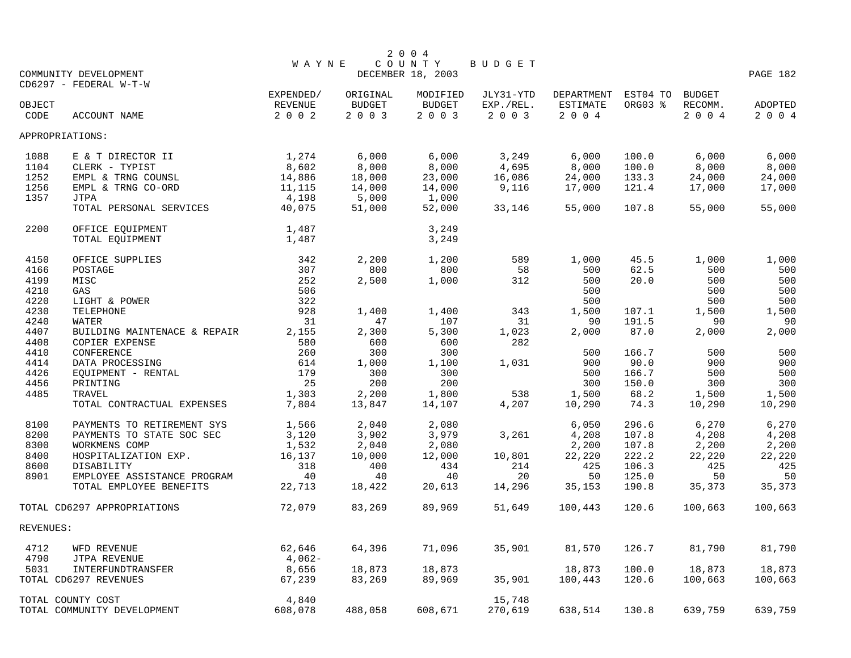|           |                              |                           |                       | 2 0 0 4                  |                      |                    |              |                    |          |
|-----------|------------------------------|---------------------------|-----------------------|--------------------------|----------------------|--------------------|--------------|--------------------|----------|
|           |                              | <b>WAYNE</b>              |                       | COUNTY                   | BUDGET               |                    |              |                    |          |
|           | COMMUNITY DEVELOPMENT        |                           |                       | DECEMBER 18, 2003        |                      |                    |              |                    | PAGE 182 |
|           | CD6297 - FEDERAL W-T-W       |                           |                       |                          |                      |                    |              |                    |          |
|           |                              | EXPENDED/                 | ORIGINAL              | MODIFIED                 | JLY31-YTD            | DEPARTMENT         | EST04 TO     | <b>BUDGET</b>      |          |
| OBJECT    |                              | <b>REVENUE</b><br>2 0 0 2 | <b>BUDGET</b><br>2003 | <b>BUDGET</b><br>2 0 0 3 | EXP./REL.<br>2 0 0 3 | ESTIMATE<br>$2004$ | ORG03 %      | RECOMM.<br>2 0 0 4 | ADOPTED  |
| CODE      | ACCOUNT NAME                 |                           |                       |                          |                      |                    |              |                    | 2 0 0 4  |
|           | APPROPRIATIONS:              |                           |                       |                          |                      |                    |              |                    |          |
| 1088      | E & T DIRECTOR II            | 1,274                     | 6,000                 | 6,000                    | 3,249                | 6,000              | 100.0        | 6,000              | 6,000    |
| 1104      | CLERK - TYPIST               | 8,602                     | 8,000                 | 8,000                    | 4,695                | 8,000              | 100.0        | 8,000              | 8,000    |
| 1252      | EMPL & TRNG COUNSL           | 14,886                    | 18,000                | 23,000                   | 16,086               | 24,000             | 133.3        | 24,000             | 24,000   |
| 1256      | EMPL & TRNG CO-ORD           | 11,115                    | 14,000                | 14,000                   | 9,116                | 17,000             | 121.4        | 17,000             | 17,000   |
| 1357      | <b>JTPA</b>                  | 4,198                     | 5,000                 | 1,000                    |                      |                    |              |                    |          |
|           | TOTAL PERSONAL SERVICES      | 40,075                    | 51,000                | 52,000                   | 33,146               | 55,000             | 107.8        | 55,000             | 55,000   |
| 2200      | OFFICE EQUIPMENT             | 1,487                     |                       | 3,249                    |                      |                    |              |                    |          |
|           | TOTAL EQUIPMENT              | 1,487                     |                       | 3,249                    |                      |                    |              |                    |          |
|           |                              |                           |                       |                          |                      |                    |              |                    |          |
| 4150      | OFFICE SUPPLIES              | 342<br>307                | 2,200                 | 1,200<br>800             | 589                  | 1,000              | 45.5<br>62.5 | 1,000              | 1,000    |
| 4166      | POSTAGE                      |                           | 800                   |                          | 58                   | 500                |              | 500                | 500      |
| 4199      | MISC                         | 252                       | 2,500                 | 1,000                    | 312                  | 500                | 20.0         | 500                | 500      |
| 4210      | GAS                          | 506                       |                       |                          |                      | 500                |              | 500                | 500      |
| 4220      | LIGHT & POWER                | 322                       |                       |                          |                      | 500                |              | 500                | 500      |
| 4230      | TELEPHONE                    | 928                       | 1,400                 | 1,400                    | 343                  | 1,500              | 107.1        | 1,500              | 1,500    |
| 4240      | WATER                        | 31                        | 47                    | 107                      | 31                   | 90                 | 191.5        | 90                 | 90       |
| 4407      | BUILDING MAINTENACE & REPAIR | 2,155                     | 2,300                 | 5,300                    | 1,023                | 2,000              | 87.0         | 2,000              | 2,000    |
| 4408      | <b>COPIER EXPENSE</b>        | 580                       | 600                   | 600                      | 282                  |                    |              |                    |          |
| 4410      | CONFERENCE                   | 260                       | 300                   | 300                      |                      | 500                | 166.7        | 500                | 500      |
| 4414      | DATA PROCESSING              | 614                       | 1,000                 | 1,100                    | 1,031                | 900                | 90.0         | 900                | 900      |
| 4426      | EQUIPMENT - RENTAL           | 179                       | 300                   | 300                      |                      | 500                | 166.7        | 500                | 500      |
| 4456      | PRINTING                     | 25                        | 200                   | 200                      |                      | 300                | 150.0        | 300                | 300      |
| 4485      | TRAVEL                       | 1,303                     | 2,200                 | 1,800                    | 538                  | 1,500              | 68.2         | 1,500              | 1,500    |
|           | TOTAL CONTRACTUAL EXPENSES   | 7,804                     | 13,847                | 14,107                   | 4,207                | 10,290             | 74.3         | 10,290             | 10,290   |
| 8100      | PAYMENTS TO RETIREMENT SYS   | 1,566                     | 2,040                 | 2,080                    |                      | 6,050              | 296.6        | 6,270              | 6,270    |
| 8200      | PAYMENTS TO STATE SOC SEC    | 3,120                     | 3,902                 | 3,979                    | 3,261                | 4,208              | 107.8        | 4,208              | 4,208    |
| 8300      | WORKMENS COMP                | 1,532                     | 2,040                 | 2,080                    |                      | 2,200              | 107.8        | 2,200              | 2,200    |
| 8400      | HOSPITALIZATION EXP.         | 16,137                    | 10,000                | 12,000                   | 10,801               | 22,220             | 222.2        | 22,220             | 22,220   |
| 8600      | DISABILITY                   | 318                       | 400                   | 434                      | 214                  | 425                | 106.3        | 425                | 425      |
| 8901      | EMPLOYEE ASSISTANCE PROGRAM  | 40                        | 40                    | 40                       | 20                   | 50                 | 125.0        | 50                 | 50       |
|           | TOTAL EMPLOYEE BENEFITS      | 22,713                    | 18,422                | 20,613                   | 14,296               | 35,153             | 190.8        | 35,373             | 35,373   |
|           | TOTAL CD6297 APPROPRIATIONS  | 72,079                    | 83,269                | 89,969                   | 51,649               | 100,443            | 120.6        | 100,663            | 100,663  |
| REVENUES: |                              |                           |                       |                          |                      |                    |              |                    |          |
|           |                              |                           |                       |                          |                      |                    |              |                    |          |
| 4712      | WFD REVENUE                  | 62,646                    | 64,396                | 71,096                   | 35,901               | 81,570             | 126.7        | 81,790             | 81,790   |
| 4790      | JTPA REVENUE                 | $4,062-$                  |                       |                          |                      |                    |              |                    |          |
| 5031      | INTERFUNDTRANSFER            | 8,656                     | 18,873                | 18,873                   |                      | 18,873             | 100.0        | 18,873             | 18,873   |
|           | TOTAL CD6297 REVENUES        | 67,239                    | 83,269                | 89,969                   | 35,901               | 100,443            | 120.6        | 100,663            | 100,663  |
|           | TOTAL COUNTY COST            | 4,840                     |                       |                          | 15,748               |                    |              |                    |          |
|           | TOTAL COMMUNITY DEVELOPMENT  | 608,078                   | 488,058               | 608,671                  | 270,619              | 638,514            | 130.8        | 639,759            | 639,759  |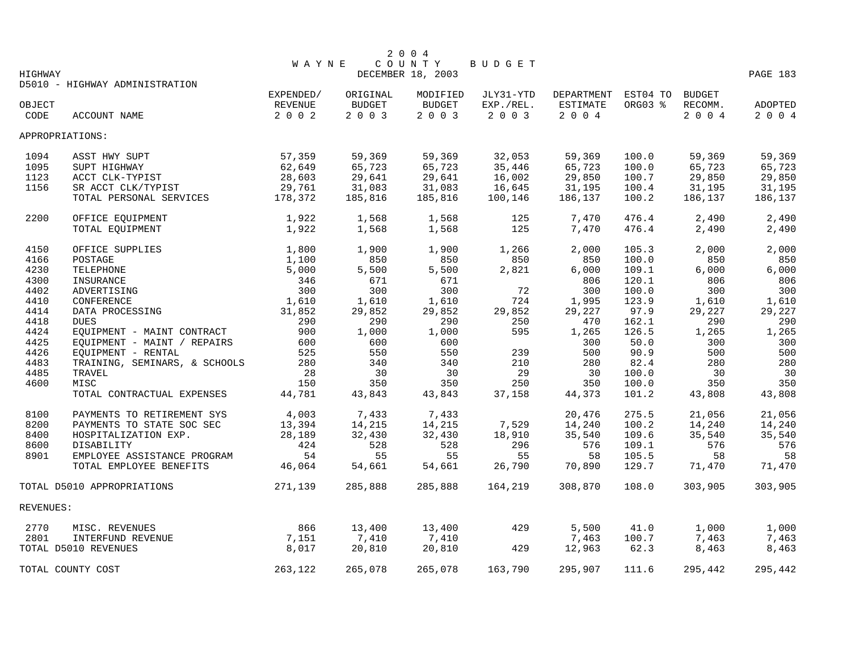|                |                                |                           |                       | 2 0 0 4                  |                      |                         |                     |                 |                    |
|----------------|--------------------------------|---------------------------|-----------------------|--------------------------|----------------------|-------------------------|---------------------|-----------------|--------------------|
|                |                                | <b>WAYNE</b>              |                       | COUNTY                   | BUDGET               |                         |                     |                 |                    |
| HIGHWAY        |                                |                           |                       | DECEMBER 18, 2003        |                      |                         |                     |                 | PAGE 183           |
|                | D5010 - HIGHWAY ADMINISTRATION |                           |                       |                          |                      |                         |                     |                 |                    |
|                |                                | EXPENDED/                 | ORIGINAL              | MODIFIED                 | JLY31-YTD            | DEPARTMENT              | EST04 TO<br>ORG03 % | <b>BUDGET</b>   |                    |
| OBJECT<br>CODE | <b>ACCOUNT NAME</b>            | <b>REVENUE</b><br>2 0 0 2 | <b>BUDGET</b><br>2003 | <b>BUDGET</b><br>2 0 0 3 | EXP./REL.<br>2 0 0 3 | <b>ESTIMATE</b><br>2004 |                     | RECOMM.<br>2004 | ADOPTED<br>2 0 0 4 |
|                |                                |                           |                       |                          |                      |                         |                     |                 |                    |
|                | APPROPRIATIONS:                |                           |                       |                          |                      |                         |                     |                 |                    |
| 1094           | ASST HWY SUPT                  | 57,359                    | 59,369                | 59,369                   | 32,053               | 59,369                  | 100.0               | 59,369          | 59,369             |
| 1095           | SUPT HIGHWAY                   | 62,649                    | 65,723                | 65,723                   | 35,446               | 65,723                  | 100.0               | 65,723          | 65,723             |
| 1123           | ACCT CLK-TYPIST                | 28,603                    | 29,641                | 29,641                   | 16,002               | 29,850                  | 100.7               | 29,850          | 29,850             |
| 1156           | SR ACCT CLK/TYPIST             | 29,761                    | 31,083                | 31,083                   | 16,645               | 31,195                  | 100.4               | 31,195          | 31,195             |
|                | TOTAL PERSONAL SERVICES        | 178,372                   | 185,816               | 185,816                  | 100,146              | 186,137                 | 100.2               | 186,137         | 186,137            |
| 2200           | OFFICE EQUIPMENT               | 1,922                     | 1,568                 | 1,568                    | 125                  | 7,470                   | 476.4               | 2,490           | 2,490              |
|                | TOTAL EQUIPMENT                | 1,922                     | 1,568                 | 1,568                    | 125                  | 7,470                   | 476.4               | 2,490           | 2,490              |
| 4150           | OFFICE SUPPLIES                | 1,800                     | 1,900                 | 1,900                    | 1,266                | 2,000                   | 105.3               | 2,000           | 2,000              |
| 4166           | POSTAGE                        | 1,100                     | 850                   | 850                      | 850                  | 850                     | 100.0               | 850             | 850                |
| 4230           | TELEPHONE                      | 5,000                     | 5,500                 | 5,500                    | 2,821                | 6,000                   | 109.1               | 6,000           | 6,000              |
| 4300           | INSURANCE                      | 346                       | 671                   | 671                      |                      | 806                     | 120.1               | 806             | 806                |
| 4402           |                                | 300                       | 300                   | 300                      |                      |                         |                     |                 |                    |
|                | ADVERTISING                    |                           |                       |                          | 72                   | 300                     | 100.0               | 300             | 300                |
| 4410           | CONFERENCE                     | 1,610                     | 1,610                 | 1,610                    | 724                  | 1,995                   | 123.9               | 1,610           | 1,610              |
| 4414           | DATA PROCESSING                | 31,852                    | 29,852                | 29,852                   | 29,852               | 29,227                  | 97.9                | 29,227          | 29,227             |
| 4418           | <b>DUES</b>                    | 290                       | 290                   | 290                      | 250                  | 470                     | 162.1               | 290             | 290                |
| 4424           | EQUIPMENT - MAINT CONTRACT     | 900                       | 1,000                 | 1,000                    | 595                  | 1,265                   | 126.5               | 1,265           | 1,265              |
| 4425           | EQUIPMENT - MAINT / REPAIRS    | 600                       | 600                   | 600                      |                      | 300                     | 50.0                | 300             | 300                |
| 4426           | EQUIPMENT - RENTAL             | 525                       | 550                   | 550                      | 239                  | 500                     | 90.9                | 500             | 500                |
| 4483           | TRAINING, SEMINARS, & SCHOOLS  | 280                       | 340                   | 340                      | 210                  | 280                     | 82.4                | 280             | 280                |
| 4485           | TRAVEL                         | 28                        | 30                    | 30                       | 29                   | 30                      | 100.0               | 30              | 30                 |
| 4600           | MISC                           | 150                       | 350                   | 350                      | 250                  | 350                     | 100.0               | 350             | 350                |
|                | TOTAL CONTRACTUAL EXPENSES     | 44,781                    | 43,843                | 43,843                   | 37,158               | 44,373                  | 101.2               | 43,808          | 43,808             |
| 8100           | PAYMENTS TO RETIREMENT SYS     | 4,003                     | 7,433                 | 7,433                    |                      | 20,476                  | 275.5               | 21,056          | 21,056             |
| 8200           | PAYMENTS TO STATE SOC SEC      | 13,394                    | 14,215                | 14,215                   | 7,529                | 14,240                  | 100.2               | 14,240          | 14,240             |
| 8400           | HOSPITALIZATION EXP.           | 28,189                    | 32,430                | 32,430                   | 18,910               | 35,540                  | 109.6               | 35,540          | 35,540             |
| 8600           | DISABILITY                     | 424                       | 528                   | 528                      | 296                  | 576                     | 109.1               | 576             | 576                |
| 8901           | EMPLOYEE ASSISTANCE PROGRAM    | 54                        | 55                    | 55                       | 55                   | 58                      | 105.5               | 58              | 58                 |
|                | TOTAL EMPLOYEE BENEFITS        | 46,064                    | 54,661                | 54,661                   | 26,790               | 70,890                  | 129.7               | 71,470          | 71,470             |
|                | TOTAL D5010 APPROPRIATIONS     | 271,139                   | 285,888               | 285,888                  | 164,219              | 308,870                 | 108.0               | 303,905         | 303,905            |
| REVENUES:      |                                |                           |                       |                          |                      |                         |                     |                 |                    |
| 2770           | MISC. REVENUES                 | 866                       | 13,400                | 13,400                   | 429                  | 5,500                   | 41.0                | 1,000           | 1,000              |
| 2801           | INTERFUND REVENUE              | 7,151                     | 7,410                 | 7,410                    |                      | 7,463                   | 100.7               | 7,463           | 7,463              |
|                | TOTAL D5010 REVENUES           | 8,017                     | 20,810                | 20,810                   | 429                  | 12,963                  | 62.3                | 8,463           | 8,463              |
|                | TOTAL COUNTY COST              | 263,122                   | 265,078               | 265,078                  | 163,790              | 295,907                 | 111.6               | 295,442         | 295,442            |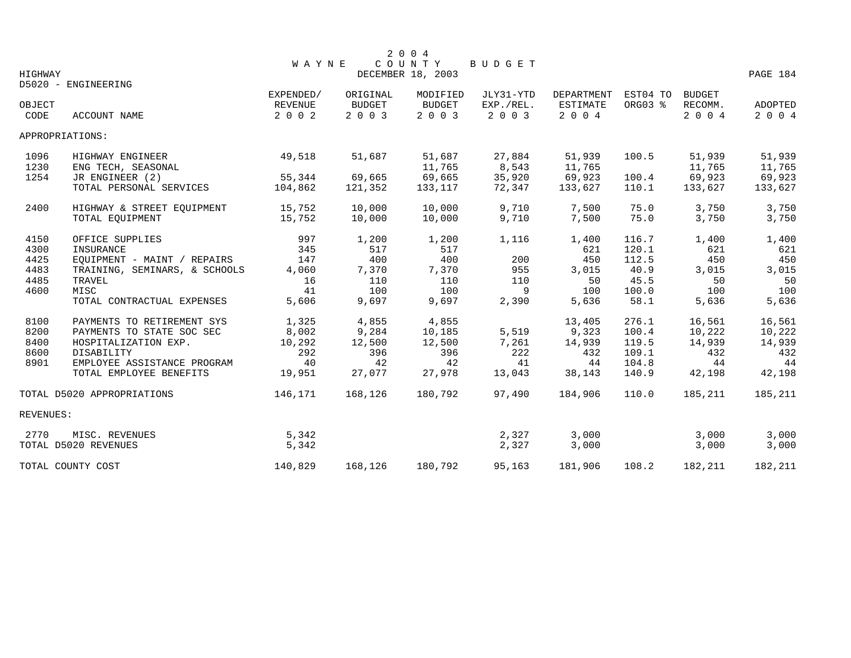|                |                               | WAYNE                     |                          | 2 0 0 4<br>$C$ $0$ $U$ $N$ $T$ $Y$ | BUDGET               |                            |          |                    |                    |
|----------------|-------------------------------|---------------------------|--------------------------|------------------------------------|----------------------|----------------------------|----------|--------------------|--------------------|
| <b>HIGHWAY</b> |                               |                           |                          | DECEMBER 18, 2003                  |                      |                            |          |                    | PAGE 184           |
|                | D5020 - ENGINEERING           |                           |                          |                                    |                      |                            |          |                    |                    |
|                |                               | EXPENDED/                 | ORIGINAL                 | MODIFIED                           | JLY31-YTD            | DEPARTMENT                 | EST04 TO | <b>BUDGET</b>      |                    |
| OBJECT<br>CODE | <b>ACCOUNT NAME</b>           | <b>REVENUE</b><br>2 0 0 2 | <b>BUDGET</b><br>2 0 0 3 | <b>BUDGET</b><br>2 0 0 3           | EXP./REL.<br>2 0 0 3 | <b>ESTIMATE</b><br>2 0 0 4 | ORG03 %  | RECOMM.<br>2 0 0 4 | ADOPTED<br>2 0 0 4 |
|                |                               |                           |                          |                                    |                      |                            |          |                    |                    |
|                | APPROPRIATIONS:               |                           |                          |                                    |                      |                            |          |                    |                    |
| 1096           | HIGHWAY ENGINEER              | 49,518                    | 51,687                   | 51,687                             | 27,884               | 51,939                     | 100.5    | 51,939             | 51,939             |
| 1230           | ENG TECH, SEASONAL            |                           |                          | 11,765                             | 8,543                | 11,765                     |          | 11,765             | 11,765             |
| 1254           | JR ENGINEER (2)               | 55,344                    | 69,665                   | 69,665                             | 35,920               | 69,923                     | 100.4    | 69,923             | 69,923             |
|                | TOTAL PERSONAL SERVICES       | 104,862                   | 121,352                  | 133,117                            | 72,347               | 133,627                    | 110.1    | 133,627            | 133,627            |
| 2400           | HIGHWAY & STREET EQUIPMENT    | 15,752                    | 10,000                   | 10,000                             | 9,710                | 7,500                      | 75.0     | 3,750              | 3,750              |
|                | TOTAL EOUIPMENT               | 15,752                    | 10,000                   | 10,000                             | 9,710                | 7,500                      | 75.0     | 3,750              | 3,750              |
| 4150           | OFFICE SUPPLIES               | 997                       | 1,200                    | 1,200                              | 1,116                | 1,400                      | 116.7    | 1,400              | 1,400              |
| 4300           | INSURANCE                     | 345                       | 517                      | 517                                |                      | 621                        | 120.1    | 621                | 621                |
| 4425           | EQUIPMENT - MAINT / REPAIRS   | 147                       | 400                      | 400                                | 200                  | 450                        | 112.5    | 450                | 450                |
| 4483           | TRAINING, SEMINARS, & SCHOOLS | 4,060                     | 7,370                    | 7,370                              | 955                  | 3,015                      | 40.9     | 3,015              | 3,015              |
| 4485           | TRAVEL                        | 16                        | 110                      | 110                                | 110                  | 50                         | 45.5     | 50                 | 50                 |
| 4600           | MISC                          | 41                        | 100                      | 100                                | 9                    | 100                        | 100.0    | 100                | 100                |
|                | TOTAL CONTRACTUAL EXPENSES    | 5,606                     | 9,697                    | 9,697                              | 2,390                | 5,636                      | 58.1     | 5,636              | 5,636              |
| 8100           | PAYMENTS TO RETIREMENT SYS    | 1,325                     | 4,855                    | 4,855                              |                      | 13,405                     | 276.1    | 16,561             | 16,561             |
| 8200           | PAYMENTS TO STATE SOC SEC     | 8,002                     | 9,284                    | 10,185                             | 5,519                | 9,323                      | 100.4    | 10,222             | 10,222             |
| 8400           | HOSPITALIZATION EXP.          | 10,292                    | 12,500                   | 12,500                             | 7,261                | 14,939                     | 119.5    | 14,939             | 14,939             |
| 8600           | DISABILITY                    | 292                       | 396                      | 396                                | 222                  | 432                        | 109.1    | 432                | 432                |
| 8901           | EMPLOYEE ASSISTANCE PROGRAM   | 40                        | 42                       | 42                                 | 41                   | 44                         | 104.8    | 44                 | 44                 |
|                | TOTAL EMPLOYEE BENEFITS       | 19,951                    | 27,077                   | 27,978                             | 13,043               | 38,143                     | 140.9    | 42,198             | 42,198             |
|                | TOTAL D5020 APPROPRIATIONS    | 146,171                   | 168,126                  | 180,792                            | 97,490               | 184,906                    | 110.0    | 185,211            | 185,211            |
| REVENUES:      |                               |                           |                          |                                    |                      |                            |          |                    |                    |
| 2770           | MISC. REVENUES                | 5,342                     |                          |                                    | 2,327                | 3,000                      |          | 3,000              | 3,000              |
|                | TOTAL D5020 REVENUES          | 5,342                     |                          |                                    | 2,327                | 3,000                      |          | 3,000              | 3,000              |
|                | TOTAL COUNTY COST             | 140,829                   | 168,126                  | 180,792                            | 95,163               | 181,906                    | 108.2    | 182,211            | 182,211            |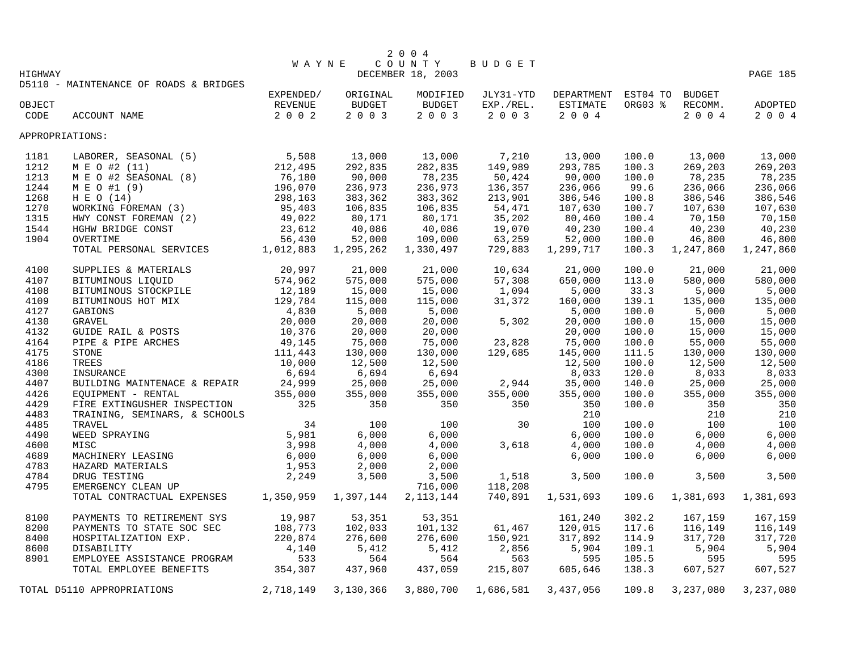|                 |                                        |                |           | 2 0 0 4           |           |                            |         |           |           |
|-----------------|----------------------------------------|----------------|-----------|-------------------|-----------|----------------------------|---------|-----------|-----------|
|                 |                                        | <b>WAYNE</b>   |           | COUNTY            | BUDGET    |                            |         |           |           |
| HIGHWAY         | D5110 - MAINTENANCE OF ROADS & BRIDGES |                |           | DECEMBER 18, 2003 |           |                            |         |           | PAGE 185  |
|                 |                                        | EXPENDED/      | ORIGINAL  | MODIFIED          | JLY31-YTD | DEPARTMENT EST04 TO BUDGET |         |           |           |
| OBJECT          |                                        | <b>REVENUE</b> | BUDGET    | BUDGET            | EXP./REL. | ESTIMATE                   | ORG03 % | RECOMM.   | ADOPTED   |
| CODE            | ACCOUNT NAME                           | 2 0 0 2        | 2 0 0 3   | 2003              | 2003      | 2 0 0 4                    |         | 2 0 0 4   | 2 0 0 4   |
|                 |                                        |                |           |                   |           |                            |         |           |           |
| APPROPRIATIONS: |                                        |                |           |                   |           |                            |         |           |           |
| 1181            | LABORER, SEASONAL (5)                  | 5,508          | 13,000    | 13,000            | 7,210     | 13,000                     | 100.0   | 13,000    | 13,000    |
| 1212            | M E O #2 (11)                          | 212,495        | 292,835   | 282,835           | 149,989   | 293,785                    | 100.3   | 269,203   | 269,203   |
| 1213            | M E O #2 SEASONAL (8)                  | 76,180         | 90,000    | 78,235            | 50,424    | 90,000                     | 100.0   | 78,235    | 78,235    |
| 1244            | M E O #1 (9)                           | 196,070        | 236,973   | 236,973           | 136,357   | 236,066                    | 99.6    | 236,066   | 236,066   |
| 1268            | H E O (14)                             | 298,163        | 383,362   | 383,362           | 213,901   | 386,546                    | 100.8   | 386,546   | 386,546   |
| 1270            | WORKING FOREMAN (3)                    | 95,403         | 106,835   | 106,835           | 54,471    | 107,630                    | 100.7   | 107,630   | 107,630   |
| 1315            | HWY CONST FOREMAN (2)                  | 49,022         | 80,171    | 80,171            | 35,202    | 80,460                     | 100.4   | 70,150    | 70,150    |
| 1544            | HGHW BRIDGE CONST                      | 23,612         | 40,086    | 40,086            | 19,070    | 40,230                     | 100.4   | 40,230    | 40,230    |
| 1904            | OVERTIME                               | 56,430         | 52,000    | 109,000           | 63,259    | 52,000                     | 100.0   | 46,800    | 46,800    |
|                 | TOTAL PERSONAL SERVICES                | 1,012,883      | 1,295,262 | 1,330,497         | 729,883   | 1,299,717                  | 100.3   | 1,247,860 | 1,247,860 |
| 4100            | SUPPLIES & MATERIALS                   | 20,997         | 21,000    | 21,000            | 10,634    | 21,000                     | 100.0   | 21,000    | 21,000    |
| 4107            | BITUMINOUS LIQUID                      | 574,962        | 575,000   | 575,000           | 57,308    | 650,000                    | 113.0   | 580,000   | 580,000   |
| 4108            | BITUMINOUS STOCKPILE                   | 12,189         | 15,000    | 15,000            | 1,094     | 5,000                      | 33.3    | 5,000     | 5,000     |
| 4109            | BITUMINOUS HOT MIX                     | 129,784        | 115,000   | 115,000           | 31,372    | 160,000                    | 139.1   | 135,000   | 135,000   |
| 4127            | GABIONS                                | 4,830          | 5,000     | 5,000             |           | 5,000                      | 100.0   | 5,000     | 5,000     |
| 4130            | <b>GRAVEL</b>                          | 20,000         | 20,000    | 20,000            | 5,302     | 20,000                     | 100.0   | 15,000    | 15,000    |
| 4132            | GUIDE RAIL & POSTS                     | 10,376         | 20,000    | 20,000            |           | 20,000                     | 100.0   | 15,000    | 15,000    |
| 4164            | PIPE & PIPE ARCHES                     | 49,145         | 75,000    | 75,000            | 23,828    | 75,000                     | 100.0   | 55,000    | 55,000    |
| 4175            | STONE                                  | 111,443        | 130,000   | 130,000           | 129,685   | 145,000                    | 111.5   | 130,000   | 130,000   |
| 4186            | TREES                                  | 10,000         | 12,500    | 12,500            |           | 12,500                     | 100.0   | 12,500    | 12,500    |
| 4300            | INSURANCE                              | 6,694          | 6,694     | 6,694             |           | 8,033                      | 120.0   | 8,033     | 8,033     |
| 4407            | BUILDING MAINTENACE & REPAIR           | 24,999         | 25,000    | 25,000            | 2,944     | 35,000                     | 140.0   | 25,000    | 25,000    |
| 4426            | EQUIPMENT - RENTAL                     | 355,000        | 355,000   | 355,000           | 355,000   | 355,000                    | 100.0   | 355,000   | 355,000   |
| 4429            | FIRE EXTINGUSHER INSPECTION            | 325            | 350       | 350               | 350       | 350                        | 100.0   | 350       | 350       |
| 4483            | TRAINING, SEMINARS, & SCHOOLS          |                |           |                   |           | 210                        |         | 210       | 210       |
| 4485            | TRAVEL                                 | 34             | 100       | 100               | 30        | 100                        | 100.0   | 100       | 100       |
| 4490            | WEED SPRAYING                          | 5,981          | 6,000     | 6,000             |           | 6,000                      | 100.0   | 6,000     | 6,000     |
| 4600            | MISC                                   | 3,998          | 4,000     | 4,000             | 3,618     | 4,000                      | 100.0   | 4,000     | 4,000     |
| 4689            | MACHINERY LEASING                      | 6,000          | 6,000     | 6,000             |           | 6,000                      | 100.0   | 6,000     | 6,000     |
| 4783            | HAZARD MATERIALS                       | 1,953          | 2,000     | 2,000             |           |                            |         |           |           |
| 4784            | DRUG TESTING                           | 2,249          | 3,500     | 3,500             | 1,518     | 3,500                      | 100.0   | 3,500     | 3,500     |
| 4795            | EMERGENCY CLEAN UP                     |                |           | 716,000           | 118,208   |                            |         |           |           |
|                 | TOTAL CONTRACTUAL EXPENSES             | 1,350,959      | 1,397,144 | 2, 113, 144       | 740,891   | 1,531,693                  | 109.6   | 1,381,693 | 1,381,693 |
|                 |                                        |                |           |                   |           |                            |         |           |           |
| 8100            | PAYMENTS TO RETIREMENT SYS             | 19,987         | 53,351    | 53,351            |           | 161,240                    | 302.2   | 167,159   | 167,159   |
| 8200            | PAYMENTS TO STATE SOC SEC              | 108,773        | 102,033   | 101,132           | 61,467    | 120,015                    | 117.6   | 116,149   | 116,149   |
| 8400            | HOSPITALIZATION EXP.                   | 220,874        | 276,600   | 276,600           | 150,921   | 317,892                    | 114.9   | 317,720   | 317,720   |
| 8600            | DISABILITY                             | 4,140          | 5,412     | 5,412             | 2,856     | 5,904                      | 109.1   | 5,904     | 5,904     |
| 8901            | EMPLOYEE ASSISTANCE PROGRAM            | 533            | 564       | 564               | 563       | 595                        | 105.5   | 595       | 595       |
|                 | TOTAL EMPLOYEE BENEFITS                | 354,307        | 437,960   | 437,059           | 215,807   | 605,646                    | 138.3   | 607,527   | 607,527   |
|                 | TOTAL D5110 APPROPRIATIONS             | 2,718,149      | 3,130,366 | 3,880,700         | 1,686,581 | 3,437,056                  | 109.8   | 3,237,080 | 3,237,080 |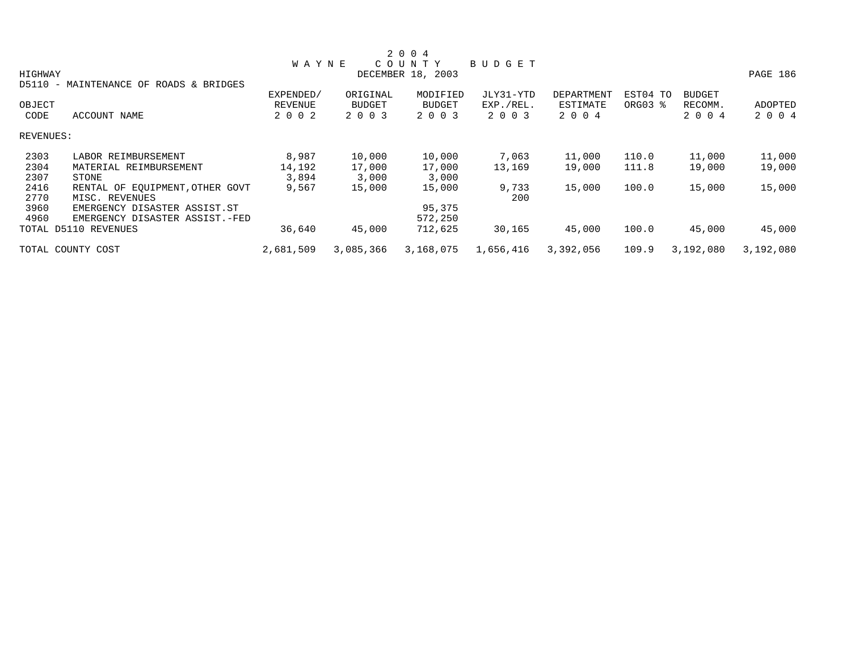|           |                                                            |                |               | 2 0 0 4           |           |            |          |               |           |
|-----------|------------------------------------------------------------|----------------|---------------|-------------------|-----------|------------|----------|---------------|-----------|
|           |                                                            | <b>WAYNE</b>   |               | COUNTY            | BUDGET    |            |          |               |           |
| HIGHWAY   |                                                            |                |               | DECEMBER 18, 2003 |           |            |          |               | PAGE 186  |
| D5110     | MAINTENANCE OF ROADS & BRIDGES<br>$\overline{\phantom{0}}$ |                |               |                   |           |            |          |               |           |
|           |                                                            | EXPENDED/      | ORIGINAL      | MODIFIED          | JLY31-YTD | DEPARTMENT | EST04 TO | <b>BUDGET</b> |           |
| OBJECT    |                                                            | <b>REVENUE</b> | <b>BUDGET</b> | <b>BUDGET</b>     | EXP./REL. | ESTIMATE   | ORG03 %  | RECOMM.       | ADOPTED   |
| CODE      | ACCOUNT NAME                                               | 2 0 0 2        | 2 0 0 3       | 2 0 0 3           | 2 0 0 3   | 2 0 0 4    |          | 2 0 0 4       | 2 0 0 4   |
| REVENUES: |                                                            |                |               |                   |           |            |          |               |           |
| 2303      | LABOR REIMBURSEMENT                                        | 8,987          | 10,000        | 10,000            | 7,063     | 11,000     | 110.0    | 11,000        | 11,000    |
| 2304      | MATERIAL REIMBURSEMENT                                     | 14,192         | 17,000        | 17,000            | 13,169    | 19,000     | 111.8    | 19,000        | 19,000    |
| 2307      | STONE                                                      | 3,894          | 3,000         | 3,000             |           |            |          |               |           |
| 2416      | RENTAL OF EOUIPMENT, OTHER GOVT                            | 9,567          | 15,000        | 15,000            | 9,733     | 15,000     | 100.0    | 15,000        | 15,000    |
| 2770      | MISC. REVENUES                                             |                |               |                   | 200       |            |          |               |           |
| 3960      | EMERGENCY DISASTER ASSIST.ST                               |                |               | 95,375            |           |            |          |               |           |
| 4960      | EMERGENCY DISASTER ASSIST.-FED                             |                |               | 572,250           |           |            |          |               |           |
|           | TOTAL D5110 REVENUES                                       | 36,640         | 45,000        | 712,625           | 30,165    | 45,000     | 100.0    | 45,000        | 45,000    |
|           | TOTAL COUNTY COST                                          | 2,681,509      | 3,085,366     | 3,168,075         | 1,656,416 | 3,392,056  | 109.9    | 3,192,080     | 3,192,080 |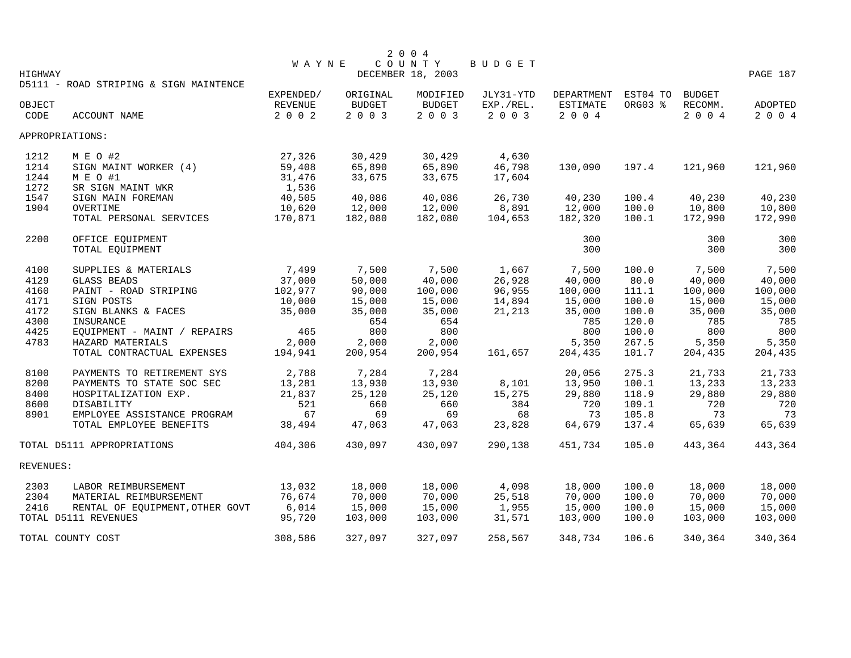|           |                                        |              |               | 2 0 0 4           |           |            |          |               |          |
|-----------|----------------------------------------|--------------|---------------|-------------------|-----------|------------|----------|---------------|----------|
|           |                                        | <b>WAYNE</b> |               | COUNTY            | BUDGET    |            |          |               |          |
| HIGHWAY   |                                        |              |               | DECEMBER 18, 2003 |           |            |          |               | PAGE 187 |
|           | D5111 - ROAD STRIPING & SIGN MAINTENCE |              |               |                   |           |            |          |               |          |
|           |                                        | EXPENDED/    | ORIGINAL      | MODIFIED          | JLY31-YTD | DEPARTMENT | EST04 TO | <b>BUDGET</b> |          |
| OBJECT    |                                        | REVENUE      | <b>BUDGET</b> | <b>BUDGET</b>     | EXP./REL. | ESTIMATE   | ORG03 %  | RECOMM.       | ADOPTED  |
| CODE      | ACCOUNT NAME                           | 2002         | 2003          | 2003              | 2 0 0 3   | $2 0 0 4$  |          | 2004          | 2 0 0 4  |
|           | APPROPRIATIONS:                        |              |               |                   |           |            |          |               |          |
| 1212      | M E O #2                               | 27,326       | 30,429        | 30,429            | 4,630     |            |          |               |          |
| 1214      | SIGN MAINT WORKER (4)                  | 59,408       | 65,890        | 65,890            | 46,798    | 130,090    | 197.4    | 121,960       | 121,960  |
| 1244      | M E O #1                               | 31,476       | 33,675        | 33,675            | 17,604    |            |          |               |          |
| 1272      | SR SIGN MAINT WKR                      | 1,536        |               |                   |           |            |          |               |          |
| 1547      | SIGN MAIN FOREMAN                      | 40,505       | 40,086        | 40,086            | 26,730    | 40,230     | 100.4    | 40,230        | 40,230   |
| 1904      | OVERTIME                               | 10,620       | 12,000        | 12,000            | 8,891     | 12,000     | 100.0    | 10,800        | 10,800   |
|           | TOTAL PERSONAL SERVICES                | 170,871      | 182,080       | 182,080           | 104,653   | 182,320    | 100.1    | 172,990       | 172,990  |
| 2200      | OFFICE EQUIPMENT                       |              |               |                   |           | 300        |          | 300           | 300      |
|           | TOTAL EQUIPMENT                        |              |               |                   |           | 300        |          | 300           | 300      |
| 4100      | SUPPLIES & MATERIALS                   | 7,499        | 7,500         | 7,500             | 1,667     | 7,500      | 100.0    | 7,500         | 7,500    |
| 4129      | <b>GLASS BEADS</b>                     | 37,000       | 50,000        | 40,000            | 26,928    | 40,000     | 80.0     | 40,000        | 40,000   |
| 4160      | PAINT - ROAD STRIPING                  | 102,977      | 90,000        | 100,000           | 96,955    | 100,000    | 111.1    | 100,000       | 100,000  |
| 4171      | SIGN POSTS                             | 10,000       | 15,000        | 15,000            | 14,894    | 15,000     | 100.0    | 15,000        | 15,000   |
| 4172      | SIGN BLANKS & FACES                    | 35,000       | 35,000        | 35,000            | 21,213    | 35,000     | 100.0    | 35,000        | 35,000   |
| 4300      | INSURANCE                              |              | 654           | 654               |           | 785        | 120.0    | 785           | 785      |
| 4425      | EQUIPMENT - MAINT / REPAIRS            | 465          | 800           | 800               |           | 800        | 100.0    | 800           | 800      |
| 4783      | HAZARD MATERIALS                       | 2,000        | 2,000         | 2,000             |           | 5,350      | 267.5    | 5,350         | 5,350    |
|           | TOTAL CONTRACTUAL EXPENSES             | 194,941      | 200,954       | 200,954           | 161,657   | 204,435    | 101.7    | 204,435       | 204,435  |
| 8100      | PAYMENTS TO RETIREMENT SYS             | 2,788        | 7,284         | 7,284             |           | 20,056     | 275.3    | 21,733        | 21,733   |
| 8200      | PAYMENTS TO STATE SOC SEC              | 13,281       | 13,930        | 13,930            | 8,101     | 13,950     | 100.1    | 13,233        | 13,233   |
| 8400      | HOSPITALIZATION EXP.                   | 21,837       | 25,120        | 25,120            | 15,275    | 29,880     | 118.9    | 29,880        | 29,880   |
| 8600      | DISABILITY                             | 521          | 660           | 660               | 384       | 720        | 109.1    | 720           | 720      |
| 8901      | EMPLOYEE ASSISTANCE PROGRAM            | 67           | 69            | 69                | 68        | 73         | 105.8    | 73            | 73       |
|           | TOTAL EMPLOYEE BENEFITS                | 38,494       | 47,063        | 47,063            | 23,828    | 64,679     | 137.4    | 65,639        | 65,639   |
|           | TOTAL D5111 APPROPRIATIONS             | 404,306      | 430,097       | 430,097           | 290,138   | 451,734    | 105.0    | 443,364       | 443,364  |
| REVENUES: |                                        |              |               |                   |           |            |          |               |          |
| 2303      | LABOR REIMBURSEMENT                    | 13,032       | 18,000        | 18,000            | 4,098     | 18,000     | 100.0    | 18,000        | 18,000   |
| 2304      | MATERIAL REIMBURSEMENT                 | 76,674       | 70,000        | 70,000            | 25,518    | 70,000     | 100.0    | 70,000        | 70,000   |
| 2416      | RENTAL OF EQUIPMENT, OTHER GOVT        | 6,014        | 15,000        | 15,000            | 1,955     | 15,000     | 100.0    | 15,000        | 15,000   |
|           | TOTAL D5111 REVENUES                   | 95,720       | 103,000       | 103,000           | 31,571    | 103,000    | 100.0    | 103,000       | 103,000  |
|           | TOTAL COUNTY COST                      | 308,586      | 327,097       | 327,097           | 258,567   | 348,734    | 106.6    | 340,364       | 340,364  |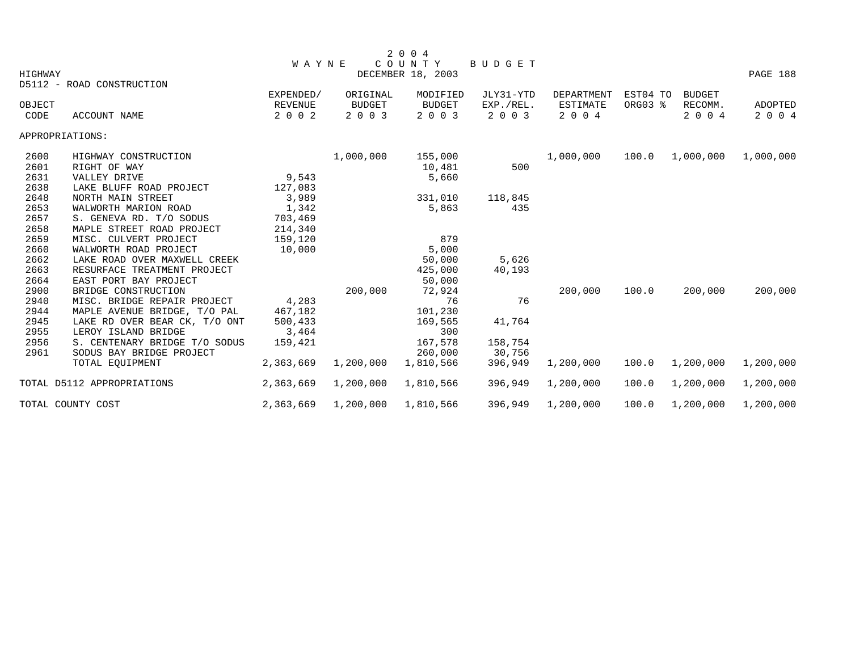| HIGHWAY                      |                                                                                                                                                                                                                                                      |                                                                                           |                                                                  |                                                                                                                                                    |                                                                                          |                                         |                | PAGE 188                                                          |
|------------------------------|------------------------------------------------------------------------------------------------------------------------------------------------------------------------------------------------------------------------------------------------------|-------------------------------------------------------------------------------------------|------------------------------------------------------------------|----------------------------------------------------------------------------------------------------------------------------------------------------|------------------------------------------------------------------------------------------|-----------------------------------------|----------------|-------------------------------------------------------------------|
| D5112 - ROAD CONSTRUCTION    |                                                                                                                                                                                                                                                      |                                                                                           |                                                                  |                                                                                                                                                    |                                                                                          |                                         |                |                                                                   |
|                              | EXPENDED/                                                                                                                                                                                                                                            | ORIGINAL                                                                                  | MODIFIED                                                         | JLY31-YTD                                                                                                                                          | DEPARTMENT                                                                               |                                         | <b>BUDGET</b>  |                                                                   |
|                              |                                                                                                                                                                                                                                                      |                                                                                           |                                                                  |                                                                                                                                                    |                                                                                          |                                         |                | ADOPTED                                                           |
|                              |                                                                                                                                                                                                                                                      |                                                                                           |                                                                  |                                                                                                                                                    |                                                                                          |                                         |                | 2 0 0 4                                                           |
| APPROPRIATIONS:              |                                                                                                                                                                                                                                                      |                                                                                           |                                                                  |                                                                                                                                                    |                                                                                          |                                         |                |                                                                   |
| HIGHWAY CONSTRUCTION         |                                                                                                                                                                                                                                                      | 1,000,000                                                                                 | 155,000                                                          |                                                                                                                                                    | 1,000,000                                                                                | 100.0                                   | 1,000,000      | 1,000,000                                                         |
| RIGHT OF WAY                 |                                                                                                                                                                                                                                                      |                                                                                           | 10,481                                                           | 500                                                                                                                                                |                                                                                          |                                         |                |                                                                   |
| VALLEY DRIVE                 | 9,543                                                                                                                                                                                                                                                |                                                                                           | 5,660                                                            |                                                                                                                                                    |                                                                                          |                                         |                |                                                                   |
| LAKE BLUFF ROAD PROJECT      | 127,083                                                                                                                                                                                                                                              |                                                                                           |                                                                  |                                                                                                                                                    |                                                                                          |                                         |                |                                                                   |
| NORTH MAIN STREET            | 3,989                                                                                                                                                                                                                                                |                                                                                           | 331,010                                                          | 118,845                                                                                                                                            |                                                                                          |                                         |                |                                                                   |
| WALWORTH MARION ROAD         | 1,342                                                                                                                                                                                                                                                |                                                                                           | 5,863                                                            | 435                                                                                                                                                |                                                                                          |                                         |                |                                                                   |
| S. GENEVA RD. T/O SODUS      | 703,469                                                                                                                                                                                                                                              |                                                                                           |                                                                  |                                                                                                                                                    |                                                                                          |                                         |                |                                                                   |
| MAPLE STREET ROAD PROJECT    | 214,340                                                                                                                                                                                                                                              |                                                                                           |                                                                  |                                                                                                                                                    |                                                                                          |                                         |                |                                                                   |
| MISC. CULVERT PROJECT        | 159,120                                                                                                                                                                                                                                              |                                                                                           | 879                                                              |                                                                                                                                                    |                                                                                          |                                         |                |                                                                   |
| WALWORTH ROAD PROJECT        | 10,000                                                                                                                                                                                                                                               |                                                                                           | 5,000                                                            |                                                                                                                                                    |                                                                                          |                                         |                |                                                                   |
| LAKE ROAD OVER MAXWELL CREEK |                                                                                                                                                                                                                                                      |                                                                                           | 50,000                                                           | 5,626                                                                                                                                              |                                                                                          |                                         |                |                                                                   |
| RESURFACE TREATMENT PROJECT  |                                                                                                                                                                                                                                                      |                                                                                           | 425,000                                                          |                                                                                                                                                    |                                                                                          |                                         |                |                                                                   |
| EAST PORT BAY PROJECT        |                                                                                                                                                                                                                                                      |                                                                                           | 50,000                                                           |                                                                                                                                                    |                                                                                          |                                         |                |                                                                   |
|                              |                                                                                                                                                                                                                                                      |                                                                                           |                                                                  |                                                                                                                                                    | 200,000                                                                                  |                                         |                | 200,000                                                           |
|                              |                                                                                                                                                                                                                                                      |                                                                                           |                                                                  |                                                                                                                                                    |                                                                                          |                                         |                |                                                                   |
|                              |                                                                                                                                                                                                                                                      |                                                                                           |                                                                  |                                                                                                                                                    |                                                                                          |                                         |                |                                                                   |
|                              |                                                                                                                                                                                                                                                      |                                                                                           |                                                                  |                                                                                                                                                    |                                                                                          |                                         |                |                                                                   |
|                              |                                                                                                                                                                                                                                                      |                                                                                           |                                                                  |                                                                                                                                                    |                                                                                          |                                         |                |                                                                   |
|                              |                                                                                                                                                                                                                                                      |                                                                                           |                                                                  |                                                                                                                                                    |                                                                                          |                                         |                |                                                                   |
|                              |                                                                                                                                                                                                                                                      |                                                                                           |                                                                  |                                                                                                                                                    |                                                                                          |                                         |                |                                                                   |
|                              |                                                                                                                                                                                                                                                      |                                                                                           |                                                                  |                                                                                                                                                    |                                                                                          |                                         |                | 1,200,000                                                         |
| TOTAL D5112 APPROPRIATIONS   | 2,363,669                                                                                                                                                                                                                                            | 1,200,000                                                                                 | 1,810,566                                                        | 396,949                                                                                                                                            | 1,200,000                                                                                | 100.0                                   | 1,200,000      | 1,200,000                                                         |
| TOTAL COUNTY COST            | 2,363,669                                                                                                                                                                                                                                            | 1,200,000                                                                                 | 1,810,566                                                        | 396,949                                                                                                                                            | 1,200,000                                                                                | 100.0                                   | 1,200,000      | 1,200,000                                                         |
|                              | OBJECT<br>ACCOUNT NAME<br>BRIDGE CONSTRUCTION<br>MISC. BRIDGE REPAIR PROJECT<br>MAPLE AVENUE BRIDGE, T/O PAL<br>LAKE RD OVER BEAR CK, T/O ONT<br>LEROY ISLAND BRIDGE<br>S. CENTENARY BRIDGE T/O SODUS<br>SODUS BAY BRIDGE PROJECT<br>TOTAL EOUIPMENT | <b>REVENUE</b><br>2 0 0 2<br>4,283<br>467,182<br>500,433<br>3,464<br>159,421<br>2,363,669 | <b>WAYNE</b><br><b>BUDGET</b><br>2 0 0 3<br>200,000<br>1,200,000 | 2 0 0 4<br>COUNTY<br>DECEMBER 18, 2003<br><b>BUDGET</b><br>2 0 0 3<br>72,924<br>76<br>101,230<br>169,565<br>300<br>167,578<br>260,000<br>1,810,566 | BUDGET<br>EXP./REL.<br>2 0 0 3<br>40,193<br>76<br>41,764<br>158,754<br>30,756<br>396,949 | <b>ESTIMATE</b><br>2 0 0 4<br>1,200,000 | 100.0<br>100.0 | EST04 TO<br>ORG03 %<br>RECOMM.<br>2 0 0 4<br>200,000<br>1,200,000 |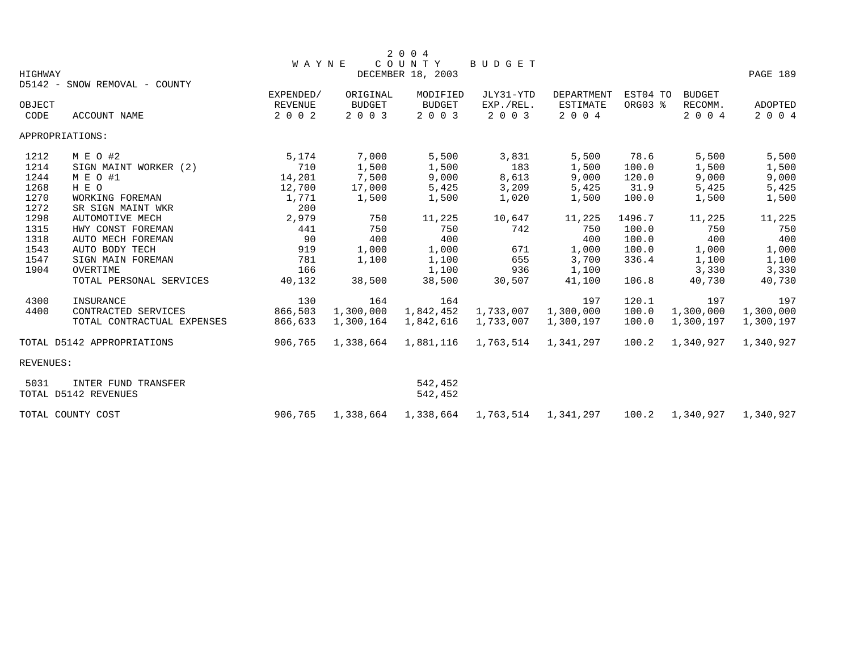|           |                               |                |               | 2 0 0 4             |                     |                 |          |               |           |
|-----------|-------------------------------|----------------|---------------|---------------------|---------------------|-----------------|----------|---------------|-----------|
|           |                               | WAYNE          |               | COUNTY              | <b>BUDGET</b>       |                 |          |               |           |
| HIGHWAY   | D5142 - SNOW REMOVAL - COUNTY |                |               | DECEMBER 18, 2003   |                     |                 |          |               | PAGE 189  |
|           |                               | EXPENDED/      | ORIGINAL      | MODIFIED            | JLY31-YTD           | DEPARTMENT      | EST04 TO | <b>BUDGET</b> |           |
| OBJECT    |                               | <b>REVENUE</b> | <b>BUDGET</b> | <b>BUDGET</b>       | EXP./REL.           | <b>ESTIMATE</b> | ORG03 %  | RECOMM.       | ADOPTED   |
| CODE      | ACCOUNT NAME                  | 2 0 0 2        | 2003          | 2 0 0 3             | 2 0 0 3             | 2 0 0 4         |          | 2 0 0 4       | 2 0 0 4   |
|           | APPROPRIATIONS:               |                |               |                     |                     |                 |          |               |           |
| 1212      | M E O #2                      | 5,174          | 7,000         | 5,500               | 3,831               | 5,500           | 78.6     | 5,500         | 5,500     |
| 1214      | SIGN MAINT WORKER (2)         | 710            | 1,500         | 1,500               | 183                 | 1,500           | 100.0    | 1,500         | 1,500     |
| 1244      | M E O #1                      | 14,201         | 7,500         | 9,000               | 8,613               | 9,000           | 120.0    | 9,000         | 9,000     |
| 1268      | H E O                         | 12,700         | 17,000        | 5,425               | 3,209               | 5,425           | 31.9     | 5,425         | 5,425     |
| 1270      | WORKING FOREMAN               | 1,771          | 1,500         | 1,500               | 1,020               | 1,500           | 100.0    | 1,500         | 1,500     |
| 1272      | SR SIGN MAINT WKR             | 200            |               |                     |                     |                 |          |               |           |
| 1298      | AUTOMOTIVE MECH               | 2,979          | 750           | 11,225              | 10,647              | 11,225          | 1496.7   | 11,225        | 11,225    |
| 1315      | HWY CONST FOREMAN             | 441            | 750           | 750                 | 742                 | 750             | 100.0    | 750           | 750       |
| 1318      | AUTO MECH FOREMAN             | 90             | 400           | 400                 |                     | 400             | 100.0    | 400           | 400       |
| 1543      | AUTO BODY TECH                | 919            | 1,000         | 1,000               | 671                 | 1,000           | 100.0    | 1,000         | 1,000     |
| 1547      | SIGN MAIN FOREMAN             | 781            | 1,100         | 1,100               | 655                 | 3,700           | 336.4    | 1,100         | 1,100     |
| 1904      | OVERTIME                      | 166            |               | 1,100               | 936                 | 1,100           |          | 3,330         | 3,330     |
|           | TOTAL PERSONAL SERVICES       | 40,132         | 38,500        | 38,500              | 30,507              | 41,100          | 106.8    | 40,730        | 40,730    |
| 4300      | INSURANCE                     | 130            | 164           | 164                 |                     | 197             | 120.1    | 197           | 197       |
| 4400      | CONTRACTED SERVICES           | 866,503        | 1,300,000     | 1,842,452           | 1,733,007           | 1,300,000       | 100.0    | 1,300,000     | 1,300,000 |
|           | TOTAL CONTRACTUAL EXPENSES    | 866,633        | 1,300,164     | 1,842,616           | 1,733,007           | 1,300,197       | 100.0    | 1,300,197     | 1,300,197 |
|           | TOTAL D5142 APPROPRIATIONS    | 906,765        | 1,338,664     | 1,881,116           | 1,763,514           | 1,341,297       | 100.2    | 1,340,927     | 1,340,927 |
| REVENUES: |                               |                |               |                     |                     |                 |          |               |           |
| 5031      | INTER FUND TRANSFER           |                |               | 542,452             |                     |                 |          |               |           |
|           | TOTAL D5142 REVENUES          |                |               | 542,452             |                     |                 |          |               |           |
|           | TOTAL COUNTY COST             | 906,765        |               | 1,338,664 1,338,664 | 1,763,514 1,341,297 |                 | 100.2    | 1,340,927     | 1,340,927 |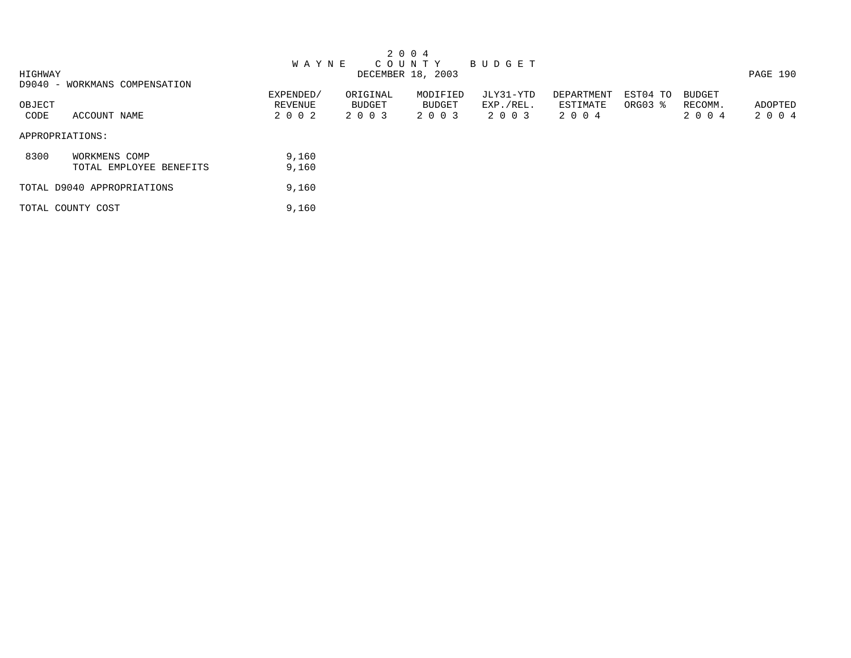| 2 0 0 4                       |           |               |                   |               |            |          |               |          |  |  |  |  |
|-------------------------------|-----------|---------------|-------------------|---------------|------------|----------|---------------|----------|--|--|--|--|
|                               | W A Y N E |               | C O U N T Y       | <b>BUDGET</b> |            |          |               |          |  |  |  |  |
| HIGHWAY                       |           |               | DECEMBER 18, 2003 |               |            |          |               | PAGE 190 |  |  |  |  |
| D9040 - WORKMANS COMPENSATION |           |               |                   |               |            |          |               |          |  |  |  |  |
|                               | EXPENDED/ | ORIGINAL      | MODIFIED          | JLY31-YTD     | DEPARTMENT | EST04 TO | <b>BUDGET</b> |          |  |  |  |  |
| OBJECT                        | REVENUE   | <b>BUDGET</b> | BUDGET            | EXP./REL.     | ESTIMATE   | ORG03 %  | RECOMM.       | ADOPTED  |  |  |  |  |
| ACCOUNT NAME<br>CODE          | 2 0 0 2   | 2 0 0 3       | 2 0 0 3           | 2 0 0 3       | 2 0 0 4    |          | 2 0 0 4       | 2 0 0 4  |  |  |  |  |
| APPROPRIATIONS:               |           |               |                   |               |            |          |               |          |  |  |  |  |
| 8300<br>WORKMENS COMP         | 9,160     |               |                   |               |            |          |               |          |  |  |  |  |
| TOTAL EMPLOYEE BENEFITS       | 9,160     |               |                   |               |            |          |               |          |  |  |  |  |
| TOTAL D9040 APPROPRIATIONS    | 9,160     |               |                   |               |            |          |               |          |  |  |  |  |
| TOTAL COUNTY COST             | 9,160     |               |                   |               |            |          |               |          |  |  |  |  |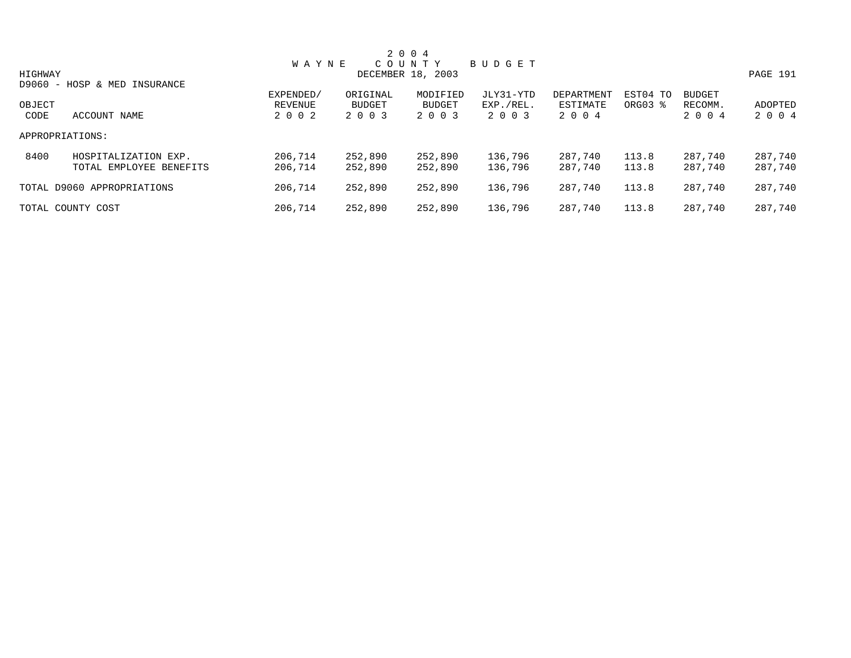|         |                              |              |               | 2 0 0 4           |           |            |          |               |          |
|---------|------------------------------|--------------|---------------|-------------------|-----------|------------|----------|---------------|----------|
|         |                              | <b>WAYNE</b> |               | C O U N T Y       | BUDGET    |            |          |               |          |
| HIGHWAY |                              |              |               | DECEMBER 18, 2003 |           |            |          |               | PAGE 191 |
|         | D9060 - HOSP & MED INSURANCE |              |               |                   |           |            |          |               |          |
|         |                              | EXPENDED/    | ORIGINAL      | MODIFIED          | JLY31-YTD | DEPARTMENT | EST04 TO | <b>BUDGET</b> |          |
| OBJECT  |                              | REVENUE      | <b>BUDGET</b> | <b>BUDGET</b>     | EXP./REL. | ESTIMATE   | ORG03 %  | RECOMM.       | ADOPTED  |
| CODE    | ACCOUNT NAME                 | 2 0 0 2      | 2 0 0 3       | 2 0 0 3           | 2 0 0 3   | 2 0 0 4    |          | 2 0 0 4       | 2 0 0 4  |
|         | APPROPRIATIONS:              |              |               |                   |           |            |          |               |          |
| 8400    | HOSPITALIZATION EXP.         | 206,714      | 252,890       | 252,890           | 136,796   | 287,740    | 113.8    | 287,740       | 287,740  |
|         | TOTAL EMPLOYEE BENEFITS      | 206,714      | 252,890       | 252,890           | 136,796   | 287,740    | 113.8    | 287,740       | 287,740  |
|         | TOTAL D9060 APPROPRIATIONS   | 206,714      | 252,890       | 252,890           | 136,796   | 287,740    | 113.8    | 287,740       | 287,740  |
|         | TOTAL COUNTY COST            | 206,714      | 252,890       | 252,890           | 136,796   | 287,740    | 113.8    | 287,740       | 287,740  |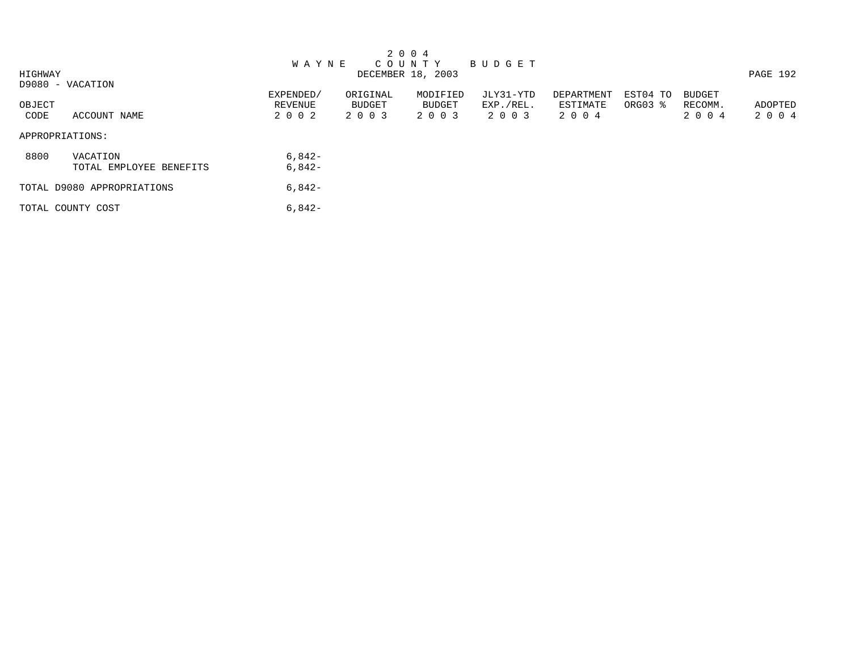|         |                            |              |          | 2 0 0 4           |           |            |          |               |          |
|---------|----------------------------|--------------|----------|-------------------|-----------|------------|----------|---------------|----------|
|         |                            | <b>WAYNE</b> |          | C O U N T Y       | BUDGET    |            |          |               |          |
| HIGHWAY |                            |              |          | DECEMBER 18, 2003 |           |            |          |               | PAGE 192 |
|         | D9080 - VACATION           |              |          |                   |           |            |          |               |          |
|         |                            | EXPENDED/    | ORIGINAL | MODIFIED          | JLY31-YTD | DEPARTMENT | EST04 TO | <b>BUDGET</b> |          |
| OBJECT  |                            | REVENUE      | BUDGET   | BUDGET            | EXP./REL. | ESTIMATE   | ORG03 %  | RECOMM.       | ADOPTED  |
| CODE    | ACCOUNT NAME               | 2 0 0 2      | 2 0 0 3  | 2 0 0 3           | 2 0 0 3   | 2 0 0 4    |          | 2 0 0 4       | 2 0 0 4  |
|         | APPROPRIATIONS:            |              |          |                   |           |            |          |               |          |
| 8800    | VACATION                   | $6,842-$     |          |                   |           |            |          |               |          |
|         | TOTAL EMPLOYEE BENEFITS    | $6,842-$     |          |                   |           |            |          |               |          |
|         | TOTAL D9080 APPROPRIATIONS | $6,842-$     |          |                   |           |            |          |               |          |
|         | TOTAL COUNTY COST          | $6,842-$     |          |                   |           |            |          |               |          |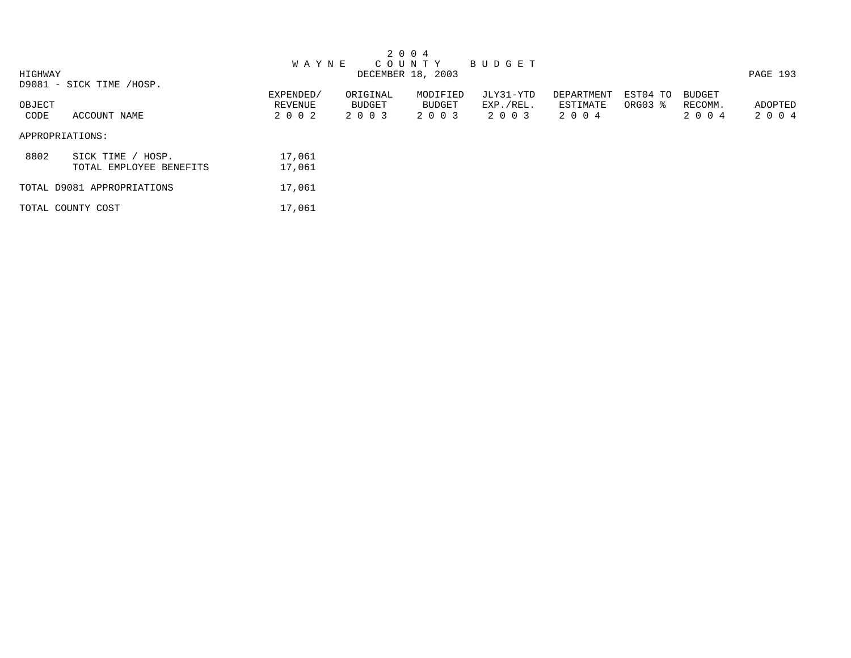|                 |                            |              |          | 2 0 0 4           |               |            |          |               |          |
|-----------------|----------------------------|--------------|----------|-------------------|---------------|------------|----------|---------------|----------|
|                 |                            | <b>WAYNE</b> |          | C O U N T Y       | <b>BUDGET</b> |            |          |               |          |
| HIGHWAY         |                            |              |          | DECEMBER 18, 2003 |               |            |          |               | PAGE 193 |
|                 | D9081 - SICK TIME /HOSP.   |              |          |                   |               |            |          |               |          |
|                 |                            | EXPENDED/    | ORIGINAL | MODIFIED          | JLY31-YTD     | DEPARTMENT | EST04 TO | <b>BUDGET</b> |          |
| OBJECT          |                            | REVENUE      | BUDGET   | BUDGET            | EXP./REL.     | ESTIMATE   | ORG03 %  | RECOMM.       | ADOPTED  |
| CODE            | ACCOUNT NAME               | 2 0 0 2      | 2 0 0 3  | 2 0 0 3           | 2 0 0 3       | 2 0 0 4    |          | 2 0 0 4       | 2 0 0 4  |
| APPROPRIATIONS: |                            |              |          |                   |               |            |          |               |          |
| 8802            | SICK TIME<br>HOSP.         | 17,061       |          |                   |               |            |          |               |          |
|                 | TOTAL EMPLOYEE BENEFITS    | 17,061       |          |                   |               |            |          |               |          |
|                 | TOTAL D9081 APPROPRIATIONS | 17,061       |          |                   |               |            |          |               |          |
|                 | TOTAL COUNTY COST          | 17,061       |          |                   |               |            |          |               |          |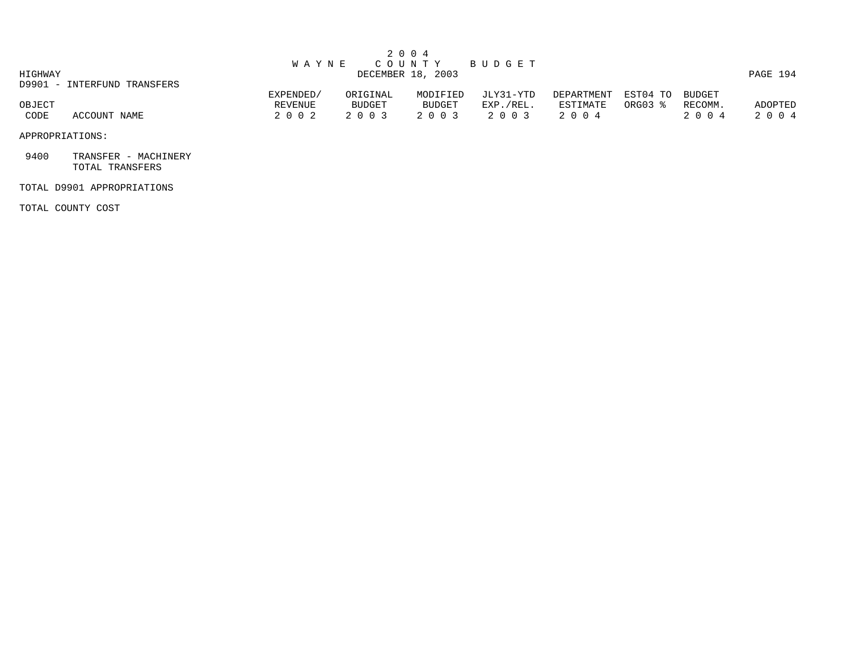|             |                             |              |          | 2 0 0 4           |           |            |          |         |          |
|-------------|-----------------------------|--------------|----------|-------------------|-----------|------------|----------|---------|----------|
|             |                             | <b>WAYNE</b> |          | COUNTY            | BUDGET    |            |          |         |          |
| HIGHWAY     |                             |              |          | DECEMBER 18, 2003 |           |            |          |         | PAGE 194 |
|             | D9901 - INTERFUND TRANSFERS |              |          |                   |           |            |          |         |          |
|             |                             | EXPENDED/    | ORIGINAL | MODIFIED          | JLY31-YTD | DEPARTMENT | EST04 TO | BUDGET  |          |
| OBJECT      |                             | REVENUE      | BUDGET   | BUDGET            | EXP./REL. | ESTIMATE   | ORG03 %  | RECOMM. | ADOPTED  |
| <b>CODE</b> | ACCOUNT NAME                | 2 0 0 2      | 2 0 0 3  | 2 0 0 3           | 2 0 0 3   | 2 0 0 4    |          | 2 0 0 4 | 2 0 0 4  |
|             |                             |              |          |                   |           |            |          |         |          |

APPROPRIATIONS:

 9400 TRANSFER - MACHINERY TOTAL TRANSFERS

## TOTAL D9901 APPROPRIATIONS

TOTAL COUNTY COST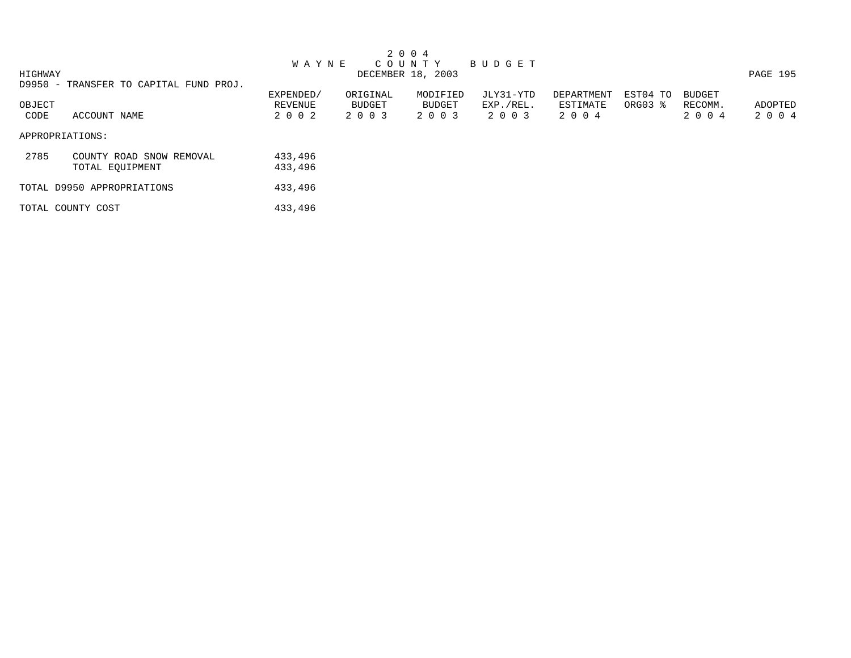|         |                                        |              |          | 2 0 0 4           |           |            |          |               |          |
|---------|----------------------------------------|--------------|----------|-------------------|-----------|------------|----------|---------------|----------|
|         |                                        | <b>WAYNE</b> |          | C O U N T Y       | BUDGET    |            |          |               |          |
| HIGHWAY |                                        |              |          | DECEMBER 18, 2003 |           |            |          |               | PAGE 195 |
|         | D9950 - TRANSFER TO CAPITAL FUND PROJ. |              |          |                   |           |            |          |               |          |
|         |                                        | EXPENDED/    | ORIGINAL | MODIFIED          | JLY31-YTD | DEPARTMENT | EST04 TO | <b>BUDGET</b> |          |
| OBJECT  |                                        | REVENUE      | BUDGET   | BUDGET            | EXP./REL. | ESTIMATE   | ORG03 %  | RECOMM.       | ADOPTED  |
| CODE    | ACCOUNT NAME                           | 2 0 0 2      | 2 0 0 3  | 2 0 0 3           | 2 0 0 3   | 2 0 0 4    |          | 2 0 0 4       | 2 0 0 4  |
|         |                                        |              |          |                   |           |            |          |               |          |
|         | APPROPRIATIONS:                        |              |          |                   |           |            |          |               |          |
|         |                                        |              |          |                   |           |            |          |               |          |
| 2785    | COUNTY ROAD SNOW REMOVAL               | 433,496      |          |                   |           |            |          |               |          |
|         | TOTAL EQUIPMENT                        | 433,496      |          |                   |           |            |          |               |          |
|         |                                        |              |          |                   |           |            |          |               |          |
|         | TOTAL D9950 APPROPRIATIONS             | 433,496      |          |                   |           |            |          |               |          |
|         | TOTAL COUNTY COST                      | 433,496      |          |                   |           |            |          |               |          |
|         |                                        |              |          |                   |           |            |          |               |          |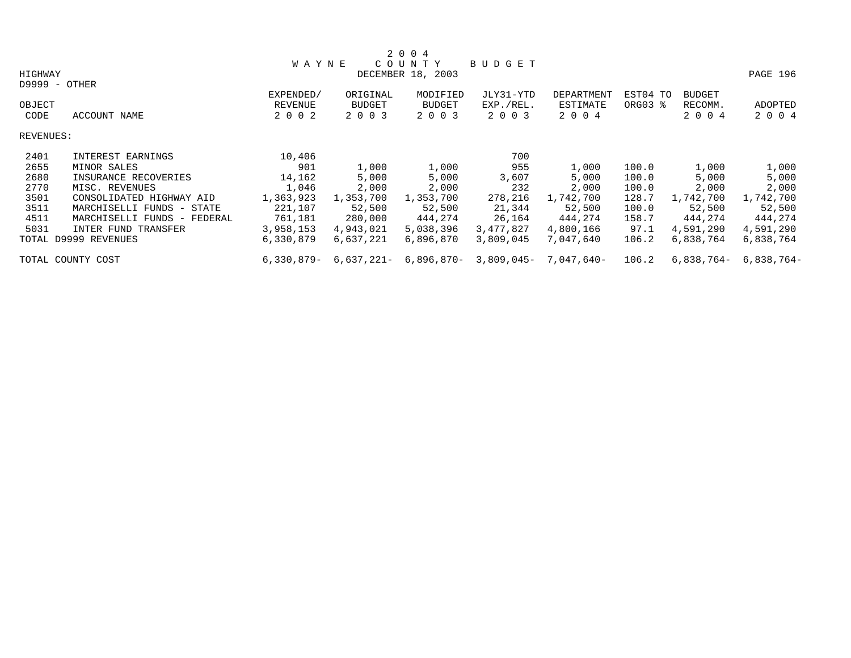|           |                             |              |               | 2 0 0 4           |           |                           |          |               |            |
|-----------|-----------------------------|--------------|---------------|-------------------|-----------|---------------------------|----------|---------------|------------|
|           |                             | <b>WAYNE</b> |               | COUNTY            | BUDGET    |                           |          |               |            |
| HIGHWAY   |                             |              |               | DECEMBER 18, 2003 |           |                           |          |               | PAGE 196   |
|           | D9999 - OTHER               |              |               |                   |           |                           |          |               |            |
|           |                             | EXPENDED/    | ORIGINAL      | MODIFIED          | JLY31-YTD | <b>DEPARTMENT</b>         | EST04 TO | <b>BUDGET</b> |            |
| OBJECT    |                             | REVENUE      | <b>BUDGET</b> | <b>BUDGET</b>     | EXP./REL. | ESTIMATE                  | ORG03 %  | RECOMM.       | ADOPTED    |
| CODE      | ACCOUNT NAME                | 2 0 0 2      | 2 0 0 3       | 2 0 0 3           | 2 0 0 3   | 2 0 0 4                   |          | 2 0 0 4       | 2 0 0 4    |
| REVENUES: |                             |              |               |                   |           |                           |          |               |            |
| 2401      | INTEREST EARNINGS           | 10,406       |               |                   | 700       |                           |          |               |            |
| 2655      | MINOR SALES                 | 901          | 1,000         | 1,000             | 955       | 1,000                     | 100.0    | 1,000         | 1,000      |
| 2680      | INSURANCE RECOVERIES        | 14,162       | 5,000         | 5,000             | 3,607     | 5,000                     | 100.0    | 5,000         | 5,000      |
| 2770      | MISC. REVENUES              | 1,046        | 2,000         | 2,000             | 232       | 2,000                     | 100.0    | 2,000         | 2,000      |
| 3501      | CONSOLIDATED HIGHWAY AID    | 1,363,923    | 1,353,700     | 1,353,700         | 278,216   | 1,742,700                 | 128.7    | 1,742,700     | 1,742,700  |
| 3511      | MARCHISELLI FUNDS - STATE   | 221,107      | 52,500        | 52,500            | 21,344    | 52,500                    | 100.0    | 52,500        | 52,500     |
| 4511      | MARCHISELLI FUNDS - FEDERAL | 761,181      | 280,000       | 444,274           | 26,164    | 444,274                   | 158.7    | 444,274       | 444,274    |
| 5031      | INTER FUND TRANSFER         | 3,958,153    | 4,943,021     | 5,038,396         | 3,477,827 | 4,800,166                 | 97.1     | 4,591,290     | 4,591,290  |
|           | TOTAL D9999 REVENUES        | 6,330,879    | 6,637,221     | 6,896,870         | 3,809,045 | 7,047,640                 | 106.2    | 6,838,764     | 6,838,764  |
|           | TOTAL COUNTY COST           | $6,330,879-$ | 6,637,221-    | 6,896,870-        |           | $3,809,045 - 7,047,640 -$ | 106.2    | 6,838,764-    | 6,838,764- |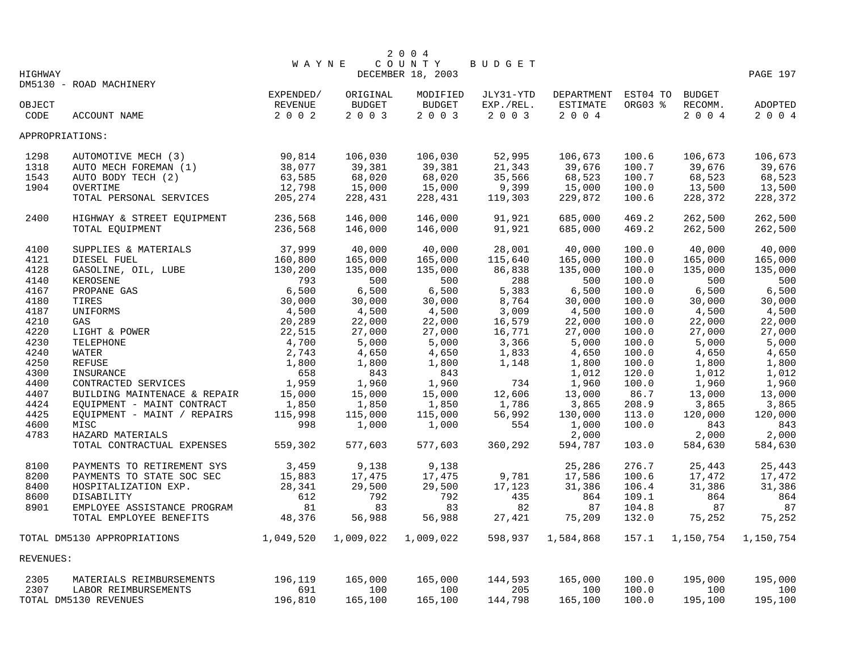|                 |                                                                                                                                                      |              |               | 2 0 0 4           |           |                            |         |           |           |
|-----------------|------------------------------------------------------------------------------------------------------------------------------------------------------|--------------|---------------|-------------------|-----------|----------------------------|---------|-----------|-----------|
|                 |                                                                                                                                                      | <b>WAYNE</b> |               | COUNTY            | BUDGET    |                            |         |           |           |
| HIGHWAY         |                                                                                                                                                      |              |               | DECEMBER 18, 2003 |           |                            |         |           | PAGE 197  |
|                 | DM5130 - ROAD MACHINERY                                                                                                                              |              |               |                   |           |                            |         |           |           |
|                 |                                                                                                                                                      | EXPENDED/    | ORIGINAL      | MODIFIED          | JLY31-YTD | DEPARTMENT EST04 TO BUDGET |         |           |           |
| OBJECT          |                                                                                                                                                      | REVENUE      | <b>BUDGET</b> | <b>BUDGET</b>     | EXP./REL. | ESTIMATE                   | ORG03 % | RECOMM.   | ADOPTED   |
| CODE            | ACCOUNT NAME                                                                                                                                         | 2 0 0 2      | 2 0 0 3       | 2 0 0 3           | 2 0 0 3   | 2 0 0 4                    |         | 2004      | 2 0 0 4   |
| APPROPRIATIONS: |                                                                                                                                                      |              |               |                   |           |                            |         |           |           |
| 1298            | AUTOMOTIVE MECH (3)                                                                                                                                  | 90,814       | 106,030       | 106,030           | 52,995    | 106,673                    | 100.6   | 106,673   | 106,673   |
| 1318            | AUTO MECH FOREMAN (1)                                                                                                                                | 38,077       | 39,381        | 39,381            | 21,343    | 39,676                     | 100.7   | 39,676    | 39,676    |
| 1543            | AUTO BODY TECH (2)                                                                                                                                   | 63,585       | 68,020        | 68,020            | 35,566    | 68,523                     | 100.7   | 68,523    | 68,523    |
| 1904            | OVERTIME                                                                                                                                             | 12,798       | 15,000        | 15,000            | 9,399     | 15,000                     | 100.0   | 13,500    | 13,500    |
|                 | TOTAL PERSONAL SERVICES                                                                                                                              | 205, 274     | 228,431       | 228,431           | 119,303   | 229,872                    | 100.6   | 228,372   | 228,372   |
|                 |                                                                                                                                                      |              |               |                   |           |                            |         |           |           |
| 2400            | HIGHWAY & STREET EQUIPMENT                                                                                                                           | 236,568      | 146,000       | 146,000           | 91,921    | 685,000                    | 469.2   | 262,500   | 262,500   |
|                 | TOTAL EQUIPMENT                                                                                                                                      | 236,568      | 146,000       | 146,000           | 91,921    | 685,000                    | 469.2   | 262,500   | 262,500   |
| 4100            | SUPPLIES & MATERIALS                                                                                                                                 | 37,999       | 40,000        | 40,000            | 28,001    | 40,000                     | 100.0   | 40,000    | 40,000    |
| 4121            | DIESEL FUEL                                                                                                                                          | 160,800      | 165,000       | 165,000           | 115,640   | 165,000                    | 100.0   | 165,000   | 165,000   |
| 4128            |                                                                                                                                                      | 130,200      | 135,000       | 135,000           | 86,838    | 135,000                    | 100.0   | 135,000   | 135,000   |
| 4140            |                                                                                                                                                      | 793          | 500           | 500               | 288       | 500                        | 100.0   | 500       | 500       |
| 4167            |                                                                                                                                                      | 6,500        | 6,500         | 6,500             | 5,383     | 6,500                      | 100.0   | 6,500     | 6,500     |
| 4180            |                                                                                                                                                      | 30,000       | 30,000        | 30,000            | 8,764     | 30,000                     | 100.0   | 30,000    | 30,000    |
| 4187            |                                                                                                                                                      | 4,500        | 4,500         | 4,500             | 3,009     | 4,500                      | 100.0   | 4,500     | 4,500     |
| 4210            |                                                                                                                                                      | 20,289       | 22,000        | 22,000            | 16,579    | 22,000                     | 100.0   | 22,000    | 22,000    |
| 4220            | DIESEL FUEL<br>CASOLINE, OIL, LUBE<br>KEROSENE<br>PROPANE GAS<br>TIRES<br>UNIFORMS<br>GAS<br>LIGHT & POWER<br>TELEPHONE<br>WATER<br>REFUSE<br>RETUSE | 22,515       | 27,000        | 27,000            | 16,771    | 27,000                     | 100.0   | 27,000    | 27,000    |
| 4230            |                                                                                                                                                      | 4,700        | 5,000         | 5,000             | 3,366     | 5,000                      | 100.0   | 5,000     | 5,000     |
| 4240            |                                                                                                                                                      | 2,743        | 4,650         | 4,650             | 1,833     | 4,650                      | 100.0   | 4,650     | 4,650     |
| 4250            |                                                                                                                                                      | 1,800        | 1,800         | 1,800             | 1,148     | 1,800                      | 100.0   | 1,800     | 1,800     |
| 4300            | INSURANCE                                                                                                                                            | 658          | 843           | 843               |           | 1,012                      | 120.0   | 1,012     | 1,012     |
| 4400            | CONTRACTED SERVICES                                                                                                                                  | 1,959        | 1,960         | 1,960             | 734       | 1,960                      | 100.0   | 1,960     | 1,960     |
| 4407            | BUILDING MAINTENACE & REPAIR                                                                                                                         | 15,000       | 15,000        | 15,000            | 12,606    | 13,000                     | 86.7    | 13,000    | 13,000    |
| 4424            | EQUIPMENT - MAINT CONTRACT                                                                                                                           | 1,850        | 1,850         | 1,850             | 1,786     | 3,865                      | 208.9   | 3,865     | 3,865     |
| 4425            | EOUIPMENT - MAINT / REPAIRS                                                                                                                          | 115,998      | 115,000       | 115,000           | 56,992    | 130,000                    | 113.0   | 120,000   | 120,000   |
| 4600            | MISC                                                                                                                                                 | 998          | 1,000         | 1,000             | 554       | 1,000                      | 100.0   | 843       | 843       |
| 4783            | HAZARD MATERIALS                                                                                                                                     |              |               |                   |           | 2,000                      |         | 2,000     | 2,000     |
|                 | TOTAL CONTRACTUAL EXPENSES                                                                                                                           | 559,302      | 577,603       | 577,603           | 360,292   | 594,787                    | 103.0   | 584,630   | 584,630   |
| 8100            | PAYMENTS TO RETIREMENT SYS                                                                                                                           | 3,459        | 9,138         | 9,138             |           | 25,286                     | 276.7   | 25,443    | 25,443    |
| 8200            | PAYMENTS TO STATE SOC SEC                                                                                                                            | 15,883       | 17,475        | 17,475            | 9,781     | 17,586                     | 100.6   | 17,472    | 17,472    |
| 8400            | HOSPITALIZATION EXP.                                                                                                                                 | 28,341       | 29,500        | 29,500            | 17,123    | 31,386                     | 106.4   | 31,386    | 31,386    |
| 8600            | DISABILITY                                                                                                                                           | 612          | 792           | 792               | 435       | 864                        | 109.1   | 864       | 864       |
| 8901            | EMPLOYEE ASSISTANCE PROGRAM                                                                                                                          | 81           | 83            | 83                | 82        | 87                         | 104.8   | 87        | 87        |
|                 | TOTAL EMPLOYEE BENEFITS                                                                                                                              | 48,376       | 56,988        | 56,988            | 27,421    | 75,209                     | 132.0   | 75,252    | 75,252    |
|                 | TOTAL DM5130 APPROPRIATIONS                                                                                                                          | 1,049,520    | 1,009,022     | 1,009,022         | 598,937   | 1,584,868                  | 157.1   | 1,150,754 | 1,150,754 |
| REVENUES:       |                                                                                                                                                      |              |               |                   |           |                            |         |           |           |
| 2305            | MATERIALS REIMBURSEMENTS                                                                                                                             | 196,119      | 165,000       | 165,000           | 144,593   | 165,000                    | 100.0   | 195,000   | 195,000   |
| 2307            | LABOR REIMBURSEMENTS                                                                                                                                 | 691          | 100           | 100               | 205       | 100                        | 100.0   | 100       | 100       |
|                 | TOTAL DM5130 REVENUES                                                                                                                                | 196,810      | 165,100       | 165,100           | 144,798   | 165,100                    | 100.0   | 195,100   | 195,100   |
|                 |                                                                                                                                                      |              |               |                   |           |                            |         |           |           |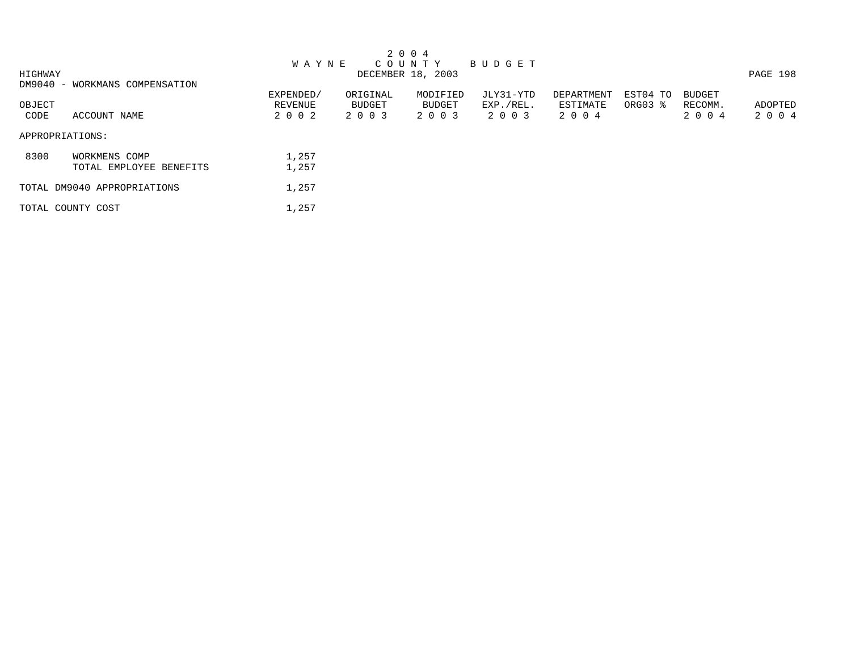|         |                                |              |          | 2 0 0 4           |             |            |          |               |          |
|---------|--------------------------------|--------------|----------|-------------------|-------------|------------|----------|---------------|----------|
|         |                                | <b>WAYNE</b> |          | C O U N T Y       | B U D G E T |            |          |               |          |
| HIGHWAY |                                |              |          | DECEMBER 18, 2003 |             |            |          |               | PAGE 198 |
|         | DM9040 - WORKMANS COMPENSATION |              |          |                   |             |            |          |               |          |
|         |                                | EXPENDED/    | ORIGINAL | MODIFIED          | JLY31-YTD   | DEPARTMENT | EST04 TO | <b>BUDGET</b> |          |
| OBJECT  |                                | REVENUE      | BUDGET   | BUDGET            | EXP./REL.   | ESTIMATE   | ORG03 %  | RECOMM.       | ADOPTED  |
| CODE    | ACCOUNT NAME                   | 2 0 0 2      | 2 0 0 3  | 2 0 0 3           | 2 0 0 3     | 2 0 0 4    |          | 2 0 0 4       | 2 0 0 4  |
|         | APPROPRIATIONS:                |              |          |                   |             |            |          |               |          |
| 8300    | WORKMENS COMP                  | 1,257        |          |                   |             |            |          |               |          |
|         | TOTAL EMPLOYEE BENEFITS        | 1,257        |          |                   |             |            |          |               |          |
|         | TOTAL DM9040 APPROPRIATIONS    | 1,257        |          |                   |             |            |          |               |          |
|         | TOTAL COUNTY COST              | 1,257        |          |                   |             |            |          |               |          |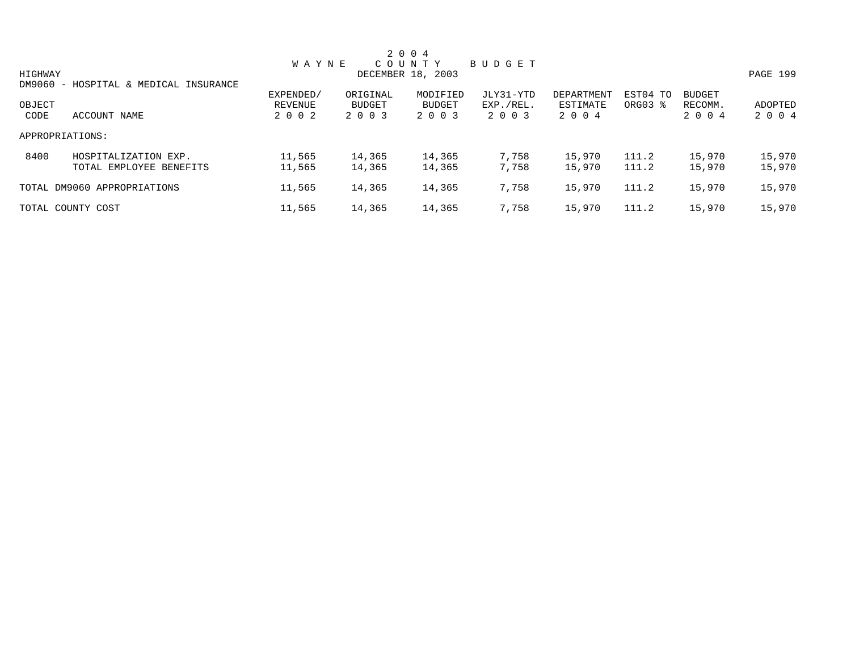|                 |                                       |              |          | 2 0 0 4           |           |            |          |               |          |
|-----------------|---------------------------------------|--------------|----------|-------------------|-----------|------------|----------|---------------|----------|
|                 |                                       | <b>WAYNE</b> |          | COUNTY            | BUDGET    |            |          |               |          |
| HIGHWAY         |                                       |              |          | DECEMBER 18, 2003 |           |            |          |               | PAGE 199 |
|                 | DM9060 - HOSPITAL & MEDICAL INSURANCE |              |          |                   |           |            |          |               |          |
|                 |                                       | EXPENDED/    | ORIGINAL | MODIFIED          | JLY31-YTD | DEPARTMENT | EST04 TO | <b>BUDGET</b> |          |
| OBJECT          |                                       | REVENUE      | BUDGET   | BUDGET            | EXP./REL. | ESTIMATE   | ORG03 %  | RECOMM.       | ADOPTED  |
| CODE            | ACCOUNT NAME                          | 2 0 0 2      | 2 0 0 3  | 2 0 0 3           | 2 0 0 3   | 2 0 0 4    |          | 2 0 0 4       | 2 0 0 4  |
| APPROPRIATIONS: |                                       |              |          |                   |           |            |          |               |          |
| 8400            | HOSPITALIZATION EXP.                  | 11,565       | 14,365   | 14,365            | 7,758     | 15,970     | 111.2    | 15,970        | 15,970   |
|                 | TOTAL EMPLOYEE BENEFITS               | 11,565       | 14,365   | 14,365            | 7,758     | 15,970     | 111.2    | 15,970        | 15,970   |
|                 | TOTAL DM9060 APPROPRIATIONS           | 11,565       | 14,365   | 14,365            | 7,758     | 15,970     | 111.2    | 15,970        | 15,970   |
|                 | TOTAL COUNTY COST                     | 11,565       | 14,365   | 14,365            | 7,758     | 15,970     | 111.2    | 15,970        | 15,970   |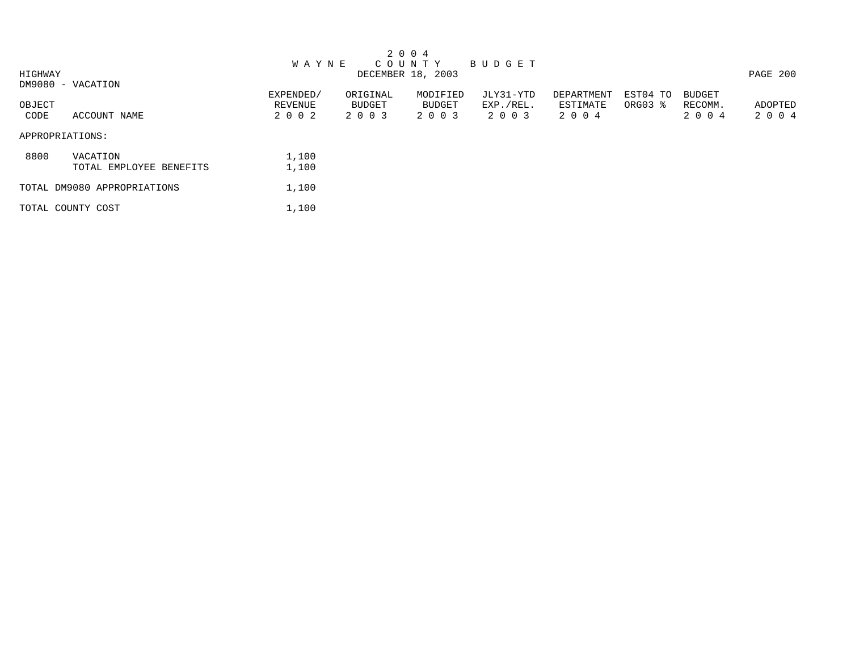|         |                             |              |          | 2 0 0 4           |           |            |          |               |          |
|---------|-----------------------------|--------------|----------|-------------------|-----------|------------|----------|---------------|----------|
|         |                             | <b>WAYNE</b> |          | COUNTY            | BUDGET    |            |          |               |          |
| HIGHWAY |                             |              |          | DECEMBER 18, 2003 |           |            |          |               | PAGE 200 |
|         | DM9080 - VACATION           |              |          |                   |           |            |          |               |          |
|         |                             | EXPENDED/    | ORIGINAL | MODIFIED          | JLY31-YTD | DEPARTMENT | EST04 TO | <b>BUDGET</b> |          |
| OBJECT  |                             | REVENUE      | BUDGET   | BUDGET            | EXP./REL. | ESTIMATE   | ORG03 %  | RECOMM.       | ADOPTED  |
| CODE    | ACCOUNT NAME                | 2 0 0 2      | 2 0 0 3  | 2 0 0 3           | 2 0 0 3   | 2004       |          | 2 0 0 4       | 2 0 0 4  |
|         | APPROPRIATIONS:             |              |          |                   |           |            |          |               |          |
| 8800    | VACATION                    | 1,100        |          |                   |           |            |          |               |          |
|         | TOTAL EMPLOYEE BENEFITS     | 1,100        |          |                   |           |            |          |               |          |
|         | TOTAL DM9080 APPROPRIATIONS | 1,100        |          |                   |           |            |          |               |          |
|         | TOTAL COUNTY COST           | 1,100        |          |                   |           |            |          |               |          |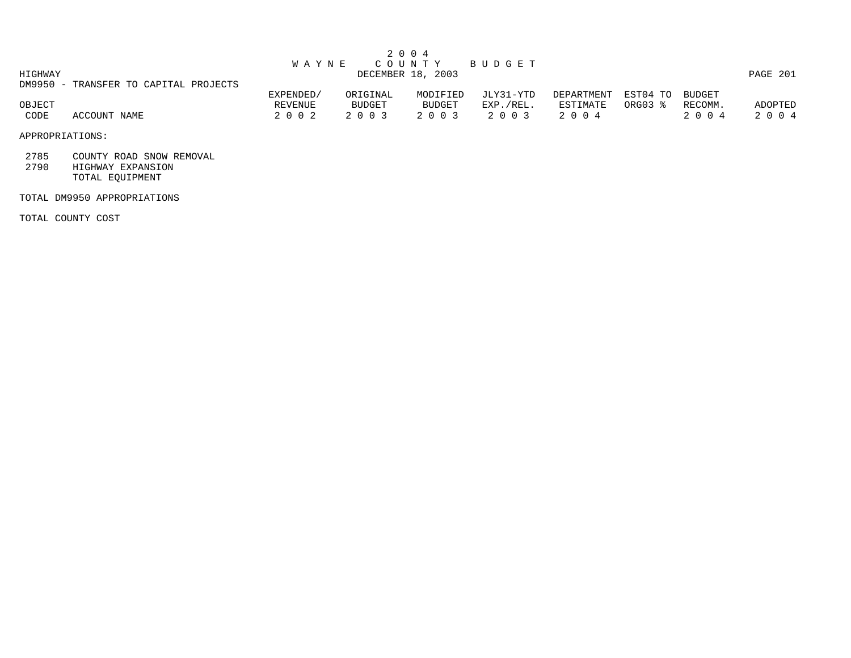|         |                                       |              | 2004              |               |           |            |                 |         |          |
|---------|---------------------------------------|--------------|-------------------|---------------|-----------|------------|-----------------|---------|----------|
|         |                                       | <b>WAYNE</b> |                   | C O U N T Y   | BUDGET    |            |                 |         |          |
| HIGHWAY |                                       |              | DECEMBER 18, 2003 |               |           |            |                 |         | PAGE 201 |
|         | DM9950 - TRANSFER TO CAPITAL PROJECTS |              |                   |               |           |            |                 |         |          |
|         |                                       | EXPENDED/    | ORIGINAL          | MODIFIED      | JLY31-YTD | DEPARTMENT | EST04 TO BUDGET |         |          |
| OBJECT  |                                       | REVENUE      | BUDGET            | <b>BUDGET</b> | EXP./REL. | ESTIMATE   | ORG03 %         | RECOMM. | ADOPTED  |
| CODE    | ACCOUNT NAME                          | 2002         | 2 0 0 3           | 2 0 0 3       | 2 0 0 3   | 2004       |                 | 2004    | 2004     |

APPROPRIATIONS:

2785 COUNTY ROAD SNOW REMOVAL

 2790 HIGHWAY EXPANSION TOTAL EQUIPMENT

TOTAL DM9950 APPROPRIATIONS

TOTAL COUNTY COST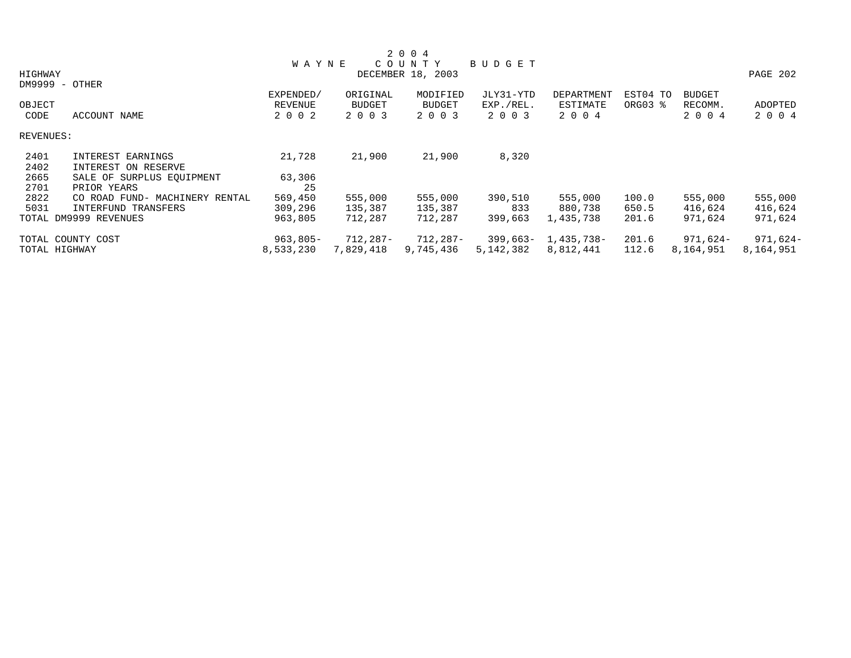|           |                                |                |               | 2 0 0 4           |               |            |          |               |            |
|-----------|--------------------------------|----------------|---------------|-------------------|---------------|------------|----------|---------------|------------|
|           |                                | <b>WAYNE</b>   |               | COUNTY            | <b>BUDGET</b> |            |          |               |            |
| HIGHWAY   |                                |                |               | DECEMBER 18, 2003 |               |            |          |               | PAGE 202   |
|           | $DM9999 - OTHER$               |                |               |                   |               |            |          |               |            |
|           |                                | EXPENDED/      | ORIGINAL      | MODIFIED          | JLY31-YTD     | DEPARTMENT | EST04 TO | <b>BUDGET</b> |            |
| OBJECT    |                                | <b>REVENUE</b> | <b>BUDGET</b> | <b>BUDGET</b>     | EXP./REL.     | ESTIMATE   | ORG03 %  | RECOMM.       | ADOPTED    |
| CODE      | ACCOUNT NAME                   | 2 0 0 2        | 2 0 0 3       | 2 0 0 3           | 2 0 0 3       | 2 0 0 4    |          | 2 0 0 4       | 2 0 0 4    |
| REVENUES: |                                |                |               |                   |               |            |          |               |            |
| 2401      | INTEREST EARNINGS              | 21,728         | 21,900        | 21,900            | 8,320         |            |          |               |            |
| 2402      | INTEREST ON RESERVE            |                |               |                   |               |            |          |               |            |
| 2665      | SALE OF SURPLUS EQUIPMENT      | 63,306         |               |                   |               |            |          |               |            |
| 2701      | PRIOR YEARS                    | 25             |               |                   |               |            |          |               |            |
| 2822      | CO ROAD FUND- MACHINERY RENTAL | 569,450        | 555,000       | 555,000           | 390,510       | 555,000    | 100.0    | 555,000       | 555,000    |
| 5031      | INTERFUND TRANSFERS            | 309,296        | 135,387       | 135,387           | 833           | 880,738    | 650.5    | 416,624       | 416,624    |
|           | TOTAL DM9999 REVENUES          | 963,805        | 712,287       | 712,287           | 399,663       | 1,435,738  | 201.6    | 971,624       | 971,624    |
|           | TOTAL COUNTY COST              | $963,805 -$    | 712,287-      | 712,287-          | 399,663-      | 1,435,738- | 201.6    | 971,624-      | $971,624-$ |
|           | TOTAL HIGHWAY                  | 8,533,230      | 7,829,418     | 9,745,436         | 5,142,382     | 8,812,441  | 112.6    | 8,164,951     | 8,164,951  |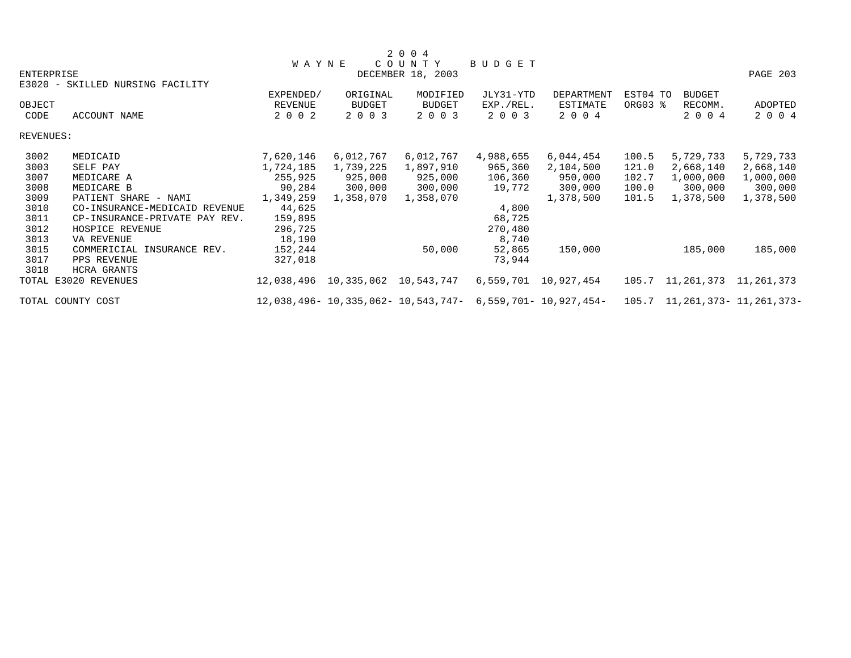|                   |                                  |                                    |           | 2 0 0 4                                                           |           |            |          |                                     |           |
|-------------------|----------------------------------|------------------------------------|-----------|-------------------------------------------------------------------|-----------|------------|----------|-------------------------------------|-----------|
|                   |                                  | <b>WAYNE</b>                       |           | COUNTY                                                            | BUDGET    |            |          |                                     |           |
| <b>ENTERPRISE</b> |                                  |                                    |           | DECEMBER 18, 2003                                                 |           |            |          |                                     | PAGE 203  |
|                   | E3020 - SKILLED NURSING FACILITY |                                    |           |                                                                   |           |            |          |                                     |           |
|                   |                                  | EXPENDED/                          | ORIGINAL  | MODIFIED                                                          | JLY31-YTD | DEPARTMENT | EST04 TO | <b>BUDGET</b>                       |           |
| OBJECT            |                                  | REVENUE                            | BUDGET    | BUDGET                                                            | EXP./REL. | ESTIMATE   | ORG03 %  | RECOMM.                             | ADOPTED   |
| CODE              | ACCOUNT NAME                     | 2 0 0 2                            | 2 0 0 3   | 2 0 0 3                                                           | 2 0 0 3   | 2 0 0 4    |          | 2 0 0 4                             | 2 0 0 4   |
| REVENUES:         |                                  |                                    |           |                                                                   |           |            |          |                                     |           |
| 3002              | MEDICAID                         | 7,620,146                          | 6,012,767 | 6,012,767                                                         | 4,988,655 | 6,044,454  | 100.5    | 5,729,733                           | 5,729,733 |
| 3003              | SELF PAY                         | 1,724,185                          | 1,739,225 | 1,897,910                                                         | 965,360   | 2,104,500  | 121.0    | 2,668,140                           | 2,668,140 |
| 3007              | MEDICARE A                       | 255,925                            | 925,000   | 925,000                                                           | 106,360   | 950,000    | 102.7    | 1,000,000                           | 1,000,000 |
| 3008              | MEDICARE B                       | 90,284                             | 300,000   | 300,000                                                           | 19,772    | 300,000    | 100.0    | 300,000                             | 300,000   |
| 3009              | PATIENT SHARE - NAMI             | 1,349,259                          | 1,358,070 | 1,358,070                                                         |           | 1,378,500  | 101.5    | 1,378,500                           | 1,378,500 |
| 3010              | CO-INSURANCE-MEDICAID REVENUE    | 44,625                             |           |                                                                   | 4,800     |            |          |                                     |           |
| 3011              | CP-INSURANCE-PRIVATE PAY REV.    | 159,895                            |           |                                                                   | 68,725    |            |          |                                     |           |
| 3012              | HOSPICE REVENUE                  | 296,725                            |           |                                                                   | 270,480   |            |          |                                     |           |
| 3013              | VA REVENUE                       | 18,190                             |           |                                                                   | 8,740     |            |          |                                     |           |
| 3015              | COMMERICIAL INSURANCE REV.       | 152,244                            |           | 50,000                                                            | 52,865    | 150,000    |          | 185,000                             | 185,000   |
| 3017              | PPS REVENUE                      | 327,018                            |           |                                                                   | 73,944    |            |          |                                     |           |
| 3018              | <b>HCRA GRANTS</b>               |                                    |           |                                                                   |           |            |          |                                     |           |
|                   | TOTAL E3020 REVENUES             | 12,038,496  10,335,062  10,543,747 |           |                                                                   | 6,559,701 | 10,927,454 |          | 105.7 11, 261, 373 11, 261, 373     |           |
|                   | TOTAL COUNTY COST                |                                    |           | $12,038,496 - 10,335,062 - 10,543,747 - 6,559,701 - 10,927,454 -$ |           |            |          | 105.7 11, 261, 373 - 11, 261, 373 - |           |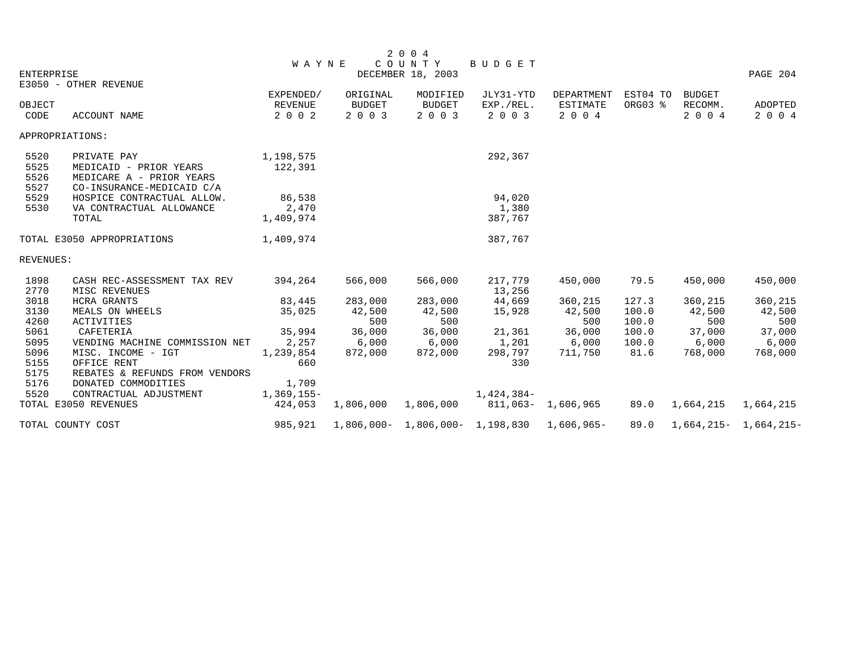|                              |                                                                                                | <b>WAYNE</b>                           |                               | 2 0 0 4<br>COUNTY                    | BUDGET                                         |                                          |                         |                                     |                           |
|------------------------------|------------------------------------------------------------------------------------------------|----------------------------------------|-------------------------------|--------------------------------------|------------------------------------------------|------------------------------------------|-------------------------|-------------------------------------|---------------------------|
| <b>ENTERPRISE</b>            |                                                                                                |                                        |                               | DECEMBER 18, 2003                    |                                                |                                          |                         |                                     | PAGE 204                  |
|                              | E3050 - OTHER REVENUE                                                                          |                                        |                               |                                      |                                                |                                          |                         |                                     |                           |
| OBJECT<br>CODE               | <b>ACCOUNT NAME</b>                                                                            | EXPENDED/<br><b>REVENUE</b><br>2 0 0 2 | ORIGINAL<br>BUDGET<br>2 0 0 3 | MODIFIED<br><b>BUDGET</b><br>2 0 0 3 | JLY31-YTD<br>EXP./REL.<br>2 0 0 3              | DEPARTMENT<br><b>ESTIMATE</b><br>2 0 0 4 | EST04 TO<br>ORG03 %     | <b>BUDGET</b><br>RECOMM.<br>2 0 0 4 | ADOPTED<br>2 0 0 4        |
|                              | APPROPRIATIONS:                                                                                |                                        |                               |                                      |                                                |                                          |                         |                                     |                           |
| 5520<br>5525<br>5526<br>5527 | PRIVATE PAY<br>MEDICAID - PRIOR YEARS<br>MEDICARE A - PRIOR YEARS<br>CO-INSURANCE-MEDICAID C/A | 1,198,575<br>122,391                   |                               |                                      | 292,367                                        |                                          |                         |                                     |                           |
| 5529<br>5530                 | HOSPICE CONTRACTUAL ALLOW.<br>VA CONTRACTUAL ALLOWANCE<br>TOTAL                                | 86,538<br>2,470<br>1,409,974           |                               |                                      | 94,020<br>1,380<br>387,767                     |                                          |                         |                                     |                           |
|                              | TOTAL E3050 APPROPRIATIONS                                                                     | 1,409,974                              |                               |                                      | 387,767                                        |                                          |                         |                                     |                           |
| REVENUES:                    |                                                                                                |                                        |                               |                                      |                                                |                                          |                         |                                     |                           |
| 1898<br>2770                 | CASH REC-ASSESSMENT TAX REV<br>MISC REVENUES                                                   | 394,264                                | 566,000                       | 566,000                              | 217,779<br>13,256                              | 450,000                                  | 79.5                    | 450,000                             | 450,000                   |
| 3018<br>3130<br>4260         | <b>HCRA GRANTS</b><br>MEALS ON WHEELS<br>ACTIVITIES                                            | 83,445<br>35,025                       | 283,000<br>42,500<br>500      | 283,000<br>42,500<br>500             | 44,669<br>15,928                               | 360,215<br>42,500<br>500                 | 127.3<br>100.0<br>100.0 | 360,215<br>42,500<br>500            | 360,215<br>42,500<br>500  |
| 5061<br>5095                 | CAFETERIA<br>VENDING MACHINE COMMISSION NET                                                    | 35,994<br>2,257                        | 36,000<br>6,000               | 36,000<br>6,000                      | 21,361<br>1,201                                | 36,000<br>6,000                          | 100.0<br>100.0          | 37,000<br>6,000                     | 37,000<br>6,000           |
| 5096<br>5155<br>5175         | MISC. INCOME - IGT<br>OFFICE RENT<br>REBATES & REFUNDS FROM VENDORS                            | 1,239,854<br>660                       | 872,000                       | 872,000                              | 298,797<br>330                                 | 711,750                                  | 81.6                    | 768,000                             | 768,000                   |
| 5176<br>5520                 | DONATED COMMODITIES<br>CONTRACTUAL ADJUSTMENT<br>TOTAL E3050 REVENUES                          | 1,709<br>$1,369,155-$<br>424,053       | 1,806,000 1,806,000           |                                      | 1,424,384-<br>811,063- 1,606,965               |                                          | 89.0                    | 1,664,215                           | 1,664,215                 |
|                              | TOTAL COUNTY COST                                                                              | 985,921                                |                               |                                      | $1,806,000 - 1,806,000 - 1,198,830$ 1,606,965- |                                          | 89.0                    |                                     | $1,664,215 - 1,664,215 -$ |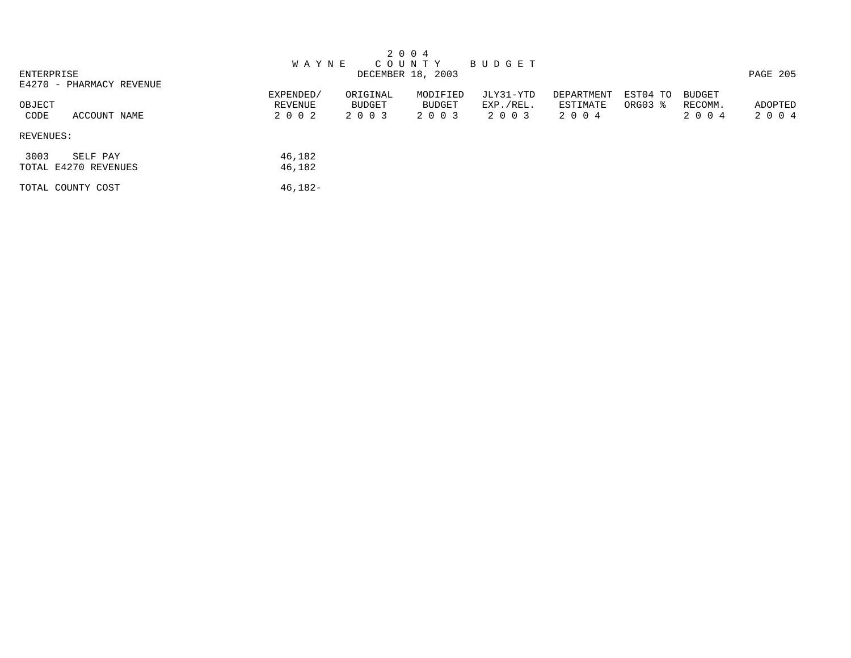| 2 0 0 4                  |              |          |                   |           |            |          |               |          |
|--------------------------|--------------|----------|-------------------|-----------|------------|----------|---------------|----------|
|                          | <b>WAYNE</b> |          | C O U N T Y       | BUDGET    |            |          |               |          |
| ENTERPRISE               |              |          | DECEMBER 18, 2003 |           |            |          |               | PAGE 205 |
| E4270 - PHARMACY REVENUE |              |          |                   |           |            |          |               |          |
|                          | EXPENDED/    | ORIGINAL | MODIFIED          | JLY31-YTD | DEPARTMENT | EST04 TO | <b>BUDGET</b> |          |
| OBJECT                   | REVENUE      | BUDGET   | <b>BUDGET</b>     | EXP./REL. | ESTIMATE   | ORG03 %  | RECOMM.       | ADOPTED  |
| CODE<br>ACCOUNT NAME     | 2 0 0 2      | 2 0 0 3  | 2 0 0 3           | 2 0 0 3   | 2 0 0 4    |          | 2 0 0 4       | 2 0 0 4  |
| REVENUES:                |              |          |                   |           |            |          |               |          |
| 3003<br>SELF PAY         | 46,182       |          |                   |           |            |          |               |          |
| TOTAL E4270 REVENUES     | 46,182       |          |                   |           |            |          |               |          |
| TOTAL COUNTY COST        | 46,182-      |          |                   |           |            |          |               |          |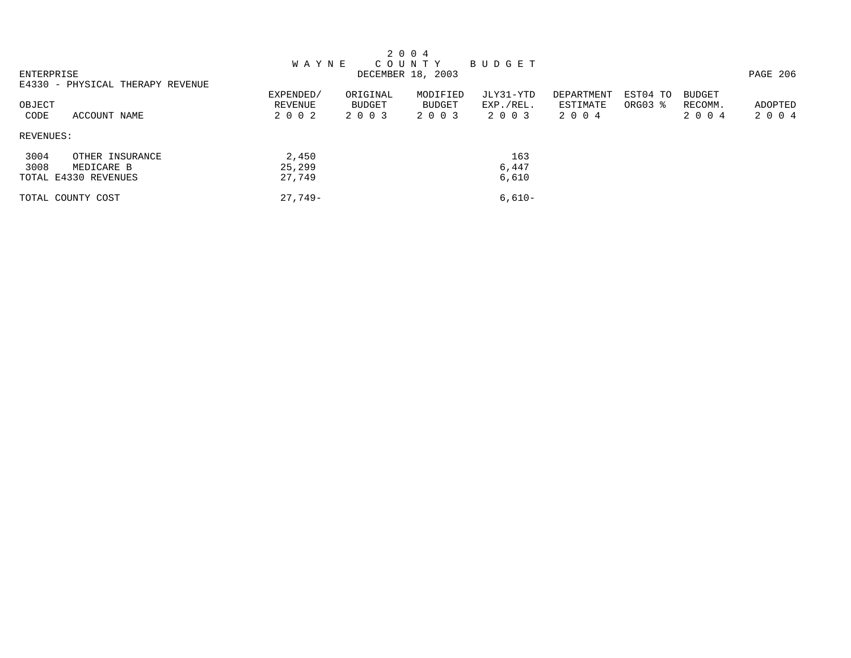|            |                                  |              |               | 2 0 0 4           |           |            |          |               |          |
|------------|----------------------------------|--------------|---------------|-------------------|-----------|------------|----------|---------------|----------|
|            |                                  | <b>WAYNE</b> |               | COUNTY            | BUDGET    |            |          |               |          |
| ENTERPRISE |                                  |              |               | DECEMBER 18, 2003 |           |            |          |               | PAGE 206 |
|            | E4330 - PHYSICAL THERAPY REVENUE |              |               |                   |           |            |          |               |          |
|            |                                  | EXPENDED/    | ORIGINAL      | MODIFIED          | JLY31-YTD | DEPARTMENT | EST04 TO | <b>BUDGET</b> |          |
| OBJECT     |                                  | REVENUE      | <b>BUDGET</b> | BUDGET            | EXP./REL. | ESTIMATE   | ORG03 %  | RECOMM.       | ADOPTED  |
| CODE       | ACCOUNT NAME                     | 2 0 0 2      | 2 0 0 3       | 2 0 0 3           | 2 0 0 3   | 2 0 0 4    |          | 2 0 0 4       | 2004     |
| REVENUES:  |                                  |              |               |                   |           |            |          |               |          |
| 3004       | OTHER INSURANCE                  | 2,450        |               |                   | 163       |            |          |               |          |
| 3008       | MEDICARE B                       | 25,299       |               |                   | 6,447     |            |          |               |          |
|            | TOTAL E4330 REVENUES             | 27,749       |               |                   | 6,610     |            |          |               |          |
|            | TOTAL COUNTY COST                | $27.749-$    |               |                   | $6.610-$  |            |          |               |          |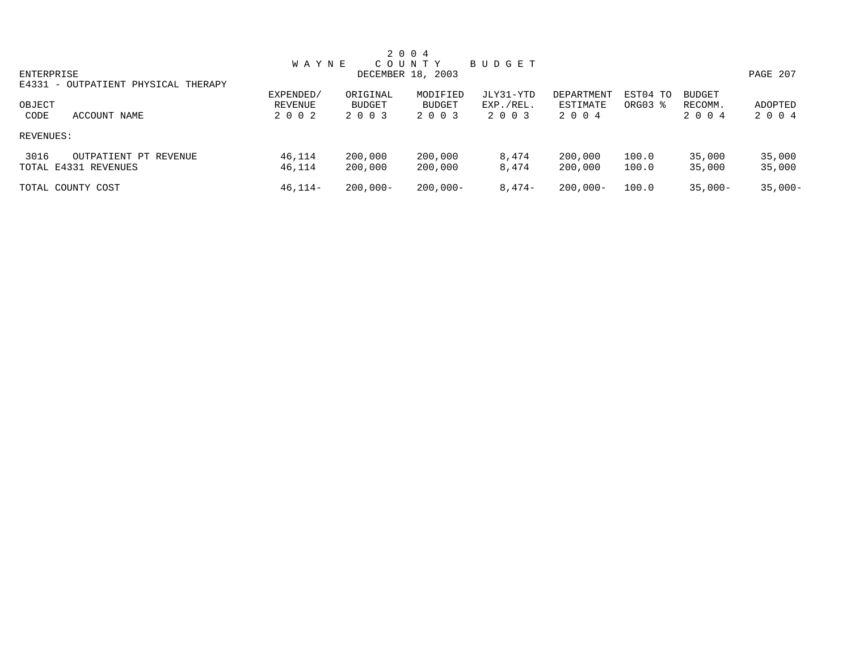|                                     |              |               | 2 0 0 4           |           |             |          |               |            |
|-------------------------------------|--------------|---------------|-------------------|-----------|-------------|----------|---------------|------------|
|                                     | <b>WAYNE</b> |               | COUNTY            | BUDGET    |             |          |               |            |
| ENTERPRISE                          |              |               | DECEMBER 18, 2003 |           |             |          |               | PAGE 207   |
| E4331 - OUTPATIENT PHYSICAL THERAPY |              |               |                   |           |             |          |               |            |
|                                     | EXPENDED/    | ORIGINAL      | MODIFIED          | JLY31-YTD | DEPARTMENT  | EST04 TO | <b>BUDGET</b> |            |
| OBJECT                              | REVENUE      | <b>BUDGET</b> | <b>BUDGET</b>     | EXP./REL. | ESTIMATE    | ORG03 %  | RECOMM.       | ADOPTED    |
| CODE<br>ACCOUNT NAME                | 2 0 0 2      | 2 0 0 3       | 2 0 0 3           | 2 0 0 3   | 2004        |          | 2 0 0 4       | 2 0 0 4    |
| REVENUES:                           |              |               |                   |           |             |          |               |            |
| 3016<br>OUTPATIENT PT REVENUE       | 46,114       | 200,000       | 200,000           | 8,474     | 200,000     | 100.0    | 35,000        | 35,000     |
| TOTAL E4331 REVENUES                | 46,114       | 200,000       | 200,000           | 8,474     | 200,000     | 100.0    | 35,000        | 35,000     |
| TOTAL COUNTY COST                   | $46, 114 -$  | $200.000 -$   | $200,000 -$       | $8,474-$  | $200.000 -$ | 100.0    | $35,000-$     | $35.000 -$ |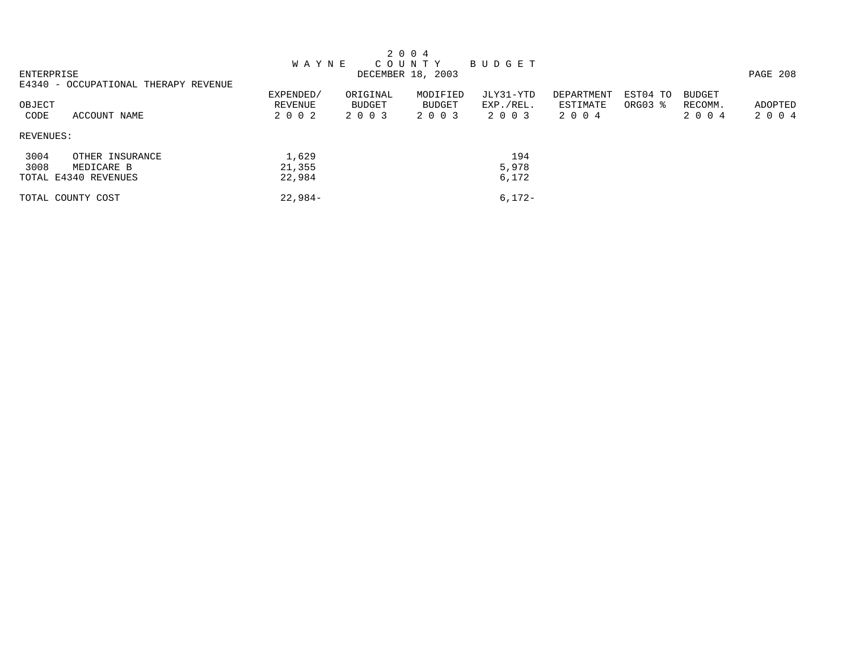|            |                                      |              |          | 2 0 0 4           |           |            |          |               |          |
|------------|--------------------------------------|--------------|----------|-------------------|-----------|------------|----------|---------------|----------|
|            |                                      | <b>WAYNE</b> |          | COUNTY            | BUDGET    |            |          |               |          |
| ENTERPRISE |                                      |              |          | DECEMBER 18, 2003 |           |            |          |               | PAGE 208 |
|            | E4340 - OCCUPATIONAL THERAPY REVENUE |              |          |                   |           |            |          |               |          |
|            |                                      | EXPENDED/    | ORIGINAL | MODIFIED          | JLY31-YTD | DEPARTMENT | EST04 TO | <b>BUDGET</b> |          |
| OBJECT     |                                      | REVENUE      | BUDGET   | BUDGET            | EXP./REL. | ESTIMATE   | ORG03 %  | RECOMM.       | ADOPTED  |
| CODE       | ACCOUNT NAME                         | 2 0 0 2      | 2 0 0 3  | 2 0 0 3           | 2 0 0 3   | 2004       |          | 2 0 0 4       | 2004     |
| REVENUES:  |                                      |              |          |                   |           |            |          |               |          |
| 3004       | OTHER INSURANCE                      | 1,629        |          |                   | 194       |            |          |               |          |
| 3008       | MEDICARE B                           | 21,355       |          |                   | 5,978     |            |          |               |          |
|            | TOTAL E4340 REVENUES                 | 22,984       |          |                   | 6,172     |            |          |               |          |
|            | TOTAL COUNTY COST                    | $22.984-$    |          |                   | $6.172 -$ |            |          |               |          |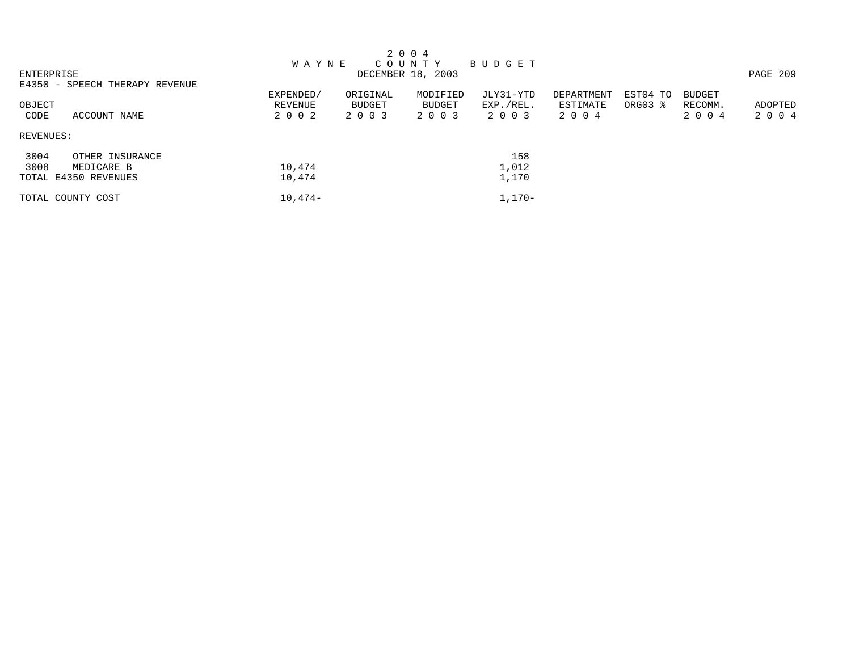|            |                                |              |               | 2 0 0 4           |           |            |          |               |          |
|------------|--------------------------------|--------------|---------------|-------------------|-----------|------------|----------|---------------|----------|
|            |                                | <b>WAYNE</b> |               | C O U N T Y       | BUDGET    |            |          |               |          |
| ENTERPRISE |                                |              |               | DECEMBER 18, 2003 |           |            |          |               | PAGE 209 |
|            | E4350 - SPEECH THERAPY REVENUE |              |               |                   |           |            |          |               |          |
|            |                                | EXPENDED/    | ORIGINAL      | MODIFIED          | JLY31-YTD | DEPARTMENT | EST04 TO | <b>BUDGET</b> |          |
| OBJECT     |                                | REVENUE      | <b>BUDGET</b> | BUDGET            | EXP./REL. | ESTIMATE   | ORG03 %  | RECOMM.       | ADOPTED  |
| CODE       | ACCOUNT NAME                   | 2002         | 2 0 0 3       | 2 0 0 3           | 2003      | 2004       |          | 2 0 0 4       | 2 0 0 4  |
| REVENUES:  |                                |              |               |                   |           |            |          |               |          |
| 3004       | OTHER INSURANCE                |              |               |                   | 158       |            |          |               |          |
| 3008       | MEDICARE B                     | 10,474       |               |                   | 1,012     |            |          |               |          |
|            | TOTAL E4350 REVENUES           | 10,474       |               |                   | 1,170     |            |          |               |          |
|            | TOTAL COUNTY COST              | $10,474-$    |               |                   | $1,170-$  |            |          |               |          |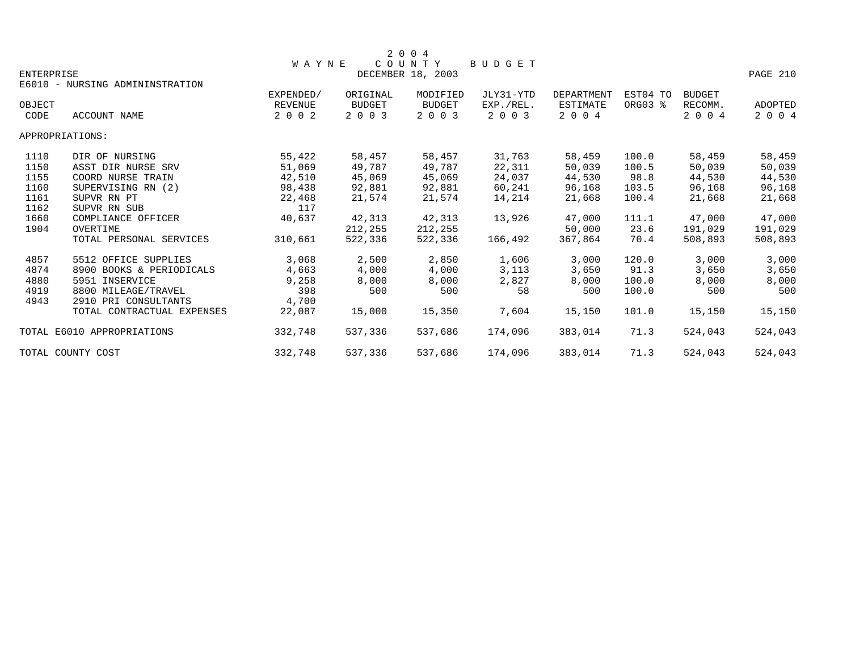|                   |                                 |                |          | 2 0 0 4           |               |            |          |               |          |
|-------------------|---------------------------------|----------------|----------|-------------------|---------------|------------|----------|---------------|----------|
|                   |                                 | <b>WAYNE</b>   |          | COUNTY            | <b>BUDGET</b> |            |          |               |          |
| <b>ENTERPRISE</b> |                                 |                |          | DECEMBER 18, 2003 |               |            |          |               | PAGE 210 |
|                   | E6010 - NURSING ADMININSTRATION |                |          |                   |               |            |          |               |          |
|                   |                                 | EXPENDED/      | ORIGINAL | MODIFIED          | JLY31-YTD     | DEPARTMENT | EST04 TO | <b>BUDGET</b> |          |
| OBJECT            |                                 | <b>REVENUE</b> | BUDGET   | <b>BUDGET</b>     | EXP./REL.     | ESTIMATE   | ORG03 %  | RECOMM.       | ADOPTED  |
| CODE              | ACCOUNT NAME                    | 2 0 0 2        | 2 0 0 3  | 2 0 0 3           | 2 0 0 3       | 2 0 0 4    |          | 2 0 0 4       | 2 0 0 4  |
|                   | APPROPRIATIONS:                 |                |          |                   |               |            |          |               |          |
| 1110              | DIR OF NURSING                  | 55,422         | 58,457   | 58,457            | 31,763        | 58,459     | 100.0    | 58,459        | 58,459   |
| 1150              | ASST DIR NURSE SRV              | 51,069         | 49,787   | 49,787            | 22,311        | 50,039     | 100.5    | 50,039        | 50,039   |
| 1155              | COORD NURSE TRAIN               | 42,510         | 45,069   | 45,069            | 24,037        | 44,530     | 98.8     | 44,530        | 44,530   |
| 1160              | SUPERVISING RN (2)              | 98,438         | 92,881   | 92,881            | 60,241        | 96,168     | 103.5    | 96,168        | 96,168   |
| 1161              | SUPVR RN PT                     | 22,468         | 21,574   | 21,574            | 14,214        | 21,668     | 100.4    | 21,668        | 21,668   |
| 1162              | SUPVR RN SUB                    | 117            |          |                   |               |            |          |               |          |
| 1660              | COMPLIANCE OFFICER              | 40,637         | 42,313   | 42,313            | 13,926        | 47,000     | 111.1    | 47,000        | 47,000   |
| 1904              | OVERTIME                        |                | 212,255  | 212,255           |               | 50,000     | 23.6     | 191,029       | 191,029  |
|                   | TOTAL PERSONAL SERVICES         | 310,661        | 522,336  | 522,336           | 166,492       | 367,864    | 70.4     | 508,893       | 508,893  |
| 4857              | 5512 OFFICE SUPPLIES            | 3,068          | 2,500    | 2,850             | 1,606         | 3,000      | 120.0    | 3,000         | 3,000    |
| 4874              | 8900 BOOKS & PERIODICALS        | 4,663          | 4,000    | 4,000             | 3,113         | 3,650      | 91.3     | 3,650         | 3,650    |
| 4880              | 5951 INSERVICE                  | 9,258          | 8,000    | 8,000             | 2,827         | 8,000      | 100.0    | 8,000         | 8,000    |
| 4919              | 8800 MILEAGE/TRAVEL             | 398            | 500      | 500               | 58            | 500        | 100.0    | 500           | 500      |
| 4943              | 2910 PRI CONSULTANTS            | 4,700          |          |                   |               |            |          |               |          |
|                   | TOTAL CONTRACTUAL EXPENSES      | 22,087         | 15,000   | 15,350            | 7,604         | 15,150     | 101.0    | 15,150        | 15,150   |
|                   | TOTAL E6010 APPROPRIATIONS      | 332,748        | 537,336  | 537,686           | 174,096       | 383,014    | 71.3     | 524,043       | 524,043  |
|                   | TOTAL COUNTY COST               | 332,748        | 537,336  | 537,686           | 174,096       | 383,014    | 71.3     | 524,043       | 524,043  |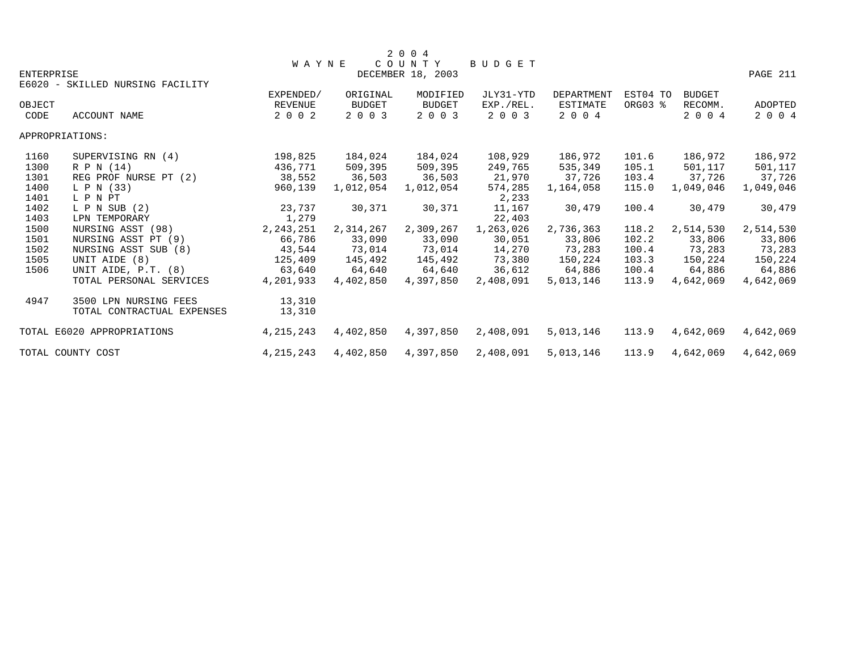|                   |                                  |                |           | 2 0 0 4           |               |                   |          |               |           |
|-------------------|----------------------------------|----------------|-----------|-------------------|---------------|-------------------|----------|---------------|-----------|
|                   |                                  | <b>WAYNE</b>   |           | COUNTY            | <b>BUDGET</b> |                   |          |               |           |
| <b>ENTERPRISE</b> |                                  |                |           | DECEMBER 18, 2003 |               |                   |          |               | PAGE 211  |
|                   | E6020 - SKILLED NURSING FACILITY |                |           |                   |               |                   |          |               |           |
|                   |                                  | EXPENDED/      | ORIGINAL  | MODIFIED          | JLY31-YTD     | <b>DEPARTMENT</b> | EST04 TO | <b>BUDGET</b> |           |
| OBJECT            |                                  | <b>REVENUE</b> | BUDGET    | <b>BUDGET</b>     | EXP./REL.     | ESTIMATE          | ORG03 %  | RECOMM.       | ADOPTED   |
| CODE              | <b>ACCOUNT NAME</b>              | 2 0 0 2        | 2 0 0 3   | 2 0 0 3           | 2 0 0 3       | 2 0 0 4           |          | 2 0 0 4       | 2 0 0 4   |
|                   | APPROPRIATIONS:                  |                |           |                   |               |                   |          |               |           |
| 1160              | SUPERVISING RN (4)               | 198,825        | 184,024   | 184,024           | 108,929       | 186,972           | 101.6    | 186,972       | 186,972   |
| 1300              | R P N (14)                       | 436,771        | 509,395   | 509,395           | 249,765       | 535,349           | 105.1    | 501,117       | 501,117   |
| 1301              | REG PROF NURSE PT (2)            | 38,552         | 36,503    | 36,503            | 21,970        | 37,726            | 103.4    | 37,726        | 37,726    |
| 1400              | L P N (33)                       | 960,139        | 1,012,054 | 1,012,054         | 574,285       | 1,164,058         | 115.0    | 1,049,046     | 1,049,046 |
| 1401              | L P N PT                         |                |           |                   | 2,233         |                   |          |               |           |
| 1402              | $L$ P N SUB $(2)$                | 23,737         | 30,371    | 30,371            | 11,167        | 30,479            | 100.4    | 30,479        | 30,479    |
| 1403              | LPN TEMPORARY                    | 1,279          |           |                   | 22,403        |                   |          |               |           |
| 1500              | NURSING ASST (98)                | 2, 243, 251    | 2,314,267 | 2,309,267         | 1,263,026     | 2,736,363         | 118.2    | 2,514,530     | 2,514,530 |
| 1501              | NURSING ASST PT (9)              | 66,786         | 33,090    | 33,090            | 30,051        | 33,806            | 102.2    | 33,806        | 33,806    |
| 1502              | NURSING ASST SUB (8)             | 43,544         | 73,014    | 73,014            | 14,270        | 73,283            | 100.4    | 73,283        | 73,283    |
| 1505              | UNIT AIDE (8)                    | 125,409        | 145,492   | 145,492           | 73,380        | 150,224           | 103.3    | 150,224       | 150,224   |
| 1506              | UNIT AIDE, P.T. (8)              | 63,640         | 64,640    | 64,640            | 36,612        | 64,886            | 100.4    | 64,886        | 64,886    |
|                   | TOTAL PERSONAL SERVICES          | 4,201,933      | 4,402,850 | 4,397,850         | 2,408,091     | 5,013,146         | 113.9    | 4,642,069     | 4,642,069 |
| 4947              | 3500 LPN NURSING FEES            | 13,310         |           |                   |               |                   |          |               |           |
|                   | TOTAL CONTRACTUAL EXPENSES       | 13,310         |           |                   |               |                   |          |               |           |
|                   | TOTAL E6020 APPROPRIATIONS       | 4, 215, 243    | 4,402,850 | 4,397,850         | 2,408,091     | 5,013,146         | 113.9    | 4,642,069     | 4,642,069 |
|                   | TOTAL COUNTY COST                | 4, 215, 243    | 4,402,850 | 4,397,850         | 2,408,091     | 5,013,146         | 113.9    | 4,642,069     | 4,642,069 |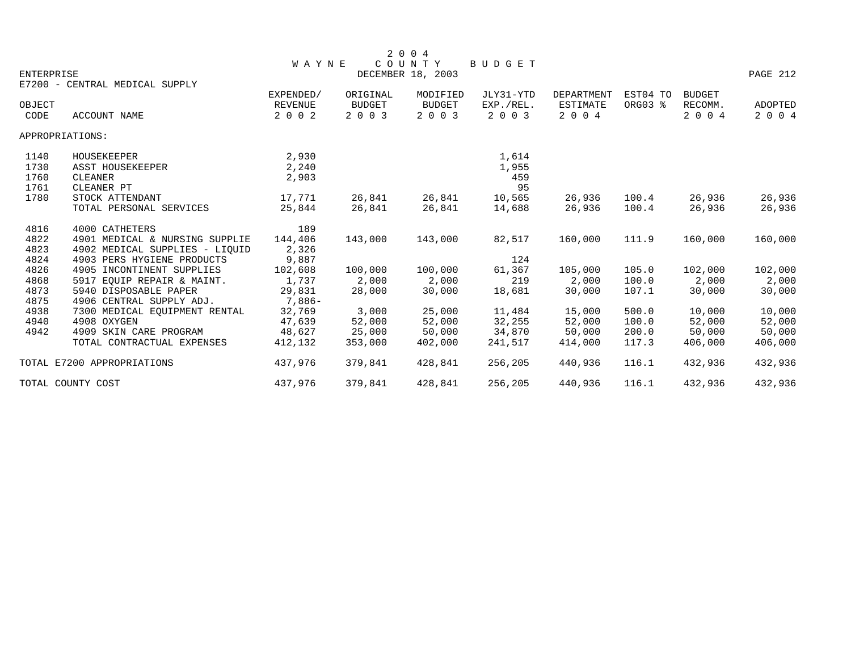|                   |                                |                |               | 2 0 0 4           |           |                 |          |               |                |
|-------------------|--------------------------------|----------------|---------------|-------------------|-----------|-----------------|----------|---------------|----------------|
|                   |                                | <b>WAYNE</b>   |               | COUNTY            | BUDGET    |                 |          |               |                |
| <b>ENTERPRISE</b> |                                |                |               | DECEMBER 18, 2003 |           |                 |          |               | PAGE 212       |
|                   | E7200 - CENTRAL MEDICAL SUPPLY |                |               |                   |           |                 |          |               |                |
|                   |                                | EXPENDED/      | ORIGINAL      | MODIFIED          | JLY31-YTD | DEPARTMENT      | EST04 TO | <b>BUDGET</b> |                |
| OBJECT            |                                | <b>REVENUE</b> | <b>BUDGET</b> | <b>BUDGET</b>     | EXP./REL. | <b>ESTIMATE</b> | ORG03 %  | RECOMM.       | <b>ADOPTED</b> |
| CODE              | ACCOUNT NAME                   | 2 0 0 2        | 2 0 0 3       | 2 0 0 3           | 2 0 0 3   | 2004            |          | 2 0 0 4       | 2 0 0 4        |
|                   | APPROPRIATIONS:                |                |               |                   |           |                 |          |               |                |
| 1140              | HOUSEKEEPER                    | 2,930          |               |                   | 1,614     |                 |          |               |                |
| 1730              | ASST HOUSEKEEPER               | 2,240          |               |                   | 1,955     |                 |          |               |                |
| 1760              | CLEANER                        | 2,903          |               |                   | 459       |                 |          |               |                |
| 1761              | CLEANER PT                     |                |               |                   | 95        |                 |          |               |                |
| 1780              | STOCK ATTENDANT                | 17,771         | 26,841        | 26,841            | 10,565    | 26,936          | 100.4    | 26,936        | 26,936         |
|                   | TOTAL PERSONAL SERVICES        | 25,844         | 26,841        | 26,841            | 14,688    | 26,936          | 100.4    | 26,936        | 26,936         |
| 4816              | 4000 CATHETERS                 | 189            |               |                   |           |                 |          |               |                |
| 4822              | 4901 MEDICAL & NURSING SUPPLIE | 144,406        | 143,000       | 143,000           | 82,517    | 160,000         | 111.9    | 160,000       | 160,000        |
| 4823              | 4902 MEDICAL SUPPLIES - LIOUID | 2,326          |               |                   |           |                 |          |               |                |
| 4824              | 4903 PERS HYGIENE PRODUCTS     | 9,887          |               |                   | 124       |                 |          |               |                |
| 4826              | 4905 INCONTINENT SUPPLIES      | 102,608        | 100,000       | 100,000           | 61,367    | 105,000         | 105.0    | 102,000       | 102,000        |
| 4868              | 5917 EOUIP REPAIR & MAINT.     | 1,737          | 2,000         | 2,000             | 219       | 2,000           | 100.0    | 2,000         | 2,000          |
| 4873              | 5940 DISPOSABLE PAPER          | 29,831         | 28,000        | 30,000            | 18,681    | 30,000          | 107.1    | 30,000        | 30,000         |
| 4875              | 4906 CENTRAL SUPPLY ADJ.       | 7,886-         |               |                   |           |                 |          |               |                |
| 4938              | 7300 MEDICAL EQUIPMENT RENTAL  | 32,769         | 3,000         | 25,000            | 11,484    | 15,000          | 500.0    | 10,000        | 10,000         |
| 4940              | 4908 OXYGEN                    | 47,639         | 52,000        | 52,000            | 32,255    | 52,000          | 100.0    | 52,000        | 52,000         |
| 4942              | 4909 SKIN CARE PROGRAM         | 48,627         | 25,000        | 50,000            | 34,870    | 50,000          | 200.0    | 50,000        | 50,000         |
|                   | TOTAL CONTRACTUAL EXPENSES     | 412,132        | 353,000       | 402,000           | 241,517   | 414,000         | 117.3    | 406,000       | 406,000        |
|                   | TOTAL E7200 APPROPRIATIONS     | 437,976        | 379,841       | 428,841           | 256,205   | 440,936         | 116.1    | 432,936       | 432,936        |
|                   | TOTAL COUNTY COST              | 437,976        | 379,841       | 428,841           | 256,205   | 440,936         | 116.1    | 432,936       | 432,936        |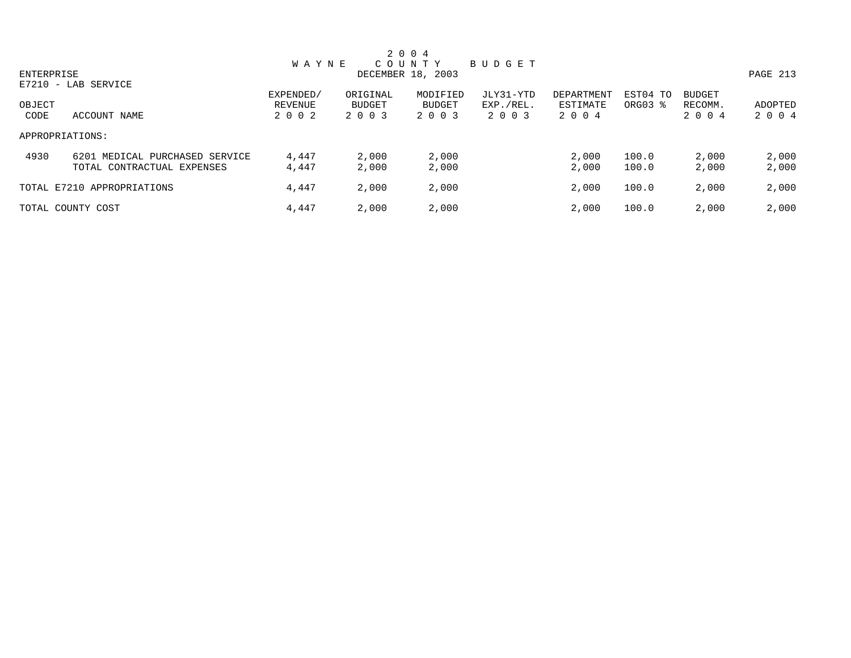|                |                                                              |                                 |                               | 2 0 0 4                              |                                   |                                   |                     |                                     |                    |
|----------------|--------------------------------------------------------------|---------------------------------|-------------------------------|--------------------------------------|-----------------------------------|-----------------------------------|---------------------|-------------------------------------|--------------------|
| ENTERPRISE     | $E7210 - LAB$ SERVICE                                        | <b>WAYNE</b>                    |                               | COUNTY<br>DECEMBER 18, 2003          | BUDGET                            |                                   |                     |                                     | PAGE 213           |
| OBJECT<br>CODE | ACCOUNT NAME                                                 | EXPENDED/<br>REVENUE<br>2 0 0 2 | ORIGINAL<br>BUDGET<br>2 0 0 3 | MODIFIED<br><b>BUDGET</b><br>2 0 0 3 | JLY31-YTD<br>EXP./REL.<br>2 0 0 3 | DEPARTMENT<br>ESTIMATE<br>2 0 0 4 | EST04 TO<br>ORG03 % | <b>BUDGET</b><br>RECOMM.<br>2 0 0 4 | ADOPTED<br>2 0 0 4 |
|                | APPROPRIATIONS:                                              |                                 |                               |                                      |                                   |                                   |                     |                                     |                    |
| 4930           | 6201 MEDICAL PURCHASED SERVICE<br>TOTAL CONTRACTUAL EXPENSES | 4,447<br>4,447                  | 2,000<br>2,000                | 2,000<br>2,000                       |                                   | 2,000<br>2,000                    | 100.0<br>100.0      | 2,000<br>2,000                      | 2,000<br>2,000     |
|                | TOTAL E7210 APPROPRIATIONS                                   | 4,447                           | 2,000                         | 2,000                                |                                   | 2,000                             | 100.0               | 2,000                               | 2,000              |
|                | TOTAL COUNTY COST                                            | 4,447                           | 2,000                         | 2,000                                |                                   | 2,000                             | 100.0               | 2,000                               | 2,000              |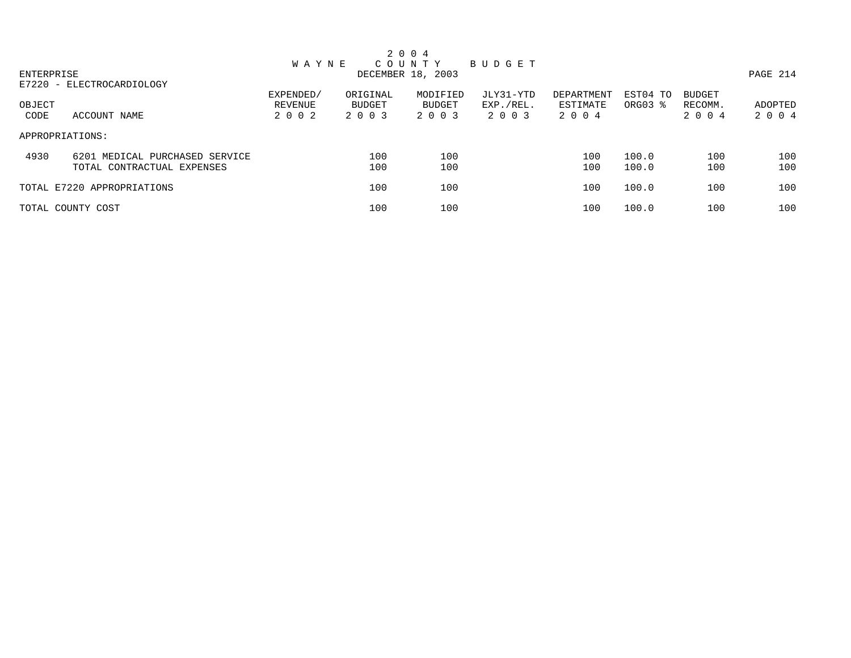|                 |                                |              |          | 2 0 0 4           |           |            |                     |               |          |
|-----------------|--------------------------------|--------------|----------|-------------------|-----------|------------|---------------------|---------------|----------|
|                 |                                | <b>WAYNE</b> |          | COUNTY            | BUDGET    |            |                     |               |          |
| ENTERPRISE      |                                |              |          | DECEMBER 18, 2003 |           |            |                     |               | PAGE 214 |
|                 | E7220 - ELECTROCARDIOLOGY      |              |          |                   |           |            |                     |               |          |
|                 |                                | EXPENDED/    | ORIGINAL | MODIFIED          | JLY31-YTD | DEPARTMENT | EST04 TO            | <b>BUDGET</b> |          |
| OBJECT          |                                | REVENUE      | BUDGET   | BUDGET            | EXP./REL. | ESTIMATE   | ORG03 $\frac{1}{6}$ | RECOMM.       | ADOPTED  |
| CODE            | ACCOUNT NAME                   | 2 0 0 2      | 2 0 0 3  | 2 0 0 3           | 2 0 0 3   | 2004       |                     | 2 0 0 4       | 2 0 0 4  |
| APPROPRIATIONS: |                                |              |          |                   |           |            |                     |               |          |
| 4930            | 6201 MEDICAL PURCHASED SERVICE |              | 100      | 100               |           | 100        | 100.0               | 100           | 100      |
|                 | TOTAL CONTRACTUAL EXPENSES     |              | 100      | 100               |           | 100        | 100.0               | 100           | 100      |
|                 | TOTAL E7220 APPROPRIATIONS     |              | 100      | 100               |           | 100        | 100.0               | 100           | 100      |
|                 | TOTAL COUNTY COST              |              | 100      | 100               |           | 100        | 100.0               | 100           | 100      |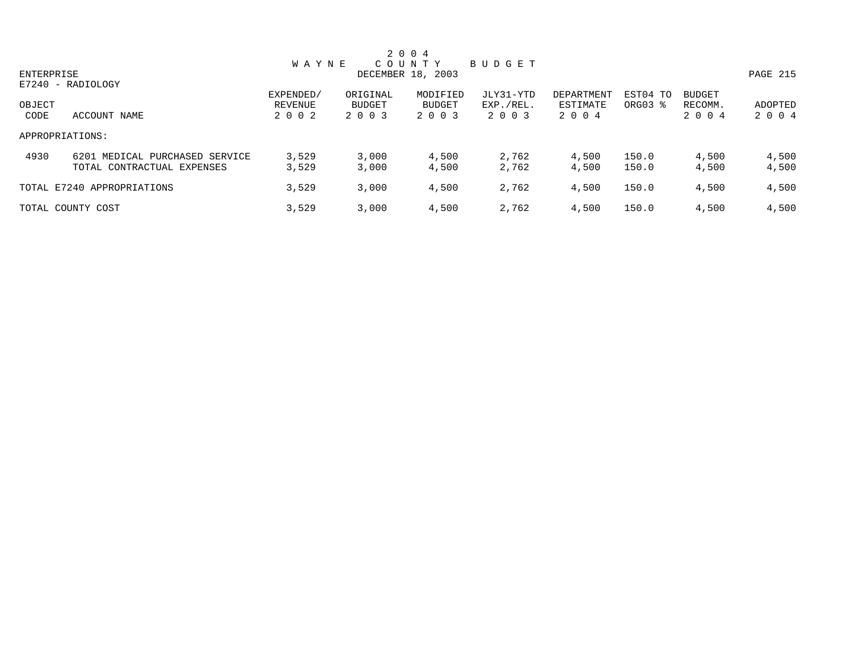|            |                                |              |               | 2 0 0 4           |           |            |          |               |          |
|------------|--------------------------------|--------------|---------------|-------------------|-----------|------------|----------|---------------|----------|
|            |                                | <b>WAYNE</b> |               | COUNTY            | BUDGET    |            |          |               |          |
| ENTERPRISE |                                |              |               | DECEMBER 18, 2003 |           |            |          |               | PAGE 215 |
|            | $E7240 - RADIOLOGY$            |              |               |                   |           |            |          |               |          |
|            |                                | EXPENDED/    | ORIGINAL      | MODIFIED          | JLY31-YTD | DEPARTMENT | EST04 TO | <b>BUDGET</b> |          |
| OBJECT     |                                | REVENUE      | <b>BUDGET</b> | BUDGET            | EXP./REL. | ESTIMATE   | ORG03 %  | RECOMM.       | ADOPTED  |
| CODE       | ACCOUNT NAME                   | 2 0 0 2      | 2 0 0 3       | 2 0 0 3           | 2 0 0 3   | 2 0 0 4    |          | 2 0 0 4       | 2 0 0 4  |
|            | APPROPRIATIONS:                |              |               |                   |           |            |          |               |          |
| 4930       | 6201 MEDICAL PURCHASED SERVICE | 3,529        | 3,000         | 4,500             | 2,762     | 4,500      | 150.0    | 4,500         | 4,500    |
|            | TOTAL CONTRACTUAL EXPENSES     | 3,529        | 3,000         | 4,500             | 2,762     | 4,500      | 150.0    | 4,500         | 4,500    |
|            | TOTAL E7240 APPROPRIATIONS     | 3,529        | 3,000         | 4,500             | 2,762     | 4,500      | 150.0    | 4,500         | 4,500    |
|            | TOTAL COUNTY COST              | 3,529        | 3,000         | 4,500             | 2,762     | 4,500      | 150.0    | 4,500         | 4,500    |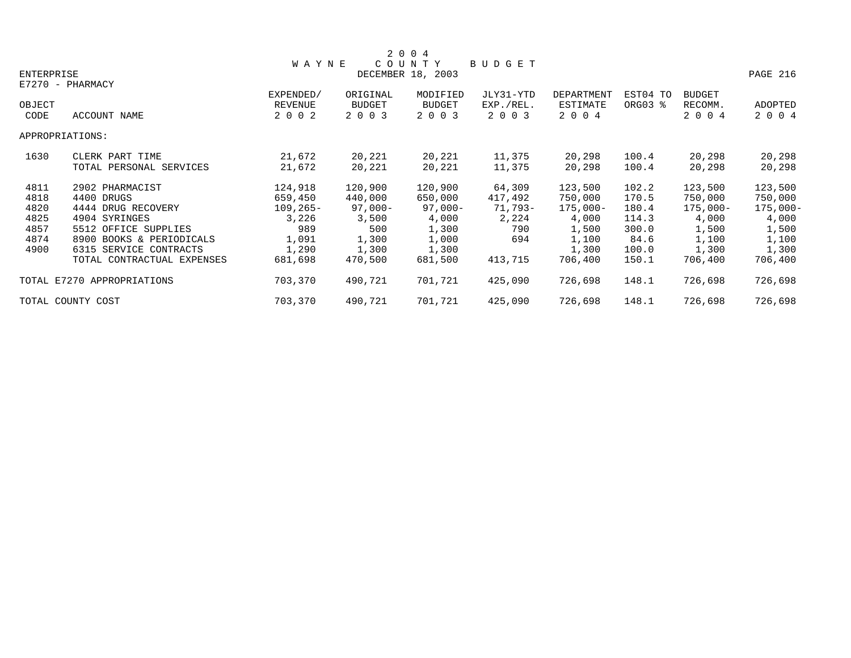|                |                            |                                 |                               | 2 0 0 4                              |                                   |                                   |                     |                                     |                    |
|----------------|----------------------------|---------------------------------|-------------------------------|--------------------------------------|-----------------------------------|-----------------------------------|---------------------|-------------------------------------|--------------------|
|                |                            | <b>WAYNE</b>                    |                               | COUNTY                               | BUDGET                            |                                   |                     |                                     |                    |
| ENTERPRISE     |                            |                                 |                               | DECEMBER 18, 2003                    |                                   |                                   |                     |                                     | PAGE 216           |
|                | E7270 - PHARMACY           |                                 |                               |                                      |                                   |                                   |                     |                                     |                    |
| OBJECT<br>CODE | ACCOUNT NAME               | EXPENDED/<br>REVENUE<br>2 0 0 2 | ORIGINAL<br>BUDGET<br>2 0 0 3 | MODIFIED<br><b>BUDGET</b><br>2 0 0 3 | JLY31-YTD<br>EXP./REL.<br>2 0 0 3 | DEPARTMENT<br>ESTIMATE<br>2 0 0 4 | EST04 TO<br>ORG03 % | <b>BUDGET</b><br>RECOMM.<br>2 0 0 4 | ADOPTED<br>2 0 0 4 |
|                | APPROPRIATIONS:            |                                 |                               |                                      |                                   |                                   |                     |                                     |                    |
| 1630           | CLERK PART TIME            | 21,672                          | 20,221                        | 20,221                               | 11,375                            | 20,298                            | 100.4               | 20,298                              | 20,298             |
|                | TOTAL PERSONAL SERVICES    | 21,672                          | 20,221                        | 20,221                               | 11,375                            | 20,298                            | 100.4               | 20,298                              | 20,298             |
| 4811           | 2902 PHARMACIST            | 124,918                         | 120,900                       | 120,900                              | 64,309                            | 123,500                           | 102.2               | 123,500                             | 123,500            |
| 4818           | 4400 DRUGS                 | 659,450                         | 440,000                       | 650,000                              | 417,492                           | 750,000                           | 170.5               | 750,000                             | 750,000            |
| 4820           | 4444 DRUG RECOVERY         | $109, 265 -$                    | $97,000-$                     | $97,000-$                            | 71,793-                           | $175,000-$                        | 180.4               | $175,000-$                          | $175,000-$         |
| 4825           | 4904 SYRINGES              | 3,226                           | 3,500                         | 4,000                                | 2,224                             | 4,000                             | 114.3               | 4,000                               | 4,000              |
| 4857           | 5512 OFFICE SUPPLIES       | 989                             | 500                           | 1,300                                | 790                               | 1,500                             | 300.0               | 1,500                               | 1,500              |
| 4874           | 8900 BOOKS & PERIODICALS   | 1,091                           | 1,300                         | 1,000                                | 694                               | 1,100                             | 84.6                | 1,100                               | 1,100              |
| 4900           | 6315 SERVICE CONTRACTS     | 1,290                           | 1,300                         | 1,300                                |                                   | 1,300                             | 100.0               | 1,300                               | 1,300              |
|                | TOTAL CONTRACTUAL EXPENSES | 681,698                         | 470,500                       | 681,500                              | 413,715                           | 706,400                           | 150.1               | 706,400                             | 706,400            |
|                | TOTAL E7270 APPROPRIATIONS | 703,370                         | 490,721                       | 701,721                              | 425,090                           | 726,698                           | 148.1               | 726,698                             | 726,698            |
|                | TOTAL COUNTY COST          | 703,370                         | 490,721                       | 701,721                              | 425,090                           | 726,698                           | 148.1               | 726,698                             | 726,698            |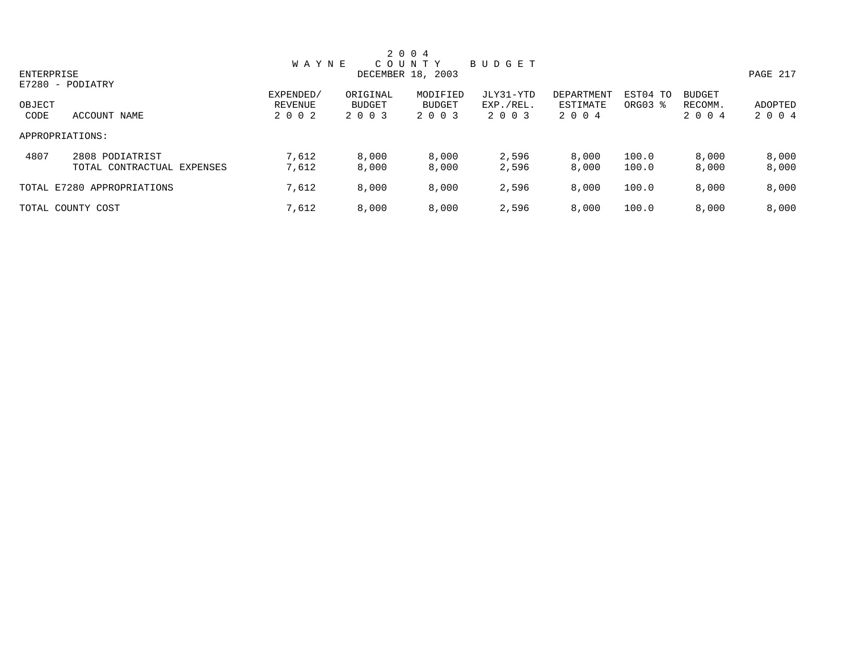|            |                            |              |               | 2 0 0 4           |           |            |          |               |          |
|------------|----------------------------|--------------|---------------|-------------------|-----------|------------|----------|---------------|----------|
|            |                            | <b>WAYNE</b> |               | COUNTY            | BUDGET    |            |          |               |          |
| ENTERPRISE |                            |              |               | DECEMBER 18, 2003 |           |            |          |               | PAGE 217 |
|            | E7280 - PODIATRY           |              |               |                   |           |            |          |               |          |
|            |                            | EXPENDED/    | ORIGINAL      | MODIFIED          | JLY31-YTD | DEPARTMENT | EST04 TO | <b>BUDGET</b> |          |
| OBJECT     |                            | REVENUE      | <b>BUDGET</b> | <b>BUDGET</b>     | EXP./REL. | ESTIMATE   | ORG03 %  | RECOMM.       | ADOPTED  |
| CODE       | ACCOUNT NAME               | 2 0 0 2      | 2 0 0 3       | 2 0 0 3           | 2 0 0 3   | 2 0 0 4    |          | 2 0 0 4       | 2 0 0 4  |
|            | APPROPRIATIONS:            |              |               |                   |           |            |          |               |          |
| 4807       | 2808 PODIATRIST            | 7,612        | 8,000         | 8,000             | 2,596     | 8,000      | 100.0    | 8,000         | 8,000    |
|            | TOTAL CONTRACTUAL EXPENSES | 7,612        | 8,000         | 8,000             | 2,596     | 8,000      | 100.0    | 8,000         | 8,000    |
|            | TOTAL E7280 APPROPRIATIONS | 7,612        | 8,000         | 8,000             | 2,596     | 8,000      | 100.0    | 8,000         | 8,000    |
|            | TOTAL COUNTY COST          | 7,612        | 8,000         | 8,000             | 2,596     | 8,000      | 100.0    | 8,000         | 8,000    |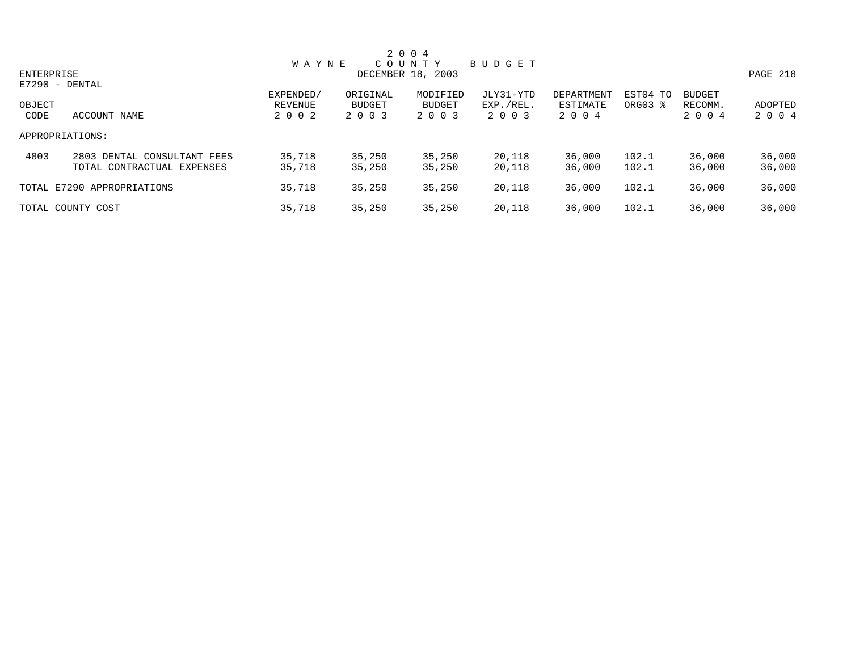|            |                             |              |               | 2 0 0 4           |           |            |          |               |          |
|------------|-----------------------------|--------------|---------------|-------------------|-----------|------------|----------|---------------|----------|
|            |                             | <b>WAYNE</b> |               | COUNTY            | BUDGET    |            |          |               |          |
| ENTERPRISE |                             |              |               | DECEMBER 18, 2003 |           |            |          |               | PAGE 218 |
|            | $E7290 - DENTAL$            |              |               |                   |           |            |          |               |          |
|            |                             | EXPENDED/    | ORIGINAL      | MODIFIED          | JLY31-YTD | DEPARTMENT | EST04 TO | <b>BUDGET</b> |          |
| OBJECT     |                             | REVENUE      | <b>BUDGET</b> | <b>BUDGET</b>     | EXP./REL. | ESTIMATE   | ORG03 %  | RECOMM.       | ADOPTED  |
| CODE       | ACCOUNT NAME                | 2 0 0 2      | 2 0 0 3       | 2 0 0 3           | 2 0 0 3   | 2 0 0 4    |          | 2 0 0 4       | 2 0 0 4  |
|            | APPROPRIATIONS:             |              |               |                   |           |            |          |               |          |
| 4803       | 2803 DENTAL CONSULTANT FEES | 35,718       | 35,250        | 35,250            | 20,118    | 36,000     | 102.1    | 36,000        | 36,000   |
|            | TOTAL CONTRACTUAL EXPENSES  | 35,718       | 35,250        | 35,250            | 20,118    | 36,000     | 102.1    | 36,000        | 36,000   |
|            | TOTAL E7290 APPROPRIATIONS  | 35,718       | 35,250        | 35,250            | 20,118    | 36,000     | 102.1    | 36,000        | 36,000   |
|            | TOTAL COUNTY COST           | 35,718       | 35,250        | 35,250            | 20,118    | 36,000     | 102.1    | 36,000        | 36,000   |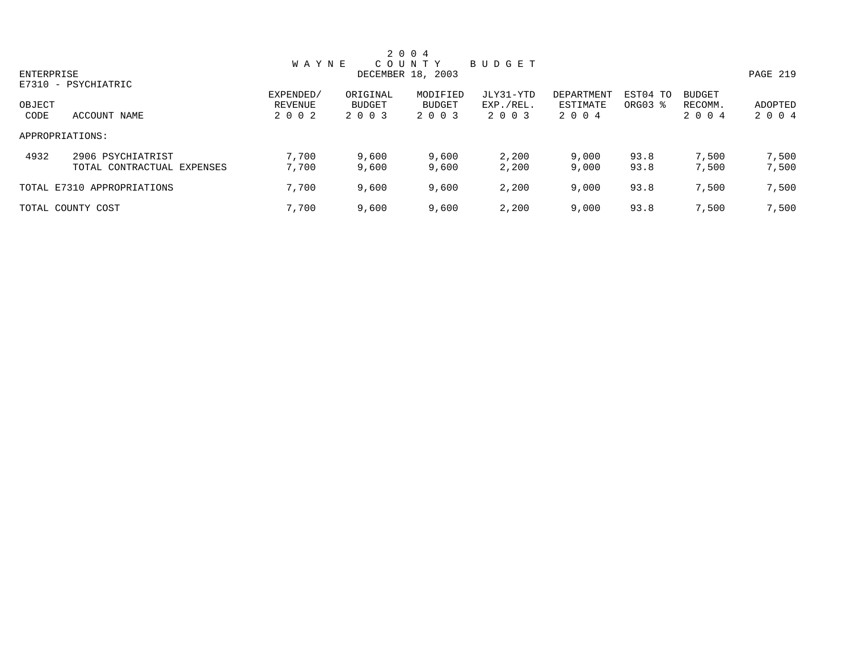|            |                            |              |               | 2 0 0 4           |           |            |          |               |          |
|------------|----------------------------|--------------|---------------|-------------------|-----------|------------|----------|---------------|----------|
|            |                            | <b>WAYNE</b> |               | COUNTY            | BUDGET    |            |          |               |          |
| ENTERPRISE |                            |              |               | DECEMBER 18, 2003 |           |            |          |               | PAGE 219 |
|            | E7310 - PSYCHIATRIC        |              |               |                   |           |            |          |               |          |
|            |                            | EXPENDED/    | ORIGINAL      | MODIFIED          | JLY31-YTD | DEPARTMENT | EST04 TO | <b>BUDGET</b> |          |
| OBJECT     |                            | REVENUE      | <b>BUDGET</b> | BUDGET            | EXP./REL. | ESTIMATE   | ORG03 %  | RECOMM.       | ADOPTED  |
| CODE       | ACCOUNT NAME               | 2 0 0 2      | 2 0 0 3       | 2 0 0 3           | 2 0 0 3   | 2 0 0 4    |          | 2 0 0 4       | 2 0 0 4  |
|            | APPROPRIATIONS:            |              |               |                   |           |            |          |               |          |
| 4932       | 2906 PSYCHIATRIST          | 7,700        | 9,600         | 9,600             | 2,200     | 9,000      | 93.8     | 7,500         | 7,500    |
|            | TOTAL CONTRACTUAL EXPENSES | 7,700        | 9,600         | 9,600             | 2,200     | 9,000      | 93.8     | 7,500         | 7,500    |
|            | TOTAL E7310 APPROPRIATIONS | 7,700        | 9,600         | 9,600             | 2,200     | 9,000      | 93.8     | 7,500         | 7,500    |
|            | TOTAL COUNTY COST          | 7,700        | 9,600         | 9,600             | 2,200     | 9,000      | 93.8     | 7,500         | 7,500    |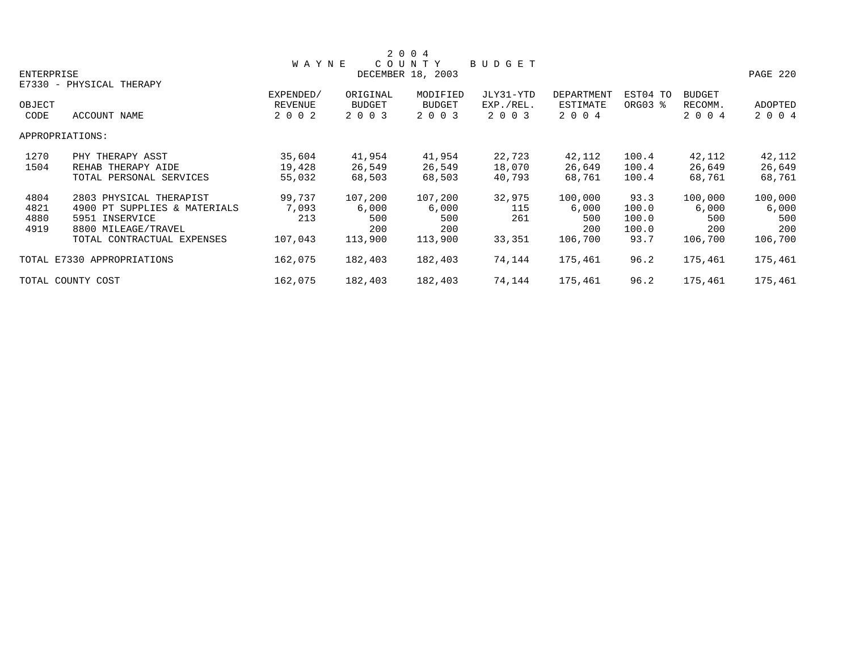|            |                              |              |               | 2 0 0 4           |           |            |          |               |          |
|------------|------------------------------|--------------|---------------|-------------------|-----------|------------|----------|---------------|----------|
|            |                              | <b>WAYNE</b> |               | COUNTY            | BUDGET    |            |          |               |          |
| ENTERPRISE |                              |              |               | DECEMBER 18, 2003 |           |            |          |               | PAGE 220 |
|            | E7330 - PHYSICAL THERAPY     |              |               |                   |           |            |          |               |          |
|            |                              | EXPENDED/    | ORIGINAL      | MODIFIED          | JLY31-YTD | DEPARTMENT | EST04 TO | <b>BUDGET</b> |          |
| OBJECT     |                              | REVENUE      | <b>BUDGET</b> | <b>BUDGET</b>     | EXP./REL. | ESTIMATE   | ORG03 %  | RECOMM.       | ADOPTED  |
| CODE       | ACCOUNT NAME                 | 2 0 0 2      | 2 0 0 3       | 2 0 0 3           | 2 0 0 3   | 2 0 0 4    |          | 2 0 0 4       | 2 0 0 4  |
|            | APPROPRIATIONS:              |              |               |                   |           |            |          |               |          |
| 1270       | PHY THERAPY ASST             | 35,604       | 41,954        | 41,954            | 22,723    | 42,112     | 100.4    | 42,112        | 42,112   |
| 1504       | REHAB THERAPY AIDE           | 19,428       | 26,549        | 26,549            | 18,070    | 26,649     | 100.4    | 26,649        | 26,649   |
|            | TOTAL PERSONAL SERVICES      | 55,032       | 68,503        | 68,503            | 40,793    | 68,761     | 100.4    | 68,761        | 68,761   |
| 4804       | 2803 PHYSICAL THERAPIST      | 99,737       | 107,200       | 107,200           | 32,975    | 100,000    | 93.3     | 100,000       | 100,000  |
| 4821       | 4900 PT SUPPLIES & MATERIALS | 7,093        | 6,000         | 6,000             | 115       | 6,000      | 100.0    | 6,000         | 6,000    |
| 4880       | 5951 INSERVICE               | 213          | 500           | 500               | 261       | 500        | 100.0    | 500           | 500      |
| 4919       | 8800 MILEAGE/TRAVEL          |              | 200           | 200               |           | 200        | 100.0    | 200           | 200      |
|            | TOTAL CONTRACTUAL EXPENSES   | 107,043      | 113,900       | 113,900           | 33,351    | 106,700    | 93.7     | 106,700       | 106,700  |
|            | TOTAL E7330 APPROPRIATIONS   | 162,075      | 182,403       | 182,403           | 74,144    | 175,461    | 96.2     | 175,461       | 175,461  |
|            | TOTAL COUNTY COST            | 162,075      | 182,403       | 182,403           | 74,144    | 175,461    | 96.2     | 175,461       | 175,461  |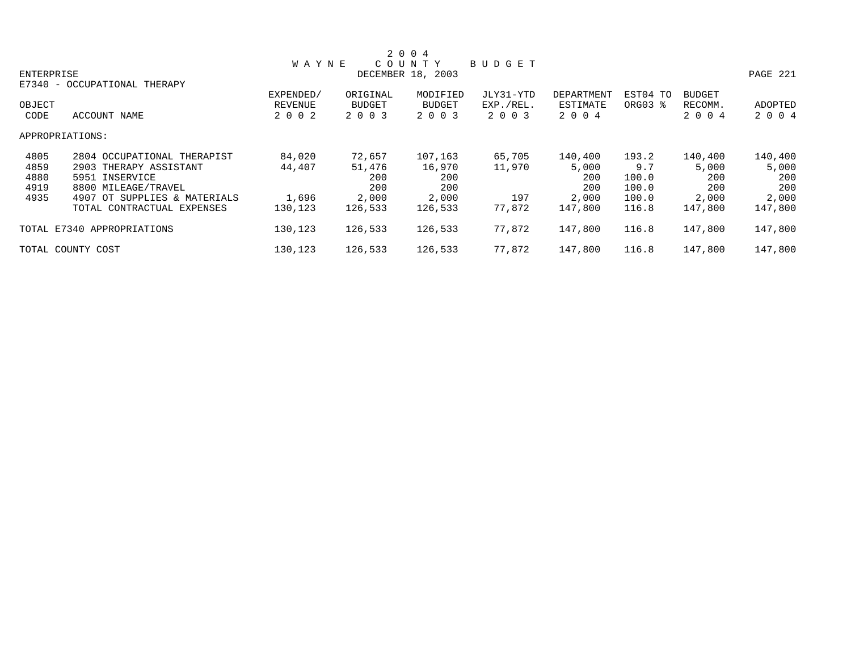|            |                              |              |          | 2 0 0 4           |           |            |          |               |          |
|------------|------------------------------|--------------|----------|-------------------|-----------|------------|----------|---------------|----------|
|            |                              | <b>WAYNE</b> |          | COUNTY            | BUDGET    |            |          |               |          |
| ENTERPRISE |                              |              |          | DECEMBER 18, 2003 |           |            |          |               | PAGE 221 |
| $E7340 -$  | OCCUPATIONAL THERAPY         |              |          |                   |           |            |          |               |          |
|            |                              | EXPENDED/    | ORIGINAL | MODIFIED          | JLY31-YTD | DEPARTMENT | EST04 TO | <b>BUDGET</b> |          |
| OBJECT     |                              | REVENUE      | BUDGET   | <b>BUDGET</b>     | EXP./REL. | ESTIMATE   | ORG03 %  | RECOMM.       | ADOPTED  |
| CODE       | ACCOUNT NAME                 | 2 0 0 2      | 2 0 0 3  | 2 0 0 3           | 2 0 0 3   | 2 0 0 4    |          | 2 0 0 4       | 2 0 0 4  |
|            | APPROPRIATIONS:              |              |          |                   |           |            |          |               |          |
| 4805       | 2804 OCCUPATIONAL THERAPIST  | 84,020       | 72,657   | 107,163           | 65,705    | 140,400    | 193.2    | 140,400       | 140,400  |
| 4859       | 2903 THERAPY ASSISTANT       | 44,407       | 51,476   | 16,970            | 11,970    | 5,000      | 9.7      | 5,000         | 5,000    |
| 4880       | 5951 INSERVICE               |              | 200      | 200               |           | 200        | 100.0    | 200           | 200      |
| 4919       | 8800 MILEAGE/TRAVEL          |              | 200      | 200               |           | 200        | 100.0    | 200           | 200      |
| 4935       | 4907 OT SUPPLIES & MATERIALS | 1,696        | 2,000    | 2,000             | 197       | 2,000      | 100.0    | 2,000         | 2,000    |
|            | TOTAL CONTRACTUAL EXPENSES   | 130,123      | 126,533  | 126,533           | 77,872    | 147,800    | 116.8    | 147,800       | 147,800  |
|            | TOTAL E7340 APPROPRIATIONS   | 130,123      | 126,533  | 126,533           | 77,872    | 147,800    | 116.8    | 147,800       | 147,800  |
|            | TOTAL COUNTY COST            | 130,123      | 126,533  | 126,533           | 77,872    | 147,800    | 116.8    | 147,800       | 147,800  |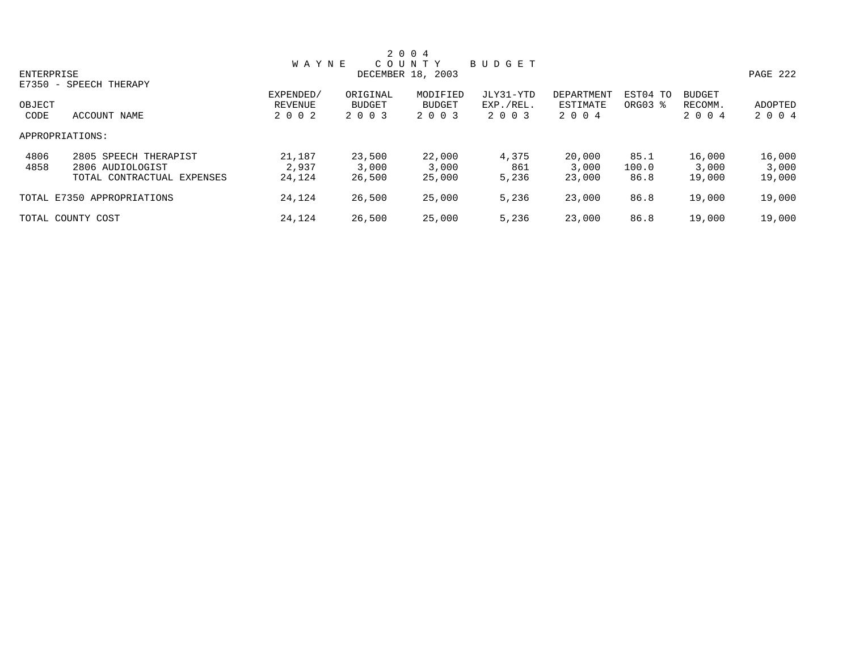|            |                            |              |               | 2 0 0 4           |           |            |          |               |          |
|------------|----------------------------|--------------|---------------|-------------------|-----------|------------|----------|---------------|----------|
|            |                            | <b>WAYNE</b> |               | COUNTY            | BUDGET    |            |          |               |          |
| ENTERPRISE |                            |              |               | DECEMBER 18, 2003 |           |            |          |               | PAGE 222 |
|            | E7350 - SPEECH THERAPY     |              |               |                   |           |            |          |               |          |
|            |                            | EXPENDED/    | ORIGINAL      | MODIFIED          | JLY31-YTD | DEPARTMENT | EST04 TO | <b>BUDGET</b> |          |
| OBJECT     |                            | REVENUE      | <b>BUDGET</b> | BUDGET            | EXP./REL. | ESTIMATE   | ORG03 %  | RECOMM.       | ADOPTED  |
| CODE       | ACCOUNT NAME               | 2 0 0 2      | 2 0 0 3       | 2 0 0 3           | 2 0 0 3   | 2 0 0 4    |          | 2 0 0 4       | 2 0 0 4  |
|            | APPROPRIATIONS:            |              |               |                   |           |            |          |               |          |
| 4806       | 2805 SPEECH THERAPIST      | 21,187       | 23,500        | 22,000            | 4,375     | 20,000     | 85.1     | 16,000        | 16,000   |
| 4858       | 2806 AUDIOLOGIST           | 2,937        | 3,000         | 3,000             | 861       | 3,000      | 100.0    | 3,000         | 3,000    |
|            | TOTAL CONTRACTUAL EXPENSES | 24,124       | 26,500        | 25,000            | 5,236     | 23,000     | 86.8     | 19,000        | 19,000   |
|            | TOTAL E7350 APPROPRIATIONS | 24,124       | 26,500        | 25,000            | 5,236     | 23,000     | 86.8     | 19,000        | 19,000   |
|            | TOTAL COUNTY COST          | 24,124       | 26,500        | 25,000            | 5,236     | 23,000     | 86.8     | 19,000        | 19,000   |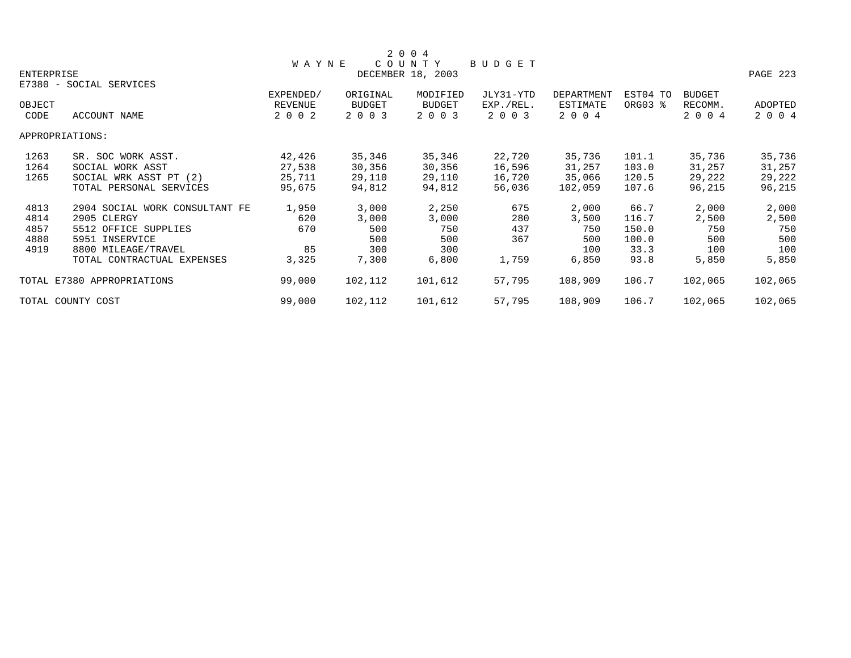|            |                                |                |               | 2 0 0 4           |           |            |          |               |                |
|------------|--------------------------------|----------------|---------------|-------------------|-----------|------------|----------|---------------|----------------|
|            |                                | <b>WAYNE</b>   |               | COUNTY            | BUDGET    |            |          |               |                |
| ENTERPRISE |                                |                |               | DECEMBER 18, 2003 |           |            |          |               | PAGE 223       |
|            | E7380 - SOCIAL SERVICES        |                |               |                   |           |            |          |               |                |
|            |                                | EXPENDED/      | ORIGINAL      | MODIFIED          | JLY31-YTD | DEPARTMENT | EST04 TO | <b>BUDGET</b> |                |
| OBJECT     |                                | <b>REVENUE</b> | <b>BUDGET</b> | BUDGET            | EXP./REL. | ESTIMATE   | ORG03 %  | RECOMM.       | <b>ADOPTED</b> |
| CODE       | ACCOUNT NAME                   | 2 0 0 2        | 2 0 0 3       | 2 0 0 3           | 2 0 0 3   | 2 0 0 4    |          | 2 0 0 4       | 2 0 0 4        |
|            | APPROPRIATIONS:                |                |               |                   |           |            |          |               |                |
| 1263       | SR. SOC WORK ASST.             | 42,426         | 35,346        | 35,346            | 22,720    | 35,736     | 101.1    | 35,736        | 35,736         |
| 1264       | SOCIAL WORK ASST               | 27,538         | 30,356        | 30,356            | 16,596    | 31,257     | 103.0    | 31,257        | 31,257         |
| 1265       | SOCIAL WRK ASST PT (2)         | 25,711         | 29,110        | 29,110            | 16,720    | 35,066     | 120.5    | 29,222        | 29,222         |
|            | TOTAL PERSONAL SERVICES        | 95,675         | 94,812        | 94,812            | 56,036    | 102,059    | 107.6    | 96,215        | 96,215         |
| 4813       | 2904 SOCIAL WORK CONSULTANT FE | 1,950          | 3,000         | 2,250             | 675       | 2,000      | 66.7     | 2,000         | 2,000          |
| 4814       | 2905 CLERGY                    | 620            | 3,000         | 3,000             | 280       | 3,500      | 116.7    | 2,500         | 2,500          |
| 4857       | 5512 OFFICE SUPPLIES           | 670            | 500           | 750               | 437       | 750        | 150.0    | 750           | 750            |
| 4880       | 5951 INSERVICE                 |                | 500           | 500               | 367       | 500        | 100.0    | 500           | 500            |
| 4919       | 8800 MILEAGE/TRAVEL            | 85             | 300           | 300               |           | 100        | 33.3     | 100           | 100            |
|            | TOTAL CONTRACTUAL EXPENSES     | 3,325          | 7,300         | 6,800             | 1,759     | 6,850      | 93.8     | 5,850         | 5,850          |
|            | TOTAL E7380 APPROPRIATIONS     | 99,000         | 102,112       | 101,612           | 57,795    | 108,909    | 106.7    | 102,065       | 102,065        |
|            | TOTAL COUNTY COST              | 99,000         | 102,112       | 101,612           | 57,795    | 108,909    | 106.7    | 102,065       | 102,065        |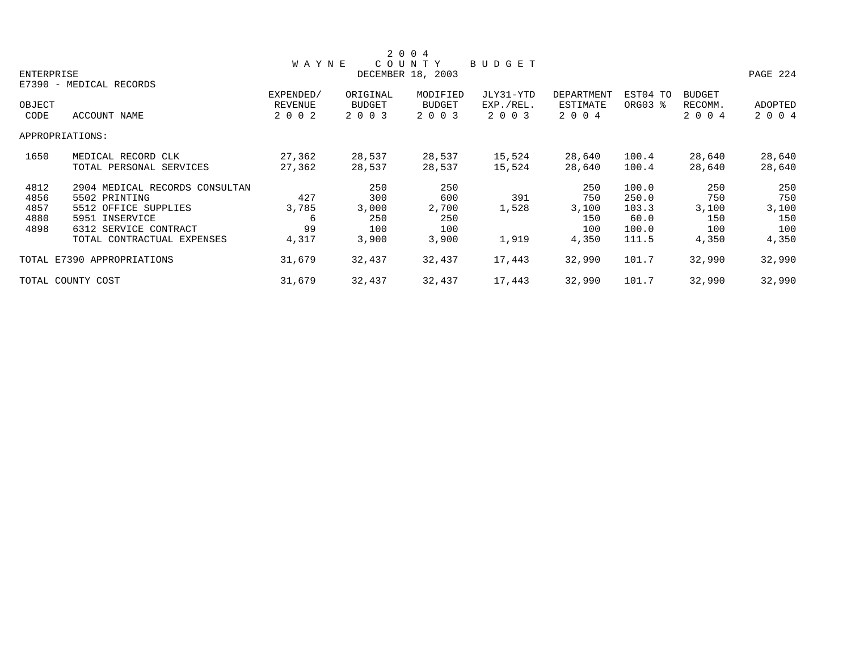|            |                                |                |          | 2 0 0 4           |           |                   |          |               |          |
|------------|--------------------------------|----------------|----------|-------------------|-----------|-------------------|----------|---------------|----------|
|            |                                | <b>WAYNE</b>   |          | COUNTY            | BUDGET    |                   |          |               |          |
| ENTERPRISE |                                |                |          | DECEMBER 18, 2003 |           |                   |          |               | PAGE 224 |
|            | E7390 - MEDICAL RECORDS        |                |          |                   |           |                   |          |               |          |
|            |                                | EXPENDED/      | ORIGINAL | MODIFIED          | JLY31-YTD | <b>DEPARTMENT</b> | EST04 TO | <b>BUDGET</b> |          |
| OBJECT     |                                | <b>REVENUE</b> | BUDGET   | <b>BUDGET</b>     | EXP./REL. | ESTIMATE          | ORG03 %  | RECOMM.       | ADOPTED  |
| CODE       | ACCOUNT NAME                   | 2 0 0 2        | 2 0 0 3  | 2 0 0 3           | 2 0 0 3   | 2 0 0 4           |          | 2 0 0 4       | 2 0 0 4  |
|            | APPROPRIATIONS:                |                |          |                   |           |                   |          |               |          |
| 1650       | MEDICAL RECORD CLK             | 27,362         | 28,537   | 28,537            | 15,524    | 28,640            | 100.4    | 28,640        | 28,640   |
|            | TOTAL PERSONAL SERVICES        | 27,362         | 28,537   | 28,537            | 15,524    | 28,640            | 100.4    | 28,640        | 28,640   |
| 4812       | 2904 MEDICAL RECORDS CONSULTAN |                | 250      | 250               |           | 250               | 100.0    | 250           | 250      |
| 4856       | 5502 PRINTING                  | 427            | 300      | 600               | 391       | 750               | 250.0    | 750           | 750      |
| 4857       | 5512 OFFICE SUPPLIES           | 3,785          | 3,000    | 2,700             | 1,528     | 3,100             | 103.3    | 3,100         | 3,100    |
| 4880       | 5951 INSERVICE                 | 6              | 250      | 250               |           | 150               | 60.0     | 150           | 150      |
| 4898       | 6312 SERVICE CONTRACT          | 99             | 100      | 100               |           | 100               | 100.0    | 100           | 100      |
|            | TOTAL CONTRACTUAL EXPENSES     | 4,317          | 3,900    | 3,900             | 1,919     | 4,350             | 111.5    | 4,350         | 4,350    |
|            | TOTAL E7390 APPROPRIATIONS     | 31,679         | 32,437   | 32,437            | 17,443    | 32,990            | 101.7    | 32,990        | 32,990   |
|            | TOTAL COUNTY COST              | 31,679         | 32,437   | 32,437            | 17,443    | 32,990            | 101.7    | 32,990        | 32,990   |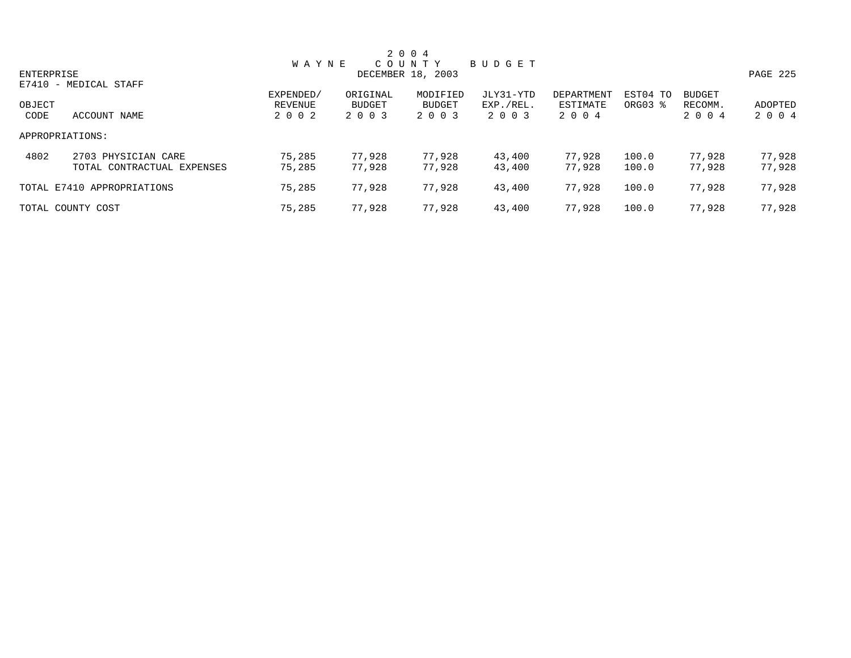|            |                            |              |          | 2 0 0 4           |           |            |          |               |          |
|------------|----------------------------|--------------|----------|-------------------|-----------|------------|----------|---------------|----------|
|            |                            | <b>WAYNE</b> |          | COUNTY            | BUDGET    |            |          |               |          |
| ENTERPRISE |                            |              |          | DECEMBER 18, 2003 |           |            |          |               | PAGE 225 |
|            | E7410 - MEDICAL STAFF      |              |          |                   |           |            |          |               |          |
|            |                            | EXPENDED/    | ORIGINAL | MODIFIED          | JLY31-YTD | DEPARTMENT | EST04 TO | <b>BUDGET</b> |          |
| OBJECT     |                            | REVENUE      | BUDGET   | <b>BUDGET</b>     | EXP./REL. | ESTIMATE   | ORG03 %  | RECOMM.       | ADOPTED  |
| CODE       | ACCOUNT NAME               | 2 0 0 2      | 2 0 0 3  | 2 0 0 3           | 2 0 0 3   | 2 0 0 4    |          | 2 0 0 4       | 2 0 0 4  |
|            | APPROPRIATIONS:            |              |          |                   |           |            |          |               |          |
| 4802       | 2703 PHYSICIAN CARE        | 75,285       | 77,928   | 77,928            | 43,400    | 77,928     | 100.0    | 77,928        | 77,928   |
|            | TOTAL CONTRACTUAL EXPENSES | 75,285       | 77.928   | 77,928            | 43,400    | 77.928     | 100.0    | 77,928        | 77,928   |
|            | TOTAL E7410 APPROPRIATIONS | 75,285       | 77,928   | 77,928            | 43,400    | 77.928     | 100.0    | 77,928        | 77,928   |
|            | TOTAL COUNTY COST          | 75,285       | 77,928   | 77,928            | 43,400    | 77.928     | 100.0    | 77,928        | 77,928   |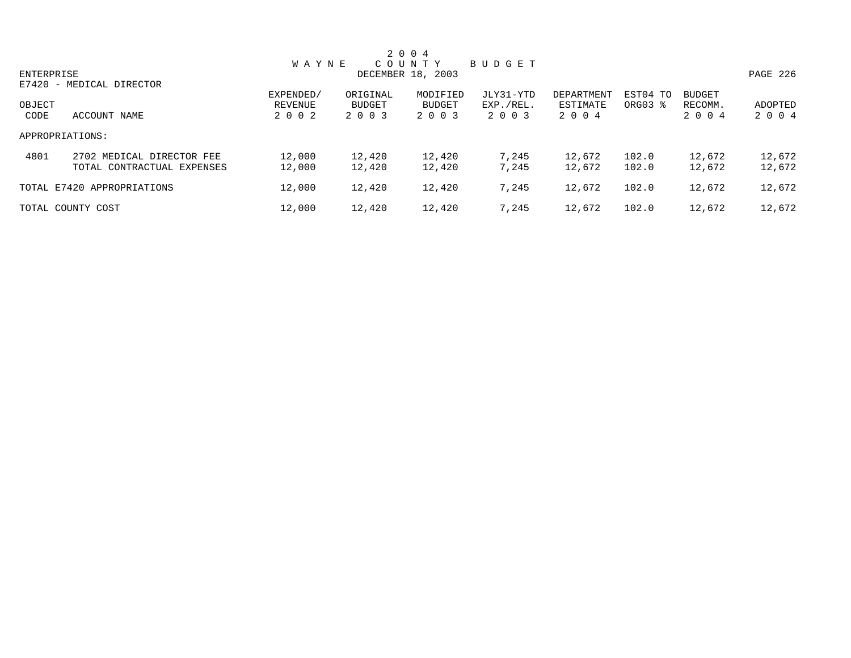|            |                            |              |          | 2 0 0 4           |           |            |          |               |          |
|------------|----------------------------|--------------|----------|-------------------|-----------|------------|----------|---------------|----------|
|            |                            | <b>WAYNE</b> |          | COUNTY            | BUDGET    |            |          |               |          |
| ENTERPRISE |                            |              |          | DECEMBER 18, 2003 |           |            |          |               | PAGE 226 |
|            | E7420 - MEDICAL DIRECTOR   |              |          |                   |           |            |          |               |          |
|            |                            | EXPENDED/    | ORIGINAL | MODIFIED          | JLY31-YTD | DEPARTMENT | EST04 TO | <b>BUDGET</b> |          |
| OBJECT     |                            | REVENUE      | BUDGET   | <b>BUDGET</b>     | EXP./REL. | ESTIMATE   | ORG03 %  | RECOMM.       | ADOPTED  |
| CODE       | ACCOUNT NAME               | 2 0 0 2      | 2 0 0 3  | 2 0 0 3           | 2 0 0 3   | 2 0 0 4    |          | 2 0 0 4       | 2 0 0 4  |
|            | APPROPRIATIONS:            |              |          |                   |           |            |          |               |          |
| 4801       | 2702 MEDICAL DIRECTOR FEE  | 12,000       | 12,420   | 12,420            | 7,245     | 12,672     | 102.0    | 12,672        | 12,672   |
|            | TOTAL CONTRACTUAL EXPENSES | 12,000       | 12,420   | 12,420            | 7,245     | 12,672     | 102.0    | 12,672        | 12,672   |
|            | TOTAL E7420 APPROPRIATIONS | 12,000       | 12,420   | 12,420            | 7,245     | 12,672     | 102.0    | 12,672        | 12,672   |
|            | TOTAL COUNTY COST          | 12,000       | 12,420   | 12,420            | 7,245     | 12,672     | 102.0    | 12,672        | 12,672   |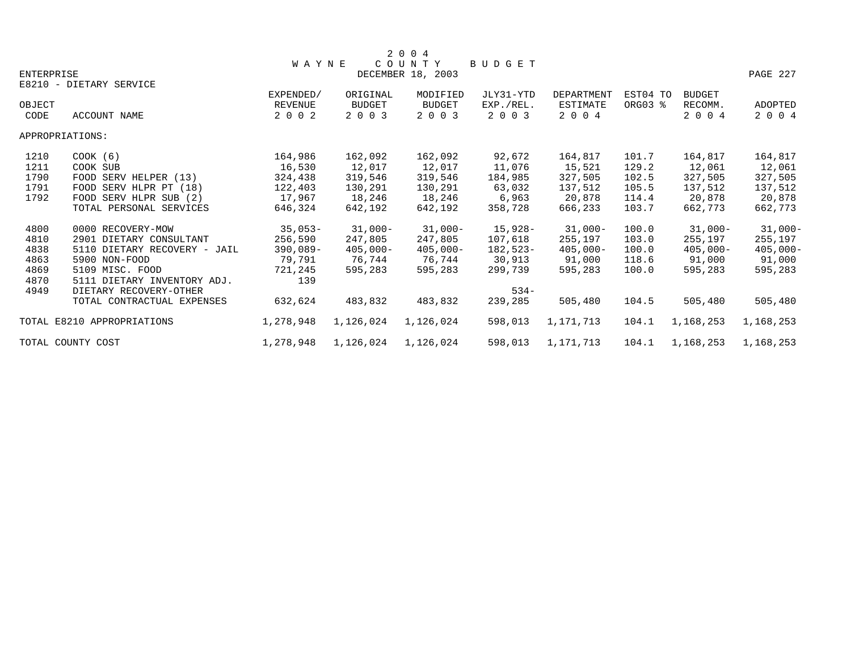|                   |                              |                |               | 2 0 0 4           |           |                   |          |               |                |
|-------------------|------------------------------|----------------|---------------|-------------------|-----------|-------------------|----------|---------------|----------------|
|                   |                              | <b>WAYNE</b>   |               | COUNTY            | BUDGET    |                   |          |               |                |
| <b>ENTERPRISE</b> |                              |                |               | DECEMBER 18, 2003 |           |                   |          |               | PAGE 227       |
|                   | E8210 - DIETARY SERVICE      |                |               |                   |           |                   |          |               |                |
|                   |                              | EXPENDED/      | ORIGINAL      | MODIFIED          | JLY31-YTD | <b>DEPARTMENT</b> | EST04 TO | <b>BUDGET</b> |                |
| OBJECT            |                              | <b>REVENUE</b> | <b>BUDGET</b> | <b>BUDGET</b>     | EXP./REL. | <b>ESTIMATE</b>   | ORG03 %  | RECOMM.       | <b>ADOPTED</b> |
| CODE              | <b>ACCOUNT NAME</b>          | 2 0 0 2        | 2 0 0 3       | 2 0 0 3           | 2 0 0 3   | 2 0 0 4           |          | 2 0 0 4       | 2004           |
|                   | APPROPRIATIONS:              |                |               |                   |           |                   |          |               |                |
| 1210              | $COOK$ (6)                   | 164,986        | 162,092       | 162,092           | 92,672    | 164,817           | 101.7    | 164,817       | 164,817        |
| 1211              | COOK SUB                     | 16,530         | 12,017        | 12,017            | 11,076    | 15,521            | 129.2    | 12,061        | 12,061         |
| 1790              | FOOD SERV HELPER (13)        | 324,438        | 319,546       | 319,546           | 184,985   | 327,505           | 102.5    | 327,505       | 327,505        |
| 1791              | FOOD SERV HLPR PT (18)       | 122,403        | 130,291       | 130,291           | 63,032    | 137,512           | 105.5    | 137,512       | 137,512        |
| 1792              | FOOD SERV HLPR SUB (2)       | 17,967         | 18,246        | 18,246            | 6,963     | 20,878            | 114.4    | 20,878        | 20,878         |
|                   | TOTAL PERSONAL SERVICES      | 646,324        | 642,192       | 642,192           | 358,728   | 666,233           | 103.7    | 662,773       | 662,773        |
| 4800              | 0000 RECOVERY-MOW            | $35,053-$      | 31,000-       | $31,000-$         | 15,928-   | $31,000-$         | 100.0    | $31,000-$     | $31,000-$      |
| 4810              | 2901 DIETARY CONSULTANT      | 256,590        | 247,805       | 247,805           | 107,618   | 255,197           | 103.0    | 255,197       | 255,197        |
| 4838              | 5110 DIETARY RECOVERY - JAIL | $390,089-$     | $405,000 -$   | $405,000 -$       | 182,523-  | $405,000-$        | 100.0    | $405,000 -$   | $405,000 -$    |
| 4863              | 5900 NON-FOOD                | 79,791         | 76,744        | 76,744            | 30,913    | 91,000            | 118.6    | 91,000        | 91,000         |
| 4869              | 5109 MISC. FOOD              | 721,245        | 595,283       | 595,283           | 299,739   | 595,283           | 100.0    | 595,283       | 595,283        |
| 4870              | 5111 DIETARY INVENTORY ADJ.  | 139            |               |                   |           |                   |          |               |                |
| 4949              | DIETARY RECOVERY-OTHER       |                |               |                   | $534 -$   |                   |          |               |                |
|                   | TOTAL CONTRACTUAL EXPENSES   | 632,624        | 483,832       | 483,832           | 239,285   | 505,480           | 104.5    | 505,480       | 505,480        |
|                   | TOTAL E8210 APPROPRIATIONS   | 1,278,948      | 1,126,024     | 1,126,024         | 598,013   | 1,171,713         | 104.1    | 1,168,253     | 1,168,253      |
|                   | TOTAL COUNTY COST            | 1,278,948      | 1,126,024     | 1,126,024         | 598,013   | 1,171,713         | 104.1    | 1,168,253     | 1,168,253      |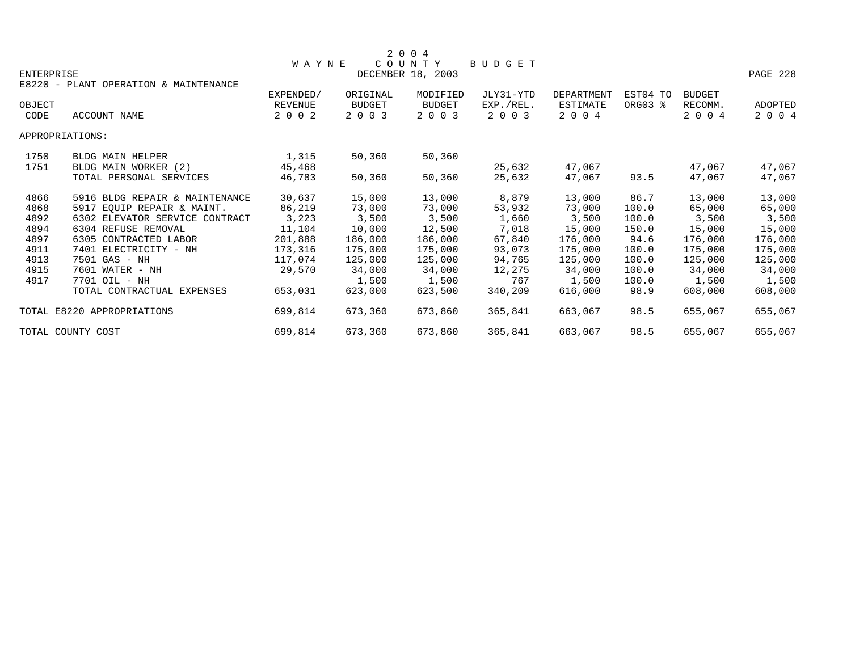|            |                                       |                |          | 2004              |               |            |          |               |          |
|------------|---------------------------------------|----------------|----------|-------------------|---------------|------------|----------|---------------|----------|
|            |                                       | <b>WAYNE</b>   |          | COUNTY            | <b>BUDGET</b> |            |          |               |          |
| ENTERPRISE |                                       |                |          | DECEMBER 18, 2003 |               |            |          |               | PAGE 228 |
|            | E8220 - PLANT OPERATION & MAINTENANCE |                |          |                   |               |            |          |               |          |
|            |                                       | EXPENDED/      | ORIGINAL | MODIFIED          | JLY31-YTD     | DEPARTMENT | EST04 TO | <b>BUDGET</b> |          |
| OBJECT     |                                       | <b>REVENUE</b> | BUDGET   | <b>BUDGET</b>     | EXP./REL.     | ESTIMATE   | ORG03 %  | RECOMM.       | ADOPTED  |
| CODE       | ACCOUNT NAME                          | 2 0 0 2        | 2 0 0 3  | 2 0 0 3           | 2 0 0 3       | 2 0 0 4    |          | 2 0 0 4       | 2 0 0 4  |
|            | APPROPRIATIONS:                       |                |          |                   |               |            |          |               |          |
| 1750       | <b>BLDG MAIN HELPER</b>               | 1,315          | 50,360   | 50,360            |               |            |          |               |          |
| 1751       | BLDG MAIN WORKER (2)                  | 45,468         |          |                   | 25,632        | 47,067     |          | 47,067        | 47,067   |
|            | TOTAL PERSONAL SERVICES               | 46,783         | 50,360   | 50,360            | 25,632        | 47,067     | 93.5     | 47,067        | 47,067   |
| 4866       | 5916 BLDG REPAIR & MAINTENANCE        | 30,637         | 15,000   | 13,000            | 8,879         | 13,000     | 86.7     | 13,000        | 13,000   |
| 4868       | 5917 EOUIP REPAIR & MAINT.            | 86,219         | 73,000   | 73,000            | 53,932        | 73,000     | 100.0    | 65,000        | 65,000   |
| 4892       | 6302 ELEVATOR SERVICE CONTRACT        | 3,223          | 3,500    | 3,500             | 1,660         | 3,500      | 100.0    | 3,500         | 3,500    |
| 4894       | 6304 REFUSE REMOVAL                   | 11,104         | 10,000   | 12,500            | 7,018         | 15,000     | 150.0    | 15,000        | 15,000   |
| 4897       | 6305 CONTRACTED LABOR                 | 201,888        | 186,000  | 186,000           | 67,840        | 176,000    | 94.6     | 176,000       | 176,000  |
| 4911       | 7401 ELECTRICITY - NH                 | 173,316        | 175,000  | 175,000           | 93,073        | 175,000    | 100.0    | 175,000       | 175,000  |
| 4913       | 7501 GAS - NH                         | 117,074        | 125,000  | 125,000           | 94,765        | 125,000    | 100.0    | 125,000       | 125,000  |
| 4915       | 7601 WATER - NH                       | 29,570         | 34,000   | 34,000            | 12,275        | 34,000     | 100.0    | 34,000        | 34,000   |
| 4917       | 7701 OIL - NH                         |                | 1,500    | 1,500             | 767           | 1,500      | 100.0    | 1,500         | 1,500    |
|            | TOTAL CONTRACTUAL EXPENSES            | 653,031        | 623,000  | 623,500           | 340,209       | 616,000    | 98.9     | 608,000       | 608,000  |
|            | TOTAL E8220 APPROPRIATIONS            | 699,814        | 673,360  | 673,860           | 365,841       | 663,067    | 98.5     | 655,067       | 655,067  |
|            | TOTAL COUNTY COST                     | 699,814        | 673,360  | 673,860           | 365,841       | 663,067    | 98.5     | 655,067       | 655,067  |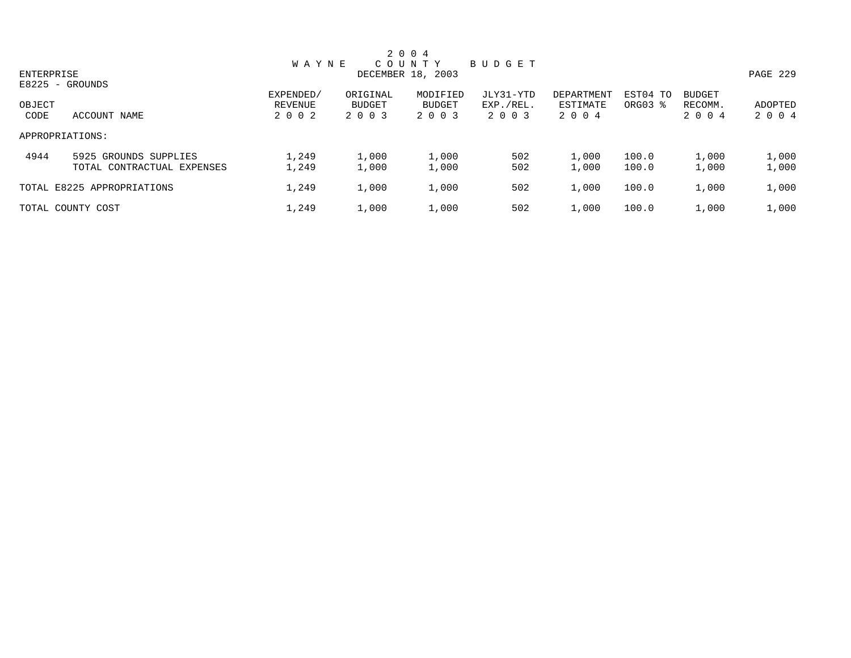|                |                                                     |                                 |                                      | 2 0 0 4                       |                                   |                                   |                     |                                     |                    |
|----------------|-----------------------------------------------------|---------------------------------|--------------------------------------|-------------------------------|-----------------------------------|-----------------------------------|---------------------|-------------------------------------|--------------------|
|                |                                                     | <b>WAYNE</b>                    |                                      | COUNTY                        | BUDGET                            |                                   |                     |                                     |                    |
| ENTERPRISE     | $E8225 - GROUNDS$                                   |                                 |                                      | DECEMBER 18, 2003             |                                   |                                   |                     |                                     | PAGE 229           |
| OBJECT<br>CODE | ACCOUNT NAME                                        | EXPENDED/<br>REVENUE<br>2 0 0 2 | ORIGINAL<br><b>BUDGET</b><br>2 0 0 3 | MODIFIED<br>BUDGET<br>2 0 0 3 | JLY31-YTD<br>EXP./REL.<br>2 0 0 3 | DEPARTMENT<br>ESTIMATE<br>2 0 0 4 | EST04 TO<br>ORG03 % | <b>BUDGET</b><br>RECOMM.<br>2 0 0 4 | ADOPTED<br>2 0 0 4 |
|                | APPROPRIATIONS:                                     |                                 |                                      |                               |                                   |                                   |                     |                                     |                    |
| 4944           | 5925 GROUNDS SUPPLIES<br>TOTAL CONTRACTUAL EXPENSES | 1,249<br>1,249                  | 1,000<br>1,000                       | 1,000<br>1,000                | 502<br>502                        | 1,000<br>1,000                    | 100.0<br>100.0      | 1,000<br>1,000                      | 1,000<br>1,000     |
|                | TOTAL E8225 APPROPRIATIONS                          | 1,249                           | 1,000                                | 1,000                         | 502                               | 1,000                             | 100.0               | 1,000                               | 1,000              |
|                | TOTAL COUNTY COST                                   | 1,249                           | 1,000                                | 1,000                         | 502                               | 1,000                             | 100.0               | 1,000                               | 1,000              |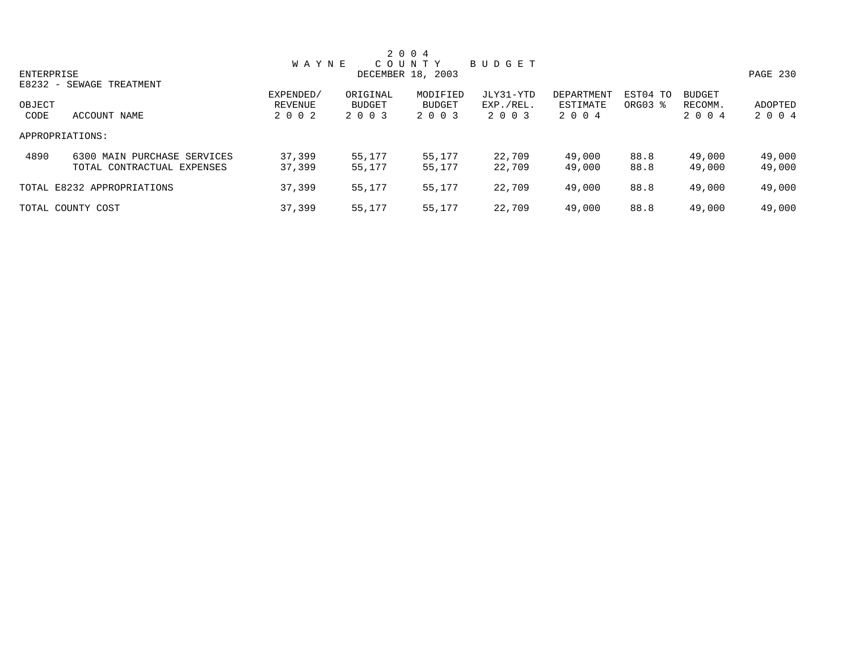|            |                                |              |               | 2 0 0 4           |           |            |          |               |          |
|------------|--------------------------------|--------------|---------------|-------------------|-----------|------------|----------|---------------|----------|
|            |                                | <b>WAYNE</b> |               | COUNTY            | BUDGET    |            |          |               |          |
| ENTERPRISE |                                |              |               | DECEMBER 18, 2003 |           |            |          |               | PAGE 230 |
|            | E8232 - SEWAGE TREATMENT       |              |               |                   |           |            |          |               |          |
|            |                                | EXPENDED/    | ORIGINAL      | MODIFIED          | JLY31-YTD | DEPARTMENT | EST04 TO | <b>BUDGET</b> |          |
| OBJECT     |                                | REVENUE      | <b>BUDGET</b> | <b>BUDGET</b>     | EXP./REL. | ESTIMATE   | ORG03 %  | RECOMM.       | ADOPTED  |
| CODE       | ACCOUNT NAME                   | 2 0 0 2      | 2 0 0 3       | 2 0 0 3           | 2 0 0 3   | 2 0 0 4    |          | 2 0 0 4       | 2 0 0 4  |
|            | APPROPRIATIONS:                |              |               |                   |           |            |          |               |          |
| 4890       | MAIN PURCHASE SERVICES<br>6300 | 37,399       | 55,177        | 55,177            | 22,709    | 49,000     | 88.8     | 49,000        | 49,000   |
|            | TOTAL CONTRACTUAL EXPENSES     | 37,399       | 55,177        | 55,177            | 22,709    | 49,000     | 88.8     | 49,000        | 49,000   |
|            | TOTAL E8232 APPROPRIATIONS     | 37,399       | 55,177        | 55,177            | 22,709    | 49,000     | 88.8     | 49,000        | 49,000   |
|            | TOTAL COUNTY COST              | 37,399       | 55,177        | 55,177            | 22,709    | 49,000     | 88.8     | 49,000        | 49,000   |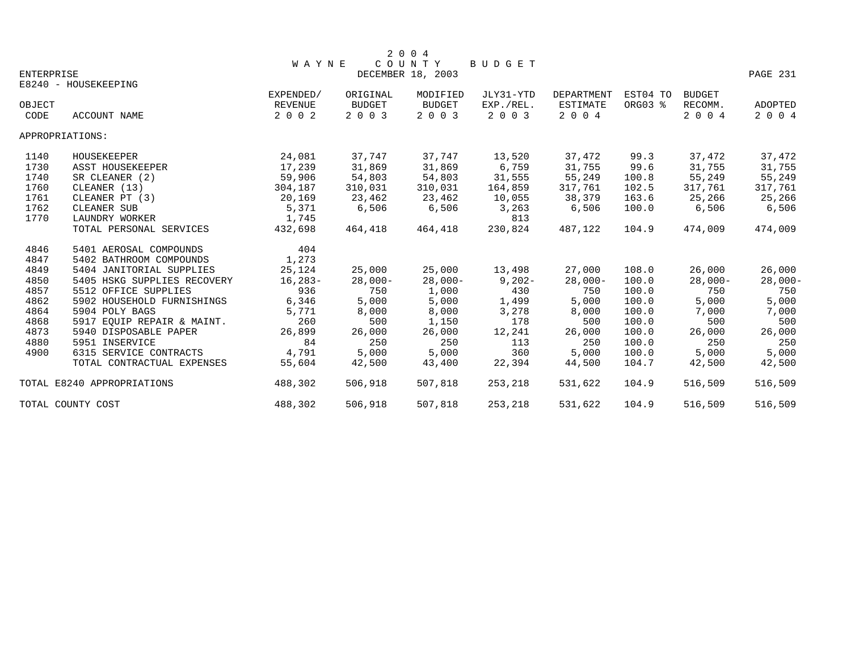|            |                             |              |               | 2 0 0 4<br>COUNTY |           |                 |          |               |           |
|------------|-----------------------------|--------------|---------------|-------------------|-----------|-----------------|----------|---------------|-----------|
| ENTERPRISE |                             | <b>WAYNE</b> |               | DECEMBER 18, 2003 | BUDGET    |                 |          |               | PAGE 231  |
|            | E8240 - HOUSEKEEPING        |              |               |                   |           |                 |          |               |           |
|            |                             | EXPENDED/    | ORIGINAL      | MODIFIED          | JLY31-YTD | DEPARTMENT      | EST04 TO | <b>BUDGET</b> |           |
| OBJECT     |                             | REVENUE      | <b>BUDGET</b> | <b>BUDGET</b>     | EXP./REL. | <b>ESTIMATE</b> | ORG03 %  | RECOMM.       | ADOPTED   |
| CODE       | ACCOUNT NAME                | 2 0 0 2      | 2 0 0 3       | 2 0 0 3           | 2 0 0 3   | 2 0 0 4         |          | 2 0 0 4       | 2 0 0 4   |
|            | APPROPRIATIONS:             |              |               |                   |           |                 |          |               |           |
| 1140       | HOUSEKEEPER                 | 24,081       | 37,747        | 37,747            | 13,520    | 37,472          | 99.3     | 37,472        | 37,472    |
| 1730       | ASST HOUSEKEEPER            | 17,239       | 31,869        | 31,869            | 6,759     | 31,755          | 99.6     | 31,755        | 31,755    |
| 1740       | SR CLEANER (2)              | 59,906       | 54,803        | 54,803            | 31,555    | 55,249          | 100.8    | 55,249        | 55,249    |
| 1760       | CLEANER (13)                | 304,187      | 310,031       | 310,031           | 164,859   | 317,761         | 102.5    | 317,761       | 317,761   |
| 1761       | CLEANER PT (3)              | 20,169       | 23,462        | 23,462            | 10,055    | 38,379          | 163.6    | 25,266        | 25,266    |
| 1762       | CLEANER SUB                 | 5,371        | 6,506         | 6,506             | 3,263     | 6,506           | 100.0    | 6,506         | 6,506     |
| 1770       | LAUNDRY WORKER              | 1,745        |               |                   | 813       |                 |          |               |           |
|            | TOTAL PERSONAL SERVICES     | 432,698      | 464,418       | 464,418           | 230,824   | 487,122         | 104.9    | 474,009       | 474,009   |
| 4846       | 5401 AEROSAL COMPOUNDS      | 404          |               |                   |           |                 |          |               |           |
| 4847       | 5402 BATHROOM COMPOUNDS     | 1,273        |               |                   |           |                 |          |               |           |
| 4849       | 5404 JANITORIAL SUPPLIES    | 25,124       | 25,000        | 25,000            | 13,498    | 27,000          | 108.0    | 26,000        | 26,000    |
| 4850       | 5405 HSKG SUPPLIES RECOVERY | $16, 283 -$  | $28,000-$     | $28,000-$         | $9,202-$  | $28,000-$       | 100.0    | $28,000-$     | $28,000-$ |
| 4857       | 5512 OFFICE SUPPLIES        | 936          | 750           | 1,000             | 430       | 750             | 100.0    | 750           | 750       |
| 4862       | 5902 HOUSEHOLD FURNISHINGS  | 6,346        | 5,000         | 5,000             | 1,499     | 5,000           | 100.0    | 5,000         | 5,000     |
| 4864       | 5904 POLY BAGS              | 5,771        | 8,000         | 8,000             | 3,278     | 8,000           | 100.0    | 7,000         | 7,000     |
| 4868       | 5917 EQUIP REPAIR & MAINT.  | 260          | 500           | 1,150             | 178       | 500             | 100.0    | 500           | 500       |
| 4873       | 5940 DISPOSABLE PAPER       | 26,899       | 26,000        | 26,000            | 12,241    | 26,000          | 100.0    | 26,000        | 26,000    |
| 4880       | 5951 INSERVICE              | 84           | 250           | 250               | 113       | 250             | 100.0    | 250           | 250       |
| 4900       | 6315 SERVICE CONTRACTS      | 4,791        | 5,000         | 5,000             | 360       | 5,000           | 100.0    | 5,000         | 5,000     |
|            | TOTAL CONTRACTUAL EXPENSES  | 55,604       | 42,500        | 43,400            | 22,394    | 44,500          | 104.7    | 42,500        | 42,500    |
|            | TOTAL E8240 APPROPRIATIONS  | 488,302      | 506,918       | 507,818           | 253,218   | 531,622         | 104.9    | 516,509       | 516,509   |
|            | TOTAL COUNTY COST           | 488,302      | 506,918       | 507,818           | 253,218   | 531,622         | 104.9    | 516,509       | 516,509   |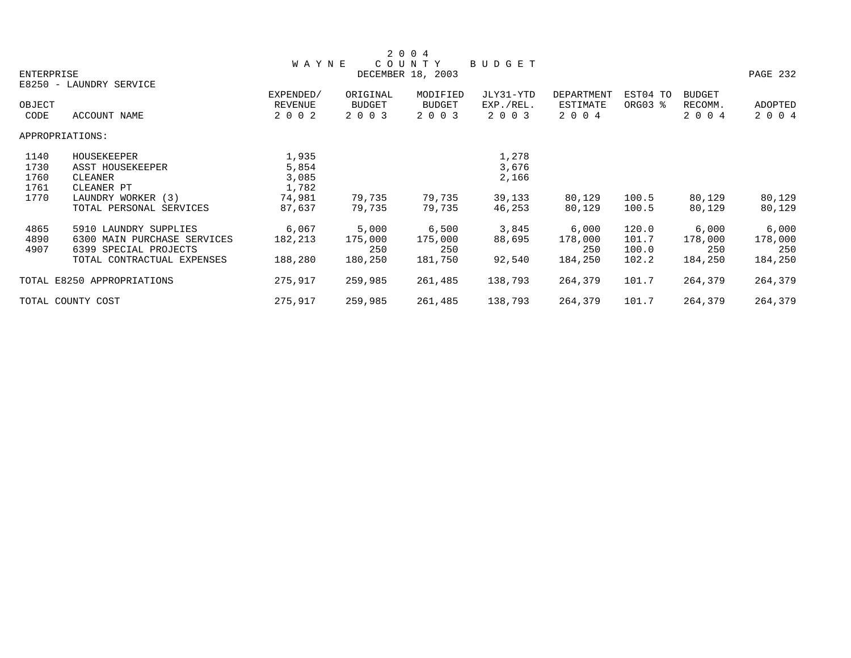|            |                             |                      |                           | 2 0 0 4                   |                        |                               |                     |                          |          |
|------------|-----------------------------|----------------------|---------------------------|---------------------------|------------------------|-------------------------------|---------------------|--------------------------|----------|
|            |                             | <b>WAYNE</b>         |                           | COUNTY                    | BUDGET                 |                               |                     |                          |          |
| ENTERPRISE |                             |                      |                           | DECEMBER 18, 2003         |                        |                               |                     |                          | PAGE 232 |
|            | E8250 - LAUNDRY SERVICE     |                      |                           |                           |                        |                               |                     |                          |          |
| OBJECT     |                             | EXPENDED/<br>REVENUE | ORIGINAL<br><b>BUDGET</b> | MODIFIED<br><b>BUDGET</b> | JLY31-YTD<br>EXP./REL. | <b>DEPARTMENT</b><br>ESTIMATE | EST04 TO<br>ORG03 % | <b>BUDGET</b><br>RECOMM. | ADOPTED  |
| CODE       | ACCOUNT NAME                | 2 0 0 2              | 2 0 0 3                   | 2 0 0 3                   | 2 0 0 3                | 2 0 0 4                       |                     | 2 0 0 4                  | 2 0 0 4  |
|            | APPROPRIATIONS:             |                      |                           |                           |                        |                               |                     |                          |          |
| 1140       | HOUSEKEEPER                 | 1,935                |                           |                           | 1,278                  |                               |                     |                          |          |
| 1730       | ASST HOUSEKEEPER            | 5,854                |                           |                           | 3,676                  |                               |                     |                          |          |
| 1760       | CLEANER                     | 3,085                |                           |                           | 2,166                  |                               |                     |                          |          |
| 1761       | CLEANER PT                  | 1,782                |                           |                           |                        |                               |                     |                          |          |
| 1770       | LAUNDRY WORKER (3)          | 74,981               | 79,735                    | 79,735                    | 39,133                 | 80,129                        | 100.5               | 80,129                   | 80,129   |
|            | TOTAL PERSONAL SERVICES     | 87,637               | 79,735                    | 79,735                    | 46,253                 | 80,129                        | 100.5               | 80,129                   | 80,129   |
| 4865       | 5910 LAUNDRY SUPPLIES       | 6,067                | 5,000                     | 6,500                     | 3,845                  | 6,000                         | 120.0               | 6,000                    | 6,000    |
| 4890       | 6300 MAIN PURCHASE SERVICES | 182,213              | 175,000                   | 175,000                   | 88,695                 | 178,000                       | 101.7               | 178,000                  | 178,000  |
| 4907       | 6399 SPECIAL PROJECTS       |                      | 250                       | 250                       |                        | 250                           | 100.0               | 250                      | 250      |
|            | TOTAL CONTRACTUAL EXPENSES  | 188,280              | 180,250                   | 181,750                   | 92,540                 | 184,250                       | 102.2               | 184,250                  | 184,250  |
|            | TOTAL E8250 APPROPRIATIONS  | 275,917              | 259,985                   | 261,485                   | 138,793                | 264,379                       | 101.7               | 264,379                  | 264,379  |
|            | TOTAL COUNTY COST           | 275,917              | 259,985                   | 261,485                   | 138,793                | 264,379                       | 101.7               | 264,379                  | 264,379  |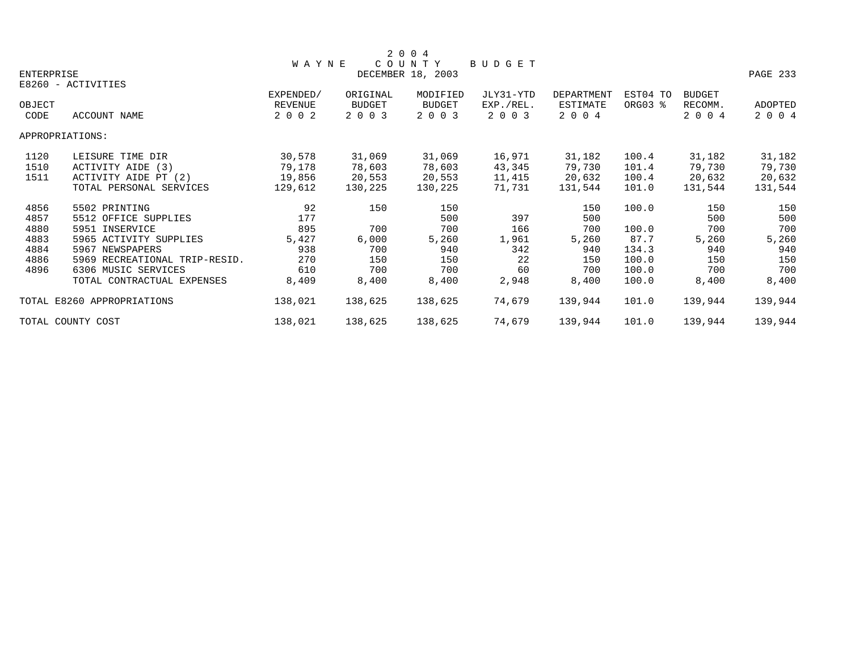|            |                               |              |               | 2 0 0 4           |           |            |          |               |          |
|------------|-------------------------------|--------------|---------------|-------------------|-----------|------------|----------|---------------|----------|
|            |                               | <b>WAYNE</b> |               | COUNTY            | BUDGET    |            |          |               |          |
| ENTERPRISE |                               |              |               | DECEMBER 18, 2003 |           |            |          |               | PAGE 233 |
|            | E8260 - ACTIVITIES            |              |               |                   |           |            |          |               |          |
|            |                               | EXPENDED/    | ORIGINAL      | MODIFIED          | JLY31-YTD | DEPARTMENT | EST04 TO | <b>BUDGET</b> |          |
| OBJECT     |                               | REVENUE      | <b>BUDGET</b> | BUDGET            | EXP./REL. | ESTIMATE   | ORG03 %  | RECOMM.       | ADOPTED  |
| CODE       | ACCOUNT NAME                  | 2 0 0 2      | 2 0 0 3       | 2 0 0 3           | 2 0 0 3   | 2 0 0 4    |          | 2 0 0 4       | 2 0 0 4  |
|            | APPROPRIATIONS:               |              |               |                   |           |            |          |               |          |
| 1120       | LEISURE TIME DIR              | 30,578       | 31,069        | 31,069            | 16,971    | 31,182     | 100.4    | 31,182        | 31,182   |
| 1510       | ACTIVITY AIDE (3)             | 79,178       | 78,603        | 78,603            | 43,345    | 79,730     | 101.4    | 79,730        | 79,730   |
| 1511       | ACTIVITY AIDE PT (2)          | 19,856       | 20,553        | 20,553            | 11,415    | 20,632     | 100.4    | 20,632        | 20,632   |
|            | TOTAL PERSONAL SERVICES       | 129,612      | 130,225       | 130,225           | 71,731    | 131,544    | 101.0    | 131,544       | 131,544  |
| 4856       | 5502 PRINTING                 | 92           | 150           | 150               |           | 150        | 100.0    | 150           | 150      |
| 4857       | 5512 OFFICE SUPPLIES          | 177          |               | 500               | 397       | 500        |          | 500           | 500      |
| 4880       | 5951 INSERVICE                | 895          | 700           | 700               | 166       | 700        | 100.0    | 700           | 700      |
| 4883       | 5965 ACTIVITY SUPPLIES        | 5,427        | 6,000         | 5,260             | 1,961     | 5,260      | 87.7     | 5,260         | 5,260    |
| 4884       | 5967 NEWSPAPERS               | 938          | 700           | 940               | 342       | 940        | 134.3    | 940           | 940      |
| 4886       | 5969 RECREATIONAL TRIP-RESID. | 270          | 150           | 150               | 22        | 150        | 100.0    | 150           | 150      |
| 4896       | 6306 MUSIC SERVICES           | 610          | 700           | 700               | 60        | 700        | 100.0    | 700           | 700      |
|            | TOTAL CONTRACTUAL EXPENSES    | 8,409        | 8,400         | 8,400             | 2,948     | 8,400      | 100.0    | 8,400         | 8,400    |
|            | TOTAL E8260 APPROPRIATIONS    | 138,021      | 138,625       | 138,625           | 74,679    | 139,944    | 101.0    | 139,944       | 139,944  |
|            | TOTAL COUNTY COST             | 138,021      | 138,625       | 138,625           | 74,679    | 139,944    | 101.0    | 139,944       | 139,944  |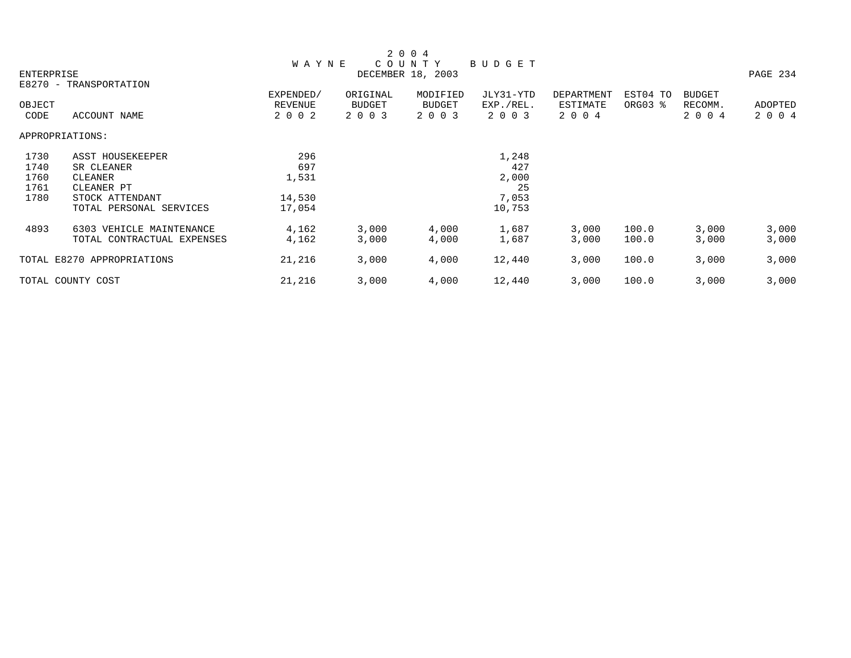|            |                            |              |               | 2 0 0 4           |               |            |          |               |          |
|------------|----------------------------|--------------|---------------|-------------------|---------------|------------|----------|---------------|----------|
|            |                            | <b>WAYNE</b> |               | COUNTY            | <b>BUDGET</b> |            |          |               |          |
| ENTERPRISE |                            |              |               | DECEMBER 18, 2003 |               |            |          |               | PAGE 234 |
|            | E8270 - TRANSPORTATION     |              |               |                   |               |            |          |               |          |
|            |                            | EXPENDED/    | ORIGINAL      | MODIFIED          | JLY31-YTD     | DEPARTMENT | EST04 TO | <b>BUDGET</b> |          |
| OBJECT     |                            | REVENUE      | <b>BUDGET</b> | <b>BUDGET</b>     | EXP./REL.     | ESTIMATE   | ORG03 %  | RECOMM.       | ADOPTED  |
| CODE       | ACCOUNT NAME               | 2 0 0 2      | 2 0 0 3       | 2 0 0 3           | 2 0 0 3       | 2 0 0 4    |          | 2 0 0 4       | 2 0 0 4  |
|            | APPROPRIATIONS:            |              |               |                   |               |            |          |               |          |
| 1730       | ASST HOUSEKEEPER           | 296          |               |                   | 1,248         |            |          |               |          |
| 1740       | SR CLEANER                 | 697          |               |                   | 427           |            |          |               |          |
| 1760       | CLEANER                    | 1,531        |               |                   | 2,000         |            |          |               |          |
| 1761       | CLEANER PT                 |              |               |                   | 25            |            |          |               |          |
| 1780       | STOCK ATTENDANT            | 14,530       |               |                   | 7,053         |            |          |               |          |
|            | TOTAL PERSONAL SERVICES    | 17,054       |               |                   | 10,753        |            |          |               |          |
| 4893       | 6303 VEHICLE MAINTENANCE   | 4,162        | 3,000         | 4,000             | 1,687         | 3,000      | 100.0    | 3,000         | 3,000    |
|            | TOTAL CONTRACTUAL EXPENSES | 4,162        | 3,000         | 4,000             | 1,687         | 3,000      | 100.0    | 3,000         | 3,000    |
|            | TOTAL E8270 APPROPRIATIONS | 21,216       | 3,000         | 4,000             | 12,440        | 3,000      | 100.0    | 3,000         | 3,000    |
|            | TOTAL COUNTY COST          | 21,216       | 3,000         | 4,000             | 12,440        | 3,000      | 100.0    | 3,000         | 3,000    |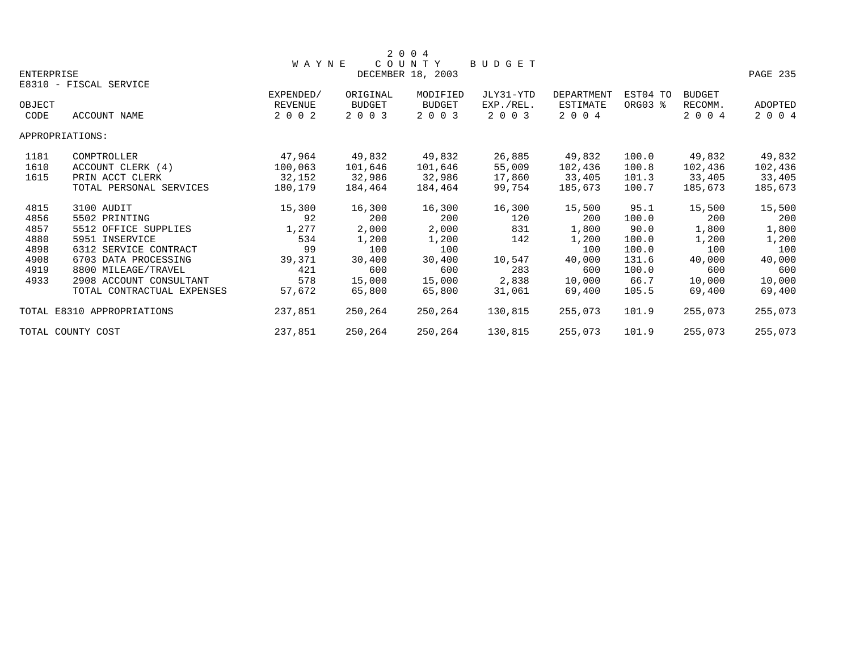|            |                            |              |               | 2 0 0 4           |               |            |          |               |          |
|------------|----------------------------|--------------|---------------|-------------------|---------------|------------|----------|---------------|----------|
|            |                            | <b>WAYNE</b> |               | COUNTY            | <b>BUDGET</b> |            |          |               |          |
| ENTERPRISE |                            |              |               | DECEMBER 18, 2003 |               |            |          |               | PAGE 235 |
|            | E8310 - FISCAL SERVICE     |              |               |                   |               |            |          |               |          |
|            |                            | EXPENDED/    | ORIGINAL      | MODIFIED          | JLY31-YTD     | DEPARTMENT | EST04 TO | <b>BUDGET</b> |          |
| OBJECT     |                            | REVENUE      | <b>BUDGET</b> | BUDGET            | EXP./REL.     | ESTIMATE   | ORG03 %  | RECOMM.       | ADOPTED  |
| CODE       | ACCOUNT NAME               | 2 0 0 2      | 2 0 0 3       | 2 0 0 3           | 2 0 0 3       | 2 0 0 4    |          | 2 0 0 4       | 2 0 0 4  |
|            | APPROPRIATIONS:            |              |               |                   |               |            |          |               |          |
| 1181       | COMPTROLLER                | 47,964       | 49,832        | 49,832            | 26,885        | 49,832     | 100.0    | 49,832        | 49,832   |
| 1610       | ACCOUNT CLERK (4)          | 100,063      | 101,646       | 101,646           | 55,009        | 102,436    | 100.8    | 102,436       | 102,436  |
| 1615       | PRIN ACCT CLERK            | 32,152       | 32,986        | 32,986            | 17,860        | 33,405     | 101.3    | 33,405        | 33,405   |
|            | TOTAL PERSONAL SERVICES    | 180,179      | 184,464       | 184,464           | 99,754        | 185,673    | 100.7    | 185,673       | 185,673  |
| 4815       | 3100 AUDIT                 | 15,300       | 16,300        | 16,300            | 16,300        | 15,500     | 95.1     | 15,500        | 15,500   |
| 4856       | 5502 PRINTING              | 92           | 200           | 200               | 120           | 200        | 100.0    | 200           | 200      |
| 4857       | 5512 OFFICE SUPPLIES       | 1,277        | 2,000         | 2,000             | 831           | 1,800      | 90.0     | 1,800         | 1,800    |
| 4880       | 5951 INSERVICE             | 534          | 1,200         | 1,200             | 142           | 1,200      | 100.0    | 1,200         | 1,200    |
| 4898       | 6312 SERVICE CONTRACT      | 99           | 100           | 100               |               | 100        | 100.0    | 100           | 100      |
| 4908       | 6703 DATA PROCESSING       | 39,371       | 30,400        | 30,400            | 10,547        | 40,000     | 131.6    | 40,000        | 40,000   |
| 4919       | 8800 MILEAGE/TRAVEL        | 421          | 600           | 600               | 283           | 600        | 100.0    | 600           | 600      |
| 4933       | 2908 ACCOUNT CONSULTANT    | 578          | 15,000        | 15,000            | 2,838         | 10,000     | 66.7     | 10,000        | 10,000   |
|            | TOTAL CONTRACTUAL EXPENSES | 57,672       | 65,800        | 65,800            | 31,061        | 69,400     | 105.5    | 69,400        | 69,400   |
|            | TOTAL E8310 APPROPRIATIONS | 237,851      | 250,264       | 250,264           | 130,815       | 255,073    | 101.9    | 255,073       | 255,073  |
|            | TOTAL COUNTY COST          | 237,851      | 250,264       | 250,264           | 130,815       | 255,073    | 101.9    | 255,073       | 255,073  |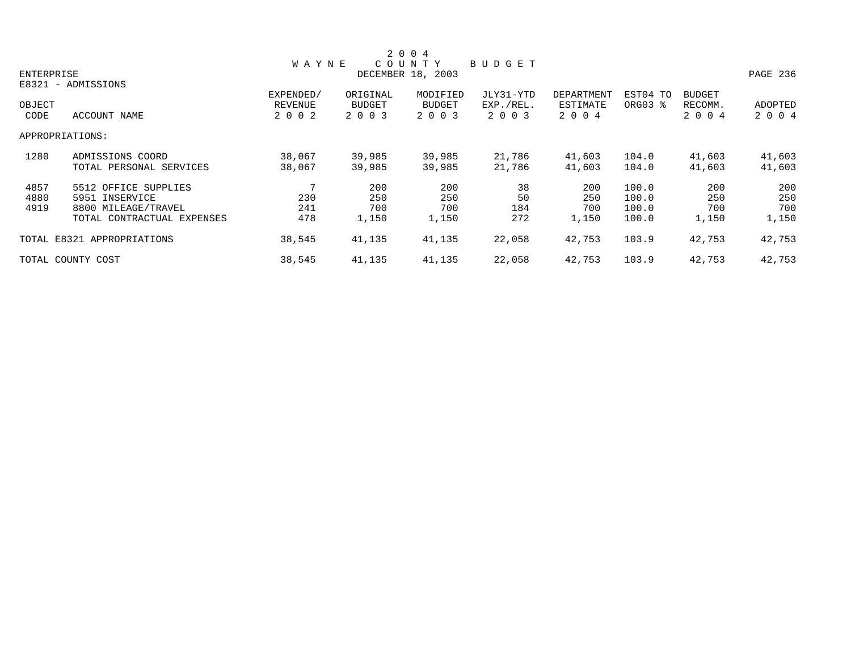|            |                            |              |               | 2 0 0 4           |           |            |          |               |          |
|------------|----------------------------|--------------|---------------|-------------------|-----------|------------|----------|---------------|----------|
|            |                            | <b>WAYNE</b> |               | COUNTY            | BUDGET    |            |          |               |          |
| ENTERPRISE |                            |              |               | DECEMBER 18, 2003 |           |            |          |               | PAGE 236 |
|            | E8321 - ADMISSIONS         |              |               |                   |           |            |          |               |          |
|            |                            | EXPENDED/    | ORIGINAL      | MODIFIED          | JLY31-YTD | DEPARTMENT | EST04 TO | <b>BUDGET</b> |          |
| OBJECT     |                            | REVENUE      | <b>BUDGET</b> | BUDGET            | EXP./REL. | ESTIMATE   | ORG03 %  | RECOMM.       | ADOPTED  |
| CODE       | ACCOUNT NAME               | 2 0 0 2      | 2 0 0 3       | 2 0 0 3           | 2 0 0 3   | 2 0 0 4    |          | 2 0 0 4       | 2 0 0 4  |
|            | APPROPRIATIONS:            |              |               |                   |           |            |          |               |          |
| 1280       | ADMISSIONS COORD           | 38,067       | 39,985        | 39,985            | 21,786    | 41,603     | 104.0    | 41,603        | 41,603   |
|            | TOTAL PERSONAL SERVICES    | 38,067       | 39,985        | 39,985            | 21,786    | 41,603     | 104.0    | 41,603        | 41,603   |
| 4857       | 5512 OFFICE SUPPLIES       |              | 200           | 200               | 38        | 200        | 100.0    | 200           | 200      |
| 4880       | 5951 INSERVICE             | 230          | 250           | 250               | 50        | 250        | 100.0    | 250           | 250      |
| 4919       | 8800 MILEAGE/TRAVEL        | 241          | 700           | 700               | 184       | 700        | 100.0    | 700           | 700      |
|            | TOTAL CONTRACTUAL EXPENSES | 478          | 1,150         | 1,150             | 272       | 1,150      | 100.0    | 1,150         | 1,150    |
|            | TOTAL E8321 APPROPRIATIONS | 38,545       | 41,135        | 41,135            | 22,058    | 42,753     | 103.9    | 42,753        | 42,753   |
|            | TOTAL COUNTY COST          | 38,545       | 41,135        | 41,135            | 22,058    | 42,753     | 103.9    | 42,753        | 42,753   |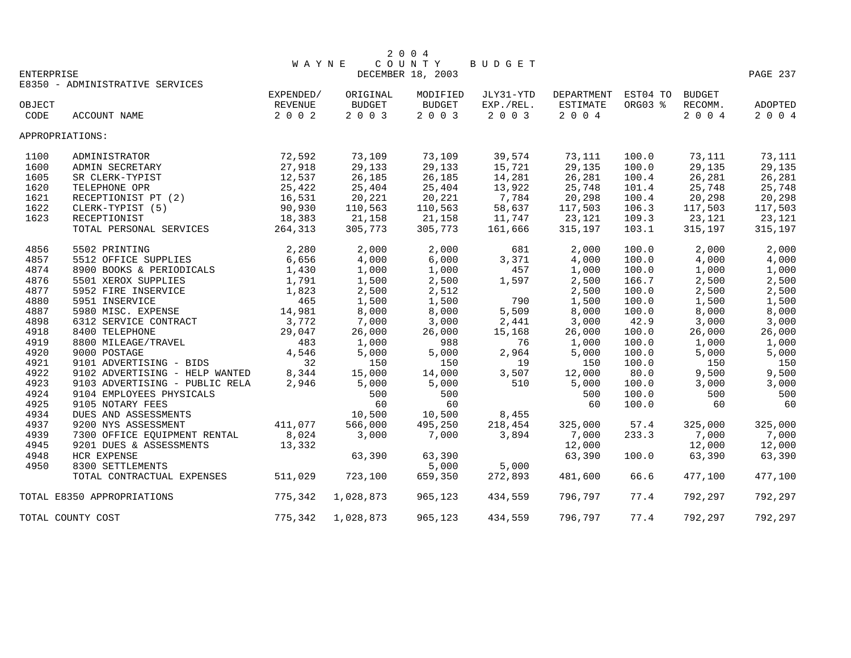|            |                                 |              |           | 2004              |           |            |          |               |          |
|------------|---------------------------------|--------------|-----------|-------------------|-----------|------------|----------|---------------|----------|
|            |                                 | <b>WAYNE</b> |           | COUNTY            | BUDGET    |            |          |               |          |
| ENTERPRISE |                                 |              |           | DECEMBER 18, 2003 |           |            |          |               | PAGE 237 |
|            | E8350 - ADMINISTRATIVE SERVICES |              |           |                   |           |            |          |               |          |
|            |                                 | EXPENDED/    | ORIGINAL  | MODIFIED          | JLY31-YTD | DEPARTMENT | EST04 TO | <b>BUDGET</b> |          |
| OBJECT     |                                 | REVENUE      | BUDGET    | <b>BUDGET</b>     | EXP./REL. | ESTIMATE   | ORG03 %  | RECOMM.       | ADOPTED  |
| CODE       | ACCOUNT NAME                    | 2 0 0 2      | 2 0 0 3   | 2 0 0 3           | 2 0 0 3   | 2 0 0 4    |          | 2 0 0 4       | 2 0 0 4  |
|            | APPROPRIATIONS:                 |              |           |                   |           |            |          |               |          |
| 1100       | ADMINISTRATOR                   | 72,592       | 73,109    | 73,109            | 39,574    | 73,111     | 100.0    | 73,111        | 73,111   |
| 1600       | ADMIN SECRETARY                 | 27,918       | 29,133    | 29,133            | 15,721    | 29,135     | 100.0    | 29,135        | 29,135   |
| 1605       | SR CLERK-TYPIST                 | 12,537       | 26,185    | 26,185            | 14,281    | 26,281     | 100.4    | 26,281        | 26,281   |
| 1620       | TELEPHONE OPR                   | 25,422       | 25,404    | 25,404            | 13,922    | 25,748     | 101.4    | 25,748        | 25,748   |
| 1621       | RECEPTIONIST PT (2)             | 16,531       | 20,221    | 20,221            | 7,784     | 20,298     | 100.4    | 20,298        | 20,298   |
| 1622       | CLERK-TYPIST (5)                | 90,930       | 110,563   | 110,563           | 58,637    | 117,503    | 106.3    | 117,503       | 117,503  |
| 1623       | RECEPTIONIST                    | 18,383       | 21,158    | 21,158            | 11,747    | 23,121     | 109.3    | 23,121        | 23,121   |
|            | TOTAL PERSONAL SERVICES         | 264,313      | 305,773   | 305,773           | 161,666   | 315,197    | 103.1    | 315,197       | 315,197  |
| 4856       | 5502 PRINTING                   | 2,280        | 2,000     | 2,000             | 681       | 2,000      | 100.0    | 2,000         | 2,000    |
| 4857       | 5512 OFFICE SUPPLIES            | 6,656        | 4,000     | 6,000             | 3,371     | 4,000      | 100.0    | 4,000         | 4,000    |
| 4874       | 8900 BOOKS & PERIODICALS        | 1,430        | 1,000     | 1,000             | 457       | 1,000      | 100.0    | 1,000         | 1,000    |
| 4876       | 5501 XEROX SUPPLIES             | 1,791        | 1,500     | 2,500             | 1,597     | 2,500      | 166.7    | 2,500         | 2,500    |
| 4877       | 5952 FIRE INSERVICE             | 1,823        | 2,500     | 2,512             |           | 2,500      | 100.0    | 2,500         | 2,500    |
| 4880       | 5951 INSERVICE                  | 465          | 1,500     | 1,500             | 790       | 1,500      | 100.0    | 1,500         | 1,500    |
| 4887       | 5980 MISC. EXPENSE              | 14,981       | 8,000     | 8,000             | 5,509     | 8,000      | 100.0    | 8,000         | 8,000    |
| 4898       | 6312 SERVICE CONTRACT           | 3,772        | 7,000     | 3,000             | 2,441     | 3,000      | 42.9     | 3,000         | 3,000    |
| 4918       | 8400 TELEPHONE                  | 29,047       | 26,000    | 26,000            | 15,168    | 26,000     | 100.0    | 26,000        | 26,000   |
| 4919       | 8800 MILEAGE/TRAVEL             | 483          | 1,000     | 988               | 76        | 1,000      | 100.0    | 1,000         | 1,000    |
| 4920       | 9000 POSTAGE                    | 4,546        | 5,000     | 5,000             | 2,964     | 5,000      | 100.0    | 5,000         | 5,000    |
| 4921       | 9101 ADVERTISING - BIDS         | 32           | 150       | 150               | 19        | 150        | 100.0    | 150           | 150      |
| 4922       | 9102 ADVERTISING - HELP WANTED  | 8,344        | 15,000    | 14,000            | 3,507     | 12,000     | 80.0     | 9,500         | 9,500    |
| 4923       | 9103 ADVERTISING - PUBLIC RELA  | 2,946        | 5,000     | 5,000             | 510       | 5,000      | 100.0    | 3,000         | 3,000    |
| 4924       | 9104 EMPLOYEES PHYSICALS        |              | 500       | 500               |           | 500        | 100.0    | 500           | 500      |
| 4925       | 9105 NOTARY FEES                |              | 60        | 60                |           | 60         | 100.0    | 60            | 60       |
| 4934       | DUES AND ASSESSMENTS            |              | 10,500    | 10,500            | 8,455     |            |          |               |          |
| 4937       | 9200 NYS ASSESSMENT             | 411,077      | 566,000   | 495,250           | 218,454   | 325,000    | 57.4     | 325,000       | 325,000  |
| 4939       | 7300 OFFICE EQUIPMENT RENTAL    | 8,024        | 3,000     | 7,000             | 3,894     | 7,000      | 233.3    | 7,000         | 7,000    |
| 4945       | 9201 DUES & ASSESSMENTS         | 13,332       |           |                   |           | 12,000     |          | 12,000        | 12,000   |
| 4948       | <b>HCR EXPENSE</b>              |              | 63,390    | 63,390            |           | 63,390     | 100.0    | 63,390        | 63,390   |
| 4950       | 8300 SETTLEMENTS                |              |           | 5,000             | 5,000     |            |          |               |          |
|            | TOTAL CONTRACTUAL EXPENSES      | 511,029      | 723,100   | 659,350           | 272,893   | 481,600    | 66.6     | 477,100       | 477,100  |
|            | TOTAL E8350 APPROPRIATIONS      | 775,342      | 1,028,873 | 965,123           | 434,559   | 796,797    | 77.4     | 792,297       | 792,297  |
|            | TOTAL COUNTY COST               | 775,342      | 1,028,873 | 965,123           | 434,559   | 796,797    | 77.4     | 792,297       | 792,297  |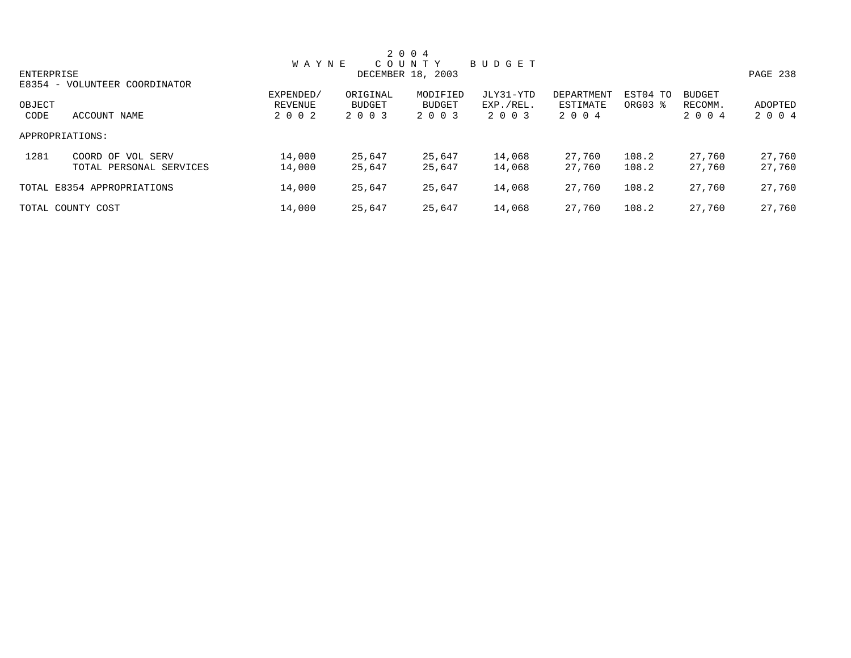|            |                               |              |          | 2 0 0 4           |           |            |          |               |          |
|------------|-------------------------------|--------------|----------|-------------------|-----------|------------|----------|---------------|----------|
|            |                               | <b>WAYNE</b> |          | COUNTY            | BUDGET    |            |          |               |          |
| ENTERPRISE |                               |              |          | DECEMBER 18, 2003 |           |            |          |               | PAGE 238 |
|            | E8354 - VOLUNTEER COORDINATOR |              |          |                   |           |            |          |               |          |
|            |                               | EXPENDED/    | ORIGINAL | MODIFIED          | JLY31-YTD | DEPARTMENT | EST04 TO | <b>BUDGET</b> |          |
| OBJECT     |                               | REVENUE      | BUDGET   | <b>BUDGET</b>     | EXP./REL. | ESTIMATE   | ORG03 %  | RECOMM.       | ADOPTED  |
| CODE       | ACCOUNT NAME                  | 2 0 0 2      | 2 0 0 3  | 2 0 0 3           | 2 0 0 3   | 2 0 0 4    |          | 2 0 0 4       | 2 0 0 4  |
|            | APPROPRIATIONS:               |              |          |                   |           |            |          |               |          |
| 1281       | COORD OF VOL SERV             | 14,000       | 25,647   | 25,647            | 14,068    | 27,760     | 108.2    | 27,760        | 27,760   |
|            | TOTAL PERSONAL SERVICES       | 14,000       | 25,647   | 25,647            | 14,068    | 27,760     | 108.2    | 27,760        | 27,760   |
|            | TOTAL E8354 APPROPRIATIONS    | 14,000       | 25,647   | 25,647            | 14,068    | 27,760     | 108.2    | 27,760        | 27,760   |
|            | TOTAL COUNTY COST             | 14,000       | 25,647   | 25,647            | 14,068    | 27,760     | 108.2    | 27,760        | 27,760   |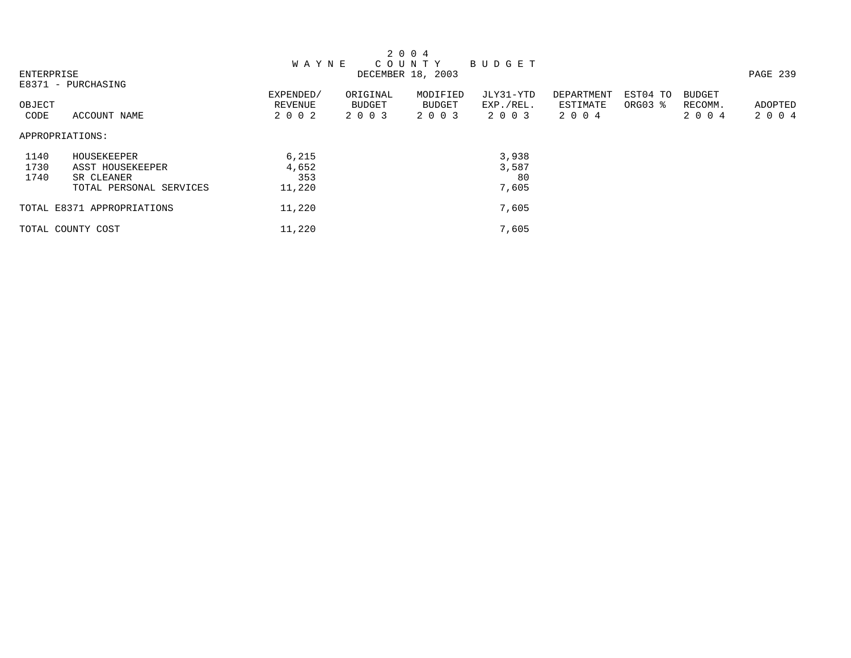|            |                            |              |          | 2 0 0 4           |           |            |          |               |          |
|------------|----------------------------|--------------|----------|-------------------|-----------|------------|----------|---------------|----------|
|            |                            | <b>WAYNE</b> |          | C O U N T Y       | BUDGET    |            |          |               |          |
| ENTERPRISE |                            |              |          | DECEMBER 18, 2003 |           |            |          |               | PAGE 239 |
|            | E8371 - PURCHASING         |              |          |                   |           |            |          |               |          |
|            |                            | EXPENDED/    | ORIGINAL | MODIFIED          | JLY31-YTD | DEPARTMENT | EST04 TO | <b>BUDGET</b> |          |
| OBJECT     |                            | REVENUE      | BUDGET   | <b>BUDGET</b>     | EXP./REL. | ESTIMATE   | ORG03 %  | RECOMM.       | ADOPTED  |
| CODE       | ACCOUNT NAME               | 2 0 0 2      | 2 0 0 3  | 2 0 0 3           | 2 0 0 3   | 2 0 0 4    |          | 2 0 0 4       | 2 0 0 4  |
|            | APPROPRIATIONS:            |              |          |                   |           |            |          |               |          |
| 1140       | HOUSEKEEPER                | 6,215        |          |                   | 3,938     |            |          |               |          |
| 1730       | ASST HOUSEKEEPER           | 4,652        |          |                   | 3,587     |            |          |               |          |
| 1740       | SR CLEANER                 | 353          |          |                   | 80        |            |          |               |          |
|            | TOTAL PERSONAL SERVICES    | 11,220       |          |                   | 7,605     |            |          |               |          |
|            | TOTAL E8371 APPROPRIATIONS | 11,220       |          |                   | 7,605     |            |          |               |          |
|            | TOTAL COUNTY COST          | 11,220       |          |                   | 7,605     |            |          |               |          |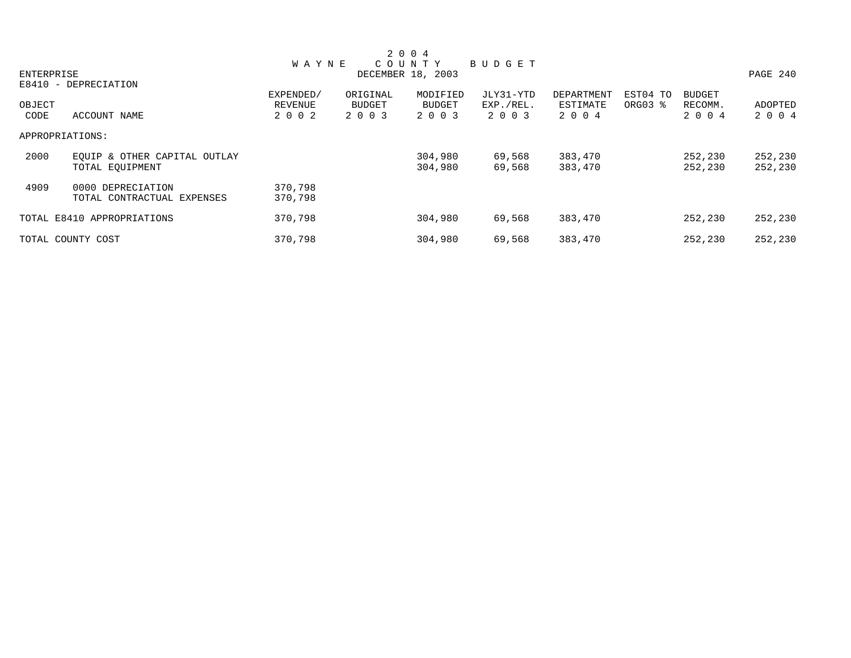|            |                              |              |               | 2 0 0 4           |           |            |          |               |          |
|------------|------------------------------|--------------|---------------|-------------------|-----------|------------|----------|---------------|----------|
|            |                              | <b>WAYNE</b> |               | COUNTY            | BUDGET    |            |          |               |          |
| ENTERPRISE |                              |              |               | DECEMBER 18, 2003 |           |            |          |               | PAGE 240 |
|            | E8410 - DEPRECIATION         |              |               |                   |           |            |          |               |          |
|            |                              | EXPENDED/    | ORIGINAL      | MODIFIED          | JLY31-YTD | DEPARTMENT | EST04 TO | <b>BUDGET</b> |          |
| OBJECT     |                              | REVENUE      | <b>BUDGET</b> | <b>BUDGET</b>     | EXP./REL. | ESTIMATE   | ORG03 %  | RECOMM.       | ADOPTED  |
| CODE       | ACCOUNT NAME                 | 2 0 0 2      | 2 0 0 3       | 2 0 0 3           | 2 0 0 3   | 2 0 0 4    |          | 2 0 0 4       | 2 0 0 4  |
|            | APPROPRIATIONS:              |              |               |                   |           |            |          |               |          |
| 2000       | EOUIP & OTHER CAPITAL OUTLAY |              |               | 304,980           | 69,568    | 383,470    |          | 252,230       | 252,230  |
|            | TOTAL EOUIPMENT              |              |               | 304,980           | 69,568    | 383,470    |          | 252,230       | 252,230  |
| 4909       | 0000 DEPRECIATION            | 370,798      |               |                   |           |            |          |               |          |
|            | TOTAL CONTRACTUAL EXPENSES   | 370,798      |               |                   |           |            |          |               |          |
|            | TOTAL E8410 APPROPRIATIONS   | 370,798      |               | 304,980           | 69,568    | 383,470    |          | 252,230       | 252,230  |
|            |                              |              |               |                   |           |            |          |               |          |
|            | TOTAL COUNTY COST            | 370,798      |               | 304,980           | 69,568    | 383,470    |          | 252,230       | 252,230  |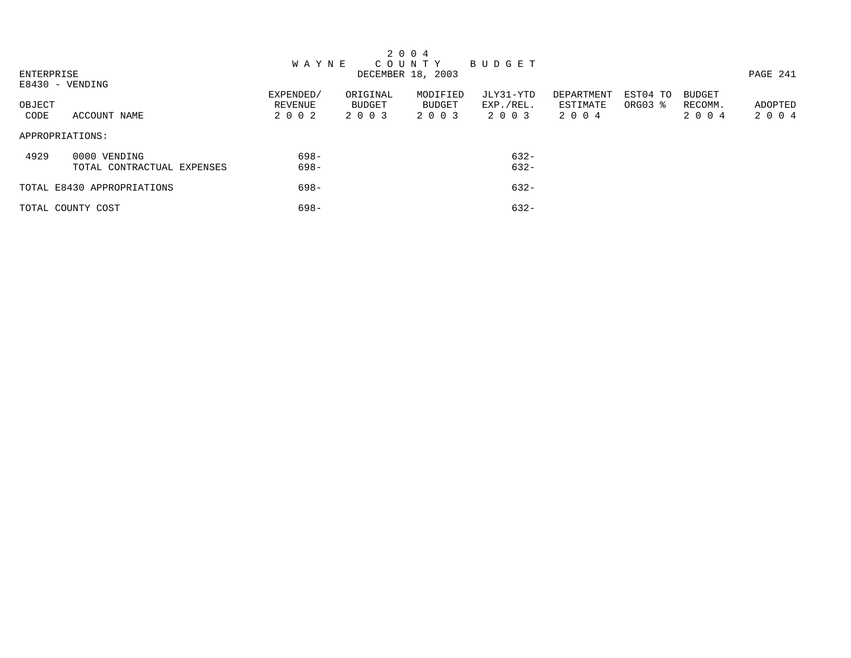|            |                            |              |          | 2 0 0 4           |           |            |          |               |          |
|------------|----------------------------|--------------|----------|-------------------|-----------|------------|----------|---------------|----------|
|            |                            | <b>WAYNE</b> |          | C O U N T Y       | BUDGET    |            |          |               |          |
| ENTERPRISE |                            |              |          | DECEMBER 18, 2003 |           |            |          |               | PAGE 241 |
|            | E8430 - VENDING            |              |          |                   |           |            |          |               |          |
|            |                            | EXPENDED/    | ORIGINAL | MODIFIED          | JLY31-YTD | DEPARTMENT | EST04 TO | <b>BUDGET</b> |          |
| OBJECT     |                            | REVENUE      | BUDGET   | BUDGET            | EXP./REL. | ESTIMATE   | ORG03 %  | RECOMM.       | ADOPTED  |
| CODE       | ACCOUNT NAME               | 2 0 0 2      | 2 0 0 3  | 2 0 0 3           | 2003      | 2004       |          | 2 0 0 4       | 2004     |
|            | APPROPRIATIONS:            |              |          |                   |           |            |          |               |          |
| 4929       | 0000 VENDING               | $698-$       |          |                   | $632 -$   |            |          |               |          |
|            | TOTAL CONTRACTUAL EXPENSES | $698-$       |          |                   | $632 -$   |            |          |               |          |
|            | TOTAL E8430 APPROPRIATIONS | $698-$       |          |                   | $632 -$   |            |          |               |          |
|            | TOTAL COUNTY COST          | $698-$       |          |                   | $632 -$   |            |          |               |          |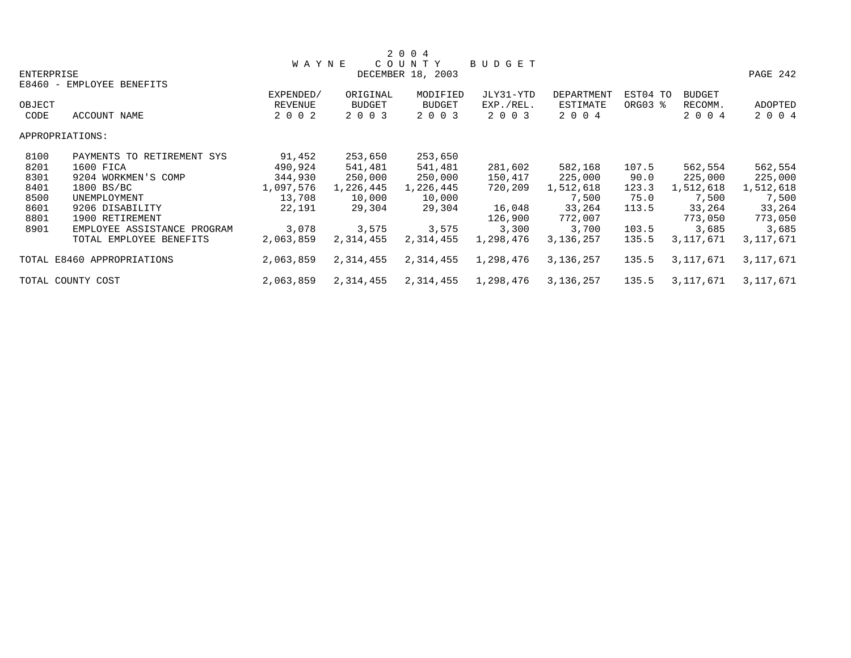|            |                             |              |           | 2 0 0 4           |               |             |          |               |             |
|------------|-----------------------------|--------------|-----------|-------------------|---------------|-------------|----------|---------------|-------------|
|            |                             | <b>WAYNE</b> |           | COUNTY            | <b>BUDGET</b> |             |          |               |             |
| ENTERPRISE |                             |              |           | DECEMBER 18, 2003 |               |             |          |               | PAGE 242    |
|            | E8460 - EMPLOYEE BENEFITS   |              |           |                   |               |             |          |               |             |
|            |                             | EXPENDED/    | ORIGINAL  | MODIFIED          | JLY31-YTD     | DEPARTMENT  | EST04 TO | <b>BUDGET</b> |             |
| OBJECT     |                             | REVENUE      | BUDGET    | <b>BUDGET</b>     | EXP./REL.     | ESTIMATE    | ORG03 %  | RECOMM.       | ADOPTED     |
| CODE       | ACCOUNT NAME                | 2 0 0 2      | 2 0 0 3   | 2 0 0 3           | 2 0 0 3       | 2 0 0 4     |          | 2 0 0 4       | 2 0 0 4     |
|            | APPROPRIATIONS:             |              |           |                   |               |             |          |               |             |
| 8100       | PAYMENTS TO RETIREMENT SYS  | 91,452       | 253,650   | 253,650           |               |             |          |               |             |
| 8201       | 1600 FICA                   | 490,924      | 541,481   | 541,481           | 281,602       | 582,168     | 107.5    | 562,554       | 562,554     |
| 8301       | 9204 WORKMEN'S COMP         | 344,930      | 250,000   | 250,000           | 150,417       | 225,000     | 90.0     | 225,000       | 225,000     |
| 8401       | 1800 BS/BC                  | 1,097,576    | 1,226,445 | 1,226,445         | 720,209       | 1,512,618   | 123.3    | 1,512,618     | 1,512,618   |
| 8500       | UNEMPLOYMENT                | 13,708       | 10,000    | 10,000            |               | 7,500       | 75.0     | 7,500         | 7,500       |
| 8601       | 9206 DISABILITY             | 22,191       | 29,304    | 29,304            | 16,048        | 33,264      | 113.5    | 33,264        | 33,264      |
| 8801       | 1900 RETIREMENT             |              |           |                   | 126,900       | 772,007     |          | 773,050       | 773,050     |
| 8901       | EMPLOYEE ASSISTANCE PROGRAM | 3,078        | 3,575     | 3,575             | 3,300         | 3,700       | 103.5    | 3,685         | 3,685       |
|            | TOTAL EMPLOYEE BENEFITS     | 2,063,859    | 2,314,455 | 2,314,455         | 1,298,476     | 3,136,257   | 135.5    | 3,117,671     | 3,117,671   |
|            | TOTAL E8460 APPROPRIATIONS  | 2,063,859    | 2,314,455 | 2,314,455         | 1,298,476     | 3, 136, 257 | 135.5    | 3,117,671     | 3, 117, 671 |
|            | TOTAL COUNTY COST           | 2,063,859    | 2,314,455 | 2,314,455         | 1,298,476     | 3,136,257   | 135.5    | 3,117,671     | 3,117,671   |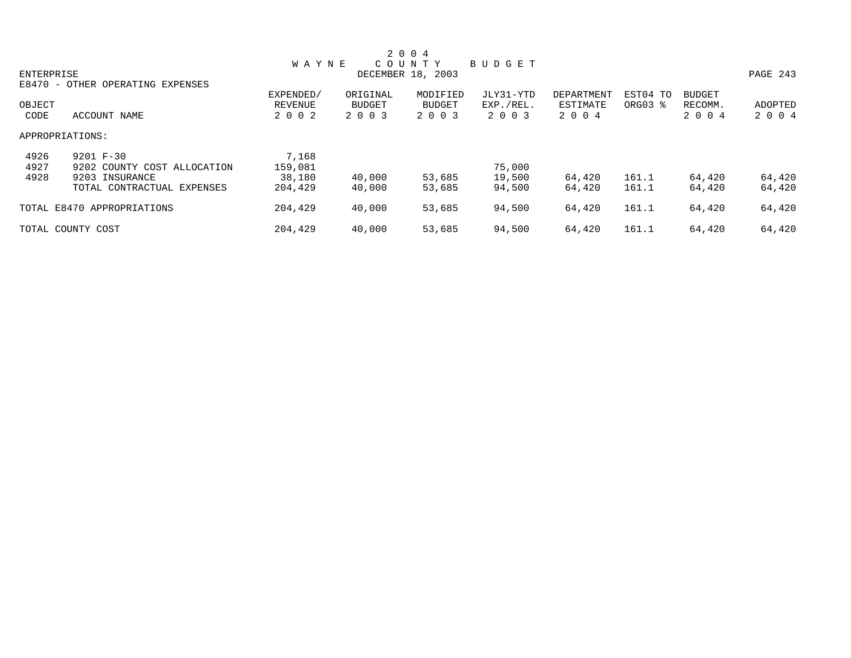|                 |                                  |                |               | 2 0 0 4           |           |                   |          |               |          |
|-----------------|----------------------------------|----------------|---------------|-------------------|-----------|-------------------|----------|---------------|----------|
|                 |                                  | <b>WAYNE</b>   |               | COUNTY            | BUDGET    |                   |          |               |          |
| ENTERPRISE      |                                  |                |               | DECEMBER 18, 2003 |           |                   |          |               | PAGE 243 |
|                 | E8470 - OTHER OPERATING EXPENSES |                |               |                   |           |                   |          |               |          |
|                 |                                  | EXPENDED/      | ORIGINAL      | MODIFIED          | JLY31-YTD | <b>DEPARTMENT</b> | EST04 TO | <b>BUDGET</b> |          |
| OBJECT          |                                  | <b>REVENUE</b> | <b>BUDGET</b> | <b>BUDGET</b>     | EXP./REL. | ESTIMATE          | ORG03 %  | RECOMM.       | ADOPTED  |
| CODE            | ACCOUNT NAME                     | 2 0 0 2        | 2 0 0 3       | 2 0 0 3           | 2 0 0 3   | 2 0 0 4           |          | 2 0 0 4       | 2 0 0 4  |
| APPROPRIATIONS: |                                  |                |               |                   |           |                   |          |               |          |
| 4926            | 9201 F-30                        | 7,168          |               |                   |           |                   |          |               |          |
| 4927            | 9202 COUNTY COST ALLOCATION      | 159,081        |               |                   | 75,000    |                   |          |               |          |
| 4928            | 9203 INSURANCE                   | 38,180         | 40,000        | 53,685            | 19,500    | 64,420            | 161.1    | 64,420        | 64,420   |
|                 | TOTAL CONTRACTUAL EXPENSES       | 204,429        | 40,000        | 53,685            | 94,500    | 64,420            | 161.1    | 64,420        | 64,420   |
|                 | TOTAL E8470 APPROPRIATIONS       | 204,429        | 40,000        | 53,685            | 94,500    | 64,420            | 161.1    | 64,420        | 64,420   |
|                 | TOTAL COUNTY COST                | 204,429        | 40,000        | 53,685            | 94,500    | 64,420            | 161.1    | 64,420        | 64,420   |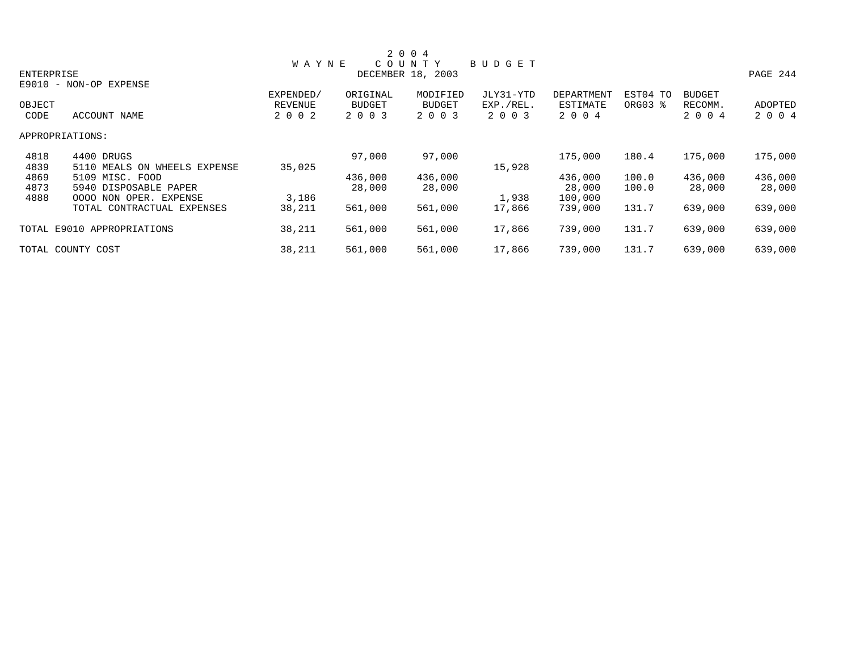|            |                              |                |               | 2 0 0 4           |               |                   |          |               |          |
|------------|------------------------------|----------------|---------------|-------------------|---------------|-------------------|----------|---------------|----------|
|            |                              | <b>WAYNE</b>   |               | COUNTY            | <b>BUDGET</b> |                   |          |               |          |
| ENTERPRISE |                              |                |               | DECEMBER 18, 2003 |               |                   |          |               | PAGE 244 |
|            | E9010 - NON-OP EXPENSE       |                |               |                   |               |                   |          |               |          |
|            |                              | EXPENDED/      | ORIGINAL      | MODIFIED          | JLY31-YTD     | <b>DEPARTMENT</b> | EST04 TO | <b>BUDGET</b> |          |
| OBJECT     |                              | <b>REVENUE</b> | <b>BUDGET</b> | <b>BUDGET</b>     | EXP./REL.     | ESTIMATE          | ORG03 %  | RECOMM.       | ADOPTED  |
| CODE       | ACCOUNT NAME                 | 2 0 0 2        | 2 0 0 3       | 2 0 0 3           | 2 0 0 3       | 2 0 0 4           |          | 2 0 0 4       | 2 0 0 4  |
|            | APPROPRIATIONS:              |                |               |                   |               |                   |          |               |          |
| 4818       | 4400 DRUGS                   |                | 97,000        | 97,000            |               | 175,000           | 180.4    | 175,000       | 175,000  |
| 4839       | 5110 MEALS ON WHEELS EXPENSE | 35,025         |               |                   | 15,928        |                   |          |               |          |
| 4869       | 5109 MISC. FOOD              |                | 436,000       | 436,000           |               | 436,000           | 100.0    | 436,000       | 436,000  |
| 4873       | 5940 DISPOSABLE PAPER        |                | 28,000        | 28,000            |               | 28,000            | 100.0    | 28,000        | 28,000   |
| 4888       | OPER. EXPENSE<br>0000 NON    | 3,186          |               |                   | 1,938         | 100,000           |          |               |          |
|            | TOTAL CONTRACTUAL EXPENSES   | 38,211         | 561,000       | 561,000           | 17,866        | 739,000           | 131.7    | 639,000       | 639,000  |
|            | TOTAL E9010 APPROPRIATIONS   | 38,211         | 561,000       | 561,000           | 17,866        | 739,000           | 131.7    | 639,000       | 639,000  |
|            | TOTAL COUNTY COST            | 38,211         | 561,000       | 561,000           | 17,866        | 739,000           | 131.7    | 639,000       | 639,000  |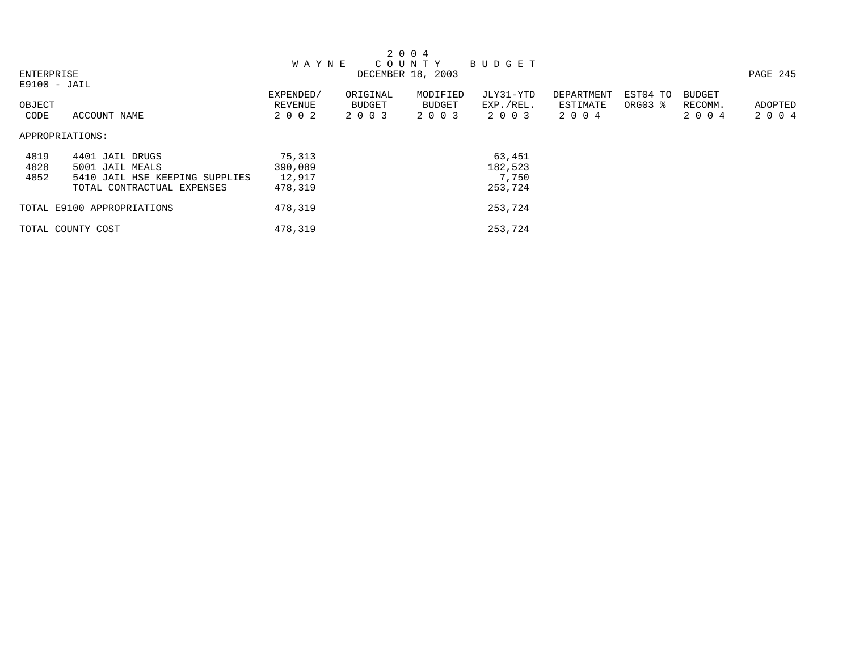|                |                                |              |               | 2 0 0 4           |           |            |          |               |          |
|----------------|--------------------------------|--------------|---------------|-------------------|-----------|------------|----------|---------------|----------|
|                |                                | <b>WAYNE</b> |               | COUNTY            | BUDGET    |            |          |               |          |
| ENTERPRISE     |                                |              |               | DECEMBER 18, 2003 |           |            |          |               | PAGE 245 |
| $E9100 - JAIL$ |                                |              |               |                   |           |            |          |               |          |
|                |                                | EXPENDED/    | ORIGINAL      | MODIFIED          | JLY31-YTD | DEPARTMENT | EST04 TO | <b>BUDGET</b> |          |
| OBJECT         |                                | REVENUE      | <b>BUDGET</b> | BUDGET            | EXP./REL. | ESTIMATE   | ORG03 %  | RECOMM.       | ADOPTED  |
| CODE           | ACCOUNT NAME                   | 2 0 0 2      | 2 0 0 3       | 2 0 0 3           | 2 0 0 3   | 2 0 0 4    |          | 2 0 0 4       | 2 0 0 4  |
|                | APPROPRIATIONS:                |              |               |                   |           |            |          |               |          |
| 4819           | 4401 JAIL DRUGS                | 75,313       |               |                   | 63,451    |            |          |               |          |
| 4828           | 5001 JAIL MEALS                | 390,089      |               |                   | 182,523   |            |          |               |          |
| 4852           | 5410 JAIL HSE KEEPING SUPPLIES | 12,917       |               |                   | 7,750     |            |          |               |          |
|                | TOTAL CONTRACTUAL EXPENSES     | 478,319      |               |                   | 253,724   |            |          |               |          |
|                | TOTAL E9100 APPROPRIATIONS     | 478,319      |               |                   | 253,724   |            |          |               |          |
|                | TOTAL COUNTY COST              | 478,319      |               |                   | 253,724   |            |          |               |          |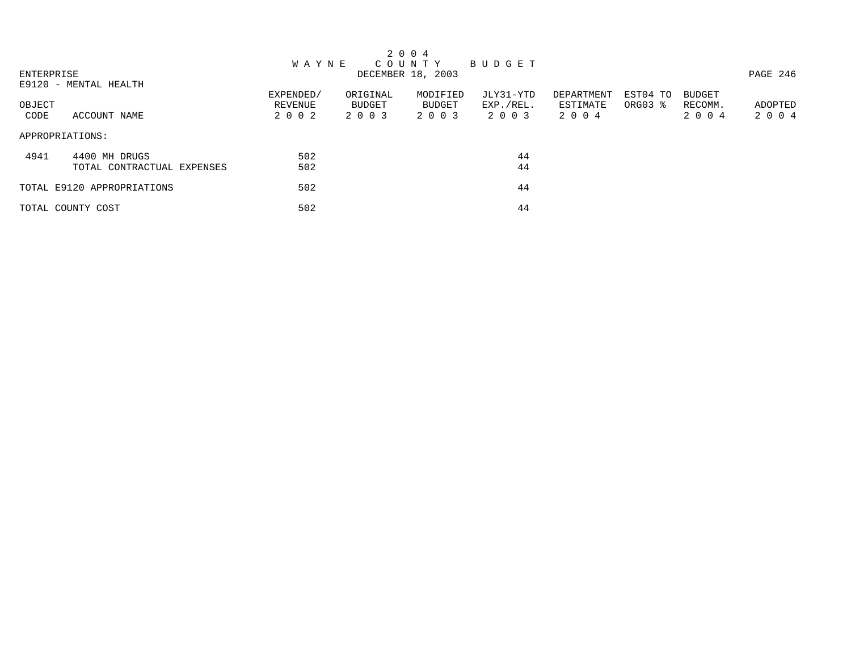|            |                            |              |          | 2 0 0 4           |           |            |          |               |          |
|------------|----------------------------|--------------|----------|-------------------|-----------|------------|----------|---------------|----------|
|            |                            | <b>WAYNE</b> |          | C O U N T Y       | BUDGET    |            |          |               |          |
| ENTERPRISE |                            |              |          | DECEMBER 18, 2003 |           |            |          |               | PAGE 246 |
|            | E9120 - MENTAL HEALTH      |              |          |                   |           |            |          |               |          |
|            |                            | EXPENDED/    | ORIGINAL | MODIFIED          | JLY31-YTD | DEPARTMENT | EST04 TO | <b>BUDGET</b> |          |
| OBJECT     |                            | REVENUE      | BUDGET   | BUDGET            | EXP./REL. | ESTIMATE   | ORG03 %  | RECOMM.       | ADOPTED  |
| CODE       | ACCOUNT NAME               | 2 0 0 2      | 2 0 0 3  | 2 0 0 3           | 2 0 0 3   | 2004       |          | 2 0 0 4       | 2004     |
|            | APPROPRIATIONS:            |              |          |                   |           |            |          |               |          |
| 4941       | 4400 MH DRUGS              | 502          |          |                   | 44        |            |          |               |          |
|            | TOTAL CONTRACTUAL EXPENSES | 502          |          |                   | 44        |            |          |               |          |
|            | TOTAL E9120 APPROPRIATIONS | 502          |          |                   | 44        |            |          |               |          |
|            | TOTAL COUNTY COST          | 502          |          |                   | 44        |            |          |               |          |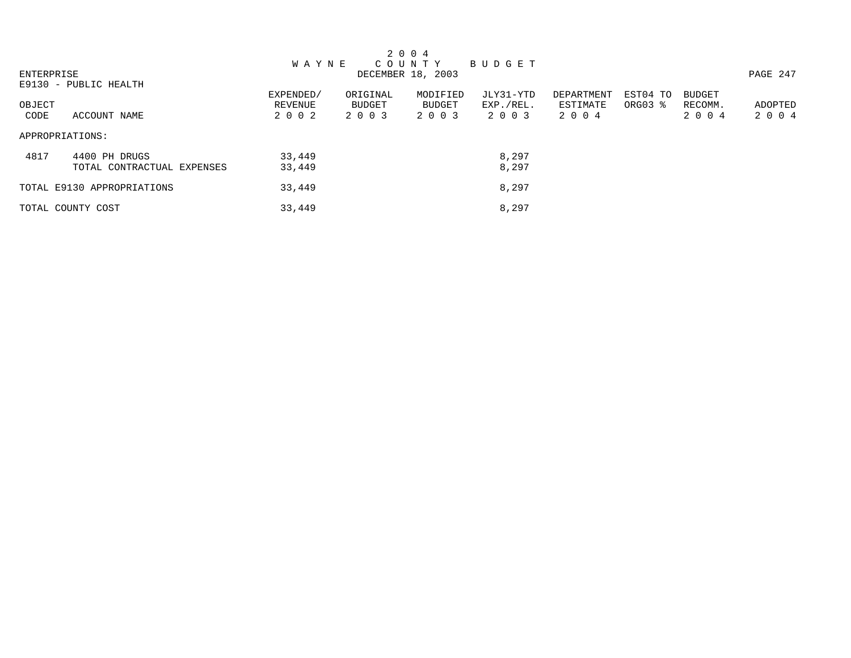|            |                            |              |               | 2 0 0 4           |           |            |          |               |          |
|------------|----------------------------|--------------|---------------|-------------------|-----------|------------|----------|---------------|----------|
|            |                            | <b>WAYNE</b> |               | C O U N T Y       | BUDGET    |            |          |               |          |
| ENTERPRISE |                            |              |               | DECEMBER 18, 2003 |           |            |          |               | PAGE 247 |
|            | E9130 - PUBLIC HEALTH      |              |               |                   |           |            |          |               |          |
|            |                            | EXPENDED/    | ORIGINAL      | MODIFIED          | JLY31-YTD | DEPARTMENT | EST04 TO | <b>BUDGET</b> |          |
| OBJECT     |                            | REVENUE      | <b>BUDGET</b> | <b>BUDGET</b>     | EXP./REL. | ESTIMATE   | ORG03 %  | RECOMM.       | ADOPTED  |
| CODE       | ACCOUNT NAME               | 2002         | 2 0 0 3       | 2 0 0 3           | 2 0 0 3   | 2004       |          | 2 0 0 4       | 2004     |
|            | APPROPRIATIONS:            |              |               |                   |           |            |          |               |          |
| 4817       | 4400 PH DRUGS              | 33,449       |               |                   | 8,297     |            |          |               |          |
|            | TOTAL CONTRACTUAL EXPENSES | 33,449       |               |                   | 8,297     |            |          |               |          |
|            | TOTAL E9130 APPROPRIATIONS | 33,449       |               |                   | 8,297     |            |          |               |          |
|            | TOTAL COUNTY COST          | 33,449       |               |                   | 8,297     |            |          |               |          |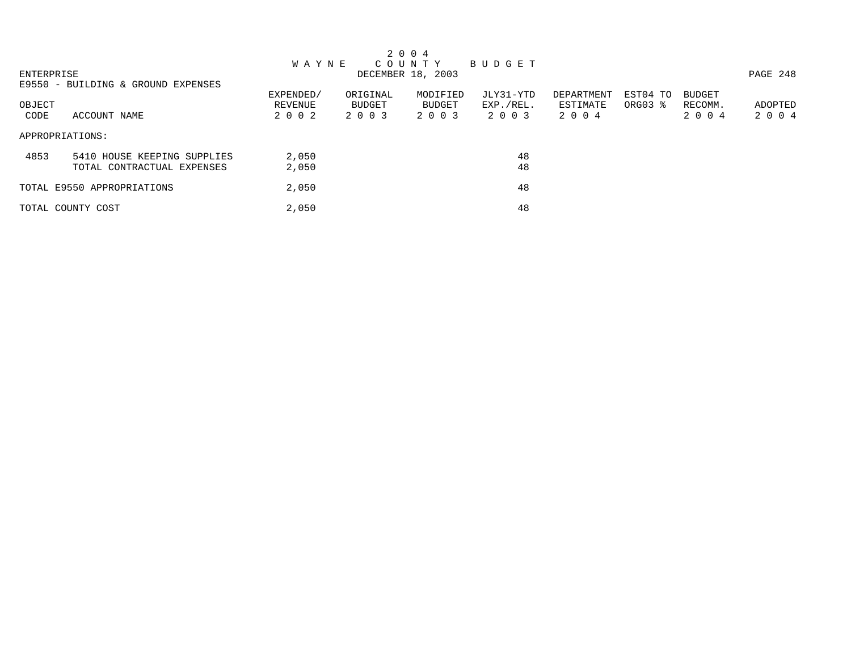|        | 2 0 0 4                            |              |               |                   |           |            |          |               |          |
|--------|------------------------------------|--------------|---------------|-------------------|-----------|------------|----------|---------------|----------|
|        |                                    | <b>WAYNE</b> |               | C O U N T Y       | BUDGET    |            |          |               |          |
|        | ENTERPRISE                         |              |               | DECEMBER 18, 2003 |           |            |          |               | PAGE 248 |
|        | E9550 - BUILDING & GROUND EXPENSES |              |               |                   |           |            |          |               |          |
|        |                                    | EXPENDED/    | ORIGINAL      | MODIFIED          | JLY31-YTD | DEPARTMENT | EST04 TO | <b>BUDGET</b> |          |
| OBJECT |                                    | REVENUE      | <b>BUDGET</b> | <b>BUDGET</b>     | EXP./REL. | ESTIMATE   | ORG03 %  | RECOMM.       | ADOPTED  |
| CODE   | ACCOUNT NAME                       | 2 0 0 2      | 2 0 0 3       | 2 0 0 3           | 2 0 0 3   | 2004       |          | 2 0 0 4       | 2004     |
|        | APPROPRIATIONS:                    |              |               |                   |           |            |          |               |          |
| 4853   | 5410 HOUSE KEEPING SUPPLIES        | 2,050        |               |                   | 48        |            |          |               |          |
|        | TOTAL CONTRACTUAL EXPENSES         | 2,050        |               |                   | 48        |            |          |               |          |
|        | TOTAL E9550 APPROPRIATIONS         | 2,050        |               |                   | 48        |            |          |               |          |
|        | TOTAL COUNTY COST                  | 2,050        |               |                   | 48        |            |          |               |          |